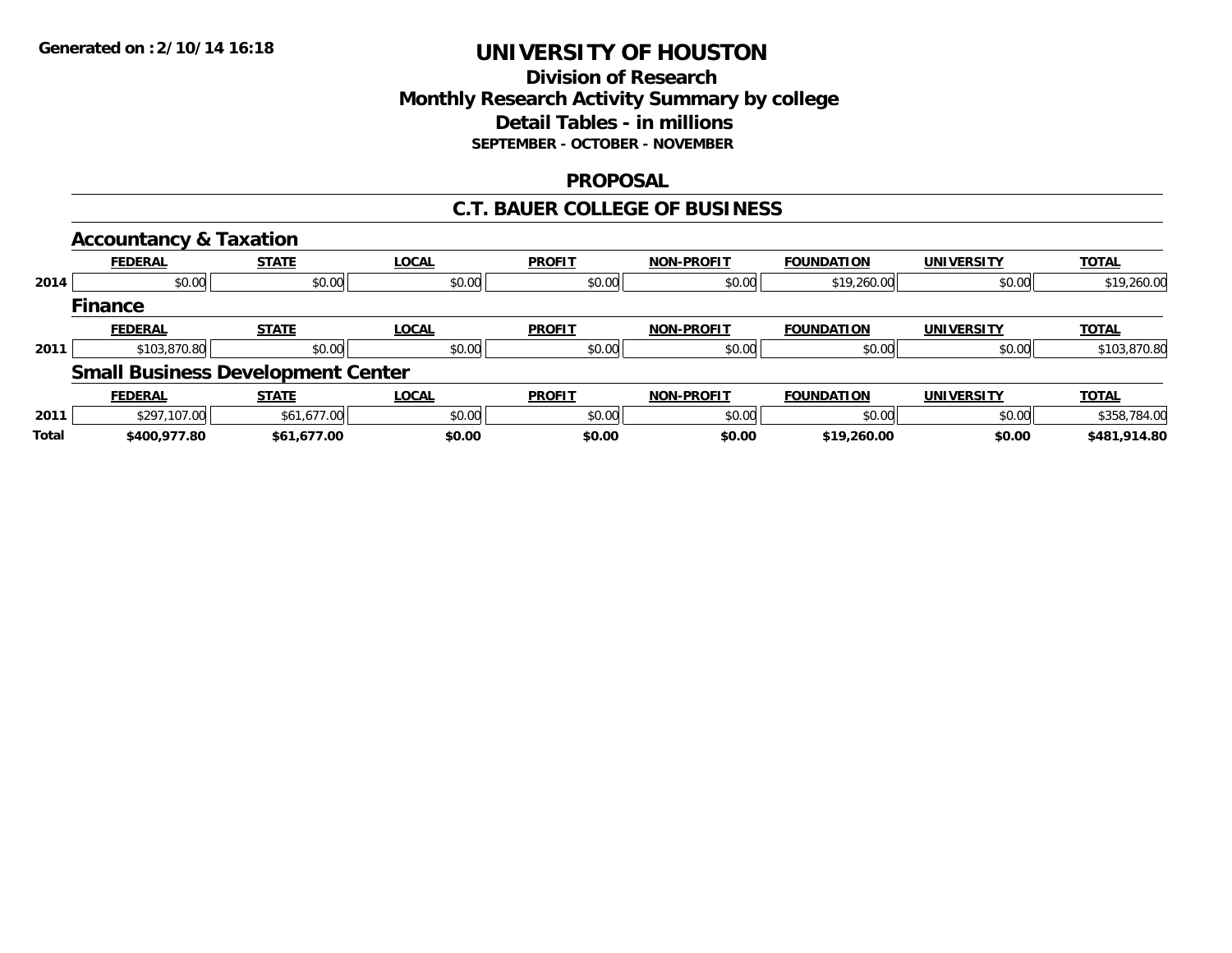## **Division of ResearchMonthly Research Activity Summary by college Detail Tables - in millions SEPTEMBER - OCTOBER - NOVEMBER**

### **PROPOSAL**

### **C.T. BAUER COLLEGE OF BUSINESS**

|       | <b>Accountancy &amp; Taxation</b>        |              |              |               |                   |                   |                   |              |
|-------|------------------------------------------|--------------|--------------|---------------|-------------------|-------------------|-------------------|--------------|
|       | <b>FEDERAL</b>                           | <b>STATE</b> | <b>LOCAL</b> | <b>PROFIT</b> | <b>NON-PROFIT</b> | <b>FOUNDATION</b> | <b>UNIVERSITY</b> | <b>TOTAL</b> |
| 2014  | \$0.00                                   | \$0.00       | \$0.00       | \$0.00        | \$0.00            | \$19,260.00       | \$0.00            | \$19,260.00  |
|       | <b>Finance</b>                           |              |              |               |                   |                   |                   |              |
|       | <b>FEDERAL</b>                           | <b>STATE</b> | <b>LOCAL</b> | <b>PROFIT</b> | <b>NON-PROFIT</b> | <b>FOUNDATION</b> | <b>UNIVERSITY</b> | <b>TOTAL</b> |
| 2011  | \$103,870.80                             | \$0.00       | \$0.00       | \$0.00        | \$0.00            | \$0.00            | \$0.00            | \$103,870.80 |
|       | <b>Small Business Development Center</b> |              |              |               |                   |                   |                   |              |
|       | <b>FEDERAL</b>                           | <b>STATE</b> | <b>LOCAL</b> | <b>PROFIT</b> | <b>NON-PROFIT</b> | <b>FOUNDATION</b> | <b>UNIVERSITY</b> | <b>TOTAL</b> |
| 2011  | \$297,107.00                             | \$61,677.00  | \$0.00       | \$0.00        | \$0.00            | \$0.00            | \$0.00            | \$358,784.00 |
| Total | \$400,977.80                             | \$61,677.00  | \$0.00       | \$0.00        | \$0.00            | \$19,260.00       | \$0.00            | \$481,914.80 |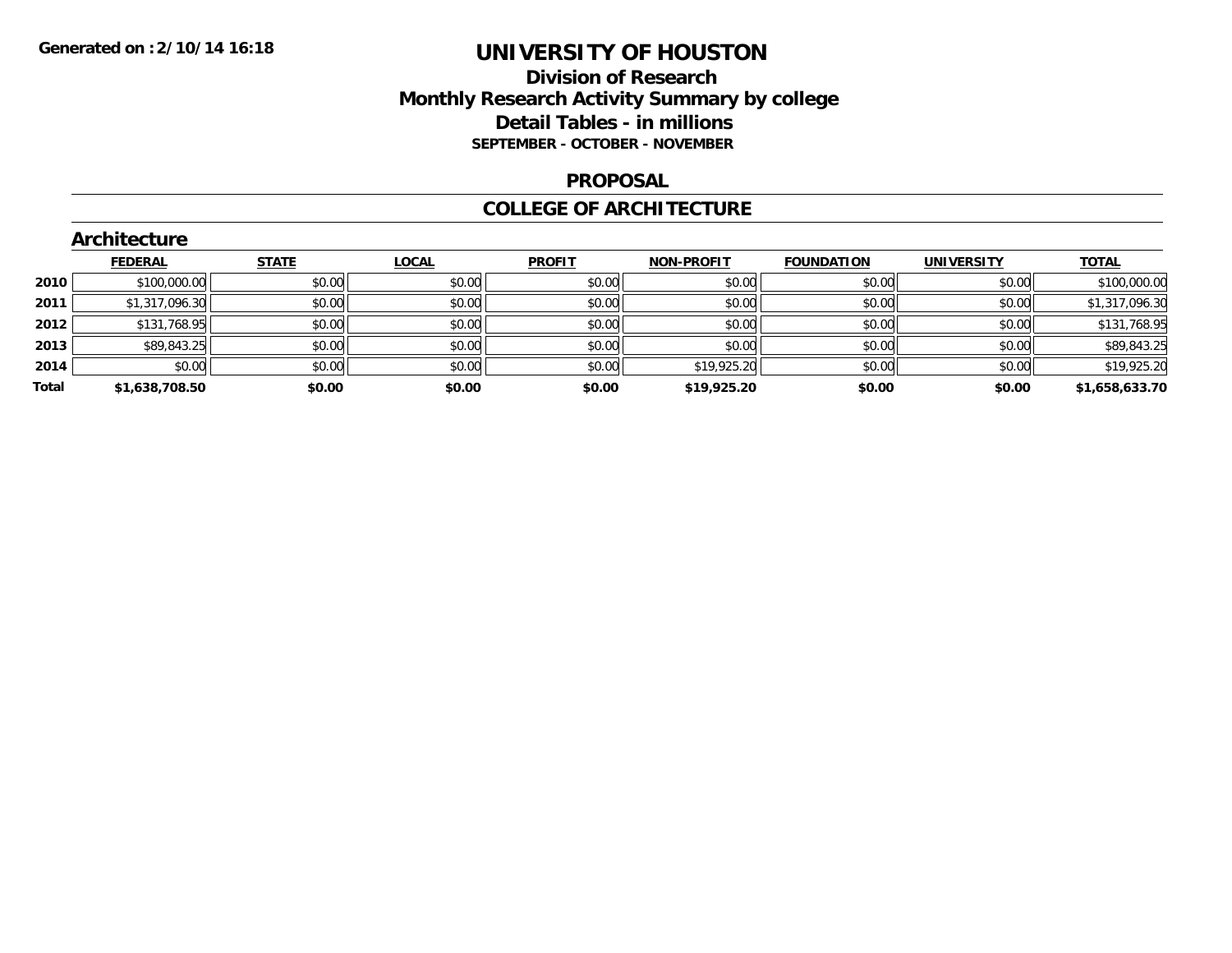## **Division of Research Monthly Research Activity Summary by college Detail Tables - in millions SEPTEMBER - OCTOBER - NOVEMBER**

#### **PROPOSAL**

### **COLLEGE OF ARCHITECTURE**

|       | Architecture   |              |              |               |                   |                   |                   |                |  |  |  |  |
|-------|----------------|--------------|--------------|---------------|-------------------|-------------------|-------------------|----------------|--|--|--|--|
|       | <b>FEDERAL</b> | <b>STATE</b> | <b>LOCAL</b> | <b>PROFIT</b> | <b>NON-PROFIT</b> | <b>FOUNDATION</b> | <b>UNIVERSITY</b> | <b>TOTAL</b>   |  |  |  |  |
| 2010  | \$100,000.00   | \$0.00       | \$0.00       | \$0.00        | \$0.00            | \$0.00            | \$0.00            | \$100,000.00   |  |  |  |  |
| 2011  | \$1,317,096.30 | \$0.00       | \$0.00       | \$0.00        | \$0.00            | \$0.00            | \$0.00            | \$1,317,096.30 |  |  |  |  |
| 2012  | \$131,768.95   | \$0.00       | \$0.00       | \$0.00        | \$0.00            | \$0.00            | \$0.00            | \$131,768.95   |  |  |  |  |
| 2013  | \$89,843.25    | \$0.00       | \$0.00       | \$0.00        | \$0.00            | \$0.00            | \$0.00            | \$89,843.25    |  |  |  |  |
| 2014  | \$0.00         | \$0.00       | \$0.00       | \$0.00        | \$19,925.20       | \$0.00            | \$0.00            | \$19,925.20    |  |  |  |  |
| Total | \$1,638,708.50 | \$0.00       | \$0.00       | \$0.00        | \$19,925.20       | \$0.00            | \$0.00            | \$1,658,633.70 |  |  |  |  |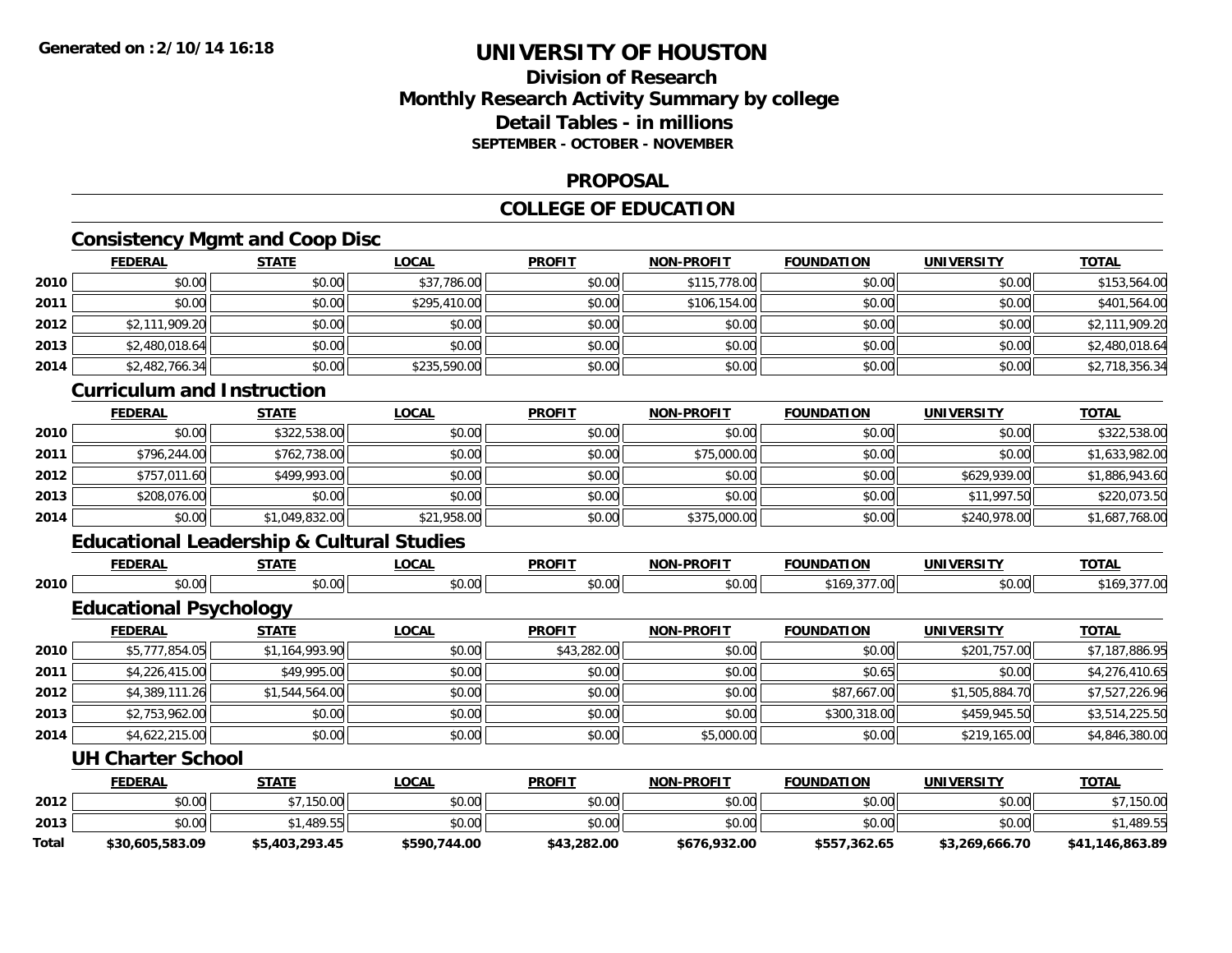## **Division of ResearchMonthly Research Activity Summary by college Detail Tables - in millionsSEPTEMBER - OCTOBER - NOVEMBER**

#### **PROPOSAL**

## **COLLEGE OF EDUCATION**

## **Consistency Mgmt and Coop Disc**

|      | <b>FEDERAL</b>                    | <b>STATE</b> | <b>LOCAL</b> | <b>PROFIT</b> | <b>NON-PROFIT</b> | <b>FOUNDATION</b> | <b>UNIVERSITY</b> | <b>TOTAL</b>   |  |  |  |
|------|-----------------------------------|--------------|--------------|---------------|-------------------|-------------------|-------------------|----------------|--|--|--|
| 2010 | \$0.00                            | \$0.00       | \$37,786.00  | \$0.00        | \$115,778.00      | \$0.00            | \$0.00            | \$153,564.00   |  |  |  |
| 2011 | \$0.00                            | \$0.00       | \$295,410.00 | \$0.00        | \$106,154.00      | \$0.00            | \$0.00            | \$401,564.00   |  |  |  |
| 2012 | \$2,111,909.20                    | \$0.00       | \$0.00       | \$0.00        | \$0.00            | \$0.00            | \$0.00            | \$2,111,909.20 |  |  |  |
| 2013 | \$2,480,018.64                    | \$0.00       | \$0.00       | \$0.00        | \$0.00            | \$0.00            | \$0.00            | \$2,480,018.64 |  |  |  |
| 2014 | \$2,482,766.34                    | \$0.00       | \$235,590.00 | \$0.00        | \$0.00            | \$0.00            | \$0.00            | \$2,718,356.34 |  |  |  |
|      | <b>Curriculum and Instruction</b> |              |              |               |                   |                   |                   |                |  |  |  |
|      |                                   |              | .            |               |                   |                   |                   |                |  |  |  |

|      | <b>FEDERAL</b> | <u>STATE</u>   | <u>LOCAL</u> | <b>PROFI1</b> | <b>NON-PROFIT</b> | <b>FOUNDATION</b> | UNIVERSITY   | <u>TOTAL</u>   |
|------|----------------|----------------|--------------|---------------|-------------------|-------------------|--------------|----------------|
| 2010 | \$0.00         | \$322,538.00   | \$0.00       | \$0.00        | \$0.00            | \$0.00            | \$0.00       | \$322,538.00   |
| 2011 | \$796,244.00   | \$762,738.00   | \$0.00       | \$0.00        | \$75,000.00       | \$0.00            | \$0.00       | \$1,633,982.00 |
| 2012 | \$757,011.60   | \$499,993.00   | \$0.00       | \$0.00        | \$0.00            | \$0.00            | \$629,939.00 | \$1,886,943.60 |
| 2013 | \$208,076.00   | \$0.00         | \$0.00       | \$0.00        | \$0.00            | \$0.00            | \$11,997.50  | \$220,073.50   |
| 2014 | \$0.00         | \$1,049,832.00 | \$21,958.00  | \$0.00        | \$375,000.00      | \$0.00            | \$240,978.00 | \$1,687,768.00 |

# **Educational Leadership & Cultural Studies**

|      | EENED <i>i</i><br>к, | -----           | ne n<br>uuri | <b>DDOFIT</b><br>ט א | . DDAEIT<br>NOL<br>'I JE | ΠΟΝ<br>$-0.0000000$ | JNI\<br>----- | TOTA. |
|------|----------------------|-----------------|--------------|----------------------|--------------------------|---------------------|---------------|-------|
| 2010 | $\cdots$<br>טט.טע    | 0.00<br>,,,,,,, | vv.vvi       | 0000<br>\\ I<br>ט.ט  | 0.00<br>טט.טט            | יי<br>$\cdot$       | \$0.00        |       |

## **Educational Psychology**

|      | <b>FEDERAL</b> | <u>STATE</u>   | <u>LOCAL</u> | <b>PROFIT</b> | <b>NON-PROFIT</b> | <b>FOUNDATION</b> | <b>UNIVERSITY</b> | <b>TOTAL</b>   |
|------|----------------|----------------|--------------|---------------|-------------------|-------------------|-------------------|----------------|
| 2010 | \$5,777,854.05 | \$1,164,993.90 | \$0.00       | \$43,282.00   | \$0.00            | \$0.00            | \$201,757.00      | \$7,187,886.95 |
| 2011 | \$4,226,415.00 | \$49,995.00    | \$0.00       | \$0.00        | \$0.00            | \$0.65            | \$0.00            | \$4,276,410.65 |
| 2012 | \$4,389,111.26 | \$1,544,564.00 | \$0.00       | \$0.00        | \$0.00            | \$87,667.00       | \$1,505,884.70    | \$7,527,226.96 |
| 2013 | \$2,753,962.00 | \$0.00         | \$0.00       | \$0.00        | \$0.00            | \$300,318.00      | \$459,945.50      | \$3,514,225.50 |
| 2014 | \$4,622,215.00 | \$0.00         | \$0.00       | \$0.00        | \$5,000.00        | \$0.00            | \$219,165.00      | \$4,846,380.00 |

### **UH Charter School**

|       | <b>FEDERAL</b>  | <u>STATE</u>   | <u>LOCAL</u> | <b>PROFIT</b> | <b>NON-PROFIT</b> | <b>FOUNDATION</b> | <b>UNIVERSITY</b> | <b>TOTAL</b>    |
|-------|-----------------|----------------|--------------|---------------|-------------------|-------------------|-------------------|-----------------|
| 2012  | \$0.00          | \$7,150.00     | \$0.00       | \$0.00        | \$0.00            | \$0.00            | \$0.00            | \$7,150.00      |
| 2013  | \$0.00          | 1.489.55       | \$0.00       | \$0.00        | \$0.00            | \$0.00            | \$0.00            | \$1,489.55      |
| Total | \$30,605,583.09 | \$5,403,293.45 | \$590,744.00 | \$43,282.00   | \$676,932.00      | \$557,362.65      | \$3,269,666.70    | \$41.146.863.89 |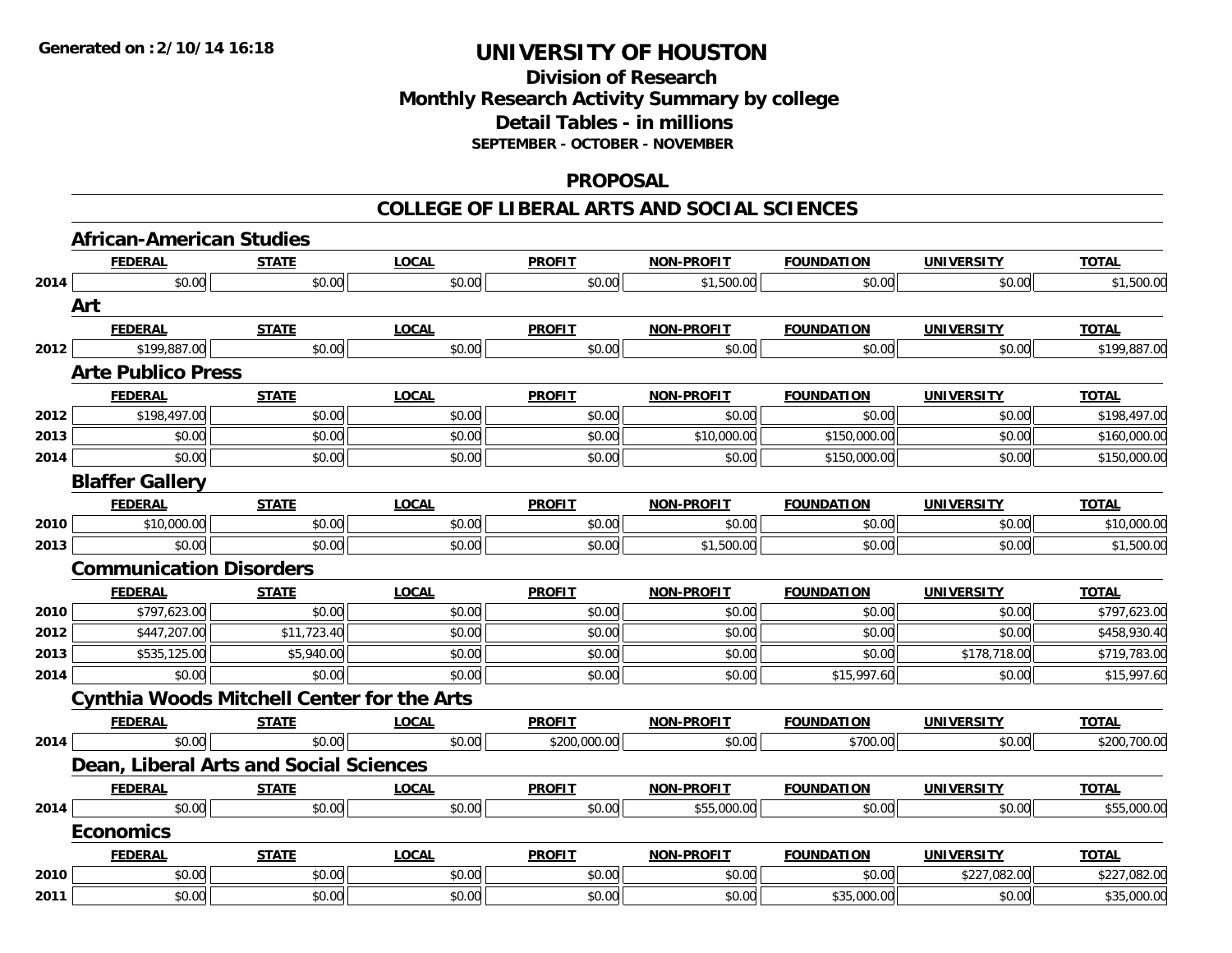## **Division of Research Monthly Research Activity Summary by college Detail Tables - in millions SEPTEMBER - OCTOBER - NOVEMBER**

#### **PROPOSAL**

|      | <b>African-American Studies</b>                   |              |              |               |                   |                   |                   |              |  |  |  |
|------|---------------------------------------------------|--------------|--------------|---------------|-------------------|-------------------|-------------------|--------------|--|--|--|
|      | <b>FEDERAL</b>                                    | <b>STATE</b> | <b>LOCAL</b> | <b>PROFIT</b> | NON-PROFIT        | <b>FOUNDATION</b> | <b>UNIVERSITY</b> | <b>TOTAL</b> |  |  |  |
| 2014 | \$0.00                                            | \$0.00       | \$0.00       | \$0.00        | \$1,500.00        | \$0.00            | \$0.00            | \$1,500.00   |  |  |  |
|      | Art                                               |              |              |               |                   |                   |                   |              |  |  |  |
|      | <b>FEDERAL</b>                                    | <b>STATE</b> | <b>LOCAL</b> | <b>PROFIT</b> | <b>NON-PROFIT</b> | <b>FOUNDATION</b> | <b>UNIVERSITY</b> | <b>TOTAL</b> |  |  |  |
| 2012 | \$199,887.00                                      | \$0.00       | \$0.00       | \$0.00        | \$0.00            | \$0.00            | \$0.00            | \$199,887.00 |  |  |  |
|      | <b>Arte Publico Press</b>                         |              |              |               |                   |                   |                   |              |  |  |  |
|      | <b>FEDERAL</b>                                    | <b>STATE</b> | <b>LOCAL</b> | <b>PROFIT</b> | <b>NON-PROFIT</b> | <b>FOUNDATION</b> | <b>UNIVERSITY</b> | <b>TOTAL</b> |  |  |  |
| 2012 | \$198,497.00                                      | \$0.00       | \$0.00       | \$0.00        | \$0.00            | \$0.00            | \$0.00            | \$198,497.00 |  |  |  |
| 2013 | \$0.00                                            | \$0.00       | \$0.00       | \$0.00        | \$10,000.00       | \$150,000.00      | \$0.00            | \$160,000.00 |  |  |  |
| 2014 | \$0.00                                            | \$0.00       | \$0.00       | \$0.00        | \$0.00            | \$150,000.00      | \$0.00            | \$150,000.00 |  |  |  |
|      | <b>Blaffer Gallery</b>                            |              |              |               |                   |                   |                   |              |  |  |  |
|      | <b>FEDERAL</b>                                    | <b>STATE</b> | <b>LOCAL</b> | <b>PROFIT</b> | <b>NON-PROFIT</b> | <b>FOUNDATION</b> | <b>UNIVERSITY</b> | <b>TOTAL</b> |  |  |  |
| 2010 | \$10,000.00                                       | \$0.00       | \$0.00       | \$0.00        | \$0.00            | \$0.00            | \$0.00            | \$10,000.00  |  |  |  |
| 2013 | \$0.00                                            | \$0.00       | \$0.00       | \$0.00        | \$1,500.00        | \$0.00            | \$0.00            | \$1,500.00   |  |  |  |
|      | <b>Communication Disorders</b>                    |              |              |               |                   |                   |                   |              |  |  |  |
|      | <b>FEDERAL</b>                                    | <b>STATE</b> | <b>LOCAL</b> | <b>PROFIT</b> | NON-PROFIT        | <b>FOUNDATION</b> | <b>UNIVERSITY</b> | <b>TOTAL</b> |  |  |  |
| 2010 | \$797,623.00                                      | \$0.00       | \$0.00       | \$0.00        | \$0.00            | \$0.00            | \$0.00            | \$797,623.00 |  |  |  |
| 2012 | \$447,207.00                                      | \$11,723.40  | \$0.00       | \$0.00        | \$0.00            | \$0.00            | \$0.00            | \$458,930.40 |  |  |  |
| 2013 | \$535,125.00                                      | \$5,940.00   | \$0.00       | \$0.00        | \$0.00            | \$0.00            | \$178,718.00      | \$719,783.00 |  |  |  |
| 2014 | \$0.00                                            | \$0.00       | \$0.00       | \$0.00        | \$0.00            | \$15,997.60       | \$0.00            | \$15,997.60  |  |  |  |
|      | <b>Cynthia Woods Mitchell Center for the Arts</b> |              |              |               |                   |                   |                   |              |  |  |  |
|      | <b>FEDERAL</b>                                    | <b>STATE</b> | <b>LOCAL</b> | <b>PROFIT</b> | <b>NON-PROFIT</b> | <b>FOUNDATION</b> | <b>UNIVERSITY</b> | <b>TOTAL</b> |  |  |  |
| 2014 | \$0.00                                            | \$0.00       | \$0.00       | \$200,000.00  | \$0.00            | \$700.00          | \$0.00            | \$200,700.00 |  |  |  |
|      | Dean, Liberal Arts and Social Sciences            |              |              |               |                   |                   |                   |              |  |  |  |
|      | <b>FEDERAL</b>                                    | <b>STATE</b> | <b>LOCAL</b> | <b>PROFIT</b> | <b>NON-PROFIT</b> | <b>FOUNDATION</b> | <b>UNIVERSITY</b> | <b>TOTAL</b> |  |  |  |
| 2014 | \$0.00                                            | \$0.00       | \$0.00       | \$0.00        | \$55,000.00       | \$0.00            | \$0.00            | \$55,000.00  |  |  |  |
|      | <b>Economics</b>                                  |              |              |               |                   |                   |                   |              |  |  |  |
|      | <b>FEDERAL</b>                                    | <b>STATE</b> | <b>LOCAL</b> | <b>PROFIT</b> | <b>NON-PROFIT</b> | <b>FOUNDATION</b> | <b>UNIVERSITY</b> | <b>TOTAL</b> |  |  |  |
|      |                                                   |              |              |               |                   |                   |                   |              |  |  |  |
| 2010 | \$0.00                                            | \$0.00       | \$0.00       | \$0.00        | \$0.00            | \$0.00            | \$227,082.00      | \$227,082.00 |  |  |  |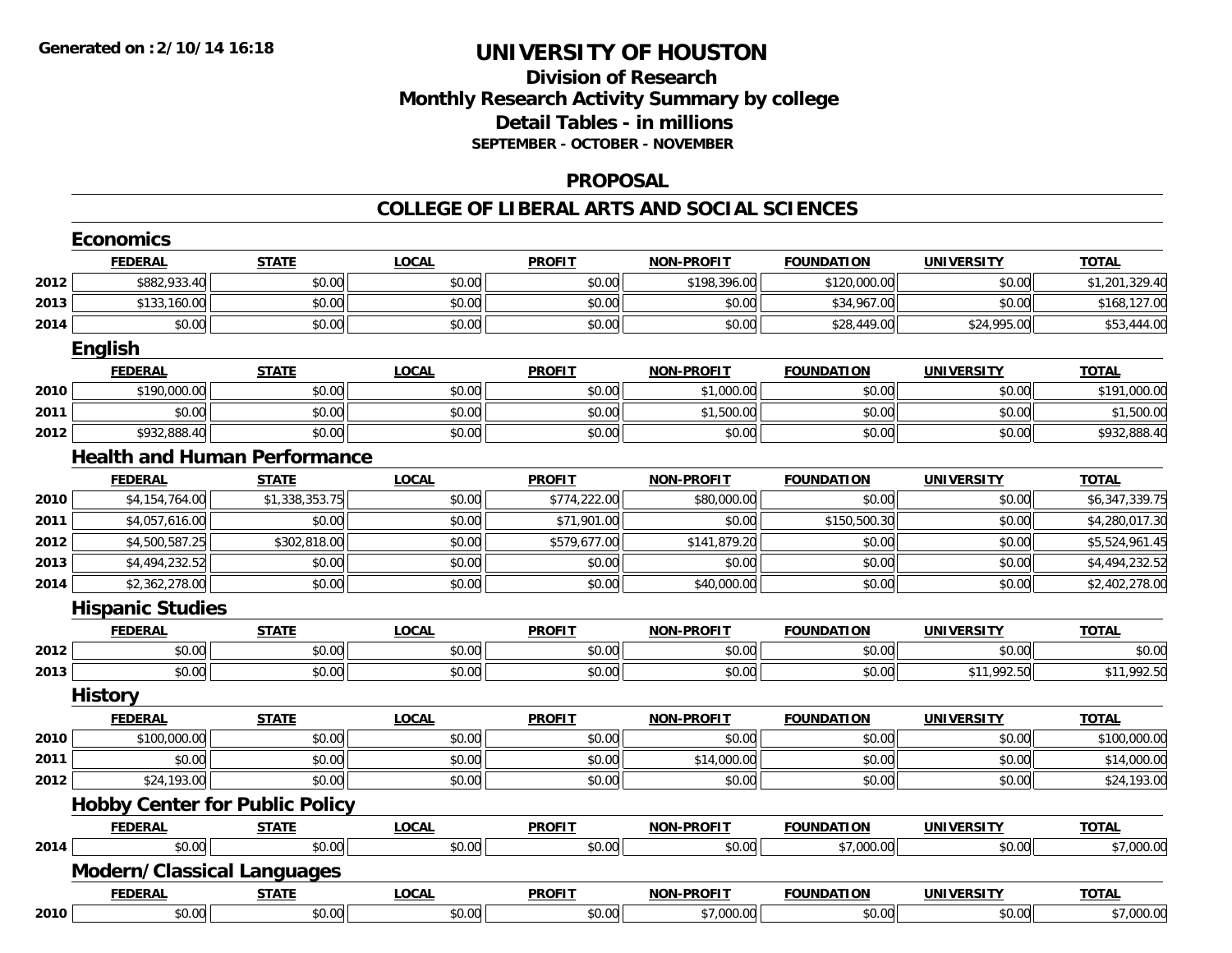## **Division of Research Monthly Research Activity Summary by college Detail Tables - in millions SEPTEMBER - OCTOBER - NOVEMBER**

### **PROPOSAL**

|      | <b>Economics</b>                      |                |              |               |                   |                   |                   |                |
|------|---------------------------------------|----------------|--------------|---------------|-------------------|-------------------|-------------------|----------------|
|      | <b>FEDERAL</b>                        | <b>STATE</b>   | <b>LOCAL</b> | <b>PROFIT</b> | <b>NON-PROFIT</b> | <b>FOUNDATION</b> | <b>UNIVERSITY</b> | <b>TOTAL</b>   |
| 2012 | \$882,933.40                          | \$0.00         | \$0.00       | \$0.00        | \$198,396.00      | \$120,000.00      | \$0.00            | \$1,201,329.40 |
| 2013 | \$133,160.00                          | \$0.00         | \$0.00       | \$0.00        | \$0.00            | \$34,967.00       | \$0.00            | \$168,127.00   |
| 2014 | \$0.00                                | \$0.00         | \$0.00       | \$0.00        | \$0.00            | \$28,449.00       | \$24,995.00       | \$53,444.00    |
|      | <b>English</b>                        |                |              |               |                   |                   |                   |                |
|      | <b>FEDERAL</b>                        | <b>STATE</b>   | <b>LOCAL</b> | <b>PROFIT</b> | <b>NON-PROFIT</b> | <b>FOUNDATION</b> | <b>UNIVERSITY</b> | <b>TOTAL</b>   |
| 2010 | \$190,000.00                          | \$0.00         | \$0.00       | \$0.00        | \$1,000.00        | \$0.00            | \$0.00            | \$191,000.00   |
| 2011 | \$0.00                                | \$0.00         | \$0.00       | \$0.00        | \$1,500.00        | \$0.00            | \$0.00            | \$1,500.00     |
| 2012 | \$932,888.40                          | \$0.00         | \$0.00       | \$0.00        | \$0.00            | \$0.00            | \$0.00            | \$932,888.40   |
|      | <b>Health and Human Performance</b>   |                |              |               |                   |                   |                   |                |
|      | <b>FEDERAL</b>                        | <b>STATE</b>   | <b>LOCAL</b> | <b>PROFIT</b> | <b>NON-PROFIT</b> | <b>FOUNDATION</b> | <b>UNIVERSITY</b> | <b>TOTAL</b>   |
| 2010 | \$4,154,764.00                        | \$1,338,353.75 | \$0.00       | \$774,222.00  | \$80,000.00       | \$0.00            | \$0.00            | \$6,347,339.75 |
| 2011 | \$4,057,616.00                        | \$0.00         | \$0.00       | \$71,901.00   | \$0.00            | \$150,500.30      | \$0.00            | \$4,280,017.30 |
| 2012 | \$4,500,587.25                        | \$302,818.00   | \$0.00       | \$579,677.00  | \$141,879.20      | \$0.00            | \$0.00            | \$5,524,961.45 |
| 2013 | \$4,494,232.52                        | \$0.00         | \$0.00       | \$0.00        | \$0.00            | \$0.00            | \$0.00            | \$4,494,232.52 |
| 2014 | \$2,362,278.00                        | \$0.00         | \$0.00       | \$0.00        | \$40,000.00       | \$0.00            | \$0.00            | \$2,402,278.00 |
|      | <b>Hispanic Studies</b>               |                |              |               |                   |                   |                   |                |
|      | <b>FEDERAL</b>                        | <b>STATE</b>   | <b>LOCAL</b> | <b>PROFIT</b> | <b>NON-PROFIT</b> | <b>FOUNDATION</b> | <b>UNIVERSITY</b> | <b>TOTAL</b>   |
| 2012 | \$0.00                                | \$0.00         | \$0.00       | \$0.00        | \$0.00            | \$0.00            | \$0.00            | \$0.00         |
| 2013 | \$0.00                                | \$0.00         | \$0.00       | \$0.00        | \$0.00            | \$0.00            | \$11,992.50       | \$11,992.50    |
|      | <b>History</b>                        |                |              |               |                   |                   |                   |                |
|      | <b>FEDERAL</b>                        | <b>STATE</b>   | <b>LOCAL</b> | <b>PROFIT</b> | <b>NON-PROFIT</b> | <b>FOUNDATION</b> | <b>UNIVERSITY</b> | <b>TOTAL</b>   |
| 2010 | \$100,000.00                          | \$0.00         | \$0.00       | \$0.00        | \$0.00            | \$0.00            | \$0.00            | \$100,000.00   |
| 2011 | \$0.00                                | \$0.00         | \$0.00       | \$0.00        | \$14,000.00       | \$0.00            | \$0.00            | \$14,000.00    |
| 2012 | \$24,193.00                           | \$0.00         | \$0.00       | \$0.00        | \$0.00            | \$0.00            | \$0.00            | \$24,193.00    |
|      | <b>Hobby Center for Public Policy</b> |                |              |               |                   |                   |                   |                |
|      | <b>FEDERAL</b>                        | <b>STATE</b>   | <b>LOCAL</b> | <b>PROFIT</b> | <b>NON-PROFIT</b> | <b>FOUNDATION</b> | <b>UNIVERSITY</b> | <b>TOTAL</b>   |
| 2014 | \$0.00                                | \$0.00         | \$0.00       | \$0.00        | \$0.00            | \$7,000.00        | \$0.00            | \$7,000.00     |
|      | Modern/Classical Languages            |                |              |               |                   |                   |                   |                |
|      | <b>FEDERAL</b>                        | <b>STATE</b>   | <b>LOCAL</b> | <b>PROFIT</b> | <b>NON-PROFIT</b> | <b>FOUNDATION</b> | <b>UNIVERSITY</b> | <b>TOTAL</b>   |
| 2010 | \$0.00                                | \$0.00         | \$0.00       | \$0.00        | \$7,000.00        | \$0.00            | \$0.00            | \$7,000.00     |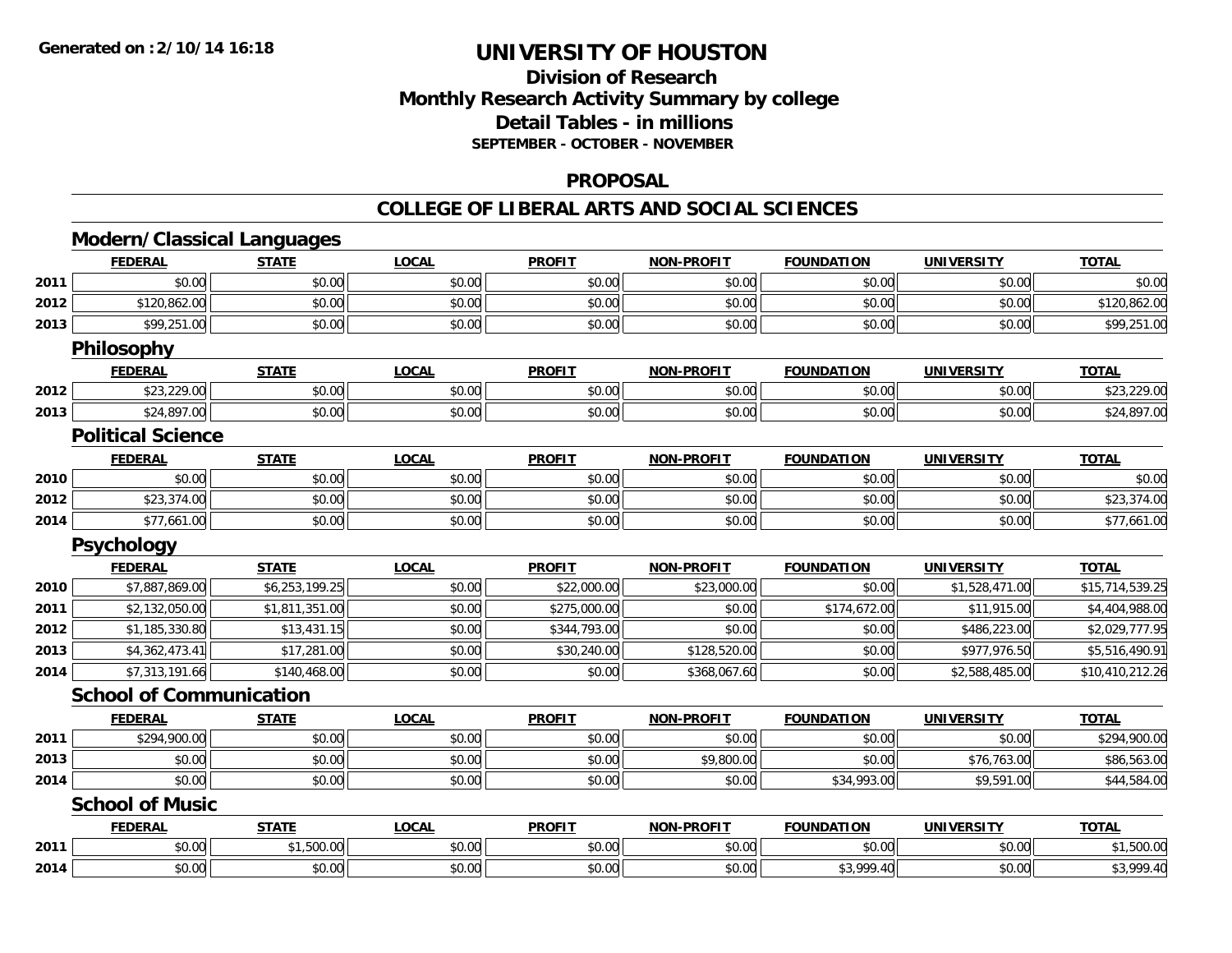## **Division of ResearchMonthly Research Activity Summary by college Detail Tables - in millions SEPTEMBER - OCTOBER - NOVEMBER**

### **PROPOSAL**

|      | <b>Modern/Classical Languages</b> |                |              |               |                   |                   |                   |                 |
|------|-----------------------------------|----------------|--------------|---------------|-------------------|-------------------|-------------------|-----------------|
|      | <b>FEDERAL</b>                    | <b>STATE</b>   | <b>LOCAL</b> | <b>PROFIT</b> | <b>NON-PROFIT</b> | <b>FOUNDATION</b> | <b>UNIVERSITY</b> | <b>TOTAL</b>    |
| 2011 | \$0.00                            | \$0.00         | \$0.00       | \$0.00        | \$0.00            | \$0.00            | \$0.00            | \$0.00          |
| 2012 | \$120,862.00                      | \$0.00         | \$0.00       | \$0.00        | \$0.00            | \$0.00            | \$0.00            | \$120,862.00    |
| 2013 | \$99,251.00                       | \$0.00         | \$0.00       | \$0.00        | \$0.00            | \$0.00            | \$0.00            | \$99,251.00     |
|      | Philosophy                        |                |              |               |                   |                   |                   |                 |
|      | <b>FEDERAL</b>                    | <b>STATE</b>   | <b>LOCAL</b> | <b>PROFIT</b> | <b>NON-PROFIT</b> | <b>FOUNDATION</b> | <b>UNIVERSITY</b> | <b>TOTAL</b>    |
| 2012 | \$23,229.00                       | \$0.00         | \$0.00       | \$0.00        | \$0.00            | \$0.00            | \$0.00            | \$23,229.00     |
| 2013 | \$24,897.00                       | \$0.00         | \$0.00       | \$0.00        | \$0.00            | \$0.00            | \$0.00            | \$24,897.00     |
|      | <b>Political Science</b>          |                |              |               |                   |                   |                   |                 |
|      | <b>FEDERAL</b>                    | <b>STATE</b>   | <b>LOCAL</b> | <b>PROFIT</b> | <b>NON-PROFIT</b> | <b>FOUNDATION</b> | <b>UNIVERSITY</b> | <b>TOTAL</b>    |
| 2010 | \$0.00                            | \$0.00         | \$0.00       | \$0.00        | \$0.00            | \$0.00            | \$0.00            | \$0.00          |
| 2012 | \$23,374.00                       | \$0.00         | \$0.00       | \$0.00        | \$0.00            | \$0.00            | \$0.00            | \$23,374.00     |
| 2014 | \$77,661.00                       | \$0.00         | \$0.00       | \$0.00        | \$0.00            | \$0.00            | \$0.00            | \$77,661.00     |
|      | Psychology                        |                |              |               |                   |                   |                   |                 |
|      | <b>FEDERAL</b>                    | <b>STATE</b>   | <b>LOCAL</b> | <b>PROFIT</b> | <b>NON-PROFIT</b> | <b>FOUNDATION</b> | <b>UNIVERSITY</b> | <b>TOTAL</b>    |
| 2010 | \$7,887,869.00                    | \$6,253,199.25 | \$0.00       | \$22,000.00   | \$23,000.00       | \$0.00            | \$1,528,471.00    | \$15,714,539.25 |
| 2011 | \$2,132,050.00                    | \$1,811,351.00 | \$0.00       | \$275,000.00  | \$0.00            | \$174,672.00      | \$11,915.00       | \$4,404,988.00  |
| 2012 | \$1,185,330.80                    | \$13,431.15    | \$0.00       | \$344,793.00  | \$0.00            | \$0.00            | \$486,223.00      | \$2,029,777.95  |
| 2013 | \$4,362,473.41                    | \$17,281.00    | \$0.00       | \$30,240.00   | \$128,520.00      | \$0.00            | \$977,976.50      | \$5,516,490.91  |
| 2014 | \$7,313,191.66                    | \$140,468.00   | \$0.00       | \$0.00        | \$368,067.60      | \$0.00            | \$2,588,485.00    | \$10,410,212.26 |
|      | <b>School of Communication</b>    |                |              |               |                   |                   |                   |                 |
|      | <b>FEDERAL</b>                    | <b>STATE</b>   | <b>LOCAL</b> | <b>PROFIT</b> | <b>NON-PROFIT</b> | <b>FOUNDATION</b> | <b>UNIVERSITY</b> | <b>TOTAL</b>    |
| 2011 | \$294,900.00                      | \$0.00         | \$0.00       | \$0.00        | \$0.00            | \$0.00            | \$0.00            | \$294,900.00    |
| 2013 | \$0.00                            | \$0.00         | \$0.00       | \$0.00        | \$9,800.00        | \$0.00            | \$76,763.00       | \$86,563.00     |
| 2014 | \$0.00                            | \$0.00         | \$0.00       | \$0.00        | \$0.00            | \$34,993.00       | \$9,591.00        | \$44,584.00     |
|      | <b>School of Music</b>            |                |              |               |                   |                   |                   |                 |
|      | <b>FEDERAL</b>                    | <b>STATE</b>   | <b>LOCAL</b> | <b>PROFIT</b> | <b>NON-PROFIT</b> | <b>FOUNDATION</b> | <b>UNIVERSITY</b> | <b>TOTAL</b>    |
| 2011 | \$0.00                            | \$1,500.00     | \$0.00       | \$0.00        | \$0.00            | \$0.00            | \$0.00            | \$1,500.00      |
| 2014 | \$0.00                            | \$0.00         | \$0.00       | \$0.00        | \$0.00            | \$3,999.40        | \$0.00            | \$3,999.40      |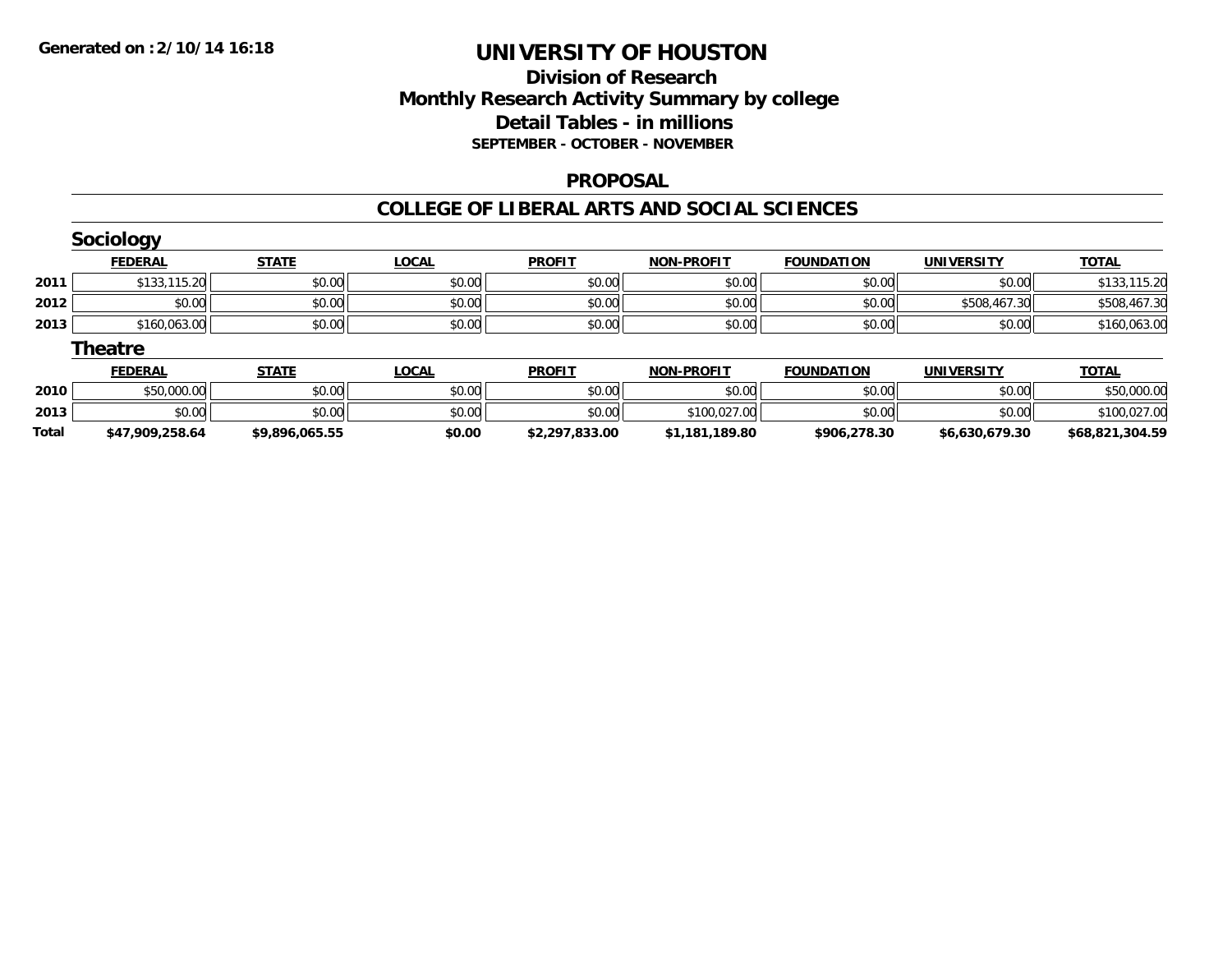## **Division of ResearchMonthly Research Activity Summary by college Detail Tables - in millions SEPTEMBER - OCTOBER - NOVEMBER**

### **PROPOSAL**

|              | Sociology       |                |              |                |                   |                   |                   |                 |
|--------------|-----------------|----------------|--------------|----------------|-------------------|-------------------|-------------------|-----------------|
|              | <b>FEDERAL</b>  | <b>STATE</b>   | <b>LOCAL</b> | <b>PROFIT</b>  | <b>NON-PROFIT</b> | <b>FOUNDATION</b> | <b>UNIVERSITY</b> | <b>TOTAL</b>    |
| 2011         | \$133,115.20    | \$0.00         | \$0.00       | \$0.00         | \$0.00            | \$0.00            | \$0.00            | \$133,115.20    |
| 2012         | \$0.00          | \$0.00         | \$0.00       | \$0.00         | \$0.00            | \$0.00            | \$508,467.30      | \$508,467.30    |
| 2013         | \$160,063.00    | \$0.00         | \$0.00       | \$0.00         | \$0.00            | \$0.00            | \$0.00            | \$160,063.00    |
|              | <b>Theatre</b>  |                |              |                |                   |                   |                   |                 |
|              | <b>FEDERAL</b>  | <b>STATE</b>   | <b>LOCAL</b> | <b>PROFIT</b>  | <b>NON-PROFIT</b> | <b>FOUNDATION</b> | <b>UNIVERSITY</b> | <b>TOTAL</b>    |
| 2010         | \$50,000.00     | \$0.00         | \$0.00       | \$0.00         | \$0.00            | \$0.00            | \$0.00            | \$50,000.00     |
| 2013         | \$0.00          | \$0.00         | \$0.00       | \$0.00         | \$100,027.00      | \$0.00            | \$0.00            | \$100,027.00    |
| <b>Total</b> | \$47,909,258.64 | \$9,896,065.55 | \$0.00       | \$2,297,833.00 | \$1,181,189.80    | \$906,278.30      | \$6,630,679.30    | \$68,821,304.59 |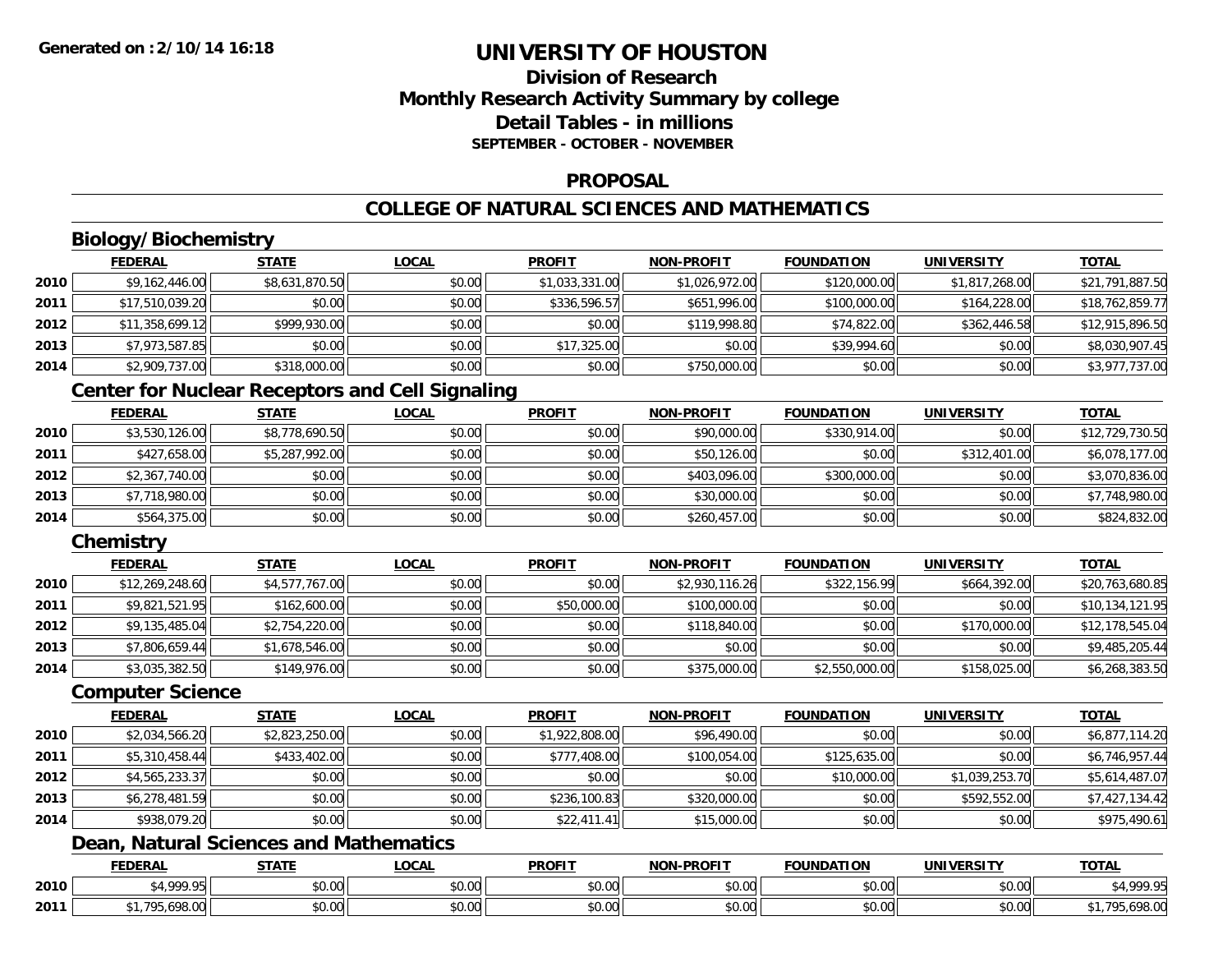## **Division of ResearchMonthly Research Activity Summary by college Detail Tables - in millionsSEPTEMBER - OCTOBER - NOVEMBER**

### **PROPOSAL**

## **COLLEGE OF NATURAL SCIENCES AND MATHEMATICS**

## **Biology/Biochemistry**

|      | <b>FEDERAL</b>  | <u>STATE</u>   | <u>LOCAL</u> | <b>PROFIT</b>  | <b>NON-PROFIT</b> | <b>FOUNDATION</b> | <b>UNIVERSITY</b> | <b>TOTAL</b>    |
|------|-----------------|----------------|--------------|----------------|-------------------|-------------------|-------------------|-----------------|
| 2010 | \$9,162,446.00  | \$8,631,870.50 | \$0.00       | \$1,033,331.00 | \$1,026,972.00    | \$120,000.00      | \$1,817,268.00    | \$21,791,887.50 |
| 2011 | \$17,510,039.20 | \$0.00         | \$0.00       | \$336,596.57   | \$651,996.00      | \$100,000.00      | \$164,228.00      | \$18,762,859.77 |
| 2012 | \$11,358,699.12 | \$999,930.00   | \$0.00       | \$0.00         | \$119,998.80      | \$74,822.00       | \$362,446.58      | \$12,915,896.50 |
| 2013 | \$7,973,587.85  | \$0.00         | \$0.00       | \$17,325.00    | \$0.00            | \$39,994.60       | \$0.00            | \$8,030,907.45  |
| 2014 | \$2,909,737.00  | \$318,000.00   | \$0.00       | \$0.00         | \$750,000.00      | \$0.00            | \$0.00            | \$3,977,737.00  |

## **Center for Nuclear Receptors and Cell Signaling**

|      | <b>FEDERAL</b> | <u>STATE</u>   | <b>LOCAL</b> | <b>PROFIT</b> | <b>NON-PROFIT</b> | <b>FOUNDATION</b> | <b>UNIVERSITY</b> | <b>TOTAL</b>    |
|------|----------------|----------------|--------------|---------------|-------------------|-------------------|-------------------|-----------------|
| 2010 | \$3,530,126.00 | \$8,778,690.50 | \$0.00       | \$0.00        | \$90,000.00       | \$330,914.00      | \$0.00            | \$12,729,730.50 |
| 2011 | \$427,658.00   | \$5,287,992.00 | \$0.00       | \$0.00        | \$50,126.00       | \$0.00            | \$312,401.00      | \$6,078,177.00  |
| 2012 | \$2,367,740.00 | \$0.00         | \$0.00       | \$0.00        | \$403.096.00      | \$300,000.00      | \$0.00            | \$3,070,836.00  |
| 2013 | \$7,718,980.00 | \$0.00         | \$0.00       | \$0.00        | \$30,000.00       | \$0.00            | \$0.00            | \$7,748,980.00  |
| 2014 | \$564,375.00   | \$0.00         | \$0.00       | \$0.00        | \$260,457.00      | \$0.00            | \$0.00            | \$824,832.00    |

## **Chemistry**

|      | <b>FEDERAL</b>  | <b>STATE</b>   | <b>LOCAL</b> | <b>PROFIT</b> | <b>NON-PROFIT</b> | <b>FOUNDATION</b> | <b>UNIVERSITY</b> | <b>TOTAL</b>    |
|------|-----------------|----------------|--------------|---------------|-------------------|-------------------|-------------------|-----------------|
| 2010 | \$12,269,248.60 | \$4,577,767.00 | \$0.00       | \$0.00        | \$2,930,116.26    | \$322,156.99      | \$664,392.00      | \$20,763,680.85 |
| 2011 | \$9,821,521.95  | \$162,600.00   | \$0.00       | \$50,000.00   | \$100,000.00      | \$0.00            | \$0.00            | \$10,134,121.95 |
| 2012 | \$9,135,485.04  | \$2,754,220.00 | \$0.00       | \$0.00        | \$118,840.00      | \$0.00            | \$170,000.00      | \$12,178,545.04 |
| 2013 | \$7,806,659.44  | \$1,678,546.00 | \$0.00       | \$0.00        | \$0.00            | \$0.00            | \$0.00            | \$9,485,205.44  |
| 2014 | \$3,035,382.50  | \$149,976.00   | \$0.00       | \$0.00        | \$375,000.00      | \$2,550,000.00    | \$158,025.00      | \$6,268,383.50  |

### **Computer Science**

|      | <b>FEDERAL</b> | <b>STATE</b>   | <b>LOCAL</b> | <b>PROFIT</b>  | <b>NON-PROFIT</b> | <b>FOUNDATION</b> | <b>UNIVERSITY</b> | <b>TOTAL</b>   |
|------|----------------|----------------|--------------|----------------|-------------------|-------------------|-------------------|----------------|
| 2010 | \$2,034,566.20 | \$2,823,250.00 | \$0.00       | \$1,922,808.00 | \$96,490.00       | \$0.00            | \$0.00            | \$6,877,114.20 |
| 2011 | \$5,310,458.44 | \$433,402.00   | \$0.00       | \$777,408.00   | \$100,054.00      | \$125,635.00      | \$0.00            | \$6,746,957.44 |
| 2012 | \$4,565,233.37 | \$0.00         | \$0.00       | \$0.00         | \$0.00            | \$10,000.00       | \$1,039,253.70    | \$5,614,487.07 |
| 2013 | \$6,278,481.59 | \$0.00         | \$0.00       | \$236,100.83   | \$320,000.00      | \$0.00            | \$592,552.00      | \$7,427,134.42 |
| 2014 | \$938,079.20   | \$0.00         | \$0.00       | \$22,411.41    | \$15,000.00       | \$0.00            | \$0.00            | \$975,490.61   |

# **Dean, Natural Sciences and Mathematics**

|      | <b>FEDERAL</b>                    | <b>CTATE</b><br>3 I A I I | <b>LOCAL</b>              | <b>PROFIT</b>  | <b>NON-PROFIT</b>                          | <b>FOUNDATION</b> | UNIVERSITY                | <b>TOTAL</b>                                        |
|------|-----------------------------------|---------------------------|---------------------------|----------------|--------------------------------------------|-------------------|---------------------------|-----------------------------------------------------|
| 2010 | 1.0000<br>,,,,,                   | \$0.00                    | $\sim$<br>$\sim$<br>vv.vv | ልስ ስስ<br>DU.UU | $\theta$ $\theta$ $\theta$<br>DU.UU        | \$0.00            | $\sim$ 00<br><b>JU.UU</b> | $\mathcal{C}$ $\Lambda$ 000 $\mathcal{C}$<br>. т, з |
| 2011 | 10000<br>70 <sub>5</sub><br>70.UU | \$0.00                    | ሖ ∩<br>$\sim$<br>vu.uu    | 0.00<br>JU.UU  | $\theta$ $\theta$ $\theta$<br><b>DU.UU</b> | \$0.00            | $\sim$ 00<br><b>JU.UU</b> | 0000<br>ייט.סלס,טל                                  |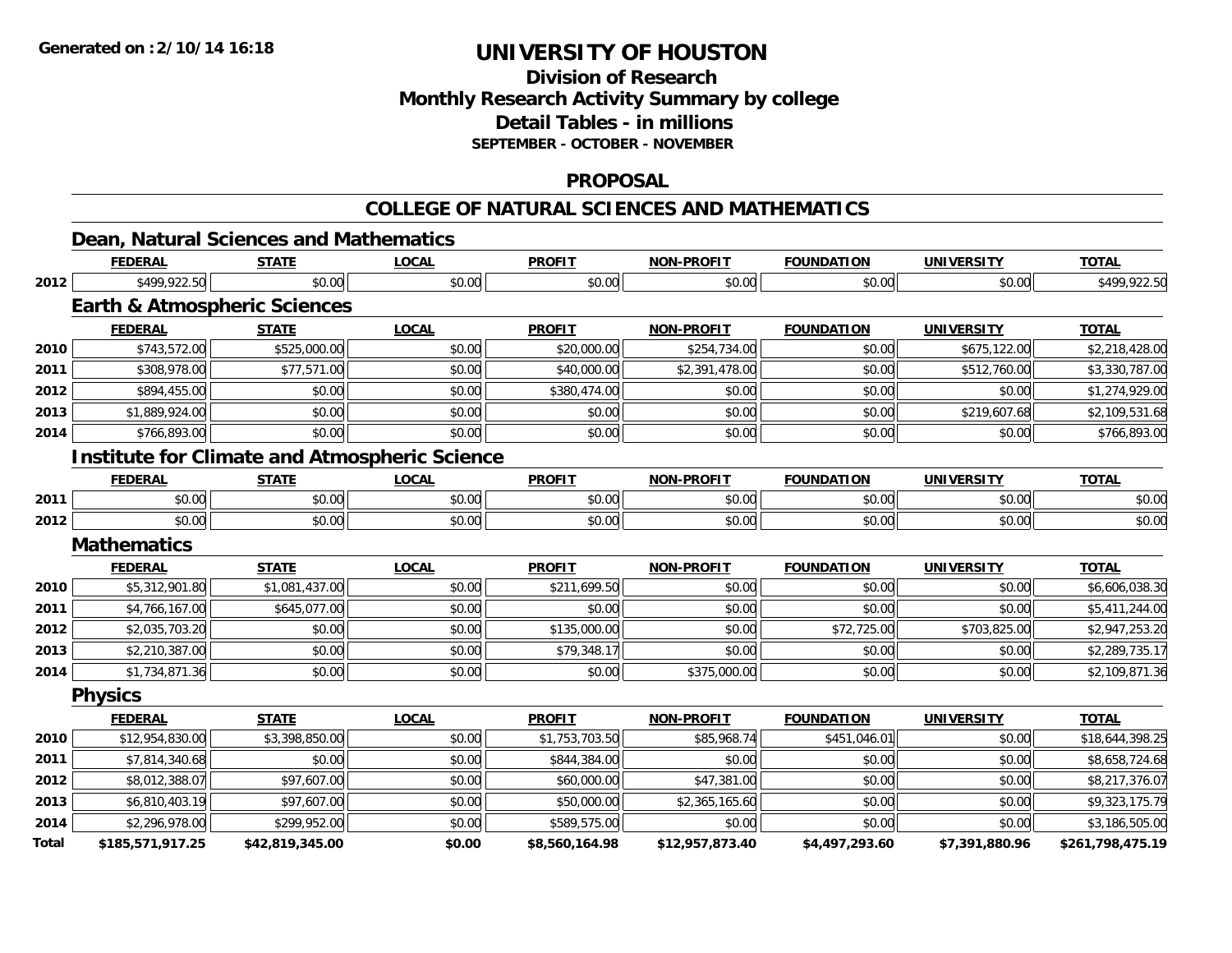## **Division of ResearchMonthly Research Activity Summary by college Detail Tables - in millions SEPTEMBER - OCTOBER - NOVEMBER**

### **PROPOSAL**

### **COLLEGE OF NATURAL SCIENCES AND MATHEMATICS**

|              | Dean, Natural Sciences and Mathematics  |                 |                                                      |                |                   |                   |                   |                  |
|--------------|-----------------------------------------|-----------------|------------------------------------------------------|----------------|-------------------|-------------------|-------------------|------------------|
|              | <b>FEDERAL</b>                          | <b>STATE</b>    | <b>LOCAL</b>                                         | <b>PROFIT</b>  | <b>NON-PROFIT</b> | <b>FOUNDATION</b> | <b>UNIVERSITY</b> | <b>TOTAL</b>     |
| 2012         | \$499,922.50                            | \$0.00          | \$0.00                                               | \$0.00         | \$0.00            | \$0.00            | \$0.00            | \$499,922.50     |
|              | <b>Earth &amp; Atmospheric Sciences</b> |                 |                                                      |                |                   |                   |                   |                  |
|              | <b>FEDERAL</b>                          | <b>STATE</b>    | <b>LOCAL</b>                                         | <b>PROFIT</b>  | <b>NON-PROFIT</b> | <b>FOUNDATION</b> | <b>UNIVERSITY</b> | <b>TOTAL</b>     |
| 2010         | \$743,572.00                            | \$525,000.00    | \$0.00                                               | \$20,000.00    | \$254,734.00      | \$0.00            | \$675,122.00      | \$2,218,428.00   |
| 2011         | \$308,978.00                            | \$77,571.00     | \$0.00                                               | \$40,000.00    | \$2,391,478.00    | \$0.00            | \$512,760.00      | \$3,330,787.00   |
| 2012         | \$894,455.00                            | \$0.00          | \$0.00                                               | \$380,474.00   | \$0.00            | \$0.00            | \$0.00            | \$1,274,929.00   |
| 2013         | \$1,889,924.00                          | \$0.00          | \$0.00                                               | \$0.00         | \$0.00            | \$0.00            | \$219,607.68      | \$2,109,531.68   |
| 2014         | \$766,893.00                            | \$0.00          | \$0.00                                               | \$0.00         | \$0.00            | \$0.00            | \$0.00            | \$766,893.00     |
|              |                                         |                 | <b>Institute for Climate and Atmospheric Science</b> |                |                   |                   |                   |                  |
|              | <b>FEDERAL</b>                          | <b>STATE</b>    | <b>LOCAL</b>                                         | <b>PROFIT</b>  | <b>NON-PROFIT</b> | <b>FOUNDATION</b> | <b>UNIVERSITY</b> | <b>TOTAL</b>     |
| 2011         | \$0.00                                  | \$0.00          | \$0.00                                               | \$0.00         | \$0.00            | \$0.00            | \$0.00            | \$0.00           |
| 2012         | \$0.00                                  | \$0.00          | \$0.00                                               | \$0.00         | \$0.00            | \$0.00            | \$0.00            | \$0.00           |
|              | <b>Mathematics</b>                      |                 |                                                      |                |                   |                   |                   |                  |
|              | <b>FEDERAL</b>                          | <b>STATE</b>    | <b>LOCAL</b>                                         | <b>PROFIT</b>  | <b>NON-PROFIT</b> | <b>FOUNDATION</b> | <b>UNIVERSITY</b> | <b>TOTAL</b>     |
| 2010         | \$5,312,901.80                          | \$1,081,437.00  | \$0.00                                               | \$211,699.50   | \$0.00            | \$0.00            | \$0.00            | \$6,606,038.30   |
| 2011         | \$4,766,167.00                          | \$645,077.00    | \$0.00                                               | \$0.00         | \$0.00            | \$0.00            | \$0.00            | \$5,411,244.00   |
| 2012         | \$2,035,703.20                          | \$0.00          | \$0.00                                               | \$135,000.00   | \$0.00            | \$72,725.00       | \$703,825.00      | \$2,947,253.20   |
| 2013         | \$2,210,387.00                          | \$0.00          | \$0.00                                               | \$79,348.17    | \$0.00            | \$0.00            | \$0.00            | \$2,289,735.17   |
| 2014         | \$1,734,871.36                          | \$0.00          | \$0.00                                               | \$0.00         | \$375,000.00      | \$0.00            | \$0.00            | \$2,109,871.36   |
|              | <b>Physics</b>                          |                 |                                                      |                |                   |                   |                   |                  |
|              | <b>FEDERAL</b>                          | <b>STATE</b>    | <b>LOCAL</b>                                         | <b>PROFIT</b>  | <b>NON-PROFIT</b> | <b>FOUNDATION</b> | <b>UNIVERSITY</b> | <b>TOTAL</b>     |
| 2010         | \$12,954,830.00                         | \$3,398,850.00  | \$0.00                                               | \$1,753,703.50 | \$85,968.74       | \$451,046.01      | \$0.00            | \$18,644,398.25  |
| 2011         | \$7,814,340.68                          | \$0.00          | \$0.00                                               | \$844,384.00   | \$0.00            | \$0.00            | \$0.00            | \$8,658,724.68   |
| 2012         | \$8,012,388.07                          | \$97,607.00     | \$0.00                                               | \$60,000.00    | \$47,381.00       | \$0.00            | \$0.00            | \$8,217,376.07   |
| 2013         | \$6,810,403.19                          | \$97,607.00     | \$0.00                                               | \$50,000.00    | \$2,365,165.60    | \$0.00            | \$0.00            | \$9,323,175.79   |
| 2014         | \$2,296,978.00                          | \$299,952.00    | \$0.00                                               | \$589,575.00   | \$0.00            | \$0.00            | \$0.00            | \$3,186,505.00   |
| <b>Total</b> | \$185,571,917.25                        | \$42,819,345.00 | \$0.00                                               | \$8,560,164.98 | \$12,957,873.40   | \$4,497,293.60    | \$7,391,880.96    | \$261,798,475.19 |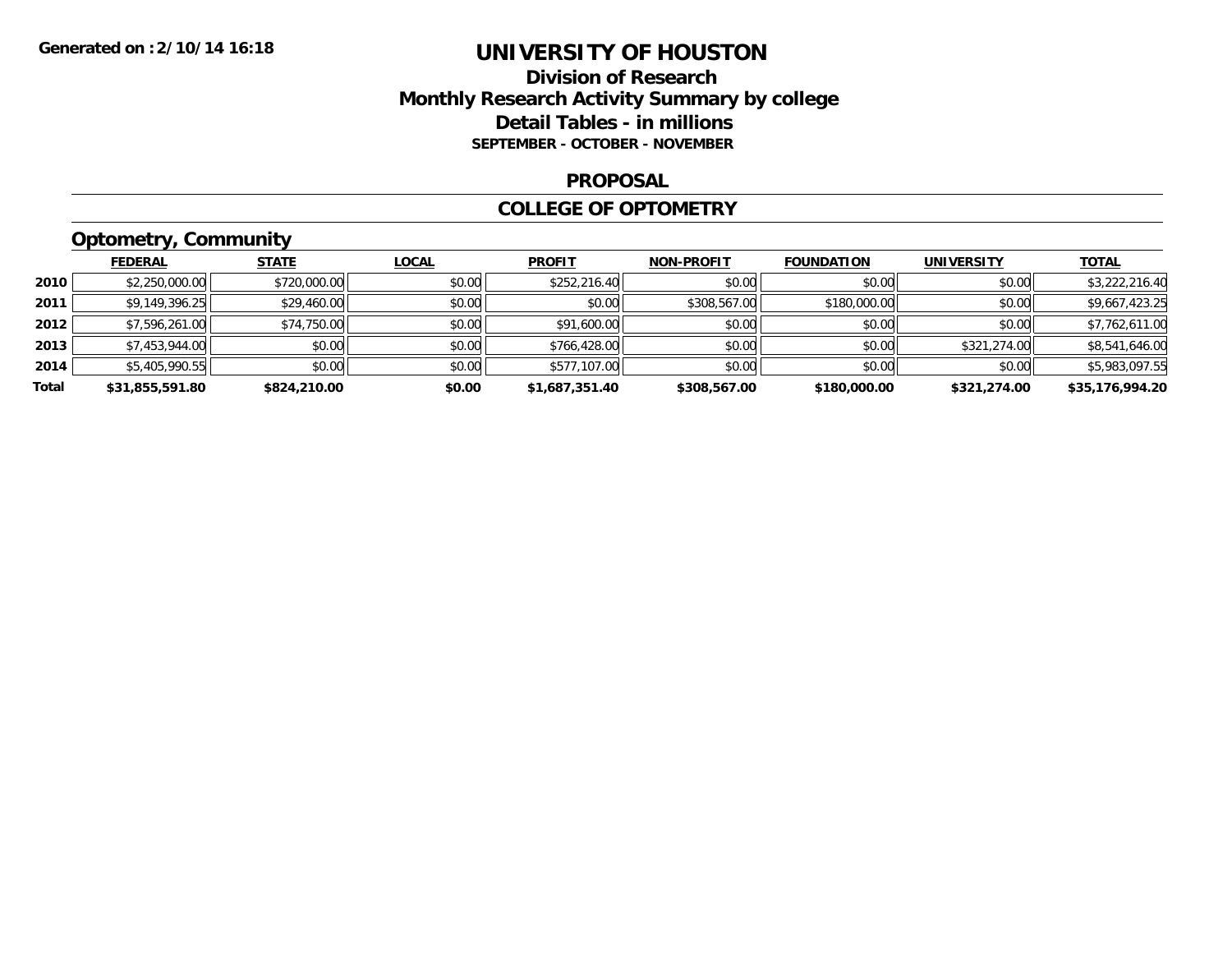## **Division of Research Monthly Research Activity Summary by college Detail Tables - in millions SEPTEMBER - OCTOBER - NOVEMBER**

#### **PROPOSAL**

### **COLLEGE OF OPTOMETRY**

# **Optometry, Community**

|       | <b>FEDERAL</b>  | <b>STATE</b> | <b>LOCAL</b> | <b>PROFIT</b>  | <b>NON-PROFIT</b> | <b>FOUNDATION</b> | <b>UNIVERSITY</b> | <b>TOTAL</b>    |
|-------|-----------------|--------------|--------------|----------------|-------------------|-------------------|-------------------|-----------------|
| 2010  | \$2,250,000.00  | \$720,000.00 | \$0.00       | \$252,216.40   | \$0.00            | \$0.00            | \$0.00            | \$3,222,216.40  |
| 2011  | \$9,149,396.25  | \$29,460.00  | \$0.00       | \$0.00         | \$308,567.00      | \$180,000.00      | \$0.00            | \$9,667,423.25  |
| 2012  | \$7,596,261.00  | \$74,750.00  | \$0.00       | \$91,600.00    | \$0.00            | \$0.00            | \$0.00            | \$7,762,611.00  |
| 2013  | \$7,453,944.00  | \$0.00       | \$0.00       | \$766,428.00   | \$0.00            | \$0.00            | \$321,274.00      | \$8,541,646.00  |
| 2014  | \$5,405,990.55  | \$0.00       | \$0.00       | \$577,107.00   | \$0.00            | \$0.00            | \$0.00            | \$5,983,097.55  |
| Total | \$31,855,591.80 | \$824,210.00 | \$0.00       | \$1,687,351.40 | \$308,567.00      | \$180,000.00      | \$321,274.00      | \$35,176,994.20 |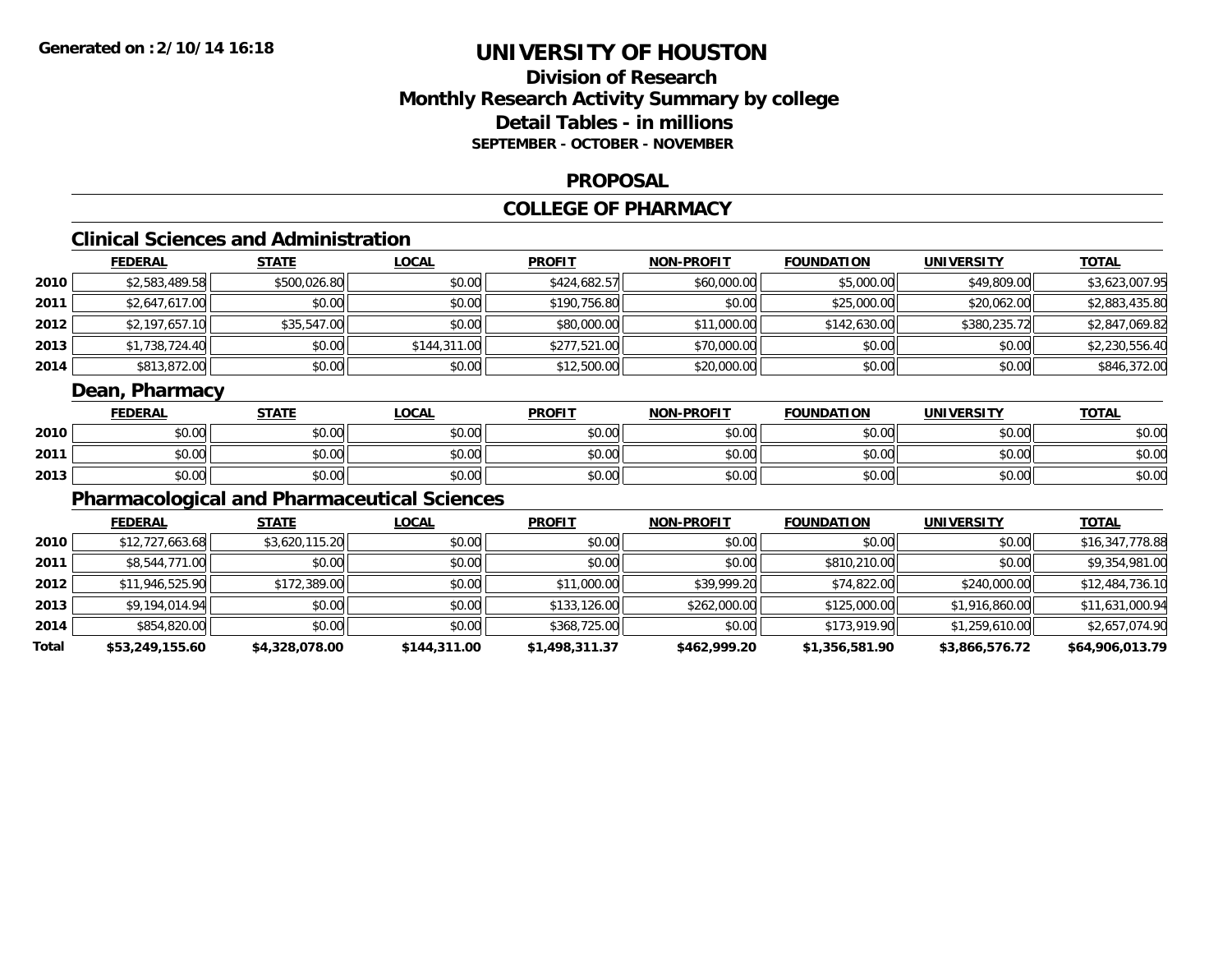## **Division of ResearchMonthly Research Activity Summary by college Detail Tables - in millions SEPTEMBER - OCTOBER - NOVEMBER**

#### **PROPOSAL**

#### **COLLEGE OF PHARMACY**

## **Clinical Sciences and Administration**

|      | <b>FEDERAL</b> | <u>STATE</u> | <u>LOCAL</u> | <b>PROFIT</b> | <b>NON-PROFIT</b> | <b>FOUNDATION</b> | <b>UNIVERSITY</b> | <b>TOTAL</b>   |
|------|----------------|--------------|--------------|---------------|-------------------|-------------------|-------------------|----------------|
| 2010 | \$2,583,489.58 | \$500,026.80 | \$0.00       | \$424,682.57  | \$60,000.00       | \$5,000.00        | \$49,809.00       | \$3,623,007.95 |
| 2011 | \$2,647,617.00 | \$0.00       | \$0.00       | \$190,756.80  | \$0.00            | \$25,000.00       | \$20,062.00       | \$2,883,435.80 |
| 2012 | \$2,197,657.10 | \$35,547.00  | \$0.00       | \$80,000.00   | \$11,000.00       | \$142,630.00      | \$380,235.72      | \$2,847,069.82 |
| 2013 | \$1,738,724.40 | \$0.00       | \$144,311.00 | \$277,521.00  | \$70,000.00       | \$0.00            | \$0.00            | \$2,230,556.40 |
| 2014 | \$813,872.00   | \$0.00       | \$0.00       | \$12,500.00   | \$20,000.00       | \$0.00            | \$0.00            | \$846,372.00   |

### **Dean, Pharmacy**

|      | <b>FEDERAL</b> | <b>STATE</b>   | <u>LOCAL</u>                       | <b>PROFIT</b>                                | <b>NON-PROFIT</b> | <b>FOUNDATION</b> | UNIVERSITY | <u>TOTAL</u> |
|------|----------------|----------------|------------------------------------|----------------------------------------------|-------------------|-------------------|------------|--------------|
| 2010 | 0000<br>,u.u   | 40.00<br>JU.UU | $\sigma \cap \Delta \cap$<br>JU.UU | $\triangle$ $\triangle$ $\triangle$<br>JU.UU | 40.00<br>PO.OO    | \$0.00            | \$0.00     | \$0.00       |
| 2011 | 0000<br>,u.uu  | 40.00<br>JU.UU | 0.00<br>JU.UU                      | $\triangle$<br>JU.UU                         | 0000<br>PO.OO     | \$0.00            | \$0.00     | \$0.00       |
| 2013 | 0000<br>DU.UU  | 40.00<br>PU.UU | 0000<br>JU.UU                      | $\sim$ $\sim$<br>JU.UU                       | \$0.00            | \$0.00            | \$0.00     | \$0.00       |

### **Pharmacological and Pharmaceutical Sciences**

|       | <b>FEDERAL</b>  | <b>STATE</b>   | <u>LOCAL</u> | <b>PROFIT</b>  | <b>NON-PROFIT</b> | <b>FOUNDATION</b> | UNIVERSITY     | <b>TOTAL</b>    |
|-------|-----------------|----------------|--------------|----------------|-------------------|-------------------|----------------|-----------------|
| 2010  | \$12,727,663.68 | \$3,620,115.20 | \$0.00       | \$0.00         | \$0.00            | \$0.00            | \$0.00         | \$16,347,778.88 |
| 2011  | \$8,544,771.00  | \$0.00         | \$0.00       | \$0.00         | \$0.00            | \$810,210.00      | \$0.00         | \$9,354,981.00  |
| 2012  | \$11,946,525.90 | \$172,389.00   | \$0.00       | \$11,000.00    | \$39,999.20       | \$74,822.00       | \$240,000.00   | \$12,484,736.10 |
| 2013  | \$9,194,014.94  | \$0.00         | \$0.00       | \$133,126.00   | \$262,000.00      | \$125,000.00      | \$1,916,860.00 | \$11,631,000.94 |
| 2014  | \$854,820.00    | \$0.00         | \$0.00       | \$368,725.00   | \$0.00            | \$173,919.90      | \$1,259,610.00 | \$2,657,074.90  |
| Total | \$53,249,155.60 | \$4,328,078.00 | \$144,311.00 | \$1,498,311.37 | \$462,999.20      | \$1,356,581.90    | \$3,866,576.72 | \$64,906,013.79 |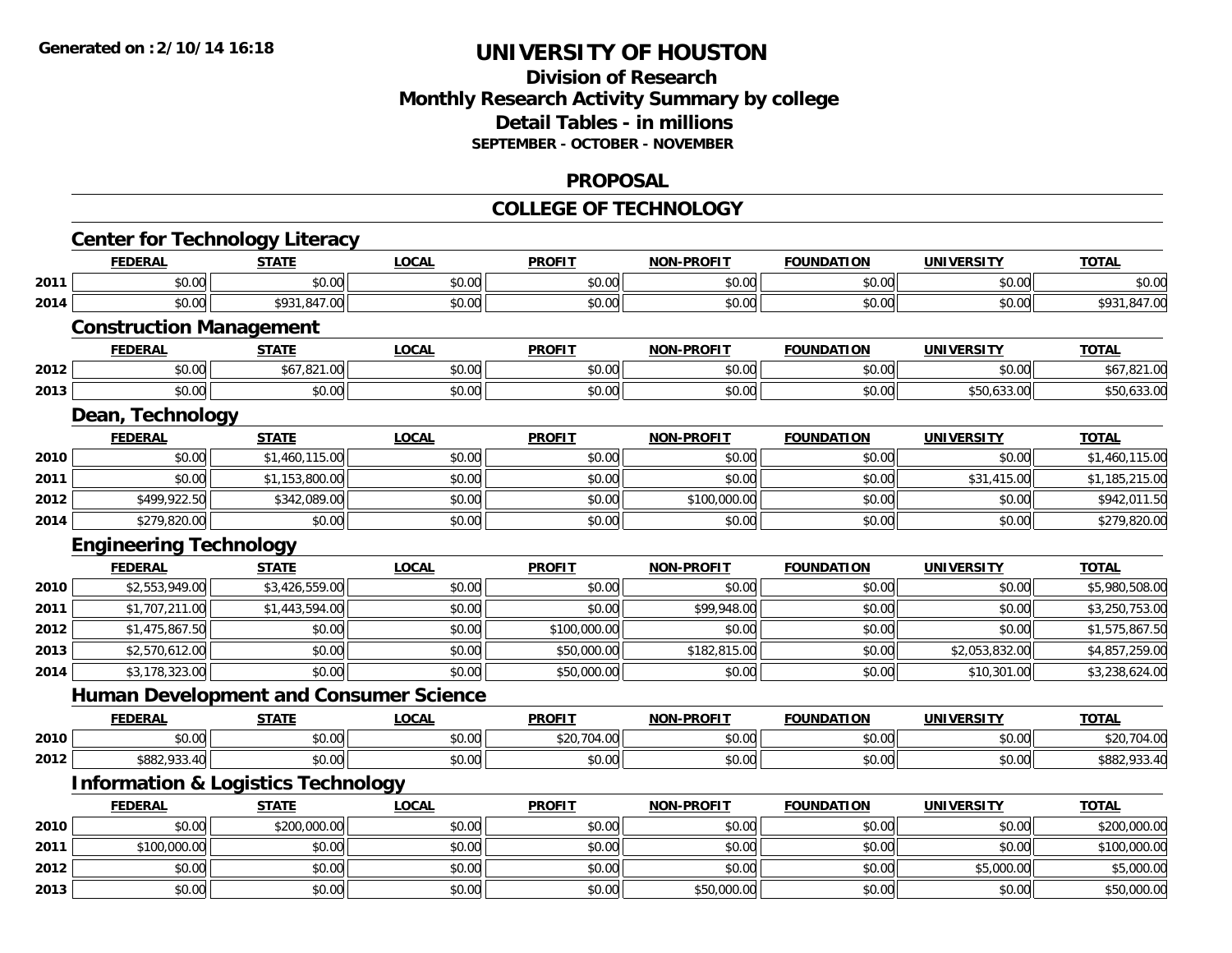## **Division of Research Monthly Research Activity Summary by college Detail Tables - in millions SEPTEMBER - OCTOBER - NOVEMBER**

### **PROPOSAL**

#### **COLLEGE OF TECHNOLOGY**

|      | <b>Center for Technology Literacy</b>         |                |              |               |                   |                   |                   |                |
|------|-----------------------------------------------|----------------|--------------|---------------|-------------------|-------------------|-------------------|----------------|
|      | <b>FEDERAL</b>                                | <b>STATE</b>   | <b>LOCAL</b> | <b>PROFIT</b> | <b>NON-PROFIT</b> | <b>FOUNDATION</b> | <b>UNIVERSITY</b> | <b>TOTAL</b>   |
| 2011 | \$0.00                                        | \$0.00         | \$0.00       | \$0.00        | \$0.00            | \$0.00            | \$0.00            | \$0.00         |
| 2014 | \$0.00                                        | \$931,847.00   | \$0.00       | \$0.00        | \$0.00            | \$0.00            | \$0.00            | \$931,847.00   |
|      | <b>Construction Management</b>                |                |              |               |                   |                   |                   |                |
|      | <b>FEDERAL</b>                                | <b>STATE</b>   | <b>LOCAL</b> | <b>PROFIT</b> | <b>NON-PROFIT</b> | <b>FOUNDATION</b> | <b>UNIVERSITY</b> | <b>TOTAL</b>   |
| 2012 | \$0.00                                        | \$67,821.00    | \$0.00       | \$0.00        | \$0.00            | \$0.00            | \$0.00            | \$67,821.00    |
| 2013 | \$0.00                                        | \$0.00         | \$0.00       | \$0.00        | \$0.00            | \$0.00            | \$50,633.00       | \$50,633.00    |
|      | Dean, Technology                              |                |              |               |                   |                   |                   |                |
|      | <b>FEDERAL</b>                                | <b>STATE</b>   | <b>LOCAL</b> | <b>PROFIT</b> | <b>NON-PROFIT</b> | <b>FOUNDATION</b> | <b>UNIVERSITY</b> | <b>TOTAL</b>   |
| 2010 | \$0.00                                        | \$1,460,115.00 | \$0.00       | \$0.00        | \$0.00            | \$0.00            | \$0.00            | \$1,460,115.00 |
| 2011 | \$0.00                                        | \$1,153,800.00 | \$0.00       | \$0.00        | \$0.00            | \$0.00            | \$31,415.00       | \$1,185,215.00 |
| 2012 | \$499,922.50                                  | \$342,089.00   | \$0.00       | \$0.00        | \$100,000.00      | \$0.00            | \$0.00            | \$942,011.50   |
| 2014 | \$279,820.00                                  | \$0.00         | \$0.00       | \$0.00        | \$0.00            | \$0.00            | \$0.00            | \$279,820.00   |
|      | <b>Engineering Technology</b>                 |                |              |               |                   |                   |                   |                |
|      | <b>FEDERAL</b>                                | <b>STATE</b>   | <b>LOCAL</b> | <b>PROFIT</b> | <b>NON-PROFIT</b> | <b>FOUNDATION</b> | <b>UNIVERSITY</b> | <b>TOTAL</b>   |
| 2010 | \$2,553,949.00                                | \$3,426,559.00 | \$0.00       | \$0.00        | \$0.00            | \$0.00            | \$0.00            | \$5,980,508.00 |
| 2011 | \$1,707,211.00                                | \$1,443,594.00 | \$0.00       | \$0.00        | \$99,948.00       | \$0.00            | \$0.00            | \$3,250,753.00 |
| 2012 | \$1,475,867.50                                | \$0.00         | \$0.00       | \$100,000.00  | \$0.00            | \$0.00            | \$0.00            | \$1,575,867.50 |
| 2013 | \$2,570,612.00                                | \$0.00         | \$0.00       | \$50,000.00   | \$182,815.00      | \$0.00            | \$2,053,832.00    | \$4,857,259.00 |
| 2014 | \$3,178,323.00                                | \$0.00         | \$0.00       | \$50,000.00   | \$0.00            | \$0.00            | \$10,301.00       | \$3,238,624.00 |
|      | <b>Human Development and Consumer Science</b> |                |              |               |                   |                   |                   |                |
|      | <b>FEDERAL</b>                                | <b>STATE</b>   | <b>LOCAL</b> | <b>PROFIT</b> | <b>NON-PROFIT</b> | <b>FOUNDATION</b> | <b>UNIVERSITY</b> | <b>TOTAL</b>   |
| 2010 | \$0.00                                        | \$0.00         | \$0.00       | \$20,704.00   | \$0.00            | \$0.00            | \$0.00            | \$20,704.00    |
| 2012 | \$882,933.40                                  | \$0.00         | \$0.00       | \$0.00        | \$0.00            | \$0.00            | \$0.00            | \$882,933.40   |
|      | <b>Information &amp; Logistics Technology</b> |                |              |               |                   |                   |                   |                |
|      | <b>FEDERAL</b>                                | <b>STATE</b>   | <b>LOCAL</b> | <b>PROFIT</b> | <b>NON-PROFIT</b> | <b>FOUNDATION</b> | <b>UNIVERSITY</b> | <b>TOTAL</b>   |
| 2010 | \$0.00                                        | \$200,000.00   | \$0.00       | \$0.00        | \$0.00            | \$0.00            | \$0.00            | \$200,000.00   |
| 2011 | \$100,000.00                                  | \$0.00         | \$0.00       | \$0.00        | \$0.00            | \$0.00            | \$0.00            | \$100,000.00   |
| 2012 | \$0.00                                        | \$0.00         | \$0.00       | \$0.00        | \$0.00            | \$0.00            | \$5,000.00        | \$5,000.00     |
| 2013 | \$0.00                                        | \$0.00         | \$0.00       | \$0.00        | \$50,000.00       | \$0.00            | \$0.00            | \$50,000.00    |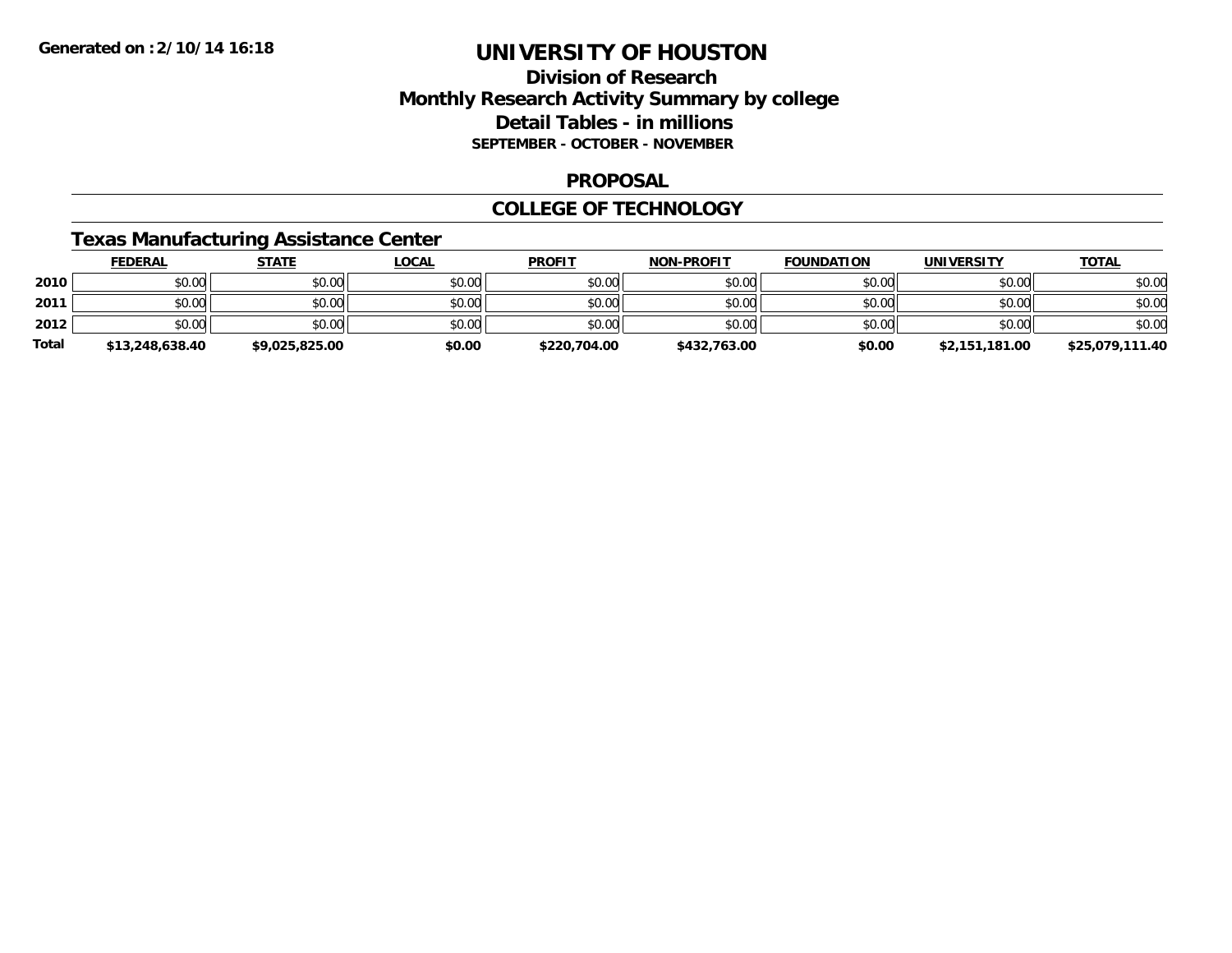## **Division of Research Monthly Research Activity Summary by college Detail Tables - in millions SEPTEMBER - OCTOBER - NOVEMBER**

#### **PROPOSAL**

### **COLLEGE OF TECHNOLOGY**

### **Texas Manufacturing Assistance Center**

|              | <b>FEDERAL</b>  | <u>STATE</u>   | <u>LOCAL</u> | <b>PROFIT</b> | <b>NON-PROFIT</b> | <b>FOUNDATION</b> | <b>UNIVERSITY</b> | <b>TOTAL</b>    |
|--------------|-----------------|----------------|--------------|---------------|-------------------|-------------------|-------------------|-----------------|
| 2010         | \$0.00          | \$0.00         | \$0.00       | \$0.00        | \$0.00            | \$0.00            | \$0.00            | \$0.00          |
| 2011         | \$0.00          | \$0.00         | \$0.00       | \$0.00        | \$0.00            | \$0.00            | \$0.00            | \$0.00          |
| 2012         | \$0.00          | \$0.00         | \$0.00       | \$0.00        | \$0.00            | \$0.00            | \$0.00            | \$0.00          |
| <b>Total</b> | \$13,248,638.40 | \$9.025.825.00 | \$0.00       | \$220,704.00  | \$432,763.00      | \$0.00            | \$2,151,181.00    | \$25,079,111.40 |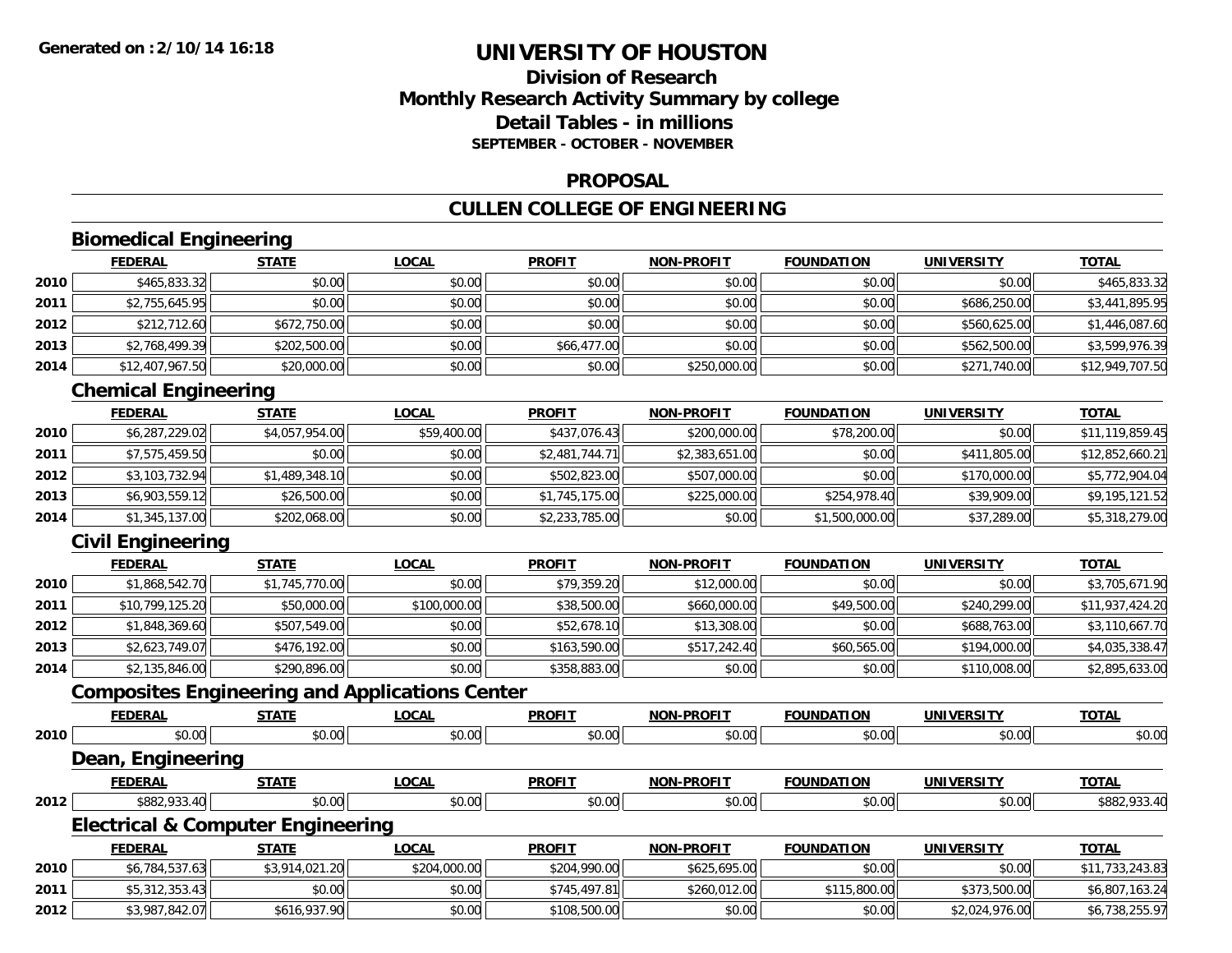## **Division of ResearchMonthly Research Activity Summary by college Detail Tables - in millionsSEPTEMBER - OCTOBER - NOVEMBER**

### **PROPOSAL**

## **CULLEN COLLEGE OF ENGINEERING**

## **Biomedical Engineering**

|      | <b>FEDERAL</b>  | <b>STATE</b> | <u>LOCAL</u> | <b>PROFIT</b> | <b>NON-PROFIT</b> | <b>FOUNDATION</b> | <b>UNIVERSITY</b> | <b>TOTAL</b>    |
|------|-----------------|--------------|--------------|---------------|-------------------|-------------------|-------------------|-----------------|
| 2010 | \$465,833.32    | \$0.00       | \$0.00       | \$0.00        | \$0.00            | \$0.00            | \$0.00            | \$465,833.32    |
| 2011 | \$2,755,645.95  | \$0.00       | \$0.00       | \$0.00        | \$0.00            | \$0.00            | \$686,250.00      | \$3,441,895.95  |
| 2012 | \$212,712.60    | \$672,750.00 | \$0.00       | \$0.00        | \$0.00            | \$0.00            | \$560,625.00      | \$1,446,087.60  |
| 2013 | \$2,768,499.39  | \$202,500.00 | \$0.00       | \$66,477.00   | \$0.00            | \$0.00            | \$562,500.00      | \$3,599,976.39  |
| 2014 | \$12,407,967.50 | \$20,000.00  | \$0.00       | \$0.00        | \$250,000.00      | \$0.00            | \$271,740.00      | \$12,949,707.50 |

## **Chemical Engineering**

|      | <b>FEDERAL</b> | <b>STATE</b>   | <u>LOCAL</u> | <b>PROFIT</b>  | <b>NON-PROFIT</b> | <b>FOUNDATION</b> | <b>UNIVERSITY</b> | <b>TOTAL</b>    |
|------|----------------|----------------|--------------|----------------|-------------------|-------------------|-------------------|-----------------|
| 2010 | \$6,287,229.02 | \$4,057,954.00 | \$59,400.00  | \$437,076.43   | \$200,000.00      | \$78,200.00       | \$0.00            | \$11,119,859.45 |
| 2011 | \$7,575,459.50 | \$0.00         | \$0.00       | \$2,481,744.71 | \$2,383,651.00    | \$0.00            | \$411,805.00      | \$12,852,660.21 |
| 2012 | \$3,103,732.94 | \$1,489,348.10 | \$0.00       | \$502,823.00   | \$507,000.00      | \$0.00            | \$170,000.00      | \$5,772,904.04  |
| 2013 | \$6,903,559.12 | \$26,500.00    | \$0.00       | \$1,745,175.00 | \$225,000.00      | \$254,978.40      | \$39,909.00       | \$9,195,121.52  |
| 2014 | \$1,345,137.00 | \$202,068.00   | \$0.00       | \$2,233,785.00 | \$0.00            | \$1,500,000.00    | \$37,289.00       | \$5,318,279.00  |

## **Civil Engineering**

**2012**

|      | <b>FEDERAL</b>  | <b>STATE</b>   | <b>LOCAL</b> | <b>PROFIT</b> | <b>NON-PROFIT</b> | <b>FOUNDATION</b> | <b>UNIVERSITY</b> | <b>TOTAL</b>    |
|------|-----------------|----------------|--------------|---------------|-------------------|-------------------|-------------------|-----------------|
| 2010 | \$1,868,542.70  | \$1,745,770.00 | \$0.00       | \$79,359.20   | \$12,000.00       | \$0.00            | \$0.00            | \$3,705,671.90  |
| 2011 | \$10,799,125.20 | \$50,000.00    | \$100,000.00 | \$38,500.00   | \$660,000.00      | \$49,500.00       | \$240,299.00      | \$11,937,424.20 |
| 2012 | \$1,848,369.60  | \$507,549.00   | \$0.00       | \$52,678.10   | \$13,308.00       | \$0.00            | \$688,763.00      | \$3,110,667.70  |
| 2013 | \$2,623,749.07  | \$476,192.00   | \$0.00       | \$163,590.00  | \$517,242.40      | \$60,565.00       | \$194,000.00      | \$4,035,338.47  |
| 2014 | \$2,135,846.00  | \$290,896.00   | \$0.00       | \$358,883.00  | \$0.00            | \$0.00            | \$110,008.00      | \$2,895,633.00  |

## **Composites Engineering and Applications Center**

|      | <b>FEDERAL</b>                               | <b>STATE</b>   | <b>LOCAL</b> | <b>PROFIT</b> | <b>NON-PROFIT</b> | <b>FOUNDATION</b> | <b>UNIVERSITY</b> | <b>TOTAL</b>    |
|------|----------------------------------------------|----------------|--------------|---------------|-------------------|-------------------|-------------------|-----------------|
| 2010 | \$0.00                                       | \$0.00         | \$0.00       | \$0.00        | \$0.00            | \$0.00            | \$0.00            | \$0.00          |
|      | Dean, Engineering                            |                |              |               |                   |                   |                   |                 |
|      | <b>FEDERAL</b>                               | <b>STATE</b>   | <b>LOCAL</b> | <b>PROFIT</b> | <b>NON-PROFIT</b> | <b>FOUNDATION</b> | <b>UNIVERSITY</b> | <b>TOTAL</b>    |
| 2012 | \$882,933.40                                 | \$0.00         | \$0.00       | \$0.00        | \$0.00            | \$0.00            | \$0.00            | \$882,933.40    |
|      | <b>Electrical &amp; Computer Engineering</b> |                |              |               |                   |                   |                   |                 |
|      | <b>FEDERAL</b>                               | <b>STATE</b>   | <b>LOCAL</b> | <b>PROFIT</b> | <b>NON-PROFIT</b> | <b>FOUNDATION</b> | <b>UNIVERSITY</b> | <b>TOTAL</b>    |
| 2010 | \$6,784,537.63                               | \$3,914,021.20 | \$204,000.00 | \$204,990.00  | \$625,695.00      | \$0.00            | \$0.00            | \$11,733,243.83 |
| 2011 | \$5,312,353.43                               | \$0.00         | \$0.00       | \$745,497.81  | \$260,012.00      | \$115,800.00      | \$373,500.00      | \$6,807,163.24  |

2 \$3,987,842.07|| \$616,937.90|| \$0.00|| \$108,500.00|| \$0.00|| \$0.00|| \$2,024,976.00|| \$6,738,255.97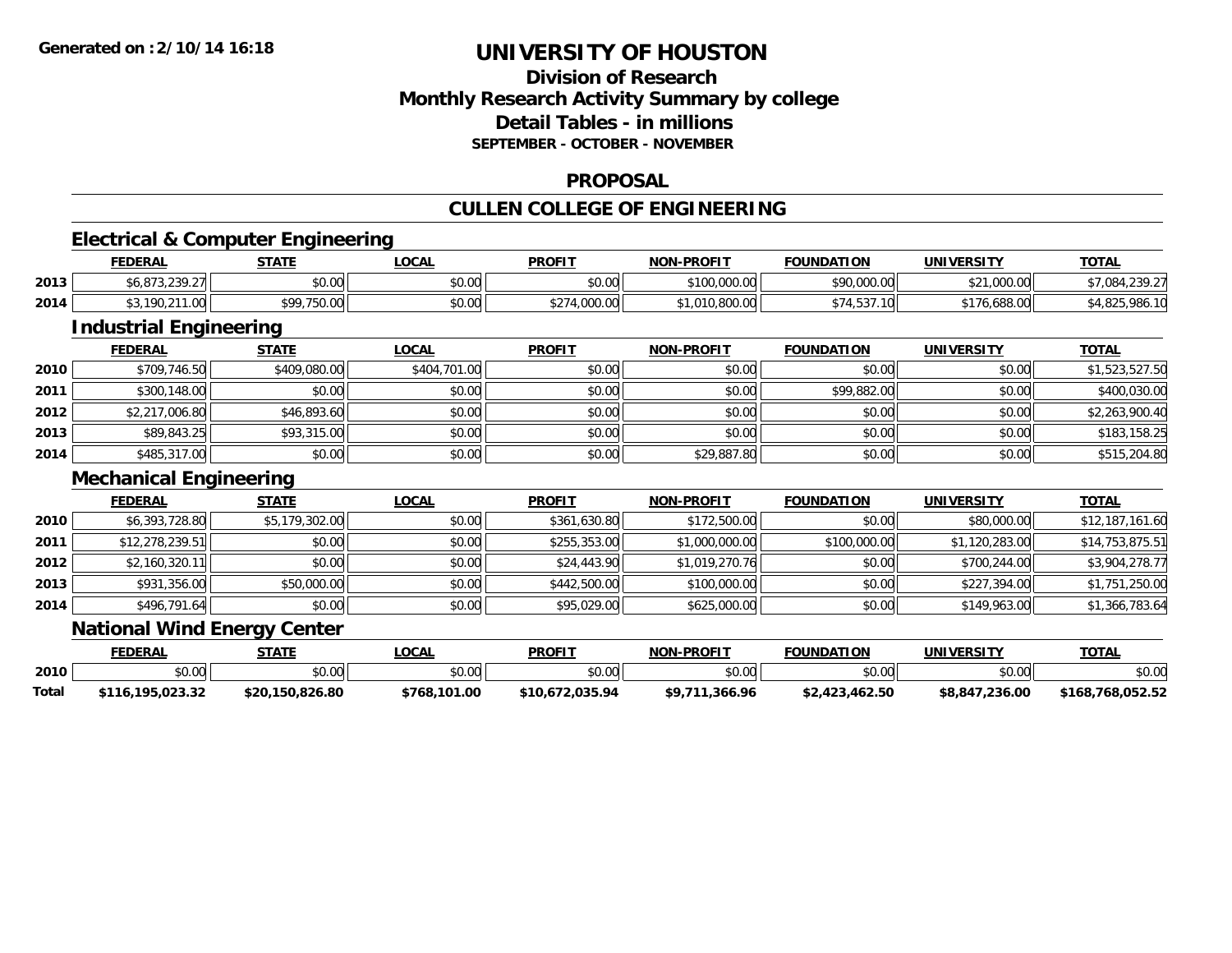## **Division of ResearchMonthly Research Activity Summary by college Detail Tables - in millionsSEPTEMBER - OCTOBER - NOVEMBER**

### **PROPOSAL**

## **CULLEN COLLEGE OF ENGINEERING**

## **Electrical & Computer Engineering**

|      | <b>FEDERAL</b>                        | <b>STATE</b> | LOCAL         | <b>PROFIT</b>                                                        | <b>NON-PROFIT</b> | <b>FOUNDATION</b>         | UNIVERSITY               | <b>TOTAL</b>               |
|------|---------------------------------------|--------------|---------------|----------------------------------------------------------------------|-------------------|---------------------------|--------------------------|----------------------------|
| 2013 | ววด วร<br>- 0.70 م<br>75. J J J J J J | \$0.00       | 0000<br>JU.UU | \$0.00                                                               | \$100,000.00      | \$90,000.00               | \$21,000.00              | $*7.08$<br>່າາດ າ<br>201.L |
| 2014 | 190.211.00                            | *99,750.00   | 0000<br>JU.UU | 0.27100000<br>$\rightarrow$ , $\cup$ $\cup$ , $\cup$ , $\rightarrow$ | 00000<br>,,ouu.uu | 10 <sub>1</sub><br>74.937 | 176.688.00<br>$\sim$ $-$ | ั.986.1เ<br>+.825 '        |

## **Industrial Engineering**

|      | <b>FEDERAL</b> | <u>STATE</u> | <u>LOCAL</u> | <b>PROFIT</b> | <b>NON-PROFIT</b> | <b>FOUNDATION</b> | <b>UNIVERSITY</b> | <b>TOTAL</b>   |
|------|----------------|--------------|--------------|---------------|-------------------|-------------------|-------------------|----------------|
| 2010 | \$709,746.50   | \$409,080.00 | \$404,701.00 | \$0.00        | \$0.00            | \$0.00            | \$0.00            | \$1,523,527.50 |
| 2011 | \$300,148.00   | \$0.00       | \$0.00       | \$0.00        | \$0.00            | \$99,882.00       | \$0.00            | \$400,030.00   |
| 2012 | \$2,217,006.80 | \$46,893.60  | \$0.00       | \$0.00        | \$0.00            | \$0.00            | \$0.00            | \$2,263,900.40 |
| 2013 | \$89,843.25    | \$93,315.00  | \$0.00       | \$0.00        | \$0.00            | \$0.00            | \$0.00            | \$183,158.25   |
| 2014 | \$485,317.00   | \$0.00       | \$0.00       | \$0.00        | \$29,887.80       | \$0.00            | \$0.00            | \$515,204.80   |

### **Mechanical Engineering**

|      | <b>FEDERAL</b>  | <b>STATE</b>   | <b>LOCAL</b> | <b>PROFIT</b> | <b>NON-PROFIT</b> | <b>FOUNDATION</b> | <b>UNIVERSITY</b> | <b>TOTAL</b>    |
|------|-----------------|----------------|--------------|---------------|-------------------|-------------------|-------------------|-----------------|
| 2010 | \$6,393,728.80  | \$5,179,302.00 | \$0.00       | \$361,630.80  | \$172,500.00      | \$0.00            | \$80,000.00       | \$12,187,161.60 |
| 2011 | \$12,278,239.51 | \$0.00         | \$0.00       | \$255,353.00  | \$1,000,000.00    | \$100,000.00      | \$1,120,283.00    | \$14,753,875.51 |
| 2012 | \$2,160,320.11  | \$0.00         | \$0.00       | \$24,443.90   | \$1,019,270.76    | \$0.00            | \$700,244.00      | \$3,904,278.77  |
| 2013 | \$931,356.00    | \$50,000.00    | \$0.00       | \$442,500.00  | \$100,000.00      | \$0.00            | \$227,394.00      | \$1,751,250.00  |
| 2014 | \$496,791.64    | \$0.00         | \$0.00       | \$95,029.00   | \$625,000.00      | \$0.00            | \$149,963.00      | \$1,366,783.64  |

### **National Wind Energy Center**

|       | FEDERAL               | <b>СТАТЕ</b>    | .OCAL                  | <b>PROFIT</b>   | <b>NON-PROFIT</b> | <b>FOUNDATION</b> | UNIVERSITY     | <b>TOTAL</b>     |
|-------|-----------------------|-----------------|------------------------|-----------------|-------------------|-------------------|----------------|------------------|
| 2010  | $\sim$ 00<br>DU.UU    | \$0.00          | $\sim$ $\sim$<br>JU.UU | \$0.00          | \$0.00            | ልስ ሰስ             | ልስ ሰሰ<br>JU.UU | \$0.00           |
| Total | .195.023.32<br>\$116. | \$20,150,826.80 | \$768,101.00           | \$10.672.035.94 | .366.96           | \$2,423,462.50    | \$8,847,236.00 | \$168.768.052.52 |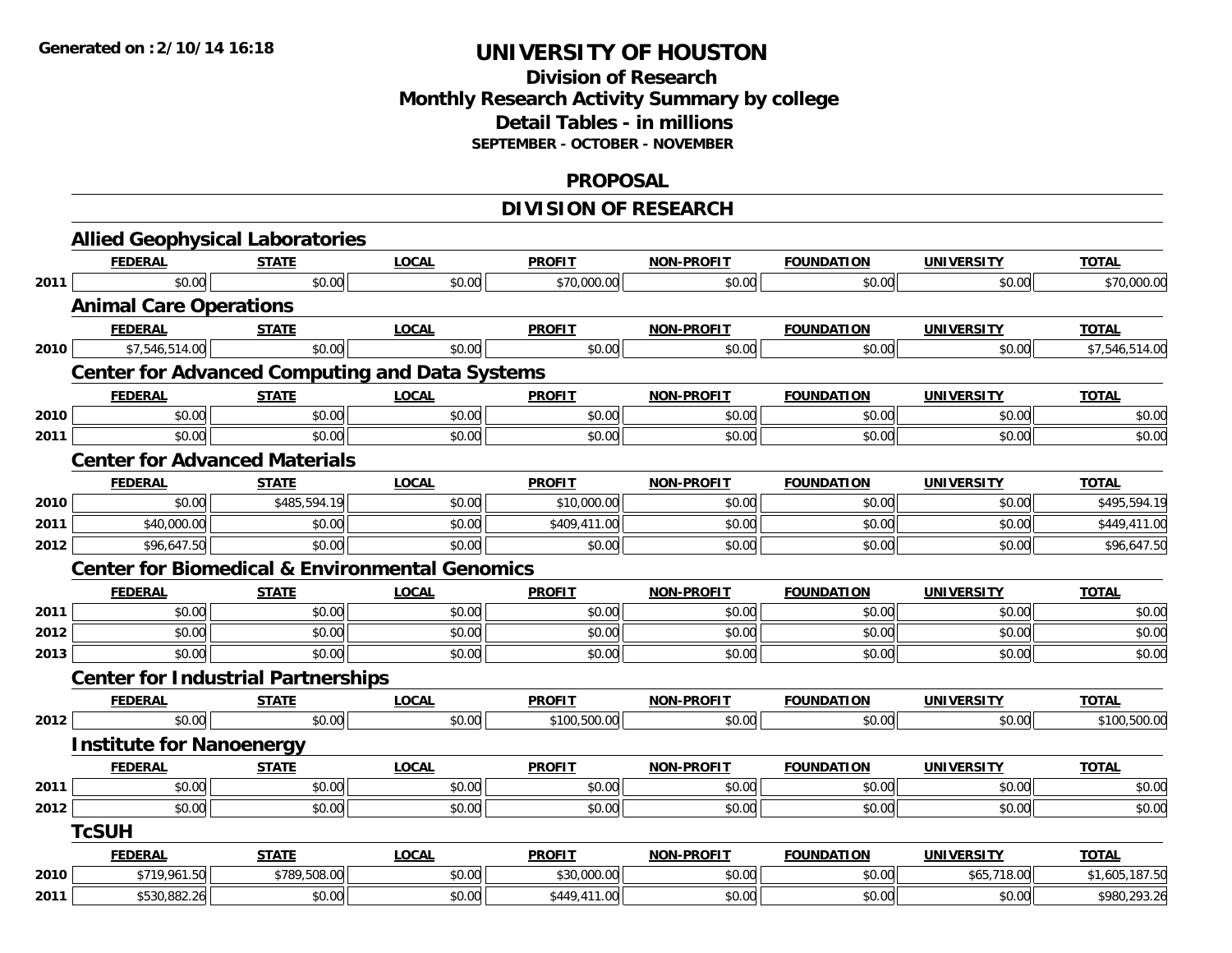## **Division of Research Monthly Research Activity Summary by college Detail Tables - in millions SEPTEMBER - OCTOBER - NOVEMBER**

### **PROPOSAL**

## **DIVISION OF RESEARCH**

|      | <b>Allied Geophysical Laboratories</b>    |              |                                                           |               |                   |                   |                   |                |
|------|-------------------------------------------|--------------|-----------------------------------------------------------|---------------|-------------------|-------------------|-------------------|----------------|
|      | <b>FEDERAL</b>                            | <b>STATE</b> | <b>LOCAL</b>                                              | <b>PROFIT</b> | <b>NON-PROFIT</b> | <b>FOUNDATION</b> | <b>UNIVERSITY</b> | <b>TOTAL</b>   |
| 2011 | \$0.00                                    | \$0.00       | \$0.00                                                    | \$70,000.00   | \$0.00            | \$0.00            | \$0.00            | \$70,000.00    |
|      | <b>Animal Care Operations</b>             |              |                                                           |               |                   |                   |                   |                |
|      | <b>FEDERAL</b>                            | <b>STATE</b> | <b>LOCAL</b>                                              | <b>PROFIT</b> | <b>NON-PROFIT</b> | <b>FOUNDATION</b> | <b>UNIVERSITY</b> | <b>TOTAL</b>   |
| 2010 | \$7,546,514.00                            | \$0.00       | \$0.00                                                    | \$0.00        | \$0.00            | \$0.00            | \$0.00            | \$7,546,514.00 |
|      |                                           |              | <b>Center for Advanced Computing and Data Systems</b>     |               |                   |                   |                   |                |
|      | <b>FEDERAL</b>                            | <b>STATE</b> | <b>LOCAL</b>                                              | <b>PROFIT</b> | NON-PROFIT        | <b>FOUNDATION</b> | <b>UNIVERSITY</b> | <b>TOTAL</b>   |
| 2010 | \$0.00                                    | \$0.00       | \$0.00                                                    | \$0.00        | \$0.00            | \$0.00            | \$0.00            | \$0.00         |
| 2011 | \$0.00                                    | \$0.00       | \$0.00                                                    | \$0.00        | \$0.00            | \$0.00            | \$0.00            | \$0.00         |
|      | <b>Center for Advanced Materials</b>      |              |                                                           |               |                   |                   |                   |                |
|      | <b>FEDERAL</b>                            | <b>STATE</b> | <b>LOCAL</b>                                              | <b>PROFIT</b> | NON-PROFIT        | <b>FOUNDATION</b> | <b>UNIVERSITY</b> | <b>TOTAL</b>   |
| 2010 | \$0.00                                    | \$485,594.19 | \$0.00                                                    | \$10,000.00   | \$0.00            | \$0.00            | \$0.00            | \$495,594.19   |
| 2011 | \$40,000.00                               | \$0.00       | \$0.00                                                    | \$409,411.00  | \$0.00            | \$0.00            | \$0.00            | \$449,411.00   |
| 2012 | \$96,647.50                               | \$0.00       | \$0.00                                                    | \$0.00        | \$0.00            | \$0.00            | \$0.00            | \$96,647.50    |
|      |                                           |              | <b>Center for Biomedical &amp; Environmental Genomics</b> |               |                   |                   |                   |                |
|      | <b>FEDERAL</b>                            | <b>STATE</b> | <b>LOCAL</b>                                              | <b>PROFIT</b> | NON-PROFIT        | <b>FOUNDATION</b> | <b>UNIVERSITY</b> | <b>TOTAL</b>   |
| 2011 | \$0.00                                    | \$0.00       | \$0.00                                                    | \$0.00        | \$0.00            | \$0.00            | \$0.00            | \$0.00         |
| 2012 | \$0.00                                    | \$0.00       | \$0.00                                                    | \$0.00        | \$0.00            | \$0.00            | \$0.00            | \$0.00         |
| 2013 | \$0.00                                    | \$0.00       | \$0.00                                                    | \$0.00        | \$0.00            | \$0.00            | \$0.00            | \$0.00         |
|      | <b>Center for Industrial Partnerships</b> |              |                                                           |               |                   |                   |                   |                |
|      | <b>FEDERAL</b>                            | <b>STATE</b> | <b>LOCAL</b>                                              | <b>PROFIT</b> | <b>NON-PROFIT</b> | <b>FOUNDATION</b> | <b>UNIVERSITY</b> | <b>TOTAL</b>   |
| 2012 | \$0.00                                    | \$0.00       | \$0.00                                                    | \$100,500.00  | \$0.00            | \$0.00            | \$0.00            | \$100,500.00   |
|      | <b>Institute for Nanoenergy</b>           |              |                                                           |               |                   |                   |                   |                |
|      | <b>FEDERAL</b>                            | <b>STATE</b> | <b>LOCAL</b>                                              | <b>PROFIT</b> | NON-PROFIT        | <b>FOUNDATION</b> | <b>UNIVERSITY</b> | <b>TOTAL</b>   |
| 2011 | \$0.00                                    | \$0.00       | \$0.00                                                    | \$0.00        | \$0.00            | \$0.00            | \$0.00            | \$0.00         |
| 2012 | \$0.00                                    | \$0.00       | \$0.00                                                    | \$0.00        | \$0.00            | \$0.00            | \$0.00            | \$0.00         |
|      | <b>TcSUH</b>                              |              |                                                           |               |                   |                   |                   |                |
|      | <b>FEDERAL</b>                            | <b>STATE</b> | <b>LOCAL</b>                                              | <b>PROFIT</b> | NON-PROFIT        | <b>FOUNDATION</b> | <b>UNIVERSITY</b> | <b>TOTAL</b>   |
| 2010 | \$719,961.50                              | \$789,508.00 | \$0.00                                                    | \$30,000.00   | \$0.00            | \$0.00            | \$65,718.00       | \$1,605,187.50 |
| 2011 | \$530,882.26                              | \$0.00       | \$0.00                                                    | \$449,411.00  | \$0.00            | \$0.00            | \$0.00            | \$980,293.26   |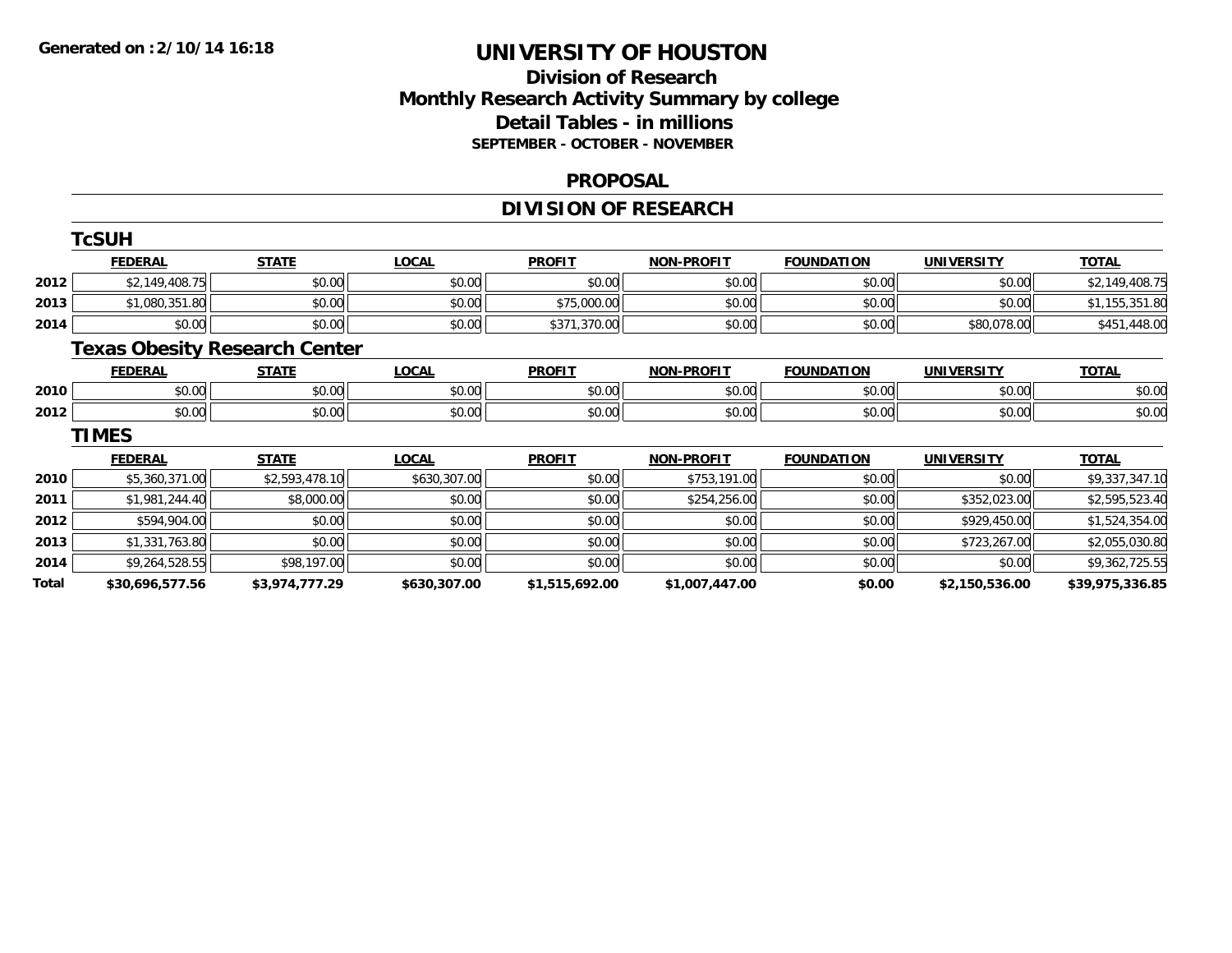## **Division of Research Monthly Research Activity Summary by college Detail Tables - in millions SEPTEMBER - OCTOBER - NOVEMBER**

#### **PROPOSAL**

# **DIVISION OF RESEARCH**

|       | <b>TcSUH</b>    |                                      |              |                |                   |                   |                   |                 |
|-------|-----------------|--------------------------------------|--------------|----------------|-------------------|-------------------|-------------------|-----------------|
|       | <b>FEDERAL</b>  | <b>STATE</b>                         | <b>LOCAL</b> | <b>PROFIT</b>  | <b>NON-PROFIT</b> | <b>FOUNDATION</b> | <b>UNIVERSITY</b> | <b>TOTAL</b>    |
| 2012  | \$2,149,408.75  | \$0.00                               | \$0.00       | \$0.00         | \$0.00            | \$0.00            | \$0.00            | \$2,149,408.75  |
| 2013  | \$1,080,351.80  | \$0.00                               | \$0.00       | \$75,000.00    | \$0.00            | \$0.00            | \$0.00            | \$1,155,351.80  |
| 2014  | \$0.00          | \$0.00                               | \$0.00       | \$371,370.00   | \$0.00            | \$0.00            | \$80,078.00       | \$451,448.00    |
|       |                 | <b>Texas Obesity Research Center</b> |              |                |                   |                   |                   |                 |
|       | <b>FEDERAL</b>  | <b>STATE</b>                         | <b>LOCAL</b> | <b>PROFIT</b>  | <b>NON-PROFIT</b> | <b>FOUNDATION</b> | <b>UNIVERSITY</b> | <b>TOTAL</b>    |
| 2010  | \$0.00          | \$0.00                               | \$0.00       | \$0.00         | \$0.00            | \$0.00            | \$0.00            | \$0.00          |
| 2012  | \$0.00          | \$0.00                               | \$0.00       | \$0.00         | \$0.00            | \$0.00            | \$0.00            | \$0.00          |
|       | <b>TIMES</b>    |                                      |              |                |                   |                   |                   |                 |
|       | <b>FEDERAL</b>  | <b>STATE</b>                         | <b>LOCAL</b> | <b>PROFIT</b>  | <b>NON-PROFIT</b> | <b>FOUNDATION</b> | <b>UNIVERSITY</b> | <b>TOTAL</b>    |
| 2010  | \$5,360,371.00  | \$2,593,478.10                       | \$630,307.00 | \$0.00         | \$753,191.00      | \$0.00            | \$0.00            | \$9,337,347.10  |
| 2011  | \$1,981,244.40  | \$8,000.00                           | \$0.00       | \$0.00         | \$254,256.00      | \$0.00            | \$352,023.00      | \$2,595,523.40  |
| 2012  | \$594,904.00    | \$0.00                               | \$0.00       | \$0.00         | \$0.00            | \$0.00            | \$929,450.00      | \$1,524,354.00  |
| 2013  | \$1,331,763.80  | \$0.00                               | \$0.00       | \$0.00         | \$0.00            | \$0.00            | \$723,267.00      | \$2,055,030.80  |
| 2014  | \$9,264,528.55  | \$98,197.00                          | \$0.00       | \$0.00         | \$0.00            | \$0.00            | \$0.00            | \$9,362,725.55  |
| Total | \$30,696,577.56 | \$3,974,777.29                       | \$630,307.00 | \$1,515,692.00 | \$1,007,447.00    | \$0.00            | \$2,150,536.00    | \$39,975,336.85 |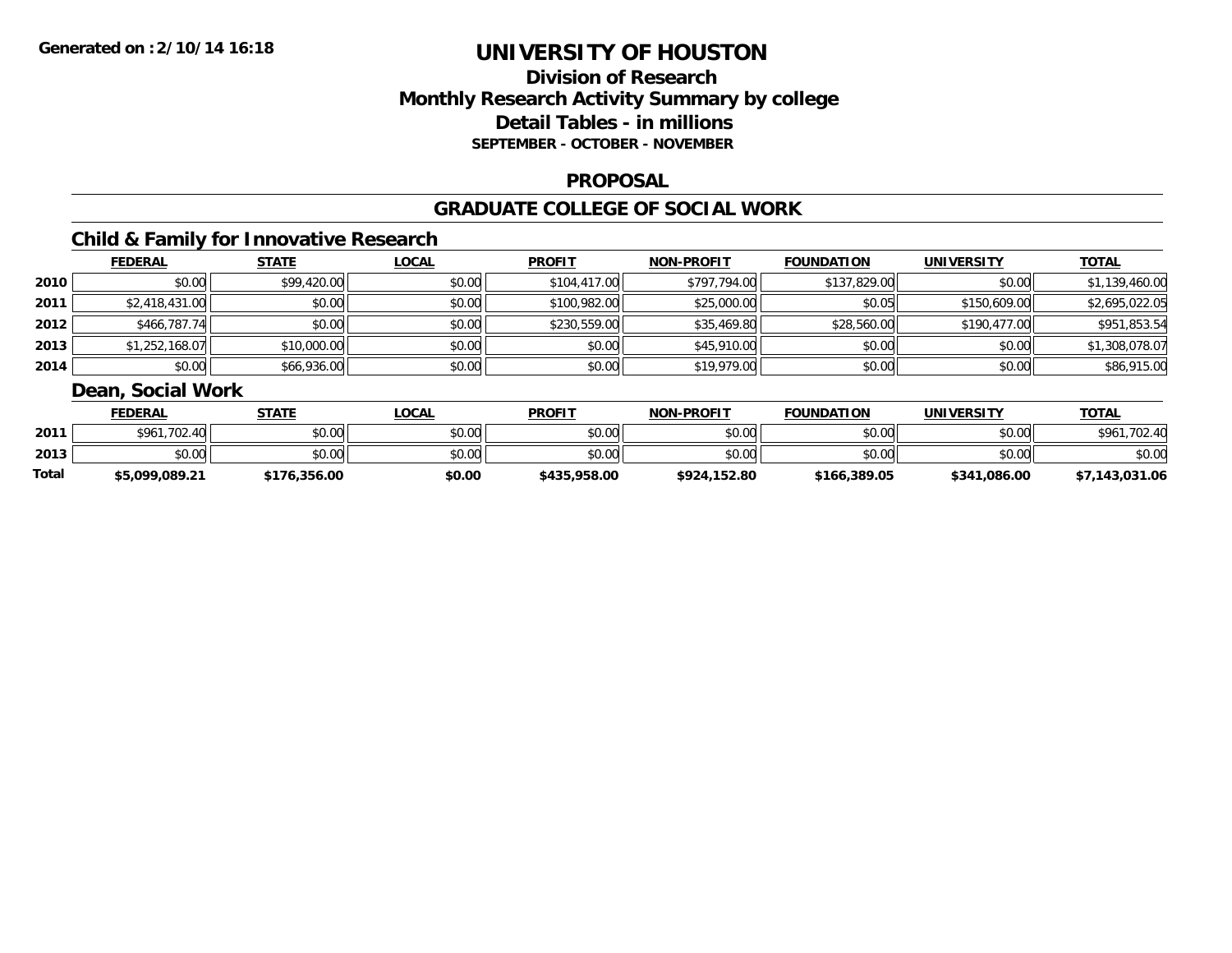## **Division of ResearchMonthly Research Activity Summary by college Detail Tables - in millions SEPTEMBER - OCTOBER - NOVEMBER**

### **PROPOSAL**

### **GRADUATE COLLEGE OF SOCIAL WORK**

## **Child & Family for Innovative Research**

|      | <b>FEDERAL</b> | <b>STATE</b> | <b>LOCAL</b> | <b>PROFIT</b> | <b>NON-PROFIT</b> | <b>FOUNDATION</b> | <b>UNIVERSITY</b> | <u>TOTAL</u>   |
|------|----------------|--------------|--------------|---------------|-------------------|-------------------|-------------------|----------------|
| 2010 | \$0.00         | \$99,420.00  | \$0.00       | \$104,417.00  | \$797,794.00      | \$137,829,00      | \$0.00            | \$1,139,460.00 |
| 2011 | \$2,418,431.00 | \$0.00       | \$0.00       | \$100,982.00  | \$25,000.00       | \$0.05            | \$150,609.00      | \$2,695,022.05 |
| 2012 | \$466,787.74   | \$0.00       | \$0.00       | \$230,559.00  | \$35,469.80       | \$28,560.00       | \$190,477.00      | \$951,853.54   |
| 2013 | \$1,252,168.07 | \$10,000.00  | \$0.00       | \$0.00        | \$45,910.00       | \$0.00            | \$0.00            | \$1,308,078.07 |
| 2014 | \$0.00         | \$66,936.00  | \$0.00       | \$0.00        | \$19,979.00       | \$0.00            | \$0.00            | \$86,915.00    |

## **Dean, Social Work**

|       | <b>FEDERAL</b> | STATE        | <b>LOCAL</b> | <b>PROFIT</b> | <b>NON-PROFIT</b> | <b>FOUNDATION</b> | <b>UNIVERSITY</b> | <b>TOTAL</b>   |
|-------|----------------|--------------|--------------|---------------|-------------------|-------------------|-------------------|----------------|
| 2011  | \$961,702.40   | \$0.00       | \$0.00       | \$0.00        | \$0.00            | \$0.00            | \$0.00            | \$961,702.40   |
| 2013  | \$0.00         | \$0.00       | \$0.00       | \$0.00        | \$0.00            | \$0.00            | \$0.00            | \$0.00         |
| Total | \$5,099,089.21 | \$176,356.00 | \$0.00       | \$435,958.00  | \$924,152.80      | \$166,389.05      | \$341,086.00      | \$7,143,031.06 |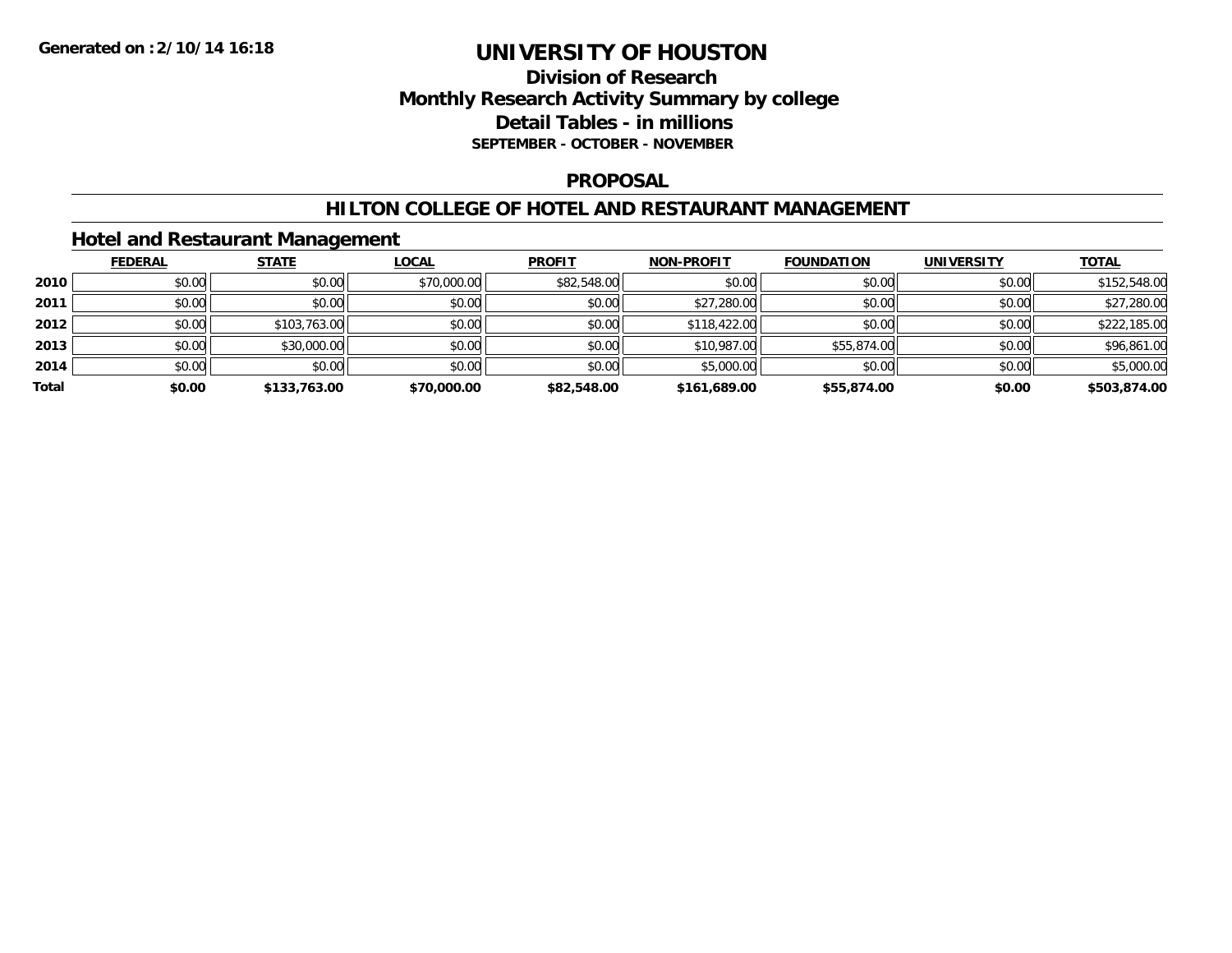## **Division of Research Monthly Research Activity Summary by college Detail Tables - in millions SEPTEMBER - OCTOBER - NOVEMBER**

### **PROPOSAL**

### **HILTON COLLEGE OF HOTEL AND RESTAURANT MANAGEMENT**

### **Hotel and Restaurant Management**

|       | <b>FEDERAL</b> | <b>STATE</b> | <b>LOCAL</b> | <b>PROFIT</b> | <b>NON-PROFIT</b> | <b>FOUNDATION</b> | <b>UNIVERSITY</b> | <b>TOTAL</b> |
|-------|----------------|--------------|--------------|---------------|-------------------|-------------------|-------------------|--------------|
| 2010  | \$0.00         | \$0.00       | \$70,000.00  | \$82,548.00   | \$0.00            | \$0.00            | \$0.00            | \$152,548.00 |
| 2011  | \$0.00         | \$0.00       | \$0.00       | \$0.00        | \$27,280.00       | \$0.00            | \$0.00            | \$27,280.00  |
| 2012  | \$0.00         | \$103,763.00 | \$0.00       | \$0.00        | \$118,422.00      | \$0.00            | \$0.00            | \$222,185.00 |
| 2013  | \$0.00         | \$30,000.00  | \$0.00       | \$0.00        | \$10,987.00       | \$55,874.00       | \$0.00            | \$96,861.00  |
| 2014  | \$0.00         | \$0.00       | \$0.00       | \$0.00        | \$5,000.00        | \$0.00            | \$0.00            | \$5,000.00   |
| Total | \$0.00         | \$133,763.00 | \$70,000.00  | \$82,548.00   | \$161.689.00      | \$55,874.00       | \$0.00            | \$503,874.00 |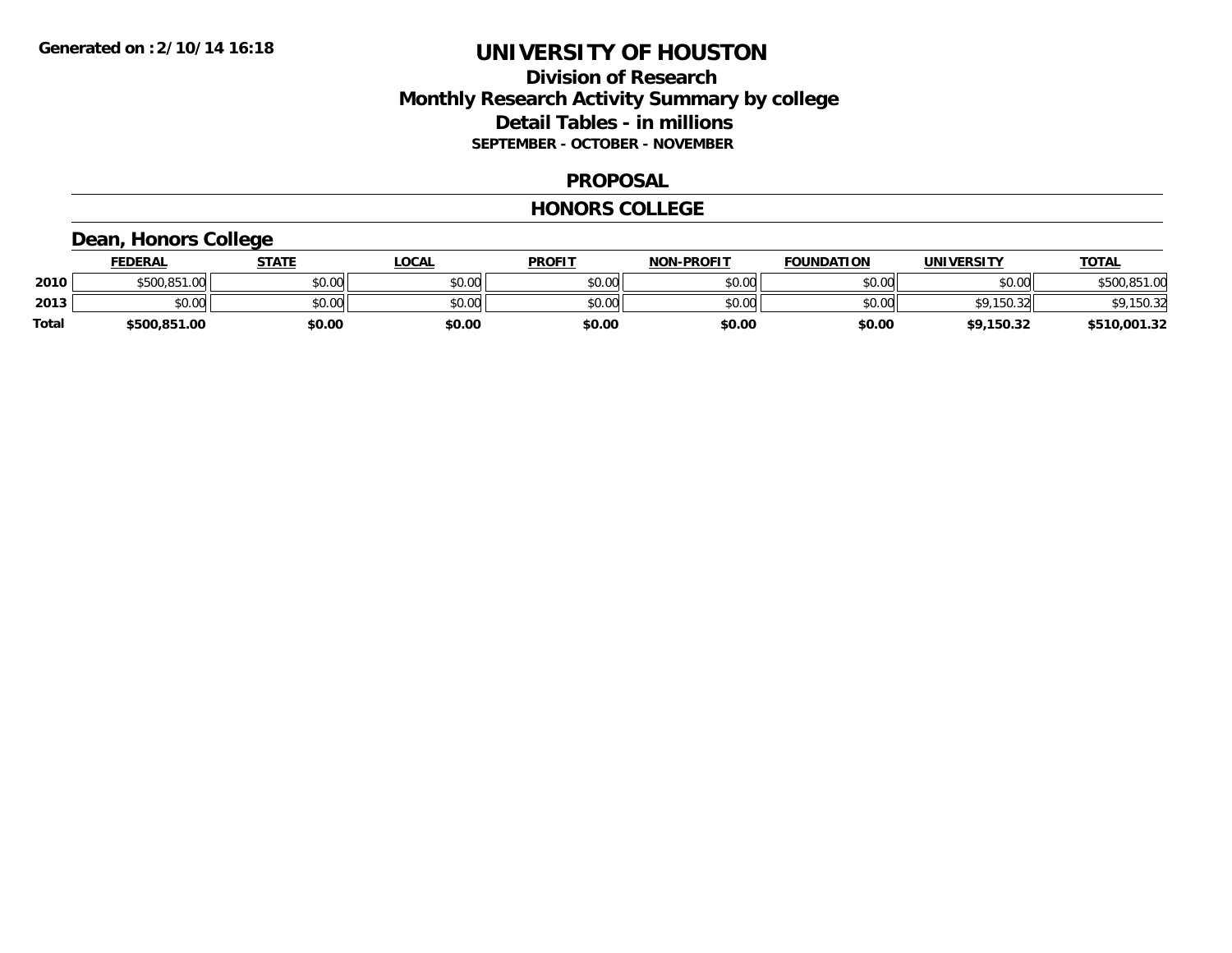## **Division of Research Monthly Research Activity Summary by college Detail Tables - in millions SEPTEMBER - OCTOBER - NOVEMBER**

### **PROPOSAL**

#### **HONORS COLLEGE**

## **Dean, Honors College**

|       | <b>FEDERAL</b> | STATE  | LOCAL  | <b>PROFIT</b> | <b>NON-PROFIT</b> | <b>FOUNDATION</b> | <b>UNIVERSITY</b> | <u>TOTAL</u>      |
|-------|----------------|--------|--------|---------------|-------------------|-------------------|-------------------|-------------------|
| 2010  | \$500,851.00   | \$0.00 | \$0.00 | \$0.00        | \$0.00            | \$0.00            | \$0.00            | $\cap$<br>,851.00 |
| 2013  | \$0.00         | \$0.00 | \$0.00 | \$0.00        | \$0.00            | \$0.00            | ¢۵<br>150.32      | ¢٥<br>,150.32     |
| Total | \$500,851.00   | \$0.00 | \$0.00 | \$0.00        | \$0.00            | \$0.00            | \$9,150.32        | \$510,001.32      |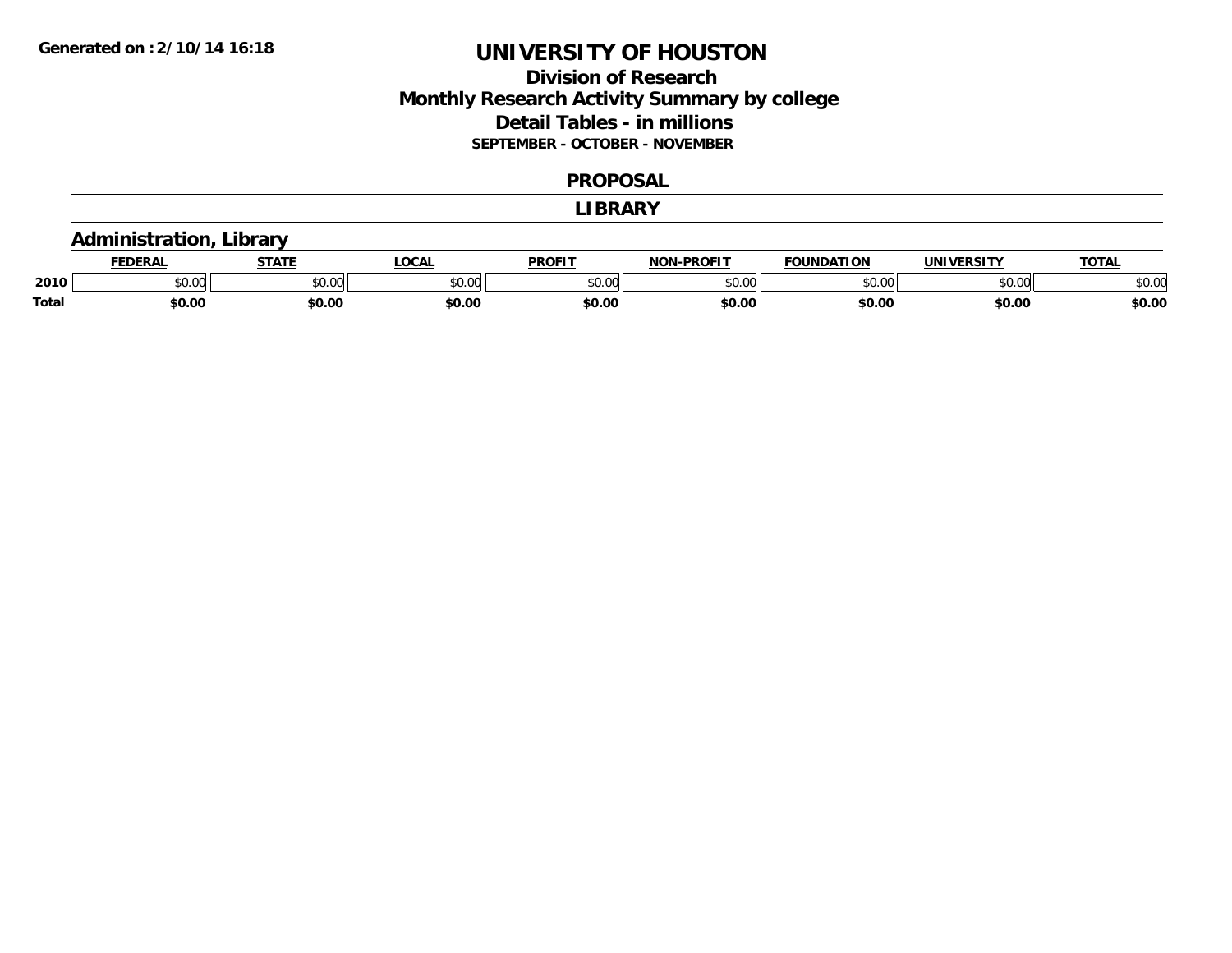## **Division of Research Monthly Research Activity Summary by college Detail Tables - in millions SEPTEMBER - OCTOBER - NOVEMBER**

#### **PROPOSAL**

#### **LIBRARY**

### **Administration, Library**

|              | EDERAI        | <b>CTATE</b>    | <b>OCAL</b> | <b>PROFIT</b> | <b>-PROFI1</b><br>81 A B | <b>FOUNDATION</b> | UNIVERSITY | TOTA.  |
|--------------|---------------|-----------------|-------------|---------------|--------------------------|-------------------|------------|--------|
| 2010         | 0.00<br>JU.UU | 0000<br>ູນບ.ບພ. | \$0.00      | 0000<br>JU.UU | $\sim$ 00<br>ט.טע        | 0000<br>u.uu      | \$0.00     | \$0.00 |
| <b>Total</b> | \$0.00        | \$0.00          | \$0.00      | \$0.00        | \$0.00                   | \$0.00            | \$0.00     | \$0.00 |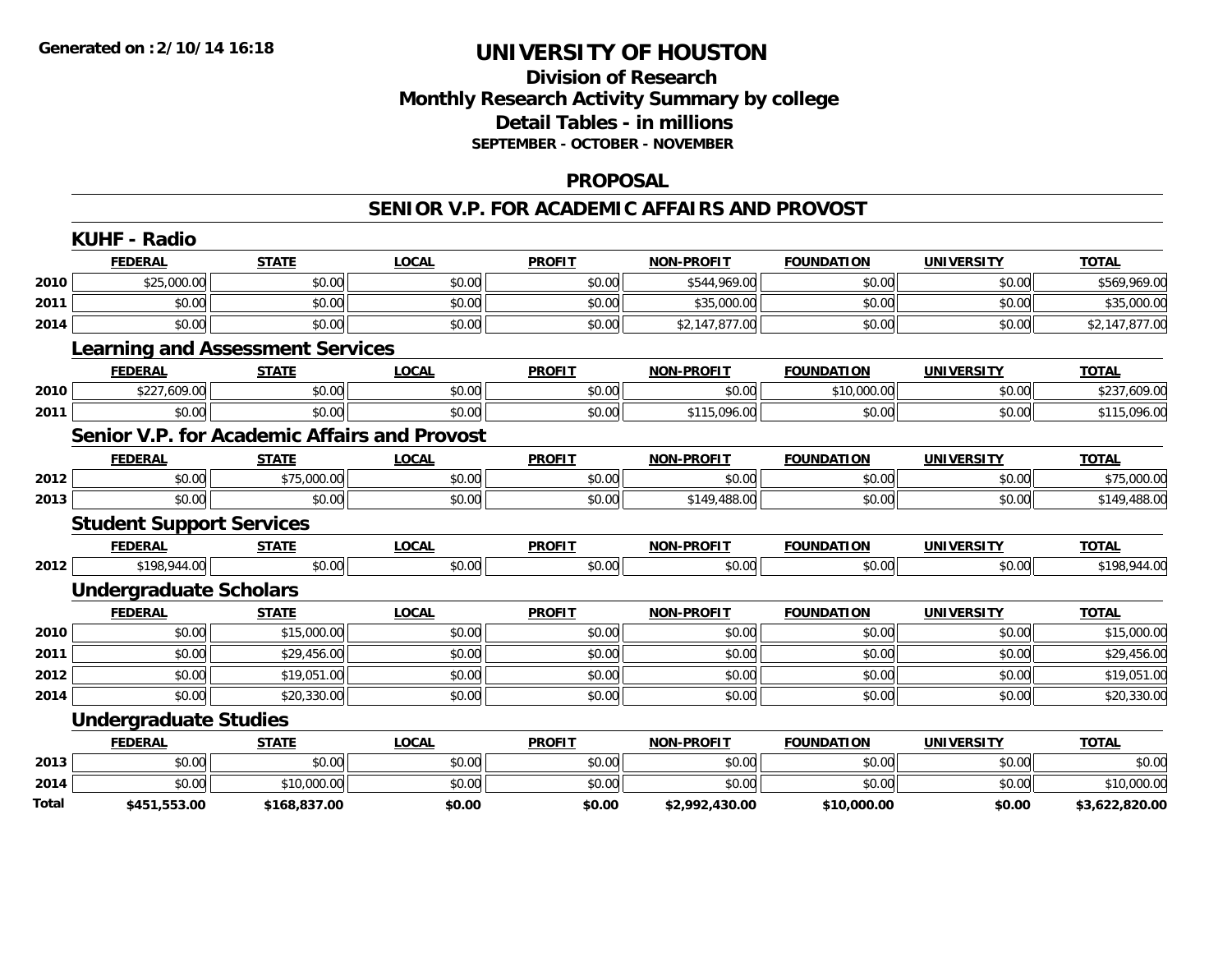## **Division of Research Monthly Research Activity Summary by college Detail Tables - in millions SEPTEMBER - OCTOBER - NOVEMBER**

### **PROPOSAL**

#### **SENIOR V.P. FOR ACADEMIC AFFAIRS AND PROVOST**

|       | <b>KUHF - Radio</b>                                 |              |              |               |                   |                   |                   |                |
|-------|-----------------------------------------------------|--------------|--------------|---------------|-------------------|-------------------|-------------------|----------------|
|       | <b>FEDERAL</b>                                      | <b>STATE</b> | <b>LOCAL</b> | <b>PROFIT</b> | <b>NON-PROFIT</b> | <b>FOUNDATION</b> | <b>UNIVERSITY</b> | <b>TOTAL</b>   |
| 2010  | \$25,000.00                                         | \$0.00       | \$0.00       | \$0.00        | \$544,969.00      | \$0.00            | \$0.00            | \$569,969.00   |
| 2011  | \$0.00                                              | \$0.00       | \$0.00       | \$0.00        | \$35,000.00       | \$0.00            | \$0.00            | \$35,000.00    |
| 2014  | \$0.00                                              | \$0.00       | \$0.00       | \$0.00        | \$2,147,877.00    | \$0.00            | \$0.00            | \$2,147,877.00 |
|       | <b>Learning and Assessment Services</b>             |              |              |               |                   |                   |                   |                |
|       | <b>FEDERAL</b>                                      | <b>STATE</b> | <b>LOCAL</b> | <b>PROFIT</b> | <b>NON-PROFIT</b> | <b>FOUNDATION</b> | <b>UNIVERSITY</b> | <b>TOTAL</b>   |
| 2010  | \$227,609.00                                        | \$0.00       | \$0.00       | \$0.00        | \$0.00            | \$10,000.00       | \$0.00            | \$237,609.00   |
| 2011  | \$0.00                                              | \$0.00       | \$0.00       | \$0.00        | \$115,096.00      | \$0.00            | \$0.00            | \$115,096.00   |
|       | <b>Senior V.P. for Academic Affairs and Provost</b> |              |              |               |                   |                   |                   |                |
|       | <b>FEDERAL</b>                                      | <b>STATE</b> | <b>LOCAL</b> | <b>PROFIT</b> | <b>NON-PROFIT</b> | <b>FOUNDATION</b> | <b>UNIVERSITY</b> | <b>TOTAL</b>   |
| 2012  | \$0.00                                              | \$75,000.00  | \$0.00       | \$0.00        | \$0.00            | \$0.00            | \$0.00            | \$75,000.00    |
| 2013  | \$0.00                                              | \$0.00       | \$0.00       | \$0.00        | \$149,488.00      | \$0.00            | \$0.00            | \$149,488.00   |
|       | <b>Student Support Services</b>                     |              |              |               |                   |                   |                   |                |
|       | <b>FEDERAL</b>                                      | <b>STATE</b> | <b>LOCAL</b> | <b>PROFIT</b> | <b>NON-PROFIT</b> | <b>FOUNDATION</b> | <b>UNIVERSITY</b> | <b>TOTAL</b>   |
| 2012  | \$198,944.00                                        | \$0.00       | \$0.00       | \$0.00        | \$0.00            | \$0.00            | \$0.00            | \$198,944.00   |
|       | <b>Undergraduate Scholars</b>                       |              |              |               |                   |                   |                   |                |
|       | <b>FEDERAL</b>                                      | <b>STATE</b> | <b>LOCAL</b> | <b>PROFIT</b> | <b>NON-PROFIT</b> | <b>FOUNDATION</b> | <b>UNIVERSITY</b> | <b>TOTAL</b>   |
| 2010  | \$0.00                                              | \$15,000.00  | \$0.00       | \$0.00        | \$0.00            | \$0.00            | \$0.00            | \$15,000.00    |
| 2011  | \$0.00                                              | \$29,456.00  | \$0.00       | \$0.00        | \$0.00            | \$0.00            | \$0.00            | \$29,456.00    |
| 2012  | \$0.00                                              | \$19,051.00  | \$0.00       | \$0.00        | \$0.00            | \$0.00            | \$0.00            | \$19,051.00    |
| 2014  | \$0.00                                              | \$20,330.00  | \$0.00       | \$0.00        | \$0.00            | \$0.00            | \$0.00            | \$20,330.00    |
|       | <b>Undergraduate Studies</b>                        |              |              |               |                   |                   |                   |                |
|       | <b>FEDERAL</b>                                      | <b>STATE</b> | <b>LOCAL</b> | <b>PROFIT</b> | <b>NON-PROFIT</b> | <b>FOUNDATION</b> | <b>UNIVERSITY</b> | <b>TOTAL</b>   |
| 2013  | \$0.00                                              | \$0.00       | \$0.00       | \$0.00        | \$0.00            | \$0.00            | \$0.00            | \$0.00         |
| 2014  | \$0.00                                              | \$10,000.00  | \$0.00       | \$0.00        | \$0.00            | \$0.00            | \$0.00            | \$10,000.00    |
| Total | \$451,553.00                                        | \$168,837.00 | \$0.00       | \$0.00        | \$2,992,430.00    | \$10,000.00       | \$0.00            | \$3,622,820.00 |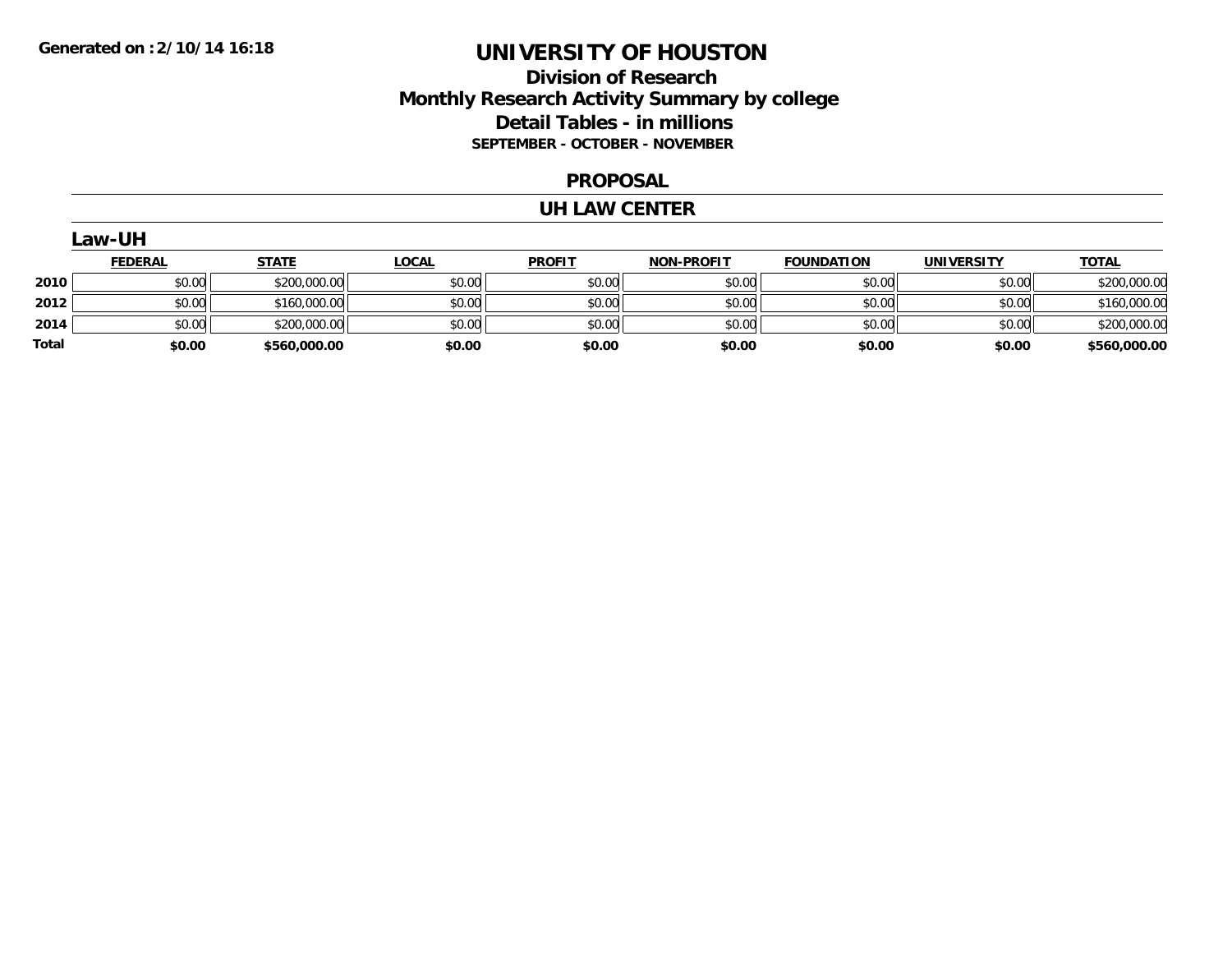## **Division of Research Monthly Research Activity Summary by college Detail Tables - in millions SEPTEMBER - OCTOBER - NOVEMBER**

#### **PROPOSAL**

### **UH LAW CENTER**

|              | Law-UH         |              |              |               |                   |                   |                   |              |  |  |
|--------------|----------------|--------------|--------------|---------------|-------------------|-------------------|-------------------|--------------|--|--|
|              | <b>FEDERAL</b> | <b>STATE</b> | <u>LOCAL</u> | <b>PROFIT</b> | <b>NON-PROFIT</b> | <b>FOUNDATION</b> | <b>UNIVERSITY</b> | <b>TOTAL</b> |  |  |
| 2010         | \$0.00         | \$200,000.00 | \$0.00       | \$0.00        | \$0.00            | \$0.00            | \$0.00            | \$200,000.00 |  |  |
| 2012         | \$0.00         | \$160,000.00 | \$0.00       | \$0.00        | \$0.00            | \$0.00            | \$0.00            | \$160,000.00 |  |  |
| 2014         | \$0.00         | \$200,000.00 | \$0.00       | \$0.00        | \$0.00            | \$0.00            | \$0.00            | \$200,000.00 |  |  |
| <b>Total</b> | \$0.00         | \$560,000.00 | \$0.00       | \$0.00        | \$0.00            | \$0.00            | \$0.00            | \$560,000.00 |  |  |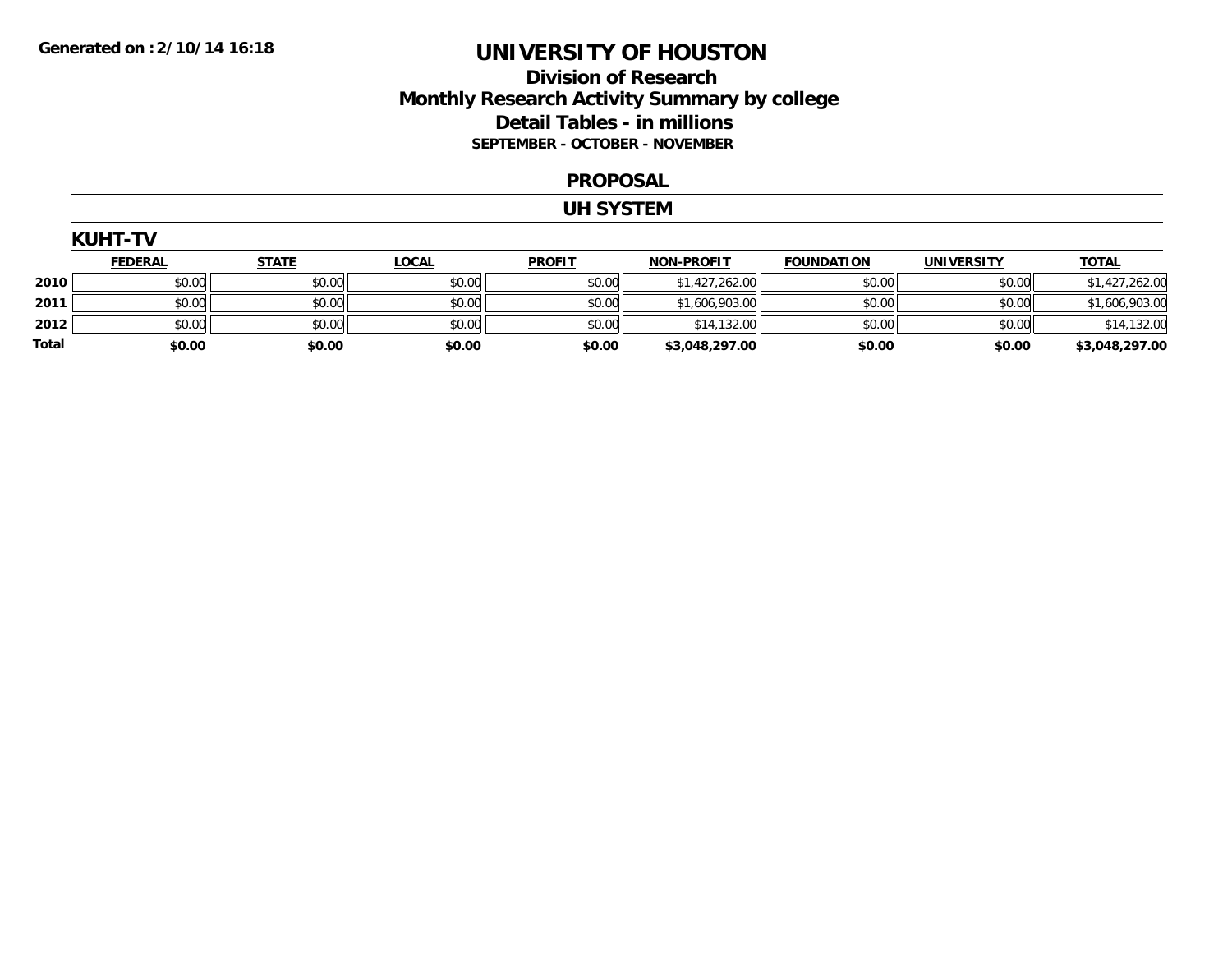## **Division of Research Monthly Research Activity Summary by college Detail Tables - in millions SEPTEMBER - OCTOBER - NOVEMBER**

#### **PROPOSAL**

#### **UH SYSTEM**

|       | <b>KUHT-TV</b> |              |              |               |                   |                   |                   |                |  |  |  |
|-------|----------------|--------------|--------------|---------------|-------------------|-------------------|-------------------|----------------|--|--|--|
|       | <b>FEDERAL</b> | <b>STATE</b> | <u>LOCAL</u> | <b>PROFIT</b> | <b>NON-PROFIT</b> | <b>FOUNDATION</b> | <b>UNIVERSITY</b> | <b>TOTAL</b>   |  |  |  |
| 2010  | \$0.00         | \$0.00       | \$0.00       | \$0.00        | \$1,427,262.00    | \$0.00            | \$0.00            | \$1,427,262.00 |  |  |  |
| 2011  | \$0.00         | \$0.00       | \$0.00       | \$0.00        | \$1,606,903.00    | \$0.00            | \$0.00            | \$1,606,903.00 |  |  |  |
| 2012  | \$0.00         | \$0.00       | \$0.00       | \$0.00        | \$14,132.00       | \$0.00            | \$0.00            | \$14,132.00    |  |  |  |
| Total | \$0.00         | \$0.00       | \$0.00       | \$0.00        | \$3,048,297.00    | \$0.00            | \$0.00            | \$3,048,297.00 |  |  |  |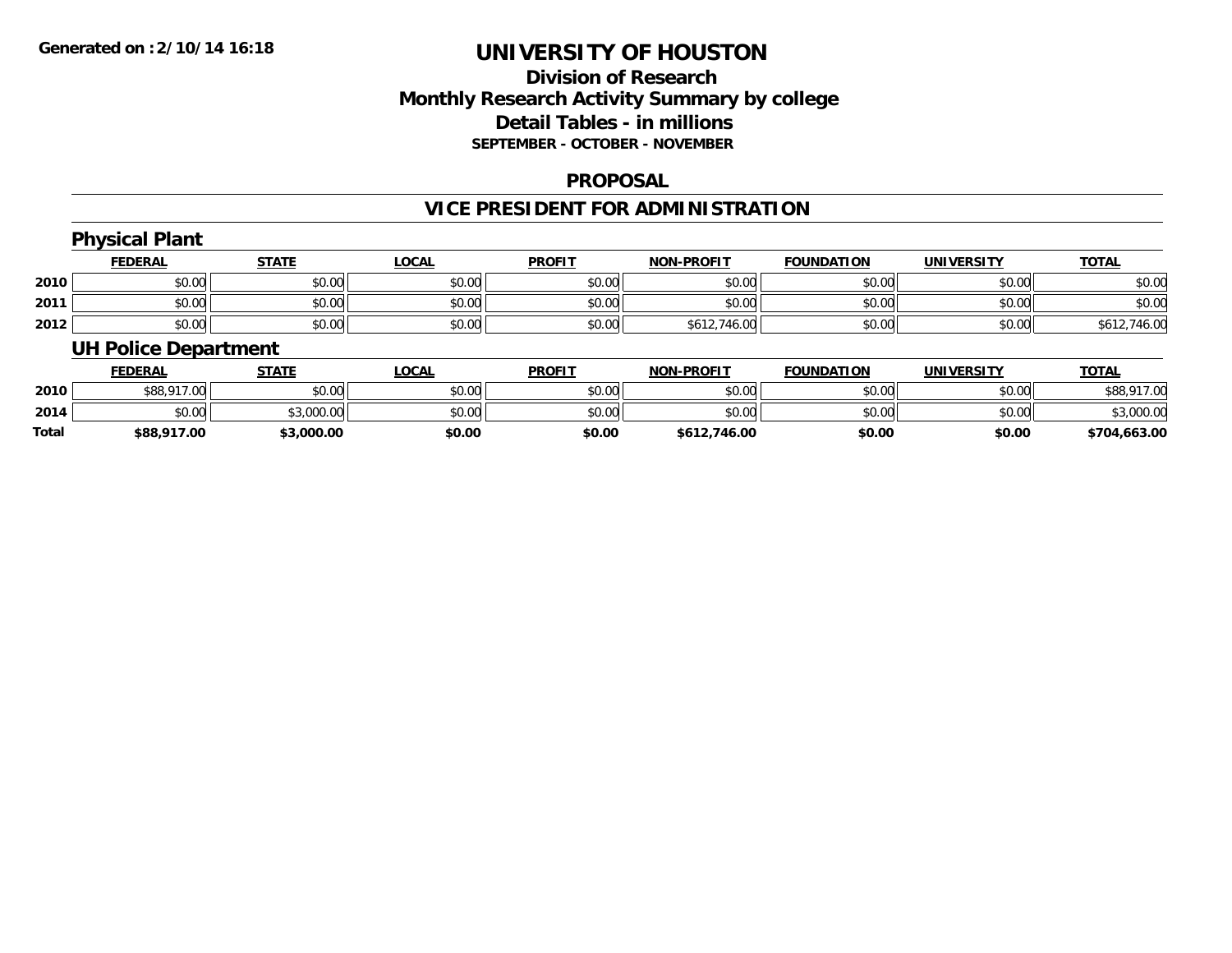## **Division of ResearchMonthly Research Activity Summary by college Detail Tables - in millions SEPTEMBER - OCTOBER - NOVEMBER**

### **PROPOSAL**

## **VICE PRESIDENT FOR ADMINISTRATION**

#### **Physical Plant FEDERAL STATE LOCAL PROFIT NON-PROFIT FOUNDATION UNIVERSITY TOTALTOTAL 2010** $\, \mathsf{D} \, | \,$   $\qquad \qquad \mathsf{80.00} | \,$   $\qquad \qquad \mathsf{80.00} | \,$   $\qquad \qquad \mathsf{80.00} | \,$   $\qquad \qquad \mathsf{80.00} | \,$   $\qquad \qquad \mathsf{80.00} | \,$   $\qquad \qquad \mathsf{80.00} | \,$   $\qquad \qquad \mathsf{80.00} |$ **2011** \$0.00 \$0.00 \$0.00 \$0.00 \$0.00 \$0.00 \$0.00 \$0.00 **2012** $\textbf{2} \hspace{12mm} |\hspace{12mm} \text{$0.00]} \hspace{12mm} |\hspace{12mm} \text{$0.00]} \hspace{12mm} |\hspace{12mm} \text{$0.003]} \hspace{12mm}$ **UH Police Department**

|              | <b>FEDERAL</b> | STATE      | <b>LOCAL</b> | <b>PROFIT</b> | <b>NON-PROFIT</b> | <b>FOUNDATION</b> | UNIVERSITY | <u> ΤΟΤΑL</u> |
|--------------|----------------|------------|--------------|---------------|-------------------|-------------------|------------|---------------|
| 2010         | \$88,917.00    | \$0.00     | \$0.00       | \$0.00        | \$0.00            | \$0.00            | \$0.00     | \$88,917.00   |
| 2014         | \$0.00         | \$3,000.00 | \$0.00       | \$0.00        | \$0.00            | \$0.00            | \$0.00     | \$3,000.00    |
| <b>Total</b> | \$88,917.00    | \$3,000.00 | \$0.00       | \$0.00        | \$612,746.00      | \$0.00            | \$0.00     | \$704,663.00  |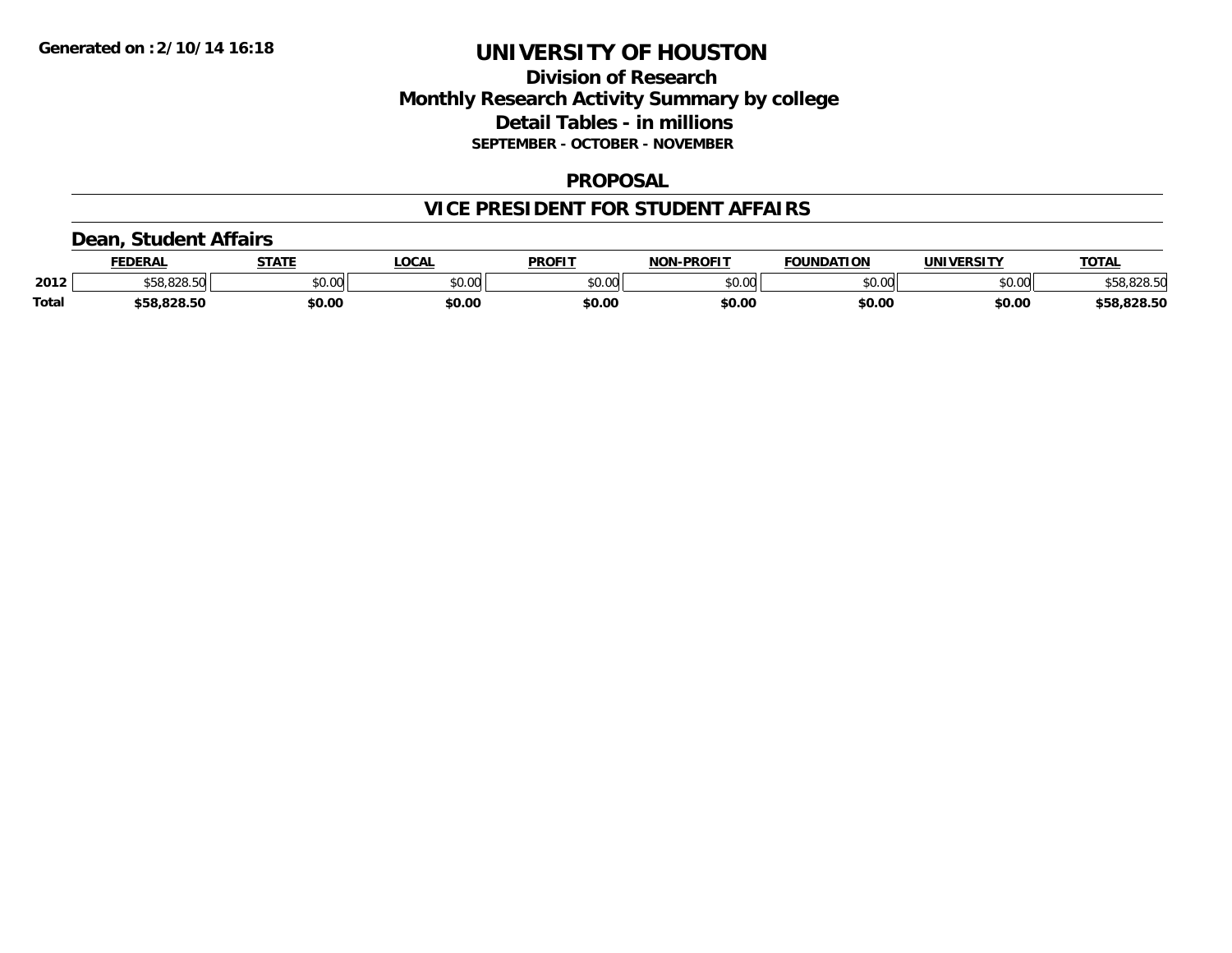## **Division of Research Monthly Research Activity Summary by college Detail Tables - in millions SEPTEMBER - OCTOBER - NOVEMBER**

### **PROPOSAL**

### **VICE PRESIDENT FOR STUDENT AFFAIRS**

### **Dean, Student Affairs**

|              | FEDERAL                  | <b>STATE</b> | <b>_OCAL</b> | <b>PROFIT</b> | <b>NON-PROFIT</b> | <b>FOUNDATION</b> | UNIVERSITY | <b>TOTAL</b> |
|--------------|--------------------------|--------------|--------------|---------------|-------------------|-------------------|------------|--------------|
| 2012         | co ono enl<br>ა58.828.50 | \$0.00       | \$0.00       | \$0.00        | \$0.00            | \$0.00            | \$0.00     | \$58,828.50  |
| <b>Total</b> | \$58,828.50              | \$0.00       | \$0.00       | \$0.00        | \$0.00            | \$0.00            | \$0.00     | \$58,828.50  |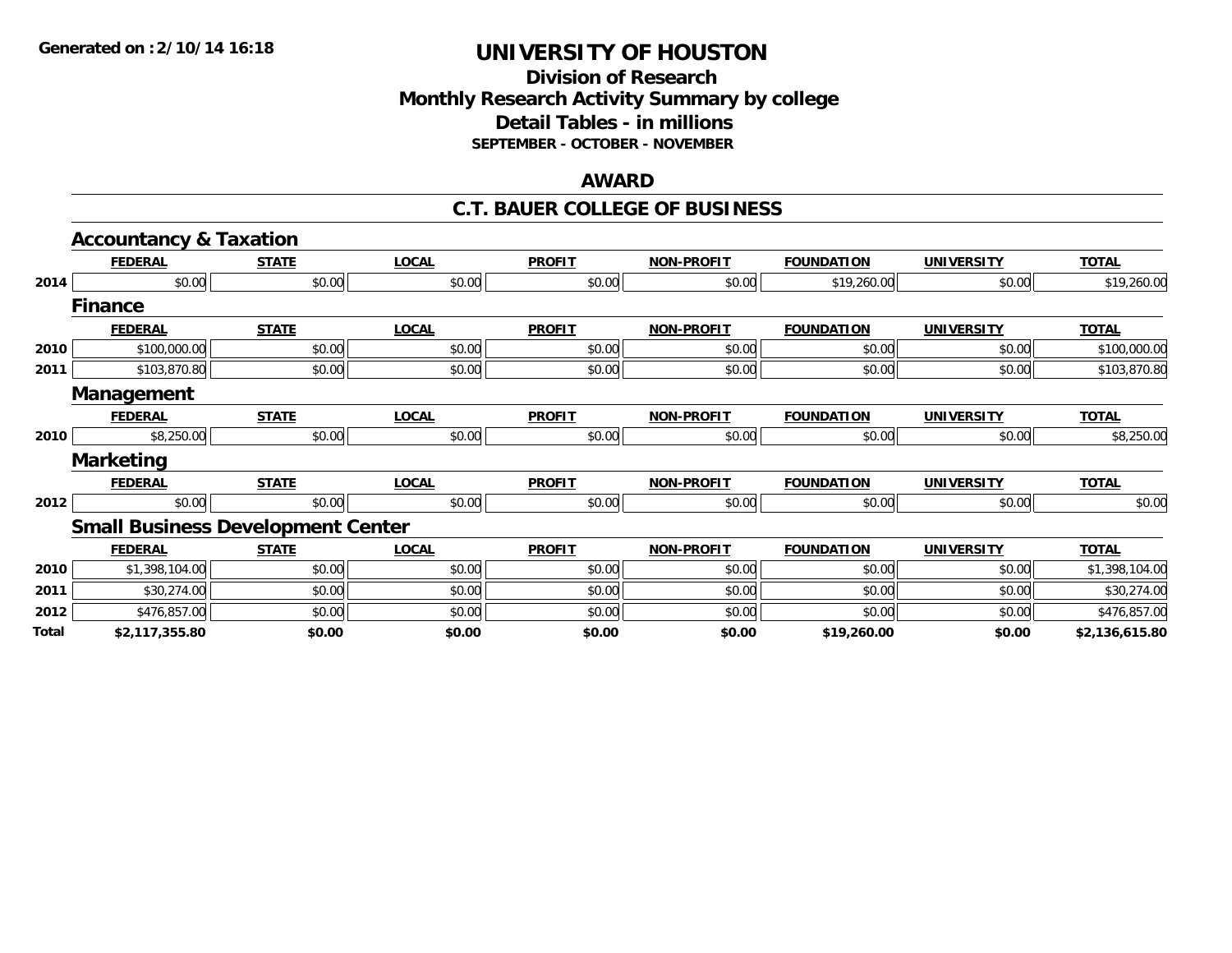## **Division of Research Monthly Research Activity Summary by college Detail Tables - in millions SEPTEMBER - OCTOBER - NOVEMBER**

#### **AWARD**

### **C.T. BAUER COLLEGE OF BUSINESS**

|       | <b>Accountancy &amp; Taxation</b>        |              |              |               |                   |                   |                   |                |
|-------|------------------------------------------|--------------|--------------|---------------|-------------------|-------------------|-------------------|----------------|
|       | <b>FEDERAL</b>                           | <b>STATE</b> | <b>LOCAL</b> | <b>PROFIT</b> | <b>NON-PROFIT</b> | <b>FOUNDATION</b> | <b>UNIVERSITY</b> | <b>TOTAL</b>   |
| 2014  | \$0.00                                   | \$0.00       | \$0.00       | \$0.00        | \$0.00            | \$19,260.00       | \$0.00            | \$19,260.00    |
|       | <b>Finance</b>                           |              |              |               |                   |                   |                   |                |
|       | <b>FEDERAL</b>                           | <b>STATE</b> | <b>LOCAL</b> | <b>PROFIT</b> | <b>NON-PROFIT</b> | <b>FOUNDATION</b> | <b>UNIVERSITY</b> | <b>TOTAL</b>   |
| 2010  | \$100,000.00                             | \$0.00       | \$0.00       | \$0.00        | \$0.00            | \$0.00            | \$0.00            | \$100,000.00   |
| 2011  | \$103,870.80                             | \$0.00       | \$0.00       | \$0.00        | \$0.00            | \$0.00            | \$0.00            | \$103,870.80   |
|       | <b>Management</b>                        |              |              |               |                   |                   |                   |                |
|       | <b>FEDERAL</b>                           | <b>STATE</b> | <b>LOCAL</b> | <b>PROFIT</b> | <b>NON-PROFIT</b> | <b>FOUNDATION</b> | <b>UNIVERSITY</b> | <b>TOTAL</b>   |
| 2010  | \$8,250.00                               | \$0.00       | \$0.00       | \$0.00        | \$0.00            | \$0.00            | \$0.00            | \$8,250.00     |
|       | <b>Marketing</b>                         |              |              |               |                   |                   |                   |                |
|       | <b>FEDERAL</b>                           | <b>STATE</b> | <b>LOCAL</b> | <b>PROFIT</b> | <b>NON-PROFIT</b> | <b>FOUNDATION</b> | <b>UNIVERSITY</b> | <b>TOTAL</b>   |
| 2012  | \$0.00                                   | \$0.00       | \$0.00       | \$0.00        | \$0.00            | \$0.00            | \$0.00            | \$0.00         |
|       | <b>Small Business Development Center</b> |              |              |               |                   |                   |                   |                |
|       | <b>FEDERAL</b>                           | <b>STATE</b> | <b>LOCAL</b> | <b>PROFIT</b> | <b>NON-PROFIT</b> | <b>FOUNDATION</b> | <b>UNIVERSITY</b> | <b>TOTAL</b>   |
| 2010  | \$1,398,104.00                           | \$0.00       | \$0.00       | \$0.00        | \$0.00            | \$0.00            | \$0.00            | \$1,398,104.00 |
| 2011  | \$30,274.00                              | \$0.00       | \$0.00       | \$0.00        | \$0.00            | \$0.00            | \$0.00            | \$30,274.00    |
| 2012  | \$476,857.00                             | \$0.00       | \$0.00       | \$0.00        | \$0.00            | \$0.00            | \$0.00            | \$476,857.00   |
| Total | \$2,117,355.80                           | \$0.00       | \$0.00       | \$0.00        | \$0.00            | \$19,260.00       | \$0.00            | \$2,136,615.80 |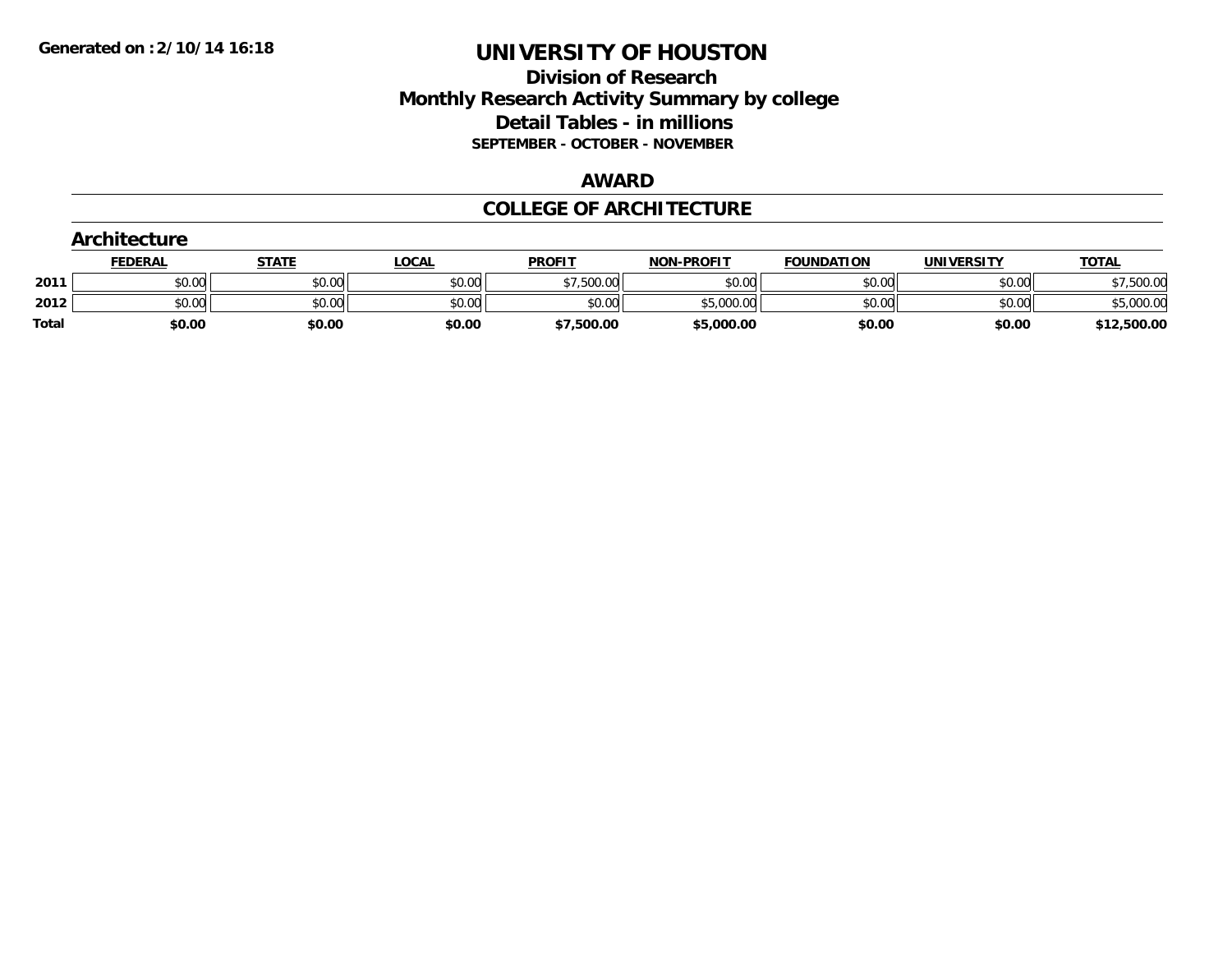## **Division of Research Monthly Research Activity Summary by college Detail Tables - in millions SEPTEMBER - OCTOBER - NOVEMBER**

#### **AWARD**

### **COLLEGE OF ARCHITECTURE**

| Architecture |                |              |              |               |                   |                   |                   |              |
|--------------|----------------|--------------|--------------|---------------|-------------------|-------------------|-------------------|--------------|
|              | <b>FEDERAL</b> | <b>STATE</b> | <u>LOCAL</u> | <b>PROFIT</b> | <b>NON-PROFIT</b> | <b>FOUNDATION</b> | <b>UNIVERSITY</b> | <b>TOTAL</b> |
| 2011         | \$0.00         | \$0.00       | \$0.00       | \$7,500.00    | \$0.00            | \$0.00            | \$0.00            | \$7,500.00   |
| 2012         | \$0.00         | \$0.00       | \$0.00       | \$0.00        | \$5,000.00        | \$0.00            | \$0.00            | \$5,000.00   |
| <b>Total</b> | \$0.00         | \$0.00       | \$0.00       | \$7,500.00    | \$5,000.00        | \$0.00            | \$0.00            | \$12,500.00  |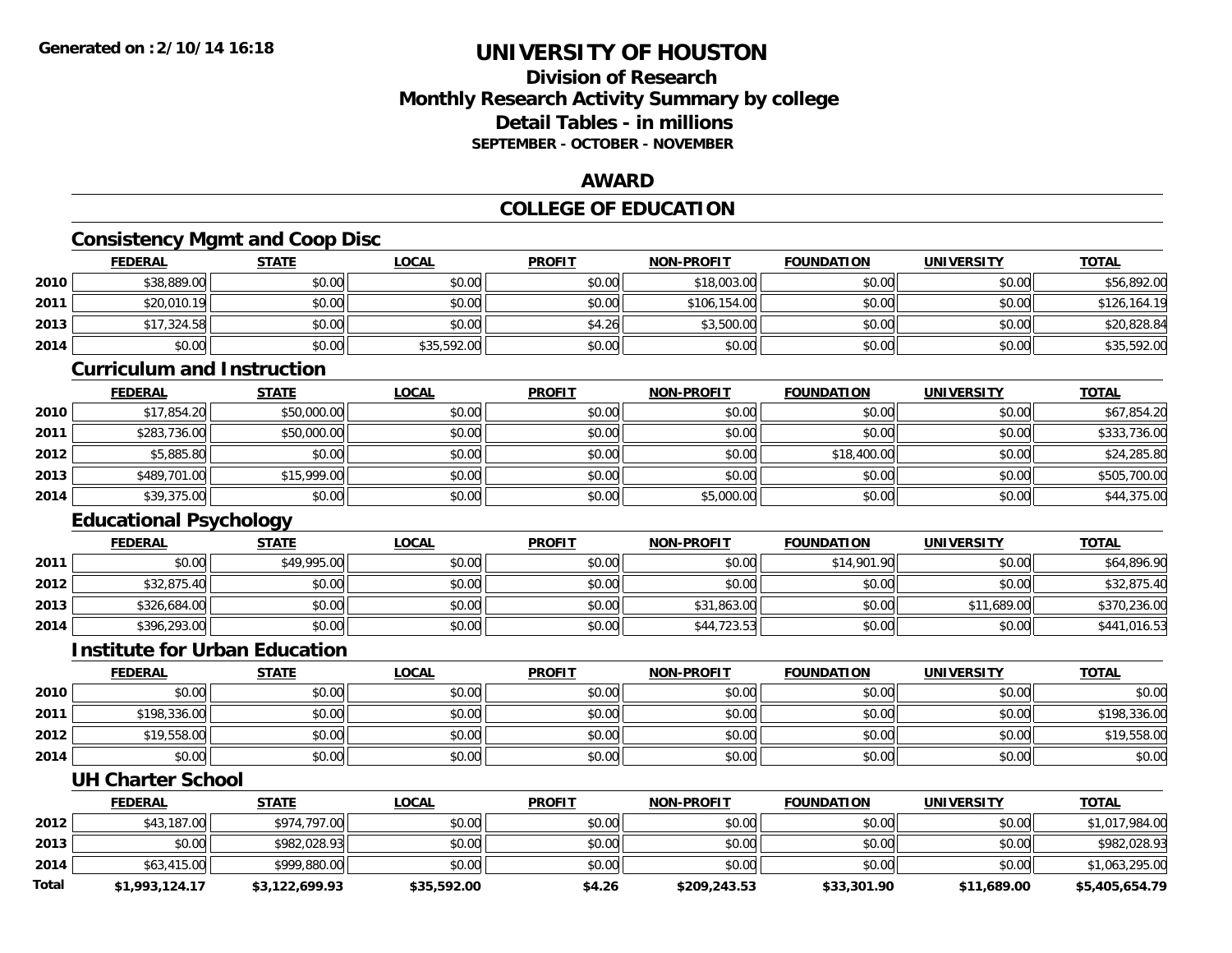## **Division of ResearchMonthly Research Activity Summary by college Detail Tables - in millionsSEPTEMBER - OCTOBER - NOVEMBER**

### **AWARD**

## **COLLEGE OF EDUCATION**

# **Consistency Mgmt and Coop Disc**

|      | <b>FEDERAL</b> | <u>STATE</u> | <u>LOCAL</u> | <b>PROFIT</b> | <b>NON-PROFIT</b> | <b>FOUNDATION</b> | <b>UNIVERSITY</b> | <b>TOTAL</b> |
|------|----------------|--------------|--------------|---------------|-------------------|-------------------|-------------------|--------------|
| 2010 | \$38,889.00    | \$0.00       | \$0.00       | \$0.00        | \$18,003.00       | \$0.00            | \$0.00            | \$56,892.00  |
| 2011 | \$20,010.19    | \$0.00       | \$0.00       | \$0.00        | \$106,154.00      | \$0.00            | \$0.00            | \$126,164.19 |
| 2013 | \$17,324.58    | \$0.00       | \$0.00       | \$4.26        | \$3,500.00        | \$0.00            | \$0.00            | \$20,828.84  |
| 2014 | \$0.00         | \$0.00       | \$35,592.00  | \$0.00        | \$0.00            | \$0.00            | \$0.00            | \$35,592.00  |

### **Curriculum and Instruction**

|      | <u>FEDERAL</u> | <u>STATE</u> | <u>LOCAL</u> | <b>PROFIT</b> | <b>NON-PROFIT</b> | <b>FOUNDATION</b> | <b>UNIVERSITY</b> | <b>TOTAL</b> |
|------|----------------|--------------|--------------|---------------|-------------------|-------------------|-------------------|--------------|
| 2010 | \$17,854.20    | \$50,000.00  | \$0.00       | \$0.00        | \$0.00            | \$0.00            | \$0.00            | \$67,854.20  |
| 2011 | \$283,736.00   | \$50,000.00  | \$0.00       | \$0.00        | \$0.00            | \$0.00            | \$0.00            | \$333,736.00 |
| 2012 | \$5,885.80     | \$0.00       | \$0.00       | \$0.00        | \$0.00            | \$18,400.00       | \$0.00            | \$24,285.80  |
| 2013 | \$489,701.00   | \$15,999.00  | \$0.00       | \$0.00        | \$0.00            | \$0.00            | \$0.00            | \$505,700.00 |
| 2014 | \$39,375.00    | \$0.00       | \$0.00       | \$0.00        | \$5,000.00        | \$0.00            | \$0.00            | \$44,375.00  |

## **Educational Psychology**

|      | <b>FEDERAL</b> | <b>STATE</b> | <u>LOCAL</u> | <b>PROFIT</b> | <b>NON-PROFIT</b> | <b>FOUNDATION</b> | <b>UNIVERSITY</b> | <b>TOTAL</b> |
|------|----------------|--------------|--------------|---------------|-------------------|-------------------|-------------------|--------------|
| 2011 | \$0.00         | \$49,995.00  | \$0.00       | \$0.00        | \$0.00            | \$14,901.90       | \$0.00            | \$64,896.90  |
| 2012 | \$32,875.40    | \$0.00       | \$0.00       | \$0.00        | \$0.00            | \$0.00            | \$0.00            | \$32,875.40  |
| 2013 | \$326,684.00   | \$0.00       | \$0.00       | \$0.00        | \$31,863.00       | \$0.00            | \$11,689.00       | \$370,236.00 |
| 2014 | \$396,293.00   | \$0.00       | \$0.00       | \$0.00        | \$44,723.53       | \$0.00            | \$0.00            | \$441,016.53 |

### **Institute for Urban Education**

|      | <b>FEDERAL</b> | <u>STATE</u> | <b>LOCAL</b> | <b>PROFIT</b> | <b>NON-PROFIT</b> | <b>FOUNDATION</b> | <b>UNIVERSITY</b> | <b>TOTAL</b> |
|------|----------------|--------------|--------------|---------------|-------------------|-------------------|-------------------|--------------|
| 2010 | \$0.00         | \$0.00       | \$0.00       | \$0.00        | \$0.00            | \$0.00            | \$0.00            | \$0.00       |
| 2011 | \$198,336.00   | \$0.00       | \$0.00       | \$0.00        | \$0.00            | \$0.00            | \$0.00            | \$198,336.00 |
| 2012 | \$19,558.00    | \$0.00       | \$0.00       | \$0.00        | \$0.00            | \$0.00            | \$0.00            | \$19,558.00  |
| 2014 | \$0.00         | \$0.00       | \$0.00       | \$0.00        | \$0.00            | \$0.00            | \$0.00            | \$0.00       |

#### **UH Charter School**

|       | <b>FEDERAL</b> | <u>STATE</u>   | <u>LOCAL</u> | <b>PROFIT</b> | <b>NON-PROFIT</b> | <b>FOUNDATION</b> | <b>UNIVERSITY</b> | <b>TOTAL</b>   |
|-------|----------------|----------------|--------------|---------------|-------------------|-------------------|-------------------|----------------|
| 2012  | \$43,187.00    | \$974,797.00   | \$0.00       | \$0.00        | \$0.00            | \$0.00            | \$0.00            | \$1,017,984.00 |
| 2013  | \$0.00         | \$982.028.93   | \$0.00       | \$0.00        | \$0.00            | \$0.00            | \$0.00            | \$982,028.93   |
| 2014  | \$63,415.00    | \$999,880.00   | \$0.00       | \$0.00        | \$0.00            | \$0.00            | \$0.00            | \$1,063,295.00 |
| Total | \$1,993,124.17 | \$3,122,699.93 | \$35,592.00  | \$4.26        | \$209,243.53      | \$33,301.90       | \$11,689.00       | \$5,405,654.79 |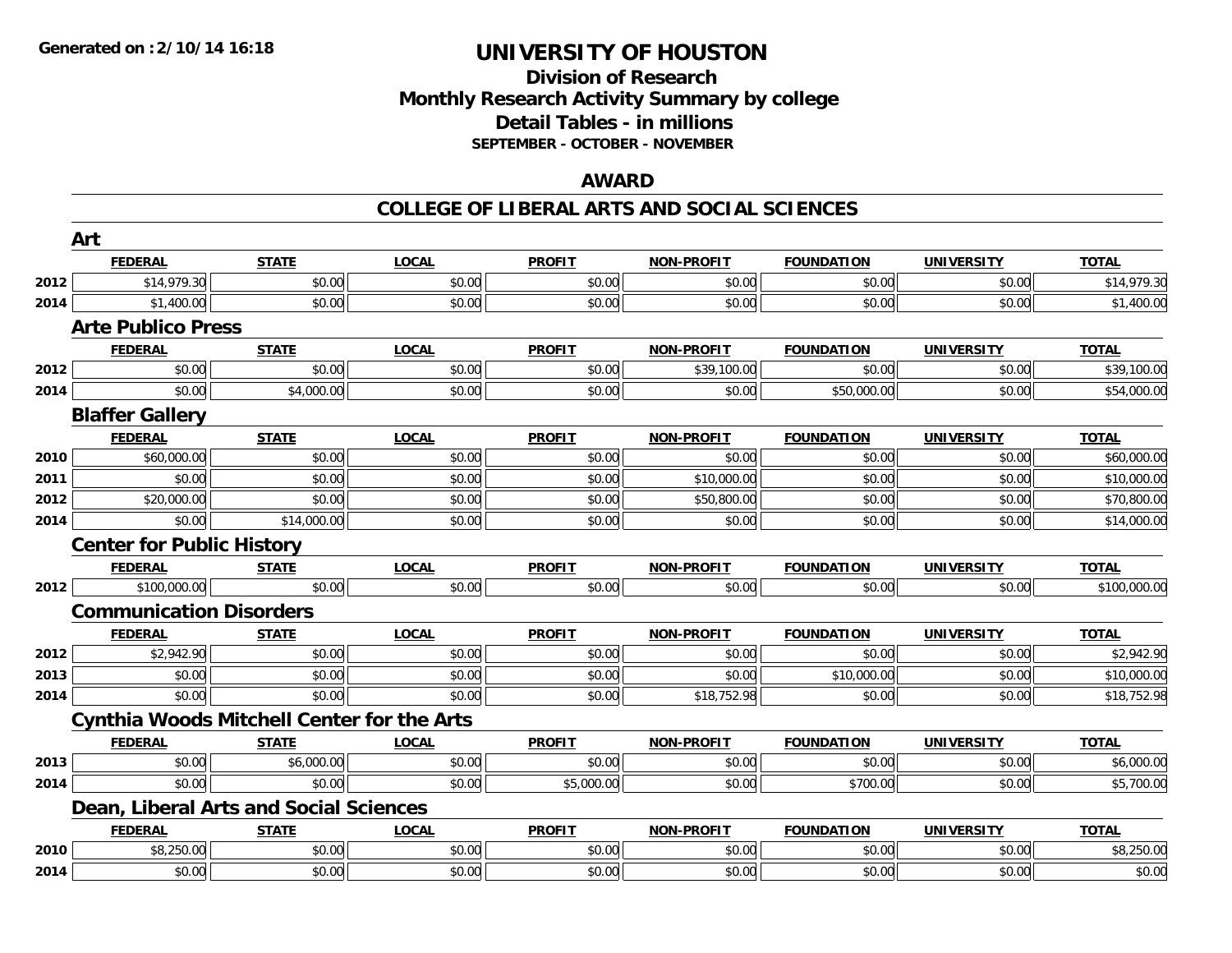## **Division of Research Monthly Research Activity Summary by college Detail Tables - in millions SEPTEMBER - OCTOBER - NOVEMBER**

#### **AWARD**

|      | Art                              |                                                   |              |               |                   |                   |                   |              |
|------|----------------------------------|---------------------------------------------------|--------------|---------------|-------------------|-------------------|-------------------|--------------|
|      | <b>FEDERAL</b>                   | <b>STATE</b>                                      | <b>LOCAL</b> | <b>PROFIT</b> | <b>NON-PROFIT</b> | <b>FOUNDATION</b> | <b>UNIVERSITY</b> | <b>TOTAL</b> |
| 2012 | \$14,979.30                      | \$0.00                                            | \$0.00       | \$0.00        | \$0.00            | \$0.00            | \$0.00            | \$14,979.30  |
| 2014 | \$1,400.00                       | \$0.00                                            | \$0.00       | \$0.00        | \$0.00            | \$0.00            | \$0.00            | \$1,400.00   |
|      | <b>Arte Publico Press</b>        |                                                   |              |               |                   |                   |                   |              |
|      | <b>FEDERAL</b>                   | <b>STATE</b>                                      | <b>LOCAL</b> | <b>PROFIT</b> | <b>NON-PROFIT</b> | <b>FOUNDATION</b> | <b>UNIVERSITY</b> | <b>TOTAL</b> |
| 2012 | \$0.00                           | \$0.00                                            | \$0.00       | \$0.00        | \$39,100.00       | \$0.00            | \$0.00            | \$39,100.00  |
| 2014 | \$0.00                           | \$4,000.00                                        | \$0.00       | \$0.00        | \$0.00            | \$50,000.00       | \$0.00            | \$54,000.00  |
|      | <b>Blaffer Gallery</b>           |                                                   |              |               |                   |                   |                   |              |
|      | <b>FEDERAL</b>                   | <b>STATE</b>                                      | <b>LOCAL</b> | <b>PROFIT</b> | <b>NON-PROFIT</b> | <b>FOUNDATION</b> | <b>UNIVERSITY</b> | <b>TOTAL</b> |
| 2010 | \$60,000.00                      | \$0.00                                            | \$0.00       | \$0.00        | \$0.00            | \$0.00            | \$0.00            | \$60,000.00  |
| 2011 | \$0.00                           | \$0.00                                            | \$0.00       | \$0.00        | \$10,000.00       | \$0.00            | \$0.00            | \$10,000.00  |
| 2012 | \$20,000.00                      | \$0.00                                            | \$0.00       | \$0.00        | \$50,800.00       | \$0.00            | \$0.00            | \$70,800.00  |
| 2014 | \$0.00                           | \$14,000.00                                       | \$0.00       | \$0.00        | \$0.00            | \$0.00            | \$0.00            | \$14,000.00  |
|      | <b>Center for Public History</b> |                                                   |              |               |                   |                   |                   |              |
|      | <b>FEDERAL</b>                   | <b>STATE</b>                                      | <b>LOCAL</b> | <b>PROFIT</b> | <b>NON-PROFIT</b> | <b>FOUNDATION</b> | <b>UNIVERSITY</b> | <b>TOTAL</b> |
| 2012 | \$100,000.00                     | \$0.00                                            | \$0.00       | \$0.00        | \$0.00            | \$0.00            | \$0.00            | \$100,000.00 |
|      | <b>Communication Disorders</b>   |                                                   |              |               |                   |                   |                   |              |
|      | <b>FEDERAL</b>                   | <b>STATE</b>                                      | <b>LOCAL</b> | <b>PROFIT</b> | <b>NON-PROFIT</b> | <b>FOUNDATION</b> | <b>UNIVERSITY</b> | <b>TOTAL</b> |
| 2012 | \$2,942.90                       | \$0.00                                            | \$0.00       | \$0.00        | \$0.00            | \$0.00            | \$0.00            | \$2,942.90   |
| 2013 | \$0.00                           | \$0.00                                            | \$0.00       | \$0.00        | \$0.00            | \$10,000.00       | \$0.00            | \$10,000.00  |
| 2014 | \$0.00                           | \$0.00                                            | \$0.00       | \$0.00        | \$18,752.98       | \$0.00            | \$0.00            | \$18,752.98  |
|      |                                  | <b>Cynthia Woods Mitchell Center for the Arts</b> |              |               |                   |                   |                   |              |
|      | <b>FEDERAL</b>                   | <b>STATE</b>                                      | <b>LOCAL</b> | <b>PROFIT</b> | <b>NON-PROFIT</b> | <b>FOUNDATION</b> | <b>UNIVERSITY</b> | <b>TOTAL</b> |
| 2013 | \$0.00                           | \$6,000.00                                        | \$0.00       | \$0.00        | \$0.00            | \$0.00            | \$0.00            | \$6,000.00   |
| 2014 | \$0.00                           | \$0.00                                            | \$0.00       | \$5,000.00    | \$0.00            | \$700.00          | \$0.00            | \$5,700.00   |
|      |                                  | Dean, Liberal Arts and Social Sciences            |              |               |                   |                   |                   |              |
|      | <b>FEDERAL</b>                   | <b>STATE</b>                                      | <b>LOCAL</b> | <b>PROFIT</b> | <b>NON-PROFIT</b> | <b>FOUNDATION</b> | <b>UNIVERSITY</b> | <b>TOTAL</b> |
| 2010 | \$8,250.00                       | \$0.00                                            | \$0.00       | \$0.00        | \$0.00            | \$0.00            | \$0.00            | \$8,250.00   |
| 2014 | \$0.00                           | \$0.00                                            | \$0.00       | \$0.00        | \$0.00            | \$0.00            | \$0.00            | \$0.00       |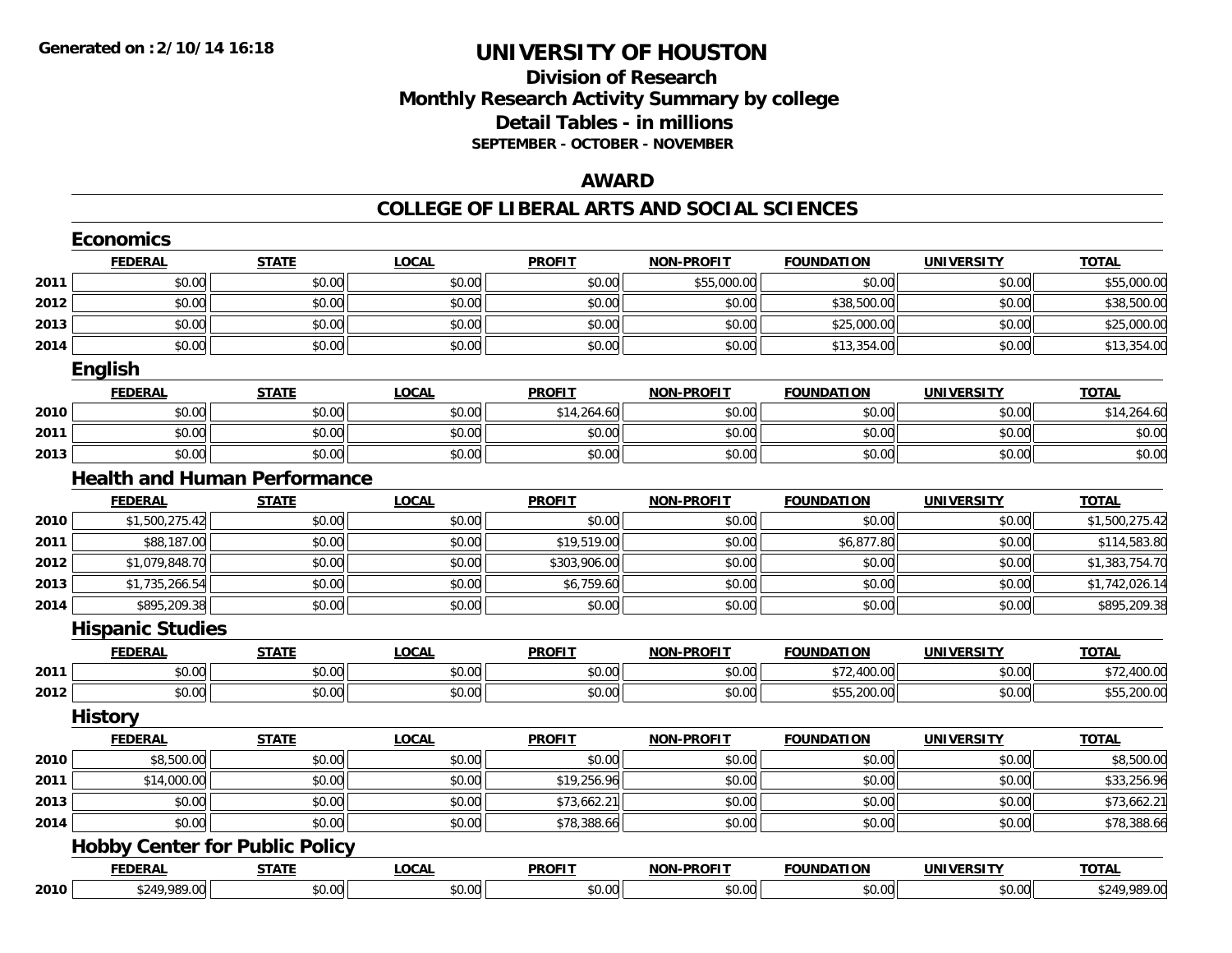## **Division of Research Monthly Research Activity Summary by college Detail Tables - in millions SEPTEMBER - OCTOBER - NOVEMBER**

#### **AWARD**

| <b>FEDERAL</b><br>\$0.00<br>\$0.00<br>\$0.00<br>\$0.00<br>English<br><b>FEDERAL</b><br>\$0.00<br>\$0.00<br>\$0.00<br><b>FEDERAL</b><br>\$1,500,275.42<br>\$88,187.00 | <b>STATE</b><br>\$0.00<br>\$0.00<br>\$0.00<br>\$0.00<br><b>STATE</b><br>\$0.00<br>\$0.00<br>\$0.00<br><b>Health and Human Performance</b><br><b>STATE</b><br>\$0.00<br>\$0.00 | <b>LOCAL</b><br>\$0.00<br>\$0.00<br>\$0.00<br>\$0.00<br><b>LOCAL</b><br>\$0.00<br>\$0.00<br>\$0.00<br><b>LOCAL</b><br>\$0.00<br>\$0.00 | <b>PROFIT</b><br>\$0.00<br>\$0.00<br>\$0.00<br>\$0.00<br><b>PROFIT</b><br>\$14,264.60<br>\$0.00<br>\$0.00<br><b>PROFIT</b><br>\$0.00 | <b>NON-PROFIT</b><br>\$55,000.00<br>\$0.00<br>\$0.00<br>\$0.00<br><b>NON-PROFIT</b><br>\$0.00<br>\$0.00<br>\$0.00<br><b>NON-PROFIT</b><br>\$0.00 | <b>FOUNDATION</b><br>\$0.00<br>\$38,500.00<br>\$25,000.00<br>\$13,354.00<br><b>FOUNDATION</b><br>\$0.00<br>\$0.00<br>\$0.00<br><b>FOUNDATION</b><br>\$0.00 | <b>UNIVERSITY</b><br>\$0.00<br>\$0.00<br>\$0.00<br>\$0.00<br><b>UNIVERSITY</b><br>\$0.00<br>\$0.00<br>\$0.00<br><b>UNIVERSITY</b><br>\$0.00 | <b>TOTAL</b><br>\$55,000.00<br>\$38,500.00<br>\$25,000.00<br>\$13,354.00<br><b>TOTAL</b><br>\$14,264.60<br>\$0.00<br>\$0.00<br><b>TOTAL</b> |
|----------------------------------------------------------------------------------------------------------------------------------------------------------------------|-------------------------------------------------------------------------------------------------------------------------------------------------------------------------------|----------------------------------------------------------------------------------------------------------------------------------------|--------------------------------------------------------------------------------------------------------------------------------------|--------------------------------------------------------------------------------------------------------------------------------------------------|------------------------------------------------------------------------------------------------------------------------------------------------------------|---------------------------------------------------------------------------------------------------------------------------------------------|---------------------------------------------------------------------------------------------------------------------------------------------|
|                                                                                                                                                                      |                                                                                                                                                                               |                                                                                                                                        |                                                                                                                                      |                                                                                                                                                  |                                                                                                                                                            |                                                                                                                                             |                                                                                                                                             |
|                                                                                                                                                                      |                                                                                                                                                                               |                                                                                                                                        |                                                                                                                                      |                                                                                                                                                  |                                                                                                                                                            |                                                                                                                                             |                                                                                                                                             |
|                                                                                                                                                                      |                                                                                                                                                                               |                                                                                                                                        |                                                                                                                                      |                                                                                                                                                  |                                                                                                                                                            |                                                                                                                                             |                                                                                                                                             |
|                                                                                                                                                                      |                                                                                                                                                                               |                                                                                                                                        |                                                                                                                                      |                                                                                                                                                  |                                                                                                                                                            |                                                                                                                                             |                                                                                                                                             |
|                                                                                                                                                                      |                                                                                                                                                                               |                                                                                                                                        |                                                                                                                                      |                                                                                                                                                  |                                                                                                                                                            |                                                                                                                                             |                                                                                                                                             |
|                                                                                                                                                                      |                                                                                                                                                                               |                                                                                                                                        |                                                                                                                                      |                                                                                                                                                  |                                                                                                                                                            |                                                                                                                                             |                                                                                                                                             |
|                                                                                                                                                                      |                                                                                                                                                                               |                                                                                                                                        |                                                                                                                                      |                                                                                                                                                  |                                                                                                                                                            |                                                                                                                                             |                                                                                                                                             |
|                                                                                                                                                                      |                                                                                                                                                                               |                                                                                                                                        |                                                                                                                                      |                                                                                                                                                  |                                                                                                                                                            |                                                                                                                                             |                                                                                                                                             |
|                                                                                                                                                                      |                                                                                                                                                                               |                                                                                                                                        |                                                                                                                                      |                                                                                                                                                  |                                                                                                                                                            |                                                                                                                                             |                                                                                                                                             |
|                                                                                                                                                                      |                                                                                                                                                                               |                                                                                                                                        |                                                                                                                                      |                                                                                                                                                  |                                                                                                                                                            |                                                                                                                                             |                                                                                                                                             |
|                                                                                                                                                                      |                                                                                                                                                                               |                                                                                                                                        |                                                                                                                                      |                                                                                                                                                  |                                                                                                                                                            |                                                                                                                                             |                                                                                                                                             |
|                                                                                                                                                                      |                                                                                                                                                                               |                                                                                                                                        |                                                                                                                                      |                                                                                                                                                  |                                                                                                                                                            |                                                                                                                                             |                                                                                                                                             |
|                                                                                                                                                                      |                                                                                                                                                                               |                                                                                                                                        |                                                                                                                                      |                                                                                                                                                  |                                                                                                                                                            |                                                                                                                                             | \$1,500,275.42                                                                                                                              |
|                                                                                                                                                                      |                                                                                                                                                                               |                                                                                                                                        | \$19,519.00                                                                                                                          | \$0.00                                                                                                                                           | \$6,877.80                                                                                                                                                 | \$0.00                                                                                                                                      | \$114,583.80                                                                                                                                |
| \$1,079,848.70                                                                                                                                                       | \$0.00                                                                                                                                                                        | \$0.00                                                                                                                                 | \$303,906.00                                                                                                                         | \$0.00                                                                                                                                           | \$0.00                                                                                                                                                     | \$0.00                                                                                                                                      | \$1,383,754.70                                                                                                                              |
| \$1,735,266.54                                                                                                                                                       | \$0.00                                                                                                                                                                        | \$0.00                                                                                                                                 | \$6,759.60                                                                                                                           | \$0.00                                                                                                                                           | \$0.00                                                                                                                                                     | \$0.00                                                                                                                                      | \$1,742,026.14                                                                                                                              |
| \$895,209.38                                                                                                                                                         | \$0.00                                                                                                                                                                        | \$0.00                                                                                                                                 | \$0.00                                                                                                                               | \$0.00                                                                                                                                           | \$0.00                                                                                                                                                     | \$0.00                                                                                                                                      | \$895,209.38                                                                                                                                |
| <b>Hispanic Studies</b>                                                                                                                                              |                                                                                                                                                                               |                                                                                                                                        |                                                                                                                                      |                                                                                                                                                  |                                                                                                                                                            |                                                                                                                                             |                                                                                                                                             |
| <b>FEDERAL</b>                                                                                                                                                       | <b>STATE</b>                                                                                                                                                                  | <b>LOCAL</b>                                                                                                                           | <b>PROFIT</b>                                                                                                                        | <b>NON-PROFIT</b>                                                                                                                                | <b>FOUNDATION</b>                                                                                                                                          | <b>UNIVERSITY</b>                                                                                                                           | <b>TOTAL</b>                                                                                                                                |
| \$0.00                                                                                                                                                               | \$0.00                                                                                                                                                                        | \$0.00                                                                                                                                 | \$0.00                                                                                                                               | \$0.00                                                                                                                                           | \$72,400.00                                                                                                                                                | \$0.00                                                                                                                                      | \$72,400.00                                                                                                                                 |
| \$0.00                                                                                                                                                               | \$0.00                                                                                                                                                                        | \$0.00                                                                                                                                 | \$0.00                                                                                                                               | \$0.00                                                                                                                                           | \$55,200.00                                                                                                                                                | \$0.00                                                                                                                                      | \$55,200.00                                                                                                                                 |
| <b>History</b>                                                                                                                                                       |                                                                                                                                                                               |                                                                                                                                        |                                                                                                                                      |                                                                                                                                                  |                                                                                                                                                            |                                                                                                                                             |                                                                                                                                             |
| <b>FEDERAL</b>                                                                                                                                                       | <b>STATE</b>                                                                                                                                                                  | LOCAL                                                                                                                                  | <b>PROFIT</b>                                                                                                                        | <b>NON-PROFIT</b>                                                                                                                                | <b>FOUNDATION</b>                                                                                                                                          | <b>UNIVERSITY</b>                                                                                                                           | <b>TOTAL</b>                                                                                                                                |
| \$8,500.00                                                                                                                                                           | \$0.00                                                                                                                                                                        | \$0.00                                                                                                                                 | \$0.00                                                                                                                               | \$0.00                                                                                                                                           | \$0.00                                                                                                                                                     | \$0.00                                                                                                                                      | \$8,500.00                                                                                                                                  |
| \$14,000.00                                                                                                                                                          | \$0.00                                                                                                                                                                        | \$0.00                                                                                                                                 | \$19,256.96                                                                                                                          | \$0.00                                                                                                                                           | \$0.00                                                                                                                                                     | \$0.00                                                                                                                                      | \$33,256.96                                                                                                                                 |
| \$0.00                                                                                                                                                               | \$0.00                                                                                                                                                                        | \$0.00                                                                                                                                 | \$73,662.21                                                                                                                          | \$0.00                                                                                                                                           | \$0.00                                                                                                                                                     | \$0.00                                                                                                                                      | \$73,662.21                                                                                                                                 |
| \$0.00                                                                                                                                                               | \$0.00                                                                                                                                                                        | \$0.00                                                                                                                                 | \$78,388.66                                                                                                                          | \$0.00                                                                                                                                           | \$0.00                                                                                                                                                     | \$0.00                                                                                                                                      | \$78,388.66                                                                                                                                 |
|                                                                                                                                                                      |                                                                                                                                                                               |                                                                                                                                        |                                                                                                                                      |                                                                                                                                                  |                                                                                                                                                            |                                                                                                                                             |                                                                                                                                             |
|                                                                                                                                                                      |                                                                                                                                                                               | <b>LOCAL</b>                                                                                                                           | <b>PROFIT</b>                                                                                                                        | <b>NON-PROFIT</b>                                                                                                                                | <b>FOUNDATION</b>                                                                                                                                          | <b>UNIVERSITY</b>                                                                                                                           | <b>TOTAL</b>                                                                                                                                |
| <b>FEDERAL</b>                                                                                                                                                       |                                                                                                                                                                               |                                                                                                                                        |                                                                                                                                      | \$0.00                                                                                                                                           |                                                                                                                                                            | \$0.00                                                                                                                                      |                                                                                                                                             |
|                                                                                                                                                                      |                                                                                                                                                                               | <b>Hobby Center for Public Policy</b><br><b>STATE</b>                                                                                  |                                                                                                                                      | \$0.00<br>\$249,989.00<br>\$0.00<br>\$0.00                                                                                                       |                                                                                                                                                            | \$0.00                                                                                                                                      |                                                                                                                                             |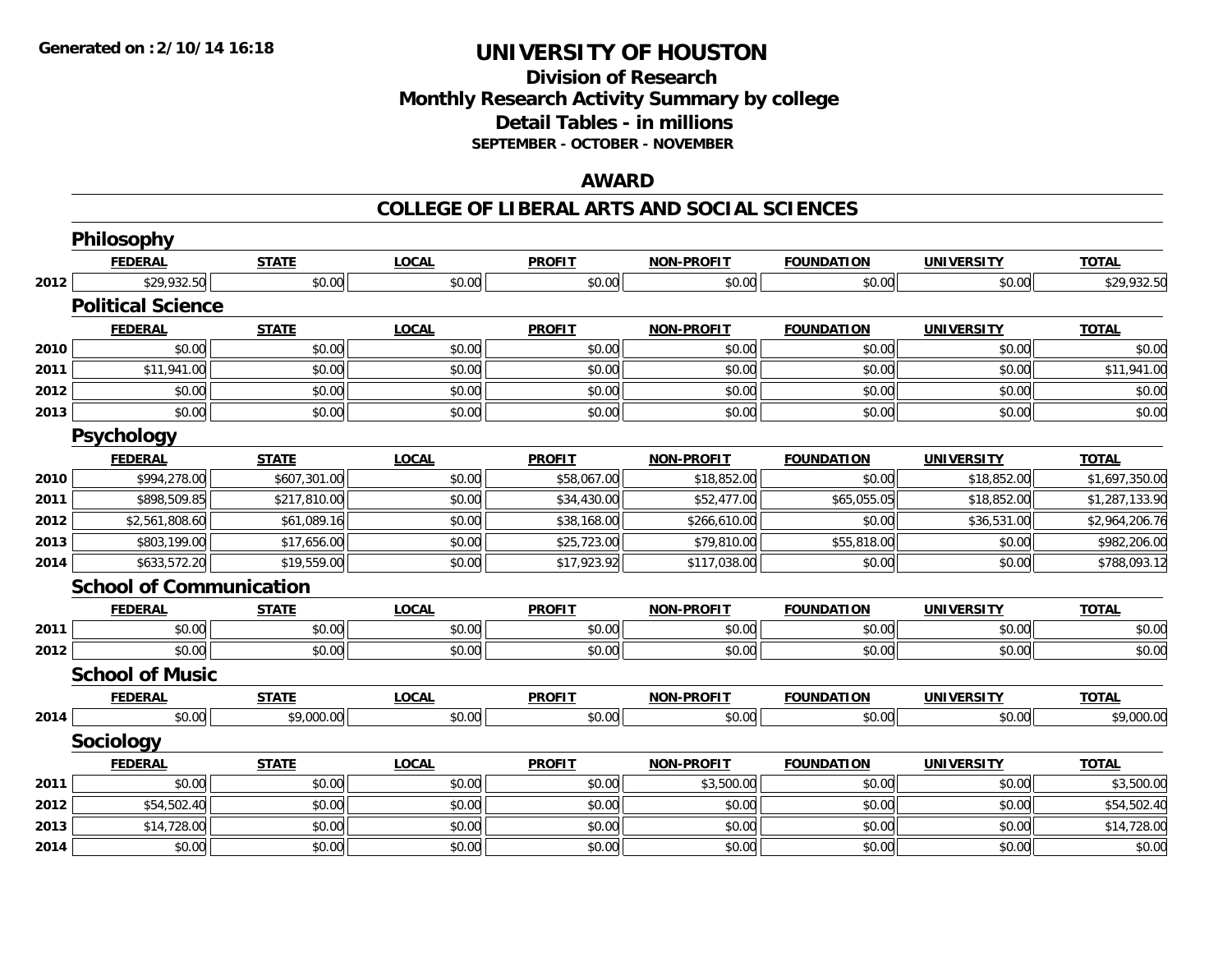## **Division of ResearchMonthly Research Activity Summary by college Detail Tables - in millions SEPTEMBER - OCTOBER - NOVEMBER**

### **AWARD**

|      | Philosophy                     |              |              |               |                   |                   |                   |                |
|------|--------------------------------|--------------|--------------|---------------|-------------------|-------------------|-------------------|----------------|
|      | <b>FEDERAL</b>                 | <b>STATE</b> | <b>LOCAL</b> | <b>PROFIT</b> | <b>NON-PROFIT</b> | <b>FOUNDATION</b> | <b>UNIVERSITY</b> | <b>TOTAL</b>   |
| 2012 | \$29,932.50                    | \$0.00       | \$0.00       | \$0.00        | \$0.00            | \$0.00            | \$0.00            | \$29,932.50    |
|      | <b>Political Science</b>       |              |              |               |                   |                   |                   |                |
|      | <b>FEDERAL</b>                 | <b>STATE</b> | <b>LOCAL</b> | <b>PROFIT</b> | <b>NON-PROFIT</b> | <b>FOUNDATION</b> | <b>UNIVERSITY</b> | <b>TOTAL</b>   |
| 2010 | \$0.00                         | \$0.00       | \$0.00       | \$0.00        | \$0.00            | \$0.00            | \$0.00            | \$0.00         |
| 2011 | \$11,941.00                    | \$0.00       | \$0.00       | \$0.00        | \$0.00            | \$0.00            | \$0.00            | \$11,941.00    |
| 2012 | \$0.00                         | \$0.00       | \$0.00       | \$0.00        | \$0.00            | \$0.00            | \$0.00            | \$0.00         |
| 2013 | \$0.00                         | \$0.00       | \$0.00       | \$0.00        | \$0.00            | \$0.00            | \$0.00            | \$0.00         |
|      | <b>Psychology</b>              |              |              |               |                   |                   |                   |                |
|      | <b>FEDERAL</b>                 | <b>STATE</b> | <b>LOCAL</b> | <b>PROFIT</b> | <b>NON-PROFIT</b> | <b>FOUNDATION</b> | <b>UNIVERSITY</b> | <b>TOTAL</b>   |
| 2010 | \$994,278.00                   | \$607,301.00 | \$0.00       | \$58,067.00   | \$18,852.00       | \$0.00            | \$18,852.00       | \$1,697,350.00 |
| 2011 | \$898,509.85                   | \$217,810.00 | \$0.00       | \$34,430.00   | \$52,477.00       | \$65,055.05       | \$18,852.00       | \$1,287,133.90 |
| 2012 | \$2,561,808.60                 | \$61,089.16  | \$0.00       | \$38,168.00   | \$266,610.00      | \$0.00            | \$36,531.00       | \$2,964,206.76 |
| 2013 | \$803,199.00                   | \$17,656.00  | \$0.00       | \$25,723.00   | \$79,810.00       | \$55,818.00       | \$0.00            | \$982,206.00   |
| 2014 | \$633,572.20                   | \$19,559.00  | \$0.00       | \$17,923.92   | \$117,038.00      | \$0.00            | \$0.00            | \$788,093.12   |
|      | <b>School of Communication</b> |              |              |               |                   |                   |                   |                |
|      | <b>FEDERAL</b>                 | <b>STATE</b> | <b>LOCAL</b> | <b>PROFIT</b> | <b>NON-PROFIT</b> | <b>FOUNDATION</b> | <b>UNIVERSITY</b> | <b>TOTAL</b>   |
| 2011 | \$0.00                         | \$0.00       | \$0.00       | \$0.00        | \$0.00            | \$0.00            | \$0.00            | \$0.00         |
| 2012 | \$0.00                         | \$0.00       | \$0.00       | \$0.00        | \$0.00            | \$0.00            | \$0.00            | \$0.00         |
|      | <b>School of Music</b>         |              |              |               |                   |                   |                   |                |
|      | <b>FEDERAL</b>                 | <b>STATE</b> | <b>LOCAL</b> | <b>PROFIT</b> | <b>NON-PROFIT</b> | <b>FOUNDATION</b> | <b>UNIVERSITY</b> | <b>TOTAL</b>   |
| 2014 | \$0.00                         | \$9,000.00   | \$0.00       | \$0.00        | \$0.00            | \$0.00            | \$0.00            | \$9,000.00     |
|      | <b>Sociology</b>               |              |              |               |                   |                   |                   |                |
|      | <b>FEDERAL</b>                 | <b>STATE</b> | <b>LOCAL</b> | <b>PROFIT</b> | <b>NON-PROFIT</b> | <b>FOUNDATION</b> | <b>UNIVERSITY</b> | <b>TOTAL</b>   |
| 2011 | \$0.00                         | \$0.00       | \$0.00       | \$0.00        | \$3,500.00        | \$0.00            | \$0.00            | \$3,500.00     |
| 2012 | \$54,502.40                    | \$0.00       | \$0.00       | \$0.00        | \$0.00            | \$0.00            | \$0.00            | \$54,502.40    |
| 2013 | \$14,728.00                    | \$0.00       | \$0.00       | \$0.00        | \$0.00            | \$0.00            | \$0.00            | \$14,728.00    |
| 2014 | \$0.00                         | \$0.00       | \$0.00       | \$0.00        | \$0.00            | \$0.00            | \$0.00            | \$0.00         |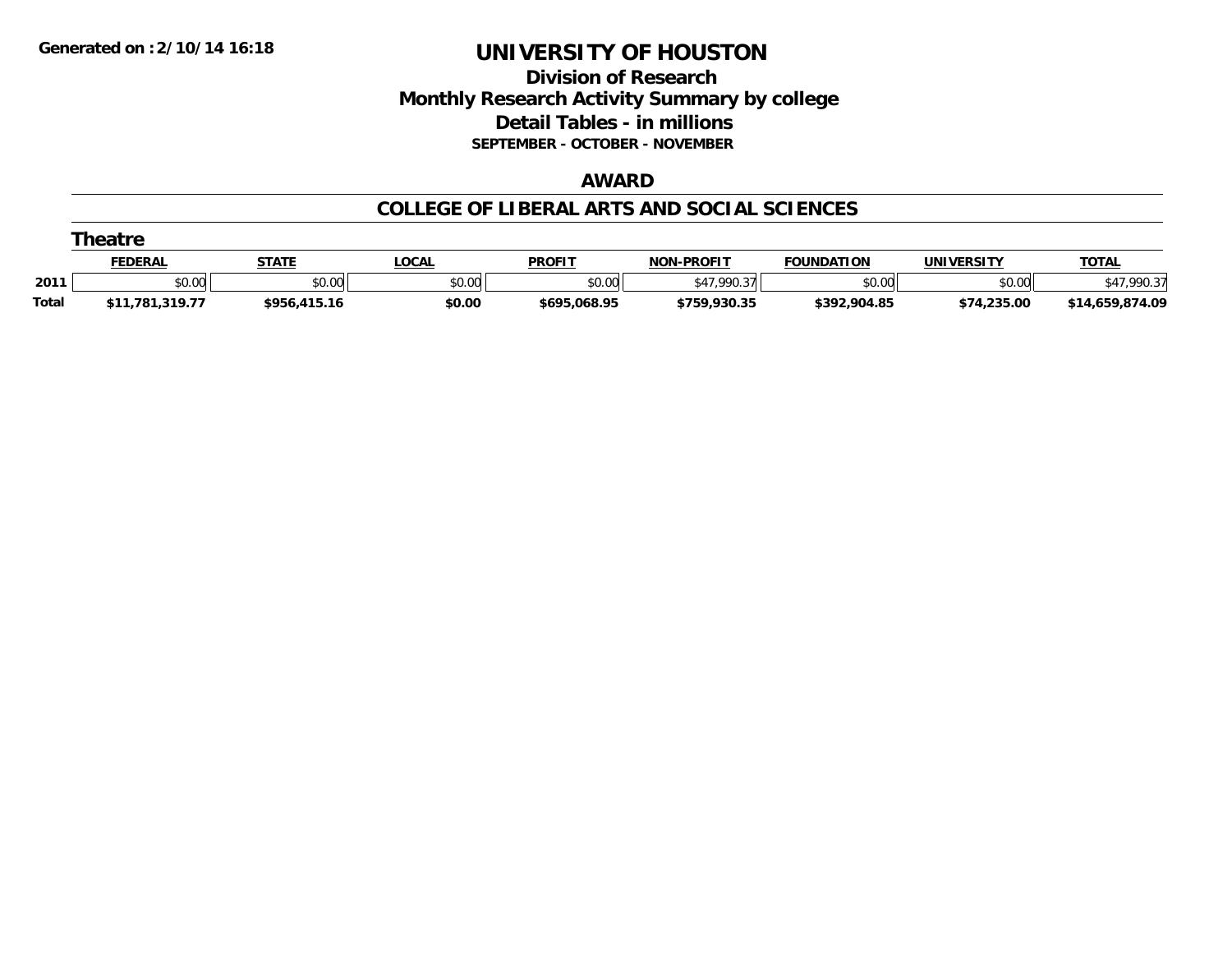## **Division of Research Monthly Research Activity Summary by college Detail Tables - in millions SEPTEMBER - OCTOBER - NOVEMBER**

#### **AWARD**

|              | <b>heatr</b>    |              |               |               |                   |                   |             |                 |  |  |
|--------------|-----------------|--------------|---------------|---------------|-------------------|-------------------|-------------|-----------------|--|--|
|              | <b>FEDERAL</b>  | <b>STATE</b> | <u>' OCAL</u> | <b>PROFIT</b> | <b>NON-PROFIT</b> | <b>FOUNDATION</b> | UNIVERSITY  | <b>TOTAL</b>    |  |  |
| 2011         | \$0.00          | \$0.00       | \$0.00        | \$0.00        | \$47.990.37       | \$0.00            | \$0.00      | .990.37         |  |  |
| <b>Total</b> | \$11,781,319.77 | \$956,415.16 | \$0.00        | \$695,068.95  | \$759,930.35      | \$392,904.85      | \$74,235.00 | \$14,659,874.09 |  |  |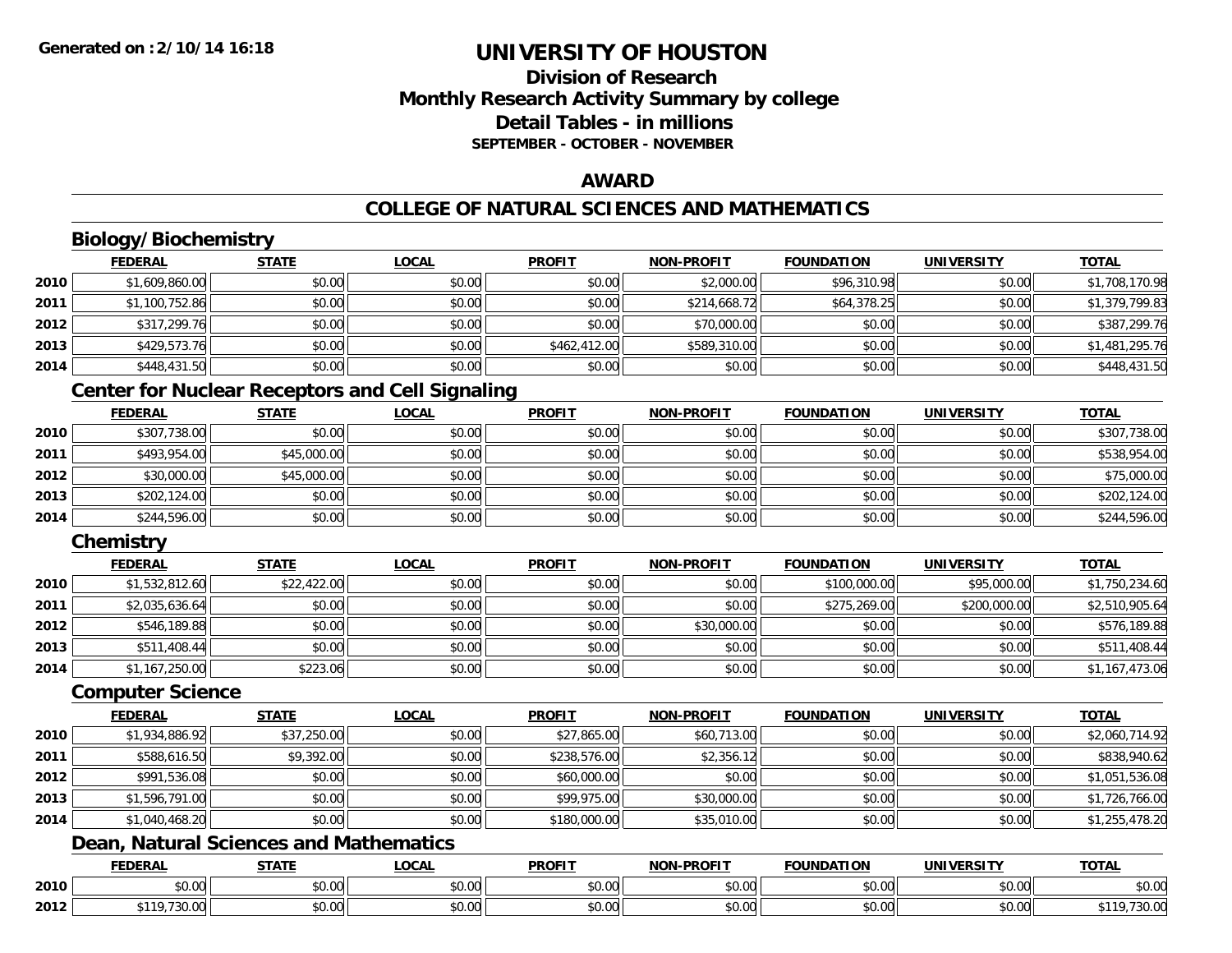## **Division of ResearchMonthly Research Activity Summary by college Detail Tables - in millionsSEPTEMBER - OCTOBER - NOVEMBER**

### **AWARD**

## **COLLEGE OF NATURAL SCIENCES AND MATHEMATICS**

# **Biology/Biochemistry**

|      | <b>FEDERAL</b> | <b>STATE</b> | <u>LOCAL</u> | <b>PROFIT</b> | <b>NON-PROFIT</b> | <b>FOUNDATION</b> | <b>UNIVERSITY</b> | <b>TOTAL</b>   |
|------|----------------|--------------|--------------|---------------|-------------------|-------------------|-------------------|----------------|
| 2010 | \$1,609,860.00 | \$0.00       | \$0.00       | \$0.00        | \$2,000.00        | \$96,310.98       | \$0.00            | \$1,708,170.98 |
| 2011 | \$1,100,752.86 | \$0.00       | \$0.00       | \$0.00        | \$214,668.72      | \$64,378.25       | \$0.00            | \$1,379,799.83 |
| 2012 | \$317,299.76   | \$0.00       | \$0.00       | \$0.00        | \$70,000.00       | \$0.00            | \$0.00            | \$387,299.76   |
| 2013 | \$429,573.76   | \$0.00       | \$0.00       | \$462,412.00  | \$589,310.00      | \$0.00            | \$0.00            | \$1,481,295.76 |
| 2014 | \$448,431.50   | \$0.00       | \$0.00       | \$0.00        | \$0.00            | \$0.00            | \$0.00            | \$448,431.50   |

## **Center for Nuclear Receptors and Cell Signaling**

|      | <b>FEDERAL</b> | <b>STATE</b> | <u>LOCAL</u> | <b>PROFIT</b> | <b>NON-PROFIT</b> | <b>FOUNDATION</b> | <b>UNIVERSITY</b> | <b>TOTAL</b> |
|------|----------------|--------------|--------------|---------------|-------------------|-------------------|-------------------|--------------|
| 2010 | \$307,738.00   | \$0.00       | \$0.00       | \$0.00        | \$0.00            | \$0.00            | \$0.00            | \$307,738.00 |
| 2011 | \$493,954.00   | \$45,000.00  | \$0.00       | \$0.00        | \$0.00            | \$0.00            | \$0.00            | \$538,954.00 |
| 2012 | \$30,000.00    | \$45,000.00  | \$0.00       | \$0.00        | \$0.00            | \$0.00            | \$0.00            | \$75,000.00  |
| 2013 | \$202,124.00   | \$0.00       | \$0.00       | \$0.00        | \$0.00            | \$0.00            | \$0.00            | \$202,124.00 |
| 2014 | \$244,596.00   | \$0.00       | \$0.00       | \$0.00        | \$0.00            | \$0.00            | \$0.00            | \$244,596.00 |

## **Chemistry**

|      | <b>FEDERAL</b> | <u>STATE</u> | <u>LOCAL</u> | <b>PROFIT</b> | <b>NON-PROFIT</b> | <b>FOUNDATION</b> | <b>UNIVERSITY</b> | <b>TOTAL</b>   |
|------|----------------|--------------|--------------|---------------|-------------------|-------------------|-------------------|----------------|
| 2010 | \$1,532,812.60 | \$22,422.00  | \$0.00       | \$0.00        | \$0.00            | \$100,000.00      | \$95,000.00       | \$1,750,234.60 |
| 2011 | \$2,035,636.64 | \$0.00       | \$0.00       | \$0.00        | \$0.00            | \$275,269,00      | \$200,000.00      | \$2,510,905.64 |
| 2012 | \$546,189.88   | \$0.00       | \$0.00       | \$0.00        | \$30,000.00       | \$0.00            | \$0.00            | \$576,189.88   |
| 2013 | \$511,408.44   | \$0.00       | \$0.00       | \$0.00        | \$0.00            | \$0.00            | \$0.00            | \$511,408.44   |
| 2014 | \$1,167,250.00 | \$223.06     | \$0.00       | \$0.00        | \$0.00            | \$0.00            | \$0.00            | \$1,167,473.06 |

#### **Computer Science**

|      | <b>FEDERAL</b> | <b>STATE</b> | <b>LOCAL</b> | <b>PROFIT</b> | <b>NON-PROFIT</b> | <b>FOUNDATION</b> | <b>UNIVERSITY</b> | <b>TOTAL</b>   |
|------|----------------|--------------|--------------|---------------|-------------------|-------------------|-------------------|----------------|
| 2010 | \$1,934,886.92 | \$37,250.00  | \$0.00       | \$27,865.00   | \$60,713.00       | \$0.00            | \$0.00            | \$2,060,714.92 |
| 2011 | \$588,616.50   | \$9,392.00   | \$0.00       | \$238,576.00  | \$2,356.12        | \$0.00            | \$0.00            | \$838,940.62   |
| 2012 | \$991,536.08   | \$0.00       | \$0.00       | \$60,000.00   | \$0.00            | \$0.00            | \$0.00            | \$1,051,536.08 |
| 2013 | \$1,596,791.00 | \$0.00       | \$0.00       | \$99,975.00   | \$30,000.00       | \$0.00            | \$0.00            | \$1,726,766.00 |
| 2014 | \$1,040,468.20 | \$0.00       | \$0.00       | \$180,000.00  | \$35,010.00       | \$0.00            | \$0.00            | \$1,255,478.20 |

## **Dean, Natural Sciences and Mathematics**

|      | <b>FEDERAL</b>          | <b>CTATE</b><br>- 31 A L . | <b>LOCAL</b>                     | <b>PROFIT</b>  | -PROFIT<br>NON.      | <b>FOUNDATION</b> | UNIVERSITY                | <b>TOTAL</b>         |
|------|-------------------------|----------------------------|----------------------------------|----------------|----------------------|-------------------|---------------------------|----------------------|
| 2010 | 0 <sub>n</sub><br>,u.uu | \$0.00                     | $\sim$<br><b>↑∩</b><br>vv.vv     | ტი იი<br>DU.UU | 0.00<br>DU.UU        | \$0.00            | $\sim$ 00<br><b>JU.UU</b> | 0000<br><b>JU.UU</b> |
| 2012 | 72000<br>0.110<br>JU.UU | \$0.00                     | $\sim$<br>$\sim$ $\sim$<br>vu.uu | 0000<br>DU.UG  | 0.00<br><b>DU.UU</b> | \$0.00            | $\sim$ 00<br><b>JU.UU</b> | JU.UL                |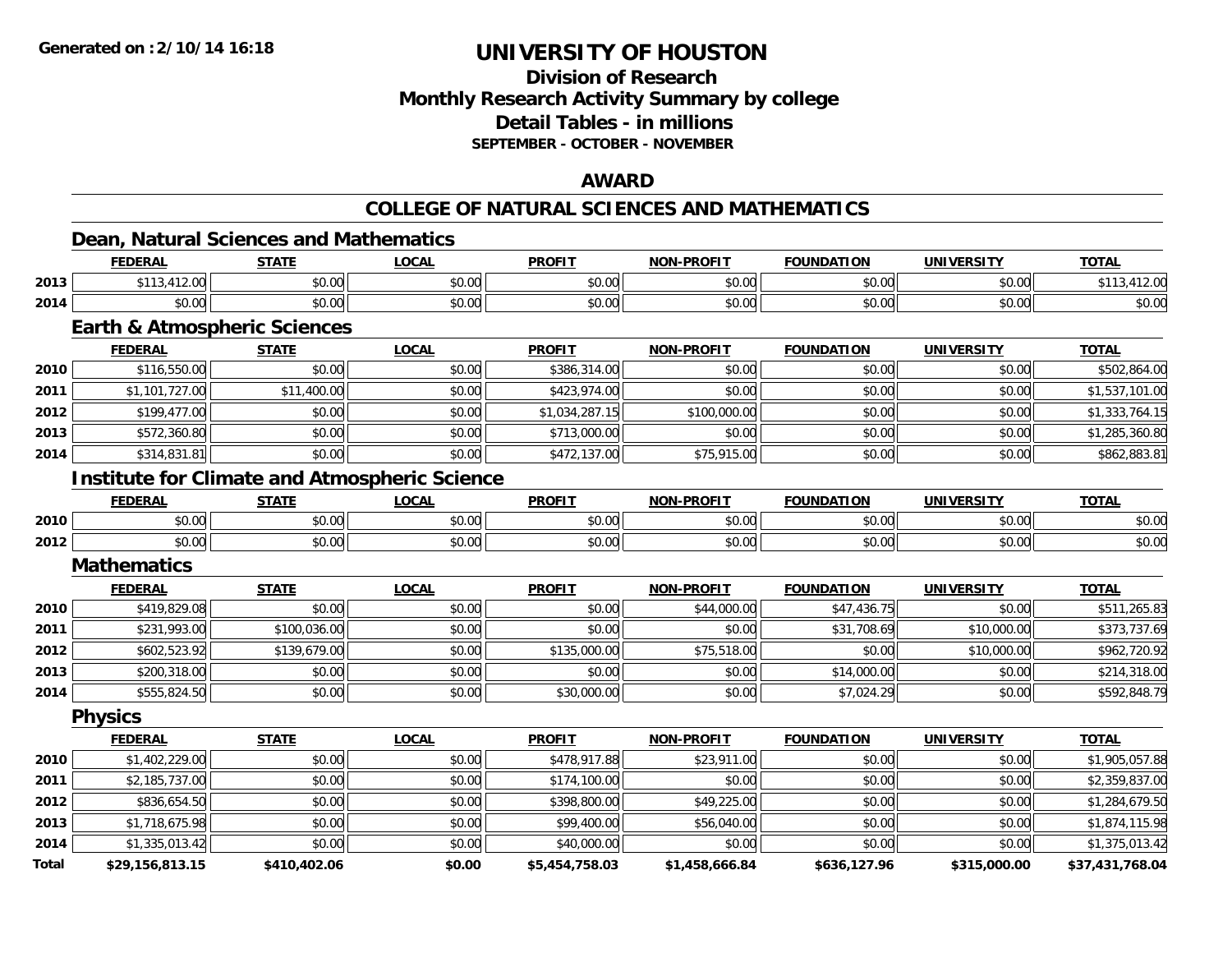**Total**

# **UNIVERSITY OF HOUSTON**

## **Division of ResearchMonthly Research Activity Summary by college Detail Tables - in millions SEPTEMBER - OCTOBER - NOVEMBER**

#### **AWARD**

## **COLLEGE OF NATURAL SCIENCES AND MATHEMATICS**

## **Dean, Natural Sciences and Mathematics**

|      | <b>FEDERAL</b>                                       | <b>STATE</b> | <b>LOCAL</b> | <b>PROFIT</b>  | <b>NON-PROFIT</b> | <b>FOUNDATION</b> | <b>UNIVERSITY</b> | <b>TOTAL</b>   |
|------|------------------------------------------------------|--------------|--------------|----------------|-------------------|-------------------|-------------------|----------------|
| 2013 | \$113,412.00                                         | \$0.00       | \$0.00       | \$0.00         | \$0.00            | \$0.00            | \$0.00            | \$113,412.00   |
| 2014 | \$0.00                                               | \$0.00       | \$0.00       | \$0.00         | \$0.00            | \$0.00            | \$0.00            | \$0.00         |
|      | <b>Earth &amp; Atmospheric Sciences</b>              |              |              |                |                   |                   |                   |                |
|      | <b>FEDERAL</b>                                       | <b>STATE</b> | <b>LOCAL</b> | <b>PROFIT</b>  | <b>NON-PROFIT</b> | <b>FOUNDATION</b> | <b>UNIVERSITY</b> | <b>TOTAL</b>   |
| 2010 | \$116,550.00                                         | \$0.00       | \$0.00       | \$386,314.00   | \$0.00            | \$0.00            | \$0.00            | \$502,864.00   |
| 2011 | \$1,101,727.00                                       | \$11,400.00  | \$0.00       | \$423,974.00   | \$0.00            | \$0.00            | \$0.00            | \$1,537,101.00 |
| 2012 | \$199,477.00                                         | \$0.00       | \$0.00       | \$1,034,287.15 | \$100,000.00      | \$0.00            | \$0.00            | \$1,333,764.15 |
| 2013 | \$572,360.80                                         | \$0.00       | \$0.00       | \$713,000.00   | \$0.00            | \$0.00            | \$0.00            | \$1,285,360.80 |
| 2014 | \$314,831.81                                         | \$0.00       | \$0.00       | \$472,137.00   | \$75,915.00       | \$0.00            | \$0.00            | \$862,883.81   |
|      | <b>Institute for Climate and Atmospheric Science</b> |              |              |                |                   |                   |                   |                |
|      | <b>FEDERAL</b>                                       | <b>STATE</b> | <b>LOCAL</b> | <b>PROFIT</b>  | <b>NON-PROFIT</b> | <b>FOUNDATION</b> | <b>UNIVERSITY</b> | <b>TOTAL</b>   |
| 2010 | \$0.00                                               | \$0.00       | \$0.00       | \$0.00         | \$0.00            | \$0.00            | \$0.00            | \$0.00         |
| 2012 | \$0.00                                               | \$0.00       | \$0.00       | \$0.00         | \$0.00            | \$0.00            | \$0.00            | \$0.00         |
|      | <b>Mathematics</b>                                   |              |              |                |                   |                   |                   |                |
|      | <b>FEDERAL</b>                                       | <b>STATE</b> | <b>LOCAL</b> | <b>PROFIT</b>  | <b>NON-PROFIT</b> | <b>FOUNDATION</b> | <b>UNIVERSITY</b> | <b>TOTAL</b>   |
| 2010 | \$419,829.08                                         | \$0.00       | \$0.00       | \$0.00         | \$44,000.00       | \$47,436.75       | \$0.00            | \$511,265.83   |
| 2011 | \$231,993.00                                         | \$100,036.00 | \$0.00       | \$0.00         | \$0.00            | \$31,708.69       | \$10,000.00       | \$373,737.69   |
| 2012 | \$602,523.92                                         | \$139,679.00 | \$0.00       | \$135,000.00   | \$75,518.00       | \$0.00            | \$10,000.00       | \$962,720.92   |
| 2013 | \$200,318.00                                         | \$0.00       | \$0.00       | \$0.00         | \$0.00            | \$14,000.00       | \$0.00            | \$214,318.00   |
| 2014 | \$555,824.50                                         | \$0.00       | \$0.00       | \$30,000.00    | \$0.00            | \$7,024.29        | \$0.00            | \$592,848.79   |
|      | <b>Physics</b>                                       |              |              |                |                   |                   |                   |                |
|      | <b>FEDERAL</b>                                       | <b>STATE</b> | <b>LOCAL</b> | <b>PROFIT</b>  | NON-PROFIT        | <b>FOUNDATION</b> | <b>UNIVERSITY</b> | <b>TOTAL</b>   |
| 2010 | \$1,402,229.00                                       | \$0.00       | \$0.00       | \$478,917.88   | \$23,911.00       | \$0.00            | \$0.00            | \$1,905,057.88 |
| 2011 | \$2,185,737.00                                       | \$0.00       | \$0.00       | \$174,100.00   | \$0.00            | \$0.00            | \$0.00            | \$2,359,837.00 |
| 2012 | \$836,654.50                                         | \$0.00       | \$0.00       | \$398,800.00   | \$49,225.00       | \$0.00            | \$0.00            | \$1,284,679.50 |
| 2013 | \$1,718,675.98                                       | \$0.00       | \$0.00       | \$99,400.00    | \$56,040.00       | \$0.00            | \$0.00            | \$1,874,115.98 |
| 2014 | \$1,335,013.42                                       | \$0.00       | \$0.00       | \$40,000.00    | \$0.00            | \$0.00            | \$0.00            | \$1,375,013.42 |

**\$29,156,813.15 \$410,402.06 \$0.00 \$5,454,758.03 \$1,458,666.84 \$636,127.96 \$315,000.00 \$37,431,768.04**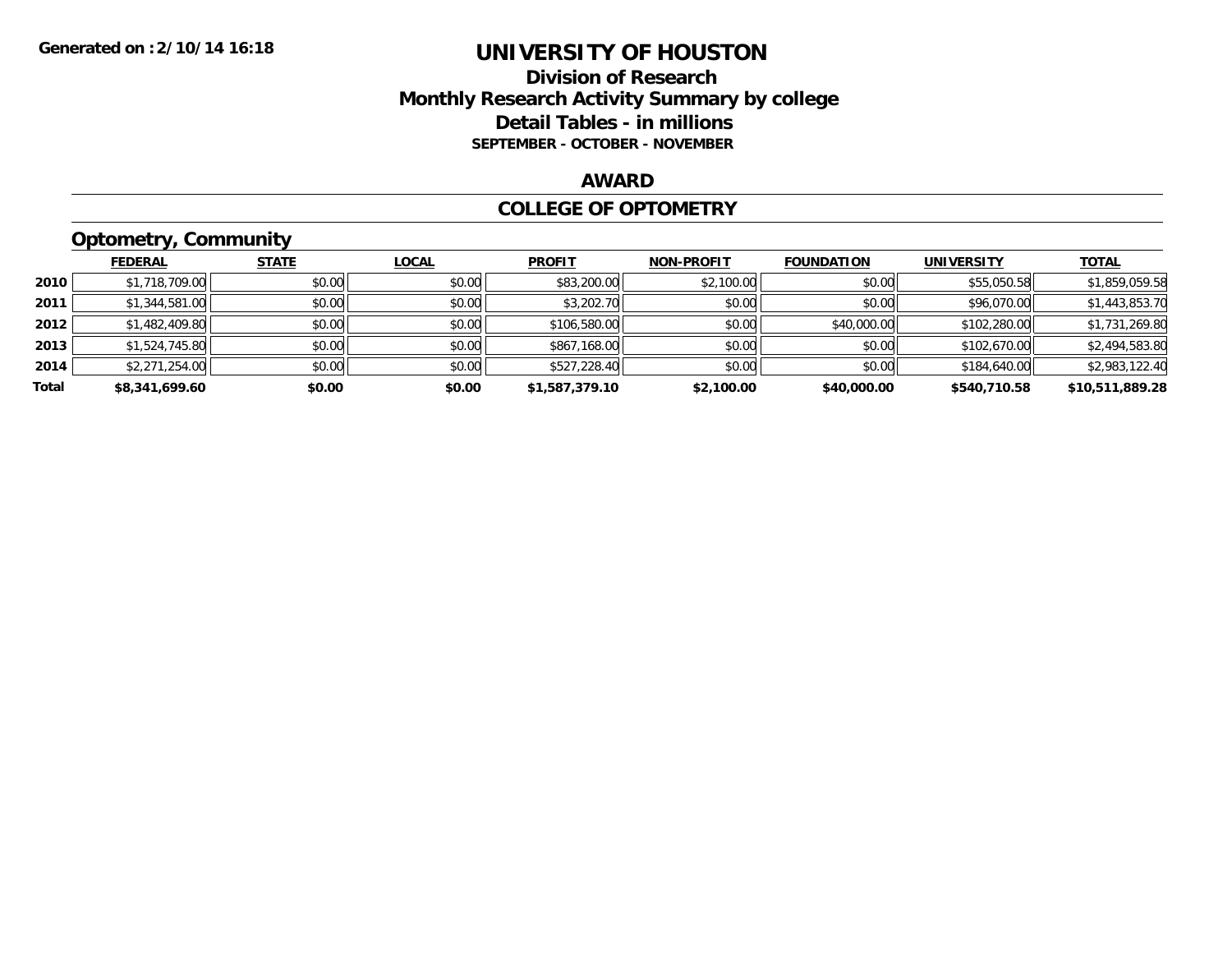## **Division of Research Monthly Research Activity Summary by college Detail Tables - in millions SEPTEMBER - OCTOBER - NOVEMBER**

### **AWARD**

### **COLLEGE OF OPTOMETRY**

# **Optometry, Community**

|       | ___            |              |              |                |                   |                   |                   |                 |
|-------|----------------|--------------|--------------|----------------|-------------------|-------------------|-------------------|-----------------|
|       | <b>FEDERAL</b> | <b>STATE</b> | <u>LOCAL</u> | <b>PROFIT</b>  | <b>NON-PROFIT</b> | <b>FOUNDATION</b> | <b>UNIVERSITY</b> | <b>TOTAL</b>    |
| 2010  | \$1,718,709.00 | \$0.00       | \$0.00       | \$83,200.00    | \$2,100.00        | \$0.00            | \$55,050.58       | \$1,859,059.58  |
| 2011  | \$1,344,581.00 | \$0.00       | \$0.00       | \$3,202.70     | \$0.00            | \$0.00            | \$96,070.00       | \$1,443,853.70  |
| 2012  | \$1,482,409.80 | \$0.00       | \$0.00       | \$106,580.00   | \$0.00            | \$40,000.00       | \$102,280.00      | \$1,731,269.80  |
| 2013  | \$1,524,745.80 | \$0.00       | \$0.00       | \$867,168.00   | \$0.00            | \$0.00            | \$102,670.00      | \$2,494,583.80  |
| 2014  | \$2,271,254.00 | \$0.00       | \$0.00       | \$527,228.40   | \$0.00            | \$0.00            | \$184,640.00      | \$2,983,122.40  |
| Total | \$8,341,699.60 | \$0.00       | \$0.00       | \$1,587,379.10 | \$2,100.00        | \$40,000.00       | \$540,710.58      | \$10,511,889.28 |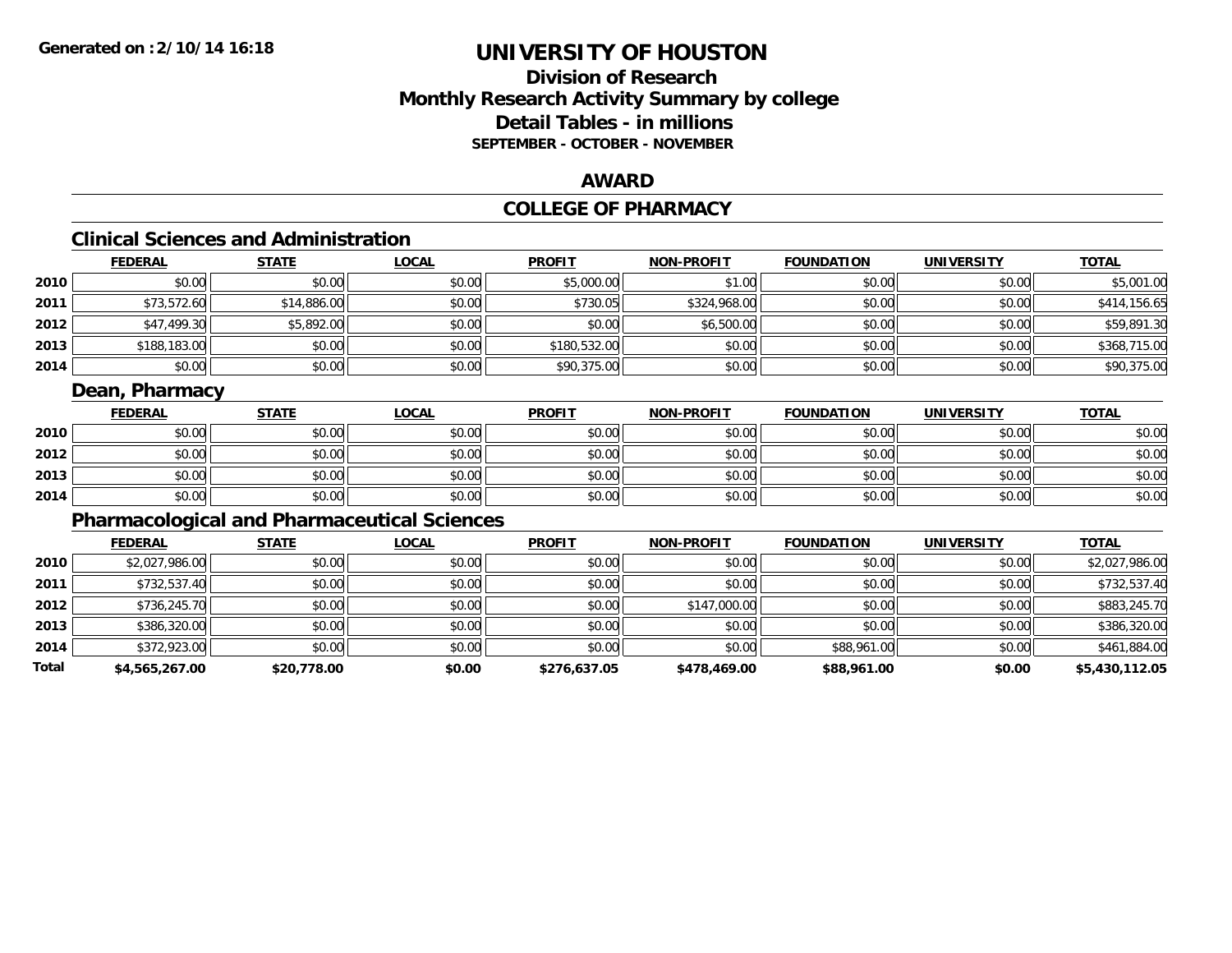# **Division of ResearchMonthly Research Activity Summary by college Detail Tables - in millions SEPTEMBER - OCTOBER - NOVEMBER**

### **AWARD**

# **COLLEGE OF PHARMACY**

# **Clinical Sciences and Administration**

|      | <b>FEDERAL</b> | <b>STATE</b> | <b>LOCAL</b> | <b>PROFIT</b> | <b>NON-PROFIT</b> | <b>FOUNDATION</b> | <b>UNIVERSITY</b> | <b>TOTAL</b> |
|------|----------------|--------------|--------------|---------------|-------------------|-------------------|-------------------|--------------|
| 2010 | \$0.00         | \$0.00       | \$0.00       | \$5,000.00    | \$1.00            | \$0.00            | \$0.00            | \$5,001.00   |
| 2011 | \$73,572.60    | \$14,886.00  | \$0.00       | \$730.05      | \$324,968.00      | \$0.00            | \$0.00            | \$414,156.65 |
| 2012 | \$47,499.30    | \$5,892.00   | \$0.00       | \$0.00        | \$6,500.00        | \$0.00            | \$0.00            | \$59,891.30  |
| 2013 | \$188,183.00   | \$0.00       | \$0.00       | \$180,532.00  | \$0.00            | \$0.00            | \$0.00            | \$368,715.00 |
| 2014 | \$0.00         | \$0.00       | \$0.00       | \$90,375.00   | \$0.00            | \$0.00            | \$0.00            | \$90,375.00  |

# **Dean, Pharmacy**

|      | <b>FEDERAL</b> | <b>STATE</b> | <b>LOCAL</b> | <b>PROFIT</b> | <b>NON-PROFIT</b> | <b>FOUNDATION</b> | <b>UNIVERSITY</b> | <b>TOTAL</b> |
|------|----------------|--------------|--------------|---------------|-------------------|-------------------|-------------------|--------------|
| 2010 | \$0.00         | \$0.00       | \$0.00       | \$0.00        | \$0.00            | \$0.00            | \$0.00            | \$0.00       |
| 2012 | \$0.00         | \$0.00       | \$0.00       | \$0.00        | \$0.00            | \$0.00            | \$0.00            | \$0.00       |
| 2013 | \$0.00         | \$0.00       | \$0.00       | \$0.00        | \$0.00            | \$0.00            | \$0.00            | \$0.00       |
| 2014 | \$0.00         | \$0.00       | \$0.00       | \$0.00        | \$0.00            | \$0.00            | \$0.00            | \$0.00       |

# **Pharmacological and Pharmaceutical Sciences**

|       | <b>FEDERAL</b> | <b>STATE</b> | <b>LOCAL</b> | <b>PROFIT</b> | <b>NON-PROFIT</b> | <b>FOUNDATION</b> | <b>UNIVERSITY</b> | <b>TOTAL</b>   |
|-------|----------------|--------------|--------------|---------------|-------------------|-------------------|-------------------|----------------|
| 2010  | \$2,027,986.00 | \$0.00       | \$0.00       | \$0.00        | \$0.00            | \$0.00            | \$0.00            | \$2,027,986.00 |
| 2011  | \$732,537.40   | \$0.00       | \$0.00       | \$0.00        | \$0.00            | \$0.00            | \$0.00            | \$732,537.40   |
| 2012  | \$736,245.70   | \$0.00       | \$0.00       | \$0.00        | \$147,000.00      | \$0.00            | \$0.00            | \$883,245.70   |
| 2013  | \$386,320.00   | \$0.00       | \$0.00       | \$0.00        | \$0.00            | \$0.00            | \$0.00            | \$386,320.00   |
| 2014  | \$372,923.00   | \$0.00       | \$0.00       | \$0.00        | \$0.00            | \$88,961.00       | \$0.00            | \$461,884.00   |
| Total | \$4,565,267.00 | \$20,778.00  | \$0.00       | \$276,637.05  | \$478,469.00      | \$88,961.00       | \$0.00            | \$5,430,112.05 |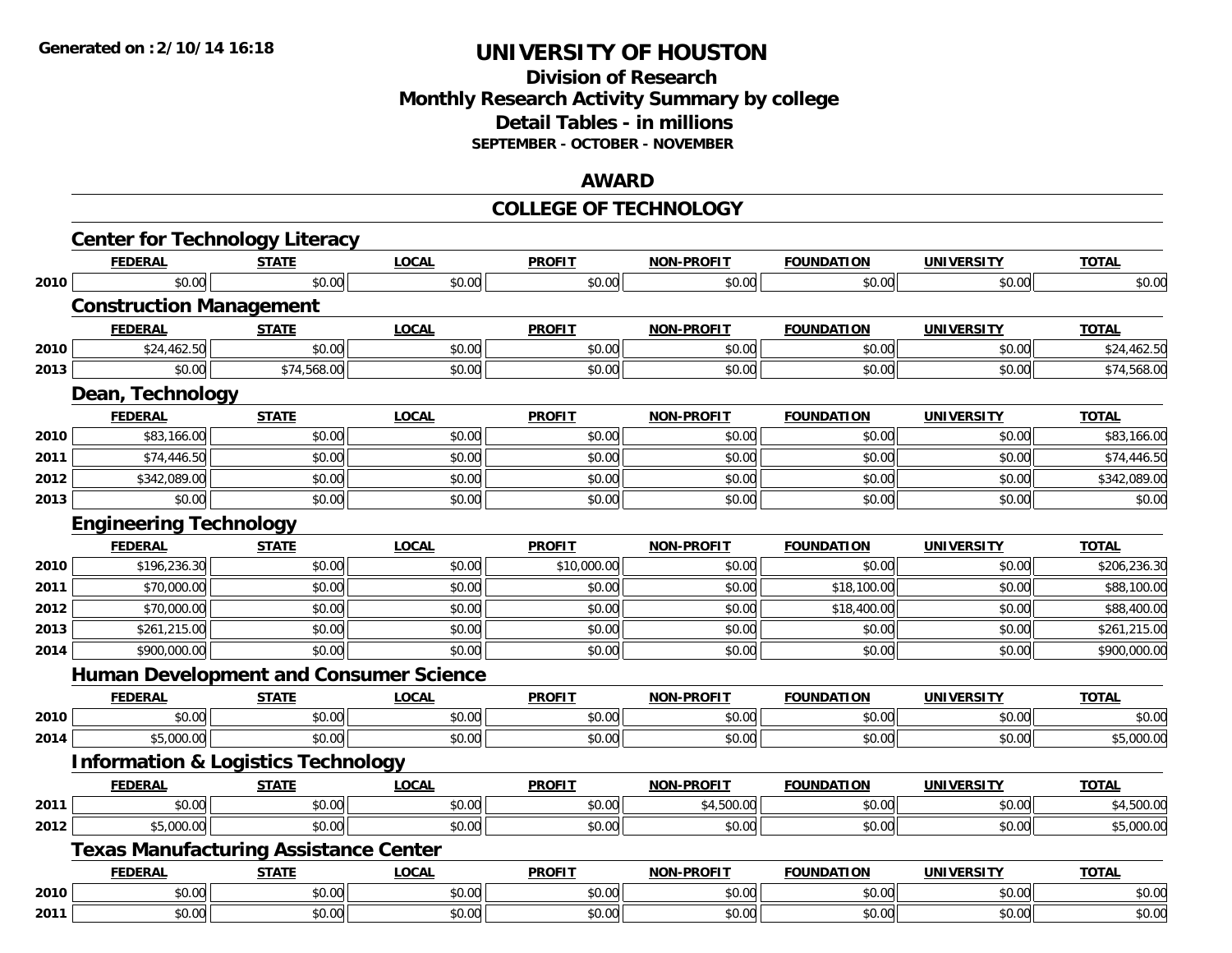# **Division of Research Monthly Research Activity Summary by college Detail Tables - in millions SEPTEMBER - OCTOBER - NOVEMBER**

#### **AWARD**

#### **COLLEGE OF TECHNOLOGY**

|      | <b>Center for Technology Literacy</b>         |              |              |               |                   |                   |                   |              |
|------|-----------------------------------------------|--------------|--------------|---------------|-------------------|-------------------|-------------------|--------------|
|      | <b>FEDERAL</b>                                | <b>STATE</b> | <b>LOCAL</b> | <b>PROFIT</b> | <b>NON-PROFIT</b> | <b>FOUNDATION</b> | <b>UNIVERSITY</b> | <b>TOTAL</b> |
| 2010 | \$0.00                                        | \$0.00       | \$0.00       | \$0.00        | \$0.00            | \$0.00            | \$0.00            | \$0.00       |
|      | <b>Construction Management</b>                |              |              |               |                   |                   |                   |              |
|      | <b>FEDERAL</b>                                | <b>STATE</b> | <b>LOCAL</b> | <b>PROFIT</b> | <b>NON-PROFIT</b> | <b>FOUNDATION</b> | <b>UNIVERSITY</b> | <b>TOTAL</b> |
| 2010 | \$24,462.50                                   | \$0.00       | \$0.00       | \$0.00        | \$0.00            | \$0.00            | \$0.00            | \$24,462.50  |
| 2013 | \$0.00                                        | \$74,568.00  | \$0.00       | \$0.00        | \$0.00            | \$0.00            | \$0.00            | \$74,568.00  |
|      | Dean, Technology                              |              |              |               |                   |                   |                   |              |
|      | <b>FEDERAL</b>                                | <b>STATE</b> | <b>LOCAL</b> | <b>PROFIT</b> | <b>NON-PROFIT</b> | <b>FOUNDATION</b> | <b>UNIVERSITY</b> | <b>TOTAL</b> |
| 2010 | \$83,166.00                                   | \$0.00       | \$0.00       | \$0.00        | \$0.00            | \$0.00            | \$0.00            | \$83,166.00  |
| 2011 | \$74,446.50                                   | \$0.00       | \$0.00       | \$0.00        | \$0.00            | \$0.00            | \$0.00            | \$74,446.50  |
| 2012 | \$342,089.00                                  | \$0.00       | \$0.00       | \$0.00        | \$0.00            | \$0.00            | \$0.00            | \$342,089.00 |
| 2013 | \$0.00                                        | \$0.00       | \$0.00       | \$0.00        | \$0.00            | \$0.00            | \$0.00            | \$0.00       |
|      | <b>Engineering Technology</b>                 |              |              |               |                   |                   |                   |              |
|      | <b>FEDERAL</b>                                | <b>STATE</b> | <b>LOCAL</b> | <b>PROFIT</b> | <b>NON-PROFIT</b> | <b>FOUNDATION</b> | <b>UNIVERSITY</b> | <b>TOTAL</b> |
| 2010 | \$196,236.30                                  | \$0.00       | \$0.00       | \$10,000.00   | \$0.00            | \$0.00            | \$0.00            | \$206,236.30 |
| 2011 | \$70,000.00                                   | \$0.00       | \$0.00       | \$0.00        | \$0.00            | \$18,100.00       | \$0.00            | \$88,100.00  |
| 2012 | \$70,000.00                                   | \$0.00       | \$0.00       | \$0.00        | \$0.00            | \$18,400.00       | \$0.00            | \$88,400.00  |
| 2013 | \$261,215.00                                  | \$0.00       | \$0.00       | \$0.00        | \$0.00            | \$0.00            | \$0.00            | \$261,215.00 |
| 2014 | \$900,000.00                                  | \$0.00       | \$0.00       | \$0.00        | \$0.00            | \$0.00            | \$0.00            | \$900,000.00 |
|      | <b>Human Development and Consumer Science</b> |              |              |               |                   |                   |                   |              |
|      | <b>FEDERAL</b>                                | <b>STATE</b> | <b>LOCAL</b> | <b>PROFIT</b> | <b>NON-PROFIT</b> | <b>FOUNDATION</b> | <b>UNIVERSITY</b> | <b>TOTAL</b> |
| 2010 | \$0.00                                        | \$0.00       | \$0.00       | \$0.00        | \$0.00            | \$0.00            | \$0.00            | \$0.00       |
| 2014 | \$5,000.00                                    | \$0.00       | \$0.00       | \$0.00        | \$0.00            | \$0.00            | \$0.00            | \$5,000.00   |
|      | <b>Information &amp; Logistics Technology</b> |              |              |               |                   |                   |                   |              |
|      | <b>FEDERAL</b>                                | <b>STATE</b> | <b>LOCAL</b> | <b>PROFIT</b> | <b>NON-PROFIT</b> | <b>FOUNDATION</b> | <b>UNIVERSITY</b> | <b>TOTAL</b> |
| 2011 | \$0.00                                        | \$0.00       | \$0.00       | \$0.00        | \$4,500.00        | \$0.00            | \$0.00            | \$4,500.00   |
| 2012 | \$5,000.00                                    | \$0.00       | \$0.00       | \$0.00        | \$0.00            | \$0.00            | \$0.00            | \$5,000.00   |
|      | <b>Texas Manufacturing Assistance Center</b>  |              |              |               |                   |                   |                   |              |
|      | <b>FEDERAL</b>                                | <b>STATE</b> | <b>LOCAL</b> | <b>PROFIT</b> | <b>NON-PROFIT</b> | <b>FOUNDATION</b> | <b>UNIVERSITY</b> | <b>TOTAL</b> |
| 2010 | \$0.00                                        | \$0.00       | \$0.00       | \$0.00        | \$0.00            | \$0.00            | \$0.00            | \$0.00       |
| 2011 | \$0.00                                        | \$0.00       | \$0.00       | \$0.00        | \$0.00            | \$0.00            | \$0.00            | \$0.00       |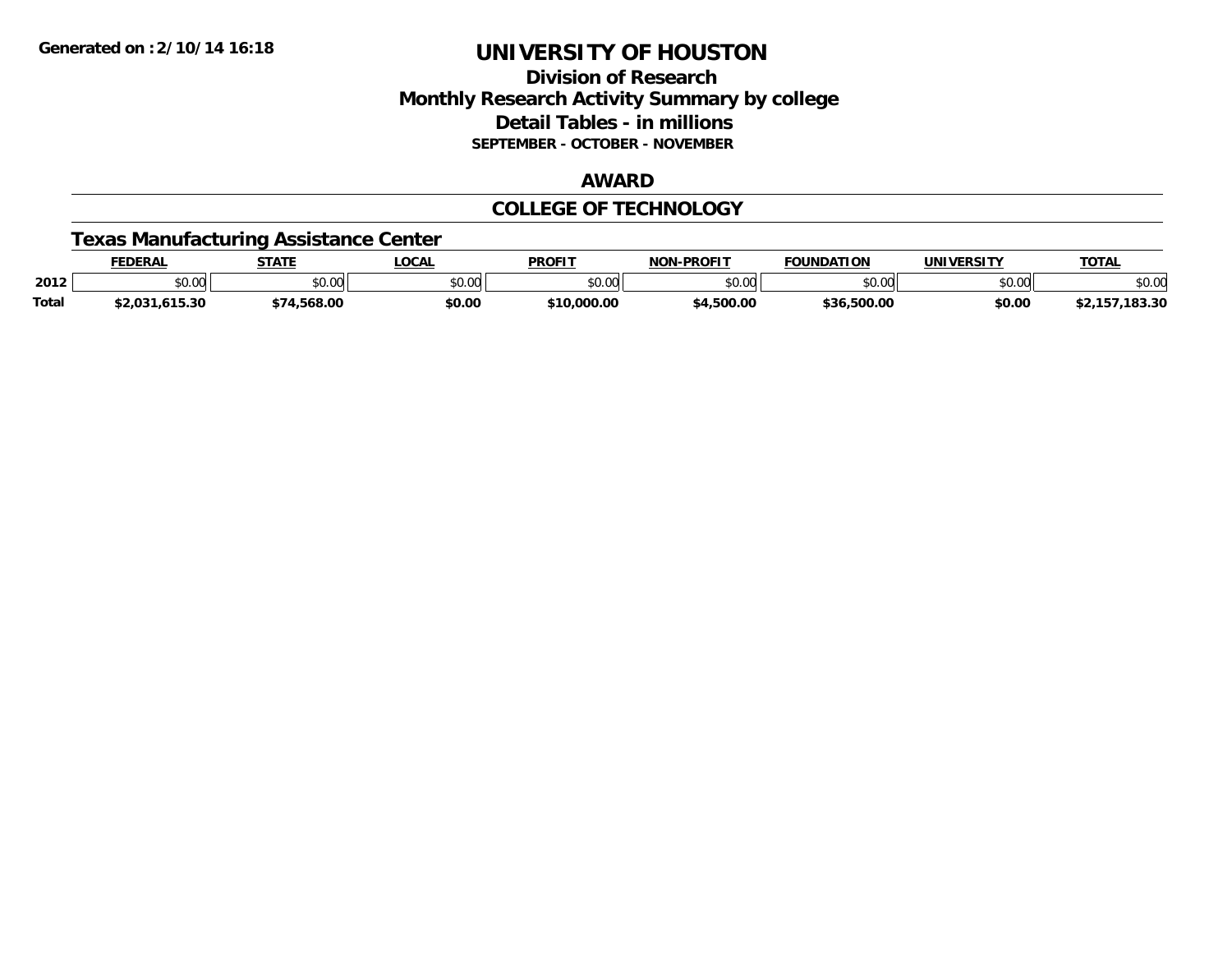# **Division of Research Monthly Research Activity Summary by college Detail Tables - in millions SEPTEMBER - OCTOBER - NOVEMBER**

#### **AWARD**

### **COLLEGE OF TECHNOLOGY**

### **Texas Manufacturing Assistance Center**

|              | EDERAL                   | <b>STATE</b>                            | LOCAL         | <b>PROFIT</b>           | -PROFIT<br>NON  | <b>FOUNDATION</b>     | UNIVERSITY | <b>TOTAL</b>         |
|--------------|--------------------------|-----------------------------------------|---------------|-------------------------|-----------------|-----------------------|------------|----------------------|
| 2012         | \$0.00                   | $\uparrow$ $\wedge$ $\uparrow$<br>JU.UU | 0000<br>JU.UU | ልስ ሰሰ<br>JU.UU          | ልስ ለሰ<br>⊸∪.∪∪⊫ | $\sim$ 00<br>טט.טע    | \$0.00     | \$0.00               |
| <b>Total</b> | ימה ה<br>.615.30<br>z.ua | .568.00                                 | \$0.00        | 000.00.00<br><b>¢10</b> | 4,500.00        | 500.00,<br><b>436</b> | \$0.00     | 183.30<br>JZ.<br>. . |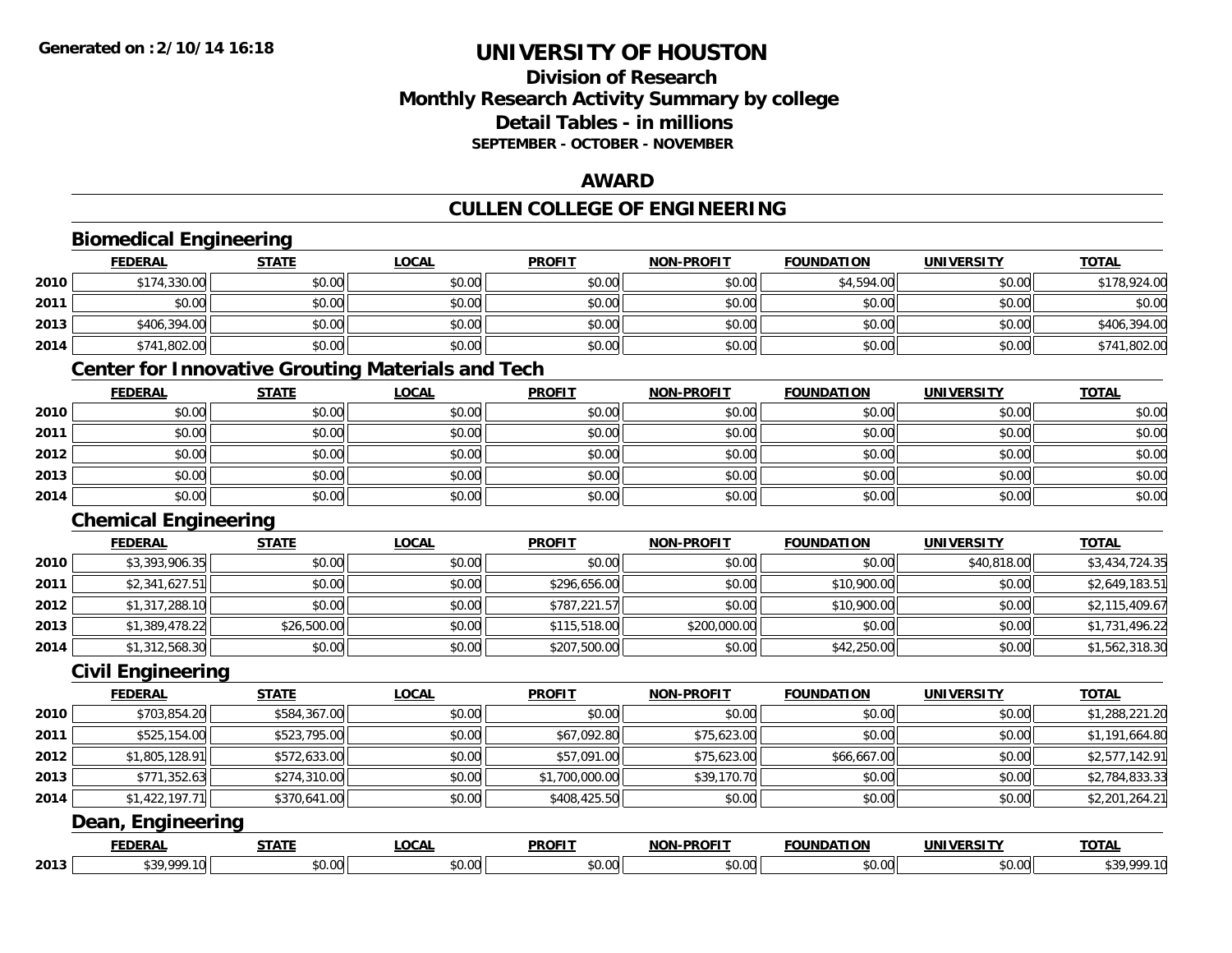# **Division of Research Monthly Research Activity Summary by college Detail Tables - in millions SEPTEMBER - OCTOBER - NOVEMBER**

### **AWARD**

### **CULLEN COLLEGE OF ENGINEERING**

|      | <b>Biomedical Engineering</b> |              |                                                          |                |                   |                   |                   |                |
|------|-------------------------------|--------------|----------------------------------------------------------|----------------|-------------------|-------------------|-------------------|----------------|
|      | <b>FEDERAL</b>                | <b>STATE</b> | <b>LOCAL</b>                                             | <b>PROFIT</b>  | <b>NON-PROFIT</b> | <b>FOUNDATION</b> | <b>UNIVERSITY</b> | <b>TOTAL</b>   |
| 2010 | \$174,330.00                  | \$0.00       | \$0.00                                                   | \$0.00         | \$0.00            | \$4,594.00        | \$0.00            | \$178,924.00   |
| 2011 | \$0.00                        | \$0.00       | \$0.00                                                   | \$0.00         | \$0.00            | \$0.00            | \$0.00            | \$0.00         |
| 2013 | \$406,394.00                  | \$0.00       | \$0.00                                                   | \$0.00         | \$0.00            | \$0.00            | \$0.00            | \$406,394.00   |
| 2014 | \$741,802.00                  | \$0.00       | \$0.00                                                   | \$0.00         | \$0.00            | \$0.00            | \$0.00            | \$741,802.00   |
|      |                               |              | <b>Center for Innovative Grouting Materials and Tech</b> |                |                   |                   |                   |                |
|      | <b>FEDERAL</b>                | <b>STATE</b> | <b>LOCAL</b>                                             | <b>PROFIT</b>  | <b>NON-PROFIT</b> | <b>FOUNDATION</b> | <b>UNIVERSITY</b> | <b>TOTAL</b>   |
| 2010 | \$0.00                        | \$0.00       | \$0.00                                                   | \$0.00         | \$0.00            | \$0.00            | \$0.00            | \$0.00         |
| 2011 | \$0.00                        | \$0.00       | \$0.00                                                   | \$0.00         | \$0.00            | \$0.00            | \$0.00            | \$0.00         |
| 2012 | \$0.00                        | \$0.00       | \$0.00                                                   | \$0.00         | \$0.00            | \$0.00            | \$0.00            | \$0.00         |
| 2013 | \$0.00                        | \$0.00       | \$0.00                                                   | \$0.00         | \$0.00            | \$0.00            | \$0.00            | \$0.00         |
| 2014 | \$0.00                        | \$0.00       | \$0.00                                                   | \$0.00         | \$0.00            | \$0.00            | \$0.00            | \$0.00         |
|      | <b>Chemical Engineering</b>   |              |                                                          |                |                   |                   |                   |                |
|      | <b>FEDERAL</b>                | <b>STATE</b> | <b>LOCAL</b>                                             | <b>PROFIT</b>  | <b>NON-PROFIT</b> | <b>FOUNDATION</b> | <b>UNIVERSITY</b> | <b>TOTAL</b>   |
| 2010 | \$3,393,906.35                | \$0.00       | \$0.00                                                   | \$0.00         | \$0.00            | \$0.00            | \$40,818.00       | \$3,434,724.35 |
| 2011 | \$2,341,627.51                | \$0.00       | \$0.00                                                   | \$296,656.00   | \$0.00            | \$10,900.00       | \$0.00            | \$2,649,183.51 |
| 2012 | \$1,317,288.10                | \$0.00       | \$0.00                                                   | \$787,221.57   | \$0.00            | \$10,900.00       | \$0.00            | \$2,115,409.67 |
| 2013 | \$1,389,478.22                | \$26,500.00  | \$0.00                                                   | \$115,518.00   | \$200,000.00      | \$0.00            | \$0.00            | \$1,731,496.22 |
| 2014 | \$1,312,568.30                | \$0.00       | \$0.00                                                   | \$207,500.00   | \$0.00            | \$42,250.00       | \$0.00            | \$1,562,318.30 |
|      | <b>Civil Engineering</b>      |              |                                                          |                |                   |                   |                   |                |
|      | <b>FEDERAL</b>                | <b>STATE</b> | <b>LOCAL</b>                                             | <b>PROFIT</b>  | <b>NON-PROFIT</b> | <b>FOUNDATION</b> | <b>UNIVERSITY</b> | <b>TOTAL</b>   |
| 2010 | \$703,854.20                  | \$584,367.00 | \$0.00                                                   | \$0.00         | \$0.00            | \$0.00            | \$0.00            | \$1,288,221.20 |
| 2011 | \$525,154.00                  | \$523,795.00 | \$0.00                                                   | \$67,092.80    | \$75,623.00       | \$0.00            | \$0.00            | \$1,191,664.80 |
| 2012 | \$1,805,128.91                | \$572,633.00 | \$0.00                                                   | \$57,091.00    | \$75,623.00       | \$66,667.00       | \$0.00            | \$2,577,142.91 |
| 2013 | \$771,352.63                  | \$274,310.00 | \$0.00                                                   | \$1,700,000.00 | \$39,170.70       | \$0.00            | \$0.00            | \$2,784,833.33 |
| 2014 | \$1,422,197.71                | \$370,641.00 | \$0.00                                                   | \$408,425.50   | \$0.00            | \$0.00            | \$0.00            | \$2,201,264.21 |
|      | Dean, Engineering             |              |                                                          |                |                   |                   |                   |                |
|      | <b>FEDERAL</b>                | <b>STATE</b> | <b>LOCAL</b>                                             | <b>PROFIT</b>  | <b>NON-PROFIT</b> | <b>FOUNDATION</b> | <b>UNIVERSITY</b> | <b>TOTAL</b>   |
| 2013 | \$39,999.10                   | \$0.00       | \$0.00                                                   | \$0.00         | \$0.00            | \$0.00            | \$0.00            | \$39,999.10    |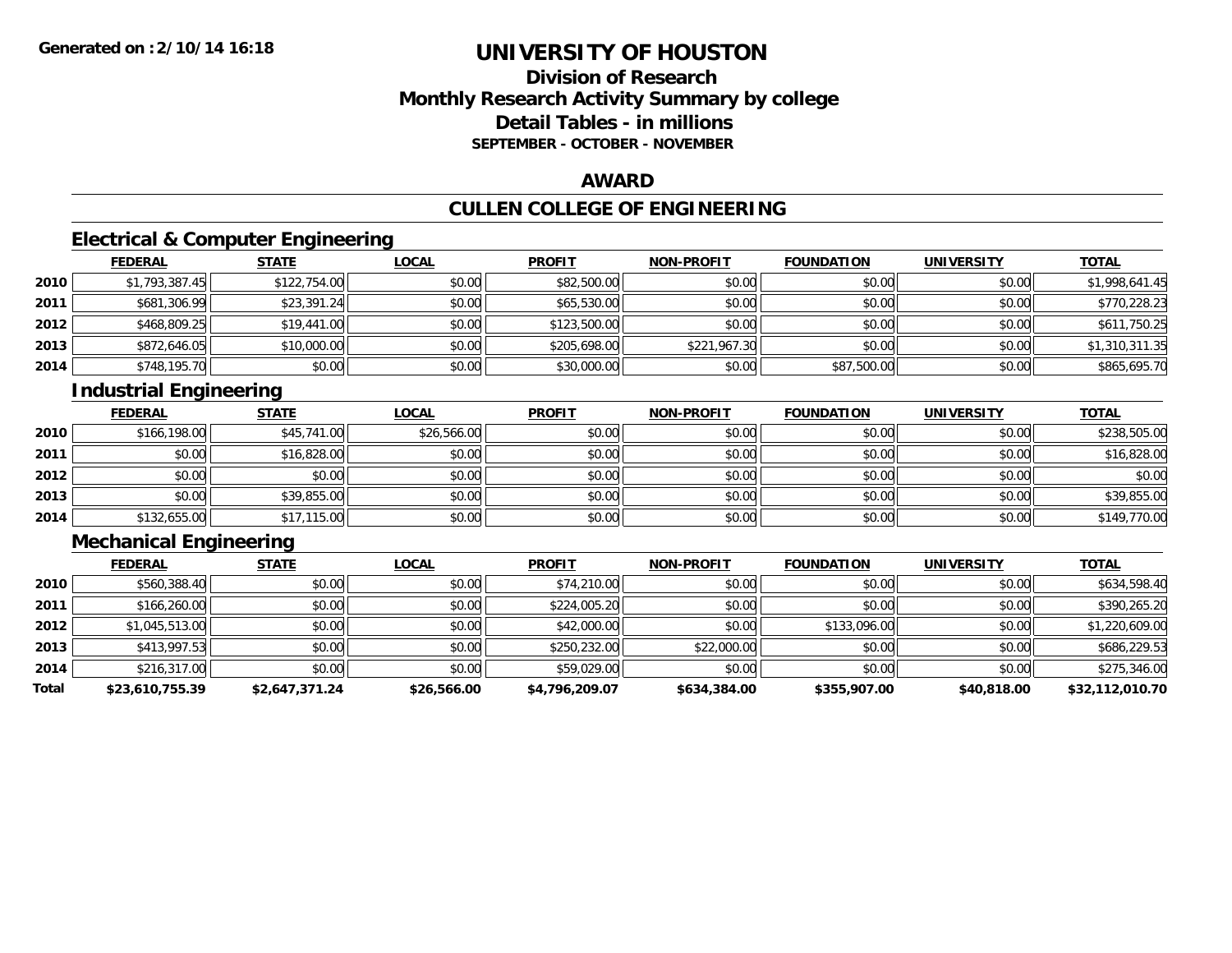# **Division of ResearchMonthly Research Activity Summary by college Detail Tables - in millions SEPTEMBER - OCTOBER - NOVEMBER**

### **AWARD**

# **CULLEN COLLEGE OF ENGINEERING**

# **Electrical & Computer Engineering**

|      | <b>FEDERAL</b> | <b>STATE</b> | <u>LOCAL</u> | <b>PROFIT</b> | <b>NON-PROFIT</b> | <b>FOUNDATION</b> | <b>UNIVERSITY</b> | <u>TOTAL</u>   |
|------|----------------|--------------|--------------|---------------|-------------------|-------------------|-------------------|----------------|
| 2010 | \$1,793,387.45 | \$122,754.00 | \$0.00       | \$82,500.00   | \$0.00            | \$0.00            | \$0.00            | \$1,998,641.45 |
| 2011 | \$681,306.99   | \$23,391.24  | \$0.00       | \$65,530.00   | \$0.00            | \$0.00            | \$0.00            | \$770,228.23   |
| 2012 | \$468,809.25   | \$19,441.00  | \$0.00       | \$123,500.00  | \$0.00            | \$0.00            | \$0.00            | \$611,750.25   |
| 2013 | \$872,646.05   | \$10,000.00  | \$0.00       | \$205,698.00  | \$221,967.30      | \$0.00            | \$0.00            | \$1,310,311.35 |
| 2014 | \$748,195.70   | \$0.00       | \$0.00       | \$30,000.00   | \$0.00            | \$87,500.00       | \$0.00            | \$865,695.70   |

# **Industrial Engineering**

|      | <u>FEDERAL</u> | <b>STATE</b> | <u>LOCAL</u> | <b>PROFIT</b> | <b>NON-PROFIT</b> | <b>FOUNDATION</b> | <b>UNIVERSITY</b> | <b>TOTAL</b> |
|------|----------------|--------------|--------------|---------------|-------------------|-------------------|-------------------|--------------|
| 2010 | \$166,198.00   | \$45,741.00  | \$26,566.00  | \$0.00        | \$0.00            | \$0.00            | \$0.00            | \$238,505.00 |
| 2011 | \$0.00         | \$16,828.00  | \$0.00       | \$0.00        | \$0.00            | \$0.00            | \$0.00            | \$16,828.00  |
| 2012 | \$0.00         | \$0.00       | \$0.00       | \$0.00        | \$0.00            | \$0.00            | \$0.00            | \$0.00       |
| 2013 | \$0.00         | \$39,855.00  | \$0.00       | \$0.00        | \$0.00            | \$0.00            | \$0.00            | \$39,855.00  |
| 2014 | \$132,655.00   | \$17,115.00  | \$0.00       | \$0.00        | \$0.00            | \$0.00            | \$0.00            | \$149,770.00 |

# **Mechanical Engineering**

|       | <b>FEDERAL</b>  | <b>STATE</b>   | <u>LOCAL</u> | <b>PROFIT</b>  | <b>NON-PROFIT</b> | <b>FOUNDATION</b> | <b>UNIVERSITY</b> | <b>TOTAL</b>    |
|-------|-----------------|----------------|--------------|----------------|-------------------|-------------------|-------------------|-----------------|
| 2010  | \$560,388.40    | \$0.00         | \$0.00       | \$74,210.00    | \$0.00            | \$0.00            | \$0.00            | \$634,598.40    |
| 2011  | \$166,260.00    | \$0.00         | \$0.00       | \$224,005.20   | \$0.00            | \$0.00            | \$0.00            | \$390,265.20    |
| 2012  | \$1,045,513.00  | \$0.00         | \$0.00       | \$42,000.00    | \$0.00            | \$133,096.00      | \$0.00            | \$1,220,609.00  |
| 2013  | \$413,997.53    | \$0.00         | \$0.00       | \$250,232.00   | \$22,000.00       | \$0.00            | \$0.00            | \$686,229.53    |
| 2014  | \$216,317.00    | \$0.00         | \$0.00       | \$59,029.00    | \$0.00            | \$0.00            | \$0.00            | \$275,346.00    |
| Total | \$23,610,755.39 | \$2,647,371.24 | \$26,566.00  | \$4,796,209.07 | \$634,384.00      | \$355,907.00      | \$40,818.00       | \$32,112,010.70 |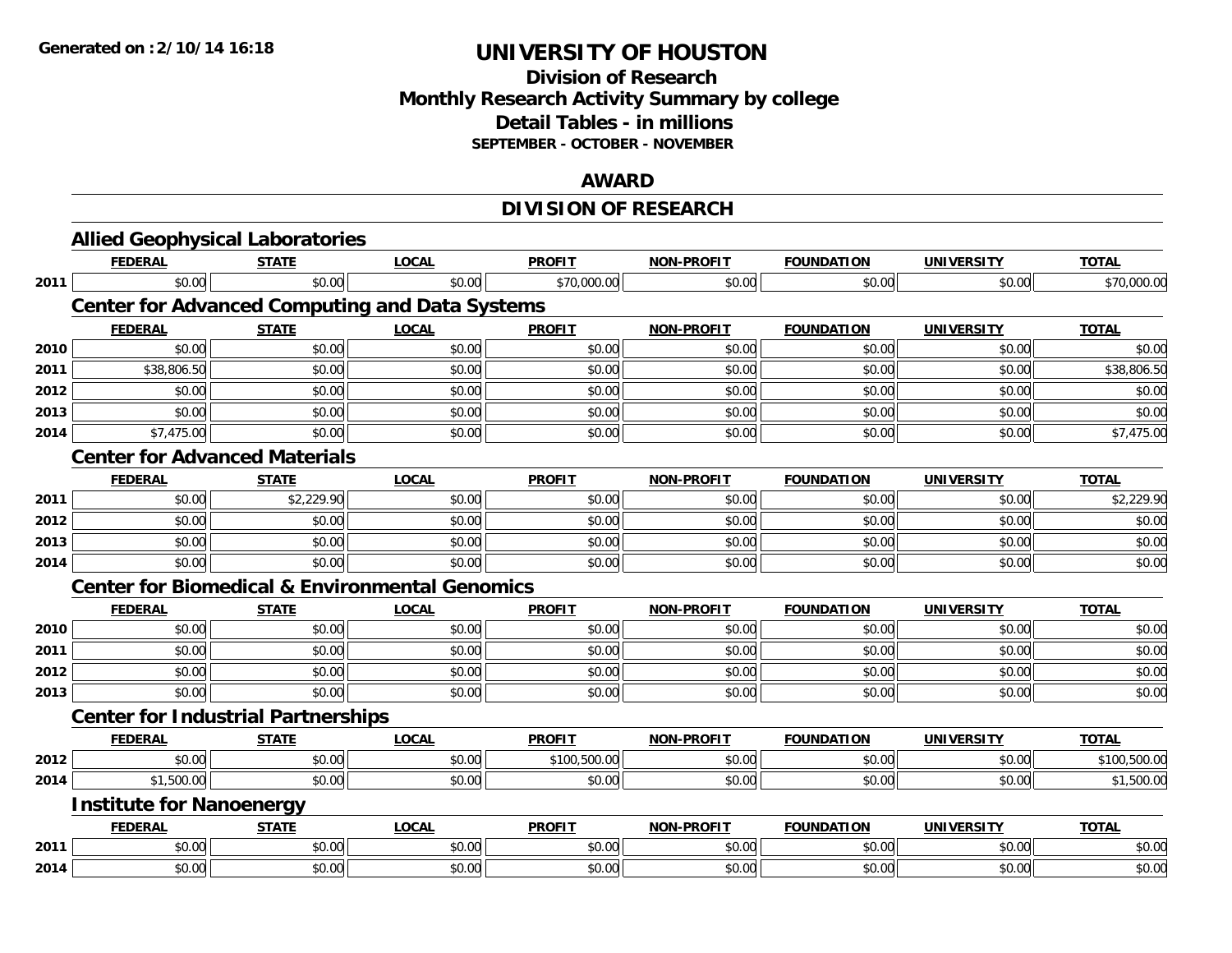# **Division of Research Monthly Research Activity Summary by college Detail Tables - in millions SEPTEMBER - OCTOBER - NOVEMBER**

#### **AWARD**

# **DIVISION OF RESEARCH**

|      |                                 | <b>Allied Geophysical Laboratories</b>                    |              |               |                   |                   |                   |              |
|------|---------------------------------|-----------------------------------------------------------|--------------|---------------|-------------------|-------------------|-------------------|--------------|
|      | <b>FEDERAL</b>                  | <b>STATE</b>                                              | <b>LOCAL</b> | <b>PROFIT</b> | <b>NON-PROFIT</b> | <b>FOUNDATION</b> | <b>UNIVERSITY</b> | <b>TOTAL</b> |
| 2011 | \$0.00                          | \$0.00                                                    | \$0.00       | \$70,000.00   | \$0.00            | \$0.00            | \$0.00            | \$70,000.00  |
|      |                                 | <b>Center for Advanced Computing and Data Systems</b>     |              |               |                   |                   |                   |              |
|      | <b>FEDERAL</b>                  | <b>STATE</b>                                              | <b>LOCAL</b> | <b>PROFIT</b> | <b>NON-PROFIT</b> | <b>FOUNDATION</b> | <b>UNIVERSITY</b> | <b>TOTAL</b> |
| 2010 | \$0.00                          | \$0.00                                                    | \$0.00       | \$0.00        | \$0.00            | \$0.00            | \$0.00            | \$0.00       |
| 2011 | \$38,806.50                     | \$0.00                                                    | \$0.00       | \$0.00        | \$0.00            | \$0.00            | \$0.00            | \$38,806.50  |
| 2012 | \$0.00                          | \$0.00                                                    | \$0.00       | \$0.00        | \$0.00            | \$0.00            | \$0.00            | \$0.00       |
| 2013 | \$0.00                          | \$0.00                                                    | \$0.00       | \$0.00        | \$0.00            | \$0.00            | \$0.00            | \$0.00       |
| 2014 | \$7,475.00                      | \$0.00                                                    | \$0.00       | \$0.00        | \$0.00            | \$0.00            | \$0.00            | \$7,475.00   |
|      |                                 | <b>Center for Advanced Materials</b>                      |              |               |                   |                   |                   |              |
|      | <b>FEDERAL</b>                  | <b>STATE</b>                                              | <b>LOCAL</b> | <b>PROFIT</b> | <b>NON-PROFIT</b> | <b>FOUNDATION</b> | <b>UNIVERSITY</b> | <b>TOTAL</b> |
| 2011 | \$0.00                          | \$2,229.90                                                | \$0.00       | \$0.00        | \$0.00            | \$0.00            | \$0.00            | \$2,229.90   |
| 2012 | \$0.00                          | \$0.00                                                    | \$0.00       | \$0.00        | \$0.00            | \$0.00            | \$0.00            | \$0.00       |
| 2013 | \$0.00                          | \$0.00                                                    | \$0.00       | \$0.00        | \$0.00            | \$0.00            | \$0.00            | \$0.00       |
| 2014 | \$0.00                          | \$0.00                                                    | \$0.00       | \$0.00        | \$0.00            | \$0.00            | \$0.00            | \$0.00       |
|      |                                 | <b>Center for Biomedical &amp; Environmental Genomics</b> |              |               |                   |                   |                   |              |
|      | <b>FEDERAL</b>                  | <b>STATE</b>                                              | <b>LOCAL</b> | <b>PROFIT</b> | <b>NON-PROFIT</b> | <b>FOUNDATION</b> | <b>UNIVERSITY</b> | <b>TOTAL</b> |
| 2010 | \$0.00                          | \$0.00                                                    | \$0.00       | \$0.00        | \$0.00            | \$0.00            | \$0.00            | \$0.00       |
| 2011 | \$0.00                          | \$0.00                                                    | \$0.00       | \$0.00        | \$0.00            | \$0.00            | \$0.00            | \$0.00       |
| 2012 | \$0.00                          | \$0.00                                                    | \$0.00       | \$0.00        | \$0.00            | \$0.00            | \$0.00            | \$0.00       |
| 2013 | \$0.00                          | \$0.00                                                    | \$0.00       | \$0.00        | \$0.00            | \$0.00            | \$0.00            | \$0.00       |
|      |                                 | <b>Center for Industrial Partnerships</b>                 |              |               |                   |                   |                   |              |
|      | <b>FEDERAL</b>                  | <b>STATE</b>                                              | <b>LOCAL</b> | <b>PROFIT</b> | NON-PROFIT        | <b>FOUNDATION</b> | <b>UNIVERSITY</b> | <b>TOTAL</b> |
| 2012 | \$0.00                          | \$0.00                                                    | \$0.00       | \$100,500.00  | \$0.00            | \$0.00            | \$0.00            | \$100,500.00 |
| 2014 | \$1,500.00                      | \$0.00                                                    | \$0.00       | \$0.00        | \$0.00            | \$0.00            | \$0.00            | \$1,500.00   |
|      | <b>Institute for Nanoenergy</b> |                                                           |              |               |                   |                   |                   |              |
|      | <b>FEDERAL</b>                  | <b>STATE</b>                                              | <b>LOCAL</b> | <b>PROFIT</b> | NON-PROFIT        | <b>FOUNDATION</b> | <b>UNIVERSITY</b> | <b>TOTAL</b> |
| 2011 | \$0.00                          | \$0.00                                                    | \$0.00       | \$0.00        | \$0.00            | \$0.00            | \$0.00            | \$0.00       |
| 2014 | \$0.00                          | \$0.00                                                    | \$0.00       | \$0.00        | \$0.00            | \$0.00            | \$0.00            | \$0.00       |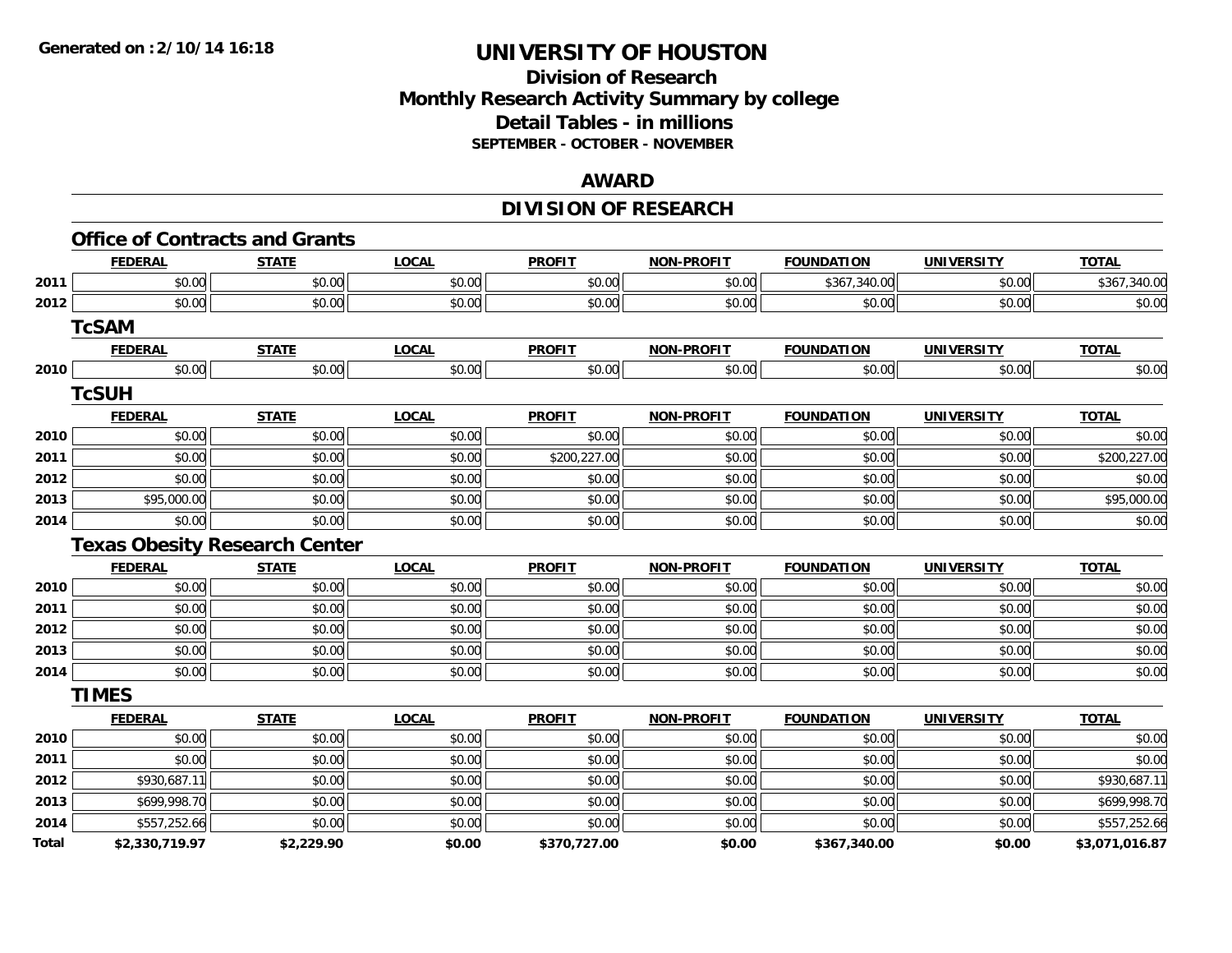# **Division of Research Monthly Research Activity Summary by college Detail Tables - in millions SEPTEMBER - OCTOBER - NOVEMBER**

#### **AWARD**

# **DIVISION OF RESEARCH**

|       | <b>Office of Contracts and Grants</b> |              |              |               |                   |                   |                   |                |
|-------|---------------------------------------|--------------|--------------|---------------|-------------------|-------------------|-------------------|----------------|
|       | <b>FEDERAL</b>                        | <b>STATE</b> | <b>LOCAL</b> | <b>PROFIT</b> | <b>NON-PROFIT</b> | <b>FOUNDATION</b> | <b>UNIVERSITY</b> | <b>TOTAL</b>   |
| 2011  | \$0.00                                | \$0.00       | \$0.00       | \$0.00        | \$0.00            | \$367,340.00      | \$0.00            | \$367,340.00   |
| 2012  | \$0.00                                | \$0.00       | \$0.00       | \$0.00        | \$0.00            | \$0.00            | \$0.00            | \$0.00         |
|       | <b>TcSAM</b>                          |              |              |               |                   |                   |                   |                |
|       | <b>FEDERAL</b>                        | <b>STATE</b> | <b>LOCAL</b> | <b>PROFIT</b> | <b>NON-PROFIT</b> | <b>FOUNDATION</b> | <b>UNIVERSITY</b> | <b>TOTAL</b>   |
| 2010  | \$0.00                                | \$0.00       | \$0.00       | \$0.00        | \$0.00            | \$0.00            | \$0.00            | \$0.00         |
|       | <b>TcSUH</b>                          |              |              |               |                   |                   |                   |                |
|       | <b>FEDERAL</b>                        | <b>STATE</b> | <b>LOCAL</b> | <b>PROFIT</b> | <b>NON-PROFIT</b> | <b>FOUNDATION</b> | <b>UNIVERSITY</b> | <b>TOTAL</b>   |
| 2010  | \$0.00                                | \$0.00       | \$0.00       | \$0.00        | \$0.00            | \$0.00            | \$0.00            | \$0.00         |
| 2011  | \$0.00                                | \$0.00       | \$0.00       | \$200,227.00  | \$0.00            | \$0.00            | \$0.00            | \$200,227.00   |
| 2012  | \$0.00                                | \$0.00       | \$0.00       | \$0.00        | \$0.00            | \$0.00            | \$0.00            | \$0.00         |
| 2013  | \$95,000.00                           | \$0.00       | \$0.00       | \$0.00        | \$0.00            | \$0.00            | \$0.00            | \$95,000.00    |
| 2014  | \$0.00                                | \$0.00       | \$0.00       | \$0.00        | \$0.00            | \$0.00            | \$0.00            | \$0.00         |
|       | <b>Texas Obesity Research Center</b>  |              |              |               |                   |                   |                   |                |
|       | <b>FEDERAL</b>                        | <b>STATE</b> | <b>LOCAL</b> | <b>PROFIT</b> | <b>NON-PROFIT</b> | <b>FOUNDATION</b> | <b>UNIVERSITY</b> | <b>TOTAL</b>   |
| 2010  | \$0.00                                | \$0.00       | \$0.00       | \$0.00        | \$0.00            | \$0.00            | \$0.00            | \$0.00         |
| 2011  | \$0.00                                | \$0.00       | \$0.00       | \$0.00        | \$0.00            | \$0.00            | \$0.00            | \$0.00         |
| 2012  | \$0.00                                | \$0.00       | \$0.00       | \$0.00        | \$0.00            | \$0.00            | \$0.00            | \$0.00         |
| 2013  | \$0.00                                | \$0.00       | \$0.00       | \$0.00        | \$0.00            | \$0.00            | \$0.00            | \$0.00         |
| 2014  | \$0.00                                | \$0.00       | \$0.00       | \$0.00        | \$0.00            | \$0.00            | \$0.00            | \$0.00         |
|       | <b>TIMES</b>                          |              |              |               |                   |                   |                   |                |
|       | <b>FEDERAL</b>                        | <b>STATE</b> | <b>LOCAL</b> | <b>PROFIT</b> | <b>NON-PROFIT</b> | <b>FOUNDATION</b> | <b>UNIVERSITY</b> | <b>TOTAL</b>   |
| 2010  | \$0.00                                | \$0.00       | \$0.00       | \$0.00        | \$0.00            | \$0.00            | \$0.00            | \$0.00         |
| 2011  | \$0.00                                | \$0.00       | \$0.00       | \$0.00        | \$0.00            | \$0.00            | \$0.00            | \$0.00         |
| 2012  | \$930,687.11                          | \$0.00       | \$0.00       | \$0.00        | \$0.00            | \$0.00            | \$0.00            | \$930,687.11   |
| 2013  | \$699,998.70                          | \$0.00       | \$0.00       | \$0.00        | \$0.00            | \$0.00            | \$0.00            | \$699,998.70   |
| 2014  | \$557,252.66                          | \$0.00       | \$0.00       | \$0.00        | \$0.00            | \$0.00            | \$0.00            | \$557,252.66   |
| Total | \$2,330,719.97                        | \$2,229.90   | \$0.00       | \$370,727.00  | \$0.00            | \$367,340.00      | \$0.00            | \$3,071,016.87 |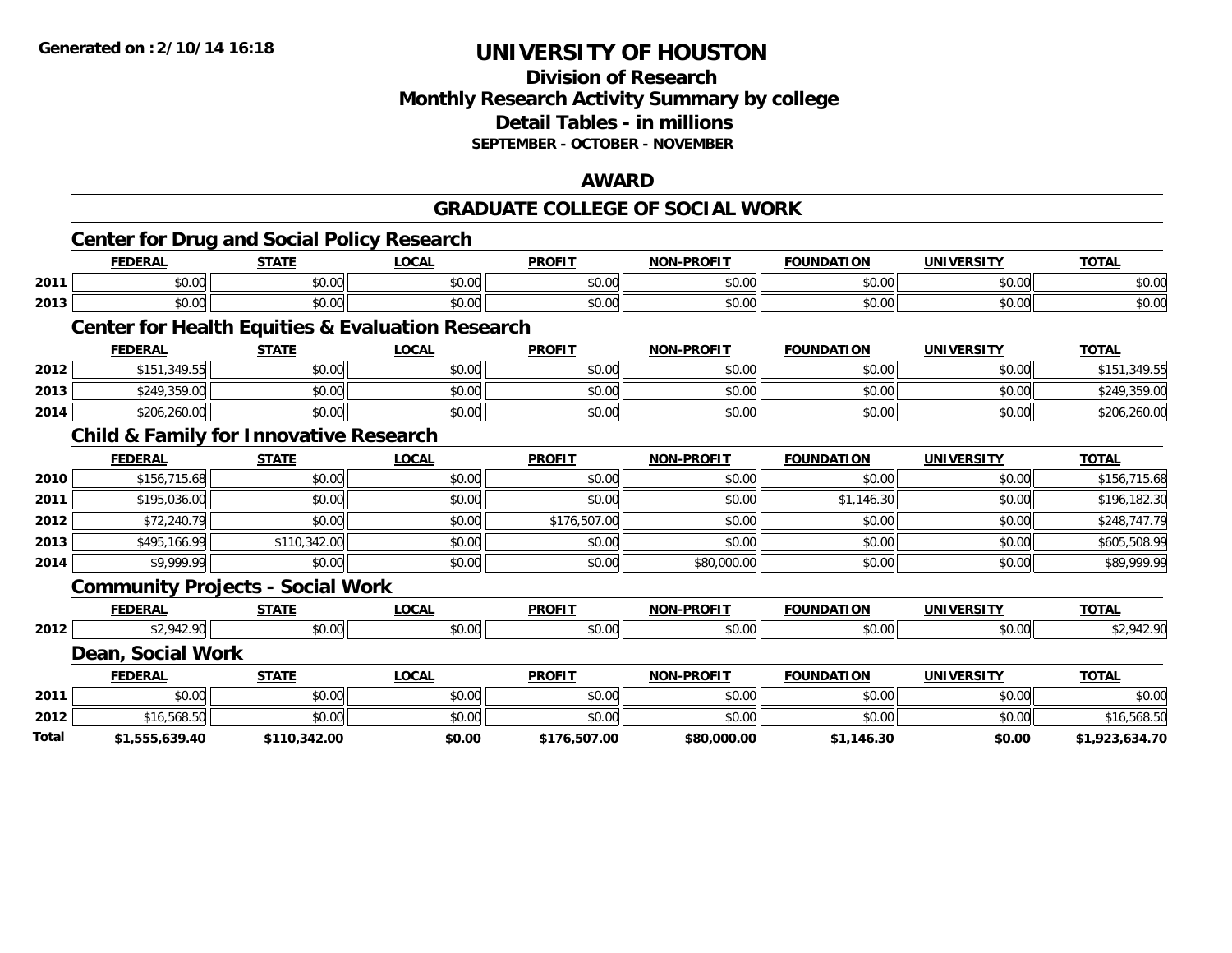# **Division of Research Monthly Research Activity Summary by college Detail Tables - in millions SEPTEMBER - OCTOBER - NOVEMBER**

#### **AWARD**

### **GRADUATE COLLEGE OF SOCIAL WORK**

|       | Center for Drug and Social Policy Research        |              |                                                             |               |                   |                   |                   |                |
|-------|---------------------------------------------------|--------------|-------------------------------------------------------------|---------------|-------------------|-------------------|-------------------|----------------|
|       | <b>FEDERAL</b>                                    | <b>STATE</b> | <b>LOCAL</b>                                                | <b>PROFIT</b> | <b>NON-PROFIT</b> | <b>FOUNDATION</b> | <b>UNIVERSITY</b> | <b>TOTAL</b>   |
| 2011  | \$0.00                                            | \$0.00       | \$0.00                                                      | \$0.00        | \$0.00            | \$0.00            | \$0.00            | \$0.00         |
| 2013  | \$0.00                                            | \$0.00       | \$0.00                                                      | \$0.00        | \$0.00            | \$0.00            | \$0.00            | \$0.00         |
|       |                                                   |              | <b>Center for Health Equities &amp; Evaluation Research</b> |               |                   |                   |                   |                |
|       | <b>FEDERAL</b>                                    | <b>STATE</b> | <b>LOCAL</b>                                                | <b>PROFIT</b> | <b>NON-PROFIT</b> | <b>FOUNDATION</b> | <b>UNIVERSITY</b> | <b>TOTAL</b>   |
| 2012  | \$151,349.55                                      | \$0.00       | \$0.00                                                      | \$0.00        | \$0.00            | \$0.00            | \$0.00            | \$151,349.55   |
| 2013  | \$249,359.00                                      | \$0.00       | \$0.00                                                      | \$0.00        | \$0.00            | \$0.00            | \$0.00            | \$249,359.00   |
| 2014  | \$206,260.00                                      | \$0.00       | \$0.00                                                      | \$0.00        | \$0.00            | \$0.00            | \$0.00            | \$206,260.00   |
|       | <b>Child &amp; Family for Innovative Research</b> |              |                                                             |               |                   |                   |                   |                |
|       | <b>FEDERAL</b>                                    | <b>STATE</b> | <b>LOCAL</b>                                                | <b>PROFIT</b> | <b>NON-PROFIT</b> | <b>FOUNDATION</b> | <b>UNIVERSITY</b> | <b>TOTAL</b>   |
| 2010  | \$156,715.68                                      | \$0.00       | \$0.00                                                      | \$0.00        | \$0.00            | \$0.00            | \$0.00            | \$156,715.68   |
| 2011  | \$195,036.00                                      | \$0.00       | \$0.00                                                      | \$0.00        | \$0.00            | \$1,146.30        | \$0.00            | \$196,182.30   |
| 2012  | \$72,240.79                                       | \$0.00       | \$0.00                                                      | \$176,507.00  | \$0.00            | \$0.00            | \$0.00            | \$248,747.79   |
| 2013  | \$495,166.99                                      | \$110,342.00 | \$0.00                                                      | \$0.00        | \$0.00            | \$0.00            | \$0.00            | \$605,508.99   |
| 2014  | \$9,999.99                                        | \$0.00       | \$0.00                                                      | \$0.00        | \$80,000.00       | \$0.00            | \$0.00            | \$89,999.99    |
|       | <b>Community Projects - Social Work</b>           |              |                                                             |               |                   |                   |                   |                |
|       | <b>FEDERAL</b>                                    | <b>STATE</b> | <b>LOCAL</b>                                                | <b>PROFIT</b> | <b>NON-PROFIT</b> | <b>FOUNDATION</b> | <b>UNIVERSITY</b> | <b>TOTAL</b>   |
| 2012  | \$2,942.90                                        | \$0.00       | \$0.00                                                      | \$0.00        | \$0.00            | \$0.00            | \$0.00            | \$2,942.90     |
|       | Dean, Social Work                                 |              |                                                             |               |                   |                   |                   |                |
|       | <b>FEDERAL</b>                                    | <b>STATE</b> | <b>LOCAL</b>                                                | <b>PROFIT</b> | <b>NON-PROFIT</b> | <b>FOUNDATION</b> | <b>UNIVERSITY</b> | <b>TOTAL</b>   |
| 2011  | \$0.00                                            | \$0.00       | \$0.00                                                      | \$0.00        | \$0.00            | \$0.00            | \$0.00            | \$0.00         |
| 2012  | \$16,568.50                                       | \$0.00       | \$0.00                                                      | \$0.00        | \$0.00            | \$0.00            | \$0.00            | \$16,568.50    |
| Total | \$1,555,639.40                                    | \$110,342.00 | \$0.00                                                      | \$176,507.00  | \$80,000.00       | \$1,146.30        | \$0.00            | \$1,923,634.70 |
|       |                                                   |              |                                                             |               |                   |                   |                   |                |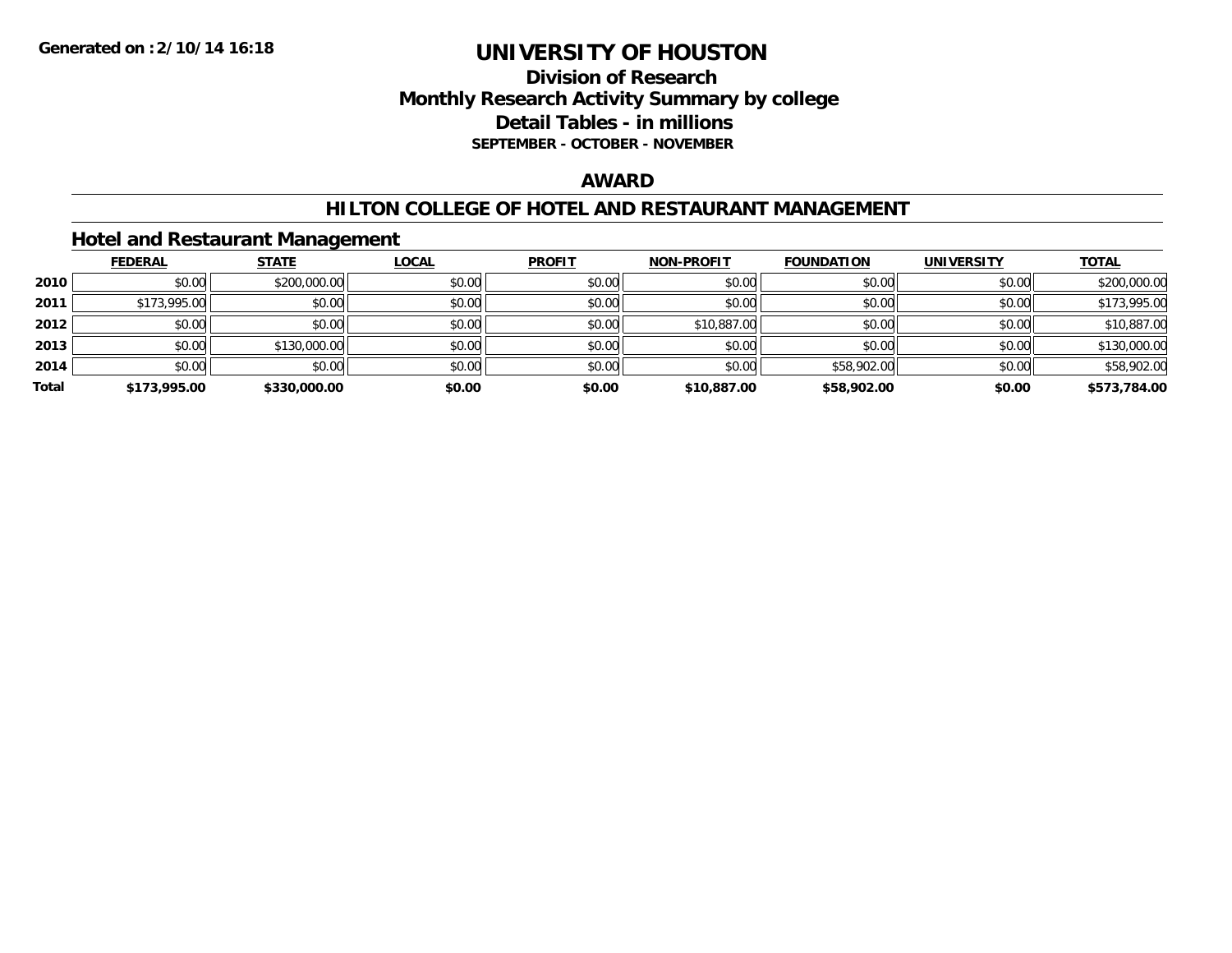# **Division of Research Monthly Research Activity Summary by college Detail Tables - in millions SEPTEMBER - OCTOBER - NOVEMBER**

### **AWARD**

### **HILTON COLLEGE OF HOTEL AND RESTAURANT MANAGEMENT**

# **Hotel and Restaurant Management**

|       | <b>FEDERAL</b> | <b>STATE</b> | <u>LOCAL</u> | <b>PROFIT</b> | <b>NON-PROFIT</b> | <b>FOUNDATION</b> | <b>UNIVERSITY</b> | <b>TOTAL</b> |
|-------|----------------|--------------|--------------|---------------|-------------------|-------------------|-------------------|--------------|
| 2010  | \$0.00         | \$200,000.00 | \$0.00       | \$0.00        | \$0.00            | \$0.00            | \$0.00            | \$200,000.00 |
| 2011  | \$173,995.00   | \$0.00       | \$0.00       | \$0.00        | \$0.00            | \$0.00            | \$0.00            | \$173,995.00 |
| 2012  | \$0.00         | \$0.00       | \$0.00       | \$0.00        | \$10,887.00       | \$0.00            | \$0.00            | \$10,887.00  |
| 2013  | \$0.00         | \$130,000.00 | \$0.00       | \$0.00        | \$0.00            | \$0.00            | \$0.00            | \$130,000.00 |
| 2014  | \$0.00         | \$0.00       | \$0.00       | \$0.00        | \$0.00            | \$58,902.00       | \$0.00            | \$58,902.00  |
| Total | \$173,995.00   | \$330,000.00 | \$0.00       | \$0.00        | \$10,887.00       | \$58,902.00       | \$0.00            | \$573,784.00 |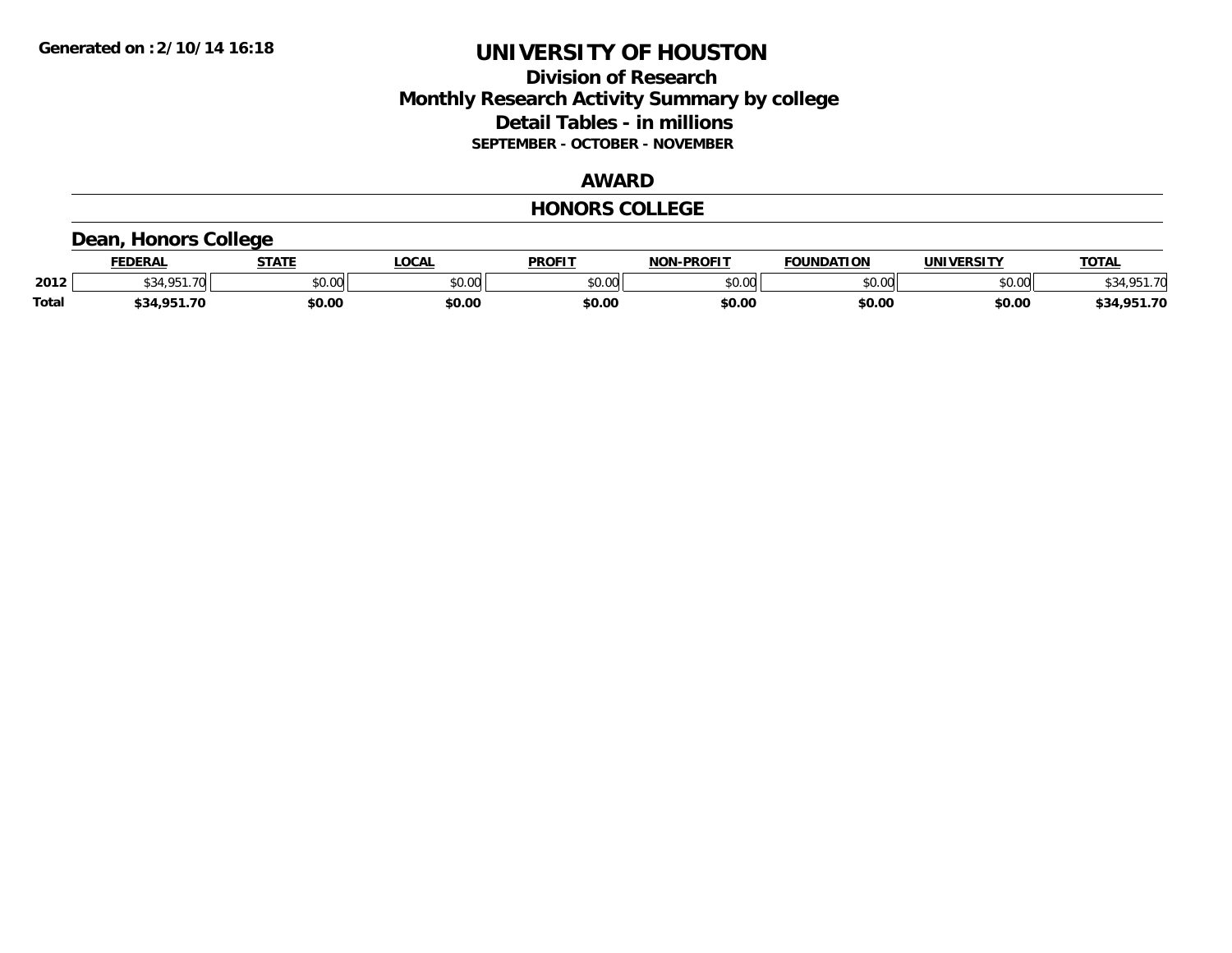# **Division of Research Monthly Research Activity Summary by college Detail Tables - in millions SEPTEMBER - OCTOBER - NOVEMBER**

# **AWARD**

#### **HONORS COLLEGE**

# **Dean, Honors College**

|              | <b>FEDERAL</b>        | <b>STATE</b> | <b>OCAL</b>   | <b>PROFIT</b> | <b>NON-PROFIT</b> | <b>FOUNDATION</b> | <b>UNIVERSITY</b> | <b>TOTAL</b> |
|--------------|-----------------------|--------------|---------------|---------------|-------------------|-------------------|-------------------|--------------|
| 2012         | <b>CO A CD</b><br>.70 | \$0.00       | 0000<br>vu.uu | \$0.00        | ልስ ሀህ<br>pu.uu    | \$0.00            | \$0.00            | \$34.951.70  |
| <b>Total</b> | \$34.951.70           | \$0.00       | \$0.00        | \$0.00        | \$0.00            | \$0.00            | \$0.00            | \$34,951.70  |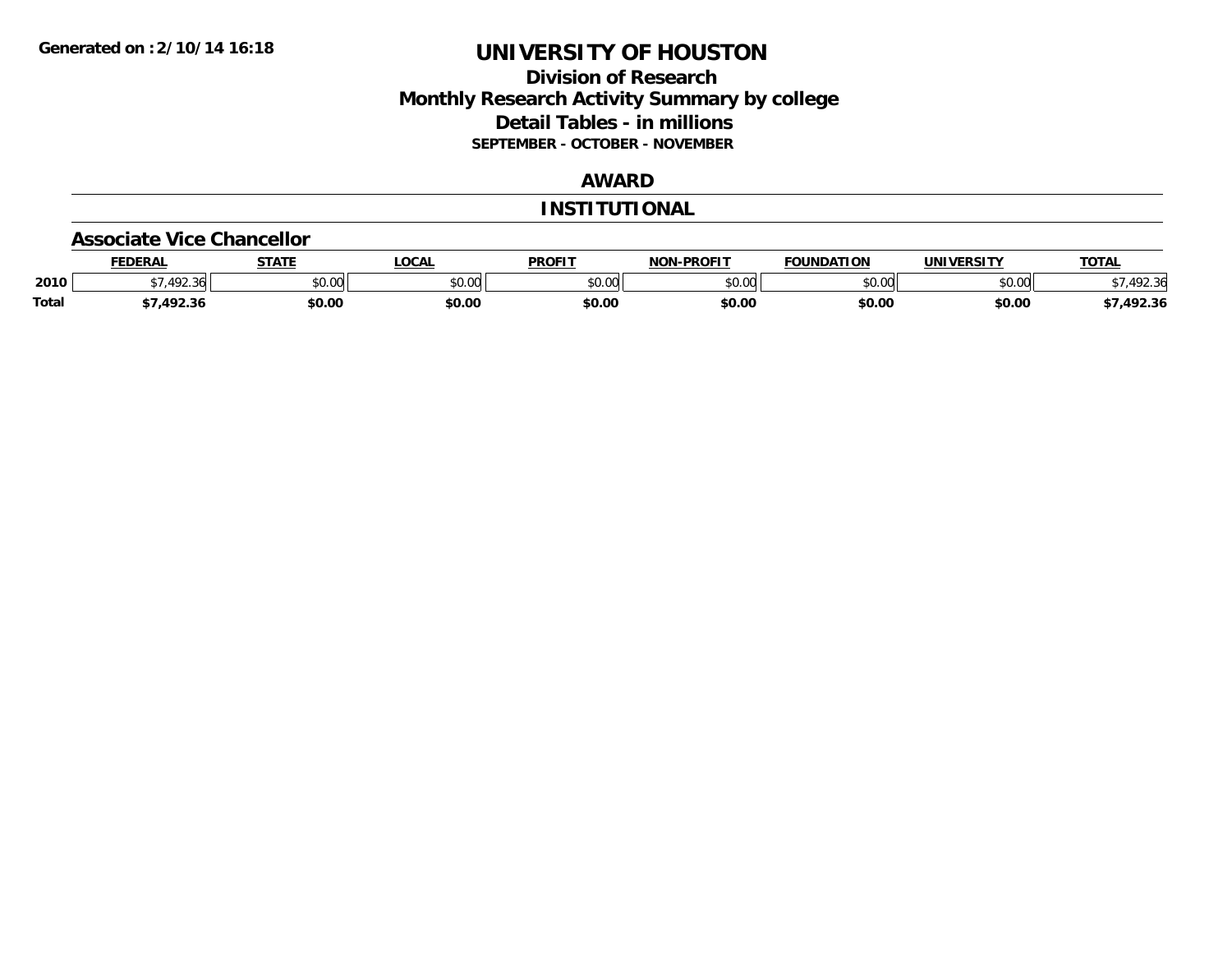# **Division of Research Monthly Research Activity Summary by college Detail Tables - in millions SEPTEMBER - OCTOBER - NOVEMBER**

# **AWARD**

#### **INSTITUTIONAL**

#### **Associate Vice Chancellor**

|              | <b>FEDERAI</b>              | -----  | 00h<br>JUAI | <b>PROFIT</b> | <b>-PROFIT</b><br>NON | <b>FOUNDATION</b> | UNIVERSITY | TOTAL  |
|--------------|-----------------------------|--------|-------------|---------------|-----------------------|-------------------|------------|--------|
| 2010         | $\sqrt{2}$<br>3 A L<br>1.11 | \$0.00 | vv.v        | 0.00<br>JU.UU | $\sim$ 00<br>pu.uu    | 0000<br>.u.u      | \$0.00     |        |
| <b>Total</b> | $\lambda$                   | \$0.00 | \$0.00      | \$0.00        | \$0.00                | \$0.00            | \$0.00     | 492.36 |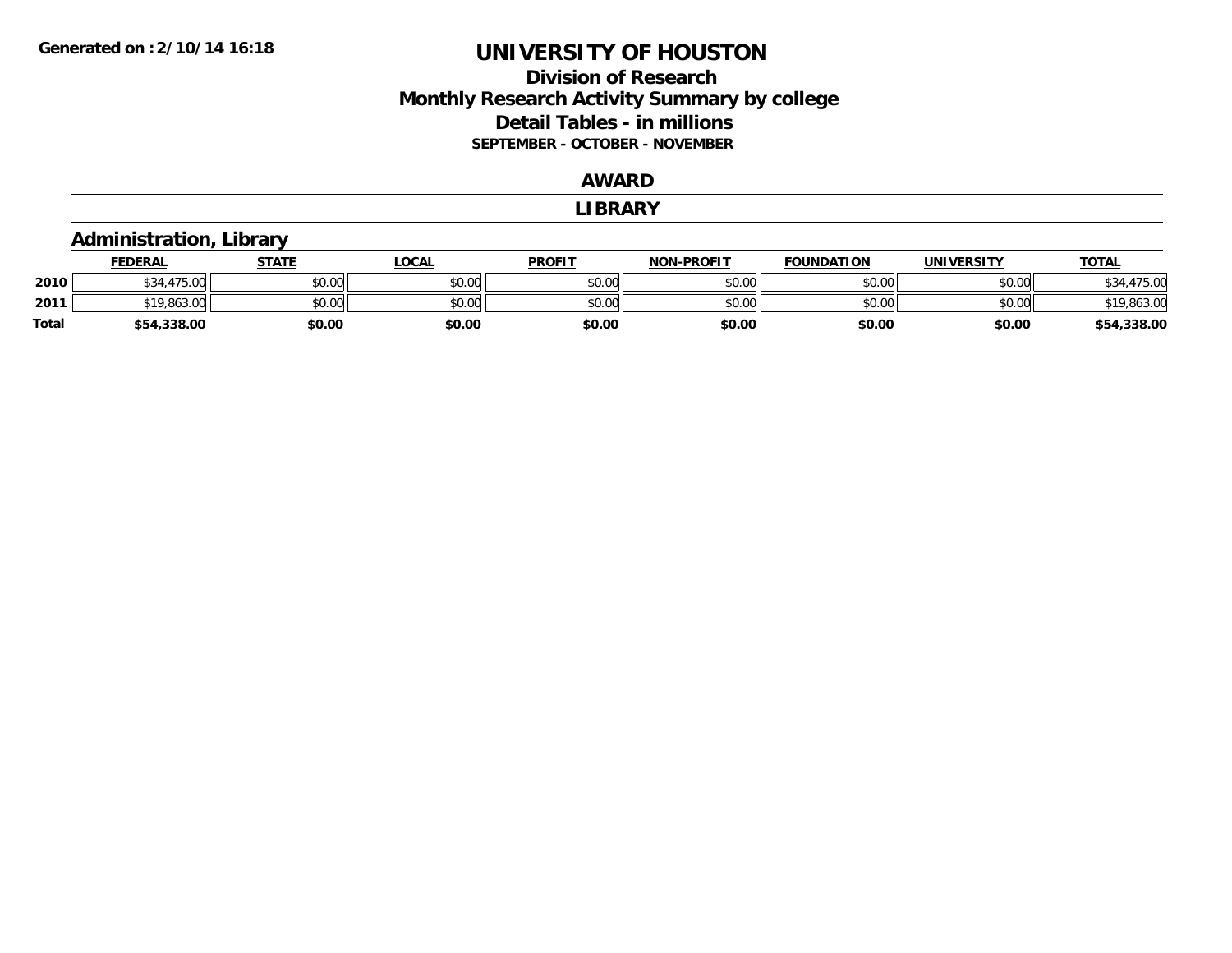# **Division of ResearchMonthly Research Activity Summary by college Detail Tables - in millions SEPTEMBER - OCTOBER - NOVEMBER**

### **AWARD**

#### **LIBRARY**

#### **Administration, Library FEDERAL STATE LOCAL PROFIT NON-PROFIT FOUNDATION UNIVERSITY TOTALTOTAL 2010** $\textsf{[0]} \quad \textsf{[0]} \quad \textsf{[0]} \quad \textsf{[0]} \quad \textsf{[0]} \quad \textsf{[0]} \quad \textsf{[0]} \quad \textsf{[0]} \quad \textsf{[0]} \quad \textsf{[0]} \quad \textsf{[0]} \quad \textsf{[0]} \quad \textsf{[0]} \quad \textsf{[0]} \quad \textsf{[0]} \quad \textsf{[0]} \quad \textsf{[0]} \quad \textsf{[0]} \quad \textsf{[0]} \quad \textsf{[0]} \quad \textsf{[0]} \quad \textsf{[0]} \quad \textsf{[0]} \quad \textsf{[0]} \quad \textsf{$ **2011**1 \$19,863.00 \$0.00 \$0.00 \$0.00 \$0.00 \$0.00 \$0.00 \$0.00 \$0.00 \$0.00 \$0.00 \$19,863.00 \$19,863.00 **Total\$54,338.00 \$0.00 \$0.00 \$0.00 \$0.00 \$0.00 \$0.00 \$54,338.00**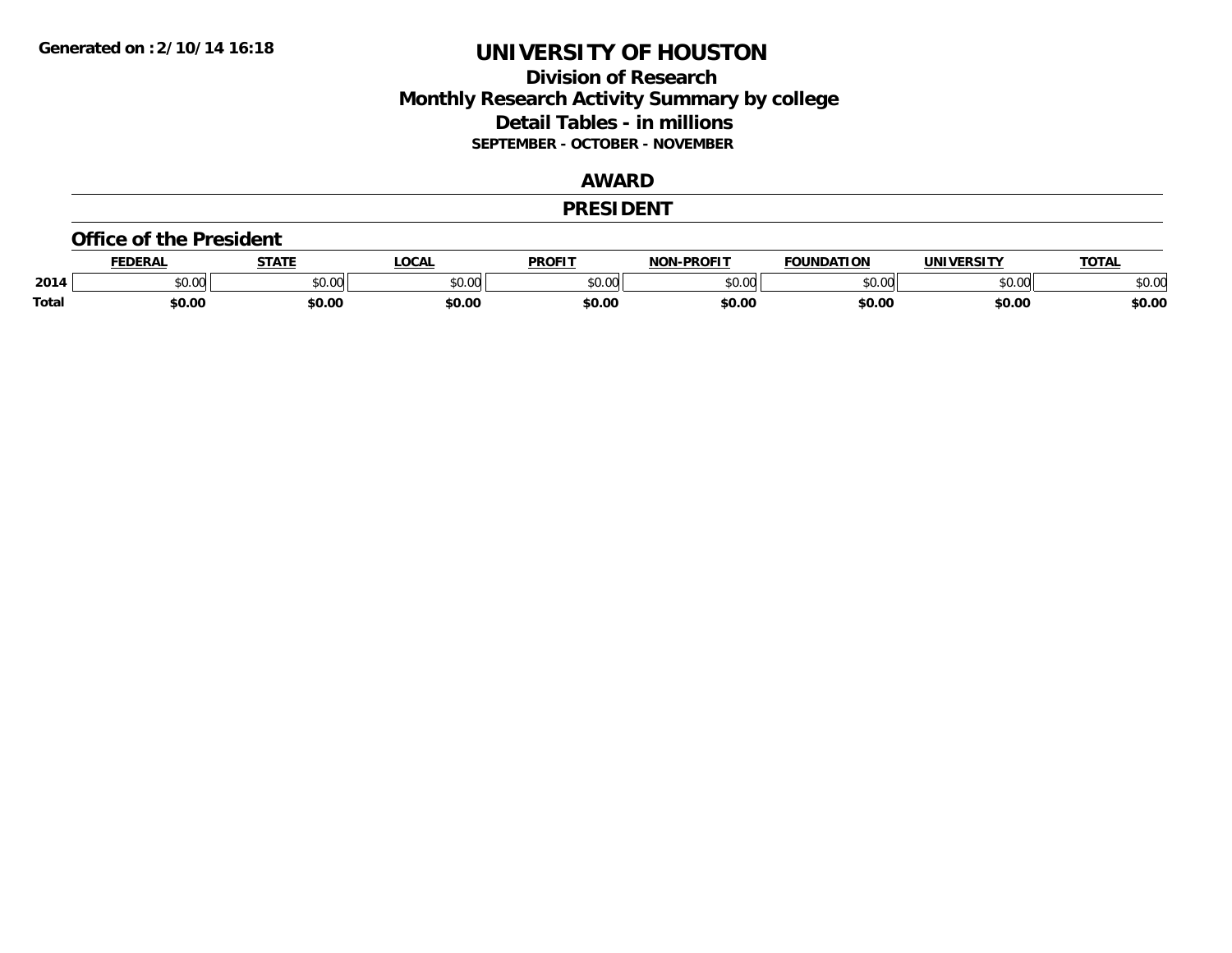# **Division of Research Monthly Research Activity Summary by college Detail Tables - in millions SEPTEMBER - OCTOBER - NOVEMBER**

# **AWARD**

#### **PRESIDENT**

#### **Office of the President**

|              | <b>FDERAI</b>   | <b>STATE</b> | <b>LOCAL</b> | PROFIT          | DDOC1T<br>NAN | <b>FOUNDATION</b> | <b>UNIVERSITY</b> | <b>TOTAL</b> |
|--------------|-----------------|--------------|--------------|-----------------|---------------|-------------------|-------------------|--------------|
| 2014         | $\sim$<br>JU.UU | JU.UU        | \$0.00       | $\sim$<br>JU.UU | 0000<br>~∪.∪∪ | , , , , , ,       | 0000<br>U.UU      | \$0.00       |
| <b>Total</b> | \$0.00          | \$0.00       | \$0.00       | en nr<br>JU.U   | \$0.00        | \$0.00            | \$0.00            | \$0.00       |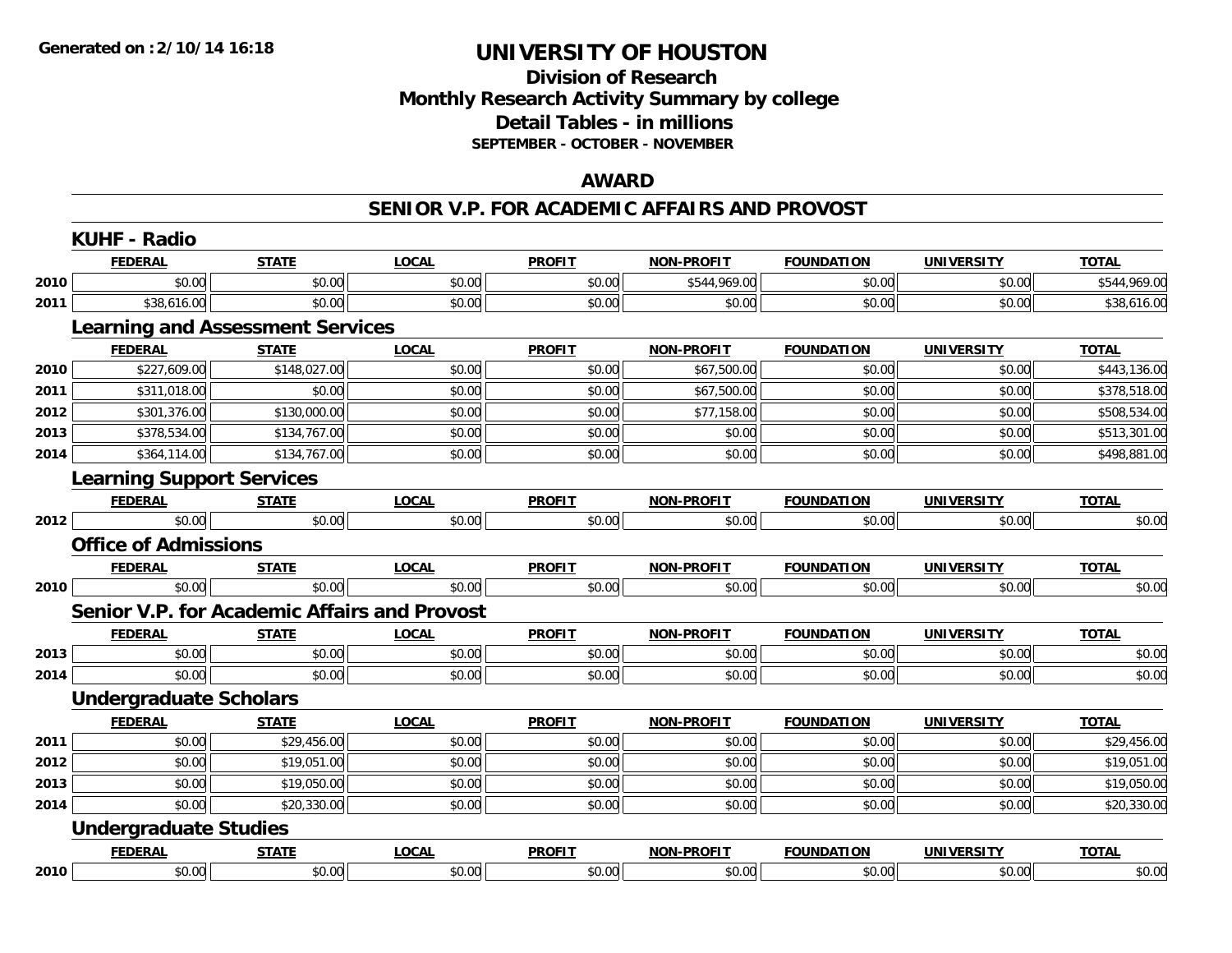# **Division of Research Monthly Research Activity Summary by college Detail Tables - in millions SEPTEMBER - OCTOBER - NOVEMBER**

### **AWARD**

#### **SENIOR V.P. FOR ACADEMIC AFFAIRS AND PROVOST**

|      | <b>KUHF - Radio</b>                     |              |                                              |               |                   |                   |                   |              |
|------|-----------------------------------------|--------------|----------------------------------------------|---------------|-------------------|-------------------|-------------------|--------------|
|      | <b>FEDERAL</b>                          | <b>STATE</b> | <b>LOCAL</b>                                 | <b>PROFIT</b> | <b>NON-PROFIT</b> | <b>FOUNDATION</b> | <b>UNIVERSITY</b> | <b>TOTAL</b> |
| 2010 | \$0.00                                  | \$0.00       | \$0.00                                       | \$0.00        | \$544,969.00      | \$0.00            | \$0.00            | \$544,969.00 |
| 2011 | \$38,616.00                             | \$0.00       | \$0.00                                       | \$0.00        | \$0.00            | \$0.00            | \$0.00            | \$38,616.00  |
|      | <b>Learning and Assessment Services</b> |              |                                              |               |                   |                   |                   |              |
|      | <b>FEDERAL</b>                          | <b>STATE</b> | <b>LOCAL</b>                                 | <b>PROFIT</b> | <b>NON-PROFIT</b> | <b>FOUNDATION</b> | <b>UNIVERSITY</b> | <b>TOTAL</b> |
| 2010 | \$227,609.00                            | \$148,027.00 | \$0.00                                       | \$0.00        | \$67,500.00       | \$0.00            | \$0.00            | \$443,136.00 |
| 2011 | \$311,018.00                            | \$0.00       | \$0.00                                       | \$0.00        | \$67,500.00       | \$0.00            | \$0.00            | \$378,518.00 |
| 2012 | \$301,376.00                            | \$130,000.00 | \$0.00                                       | \$0.00        | \$77,158.00       | \$0.00            | \$0.00            | \$508,534.00 |
| 2013 | \$378,534.00                            | \$134,767.00 | \$0.00                                       | \$0.00        | \$0.00            | \$0.00            | \$0.00            | \$513,301.00 |
| 2014 | \$364,114.00                            | \$134,767.00 | \$0.00                                       | \$0.00        | \$0.00            | \$0.00            | \$0.00            | \$498,881.00 |
|      | <b>Learning Support Services</b>        |              |                                              |               |                   |                   |                   |              |
|      | <b>FEDERAL</b>                          | <b>STATE</b> | <b>LOCAL</b>                                 | <b>PROFIT</b> | <b>NON-PROFIT</b> | <b>FOUNDATION</b> | <b>UNIVERSITY</b> | <b>TOTAL</b> |
| 2012 | \$0.00                                  | \$0.00       | \$0.00                                       | \$0.00        | \$0.00            | \$0.00            | \$0.00            | \$0.00       |
|      | <b>Office of Admissions</b>             |              |                                              |               |                   |                   |                   |              |
|      | <b>FEDERAL</b>                          | <b>STATE</b> | <b>LOCAL</b>                                 | <b>PROFIT</b> | <b>NON-PROFIT</b> | <b>FOUNDATION</b> | <b>UNIVERSITY</b> | <b>TOTAL</b> |
| 2010 | \$0.00                                  | \$0.00       | \$0.00                                       | \$0.00        | \$0.00            | \$0.00            | \$0.00            | \$0.00       |
|      |                                         |              | Senior V.P. for Academic Affairs and Provost |               |                   |                   |                   |              |
|      | <b>FEDERAL</b>                          | <b>STATE</b> | <b>LOCAL</b>                                 | <b>PROFIT</b> | <b>NON-PROFIT</b> | <b>FOUNDATION</b> | <b>UNIVERSITY</b> | <b>TOTAL</b> |
| 2013 | \$0.00                                  | \$0.00       | \$0.00                                       | \$0.00        | \$0.00            | \$0.00            | \$0.00            | \$0.00       |
| 2014 | \$0.00                                  | \$0.00       | \$0.00                                       | \$0.00        | \$0.00            | \$0.00            | \$0.00            | \$0.00       |
|      | <b>Undergraduate Scholars</b>           |              |                                              |               |                   |                   |                   |              |
|      | <b>FEDERAL</b>                          | <b>STATE</b> | <b>LOCAL</b>                                 | <b>PROFIT</b> | <b>NON-PROFIT</b> | <b>FOUNDATION</b> | <b>UNIVERSITY</b> | <b>TOTAL</b> |
| 2011 | \$0.00                                  | \$29,456.00  | \$0.00                                       | \$0.00        | \$0.00            | \$0.00            | \$0.00            | \$29,456.00  |
| 2012 | \$0.00                                  | \$19,051.00  | \$0.00                                       | \$0.00        | \$0.00            | \$0.00            | \$0.00            | \$19,051.00  |
| 2013 | \$0.00                                  | \$19,050.00  | \$0.00                                       | \$0.00        | \$0.00            | \$0.00            | \$0.00            | \$19,050.00  |
| 2014 | \$0.00                                  | \$20,330.00  | \$0.00                                       | \$0.00        | \$0.00            | \$0.00            | \$0.00            | \$20,330.00  |
|      | <b>Undergraduate Studies</b>            |              |                                              |               |                   |                   |                   |              |
|      | <b>FEDERAL</b>                          | <b>STATE</b> | <b>LOCAL</b>                                 | <b>PROFIT</b> | <b>NON-PROFIT</b> | <b>FOUNDATION</b> | <b>UNIVERSITY</b> | <b>TOTAL</b> |
| 2010 | \$0.00                                  | \$0.00       | \$0.00                                       | \$0.00        | \$0.00            | \$0.00            | \$0.00            | \$0.00       |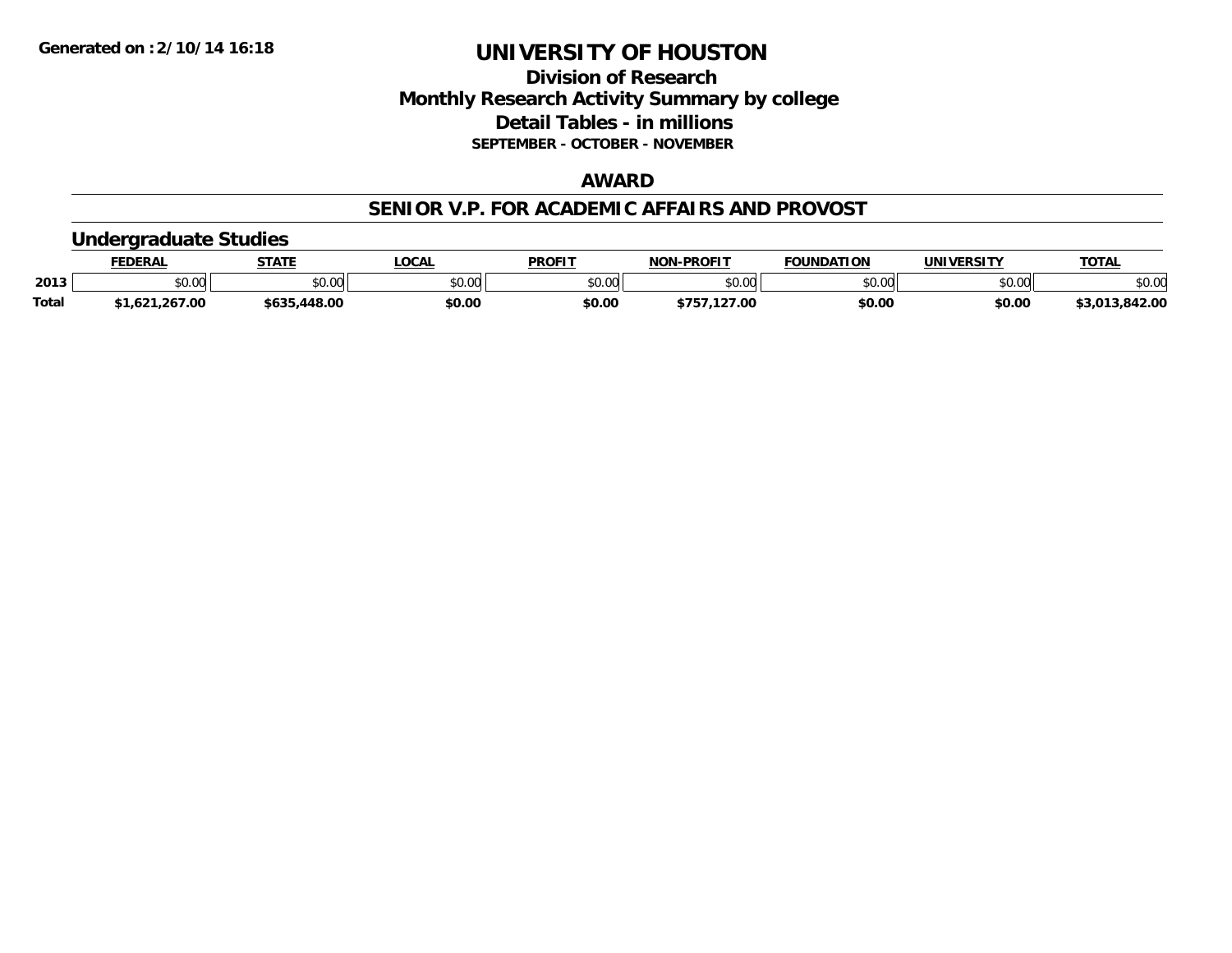# **Division of Research Monthly Research Activity Summary by college Detail Tables - in millions SEPTEMBER - OCTOBER - NOVEMBER**

# **AWARD**

#### **SENIOR V.P. FOR ACADEMIC AFFAIRS AND PROVOST**

### **Undergraduate Studies**

|              | FEDERA. | <b>STATE</b> | <b>LOCAL</b>   | <b>PROFIT</b> | -PROFIT<br>NON | FOUNDATION        | <b>IINIVERSITY</b> | <b>TOTAL</b> |
|--------------|---------|--------------|----------------|---------------|----------------|-------------------|--------------------|--------------|
| 2013         | JU.UU   | \$0.00       | ልስ ስስ<br>PU.UU | 0000<br>. UU  | ልስ ለሰ<br>∪.∪∪  | $\cdots$<br>JU.UU | \$0.00             | \$0.00       |
| <b>Total</b> |         | .448.00      | \$0.OC         | \$0.00        | 00.'           | \$0.00            | \$0.00             | 842.00       |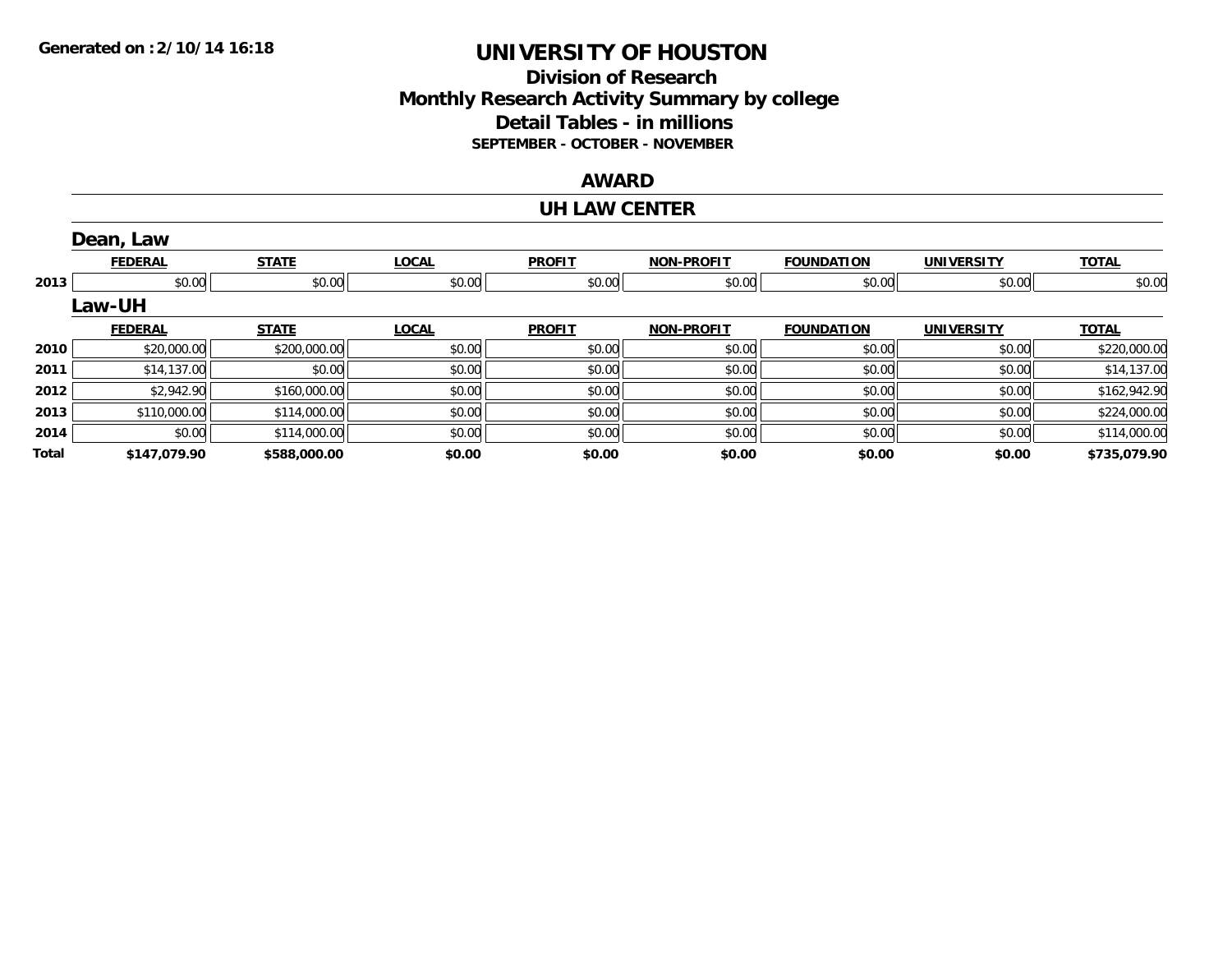# **Division of ResearchMonthly Research Activity Summary by college Detail Tables - in millions SEPTEMBER - OCTOBER - NOVEMBER**

### **AWARD**

#### **UH LAW CENTER**

|       | Dean, Law      |              |              |               |                   |                   |                   |              |
|-------|----------------|--------------|--------------|---------------|-------------------|-------------------|-------------------|--------------|
|       | <b>FEDERAL</b> | <b>STATE</b> | <b>LOCAL</b> | <b>PROFIT</b> | <b>NON-PROFIT</b> | <b>FOUNDATION</b> | <b>UNIVERSITY</b> | <b>TOTAL</b> |
| 2013  | \$0.00         | \$0.00       | \$0.00       | \$0.00        | \$0.00            | \$0.00            | \$0.00            | \$0.00       |
|       | <b>Law-UH</b>  |              |              |               |                   |                   |                   |              |
|       | <b>FEDERAL</b> | <b>STATE</b> | <b>LOCAL</b> | <b>PROFIT</b> | <b>NON-PROFIT</b> | <b>FOUNDATION</b> | <b>UNIVERSITY</b> | <b>TOTAL</b> |
| 2010  | \$20,000.00    | \$200,000.00 | \$0.00       | \$0.00        | \$0.00            | \$0.00            | \$0.00            | \$220,000.00 |
| 2011  | \$14,137.00    | \$0.00       | \$0.00       | \$0.00        | \$0.00            | \$0.00            | \$0.00            | \$14,137.00  |
| 2012  | \$2,942.90     | \$160,000.00 | \$0.00       | \$0.00        | \$0.00            | \$0.00            | \$0.00            | \$162,942.90 |
| 2013  | \$110,000.00   | \$114,000.00 | \$0.00       | \$0.00        | \$0.00            | \$0.00            | \$0.00            | \$224,000.00 |
| 2014  | \$0.00         | \$114,000.00 | \$0.00       | \$0.00        | \$0.00            | \$0.00            | \$0.00            | \$114,000.00 |
| Total | \$147,079.90   | \$588,000.00 | \$0.00       | \$0.00        | \$0.00            | \$0.00            | \$0.00            | \$735,079.90 |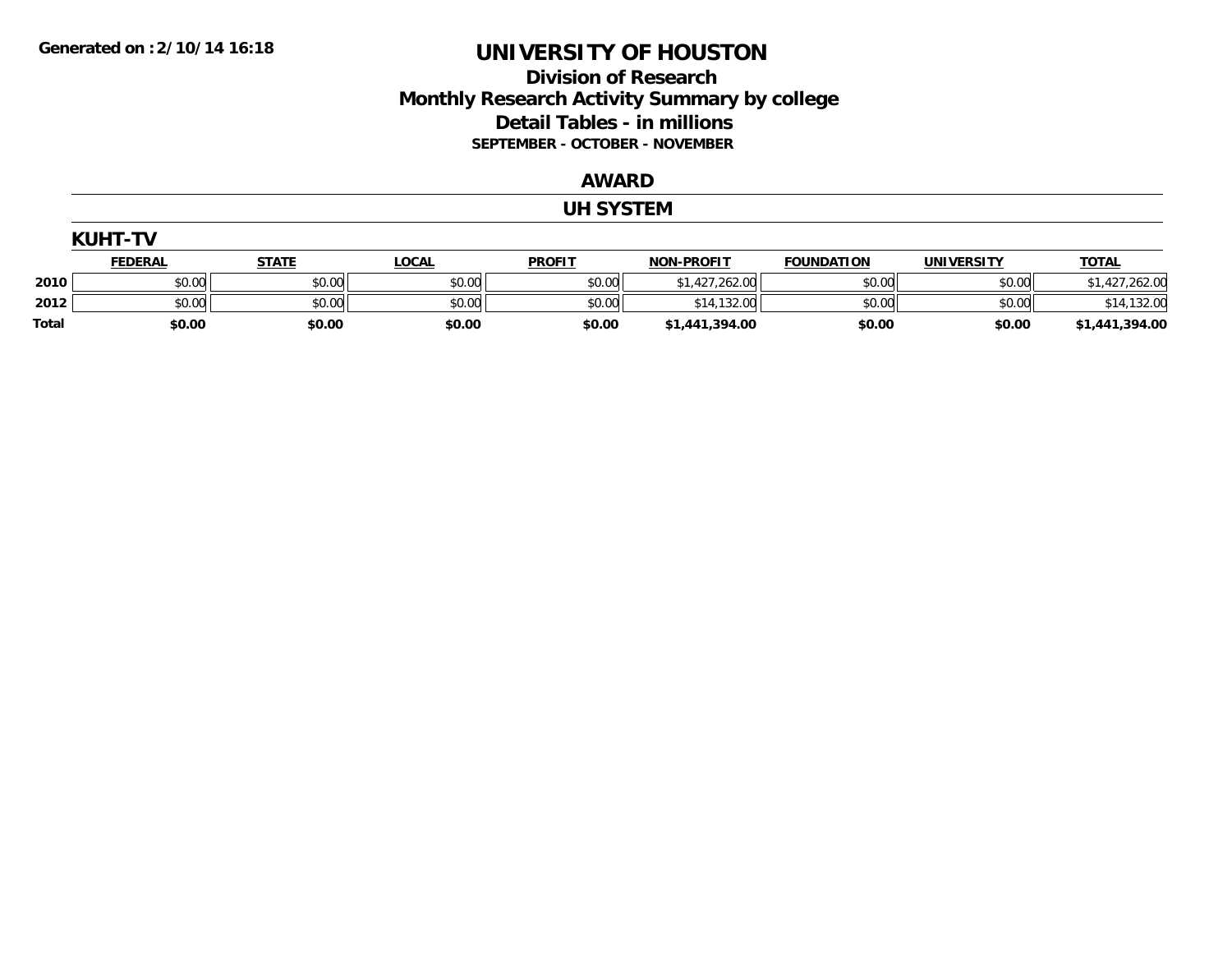# **Division of Research Monthly Research Activity Summary by college Detail Tables - in millions SEPTEMBER - OCTOBER - NOVEMBER**

#### **AWARD**

#### **UH SYSTEM**

|              | <b>KUHT-TV</b> |              |              |               |                   |                   |                   |                |  |  |
|--------------|----------------|--------------|--------------|---------------|-------------------|-------------------|-------------------|----------------|--|--|
|              | <u>FEDERAL</u> | <u>STATE</u> | <b>LOCAL</b> | <b>PROFIT</b> | <b>NON-PROFIT</b> | <b>FOUNDATION</b> | <b>UNIVERSITY</b> | <b>TOTAL</b>   |  |  |
| 2010         | \$0.00         | \$0.00       | \$0.00       | \$0.00        | \$1,427,262.00    | \$0.00            | \$0.00            | \$1,427,262.00 |  |  |
| 2012         | \$0.00         | \$0.00       | \$0.00       | \$0.00        | \$14,132.00       | \$0.00            | \$0.00            | \$14,132.00    |  |  |
| <b>Total</b> | \$0.00         | \$0.00       | \$0.00       | \$0.00        | \$1,441,394.00    | \$0.00            | \$0.00            | \$1,441,394.00 |  |  |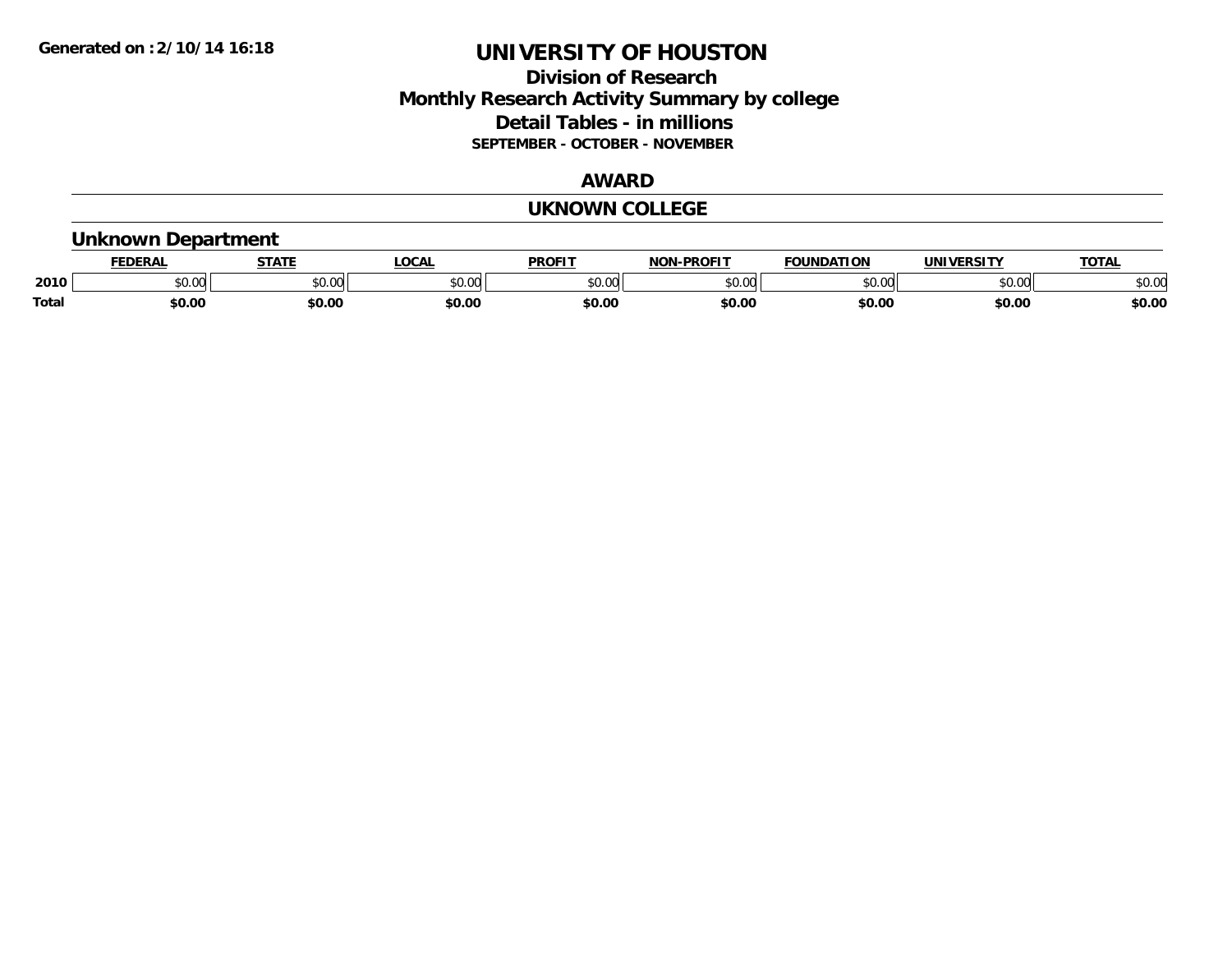# **Division of Research Monthly Research Activity Summary by college Detail Tables - in millions SEPTEMBER - OCTOBER - NOVEMBER**

#### **AWARD**

#### **UKNOWN COLLEGE**

### **Unknown Department**

|       | .<br>- מ     | <b>STATI</b>       | OCA                                                                                    | <b>PROFIT</b> | <b>DDAEIT</b><br><b>BIAB</b> | ΠΟΝ            | <u>urneitv</u><br><b>INIV</b> | TOTA.          |
|-------|--------------|--------------------|----------------------------------------------------------------------------------------|---------------|------------------------------|----------------|-------------------------------|----------------|
| 2010  | 0000<br>u.uu | $\sim$ 0.00<br>υv. | $\begin{array}{c} \hline \text{A} & \text{A} & \text{B} \\ \hline \end{array}$<br>יש.ט | 0000<br>JU.UU | $*$ $\cap$ $\cap$<br>ט.טע    | 0 <sub>n</sub> | \$0.00                        | ልስ ስሰ<br>DU.UU |
| Total | \$0.00       | \$0.00             | \$0.00                                                                                 | ቀስ ሰ<br>ov.u  | \$0.00                       | \$0.00         | \$0.00                        | \$0.00         |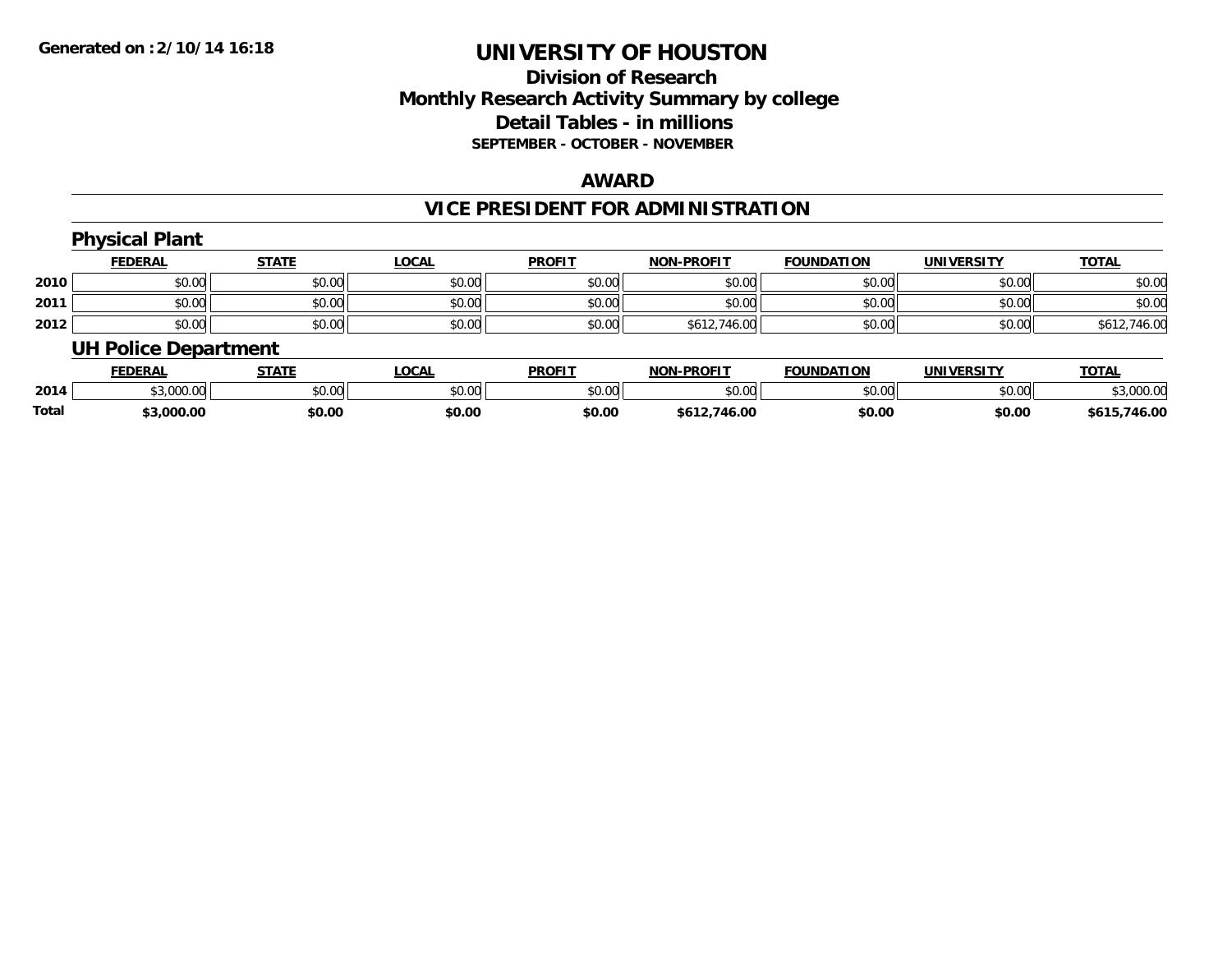# **Division of Research Monthly Research Activity Summary by college Detail Tables - in millions SEPTEMBER - OCTOBER - NOVEMBER**

#### **AWARD**

# **VICE PRESIDENT FOR ADMINISTRATION**

|      | <b>Physical Plant</b>       |              |              |               |                   |                   |                   |              |
|------|-----------------------------|--------------|--------------|---------------|-------------------|-------------------|-------------------|--------------|
|      | <b>FEDERAL</b>              | <b>STATE</b> | <u>LOCAL</u> | <b>PROFIT</b> | <b>NON-PROFIT</b> | <b>FOUNDATION</b> | <b>UNIVERSITY</b> | <b>TOTAL</b> |
| 2010 | \$0.00                      | \$0.00       | \$0.00       | \$0.00        | \$0.00            | \$0.00            | \$0.00            | \$0.00       |
| 2011 | \$0.00                      | \$0.00       | \$0.00       | \$0.00        | \$0.00            | \$0.00            | \$0.00            | \$0.00       |
| 2012 | \$0.00                      | \$0.00       | \$0.00       | \$0.00        | \$612,746.00      | \$0.00            | \$0.00            | \$612,746.00 |
|      | <b>UH Police Department</b> |              |              |               |                   |                   |                   |              |

|              | <b>FEDERAL</b>            | <b>STATE</b> | LOCAL  | <b>PROFIT</b> | <b>NON-PROFIT</b> | <b>FOUNDATION</b> | <b>UNIVERSITY</b> | <b>TOTAL</b> |
|--------------|---------------------------|--------------|--------|---------------|-------------------|-------------------|-------------------|--------------|
| 2014         | $*2.000.00$<br>��.UUU.UUI | \$0.00       | \$0.00 | \$0.00        | ≮N UV<br>ง∪.∪บ    | \$0.00            | \$0.00            | \$3,000.00   |
| <b>Total</b> | 3.000.00;                 | \$0.00       | \$0.00 | \$0.00        | \$612.746.00      | \$0.00            | \$0.00            | \$615,746.00 |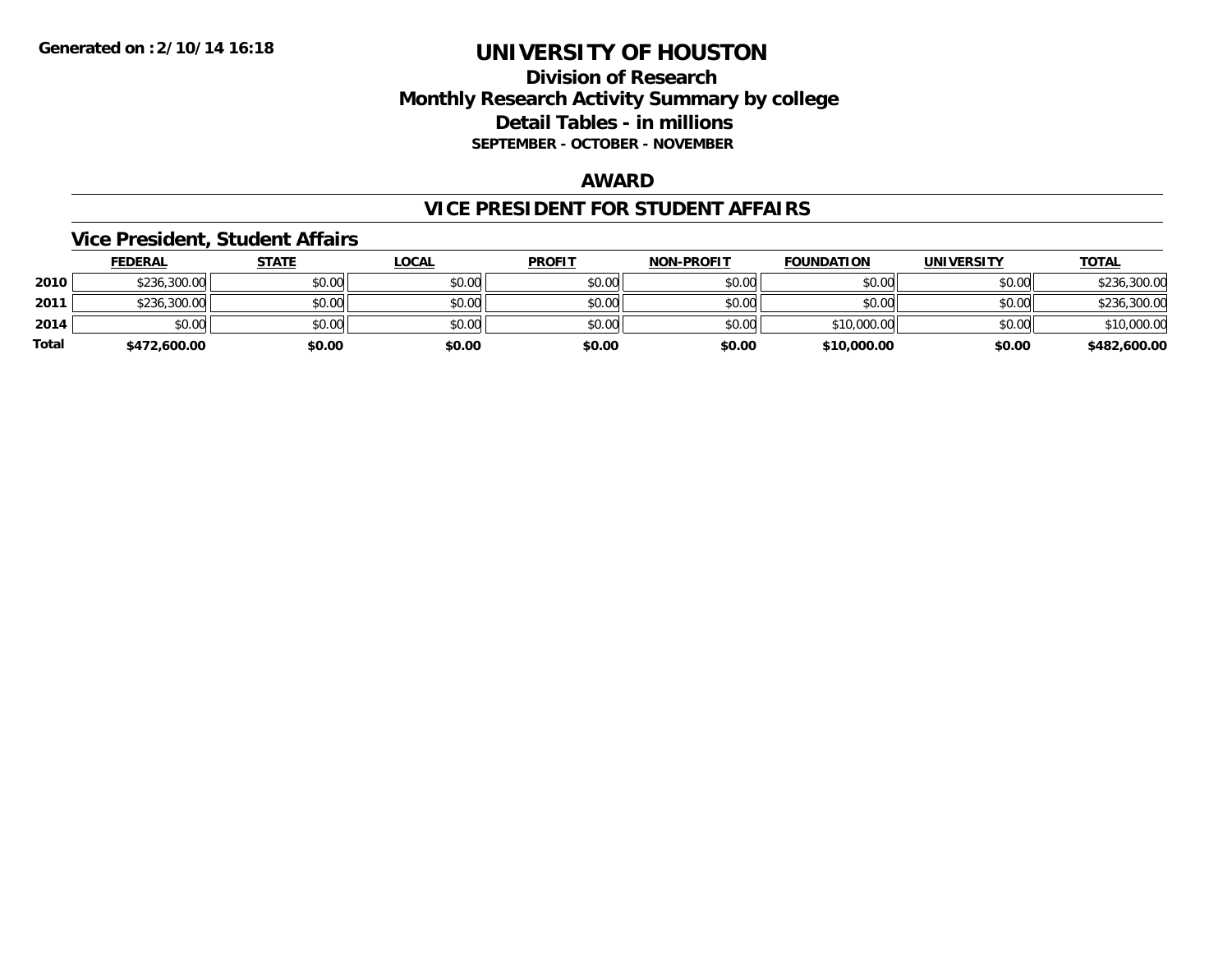# **Division of Research Monthly Research Activity Summary by college Detail Tables - in millions SEPTEMBER - OCTOBER - NOVEMBER**

#### **AWARD**

### **VICE PRESIDENT FOR STUDENT AFFAIRS**

### **Vice President, Student Affairs**

|       | <b>FEDERAL</b> | <u>STATE</u> | <b>LOCAL</b> | <b>PROFIT</b> | <b>NON-PROFIT</b> | <b>FOUNDATION</b> | <b>UNIVERSITY</b> | <b>TOTAL</b> |
|-------|----------------|--------------|--------------|---------------|-------------------|-------------------|-------------------|--------------|
| 2010  | \$236,300.00   | \$0.00       | \$0.00       | \$0.00        | \$0.00            | \$0.00            | \$0.00            | \$236,300.00 |
| 2011  | \$236,300.00   | \$0.00       | \$0.00       | \$0.00        | \$0.00            | \$0.00            | \$0.00            | \$236,300.00 |
| 2014  | \$0.00         | \$0.00       | \$0.00       | \$0.00        | \$0.00            | \$10,000.00       | \$0.00            | \$10,000.00  |
| Total | \$472,600.00   | \$0.00       | \$0.00       | \$0.00        | \$0.00            | \$10,000.00       | \$0.00            | \$482,600.00 |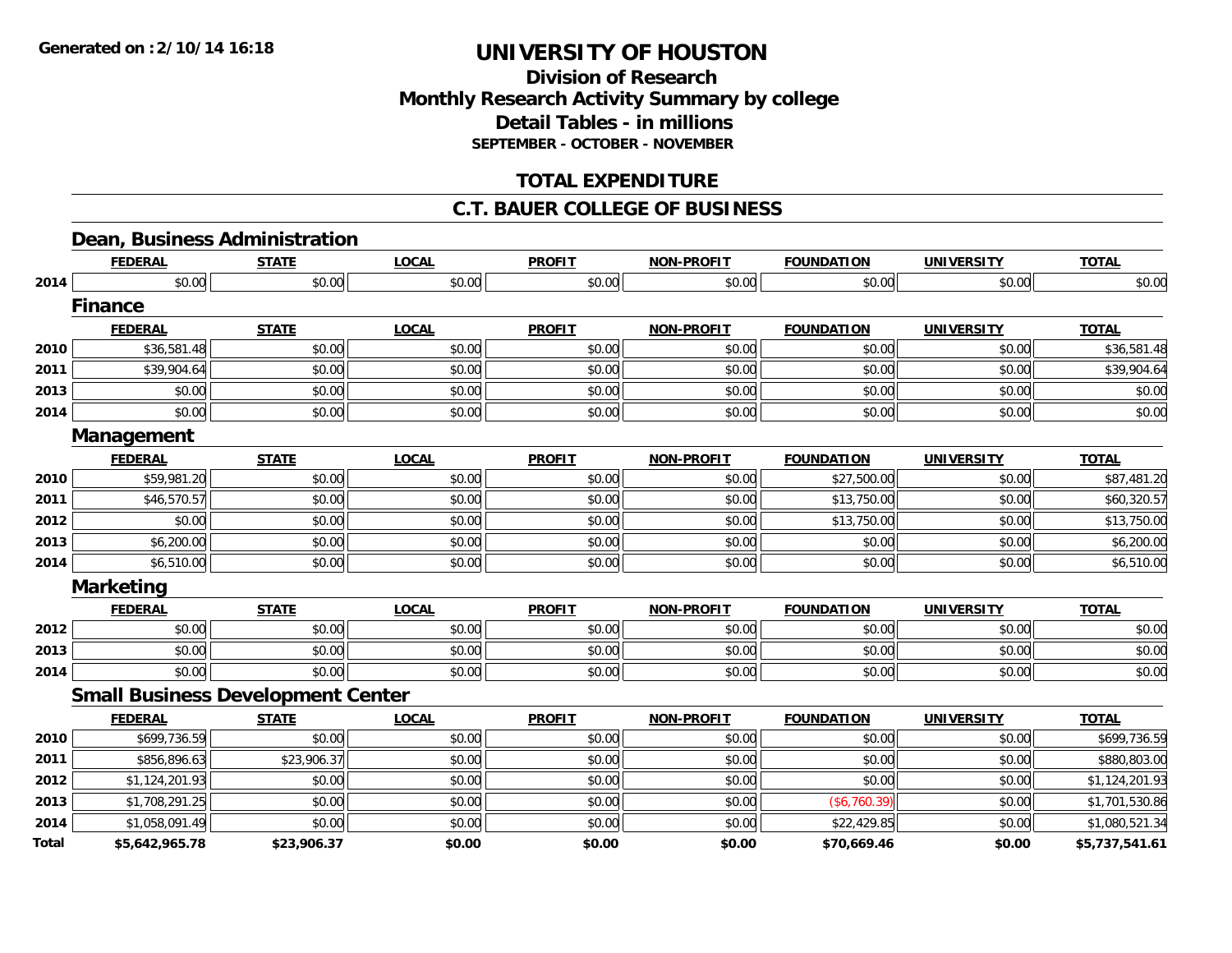# **Division of ResearchMonthly Research Activity Summary by college Detail Tables - in millions SEPTEMBER - OCTOBER - NOVEMBER**

# **TOTAL EXPENDITURE**

### **C.T. BAUER COLLEGE OF BUSINESS**

# **Dean, Business Administration**

|       | <b>FEDERAL</b>                           | <b>STATE</b> | <b>LOCAL</b> | <b>PROFIT</b> | <b>NON-PROFIT</b> | <b>FOUNDATION</b> | <b>UNIVERSITY</b> | <b>TOTAL</b>   |
|-------|------------------------------------------|--------------|--------------|---------------|-------------------|-------------------|-------------------|----------------|
| 2014  | \$0.00                                   | \$0.00       | \$0.00       | \$0.00        | \$0.00            | \$0.00            | \$0.00            | \$0.00         |
|       | <b>Finance</b>                           |              |              |               |                   |                   |                   |                |
|       | <b>FEDERAL</b>                           | <b>STATE</b> | <b>LOCAL</b> | <b>PROFIT</b> | <b>NON-PROFIT</b> | <b>FOUNDATION</b> | <b>UNIVERSITY</b> | <b>TOTAL</b>   |
| 2010  | \$36,581.48                              | \$0.00       | \$0.00       | \$0.00        | \$0.00            | \$0.00            | \$0.00            | \$36,581.48    |
| 2011  | \$39,904.64                              | \$0.00       | \$0.00       | \$0.00        | \$0.00            | \$0.00            | \$0.00            | \$39,904.64    |
| 2013  | \$0.00                                   | \$0.00       | \$0.00       | \$0.00        | \$0.00            | \$0.00            | \$0.00            | \$0.00         |
| 2014  | \$0.00                                   | \$0.00       | \$0.00       | \$0.00        | \$0.00            | \$0.00            | \$0.00            | \$0.00         |
|       | Management                               |              |              |               |                   |                   |                   |                |
|       | <b>FEDERAL</b>                           | <b>STATE</b> | <b>LOCAL</b> | <b>PROFIT</b> | <b>NON-PROFIT</b> | <b>FOUNDATION</b> | <b>UNIVERSITY</b> | <b>TOTAL</b>   |
| 2010  | \$59,981.20                              | \$0.00       | \$0.00       | \$0.00        | \$0.00            | \$27,500.00       | \$0.00            | \$87,481.20    |
| 2011  | \$46,570.57                              | \$0.00       | \$0.00       | \$0.00        | \$0.00            | \$13,750.00       | \$0.00            | \$60,320.57    |
| 2012  | \$0.00                                   | \$0.00       | \$0.00       | \$0.00        | \$0.00            | \$13,750.00       | \$0.00            | \$13,750.00    |
| 2013  | \$6,200.00                               | \$0.00       | \$0.00       | \$0.00        | \$0.00            | \$0.00            | \$0.00            | \$6,200.00     |
| 2014  | \$6,510.00                               | \$0.00       | \$0.00       | \$0.00        | \$0.00            | \$0.00            | \$0.00            | \$6,510.00     |
|       | <b>Marketing</b>                         |              |              |               |                   |                   |                   |                |
|       | <b>FEDERAL</b>                           | <b>STATE</b> | <b>LOCAL</b> | <b>PROFIT</b> | <b>NON-PROFIT</b> | <b>FOUNDATION</b> | <b>UNIVERSITY</b> | <b>TOTAL</b>   |
| 2012  | \$0.00                                   | \$0.00       | \$0.00       | \$0.00        | \$0.00            | \$0.00            | \$0.00            | \$0.00         |
| 2013  | \$0.00                                   | \$0.00       | \$0.00       | \$0.00        | \$0.00            | \$0.00            | \$0.00            | \$0.00         |
| 2014  | \$0.00                                   | \$0.00       | \$0.00       | \$0.00        | \$0.00            | \$0.00            | \$0.00            | \$0.00         |
|       | <b>Small Business Development Center</b> |              |              |               |                   |                   |                   |                |
|       | <b>FEDERAL</b>                           | <b>STATE</b> | <b>LOCAL</b> | <b>PROFIT</b> | <b>NON-PROFIT</b> | <b>FOUNDATION</b> | <b>UNIVERSITY</b> | <b>TOTAL</b>   |
| 2010  | \$699,736.59                             | \$0.00       | \$0.00       | \$0.00        | \$0.00            | \$0.00            | \$0.00            | \$699,736.59   |
| 2011  | \$856,896.63                             | \$23,906.37  | \$0.00       | \$0.00        | \$0.00            | \$0.00            | \$0.00            | \$880,803.00   |
| 2012  | \$1,124,201.93                           | \$0.00       | \$0.00       | \$0.00        | \$0.00            | \$0.00            | \$0.00            | \$1,124,201.93 |
| 2013  | \$1,708,291.25                           | \$0.00       | \$0.00       | \$0.00        | \$0.00            | (\$6,760.39)      | \$0.00            | \$1,701,530.86 |
| 2014  | \$1,058,091.49                           | \$0.00       | \$0.00       | \$0.00        | \$0.00            | \$22,429.85       | \$0.00            | \$1,080,521.34 |
| Total | \$5,642,965.78                           | \$23,906.37  | \$0.00       | \$0.00        | \$0.00            | \$70,669.46       | \$0.00            | \$5,737,541.61 |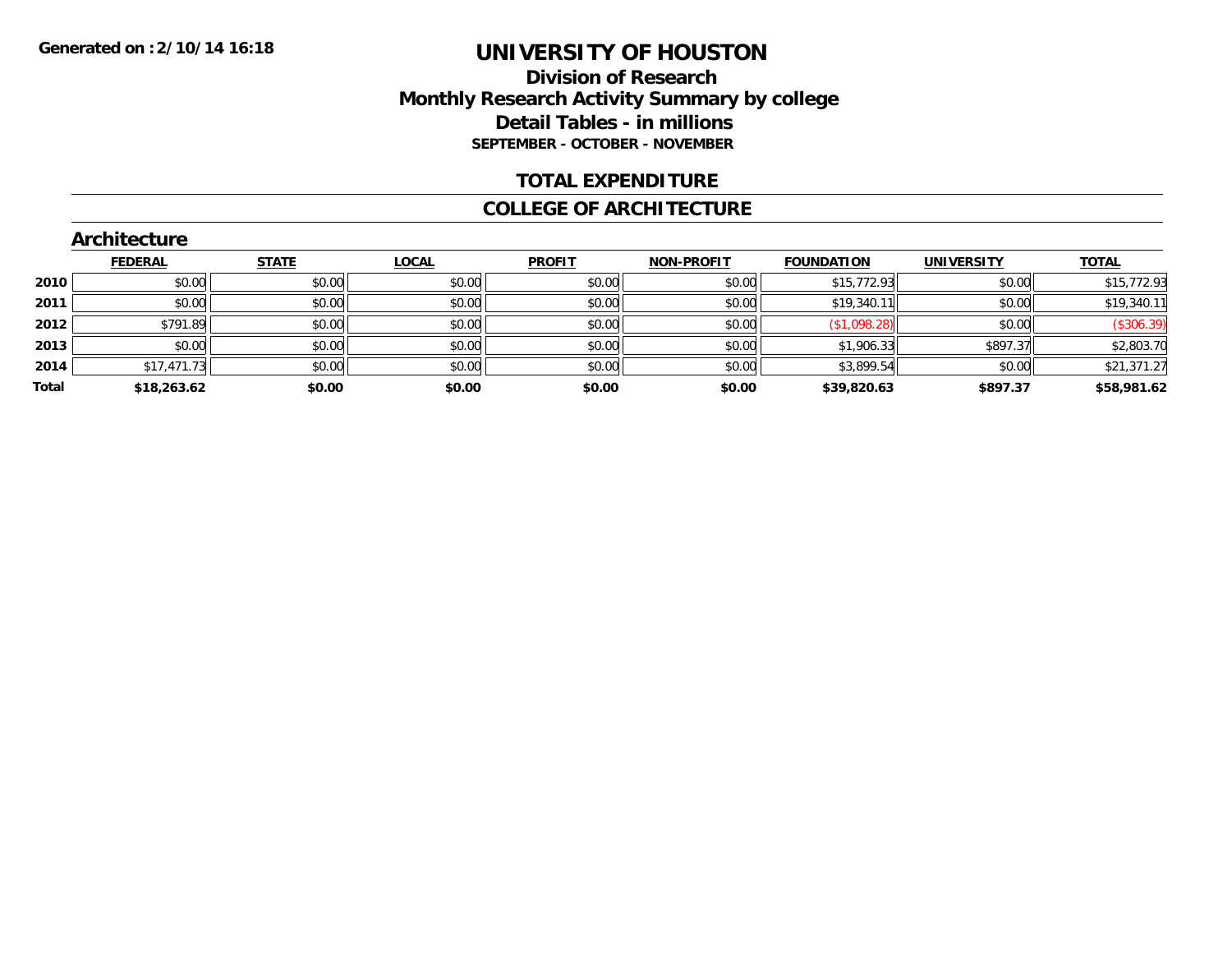# **Division of Research Monthly Research Activity Summary by college Detail Tables - in millions SEPTEMBER - OCTOBER - NOVEMBER**

### **TOTAL EXPENDITURE**

#### **COLLEGE OF ARCHITECTURE**

|       | Architecture   |              |              |               |                   |                   |                   |              |
|-------|----------------|--------------|--------------|---------------|-------------------|-------------------|-------------------|--------------|
|       | <b>FEDERAL</b> | <b>STATE</b> | <b>LOCAL</b> | <b>PROFIT</b> | <b>NON-PROFIT</b> | <b>FOUNDATION</b> | <b>UNIVERSITY</b> | <b>TOTAL</b> |
| 2010  | \$0.00         | \$0.00       | \$0.00       | \$0.00        | \$0.00            | \$15,772.93       | \$0.00            | \$15,772.93  |
| 2011  | \$0.00         | \$0.00       | \$0.00       | \$0.00        | \$0.00            | \$19,340.11       | \$0.00            | \$19,340.11  |
| 2012  | \$791.89       | \$0.00       | \$0.00       | \$0.00        | \$0.00            | (\$1,098.28)      | \$0.00            | (\$306.39)   |
| 2013  | \$0.00         | \$0.00       | \$0.00       | \$0.00        | \$0.00            | \$1,906.33        | \$897.37          | \$2,803.70   |
| 2014  | \$17,471.73    | \$0.00       | \$0.00       | \$0.00        | \$0.00            | \$3,899.54        | \$0.00            | \$21,371.27  |
| Total | \$18,263.62    | \$0.00       | \$0.00       | \$0.00        | \$0.00            | \$39,820.63       | \$897.37          | \$58,981.62  |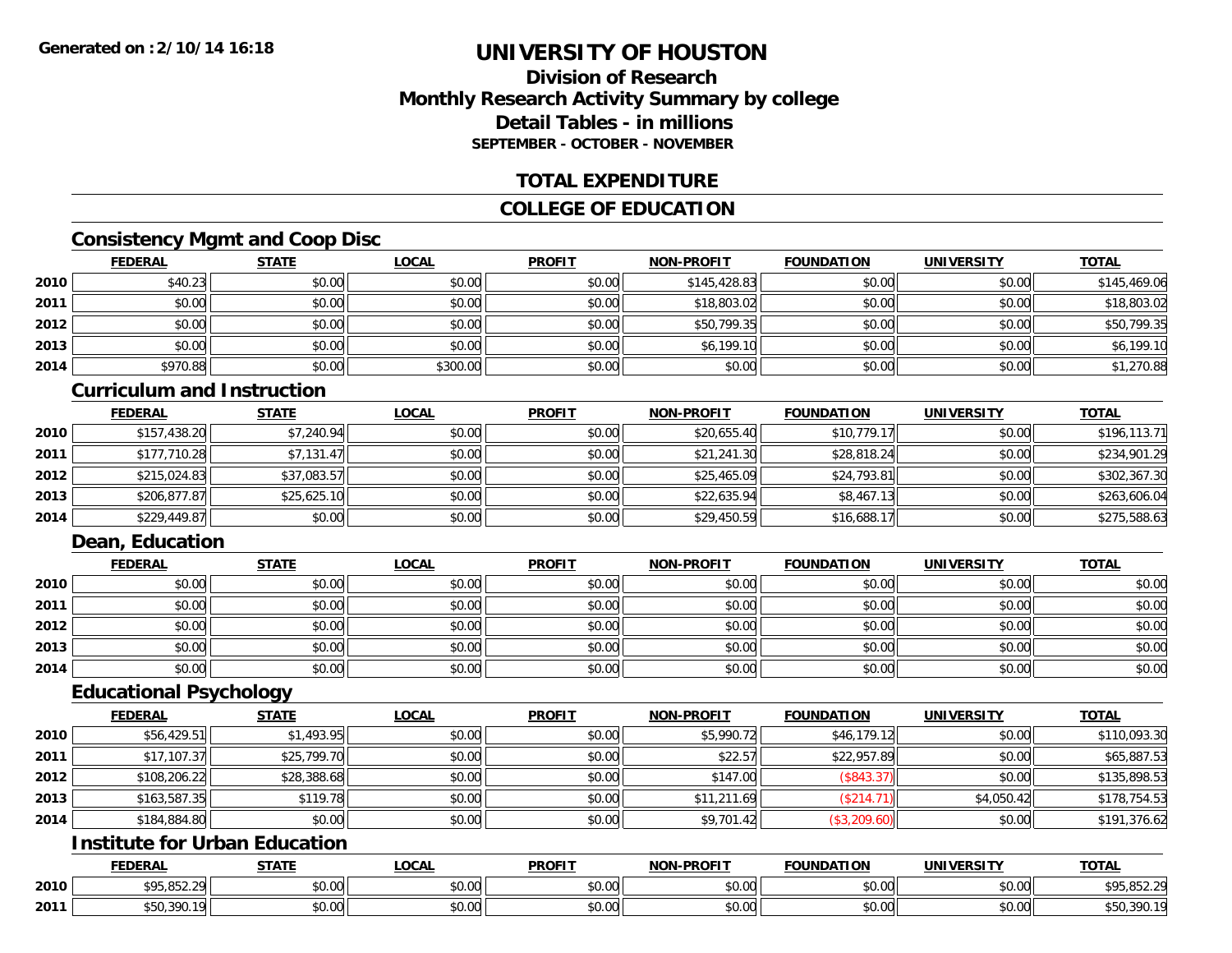# **Division of ResearchMonthly Research Activity Summary by college Detail Tables - in millionsSEPTEMBER - OCTOBER - NOVEMBER**

### **TOTAL EXPENDITURE**

# **COLLEGE OF EDUCATION**

# **Consistency Mgmt and Coop Disc**

|      | <b>FEDERAL</b> | <b>STATE</b> | <b>LOCAL</b> | <b>PROFIT</b> | <b>NON-PROFIT</b> | <b>FOUNDATION</b> | <b>UNIVERSITY</b> | <b>TOTAL</b> |
|------|----------------|--------------|--------------|---------------|-------------------|-------------------|-------------------|--------------|
| 2010 | \$40.23        | \$0.00       | \$0.00       | \$0.00        | \$145,428.83      | \$0.00            | \$0.00            | \$145,469.06 |
| 2011 | \$0.00         | \$0.00       | \$0.00       | \$0.00        | \$18,803.02       | \$0.00            | \$0.00            | \$18,803.02  |
| 2012 | \$0.00         | \$0.00       | \$0.00       | \$0.00        | \$50,799.35       | \$0.00            | \$0.00            | \$50,799.35  |
| 2013 | \$0.00         | \$0.00       | \$0.00       | \$0.00        | \$6,199.10        | \$0.00            | \$0.00            | \$6,199.10   |
| 2014 | \$970.88       | \$0.00       | \$300.00     | \$0.00        | \$0.00            | \$0.00            | \$0.00            | \$1,270.88   |

#### **Curriculum and Instruction**

|      | <b>FEDERAL</b> | <b>STATE</b> | <u>LOCAL</u> | <b>PROFIT</b> | <b>NON-PROFIT</b> | <b>FOUNDATION</b> | <b>UNIVERSITY</b> | <b>TOTAL</b> |
|------|----------------|--------------|--------------|---------------|-------------------|-------------------|-------------------|--------------|
| 2010 | \$157,438.20   | \$7,240.94   | \$0.00       | \$0.00        | \$20,655.40       | \$10,779.17       | \$0.00            | \$196,113.71 |
| 2011 | \$177,710.28   | \$7,131.47   | \$0.00       | \$0.00        | \$21,241.30       | \$28,818.24       | \$0.00            | \$234,901.29 |
| 2012 | \$215,024.83   | \$37,083.57  | \$0.00       | \$0.00        | \$25,465.09       | \$24,793.81       | \$0.00            | \$302,367.30 |
| 2013 | \$206,877.87   | \$25,625.10  | \$0.00       | \$0.00        | \$22,635.94       | \$8,467.13        | \$0.00            | \$263,606.04 |
| 2014 | \$229,449.87   | \$0.00       | \$0.00       | \$0.00        | \$29,450.59       | \$16,688.17       | \$0.00            | \$275,588.63 |

# **Dean, Education**

|      | <b>FEDERAL</b> | <b>STATE</b> | <u>LOCAL</u> | <b>PROFIT</b> | <b>NON-PROFIT</b> | <b>FOUNDATION</b> | <b>UNIVERSITY</b> | <b>TOTAL</b> |
|------|----------------|--------------|--------------|---------------|-------------------|-------------------|-------------------|--------------|
| 2010 | \$0.00         | \$0.00       | \$0.00       | \$0.00        | \$0.00            | \$0.00            | \$0.00            | \$0.00       |
| 2011 | \$0.00         | \$0.00       | \$0.00       | \$0.00        | \$0.00            | \$0.00            | \$0.00            | \$0.00       |
| 2012 | \$0.00         | \$0.00       | \$0.00       | \$0.00        | \$0.00            | \$0.00            | \$0.00            | \$0.00       |
| 2013 | \$0.00         | \$0.00       | \$0.00       | \$0.00        | \$0.00            | \$0.00            | \$0.00            | \$0.00       |
| 2014 | \$0.00         | \$0.00       | \$0.00       | \$0.00        | \$0.00            | \$0.00            | \$0.00            | \$0.00       |

### **Educational Psychology**

|      | <b>FEDERAL</b> | <b>STATE</b> | <b>LOCAL</b> | <b>PROFIT</b> | <b>NON-PROFIT</b> | <b>FOUNDATION</b> | <b>UNIVERSITY</b> | <b>TOTAL</b> |
|------|----------------|--------------|--------------|---------------|-------------------|-------------------|-------------------|--------------|
| 2010 | \$56,429.51    | \$1,493.95   | \$0.00       | \$0.00        | \$5,990.72        | \$46,179.12       | \$0.00            | \$110,093.30 |
| 2011 | \$17,107.37    | \$25,799.70  | \$0.00       | \$0.00        | \$22.57           | \$22,957.89       | \$0.00            | \$65,887.53  |
| 2012 | \$108,206.22   | \$28,388.68  | \$0.00       | \$0.00        | \$147.00          | \$843.3           | \$0.00            | \$135,898.53 |
| 2013 | \$163,587.35   | \$119.78     | \$0.00       | \$0.00        | \$11,211.69       | \$214.7           | \$4,050.42        | \$178,754.53 |
| 2014 | \$184,884.80   | \$0.00       | \$0.00       | \$0.00        | \$9,701.42        | (\$3,209.60)      | \$0.00            | \$191,376.62 |

# **Institute for Urban Education**

|      | <b>FEDERAL</b>                                             | <b>STATE</b>  | <b>_OCAL</b>       | <b>PROFIT</b> | <b>NON-PROFIT</b> | <b>FOUNDATION</b> | <b>UNIVERSITY</b>         | <b>TOTAL</b>                |
|------|------------------------------------------------------------|---------------|--------------------|---------------|-------------------|-------------------|---------------------------|-----------------------------|
| 2010 | <b>COL OLY</b><br>$\sim$<br>$U \cup U_1 \cup U_2 \cup U_3$ | ሖ ^<br>JU.UU  | $\sim$ 00<br>JU.UU | 0000<br>JU.UU | 0.00<br>DU.UU     | \$0.00            | $\sim$ 00<br><b>JU.UU</b> | <b>COL OLO</b><br>2.300,074 |
| 2011 | <b>300</b><br>1.370.                                       | 0000<br>JU.UU | $\sim$ 00<br>vv.vv | 0000<br>PO.OO | 0.00<br>JU.UU     | \$0.00            | $\sim$ 00<br><b>DU.UG</b> | 0.00<br>\$50,390.           |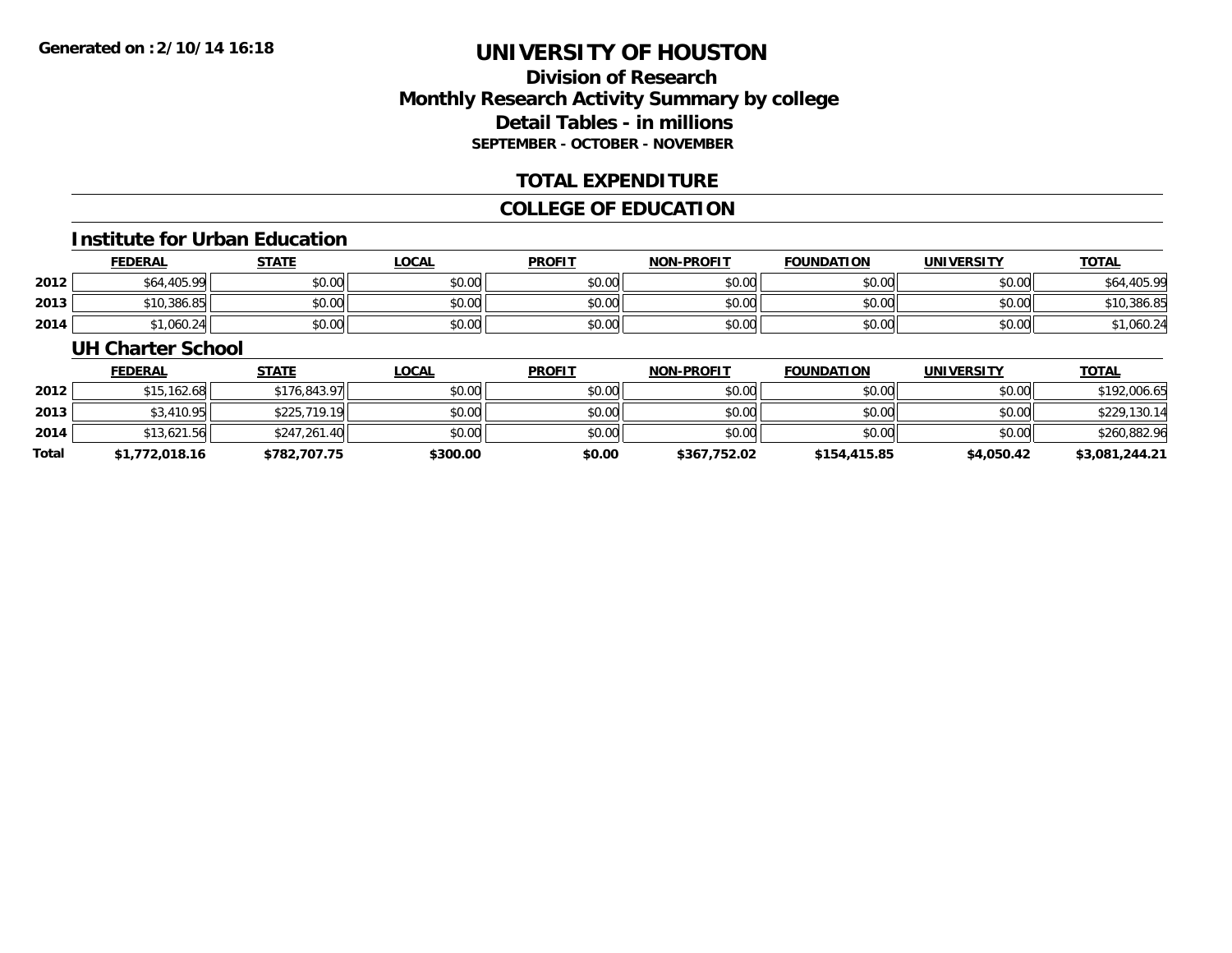# **Division of ResearchMonthly Research Activity Summary by college Detail Tables - in millions SEPTEMBER - OCTOBER - NOVEMBER**

### **TOTAL EXPENDITURE**

# **COLLEGE OF EDUCATION**

#### **Institute for Urban Education**

|      | <b>FEDERAL</b> | <b>STATE</b> | _OCAL  | <b>PROFIT</b> | <b>NON-PROFIT</b> | <b>FOUNDATION</b> | <b>UNIVERSITY</b> | <u>TOTAL</u> |
|------|----------------|--------------|--------|---------------|-------------------|-------------------|-------------------|--------------|
| 2012 | \$64,405.99    | \$0.00       | \$0.00 | \$0.00        | \$0.00            | \$0.00            | \$0.00            | \$64,405.99  |
| 2013 | \$10,386.85    | \$0.00       | \$0.00 | \$0.00        | \$0.00            | \$0.00            | \$0.00            | \$10,386.85  |
| 2014 | 1.060.24       | \$0.00       | \$0.00 | \$0.00        | \$0.00            | \$0.00            | \$0.00            | ,060.24      |

#### **UH Charter School**

|       | <b>FEDERAL</b> | <u>STATE</u> | <u>LOCAL</u> | <b>PROFIT</b> | <b>NON-PROFIT</b> | <b>FOUNDATION</b> | <b>UNIVERSITY</b> | <b>TOTAL</b>   |
|-------|----------------|--------------|--------------|---------------|-------------------|-------------------|-------------------|----------------|
| 2012  | \$15,162.68    | \$176,843.97 | \$0.00       | \$0.00        | \$0.00            | \$0.00            | \$0.00            | \$192,006.65   |
| 2013  | \$3,410.95     | \$225,719.19 | \$0.00       | \$0.00        | \$0.00            | \$0.00            | \$0.00            | \$229,130.14   |
| 2014  | \$13,621.56    | \$247,261.40 | \$0.00       | \$0.00        | \$0.00            | \$0.00            | \$0.00            | \$260,882.96   |
| Total | \$1,772,018.16 | \$782,707.75 | \$300.00     | \$0.00        | \$367,752.02      | \$154,415.85      | \$4,050.42        | \$3,081,244.21 |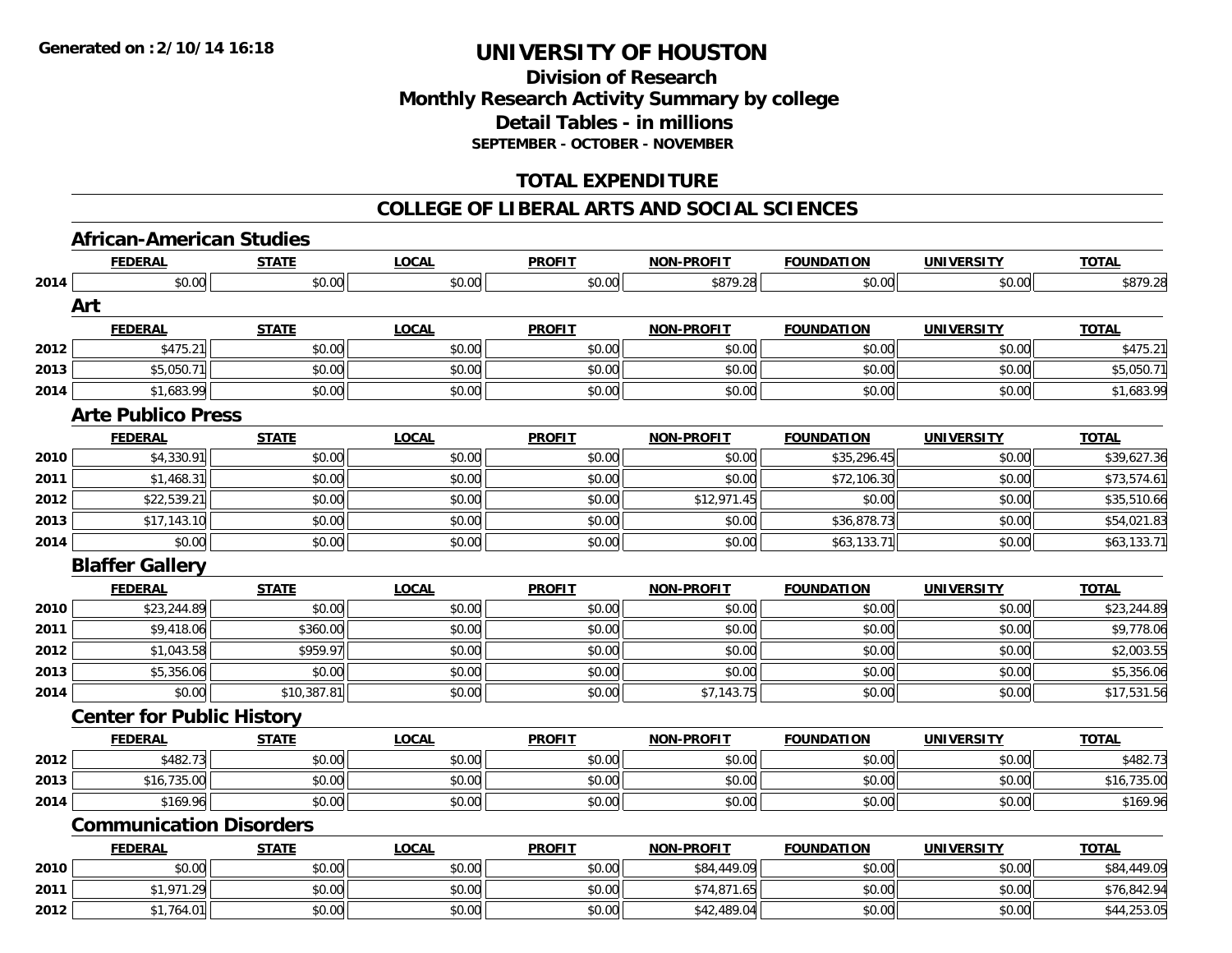# **Division of ResearchMonthly Research Activity Summary by college Detail Tables - in millions SEPTEMBER - OCTOBER - NOVEMBER**

# **TOTAL EXPENDITURE**

#### **COLLEGE OF LIBERAL ARTS AND SOCIAL SCIENCES**

# **African-American Studies**

|      | <b>FEDERAL</b>                   | <b>STATE</b> | <b>LOCAL</b> | <b>PROFIT</b> | <b>NON-PROFIT</b> | <b>FOUNDATION</b> | <b>UNIVERSITY</b> | <b>TOTAL</b> |
|------|----------------------------------|--------------|--------------|---------------|-------------------|-------------------|-------------------|--------------|
| 2014 | \$0.00                           | \$0.00       | \$0.00       | \$0.00        | \$879.28          | \$0.00            | \$0.00            | \$879.28     |
|      | Art                              |              |              |               |                   |                   |                   |              |
|      | <b>FEDERAL</b>                   | <b>STATE</b> | <b>LOCAL</b> | <b>PROFIT</b> | <b>NON-PROFIT</b> | <b>FOUNDATION</b> | <b>UNIVERSITY</b> | <b>TOTAL</b> |
| 2012 | \$475.21                         | \$0.00       | \$0.00       | \$0.00        | \$0.00            | \$0.00            | \$0.00            | \$475.21     |
| 2013 | \$5,050.71                       | \$0.00       | \$0.00       | \$0.00        | \$0.00            | \$0.00            | \$0.00            | \$5,050.71   |
| 2014 | \$1,683.99                       | \$0.00       | \$0.00       | \$0.00        | \$0.00            | \$0.00            | \$0.00            | \$1,683.99   |
|      | <b>Arte Publico Press</b>        |              |              |               |                   |                   |                   |              |
|      | <b>FEDERAL</b>                   | <b>STATE</b> | <b>LOCAL</b> | <b>PROFIT</b> | NON-PROFIT        | <b>FOUNDATION</b> | <b>UNIVERSITY</b> | <b>TOTAL</b> |
| 2010 | \$4,330.91                       | \$0.00       | \$0.00       | \$0.00        | \$0.00            | \$35,296.45       | \$0.00            | \$39,627.36  |
| 2011 | \$1,468.31                       | \$0.00       | \$0.00       | \$0.00        | \$0.00            | \$72,106.30       | \$0.00            | \$73,574.61  |
| 2012 | \$22,539.21                      | \$0.00       | \$0.00       | \$0.00        | \$12,971.45       | \$0.00            | \$0.00            | \$35,510.66  |
| 2013 | \$17,143.10                      | \$0.00       | \$0.00       | \$0.00        | \$0.00            | \$36,878.73       | \$0.00            | \$54,021.83  |
| 2014 | \$0.00                           | \$0.00       | \$0.00       | \$0.00        | \$0.00            | \$63,133.71       | \$0.00            | \$63,133.71  |
|      | <b>Blaffer Gallery</b>           |              |              |               |                   |                   |                   |              |
|      | <b>FEDERAL</b>                   | <b>STATE</b> | <b>LOCAL</b> | <b>PROFIT</b> | <b>NON-PROFIT</b> | <b>FOUNDATION</b> | <b>UNIVERSITY</b> | <b>TOTAL</b> |
| 2010 | \$23,244.89                      | \$0.00       | \$0.00       | \$0.00        | \$0.00            | \$0.00            | \$0.00            | \$23,244.89  |
| 2011 | \$9,418.06                       | \$360.00     | \$0.00       | \$0.00        | \$0.00            | \$0.00            | \$0.00            | \$9,778.06   |
| 2012 | \$1,043.58                       | \$959.97     | \$0.00       | \$0.00        | \$0.00            | \$0.00            | \$0.00            | \$2,003.55   |
| 2013 | \$5,356.06                       | \$0.00       | \$0.00       | \$0.00        | \$0.00            | \$0.00            | \$0.00            | \$5,356.06   |
| 2014 | \$0.00                           | \$10,387.81  | \$0.00       | \$0.00        | \$7,143.75        | \$0.00            | \$0.00            | \$17,531.56  |
|      | <b>Center for Public History</b> |              |              |               |                   |                   |                   |              |
|      | <b>FEDERAL</b>                   | <b>STATE</b> | <b>LOCAL</b> | <b>PROFIT</b> | <b>NON-PROFIT</b> | <b>FOUNDATION</b> | <b>UNIVERSITY</b> | <b>TOTAL</b> |
| 2012 | \$482.73                         | \$0.00       | \$0.00       | \$0.00        | \$0.00            | \$0.00            | \$0.00            | \$482.73     |
| 2013 | \$16,735.00                      | \$0.00       | \$0.00       | \$0.00        | \$0.00            | \$0.00            | \$0.00            | \$16,735.00  |
| 2014 | \$169.96                         | \$0.00       | \$0.00       | \$0.00        | \$0.00            | \$0.00            | \$0.00            | \$169.96     |
|      | <b>Communication Disorders</b>   |              |              |               |                   |                   |                   |              |
|      | <b>FEDERAL</b>                   | <b>STATE</b> | <b>LOCAL</b> | <b>PROFIT</b> | <b>NON-PROFIT</b> | <b>FOUNDATION</b> | <b>UNIVERSITY</b> | <b>TOTAL</b> |
| 2010 | \$0.00                           | \$0.00       | \$0.00       | \$0.00        | \$84,449.09       | \$0.00            | \$0.00            | \$84,449.09  |
| 2011 | \$1,971.29                       | \$0.00       | \$0.00       | \$0.00        | \$74,871.65       | \$0.00            | \$0.00            | \$76,842.94  |
| 2012 | \$1,764.01                       | \$0.00       | \$0.00       | \$0.00        | \$42,489.04       | \$0.00            | \$0.00            | \$44,253.05  |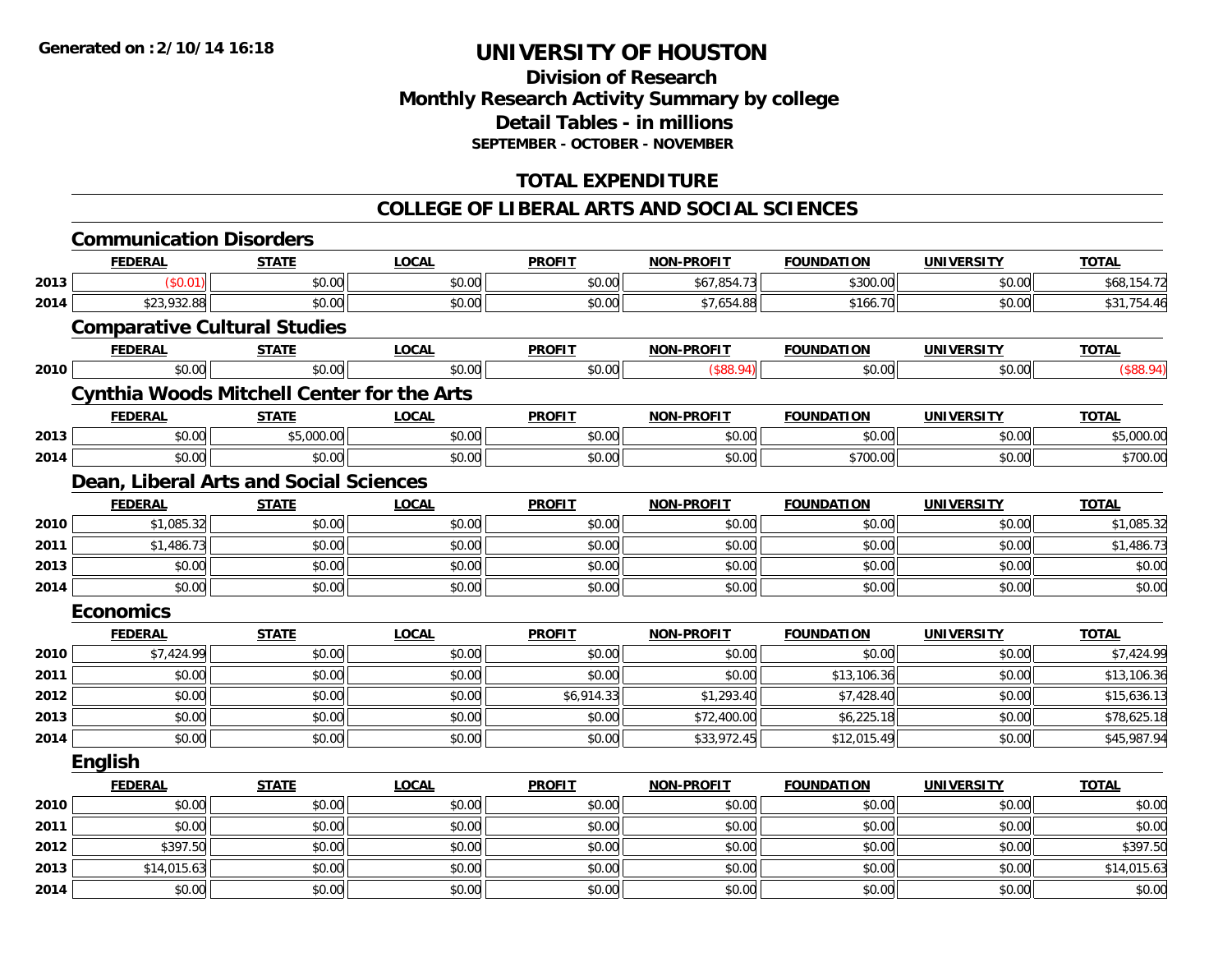# **Division of Research Monthly Research Activity Summary by college Detail Tables - in millions SEPTEMBER - OCTOBER - NOVEMBER**

# **TOTAL EXPENDITURE**

### **COLLEGE OF LIBERAL ARTS AND SOCIAL SCIENCES**

|      | <b>Communication Disorders</b>                    |              |              |               |                   |                   |                   |              |
|------|---------------------------------------------------|--------------|--------------|---------------|-------------------|-------------------|-------------------|--------------|
|      | <b>FEDERAL</b>                                    | <b>STATE</b> | <b>LOCAL</b> | <b>PROFIT</b> | <b>NON-PROFIT</b> | <b>FOUNDATION</b> | <b>UNIVERSITY</b> | <b>TOTAL</b> |
| 2013 | (\$0.01)                                          | \$0.00       | \$0.00       | \$0.00        | \$67,854.73       | \$300.00          | \$0.00            | \$68,154.72  |
| 2014 | \$23,932.88                                       | \$0.00       | \$0.00       | \$0.00        | \$7,654.88        | \$166.70          | \$0.00            | \$31,754.46  |
|      | <b>Comparative Cultural Studies</b>               |              |              |               |                   |                   |                   |              |
|      | <b>FEDERAL</b>                                    | <b>STATE</b> | <b>LOCAL</b> | <b>PROFIT</b> | <b>NON-PROFIT</b> | <b>FOUNDATION</b> | <b>UNIVERSITY</b> | <b>TOTAL</b> |
| 2010 | \$0.00                                            | \$0.00       | \$0.00       | \$0.00        | (\$88.94)         | \$0.00            | \$0.00            | (\$88.94)    |
|      | <b>Cynthia Woods Mitchell Center for the Arts</b> |              |              |               |                   |                   |                   |              |
|      | <b>FEDERAL</b>                                    | <b>STATE</b> | <b>LOCAL</b> | <b>PROFIT</b> | <b>NON-PROFIT</b> | <b>FOUNDATION</b> | <b>UNIVERSITY</b> | <b>TOTAL</b> |
| 2013 | \$0.00                                            | \$5,000.00   | \$0.00       | \$0.00        | \$0.00            | \$0.00            | \$0.00            | \$5,000.00   |
| 2014 | \$0.00                                            | \$0.00       | \$0.00       | \$0.00        | \$0.00            | \$700.00          | \$0.00            | \$700.00     |
|      | Dean, Liberal Arts and Social Sciences            |              |              |               |                   |                   |                   |              |
|      | <b>FEDERAL</b>                                    | <b>STATE</b> | <b>LOCAL</b> | <b>PROFIT</b> | <b>NON-PROFIT</b> | <b>FOUNDATION</b> | <b>UNIVERSITY</b> | <b>TOTAL</b> |
| 2010 | \$1,085.32                                        | \$0.00       | \$0.00       | \$0.00        | \$0.00            | \$0.00            | \$0.00            | \$1,085.32   |
| 2011 | \$1,486.73                                        | \$0.00       | \$0.00       | \$0.00        | \$0.00            | \$0.00            | \$0.00            | \$1,486.73   |
| 2013 | \$0.00                                            | \$0.00       | \$0.00       | \$0.00        | \$0.00            | \$0.00            | \$0.00            | \$0.00       |
| 2014 | \$0.00                                            | \$0.00       | \$0.00       | \$0.00        | \$0.00            | \$0.00            | \$0.00            | \$0.00       |
|      | <b>Economics</b>                                  |              |              |               |                   |                   |                   |              |
|      | <b>FEDERAL</b>                                    | <b>STATE</b> | <b>LOCAL</b> | <b>PROFIT</b> | <b>NON-PROFIT</b> | <b>FOUNDATION</b> | <b>UNIVERSITY</b> | <b>TOTAL</b> |
| 2010 | \$7,424.99                                        | \$0.00       | \$0.00       | \$0.00        | \$0.00            | \$0.00            | \$0.00            | \$7,424.99   |
| 2011 | \$0.00                                            | \$0.00       | \$0.00       | \$0.00        | \$0.00            | \$13,106.36       | \$0.00            | \$13,106.36  |
| 2012 | \$0.00                                            | \$0.00       | \$0.00       | \$6,914.33    | \$1,293.40        | \$7,428.40        | \$0.00            | \$15,636.13  |
| 2013 | \$0.00                                            | \$0.00       | \$0.00       | \$0.00        | \$72,400.00       | \$6,225.18        | \$0.00            | \$78,625.18  |
| 2014 | \$0.00                                            | \$0.00       | \$0.00       | \$0.00        | \$33,972.45       | \$12,015.49       | \$0.00            | \$45,987.94  |
|      | <b>English</b>                                    |              |              |               |                   |                   |                   |              |
|      | <b>FEDERAL</b>                                    | <b>STATE</b> | <b>LOCAL</b> | <b>PROFIT</b> | <b>NON-PROFIT</b> | <b>FOUNDATION</b> | <b>UNIVERSITY</b> | <b>TOTAL</b> |
| 2010 | \$0.00                                            | \$0.00       | \$0.00       | \$0.00        | \$0.00            | \$0.00            | \$0.00            | \$0.00       |
| 2011 | \$0.00                                            | \$0.00       | \$0.00       | \$0.00        | \$0.00            | \$0.00            | \$0.00            | \$0.00       |
| 2012 | \$397.50                                          | \$0.00       | \$0.00       | \$0.00        | \$0.00            | \$0.00            | \$0.00            | \$397.50     |
| 2013 | \$14,015.63                                       | \$0.00       | \$0.00       | \$0.00        | \$0.00            | \$0.00            | \$0.00            | \$14,015.63  |
| 2014 | \$0.00                                            | \$0.00       | \$0.00       | \$0.00        | \$0.00            | \$0.00            | \$0.00            | \$0.00       |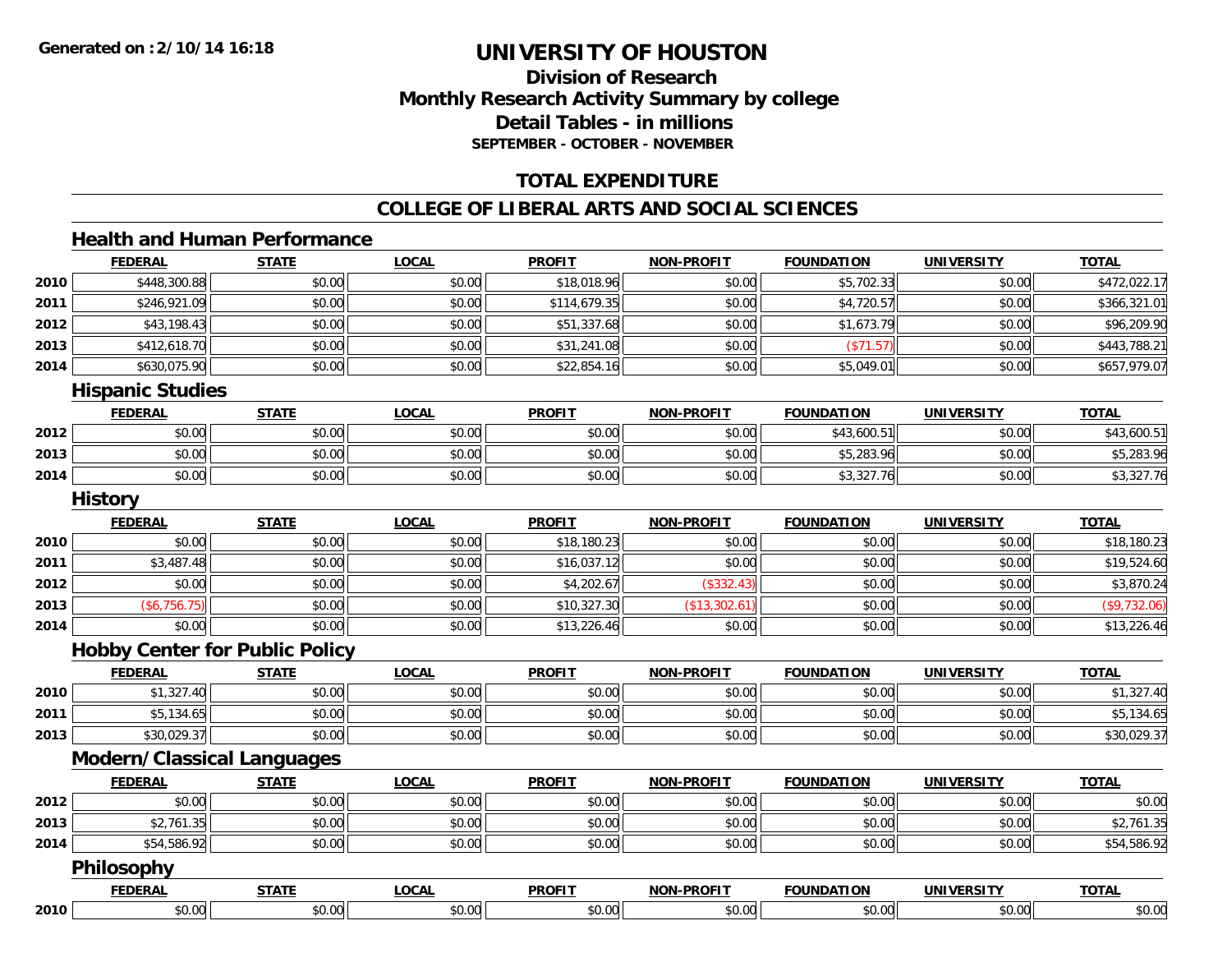# **Division of ResearchMonthly Research Activity Summary by college Detail Tables - in millions SEPTEMBER - OCTOBER - NOVEMBER**

# **TOTAL EXPENDITURE**

# **COLLEGE OF LIBERAL ARTS AND SOCIAL SCIENCES**

# **Health and Human Performance**

|      | <b>FEDERAL</b>                        | <b>STATE</b> | <b>LOCAL</b> | <b>PROFIT</b> | <b>NON-PROFIT</b> | <b>FOUNDATION</b> | <b>UNIVERSITY</b> | <b>TOTAL</b> |
|------|---------------------------------------|--------------|--------------|---------------|-------------------|-------------------|-------------------|--------------|
| 2010 | \$448,300.88                          | \$0.00       | \$0.00       | \$18,018.96   | \$0.00            | \$5,702.33        | \$0.00            | \$472,022.17 |
| 2011 | \$246,921.09                          | \$0.00       | \$0.00       | \$114,679.35  | \$0.00            | \$4,720.57        | \$0.00            | \$366,321.01 |
| 2012 | \$43,198.43                           | \$0.00       | \$0.00       | \$51,337.68   | \$0.00            | \$1,673.79        | \$0.00            | \$96,209.90  |
| 2013 | \$412,618.70                          | \$0.00       | \$0.00       | \$31,241.08   | \$0.00            | (\$71.57)         | \$0.00            | \$443,788.21 |
| 2014 | \$630,075.90                          | \$0.00       | \$0.00       | \$22,854.16   | \$0.00            | \$5,049.01        | \$0.00            | \$657,979.07 |
|      | <b>Hispanic Studies</b>               |              |              |               |                   |                   |                   |              |
|      | <b>FEDERAL</b>                        | <b>STATE</b> | <b>LOCAL</b> | <b>PROFIT</b> | <b>NON-PROFIT</b> | <b>FOUNDATION</b> | <b>UNIVERSITY</b> | <b>TOTAL</b> |
| 2012 | \$0.00                                | \$0.00       | \$0.00       | \$0.00        | \$0.00            | \$43,600.51       | \$0.00            | \$43,600.51  |
| 2013 | \$0.00                                | \$0.00       | \$0.00       | \$0.00        | \$0.00            | \$5,283.96        | \$0.00            | \$5,283.96   |
| 2014 | \$0.00                                | \$0.00       | \$0.00       | \$0.00        | \$0.00            | \$3,327.76        | \$0.00            | \$3,327.76   |
|      | <b>History</b>                        |              |              |               |                   |                   |                   |              |
|      | <b>FEDERAL</b>                        | <b>STATE</b> | <b>LOCAL</b> | <b>PROFIT</b> | <b>NON-PROFIT</b> | <b>FOUNDATION</b> | <b>UNIVERSITY</b> | <b>TOTAL</b> |
| 2010 | \$0.00                                | \$0.00       | \$0.00       | \$18,180.23   | \$0.00            | \$0.00            | \$0.00            | \$18,180.23  |
| 2011 | \$3,487.48                            | \$0.00       | \$0.00       | \$16,037.12   | \$0.00            | \$0.00            | \$0.00            | \$19,524.60  |
| 2012 | \$0.00                                | \$0.00       | \$0.00       | \$4,202.67    | (\$332.43)        | \$0.00            | \$0.00            | \$3,870.24   |
| 2013 | (\$6,756.75)                          | \$0.00       | \$0.00       | \$10,327.30   | (\$13,302.61)     | \$0.00            | \$0.00            | (\$9,732.06) |
| 2014 | \$0.00                                | \$0.00       | \$0.00       | \$13,226.46   | \$0.00            | \$0.00            | \$0.00            | \$13,226.46  |
|      | <b>Hobby Center for Public Policy</b> |              |              |               |                   |                   |                   |              |
|      | <b>FEDERAL</b>                        | <b>STATE</b> | <b>LOCAL</b> | <b>PROFIT</b> | <b>NON-PROFIT</b> | <b>FOUNDATION</b> | <b>UNIVERSITY</b> | <b>TOTAL</b> |
| 2010 | \$1,327.40                            | \$0.00       | \$0.00       | \$0.00        | \$0.00            | \$0.00            | \$0.00            | \$1,327.40   |
| 2011 | \$5,134.65                            | \$0.00       | \$0.00       | \$0.00        | \$0.00            | \$0.00            | \$0.00            | \$5,134.65   |
| 2013 | \$30,029.37                           | \$0.00       | \$0.00       | \$0.00        | \$0.00            | \$0.00            | \$0.00            | \$30,029.37  |
|      | <b>Modern/Classical Languages</b>     |              |              |               |                   |                   |                   |              |
|      | <b>FEDERAL</b>                        | <b>STATE</b> | <b>LOCAL</b> | <b>PROFIT</b> | <b>NON-PROFIT</b> | <b>FOUNDATION</b> | <b>UNIVERSITY</b> | <b>TOTAL</b> |
| 2012 | \$0.00                                | \$0.00       | \$0.00       | \$0.00        | \$0.00            | \$0.00            | \$0.00            | \$0.00       |
| 2013 | \$2,761.35                            | \$0.00       | \$0.00       | \$0.00        | \$0.00            | \$0.00            | \$0.00            | \$2,761.35   |
| 2014 | \$54,586.92                           | \$0.00       | \$0.00       | \$0.00        | \$0.00            | \$0.00            | \$0.00            | \$54,586.92  |
|      | <b>Philosophy</b>                     |              |              |               |                   |                   |                   |              |
|      | <b>FEDERAL</b>                        | <b>STATE</b> | <b>LOCAL</b> | <b>PROFIT</b> | <b>NON-PROFIT</b> | <b>FOUNDATION</b> | <b>UNIVERSITY</b> | <b>TOTAL</b> |
| 2010 | \$0.00                                | \$0.00       | \$0.00       | \$0.00        | \$0.00            | \$0.00            | \$0.00            | \$0.00       |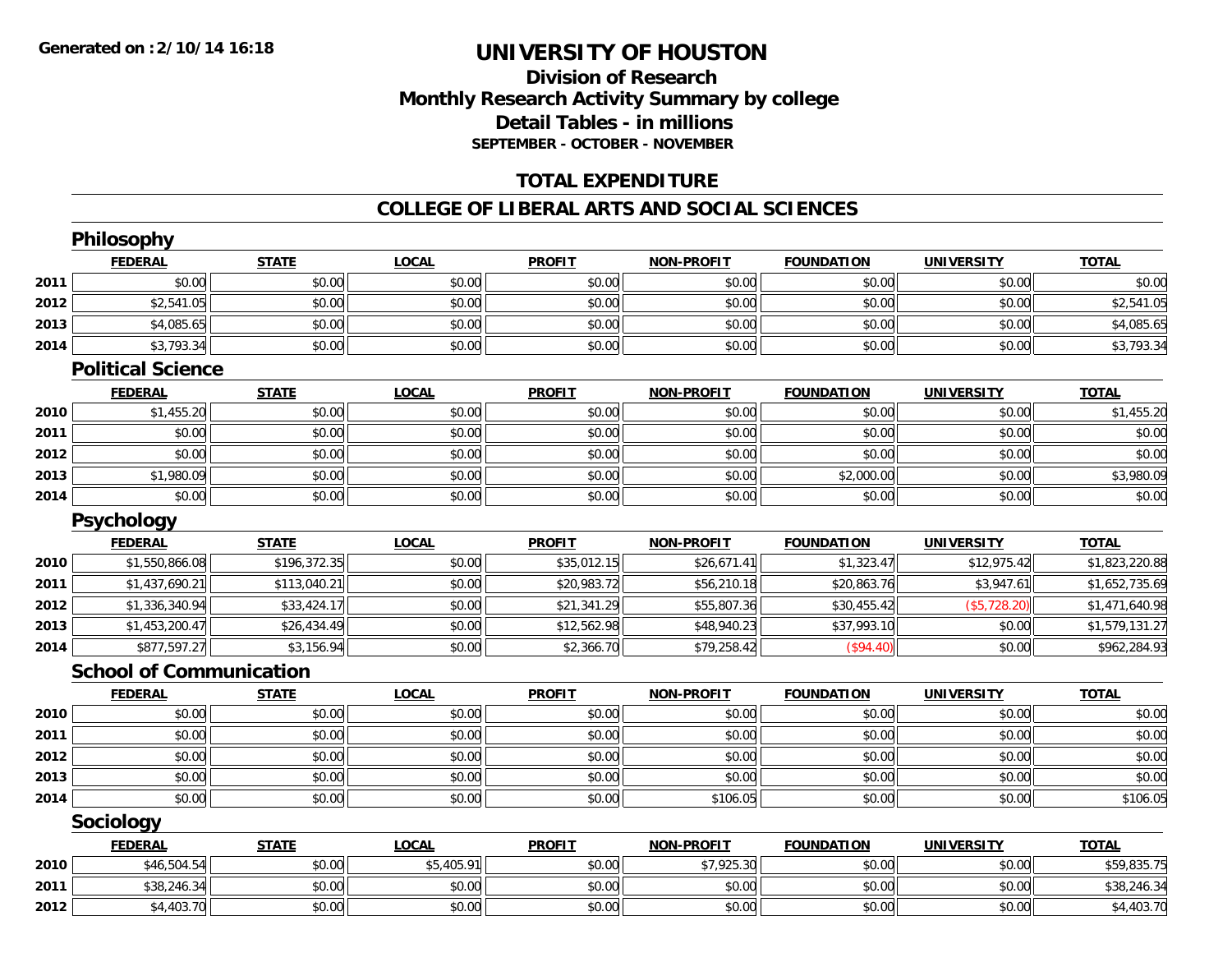# **Division of Research Monthly Research Activity Summary by college Detail Tables - in millions SEPTEMBER - OCTOBER - NOVEMBER**

# **TOTAL EXPENDITURE**

#### **COLLEGE OF LIBERAL ARTS AND SOCIAL SCIENCES**

|      | Philosophy                     |              |              |               |                   |                   |                   |                |
|------|--------------------------------|--------------|--------------|---------------|-------------------|-------------------|-------------------|----------------|
|      | <b>FEDERAL</b>                 | <b>STATE</b> | <b>LOCAL</b> | <b>PROFIT</b> | <b>NON-PROFIT</b> | <b>FOUNDATION</b> | <b>UNIVERSITY</b> | <b>TOTAL</b>   |
| 2011 | \$0.00                         | \$0.00       | \$0.00       | \$0.00        | \$0.00            | \$0.00            | \$0.00            | \$0.00         |
| 2012 | \$2,541.05                     | \$0.00       | \$0.00       | \$0.00        | \$0.00            | \$0.00            | \$0.00            | \$2,541.05     |
| 2013 | \$4,085.65                     | \$0.00       | \$0.00       | \$0.00        | \$0.00            | \$0.00            | \$0.00            | \$4,085.65     |
| 2014 | \$3,793.34                     | \$0.00       | \$0.00       | \$0.00        | \$0.00            | \$0.00            | \$0.00            | \$3,793.34     |
|      | <b>Political Science</b>       |              |              |               |                   |                   |                   |                |
|      | <b>FEDERAL</b>                 | <b>STATE</b> | <b>LOCAL</b> | <b>PROFIT</b> | <b>NON-PROFIT</b> | <b>FOUNDATION</b> | <b>UNIVERSITY</b> | <b>TOTAL</b>   |
| 2010 | \$1,455.20                     | \$0.00       | \$0.00       | \$0.00        | \$0.00            | \$0.00            | \$0.00            | \$1,455.20     |
| 2011 | \$0.00                         | \$0.00       | \$0.00       | \$0.00        | \$0.00            | \$0.00            | \$0.00            | \$0.00         |
| 2012 | \$0.00                         | \$0.00       | \$0.00       | \$0.00        | \$0.00            | \$0.00            | \$0.00            | \$0.00         |
| 2013 | \$1,980.09                     | \$0.00       | \$0.00       | \$0.00        | \$0.00            | \$2,000.00        | \$0.00            | \$3,980.09     |
| 2014 | \$0.00                         | \$0.00       | \$0.00       | \$0.00        | \$0.00            | \$0.00            | \$0.00            | \$0.00         |
|      | <b>Psychology</b>              |              |              |               |                   |                   |                   |                |
|      | <b>FEDERAL</b>                 | <b>STATE</b> | <b>LOCAL</b> | <b>PROFIT</b> | <b>NON-PROFIT</b> | <b>FOUNDATION</b> | <b>UNIVERSITY</b> | <b>TOTAL</b>   |
| 2010 | \$1,550,866.08                 | \$196,372.35 | \$0.00       | \$35,012.15   | \$26,671.41       | \$1,323.47        | \$12,975.42       | \$1,823,220.88 |
| 2011 | \$1,437,690.21                 | \$113,040.21 | \$0.00       | \$20,983.72   | \$56,210.18       | \$20,863.76       | \$3,947.61        | \$1,652,735.69 |
| 2012 | \$1,336,340.94                 | \$33,424.17  | \$0.00       | \$21,341.29   | \$55,807.36       | \$30,455.42       | (\$5,728.20)      | \$1,471,640.98 |
| 2013 | \$1,453,200.47                 | \$26,434.49  | \$0.00       | \$12,562.98   | \$48,940.23       | \$37,993.10       | \$0.00            | \$1,579,131.27 |
| 2014 | \$877,597.27                   | \$3,156.94   | \$0.00       | \$2,366.70    | \$79,258.42       | (\$94.40)         | \$0.00            | \$962,284.93   |
|      | <b>School of Communication</b> |              |              |               |                   |                   |                   |                |
|      | <b>FEDERAL</b>                 | <b>STATE</b> | <b>LOCAL</b> | <b>PROFIT</b> | <b>NON-PROFIT</b> | <b>FOUNDATION</b> | <b>UNIVERSITY</b> | <b>TOTAL</b>   |
| 2010 | \$0.00                         | \$0.00       | \$0.00       | \$0.00        | \$0.00            | \$0.00            | \$0.00            | \$0.00         |
| 2011 | \$0.00                         | \$0.00       | \$0.00       | \$0.00        | \$0.00            | \$0.00            | \$0.00            | \$0.00         |
| 2012 | \$0.00                         | \$0.00       | \$0.00       | \$0.00        | \$0.00            | \$0.00            | \$0.00            | \$0.00         |
| 2013 | \$0.00                         | \$0.00       | \$0.00       | \$0.00        | \$0.00            | \$0.00            | \$0.00            | \$0.00         |
| 2014 | \$0.00                         | \$0.00       | \$0.00       | \$0.00        | \$106.05          | \$0.00            | \$0.00            | \$106.05       |
|      | Sociology                      |              |              |               |                   |                   |                   |                |
|      | <b>FEDERAL</b>                 | <b>STATE</b> | <b>LOCAL</b> | <b>PROFIT</b> | <b>NON-PROFIT</b> | <b>FOUNDATION</b> | <b>UNIVERSITY</b> | <b>TOTAL</b>   |
| 2010 | \$46,504.54                    | \$0.00       | \$5,405.91   | \$0.00        | \$7,925.30        | \$0.00            | \$0.00            | \$59,835.75    |
| 2011 | \$38,246.34                    | \$0.00       | \$0.00       | \$0.00        | \$0.00            | \$0.00            | \$0.00            | \$38,246.34    |
| 2012 | \$4,403.70                     | \$0.00       | \$0.00       | \$0.00        | \$0.00            | \$0.00            | \$0.00            | \$4,403.70     |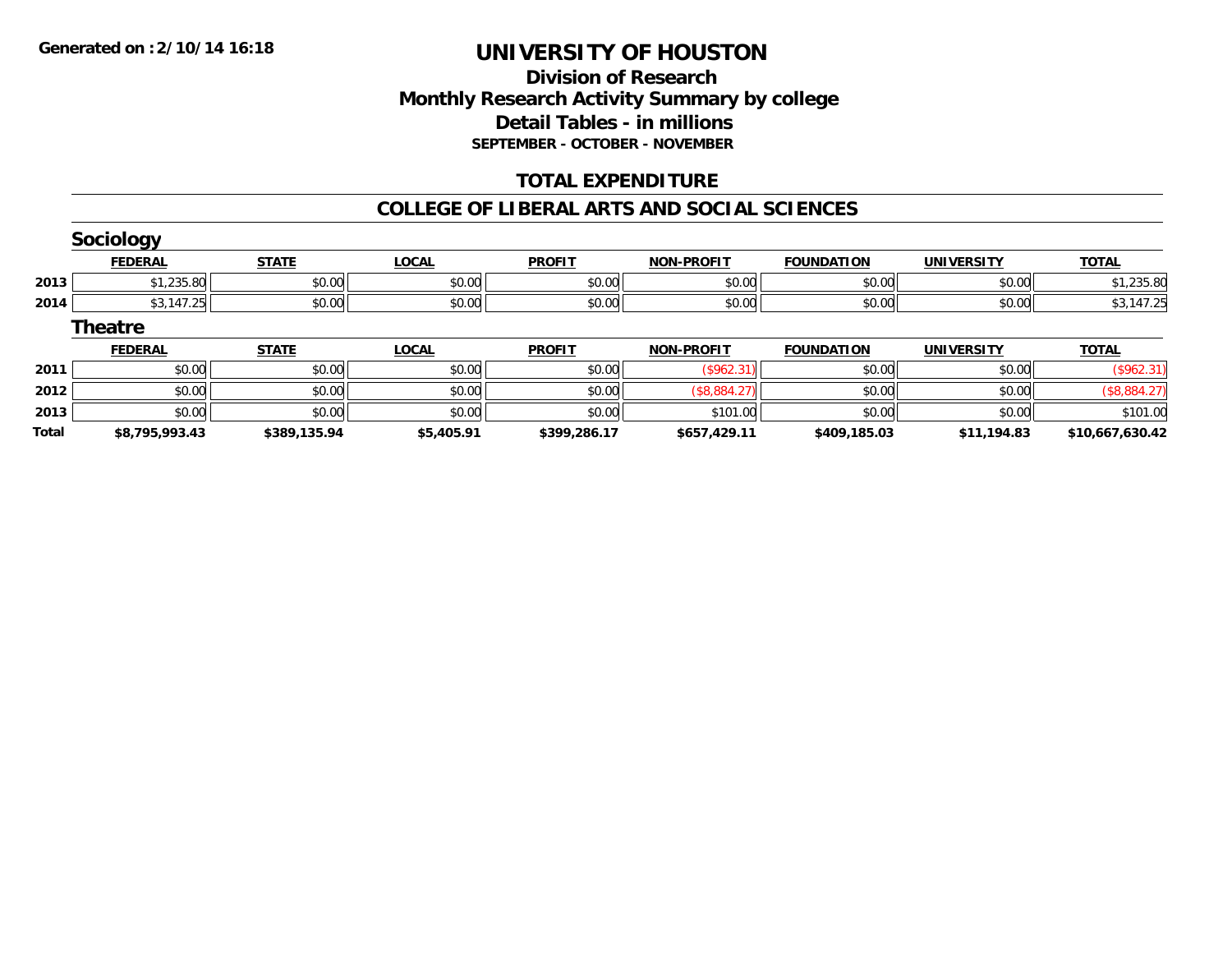# **Division of Research Monthly Research Activity Summary by college Detail Tables - in millions SEPTEMBER - OCTOBER - NOVEMBER**

# **TOTAL EXPENDITURE**

### **COLLEGE OF LIBERAL ARTS AND SOCIAL SCIENCES**

|              | <b>Sociology</b> |              |              |               |                   |                   |                   |                 |
|--------------|------------------|--------------|--------------|---------------|-------------------|-------------------|-------------------|-----------------|
|              | <b>FEDERAL</b>   | <b>STATE</b> | <b>LOCAL</b> | <b>PROFIT</b> | <b>NON-PROFIT</b> | <b>FOUNDATION</b> | <b>UNIVERSITY</b> | <b>TOTAL</b>    |
| 2013         | \$1,235.80       | \$0.00       | \$0.00       | \$0.00        | \$0.00            | \$0.00            | \$0.00            | \$1,235.80      |
| 2014         | \$3,147.25       | \$0.00       | \$0.00       | \$0.00        | \$0.00            | \$0.00            | \$0.00            | \$3,147.25      |
|              | <b>Theatre</b>   |              |              |               |                   |                   |                   |                 |
|              | <b>FEDERAL</b>   | <b>STATE</b> | <b>LOCAL</b> | <b>PROFIT</b> | <b>NON-PROFIT</b> | <b>FOUNDATION</b> | <b>UNIVERSITY</b> | <b>TOTAL</b>    |
| 2011         | \$0.00           | \$0.00       | \$0.00       | \$0.00        | (\$962.31)        | \$0.00            | \$0.00            | (\$962.31)      |
| 2012         | \$0.00           | \$0.00       | \$0.00       | \$0.00        | (\$8,884.27)      | \$0.00            | \$0.00            | (\$8,884.27)    |
| 2013         | \$0.00           | \$0.00       | \$0.00       | \$0.00        | \$101.00          | \$0.00            | \$0.00            | \$101.00        |
| <b>Total</b> | \$8,795,993.43   | \$389,135.94 | \$5,405.91   | \$399,286.17  | \$657,429.11      | \$409,185.03      | \$11,194.83       | \$10,667,630.42 |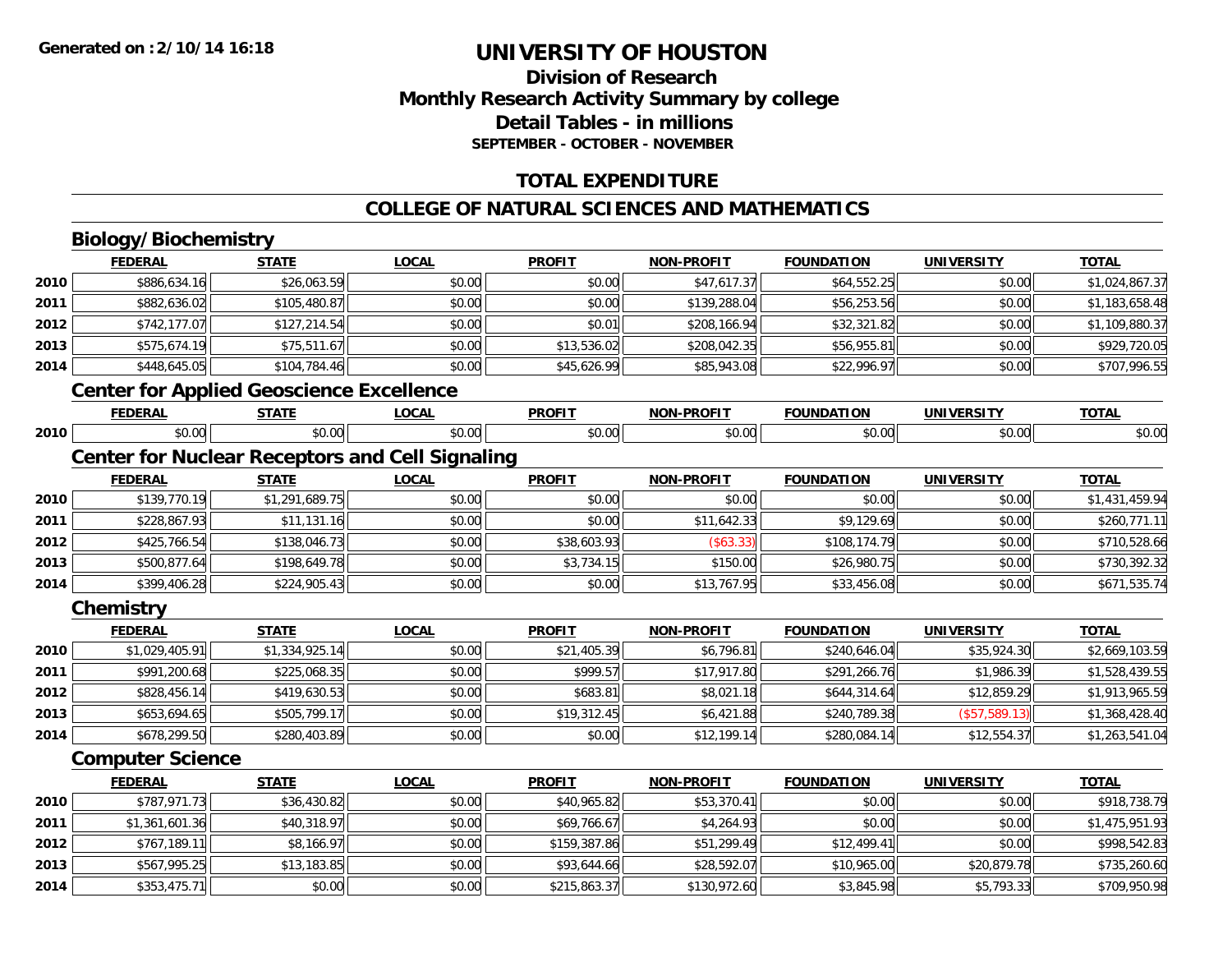# **Division of ResearchMonthly Research Activity Summary by college Detail Tables - in millions SEPTEMBER - OCTOBER - NOVEMBER**

# **TOTAL EXPENDITURE**

# **COLLEGE OF NATURAL SCIENCES AND MATHEMATICS**

# **Biology/Biochemistry**

**2014**

|      | <b>FEDERAL</b>                                         | <b>STATE</b>   | <b>LOCAL</b> | <b>PROFIT</b> | <b>NON-PROFIT</b> | <b>FOUNDATION</b> | <b>UNIVERSITY</b> | <b>TOTAL</b>   |  |  |
|------|--------------------------------------------------------|----------------|--------------|---------------|-------------------|-------------------|-------------------|----------------|--|--|
| 2010 | \$886,634.16                                           | \$26,063.59    | \$0.00       | \$0.00        | \$47,617.37       | \$64,552.25       | \$0.00            | \$1,024,867.37 |  |  |
| 2011 | \$882,636.02                                           | \$105,480.87   | \$0.00       | \$0.00        | \$139,288.04      | \$56,253.56       | \$0.00            | \$1,183,658.48 |  |  |
| 2012 | \$742,177.07                                           | \$127,214.54   | \$0.00       | \$0.01        | \$208,166.94      | \$32,321.82       | \$0.00            | \$1,109,880.37 |  |  |
| 2013 | \$575,674.19                                           | \$75,511.67    | \$0.00       | \$13,536.02   | \$208,042.35      | \$56,955.81       | \$0.00            | \$929,720.05   |  |  |
| 2014 | \$448,645.05                                           | \$104,784.46   | \$0.00       | \$45,626.99   | \$85,943.08       | \$22,996.97       | \$0.00            | \$707,996.55   |  |  |
|      | <b>Center for Applied Geoscience Excellence</b>        |                |              |               |                   |                   |                   |                |  |  |
|      | <b>FEDERAL</b>                                         | <b>STATE</b>   | LOCAL        | <b>PROFIT</b> | <b>NON-PROFIT</b> | <b>FOUNDATION</b> | <b>UNIVERSITY</b> | <b>TOTAL</b>   |  |  |
| 2010 | \$0.00                                                 | \$0.00         | \$0.00       | \$0.00        | \$0.00            | \$0.00            | \$0.00            | \$0.00         |  |  |
|      | <b>Center for Nuclear Receptors and Cell Signaling</b> |                |              |               |                   |                   |                   |                |  |  |
|      | <b>FEDERAL</b>                                         | <b>STATE</b>   | <b>LOCAL</b> | <b>PROFIT</b> | <b>NON-PROFIT</b> | <b>FOUNDATION</b> | <b>UNIVERSITY</b> | <b>TOTAL</b>   |  |  |
| 2010 | \$139,770.19                                           | \$1,291,689.75 | \$0.00       | \$0.00        | \$0.00            | \$0.00            | \$0.00            | \$1,431,459.94 |  |  |
| 2011 | \$228,867.93                                           | \$11,131.16    | \$0.00       | \$0.00        | \$11,642.33       | \$9,129.69        | \$0.00            | \$260,771.11   |  |  |
| 2012 | \$425,766.54                                           | \$138,046.73   | \$0.00       | \$38,603.93   | (\$63.33)         | \$108,174.79      | \$0.00            | \$710,528.66   |  |  |
| 2013 | \$500,877.64                                           | \$198,649.78   | \$0.00       | \$3,734.15    | \$150.00          | \$26,980.75       | \$0.00            | \$730,392.32   |  |  |
| 2014 | \$399,406.28                                           | \$224,905.43   | \$0.00       | \$0.00        | \$13,767.95       | \$33,456.08       | \$0.00            | \$671,535.74   |  |  |
|      | Chemistry                                              |                |              |               |                   |                   |                   |                |  |  |
|      | <b>FEDERAL</b>                                         | <b>STATE</b>   | <b>LOCAL</b> | <b>PROFIT</b> | <b>NON-PROFIT</b> | <b>FOUNDATION</b> | <b>UNIVERSITY</b> | <b>TOTAL</b>   |  |  |
| 2010 | \$1,029,405.91                                         | \$1,334,925.14 | \$0.00       | \$21,405.39   | \$6,796.81        | \$240,646.04      | \$35,924.30       | \$2,669,103.59 |  |  |
| 2011 | \$991,200.68                                           | \$225,068.35   | \$0.00       | \$999.57      | \$17,917.80       | \$291,266.76      | \$1,986.39        | \$1,528,439.55 |  |  |
| 2012 | \$828,456.14                                           | \$419,630.53   | \$0.00       | \$683.81      | \$8,021.18        | \$644,314.64      | \$12,859.29       | \$1,913,965.59 |  |  |
| 2013 | \$653,694.65                                           | \$505,799.17   | \$0.00       | \$19,312.45   | \$6,421.88        | \$240,789.38      | (\$57,589.13)     | \$1,368,428.40 |  |  |
| 2014 | \$678,299.50                                           | \$280,403.89   | \$0.00       | \$0.00        | \$12,199.14       | \$280,084.14      | \$12,554.37       | \$1,263,541.04 |  |  |
|      | <b>Computer Science</b>                                |                |              |               |                   |                   |                   |                |  |  |
|      | <b>FEDERAL</b>                                         | <b>STATE</b>   | <b>LOCAL</b> | <b>PROFIT</b> | <b>NON-PROFIT</b> | <b>FOUNDATION</b> | <b>UNIVERSITY</b> | <b>TOTAL</b>   |  |  |
| 2010 | \$787,971.73                                           | \$36,430.82    | \$0.00       | \$40,965.82   | \$53,370.41       | \$0.00            | \$0.00            | \$918,738.79   |  |  |
| 2011 | \$1,361,601.36                                         | \$40,318.97    | \$0.00       | \$69,766.67   | \$4,264.93        | \$0.00            | \$0.00            | \$1,475,951.93 |  |  |
| 2012 | \$767,189.11                                           | \$8,166.97     | \$0.00       | \$159,387.86  | \$51,299.49       | \$12,499.41       | \$0.00            | \$998,542.83   |  |  |
| 2013 | \$567,995.25                                           | \$13,183.85    | \$0.00       | \$93,644.66   | \$28,592.07       | \$10,965.00       | \$20,879.78       | \$735,260.60   |  |  |

4 \$353,475.71| \$0.00| \$0.00| \$215,863.37| \$130,972.60| \$3,845.98| \$5,793.33| \$709,950.98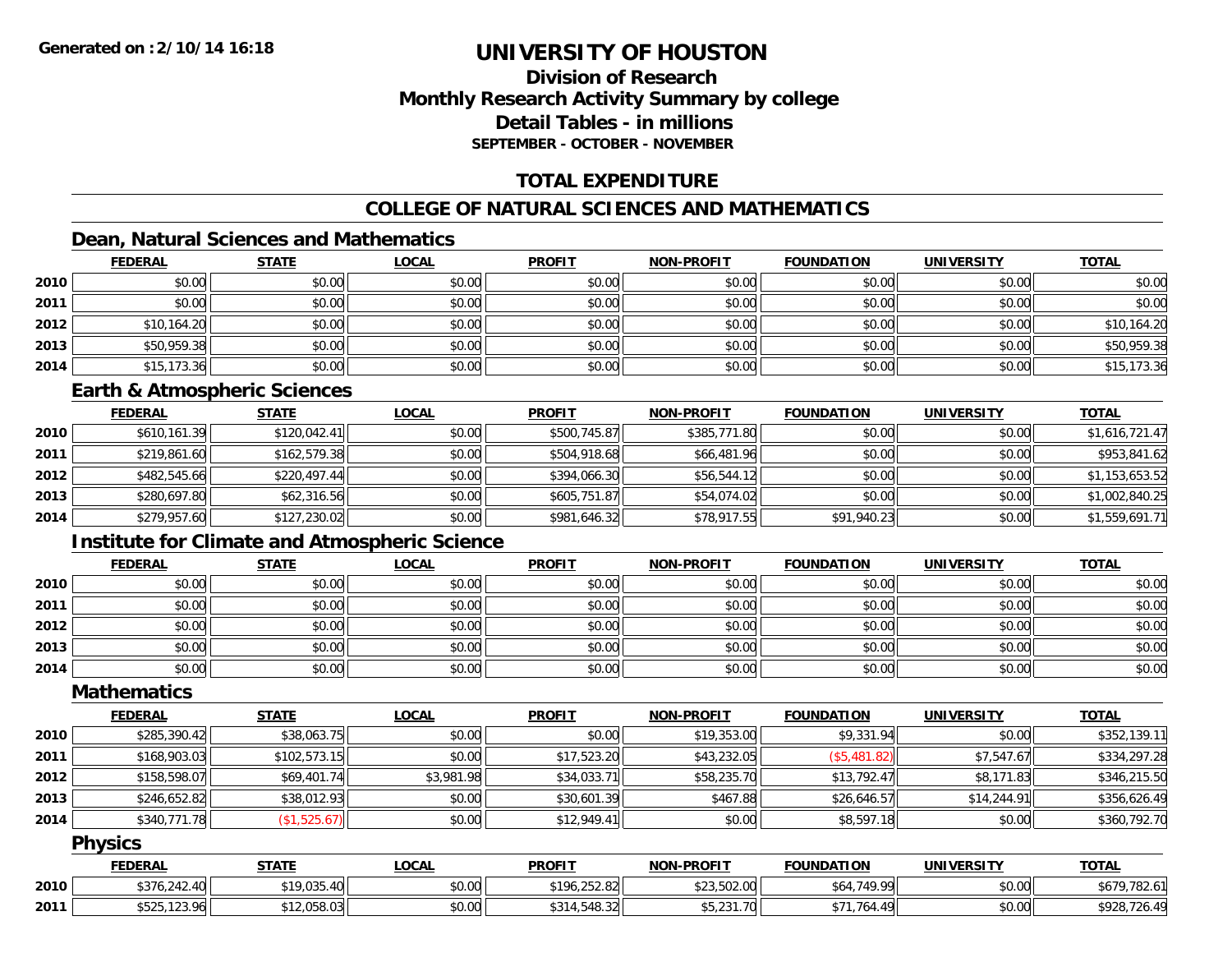# **Division of ResearchMonthly Research Activity Summary by college Detail Tables - in millionsSEPTEMBER - OCTOBER - NOVEMBER**

# **TOTAL EXPENDITURE**

# **COLLEGE OF NATURAL SCIENCES AND MATHEMATICS**

# **Dean, Natural Sciences and Mathematics**

|      | <b>FEDERAL</b> | <b>STATE</b> | <b>LOCAL</b> | <b>PROFIT</b> | <b>NON-PROFIT</b> | <b>FOUNDATION</b> | <b>UNIVERSITY</b> | <b>TOTAL</b> |
|------|----------------|--------------|--------------|---------------|-------------------|-------------------|-------------------|--------------|
| 2010 | \$0.00         | \$0.00       | \$0.00       | \$0.00        | \$0.00            | \$0.00            | \$0.00            | \$0.00       |
| 2011 | \$0.00         | \$0.00       | \$0.00       | \$0.00        | \$0.00            | \$0.00            | \$0.00            | \$0.00       |
| 2012 | \$10,164.20    | \$0.00       | \$0.00       | \$0.00        | \$0.00            | \$0.00            | \$0.00            | \$10,164.20  |
| 2013 | \$50,959.38    | \$0.00       | \$0.00       | \$0.00        | \$0.00            | \$0.00            | \$0.00            | \$50,959.38  |
| 2014 | \$15,173.36    | \$0.00       | \$0.00       | \$0.00        | \$0.00            | \$0.00            | \$0.00            | \$15,173.36  |

### **Earth & Atmospheric Sciences**

|      | <b>FEDERAL</b> | <u>STATE</u> | <b>LOCAL</b> | <b>PROFIT</b> | <b>NON-PROFIT</b> | <b>FOUNDATION</b> | <b>UNIVERSITY</b> | <b>TOTAL</b>   |
|------|----------------|--------------|--------------|---------------|-------------------|-------------------|-------------------|----------------|
| 2010 | \$610,161.39   | \$120,042.41 | \$0.00       | \$500,745.87  | \$385,771.80      | \$0.00            | \$0.00            | \$1,616,721.47 |
| 2011 | \$219,861.60   | \$162,579.38 | \$0.00       | \$504,918.68  | \$66,481.96       | \$0.00            | \$0.00            | \$953,841.62   |
| 2012 | \$482,545.66   | \$220,497.44 | \$0.00       | \$394,066.30  | \$56,544.12       | \$0.00            | \$0.00            | \$1,153,653.52 |
| 2013 | \$280,697.80   | \$62,316.56  | \$0.00       | \$605,751.87  | \$54,074.02       | \$0.00            | \$0.00            | \$1,002,840.25 |
| 2014 | \$279,957.60   | \$127,230.02 | \$0.00       | \$981,646.32  | \$78,917.55       | \$91,940.23       | \$0.00            | \$1,559,691.71 |

# **Institute for Climate and Atmospheric Science**

|      | <b>FEDERAL</b> | <b>STATE</b> | <b>LOCAL</b> | <b>PROFIT</b> | <b>NON-PROFIT</b> | <b>FOUNDATION</b> | <b>UNIVERSITY</b> | <b>TOTAL</b> |
|------|----------------|--------------|--------------|---------------|-------------------|-------------------|-------------------|--------------|
| 2010 | \$0.00         | \$0.00       | \$0.00       | \$0.00        | \$0.00            | \$0.00            | \$0.00            | \$0.00       |
| 2011 | \$0.00         | \$0.00       | \$0.00       | \$0.00        | \$0.00            | \$0.00            | \$0.00            | \$0.00       |
| 2012 | \$0.00         | \$0.00       | \$0.00       | \$0.00        | \$0.00            | \$0.00            | \$0.00            | \$0.00       |
| 2013 | \$0.00         | \$0.00       | \$0.00       | \$0.00        | \$0.00            | \$0.00            | \$0.00            | \$0.00       |
| 2014 | \$0.00         | \$0.00       | \$0.00       | \$0.00        | \$0.00            | \$0.00            | \$0.00            | \$0.00       |

#### **Mathematics**

|      | <b>FEDERAL</b> | <b>STATE</b> | <u>LOCAL</u> | <b>PROFIT</b> | <b>NON-PROFIT</b> | <b>FOUNDATION</b> | <b>UNIVERSITY</b> | <b>TOTAL</b> |
|------|----------------|--------------|--------------|---------------|-------------------|-------------------|-------------------|--------------|
| 2010 | \$285,390.42   | \$38,063.75  | \$0.00       | \$0.00        | \$19,353.00       | \$9,331.94        | \$0.00            | \$352,139.11 |
| 2011 | \$168,903.03   | \$102,573.15 | \$0.00       | \$17,523.20   | \$43,232.05       | (\$5,481.82)      | \$7,547.67        | \$334,297.28 |
| 2012 | \$158,598.07   | \$69,401.74  | \$3,981.98   | \$34,033.71   | \$58,235.70       | \$13,792.47       | \$8,171.83        | \$346,215.50 |
| 2013 | \$246,652.82   | \$38,012.93  | \$0.00       | \$30,601.39   | \$467.88          | \$26,646.57       | \$14,244.91       | \$356,626.49 |
| 2014 | \$340,771.78   | (\$1,525.67) | \$0.00       | \$12,949.41   | \$0.00            | \$8,597.18        | \$0.00            | \$360,792.70 |

### **Physics**

|      | <b>FEDERAL</b>                       | STATE                                   | LOCAI  | <b>PROFIT</b>                               | <b>NON-PROFIT</b> | <b>FOUNDATION</b>   | <b>UNIVERSITY</b> | <b>TOTAL</b>          |
|------|--------------------------------------|-----------------------------------------|--------|---------------------------------------------|-------------------|---------------------|-------------------|-----------------------|
| 2010 | \$376,242.40                         | <b>¢10 035</b><br>$\Lambda$<br>7,000.70 | \$0.00 | \$196,252.82                                | \$23,502.00       | 740.00<br>υ.        | \$0.00            | 700<br>\$679<br>702.U |
| 2011 | $EDE$ 100 $AE$<br>DOZO.<br>, 129.701 | ا 2.058.03                              | \$0.00 | $\cdots$ $\cdots$<br>$A$ $A$<br>ا ا∠د. 64∪… | \$5,231.70        | $\Lambda$ O<br>764. | \$0.00            | \$928,726.49          |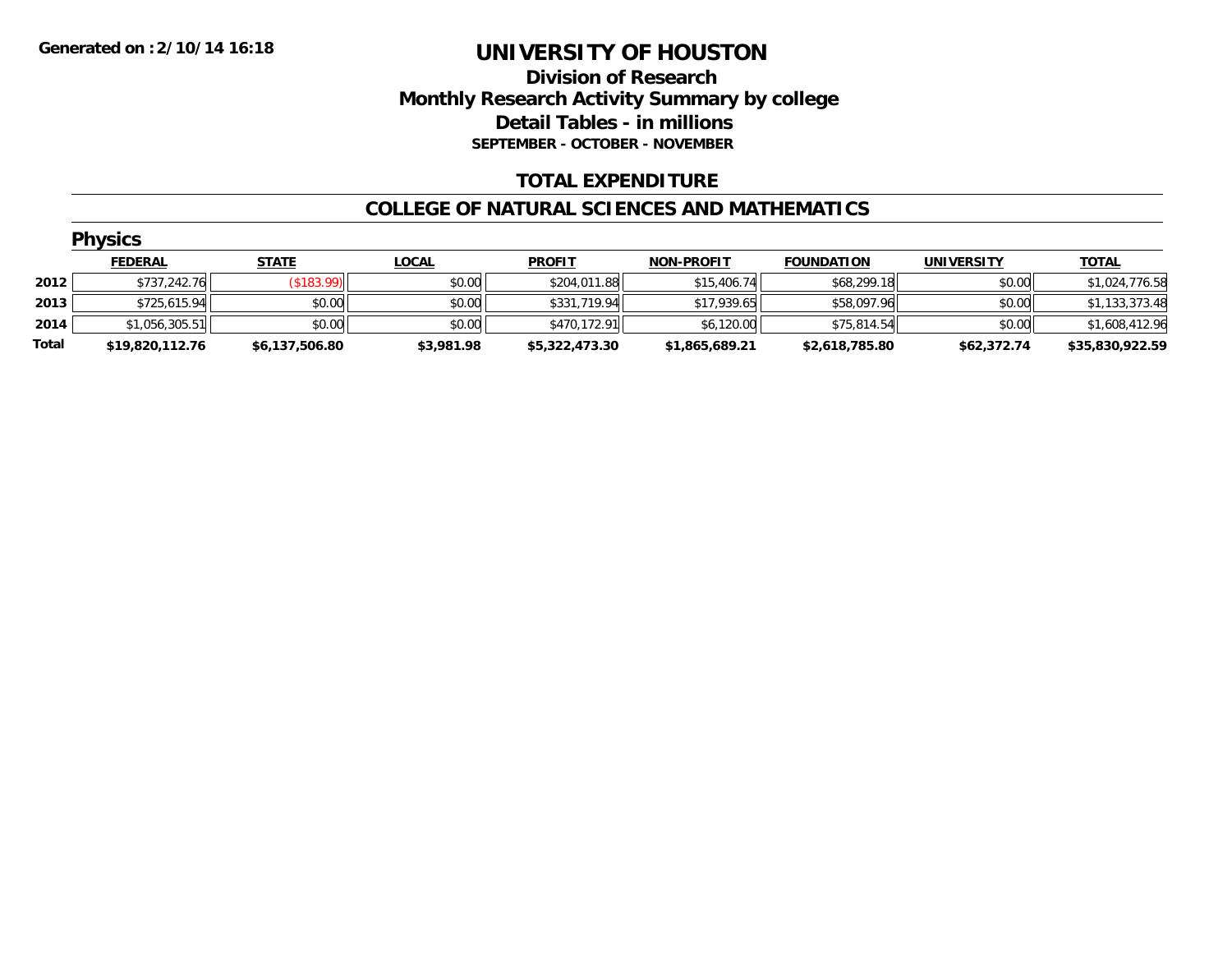# **Division of Research Monthly Research Activity Summary by college Detail Tables - in millions SEPTEMBER - OCTOBER - NOVEMBER**

# **TOTAL EXPENDITURE**

### **COLLEGE OF NATURAL SCIENCES AND MATHEMATICS**

|       | <b>Physics</b>  |                |              |                |                   |                   |                   |                 |  |  |  |  |
|-------|-----------------|----------------|--------------|----------------|-------------------|-------------------|-------------------|-----------------|--|--|--|--|
|       | <b>FEDERAL</b>  | <b>STATE</b>   | <b>LOCAL</b> | <b>PROFIT</b>  | <b>NON-PROFIT</b> | <b>FOUNDATION</b> | <b>UNIVERSITY</b> | <u>TOTAL</u>    |  |  |  |  |
| 2012  | \$737,242.76    | ( \$183.99)    | \$0.00       | \$204,011.88   | \$15,406.74       | \$68,299.18       | \$0.00            | \$1,024,776.58  |  |  |  |  |
| 2013  | \$725,615.94    | \$0.00         | \$0.00       | \$331,719.94   | \$17,939.65       | \$58,097.96       | \$0.00            | \$1,133,373.48  |  |  |  |  |
| 2014  | \$1,056,305.51  | \$0.00         | \$0.00       | \$470,172.91   | \$6,120.00        | \$75,814.54       | \$0.00            | \$1,608,412.96  |  |  |  |  |
| Total | \$19,820,112.76 | \$6,137,506.80 | \$3,981.98   | \$5,322,473.30 | \$1,865,689.21    | \$2,618,785.80    | \$62,372.74       | \$35,830,922.59 |  |  |  |  |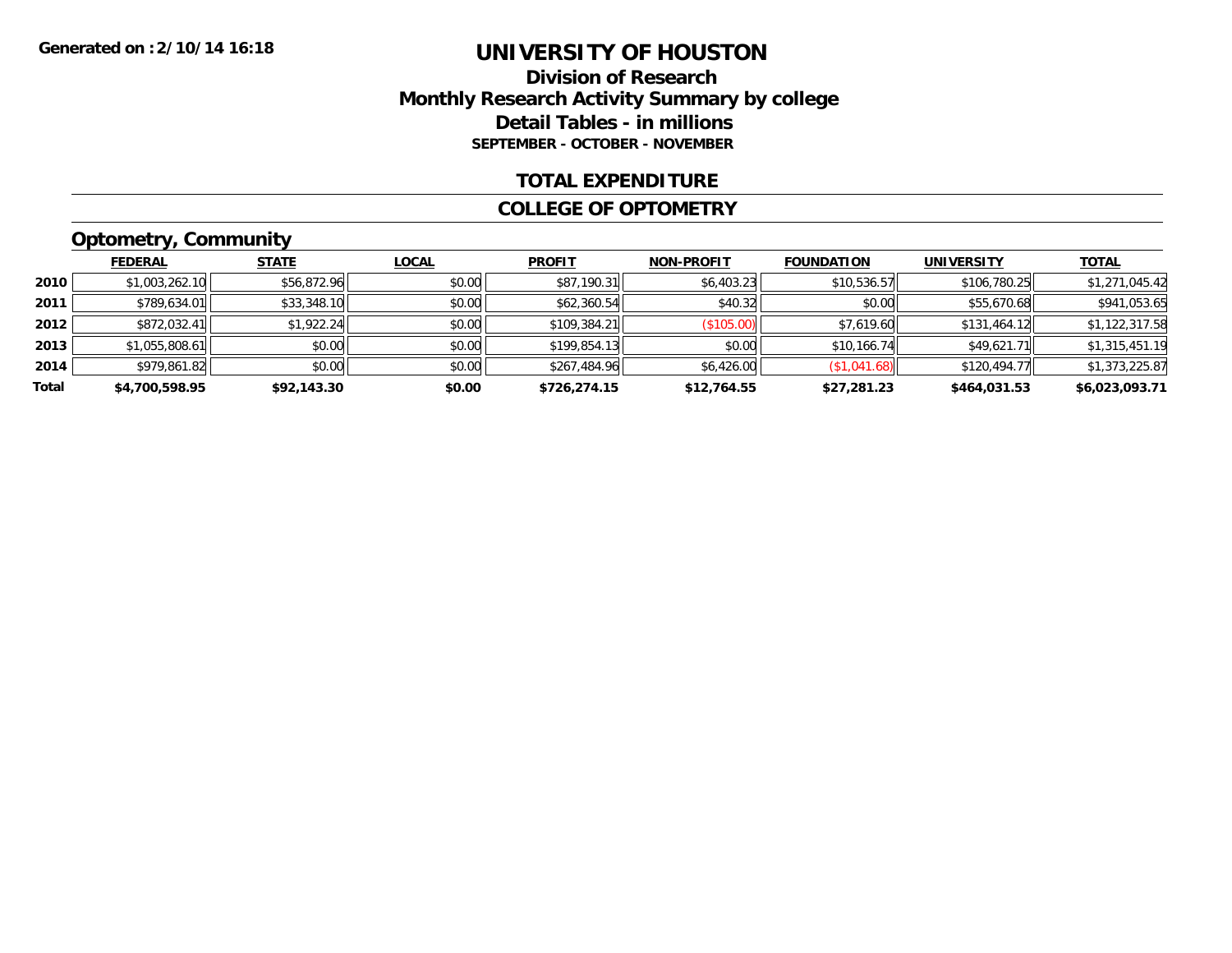### **Division of Research Monthly Research Activity Summary by college Detail Tables - in millions SEPTEMBER - OCTOBER - NOVEMBER**

### **TOTAL EXPENDITURE**

#### **COLLEGE OF OPTOMETRY**

# **Optometry, Community**

|       | .              |              |              |               |                   |                   |                   |                |
|-------|----------------|--------------|--------------|---------------|-------------------|-------------------|-------------------|----------------|
|       | <b>FEDERAL</b> | <b>STATE</b> | <b>LOCAL</b> | <b>PROFIT</b> | <b>NON-PROFIT</b> | <b>FOUNDATION</b> | <b>UNIVERSITY</b> | <u>TOTAL</u>   |
| 2010  | \$1,003,262.10 | \$56,872.96  | \$0.00       | \$87,190.31   | \$6,403.23        | \$10,536.57       | \$106,780.25      | \$1,271,045.42 |
| 2011  | \$789,634.01   | \$33,348.10  | \$0.00       | \$62,360.54   | \$40.32           | \$0.00            | \$55,670.68       | \$941,053.65   |
| 2012  | \$872,032.41   | \$1,922.24   | \$0.00       | \$109,384.21  | (\$105.00)        | \$7,619.60        | \$131,464.12      | \$1,122,317.58 |
| 2013  | \$1,055,808.61 | \$0.00       | \$0.00       | \$199,854.13  | \$0.00            | \$10,166.74       | \$49.621.71       | \$1,315,451.19 |
| 2014  | \$979.861.82   | \$0.00       | \$0.00       | \$267,484.96  | \$6,426.00        | \$1,041.68        | \$120,494.77      | \$1,373,225.87 |
| Total | \$4,700,598.95 | \$92,143.30  | \$0.00       | \$726,274.15  | \$12,764.55       | \$27,281.23       | \$464,031.53      | \$6,023,093.71 |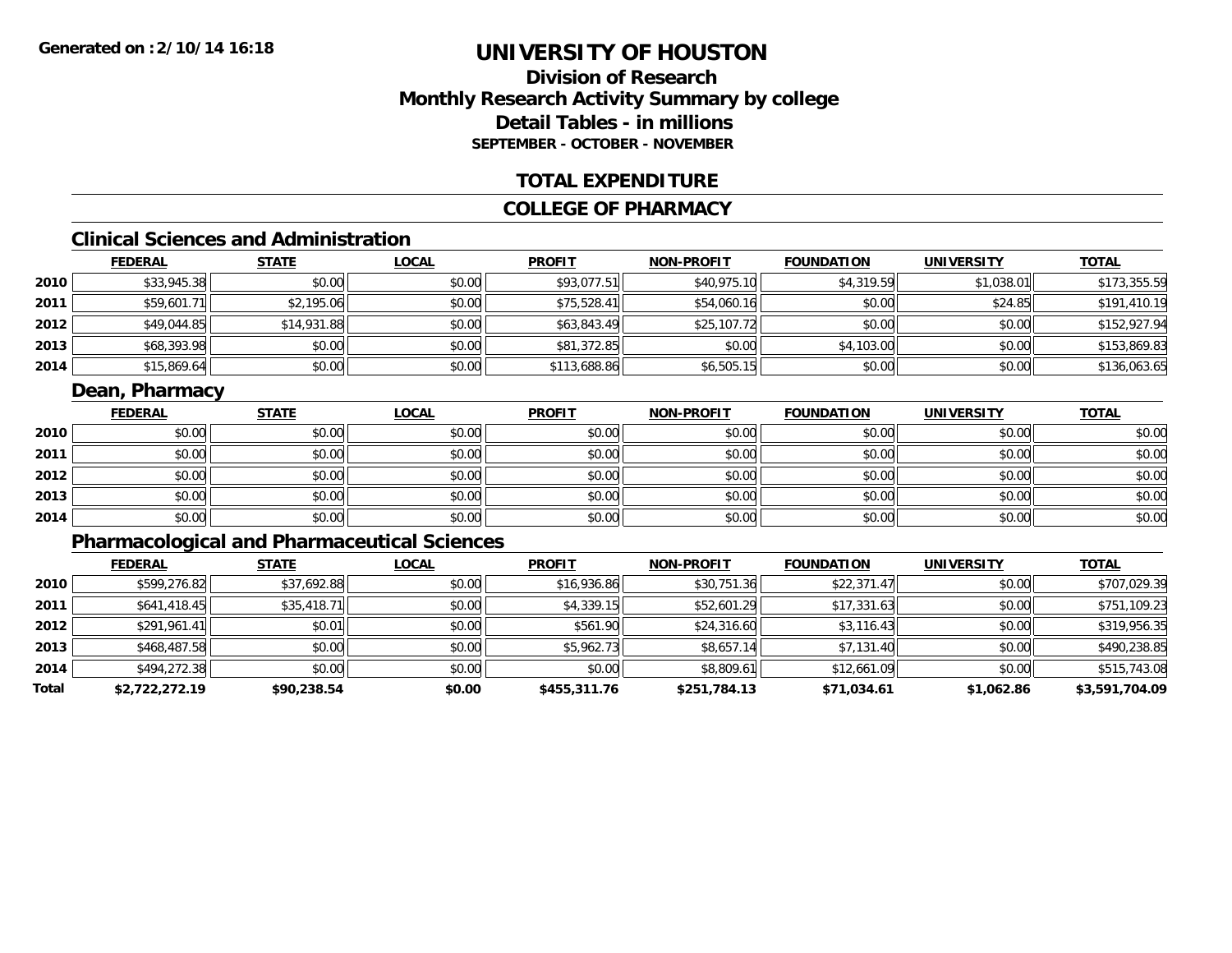# **Division of ResearchMonthly Research Activity Summary by college Detail Tables - in millions SEPTEMBER - OCTOBER - NOVEMBER**

### **TOTAL EXPENDITURE**

### **COLLEGE OF PHARMACY**

# **Clinical Sciences and Administration**

|      | <b>FEDERAL</b> | <b>STATE</b> | <b>LOCAL</b> | <b>PROFIT</b> | <b>NON-PROFIT</b> | <b>FOUNDATION</b> | <b>UNIVERSITY</b> | <b>TOTAL</b> |
|------|----------------|--------------|--------------|---------------|-------------------|-------------------|-------------------|--------------|
| 2010 | \$33,945.38    | \$0.00       | \$0.00       | \$93,077.51   | \$40,975.10       | \$4,319.59        | \$1,038.01        | \$173,355.59 |
| 2011 | \$59,601.71    | \$2,195.06   | \$0.00       | \$75,528.41   | \$54,060.16       | \$0.00            | \$24.85           | \$191,410.19 |
| 2012 | \$49,044.85    | \$14,931.88  | \$0.00       | \$63,843.49   | \$25,107.72       | \$0.00            | \$0.00            | \$152,927.94 |
| 2013 | \$68,393.98    | \$0.00       | \$0.00       | \$81,372.85   | \$0.00            | \$4,103.00        | \$0.00            | \$153,869.83 |
| 2014 | \$15,869.64    | \$0.00       | \$0.00       | \$113,688.86  | \$6,505.15        | \$0.00            | \$0.00            | \$136,063.65 |

# **Dean, Pharmacy**

|      | <b>FEDERAL</b> | <b>STATE</b> | <u>LOCAL</u> | <b>PROFIT</b> | <b>NON-PROFIT</b> | <b>FOUNDATION</b> | <b>UNIVERSITY</b> | <b>TOTAL</b> |
|------|----------------|--------------|--------------|---------------|-------------------|-------------------|-------------------|--------------|
| 2010 | \$0.00         | \$0.00       | \$0.00       | \$0.00        | \$0.00            | \$0.00            | \$0.00            | \$0.00       |
| 2011 | \$0.00         | \$0.00       | \$0.00       | \$0.00        | \$0.00            | \$0.00            | \$0.00            | \$0.00       |
| 2012 | \$0.00         | \$0.00       | \$0.00       | \$0.00        | \$0.00            | \$0.00            | \$0.00            | \$0.00       |
| 2013 | \$0.00         | \$0.00       | \$0.00       | \$0.00        | \$0.00            | \$0.00            | \$0.00            | \$0.00       |
| 2014 | \$0.00         | \$0.00       | \$0.00       | \$0.00        | \$0.00            | \$0.00            | \$0.00            | \$0.00       |

# **Pharmacological and Pharmaceutical Sciences**

|       | <b>FEDERAL</b> | <b>STATE</b> | <b>LOCAL</b> | <b>PROFIT</b> | <b>NON-PROFIT</b> | <b>FOUNDATION</b> | <b>UNIVERSITY</b> | <u>TOTAL</u>   |
|-------|----------------|--------------|--------------|---------------|-------------------|-------------------|-------------------|----------------|
| 2010  | \$599,276.82   | \$37,692.88  | \$0.00       | \$16,936.86   | \$30,751.36       | \$22,371.47       | \$0.00            | \$707,029.39   |
| 2011  | \$641,418.45   | \$35,418.71  | \$0.00       | \$4,339.15    | \$52,601.29       | \$17,331.63       | \$0.00            | \$751,109.23   |
| 2012  | \$291,961.41   | \$0.01       | \$0.00       | \$561.90      | \$24,316.60       | \$3,116.43        | \$0.00            | \$319,956.35   |
| 2013  | \$468,487.58   | \$0.00       | \$0.00       | \$5,962.73    | \$8,657.14        | \$7,131.40        | \$0.00            | \$490,238.85   |
| 2014  | \$494,272.38   | \$0.00       | \$0.00       | \$0.00        | \$8,809.61        | \$12,661.09       | \$0.00            | \$515,743.08   |
| Total | \$2,722,272.19 | \$90,238.54  | \$0.00       | \$455,311.76  | \$251,784.13      | \$71,034.61       | \$1,062.86        | \$3,591,704.09 |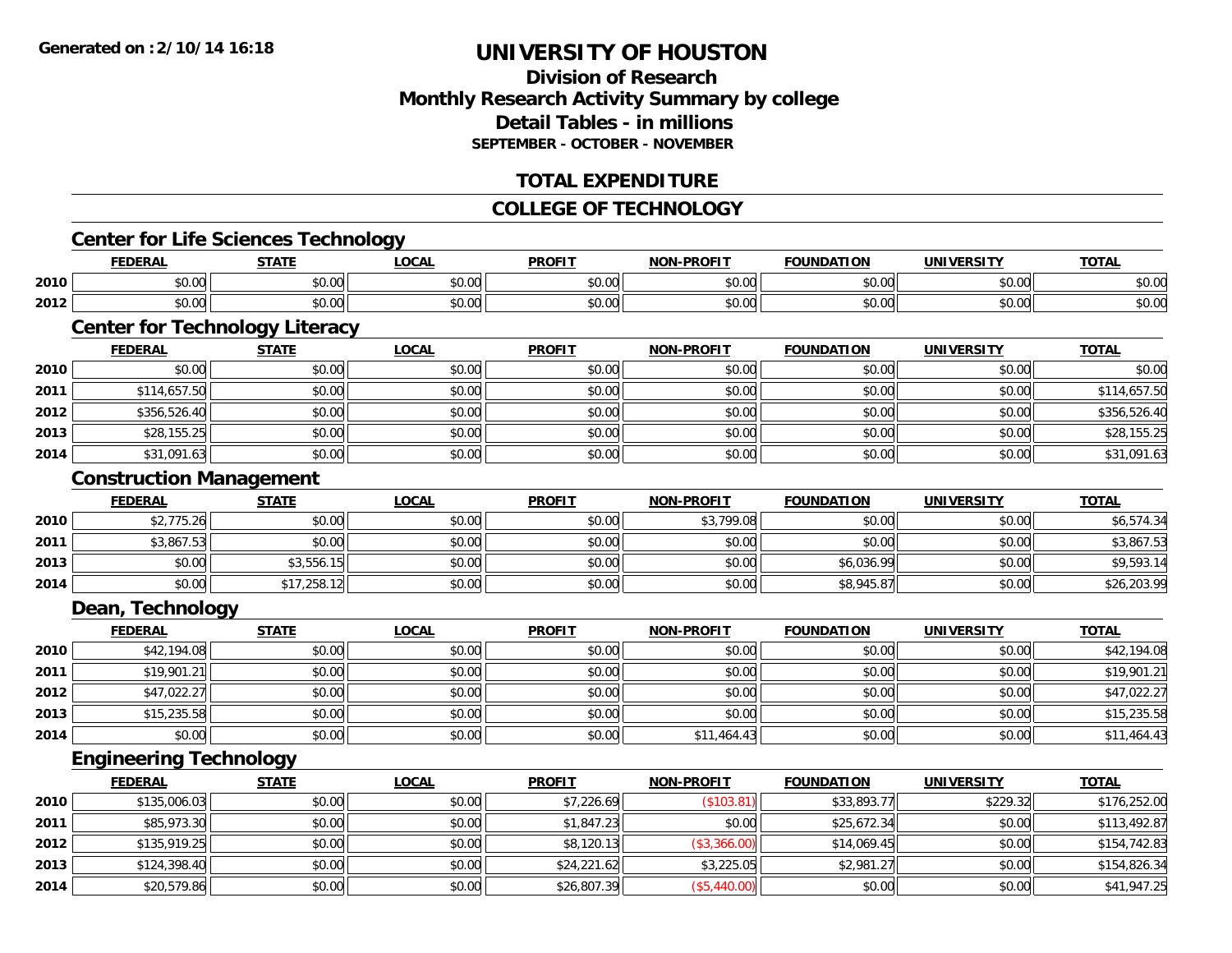# **Division of ResearchMonthly Research Activity Summary by college Detail Tables - in millions SEPTEMBER - OCTOBER - NOVEMBER**

# **TOTAL EXPENDITURE**

### **COLLEGE OF TECHNOLOGY**

# **Center for Life Sciences Technology**

|      | DAI<br>ERA                     | <b>CTATI</b>          | $\sim$<br>.w.a         | <b>PROFIT</b> | -----  | אנ                  |                    | <b>TOT</b>     |
|------|--------------------------------|-----------------------|------------------------|---------------|--------|---------------------|--------------------|----------------|
| 2010 | $\sim$ $\sim$<br>$\sim$<br>w.w | $\sim$ $\sim$<br>JU.U | $\sim$ $\sim$<br>vv.vv | 0000<br>∿∪.∪∿ | \$0.00 | 0000<br>. UU<br>, J | 0.00<br>pu.uu      | 0000<br>PU.UU  |
| 2012 | $\sim$<br>וטט.טי               | ሖ ^<br>י טיש          | $\sim$ 00<br>vv.vv     | 0000<br>JU.UU | \$0.00 | $\sim$ 00<br>JU.UU  | $\sim$ 00<br>JU.UU | ቀስ ሰሰ<br>DU.UU |

# **Center for Technology Literacy**

|      | <b>FEDERAL</b> | <b>STATE</b> | <b>LOCAL</b> | <b>PROFIT</b> | <b>NON-PROFIT</b> | <b>FOUNDATION</b> | <b>UNIVERSITY</b> | <b>TOTAL</b> |
|------|----------------|--------------|--------------|---------------|-------------------|-------------------|-------------------|--------------|
| 2010 | \$0.00         | \$0.00       | \$0.00       | \$0.00        | \$0.00            | \$0.00            | \$0.00            | \$0.00       |
| 2011 | \$114,657.50   | \$0.00       | \$0.00       | \$0.00        | \$0.00            | \$0.00            | \$0.00            | \$114,657.50 |
| 2012 | \$356,526.40   | \$0.00       | \$0.00       | \$0.00        | \$0.00            | \$0.00            | \$0.00            | \$356,526.40 |
| 2013 | \$28,155.25    | \$0.00       | \$0.00       | \$0.00        | \$0.00            | \$0.00            | \$0.00            | \$28,155.25  |
| 2014 | \$31,091.63    | \$0.00       | \$0.00       | \$0.00        | \$0.00            | \$0.00            | \$0.00            | \$31,091.63  |

### **Construction Management**

|      | <b>FEDERAL</b> | STATE       | <u>LOCAL</u> | <b>PROFIT</b> | <b>NON-PROFIT</b> | <b>FOUNDATION</b> | <b>UNIVERSITY</b> | <b>TOTAL</b> |
|------|----------------|-------------|--------------|---------------|-------------------|-------------------|-------------------|--------------|
| 2010 | \$2,775.26     | \$0.00      | \$0.00       | \$0.00        | \$3,799.08        | \$0.00            | \$0.00            | \$6,574.34   |
| 2011 | \$3,867.53     | \$0.00      | \$0.00       | \$0.00        | \$0.00            | \$0.00            | \$0.00            | \$3,867.53   |
| 2013 | \$0.00         | \$3,556.15  | \$0.00       | \$0.00        | \$0.00            | \$6,036.99        | \$0.00            | \$9,593.14   |
| 2014 | \$0.00         | \$17,258.12 | \$0.00       | \$0.00        | \$0.00            | \$8,945.87        | \$0.00            | \$26,203.99  |

# **Dean, Technology**

|      | <b>FEDERAL</b> | <b>STATE</b> | <b>LOCAL</b> | <b>PROFIT</b> | <b>NON-PROFIT</b> | <b>FOUNDATION</b> | <b>UNIVERSITY</b> | <b>TOTAL</b> |
|------|----------------|--------------|--------------|---------------|-------------------|-------------------|-------------------|--------------|
| 2010 | \$42,194.08    | \$0.00       | \$0.00       | \$0.00        | \$0.00            | \$0.00            | \$0.00            | \$42,194.08  |
| 2011 | \$19,901.21    | \$0.00       | \$0.00       | \$0.00        | \$0.00            | \$0.00            | \$0.00            | \$19,901.21  |
| 2012 | \$47,022.27    | \$0.00       | \$0.00       | \$0.00        | \$0.00            | \$0.00            | \$0.00            | \$47,022.27  |
| 2013 | \$15,235.58    | \$0.00       | \$0.00       | \$0.00        | \$0.00            | \$0.00            | \$0.00            | \$15,235.58  |
| 2014 | \$0.00         | \$0.00       | \$0.00       | \$0.00        | \$11,464.43       | \$0.00            | \$0.00            | \$11,464.43  |

### **Engineering Technology**

|      | <b>FEDERAL</b> | <b>STATE</b> | <u>LOCAL</u> | <b>PROFIT</b> | <b>NON-PROFIT</b> | <b>FOUNDATION</b> | <b>UNIVERSITY</b> | <b>TOTAL</b> |
|------|----------------|--------------|--------------|---------------|-------------------|-------------------|-------------------|--------------|
| 2010 | \$135,006.03   | \$0.00       | \$0.00       | \$7,226.69    | (\$103.81)        | \$33,893.77       | \$229.32          | \$176,252.00 |
| 2011 | \$85,973.30    | \$0.00       | \$0.00       | \$1,847.23    | \$0.00            | \$25,672.34       | \$0.00            | \$113,492.87 |
| 2012 | \$135,919.25   | \$0.00       | \$0.00       | \$8,120.13    | (\$3,366.00)      | \$14,069.45       | \$0.00            | \$154,742.83 |
| 2013 | \$124,398.40   | \$0.00       | \$0.00       | \$24,221.62   | \$3,225.05        | \$2,981.27        | \$0.00            | \$154,826.34 |
| 2014 | \$20,579.86    | \$0.00       | \$0.00       | \$26,807.39   | (\$5,440.00)      | \$0.00            | \$0.00            | \$41,947.25  |

<u> 1989 - Johann Stoff, deutscher Stoffen und der Stoffen und der Stoffen und der Stoffen und der Stoffen und de</u>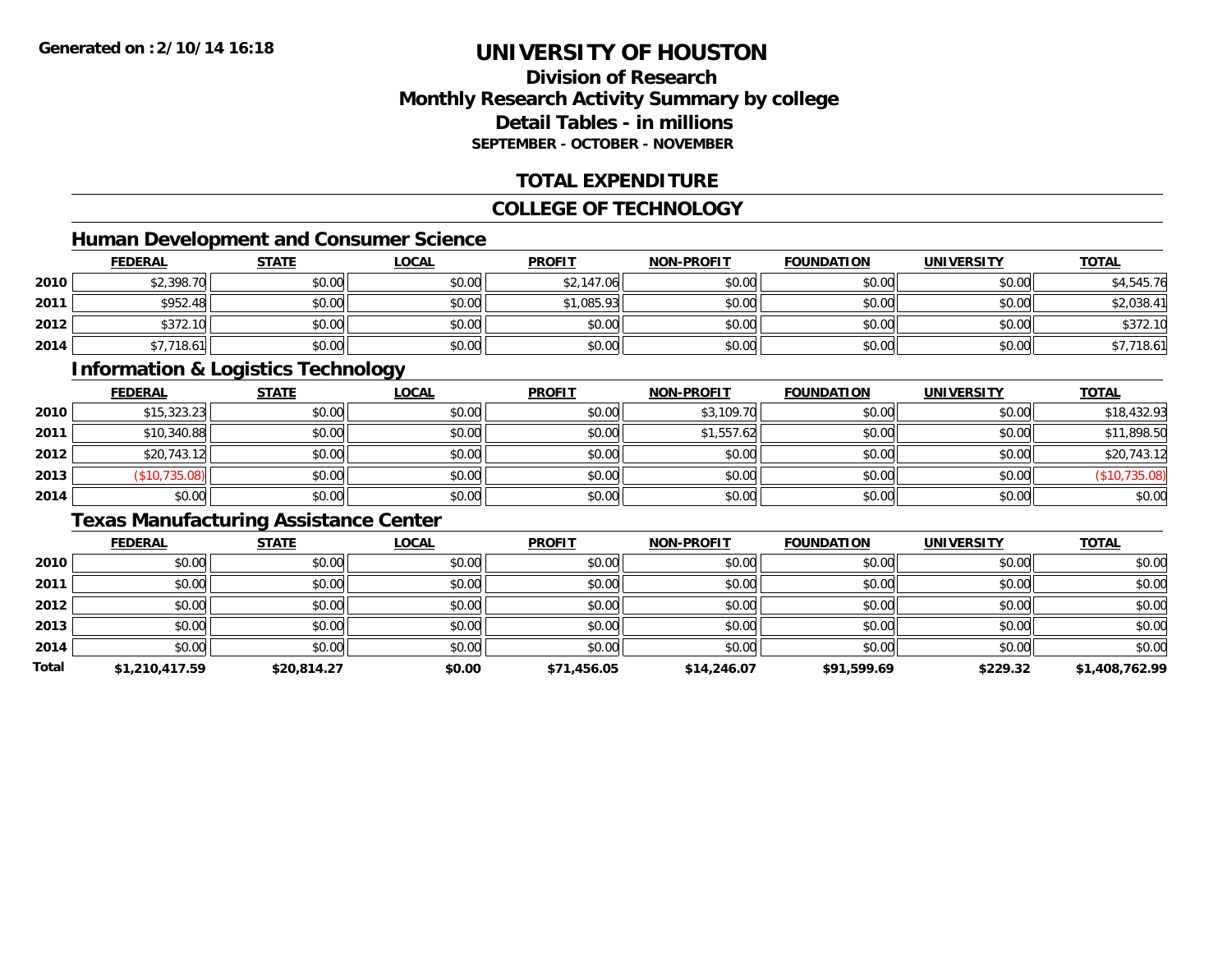# **Division of ResearchMonthly Research Activity Summary by college Detail Tables - in millionsSEPTEMBER - OCTOBER - NOVEMBER**

# **TOTAL EXPENDITURE**

#### **COLLEGE OF TECHNOLOGY**

# **Human Development and Consumer Science**

|      | <b>FEDERAL</b> | <b>STATE</b> | <b>LOCAL</b> | <b>PROFIT</b> | <b>NON-PROFIT</b> | <b>FOUNDATION</b> | <b>UNIVERSITY</b> | <b>TOTAL</b> |
|------|----------------|--------------|--------------|---------------|-------------------|-------------------|-------------------|--------------|
| 2010 | \$2,398.70     | \$0.00       | \$0.00       | \$2,147.06    | \$0.00            | \$0.00            | \$0.00            | \$4,545.76   |
| 2011 | \$952.48       | \$0.00       | \$0.00       | \$1,085.93    | \$0.00            | \$0.00            | \$0.00            | \$2,038.41   |
| 2012 | \$372.10       | \$0.00       | \$0.00       | \$0.00        | \$0.00            | \$0.00            | \$0.00            | \$372.10     |
| 2014 | \$7,718.61     | \$0.00       | \$0.00       | \$0.00        | \$0.00            | \$0.00            | \$0.00            | \$7,718.61   |

### **Information & Logistics Technology**

|      | <b>FEDERAL</b> | <b>STATE</b> | <b>LOCAL</b> | <b>PROFIT</b> | <b>NON-PROFIT</b> | <b>FOUNDATION</b> | <b>UNIVERSITY</b> | <b>TOTAL</b>  |
|------|----------------|--------------|--------------|---------------|-------------------|-------------------|-------------------|---------------|
| 2010 | \$15,323.23    | \$0.00       | \$0.00       | \$0.00        | \$3,109.70        | \$0.00            | \$0.00            | \$18,432.93   |
| 2011 | \$10,340.88    | \$0.00       | \$0.00       | \$0.00        | \$1,557.62        | \$0.00            | \$0.00            | \$11,898.50   |
| 2012 | \$20,743.12    | \$0.00       | \$0.00       | \$0.00        | \$0.00            | \$0.00            | \$0.00            | \$20,743.12   |
| 2013 | \$10,735.08    | \$0.00       | \$0.00       | \$0.00        | \$0.00            | \$0.00            | \$0.00            | (\$10,735.08) |
| 2014 | \$0.00         | \$0.00       | \$0.00       | \$0.00        | \$0.00            | \$0.00            | \$0.00            | \$0.00        |

# **Texas Manufacturing Assistance Center**

|       | <b>FEDERAL</b> | <b>STATE</b> | <u>LOCAL</u> | <b>PROFIT</b> | <b>NON-PROFIT</b> | <b>FOUNDATION</b> | <b>UNIVERSITY</b> | <b>TOTAL</b>   |
|-------|----------------|--------------|--------------|---------------|-------------------|-------------------|-------------------|----------------|
| 2010  | \$0.00         | \$0.00       | \$0.00       | \$0.00        | \$0.00            | \$0.00            | \$0.00            | \$0.00         |
| 2011  | \$0.00         | \$0.00       | \$0.00       | \$0.00        | \$0.00            | \$0.00            | \$0.00            | \$0.00         |
| 2012  | \$0.00         | \$0.00       | \$0.00       | \$0.00        | \$0.00            | \$0.00            | \$0.00            | \$0.00         |
| 2013  | \$0.00         | \$0.00       | \$0.00       | \$0.00        | \$0.00            | \$0.00            | \$0.00            | \$0.00         |
| 2014  | \$0.00         | \$0.00       | \$0.00       | \$0.00        | \$0.00            | \$0.00            | \$0.00            | \$0.00         |
| Total | \$1,210,417.59 | \$20,814.27  | \$0.00       | \$71,456.05   | \$14,246.07       | \$91,599.69       | \$229.32          | \$1,408,762.99 |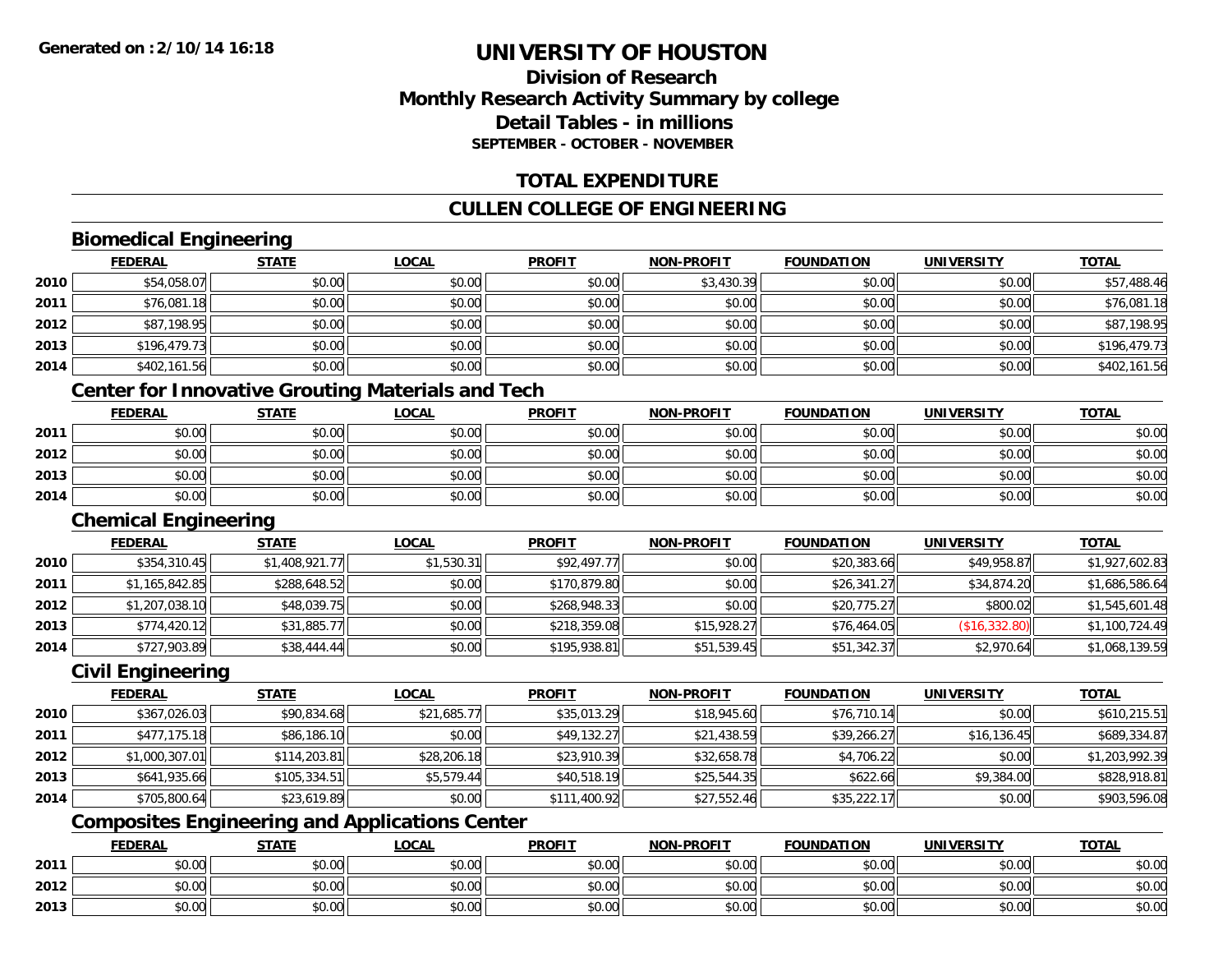### **Division of ResearchMonthly Research Activity Summary by college Detail Tables - in millionsSEPTEMBER - OCTOBER - NOVEMBER**

### **TOTAL EXPENDITURE**

## **CULLEN COLLEGE OF ENGINEERING**

## **Biomedical Engineering**

|      | <b>FEDERAL</b> | <b>STATE</b> | <b>LOCAL</b> | <b>PROFIT</b> | <b>NON-PROFIT</b> | <b>FOUNDATION</b> | <b>UNIVERSITY</b> | <b>TOTAL</b> |
|------|----------------|--------------|--------------|---------------|-------------------|-------------------|-------------------|--------------|
| 2010 | \$54,058.07    | \$0.00       | \$0.00       | \$0.00        | \$3,430.39        | \$0.00            | \$0.00            | \$57,488.46  |
| 2011 | \$76,081.18    | \$0.00       | \$0.00       | \$0.00        | \$0.00            | \$0.00            | \$0.00            | \$76,081.18  |
| 2012 | \$87,198.95    | \$0.00       | \$0.00       | \$0.00        | \$0.00            | \$0.00            | \$0.00            | \$87,198.95  |
| 2013 | \$196,479.73   | \$0.00       | \$0.00       | \$0.00        | \$0.00            | \$0.00            | \$0.00            | \$196,479.73 |
| 2014 | \$402,161.56   | \$0.00       | \$0.00       | \$0.00        | \$0.00            | \$0.00            | \$0.00            | \$402,161.56 |
|      |                |              |              |               |                   |                   |                   |              |

### **Center for Innovative Grouting Materials and Tech**

|      | <b>FEDERAL</b> | <b>STATE</b> | <u>LOCAL</u> | <b>PROFIT</b> | <b>NON-PROFIT</b> | <b>FOUNDATION</b> | UNIVERSITY | <b>TOTAL</b> |
|------|----------------|--------------|--------------|---------------|-------------------|-------------------|------------|--------------|
| 2011 | \$0.00         | \$0.00       | \$0.00       | \$0.00        | \$0.00            | \$0.00            | \$0.00     | \$0.00       |
| 2012 | \$0.00         | \$0.00       | \$0.00       | \$0.00        | \$0.00            | \$0.00            | \$0.00     | \$0.00       |
| 2013 | \$0.00         | \$0.00       | \$0.00       | \$0.00        | \$0.00            | \$0.00            | \$0.00     | \$0.00       |
| 2014 | \$0.00         | \$0.00       | \$0.00       | \$0.00        | \$0.00            | \$0.00            | \$0.00     | \$0.00       |

#### **Chemical Engineering**

|      | <b>FEDERAL</b> | <b>STATE</b>   | <b>LOCAL</b> | <b>PROFIT</b> | <b>NON-PROFIT</b> | <b>FOUNDATION</b> | <b>UNIVERSITY</b> | <b>TOTAL</b>   |
|------|----------------|----------------|--------------|---------------|-------------------|-------------------|-------------------|----------------|
| 2010 | \$354,310.45   | \$1,408,921.77 | \$1,530.31   | \$92,497.77   | \$0.00            | \$20,383.66       | \$49,958.87       | \$1,927,602.83 |
| 2011 | \$1,165,842.85 | \$288,648.52   | \$0.00       | \$170,879.80  | \$0.00            | \$26,341.27       | \$34,874.20       | \$1,686,586.64 |
| 2012 | \$1,207,038.10 | \$48,039.75    | \$0.00       | \$268,948.33  | \$0.00            | \$20,775.27       | \$800.02          | \$1,545,601.48 |
| 2013 | \$774,420.12   | \$31,885.77    | \$0.00       | \$218,359.08  | \$15,928.27       | \$76,464.05       | (\$16,332.80)     | \$1,100,724.49 |
| 2014 | \$727,903.89   | \$38,444.44    | \$0.00       | \$195,938.81  | \$51,539.45       | \$51,342.37       | \$2,970.64        | \$1,068,139.59 |

#### **Civil Engineering**

|      | <b>FEDERAL</b> | <b>STATE</b> | <b>LOCAL</b> | <b>PROFIT</b> | <b>NON-PROFIT</b> | <b>FOUNDATION</b> | <b>UNIVERSITY</b> | <b>TOTAL</b>   |
|------|----------------|--------------|--------------|---------------|-------------------|-------------------|-------------------|----------------|
| 2010 | \$367,026.03   | \$90,834.68  | \$21,685.77  | \$35,013.29   | \$18,945.60       | \$76,710.14       | \$0.00            | \$610,215.51   |
| 2011 | \$477.175.18   | \$86,186.10  | \$0.00       | \$49,132.27   | \$21,438.59       | \$39,266.27       | \$16, 136.45      | \$689,334.87   |
| 2012 | \$1,000,307.01 | \$114.203.81 | \$28,206.18  | \$23,910.39   | \$32,658.78       | \$4,706.22        | \$0.00            | \$1,203,992.39 |
| 2013 | \$641,935.66   | \$105,334.51 | \$5,579.44   | \$40,518.19   | \$25,544.35       | \$622.66          | \$9,384.00        | \$828,918.81   |
| 2014 | \$705,800.64   | \$23,619.89  | \$0.00       | \$111,400.92  | \$27,552.46       | \$35,222.17       | \$0.00            | \$903,596.08   |

## **Composites Engineering and Applications Center**

|      | <b>FEDERAL</b>                | <b>STATE</b> | _OCAL  | <b>PROFIT</b> | <b>NON-PROFIT</b> | <b>FOUNDATION</b> | <b>UNIVERSITY</b> | <b>TOTAL</b> |
|------|-------------------------------|--------------|--------|---------------|-------------------|-------------------|-------------------|--------------|
| 2011 | <b>ተ ∩</b><br>וטטוע           | \$0.00       | \$0.00 | \$0.00        | \$0.00            | \$0.00            | \$0.00            | \$0.00       |
| 2012 | <b>ተ ∩</b><br>$\sim$<br>JU.UU | \$0.00       | \$0.00 | \$0.00        | \$0.00            | \$0.00            | \$0.00            | \$0.00       |
| 2013 | ¢Λ<br>$\sim$<br>JU.UU         | \$0.00       | \$0.00 | \$0.00        | \$0.00            | \$0.00            | \$0.00            | \$0.00       |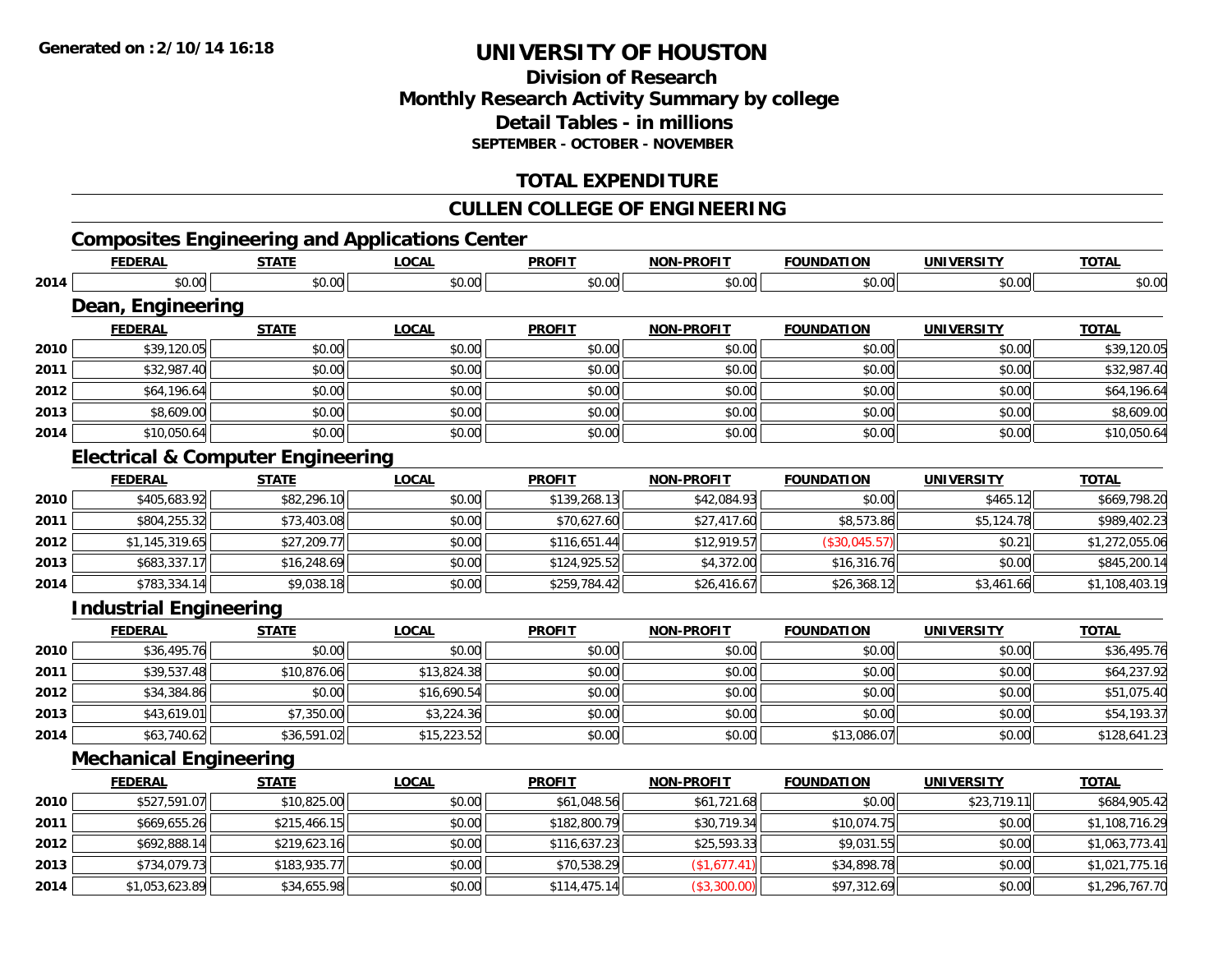### **Division of Research Monthly Research Activity Summary by college Detail Tables - in millions SEPTEMBER - OCTOBER - NOVEMBER**

## **TOTAL EXPENDITURE**

### **CULLEN COLLEGE OF ENGINEERING**

## **Composites Engineering and Applications Center**

|      | <b>FEDERAL</b>                               | <b>STATE</b> | <b>LOCAL</b> | <b>PROFIT</b> | <b>NON-PROFIT</b> | <b>FOUNDATION</b> | <b>UNIVERSITY</b> | <b>TOTAL</b>   |
|------|----------------------------------------------|--------------|--------------|---------------|-------------------|-------------------|-------------------|----------------|
| 2014 | \$0.00                                       | \$0.00       | \$0.00       | \$0.00        | \$0.00            | \$0.00            | \$0.00            | \$0.00         |
|      | Dean, Engineering                            |              |              |               |                   |                   |                   |                |
|      | <b>FEDERAL</b>                               | <b>STATE</b> | <b>LOCAL</b> | <b>PROFIT</b> | <b>NON-PROFIT</b> | <b>FOUNDATION</b> | <b>UNIVERSITY</b> | <b>TOTAL</b>   |
| 2010 | \$39,120.05                                  | \$0.00       | \$0.00       | \$0.00        | \$0.00            | \$0.00            | \$0.00            | \$39,120.05    |
| 2011 | \$32,987.40                                  | \$0.00       | \$0.00       | \$0.00        | \$0.00            | \$0.00            | \$0.00            | \$32,987.40    |
| 2012 | \$64,196.64                                  | \$0.00       | \$0.00       | \$0.00        | \$0.00            | \$0.00            | \$0.00            | \$64,196.64    |
| 2013 | \$8,609.00                                   | \$0.00       | \$0.00       | \$0.00        | \$0.00            | \$0.00            | \$0.00            | \$8,609.00     |
| 2014 | \$10,050.64                                  | \$0.00       | \$0.00       | \$0.00        | \$0.00            | \$0.00            | \$0.00            | \$10,050.64    |
|      | <b>Electrical &amp; Computer Engineering</b> |              |              |               |                   |                   |                   |                |
|      | <b>FEDERAL</b>                               | <b>STATE</b> | <b>LOCAL</b> | <b>PROFIT</b> | <b>NON-PROFIT</b> | <b>FOUNDATION</b> | <b>UNIVERSITY</b> | <b>TOTAL</b>   |
| 2010 | \$405,683.92                                 | \$82,296.10  | \$0.00       | \$139,268.13  | \$42,084.93       | \$0.00            | \$465.12          | \$669,798.20   |
| 2011 | \$804,255.32                                 | \$73,403.08  | \$0.00       | \$70,627.60   | \$27,417.60       | \$8,573.86        | \$5,124.78        | \$989,402.23   |
| 2012 | \$1,145,319.65                               | \$27,209.77  | \$0.00       | \$116,651.44  | \$12,919.57       | (\$30,045.57)     | \$0.21            | \$1,272,055.06 |
| 2013 | \$683,337.17                                 | \$16,248.69  | \$0.00       | \$124,925.52  | \$4,372.00        | \$16,316.76       | \$0.00            | \$845,200.14   |
| 2014 | \$783,334.14                                 | \$9,038.18   | \$0.00       | \$259,784.42  | \$26,416.67       | \$26,368.12       | \$3,461.66        | \$1,108,403.19 |
|      | <b>Industrial Engineering</b>                |              |              |               |                   |                   |                   |                |
|      | <b>FEDERAL</b>                               | <b>STATE</b> | <b>LOCAL</b> | <b>PROFIT</b> | <b>NON-PROFIT</b> | <b>FOUNDATION</b> | <b>UNIVERSITY</b> | <b>TOTAL</b>   |
| 2010 | \$36,495.76                                  | \$0.00       | \$0.00       | \$0.00        | \$0.00            | \$0.00            | \$0.00            | \$36,495.76    |
| 2011 | \$39,537.48                                  | \$10,876.06  | \$13,824.38  | \$0.00        | \$0.00            | \$0.00            | \$0.00            | \$64,237.92    |
| 2012 | \$34,384.86                                  | \$0.00       | \$16,690.54  | \$0.00        | \$0.00            | \$0.00            | \$0.00            | \$51,075.40    |
| 2013 | \$43,619.01                                  | \$7,350.00   | \$3,224.36   | \$0.00        | \$0.00            | \$0.00            | \$0.00            | \$54,193.37    |
| 2014 | \$63,740.62                                  | \$36,591.02  | \$15,223.52  | \$0.00        | \$0.00            | \$13,086.07       | \$0.00            | \$128,641.23   |
|      | <b>Mechanical Engineering</b>                |              |              |               |                   |                   |                   |                |
|      | <b>FEDERAL</b>                               | <b>STATE</b> | <b>LOCAL</b> | <b>PROFIT</b> | <b>NON-PROFIT</b> | <b>FOUNDATION</b> | <b>UNIVERSITY</b> | <b>TOTAL</b>   |
| 2010 | \$527,591.07                                 | \$10,825.00  | \$0.00       | \$61,048.56   | \$61,721.68       | \$0.00            | \$23,719.11       | \$684,905.42   |
| 2011 | \$669,655.26                                 | \$215,466.15 | \$0.00       | \$182,800.79  | \$30,719.34       | \$10,074.75       | \$0.00            | \$1,108,716.29 |
| 2012 | \$692,888.14                                 | \$219,623.16 | \$0.00       | \$116,637.23  | \$25,593.33       | \$9,031.55        | \$0.00            | \$1,063,773.41 |
| 2013 | \$734,079.73                                 | \$183,935.77 | \$0.00       | \$70,538.29   | (\$1,677.41)      | \$34,898.78       | \$0.00            | \$1,021,775.16 |
| 2014 | \$1,053,623.89                               | \$34,655.98  | \$0.00       | \$114,475.14  | (\$3,300.00)      | \$97,312.69       | \$0.00            | \$1,296,767.70 |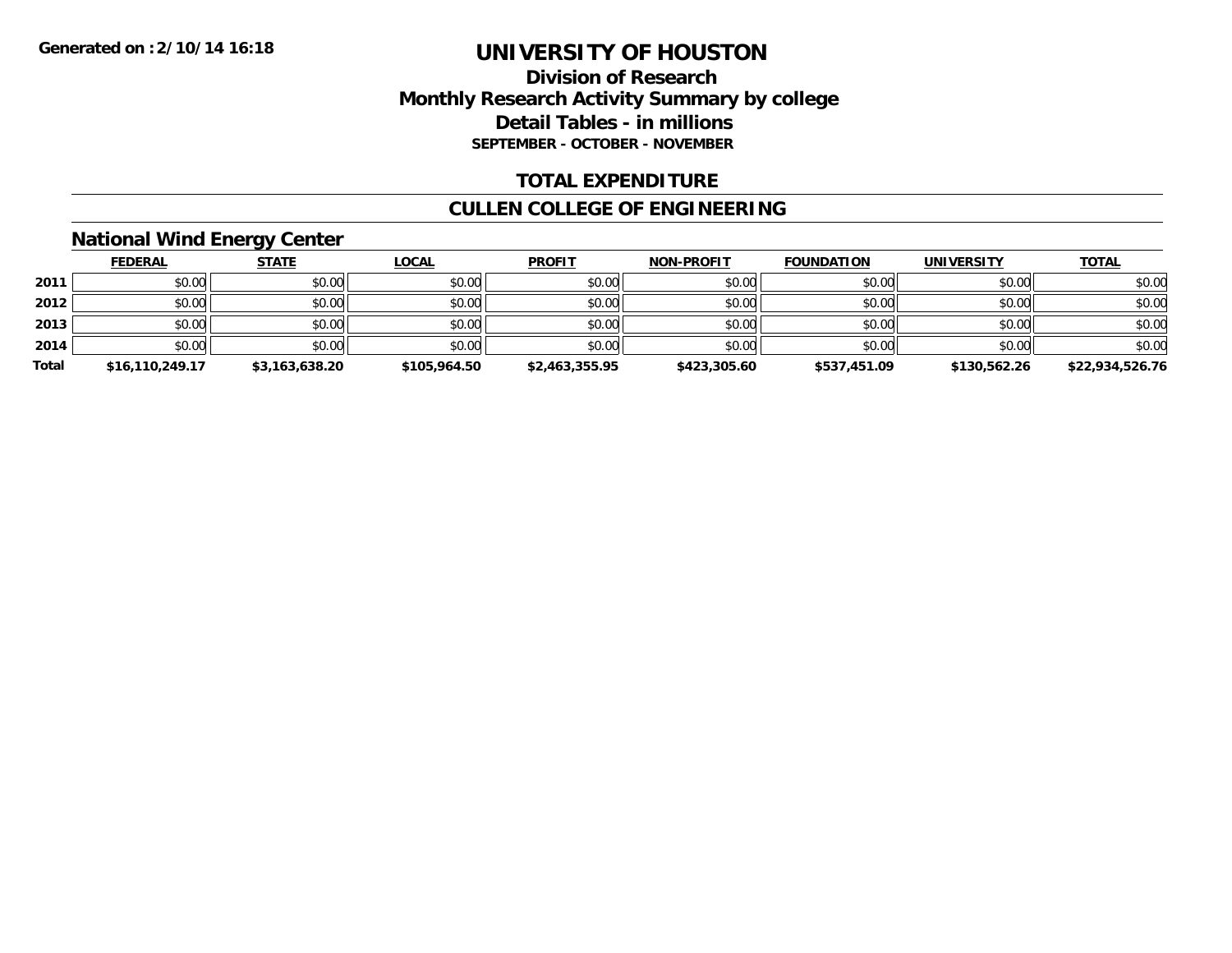### **Division of Research Monthly Research Activity Summary by college Detail Tables - in millions SEPTEMBER - OCTOBER - NOVEMBER**

### **TOTAL EXPENDITURE**

### **CULLEN COLLEGE OF ENGINEERING**

## **National Wind Energy Center**

|       | <b>FEDERAL</b>  | <b>STATE</b>   | <u>LOCAL</u> | <b>PROFIT</b>  | <b>NON-PROFIT</b> | <b>FOUNDATION</b> | <b>UNIVERSITY</b> | <b>TOTAL</b>    |
|-------|-----------------|----------------|--------------|----------------|-------------------|-------------------|-------------------|-----------------|
| 2011  | \$0.00          | \$0.00         | \$0.00       | \$0.00         | \$0.00            | \$0.00            | \$0.00            | \$0.00          |
| 2012  | \$0.00          | \$0.00         | \$0.00       | \$0.00         | \$0.00            | \$0.00            | \$0.00            | \$0.00          |
| 2013  | \$0.00          | \$0.00         | \$0.00       | \$0.00         | \$0.00            | \$0.00            | \$0.00            | \$0.00          |
| 2014  | \$0.00          | \$0.00         | \$0.00       | \$0.00         | \$0.00            | \$0.00            | \$0.00            | \$0.00          |
| Total | \$16,110,249.17 | \$3,163,638.20 | \$105,964.50 | \$2,463,355.95 | \$423,305.60      | \$537,451.09      | \$130,562.26      | \$22,934,526.76 |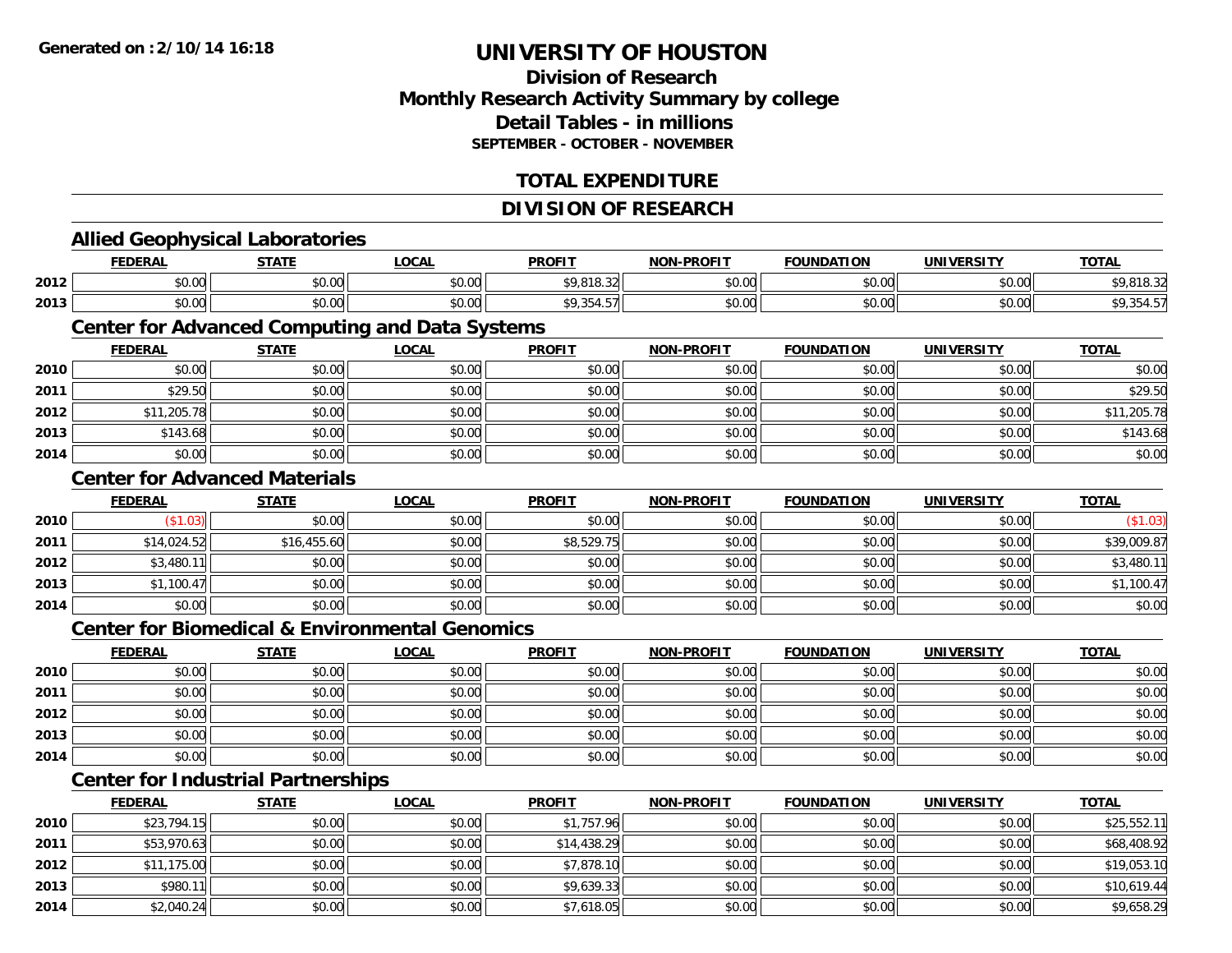### **Division of ResearchMonthly Research Activity Summary by college Detail Tables - in millions SEPTEMBER - OCTOBER - NOVEMBER**

### **TOTAL EXPENDITURE**

#### **DIVISION OF RESEARCH**

# **Allied Geophysical Laboratories**

|      | <b>FEDERAL</b>                   | <b>STATI</b>           | <b>OCAL</b>   | <b>PROFIT</b>           | <b>DDAEIT</b><br><b>MAR</b> | .<br><b>FOUNDA</b><br>10T                             | UNIVERSITY     | $-0$ |
|------|----------------------------------|------------------------|---------------|-------------------------|-----------------------------|-------------------------------------------------------|----------------|------|
| 2012 | 0.00<br>ט.טי                     | $\sim$ $\sim$<br>JU.UU | 0000<br>JU.UU | <b>CO 010</b><br>,,,,,, | 0000<br>ט.טי                | $\mathsf{A} \cap \mathsf{A} \cap \mathsf{A}$<br>JU.UU | nn nn<br>JU.UU |      |
| 2013 | $\sim$ $\sim$<br>$\sim$<br>DU.UU | $\sim$ 00<br>JU.UU     | 0000<br>JU.UU |                         | $\sim$ $\sim$<br>⊸∪.∪∪ '    | $\sim$ 00<br>JU.UU                                    | 0000<br>PU.UU  |      |

## **Center for Advanced Computing and Data Systems**

|      | <b>FEDERAL</b> | <b>STATE</b> | <b>LOCAL</b> | <b>PROFIT</b> | <b>NON-PROFIT</b> | <b>FOUNDATION</b> | <b>UNIVERSITY</b> | <b>TOTAL</b> |
|------|----------------|--------------|--------------|---------------|-------------------|-------------------|-------------------|--------------|
| 2010 | \$0.00         | \$0.00       | \$0.00       | \$0.00        | \$0.00            | \$0.00            | \$0.00            | \$0.00       |
| 2011 | \$29.50        | \$0.00       | \$0.00       | \$0.00        | \$0.00            | \$0.00            | \$0.00            | \$29.50      |
| 2012 | \$11,205.78    | \$0.00       | \$0.00       | \$0.00        | \$0.00            | \$0.00            | \$0.00            | \$11,205.78  |
| 2013 | \$143.68       | \$0.00       | \$0.00       | \$0.00        | \$0.00            | \$0.00            | \$0.00            | \$143.68     |
| 2014 | \$0.00         | \$0.00       | \$0.00       | \$0.00        | \$0.00            | \$0.00            | \$0.00            | \$0.00       |

### **Center for Advanced Materials**

|      | <b>FEDERAL</b> | <b>STATE</b> | <u>LOCAL</u> | <b>PROFIT</b> | <b>NON-PROFIT</b> | <b>FOUNDATION</b> | <b>UNIVERSITY</b> | <b>TOTAL</b> |
|------|----------------|--------------|--------------|---------------|-------------------|-------------------|-------------------|--------------|
| 2010 | \$1.03)        | \$0.00       | \$0.00       | \$0.00        | \$0.00            | \$0.00            | \$0.00            | (\$1.03)     |
| 2011 | \$14,024.52    | \$16,455.60  | \$0.00       | \$8,529.75    | \$0.00            | \$0.00            | \$0.00            | \$39,009.87  |
| 2012 | \$3,480.11     | \$0.00       | \$0.00       | \$0.00        | \$0.00            | \$0.00            | \$0.00            | \$3,480.11   |
| 2013 | \$1,100.47     | \$0.00       | \$0.00       | \$0.00        | \$0.00            | \$0.00            | \$0.00            | \$1,100.47   |
| 2014 | \$0.00         | \$0.00       | \$0.00       | \$0.00        | \$0.00            | \$0.00            | \$0.00            | \$0.00       |

### **Center for Biomedical & Environmental Genomics**

|      | <u>FEDERAL</u> | <u>STATE</u> | <b>LOCAL</b> | <b>PROFIT</b> | <b>NON-PROFIT</b> | <b>FOUNDATION</b> | <b>UNIVERSITY</b> | <b>TOTAL</b> |
|------|----------------|--------------|--------------|---------------|-------------------|-------------------|-------------------|--------------|
| 2010 | \$0.00         | \$0.00       | \$0.00       | \$0.00        | \$0.00            | \$0.00            | \$0.00            | \$0.00       |
| 2011 | \$0.00         | \$0.00       | \$0.00       | \$0.00        | \$0.00            | \$0.00            | \$0.00            | \$0.00       |
| 2012 | \$0.00         | \$0.00       | \$0.00       | \$0.00        | \$0.00            | \$0.00            | \$0.00            | \$0.00       |
| 2013 | \$0.00         | \$0.00       | \$0.00       | \$0.00        | \$0.00            | \$0.00            | \$0.00            | \$0.00       |
| 2014 | \$0.00         | \$0.00       | \$0.00       | \$0.00        | \$0.00            | \$0.00            | \$0.00            | \$0.00       |

## **Center for Industrial Partnerships**

|      | <b>FEDERAL</b> | <b>STATE</b> | <u>LOCAL</u> | <b>PROFIT</b> | <b>NON-PROFIT</b> | <b>FOUNDATION</b> | <b>UNIVERSITY</b> | <b>TOTAL</b> |
|------|----------------|--------------|--------------|---------------|-------------------|-------------------|-------------------|--------------|
| 2010 | \$23,794.15    | \$0.00       | \$0.00       | \$1,757.96    | \$0.00            | \$0.00            | \$0.00            | \$25,552.11  |
| 2011 | \$53,970.63    | \$0.00       | \$0.00       | \$14,438.29   | \$0.00            | \$0.00            | \$0.00            | \$68,408.92  |
| 2012 | \$11,175.00    | \$0.00       | \$0.00       | \$7,878.10    | \$0.00            | \$0.00            | \$0.00            | \$19,053.10  |
| 2013 | \$980.11       | \$0.00       | \$0.00       | \$9,639.33    | \$0.00            | \$0.00            | \$0.00            | \$10,619.44  |
| 2014 | \$2,040.24     | \$0.00       | \$0.00       | \$7,618.05    | \$0.00            | \$0.00            | \$0.00            | \$9,658.29   |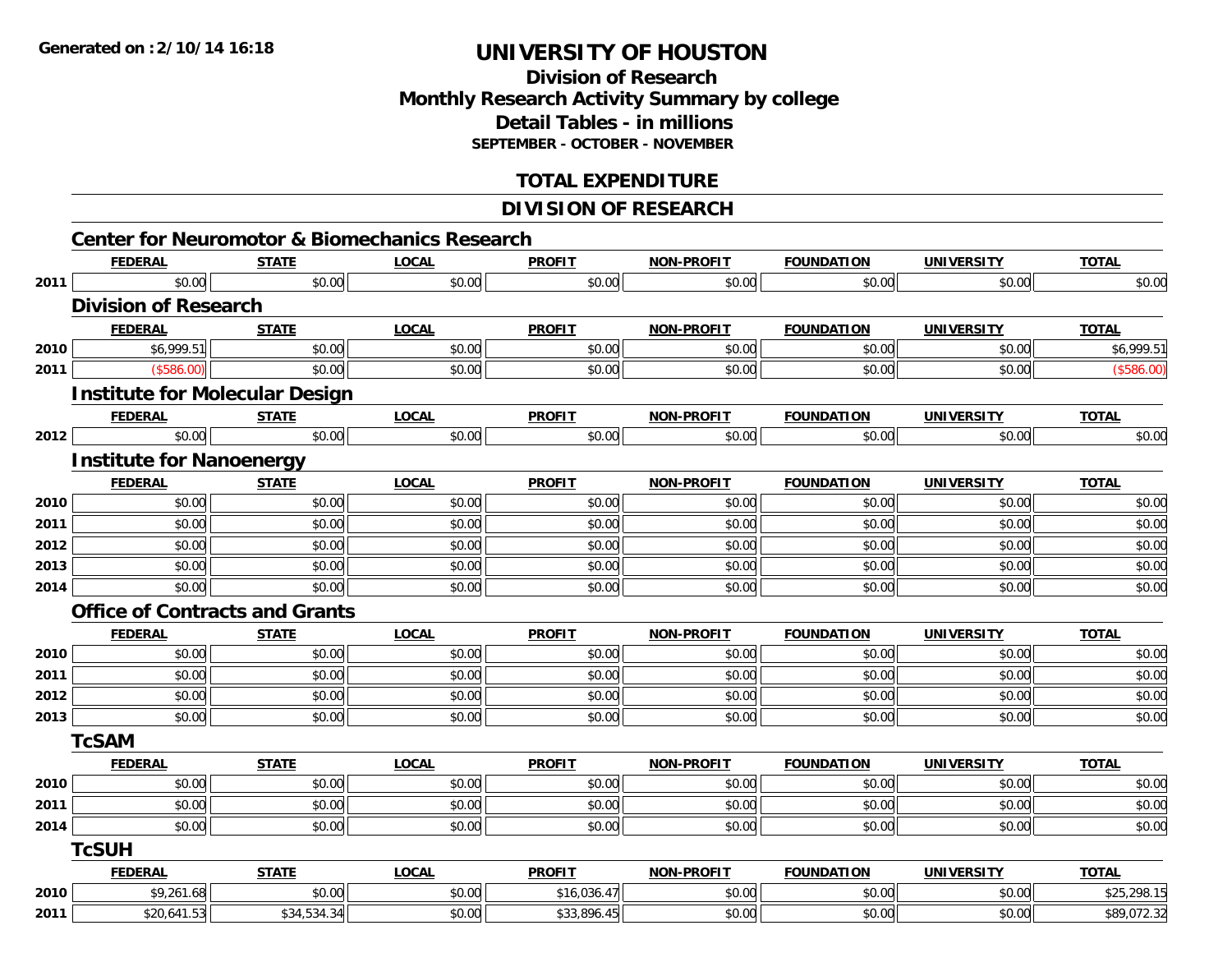## **Division of ResearchMonthly Research Activity Summary by college Detail Tables - in millions SEPTEMBER - OCTOBER - NOVEMBER**

### **TOTAL EXPENDITURE**

### **DIVISION OF RESEARCH**

|      | <b>FEDERAL</b>                        | <b>STATE</b> | <b>LOCAL</b> | <b>PROFIT</b> | <b>NON-PROFIT</b> | <b>FOUNDATION</b> | <b>UNIVERSITY</b> | <b>TOTAL</b> |
|------|---------------------------------------|--------------|--------------|---------------|-------------------|-------------------|-------------------|--------------|
| 2011 | \$0.00                                | \$0.00       | \$0.00       | \$0.00        | \$0.00            | \$0.00            | \$0.00            | \$0.00       |
|      | <b>Division of Research</b>           |              |              |               |                   |                   |                   |              |
|      | <b>FEDERAL</b>                        | <b>STATE</b> | <b>LOCAL</b> | <b>PROFIT</b> | <b>NON-PROFIT</b> | <b>FOUNDATION</b> | <b>UNIVERSITY</b> | <b>TOTAL</b> |
| 2010 | \$6,999.51                            | \$0.00       | \$0.00       | \$0.00        | \$0.00            | \$0.00            | \$0.00            | \$6,999.51   |
| 2011 | (\$586.00)                            | \$0.00       | \$0.00       | \$0.00        | \$0.00            | \$0.00            | \$0.00            | (\$586.00)   |
|      | <b>Institute for Molecular Design</b> |              |              |               |                   |                   |                   |              |
|      | <b>FEDERAL</b>                        | <b>STATE</b> | <b>LOCAL</b> | <b>PROFIT</b> | NON-PROFIT        | <b>FOUNDATION</b> | <b>UNIVERSITY</b> | <b>TOTAL</b> |
| 2012 | \$0.00                                | \$0.00       | \$0.00       | \$0.00        | \$0.00            | \$0.00            | \$0.00            | \$0.00       |
|      | <b>Institute for Nanoenergy</b>       |              |              |               |                   |                   |                   |              |
|      | <b>FEDERAL</b>                        | <b>STATE</b> | <b>LOCAL</b> | <b>PROFIT</b> | <b>NON-PROFIT</b> | <b>FOUNDATION</b> | <b>UNIVERSITY</b> | <b>TOTAL</b> |
| 2010 | \$0.00                                | \$0.00       | \$0.00       | \$0.00        | \$0.00            | \$0.00            | \$0.00            | \$0.00       |
| 2011 | \$0.00                                | \$0.00       | \$0.00       | \$0.00        | \$0.00            | \$0.00            | \$0.00            | \$0.00       |
| 2012 | \$0.00                                | \$0.00       | \$0.00       | \$0.00        | \$0.00            | \$0.00            | \$0.00            | \$0.00       |
| 2013 | \$0.00                                | \$0.00       | \$0.00       | \$0.00        | \$0.00            | \$0.00            | \$0.00            | \$0.00       |
| 2014 | \$0.00                                | \$0.00       | \$0.00       | \$0.00        | \$0.00            | \$0.00            | \$0.00            | \$0.00       |
|      | <b>Office of Contracts and Grants</b> |              |              |               |                   |                   |                   |              |
|      | <b>FEDERAL</b>                        | <b>STATE</b> | <b>LOCAL</b> | <b>PROFIT</b> | <b>NON-PROFIT</b> | <b>FOUNDATION</b> | <b>UNIVERSITY</b> | <b>TOTAL</b> |
| 2010 | \$0.00                                | \$0.00       | \$0.00       | \$0.00        | \$0.00            | \$0.00            | \$0.00            | \$0.00       |
| 2011 | \$0.00                                | \$0.00       | \$0.00       | \$0.00        | \$0.00            | \$0.00            | \$0.00            | \$0.00       |
| 2012 | \$0.00                                | \$0.00       | \$0.00       | \$0.00        | \$0.00            | \$0.00            | \$0.00            | \$0.00       |
| 2013 | \$0.00                                | \$0.00       | \$0.00       | \$0.00        | \$0.00            | \$0.00            | \$0.00            | \$0.00       |
|      | <b>TcSAM</b>                          |              |              |               |                   |                   |                   |              |
|      | <b>FEDERAL</b>                        | <b>STATE</b> | <b>LOCAL</b> | <b>PROFIT</b> | <b>NON-PROFIT</b> | <b>FOUNDATION</b> | <b>UNIVERSITY</b> | <b>TOTAL</b> |
| 2010 | \$0.00                                | \$0.00       | \$0.00       | \$0.00        | \$0.00            | \$0.00            | \$0.00            | \$0.00       |
| 2011 | \$0.00                                | \$0.00       | \$0.00       | \$0.00        | \$0.00            | \$0.00            | \$0.00            | \$0.00       |
| 2014 | \$0.00                                | \$0.00       | \$0.00       | \$0.00        | \$0.00            | \$0.00            | \$0.00            | \$0.00       |
|      | <b>TcSUH</b>                          |              |              |               |                   |                   |                   |              |
|      | <b>FEDERAL</b>                        | <b>STATE</b> | <b>LOCAL</b> | <b>PROFIT</b> | <b>NON-PROFIT</b> | <b>FOUNDATION</b> | <b>UNIVERSITY</b> | <b>TOTAL</b> |
| 2010 | \$9,261.68                            | \$0.00       | \$0.00       | \$16,036.47   | \$0.00            | \$0.00            | \$0.00            | \$25,298.15  |
| 2011 | \$20,641.53                           | \$34,534.34  | \$0.00       | \$33,896.45   | \$0.00            | \$0.00            | \$0.00            | \$89,072.32  |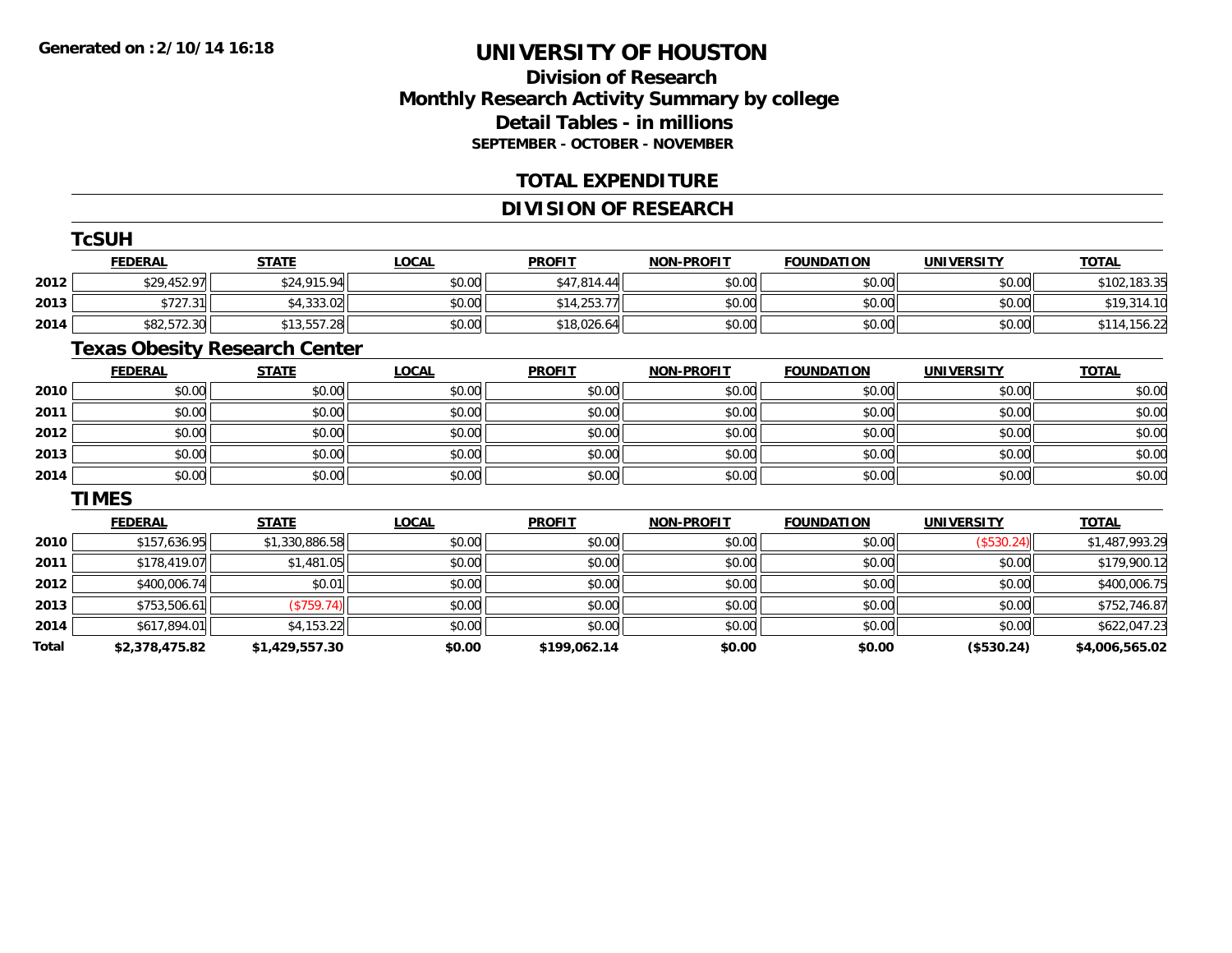## **Division of ResearchMonthly Research Activity Summary by college Detail Tables - in millions SEPTEMBER - OCTOBER - NOVEMBER**

### **TOTAL EXPENDITURE**

### **DIVISION OF RESEARCH**

|       | <b>TcSUH</b>   |                                      |              |               |                   |                   |                   |                |
|-------|----------------|--------------------------------------|--------------|---------------|-------------------|-------------------|-------------------|----------------|
|       | <b>FEDERAL</b> | <b>STATE</b>                         | <b>LOCAL</b> | <b>PROFIT</b> | <b>NON-PROFIT</b> | <b>FOUNDATION</b> | <b>UNIVERSITY</b> | <b>TOTAL</b>   |
| 2012  | \$29,452.97    | \$24,915.94                          | \$0.00       | \$47,814.44   | \$0.00            | \$0.00            | \$0.00            | \$102,183.35   |
| 2013  | \$727.31       | \$4,333.02                           | \$0.00       | \$14,253.77   | \$0.00            | \$0.00            | \$0.00            | \$19,314.10    |
| 2014  | \$82,572.30    | \$13,557.28                          | \$0.00       | \$18,026.64   | \$0.00            | \$0.00            | \$0.00            | \$114,156.22   |
|       |                | <b>Texas Obesity Research Center</b> |              |               |                   |                   |                   |                |
|       | <b>FEDERAL</b> | <b>STATE</b>                         | <b>LOCAL</b> | <b>PROFIT</b> | <b>NON-PROFIT</b> | <b>FOUNDATION</b> | <b>UNIVERSITY</b> | <b>TOTAL</b>   |
| 2010  | \$0.00         | \$0.00                               | \$0.00       | \$0.00        | \$0.00            | \$0.00            | \$0.00            | \$0.00         |
| 2011  | \$0.00         | \$0.00                               | \$0.00       | \$0.00        | \$0.00            | \$0.00            | \$0.00            | \$0.00         |
| 2012  | \$0.00         | \$0.00                               | \$0.00       | \$0.00        | \$0.00            | \$0.00            | \$0.00            | \$0.00         |
| 2013  | \$0.00         | \$0.00                               | \$0.00       | \$0.00        | \$0.00            | \$0.00            | \$0.00            | \$0.00         |
| 2014  | \$0.00         | \$0.00                               | \$0.00       | \$0.00        | \$0.00            | \$0.00            | \$0.00            | \$0.00         |
|       | <b>TIMES</b>   |                                      |              |               |                   |                   |                   |                |
|       | <b>FEDERAL</b> | <b>STATE</b>                         | <b>LOCAL</b> | <b>PROFIT</b> | <b>NON-PROFIT</b> | <b>FOUNDATION</b> | <b>UNIVERSITY</b> | <b>TOTAL</b>   |
| 2010  | \$157,636.95   | \$1,330,886.58                       | \$0.00       | \$0.00        | \$0.00            | \$0.00            | (\$530.24)        | \$1,487,993.29 |
| 2011  | \$178,419.07   | \$1,481.05                           | \$0.00       | \$0.00        | \$0.00            | \$0.00            | \$0.00            | \$179,900.12   |
| 2012  | \$400,006.74   | \$0.01                               | \$0.00       | \$0.00        | \$0.00            | \$0.00            | \$0.00            | \$400,006.75   |
| 2013  | \$753,506.61   | (\$759.74)                           | \$0.00       | \$0.00        | \$0.00            | \$0.00            | \$0.00            | \$752,746.87   |
| 2014  | \$617,894.01   | \$4,153.22                           | \$0.00       | \$0.00        | \$0.00            | \$0.00            | \$0.00            | \$622,047.23   |
| Total | \$2,378,475.82 | \$1,429,557.30                       | \$0.00       | \$199,062.14  | \$0.00            | \$0.00            | (\$530.24)        | \$4,006,565.02 |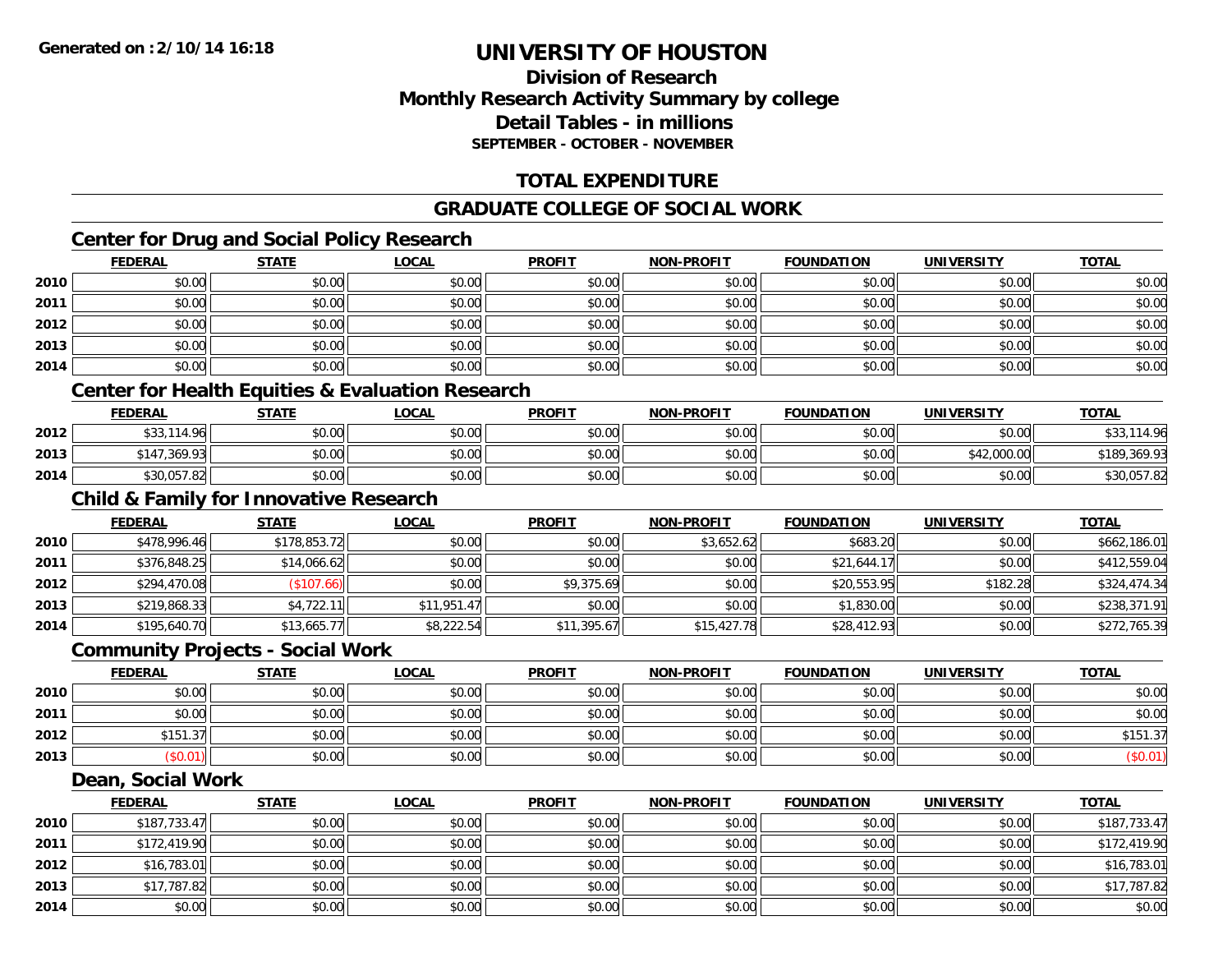### **Division of ResearchMonthly Research Activity Summary by college Detail Tables - in millionsSEPTEMBER - OCTOBER - NOVEMBER**

## **TOTAL EXPENDITURE**

### **GRADUATE COLLEGE OF SOCIAL WORK**

## **Center for Drug and Social Policy Research**

|      | <b>FEDERAL</b> | <b>STATE</b>                                      | <b>LOCAL</b>                                                | <b>PROFIT</b> | <b>NON-PROFIT</b> | <b>FOUNDATION</b> | <b>UNIVERSITY</b> | <b>TOTAL</b> |
|------|----------------|---------------------------------------------------|-------------------------------------------------------------|---------------|-------------------|-------------------|-------------------|--------------|
| 2010 | \$0.00         | \$0.00                                            | \$0.00                                                      | \$0.00        | \$0.00            | \$0.00            | \$0.00            | \$0.00       |
| 2011 | \$0.00         | \$0.00                                            | \$0.00                                                      | \$0.00        | \$0.00            | \$0.00            | \$0.00            | \$0.00       |
| 2012 | \$0.00         | \$0.00                                            | \$0.00                                                      | \$0.00        | \$0.00            | \$0.00            | \$0.00            | \$0.00       |
| 2013 | \$0.00         | \$0.00                                            | \$0.00                                                      | \$0.00        | \$0.00            | \$0.00            | \$0.00            | \$0.00       |
| 2014 | \$0.00         | \$0.00                                            | \$0.00                                                      | \$0.00        | \$0.00            | \$0.00            | \$0.00            | \$0.00       |
|      |                |                                                   | <b>Center for Health Equities &amp; Evaluation Research</b> |               |                   |                   |                   |              |
|      | <b>FEDERAL</b> | <b>STATE</b>                                      | <u>LOCAL</u>                                                | <b>PROFIT</b> | <b>NON-PROFIT</b> | <b>FOUNDATION</b> | <b>UNIVERSITY</b> | <b>TOTAL</b> |
| 2012 | \$33,114.96    | \$0.00                                            | \$0.00                                                      | \$0.00        | \$0.00            | \$0.00            | \$0.00            | \$33,114.96  |
| 2013 | \$147,369.93   | \$0.00                                            | \$0.00                                                      | \$0.00        | \$0.00            | \$0.00            | \$42,000.00       | \$189,369.93 |
| 2014 | \$30,057.82    | \$0.00                                            | \$0.00                                                      | \$0.00        | \$0.00            | \$0.00            | \$0.00            | \$30,057.82  |
|      |                | <b>Child &amp; Family for Innovative Research</b> |                                                             |               |                   |                   |                   |              |
|      | <b>FEDERAL</b> | <b>STATE</b>                                      | <b>LOCAL</b>                                                | <b>PROFIT</b> | <b>NON-PROFIT</b> | <b>FOUNDATION</b> | <b>UNIVERSITY</b> | <b>TOTAL</b> |
| 2010 | \$478,996.46   | \$178,853.72                                      | \$0.00                                                      | \$0.00        | \$3,652.62        | \$683.20          | \$0.00            | \$662,186.01 |
| 2011 | \$376,848.25   | \$14,066.62                                       | \$0.00                                                      | \$0.00        | \$0.00            | \$21,644.17       | \$0.00            | \$412,559.04 |
| 2012 | \$294,470.08   | (\$107.66)                                        | \$0.00                                                      | \$9,375.69    | \$0.00            | \$20,553.95       | \$182.28          | \$324,474.34 |

## **Community Projects - Social Work**

|      | <b>FEDERAL</b>            | <b>STATE</b> | <u>LOCAL</u> | <b>PROFIT</b> | <b>NON-PROFIT</b> | <b>FOUNDATION</b> | <b>UNIVERSITY</b> | <b>TOTAL</b> |
|------|---------------------------|--------------|--------------|---------------|-------------------|-------------------|-------------------|--------------|
| 2010 | \$0.00                    | \$0.00       | \$0.00       | \$0.00        | \$0.00            | \$0.00            | \$0.00            | \$0.00       |
| 2011 | \$0.00                    | \$0.00       | \$0.00       | \$0.00        | \$0.00            | \$0.00            | \$0.00            | \$0.00       |
| 2012 | $0.454$ $0.7$<br>ا/3.151ھ | \$0.00       | \$0.00       | \$0.00        | \$0.00            | \$0.00            | \$0.00            | \$151.37     |
| 2013 | \$0.01)                   | \$0.00       | \$0.00       | \$0.00        | \$0.00            | \$0.00            | \$0.00            | (\$0.01)     |

**3** \$219,868.33 \$4,722.11 \$4,722.11 \$11,951.47 \$0.00 \$0.00 \$0.00 \$0.00 \$1,830.00 \$0.00 \$0.00 \$238,371.91

4 \$195,640.70|| \$13,665.77|| \$8,222.54|| \$11,395.67|| \$15,427.78|| \$28,412.93|| \$0.00|| \$272,765.39

#### **Dean, Social Work**

**2013**

**2014**

|      | <b>FEDERAL</b> | <b>STATE</b> | <b>LOCAL</b> | <b>PROFIT</b> | <b>NON-PROFIT</b> | <b>FOUNDATION</b> | <b>UNIVERSITY</b> | <b>TOTAL</b> |
|------|----------------|--------------|--------------|---------------|-------------------|-------------------|-------------------|--------------|
| 2010 | \$187,733.47   | \$0.00       | \$0.00       | \$0.00        | \$0.00            | \$0.00            | \$0.00            | \$187,733.47 |
| 2011 | \$172,419.90   | \$0.00       | \$0.00       | \$0.00        | \$0.00            | \$0.00            | \$0.00            | \$172,419.90 |
| 2012 | \$16,783.01    | \$0.00       | \$0.00       | \$0.00        | \$0.00            | \$0.00            | \$0.00            | \$16,783.01  |
| 2013 | \$17,787.82    | \$0.00       | \$0.00       | \$0.00        | \$0.00            | \$0.00            | \$0.00            | \$17,787.82  |
| 2014 | \$0.00         | \$0.00       | \$0.00       | \$0.00        | \$0.00            | \$0.00            | \$0.00            | \$0.00       |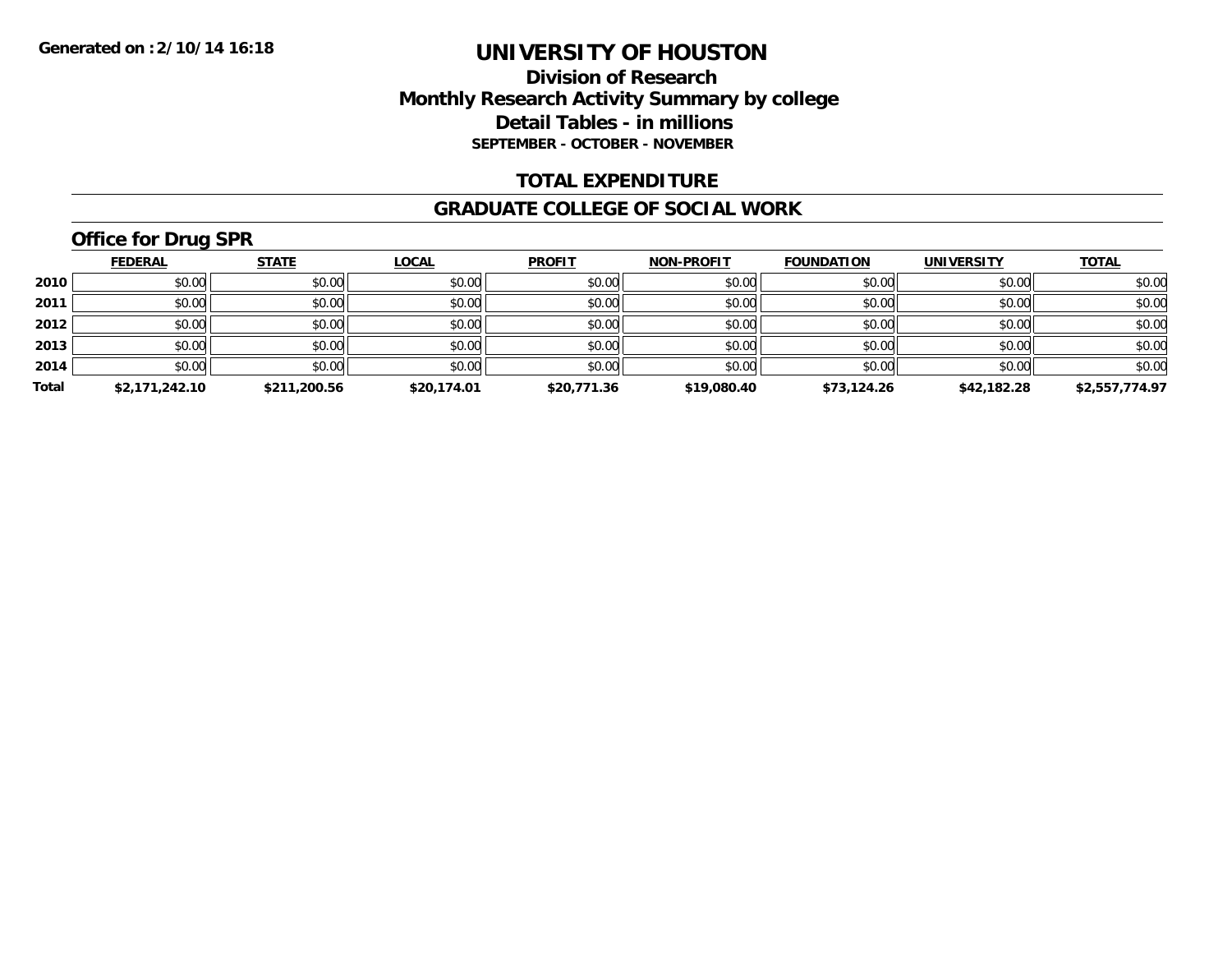### **Division of Research Monthly Research Activity Summary by college Detail Tables - in millions SEPTEMBER - OCTOBER - NOVEMBER**

### **TOTAL EXPENDITURE**

#### **GRADUATE COLLEGE OF SOCIAL WORK**

## **Office for Drug SPR**

|       | <b>FEDERAL</b> | <b>STATE</b> | <b>LOCAL</b> | <b>PROFIT</b> | <b>NON-PROFIT</b> | <b>FOUNDATION</b> | <b>UNIVERSITY</b> | <b>TOTAL</b>   |
|-------|----------------|--------------|--------------|---------------|-------------------|-------------------|-------------------|----------------|
| 2010  | \$0.00         | \$0.00       | \$0.00       | \$0.00        | \$0.00            | \$0.00            | \$0.00            | \$0.00         |
| 2011  | \$0.00         | \$0.00       | \$0.00       | \$0.00        | \$0.00            | \$0.00            | \$0.00            | \$0.00         |
| 2012  | \$0.00         | \$0.00       | \$0.00       | \$0.00        | \$0.00            | \$0.00            | \$0.00            | \$0.00         |
| 2013  | \$0.00         | \$0.00       | \$0.00       | \$0.00        | \$0.00            | \$0.00            | \$0.00            | \$0.00         |
| 2014  | \$0.00         | \$0.00       | \$0.00       | \$0.00        | \$0.00            | \$0.00            | \$0.00            | \$0.00         |
| Total | \$2,171,242.10 | \$211,200.56 | \$20,174.01  | \$20,771.36   | \$19,080.40       | \$73,124.26       | \$42,182.28       | \$2,557,774.97 |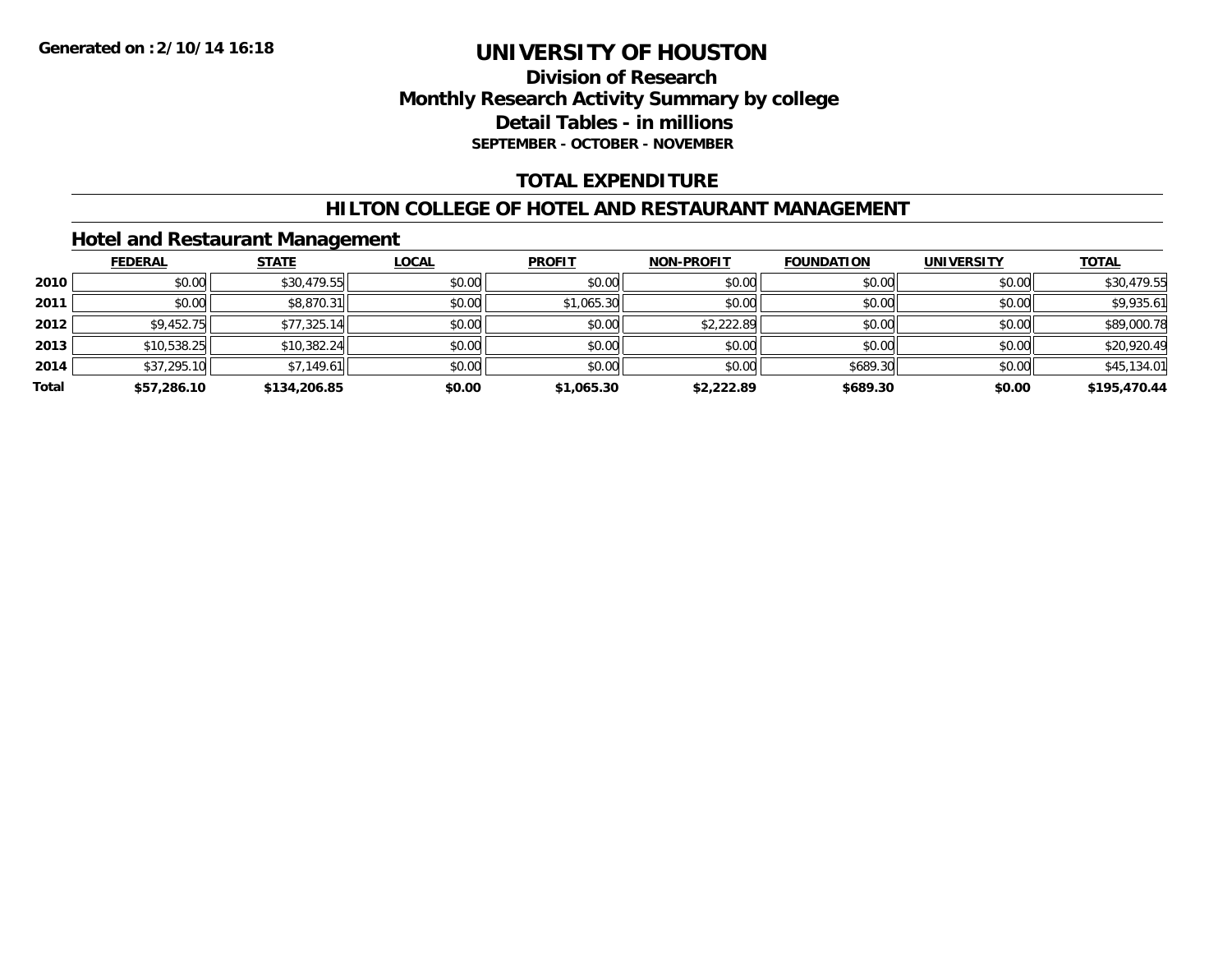### **Division of Research Monthly Research Activity Summary by college Detail Tables - in millions SEPTEMBER - OCTOBER - NOVEMBER**

### **TOTAL EXPENDITURE**

#### **HILTON COLLEGE OF HOTEL AND RESTAURANT MANAGEMENT**

### **Hotel and Restaurant Management**

|       | <b>FEDERAL</b> | <b>STATE</b> | <b>LOCAL</b> | <b>PROFIT</b> | <b>NON-PROFIT</b> | <b>FOUNDATION</b> | <b>UNIVERSITY</b> | <b>TOTAL</b> |
|-------|----------------|--------------|--------------|---------------|-------------------|-------------------|-------------------|--------------|
| 2010  | \$0.00         | \$30,479.55  | \$0.00       | \$0.00        | \$0.00            | \$0.00            | \$0.00            | \$30,479.55  |
| 2011  | \$0.00         | \$8,870.31   | \$0.00       | \$1,065.30    | \$0.00            | \$0.00            | \$0.00            | \$9,935.61   |
| 2012  | \$9,452.75     | \$77,325.14  | \$0.00       | \$0.00        | \$2,222.89        | \$0.00            | \$0.00            | \$89,000.78  |
| 2013  | \$10,538.25    | \$10,382.24  | \$0.00       | \$0.00        | \$0.00            | \$0.00            | \$0.00            | \$20,920.49  |
| 2014  | \$37,295.10    | \$7,149.61   | \$0.00       | \$0.00        | \$0.00            | \$689.30          | \$0.00            | \$45,134.01  |
| Total | \$57,286.10    | \$134,206.85 | \$0.00       | \$1,065.30    | \$2,222.89        | \$689.30          | \$0.00            | \$195,470.44 |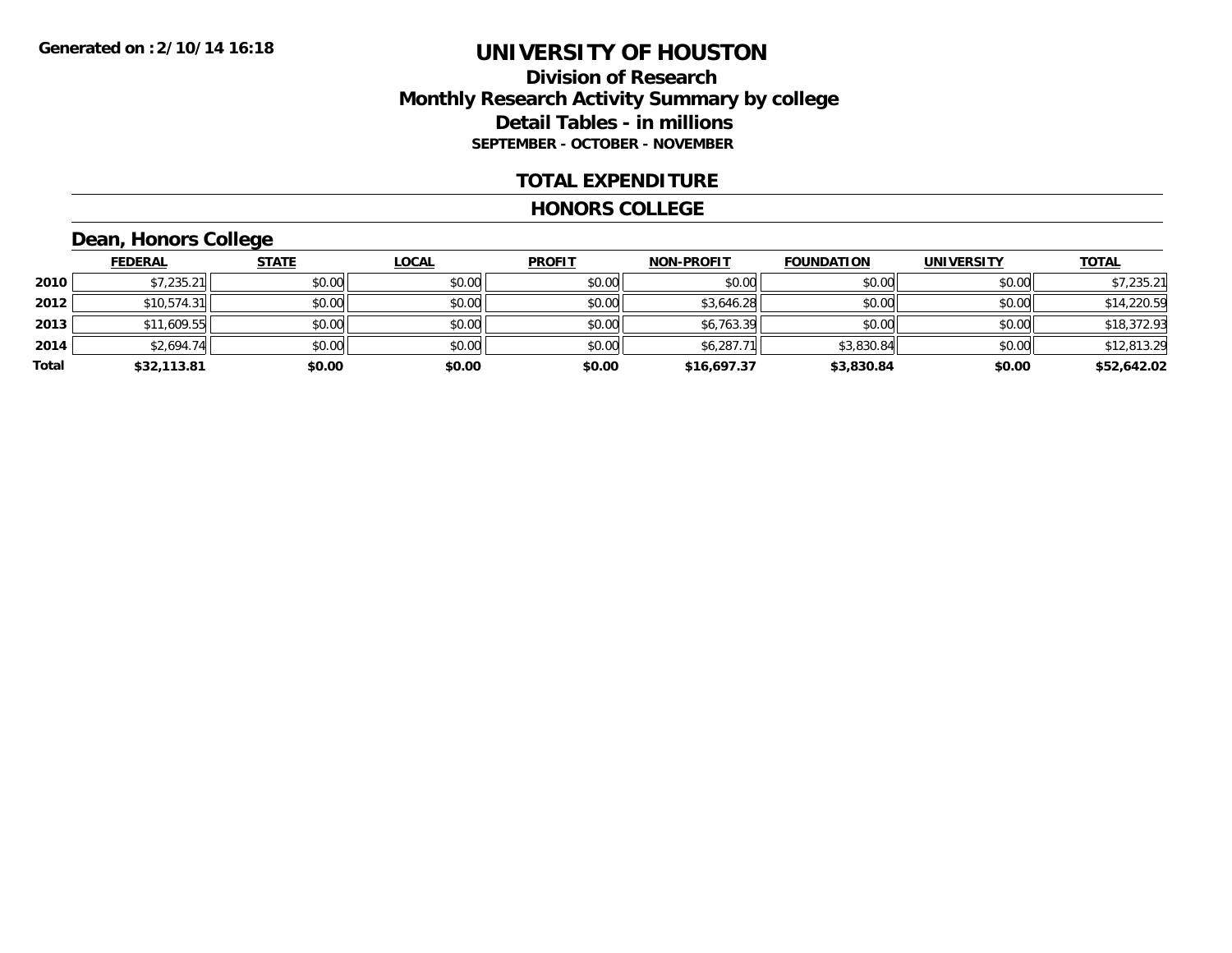### **Division of Research Monthly Research Activity Summary by college Detail Tables - in millions SEPTEMBER - OCTOBER - NOVEMBER**

#### **TOTAL EXPENDITURE**

#### **HONORS COLLEGE**

## **Dean, Honors College**

|       | <b>FEDERAL</b> | <b>STATE</b> | <b>LOCAL</b> | <b>PROFIT</b> | <b>NON-PROFIT</b> | <b>FOUNDATION</b> | <b>UNIVERSITY</b> | <b>TOTAL</b> |
|-------|----------------|--------------|--------------|---------------|-------------------|-------------------|-------------------|--------------|
| 2010  | \$7,235.21     | \$0.00       | \$0.00       | \$0.00        | \$0.00            | \$0.00            | \$0.00            | \$7,235.21   |
| 2012  | \$10,574.31    | \$0.00       | \$0.00       | \$0.00        | \$3,646.28        | \$0.00            | \$0.00            | \$14,220.59  |
| 2013  | \$11,609.55    | \$0.00       | \$0.00       | \$0.00        | \$6,763.39        | \$0.00            | \$0.00            | \$18,372.93  |
| 2014  | \$2,694.74     | \$0.00       | \$0.00       | \$0.00        | \$6,287.          | \$3,830.84        | \$0.00            | \$12,813.29  |
| Total | \$32,113.81    | \$0.00       | \$0.00       | \$0.00        | \$16,697.37       | \$3,830.84        | \$0.00            | \$52,642.02  |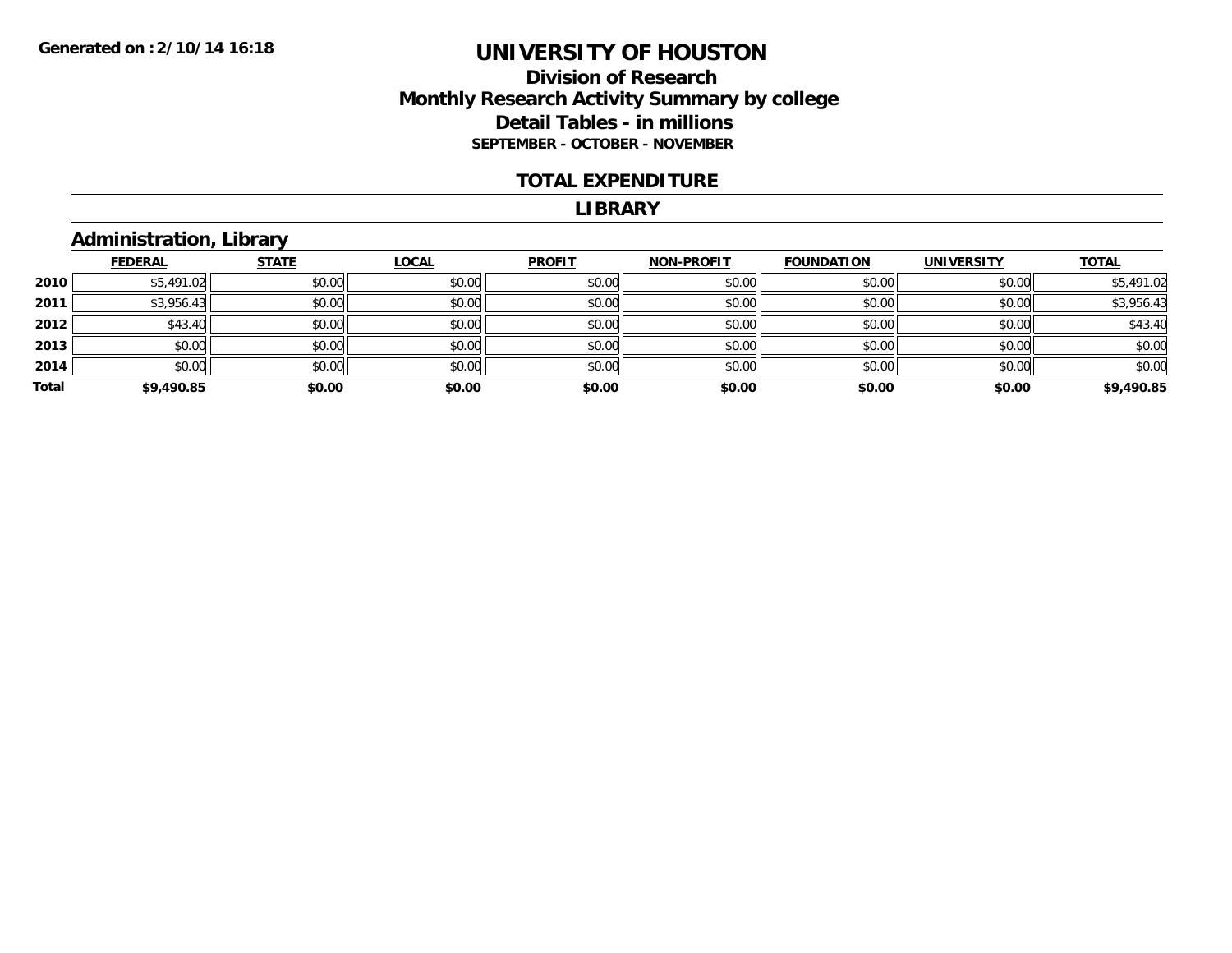### **Division of Research Monthly Research Activity Summary by college Detail Tables - in millions SEPTEMBER - OCTOBER - NOVEMBER**

#### **TOTAL EXPENDITURE**

#### **LIBRARY**

## **Administration, Library**

|       |                | __           |              |               |                   |                   |                   |              |
|-------|----------------|--------------|--------------|---------------|-------------------|-------------------|-------------------|--------------|
|       | <b>FEDERAL</b> | <b>STATE</b> | <b>LOCAL</b> | <b>PROFIT</b> | <b>NON-PROFIT</b> | <b>FOUNDATION</b> | <b>UNIVERSITY</b> | <b>TOTAL</b> |
| 2010  | \$5,491.02     | \$0.00       | \$0.00       | \$0.00        | \$0.00            | \$0.00            | \$0.00            | \$5,491.02   |
| 2011  | \$3,956.43     | \$0.00       | \$0.00       | \$0.00        | \$0.00            | \$0.00            | \$0.00            | \$3,956.43   |
| 2012  | \$43.40        | \$0.00       | \$0.00       | \$0.00        | \$0.00            | \$0.00            | \$0.00            | \$43.40      |
| 2013  | \$0.00         | \$0.00       | \$0.00       | \$0.00        | \$0.00            | \$0.00            | \$0.00            | \$0.00       |
| 2014  | \$0.00         | \$0.00       | \$0.00       | \$0.00        | \$0.00            | \$0.00            | \$0.00            | \$0.00       |
| Total | \$9,490.85     | \$0.00       | \$0.00       | \$0.00        | \$0.00            | \$0.00            | \$0.00            | \$9,490.85   |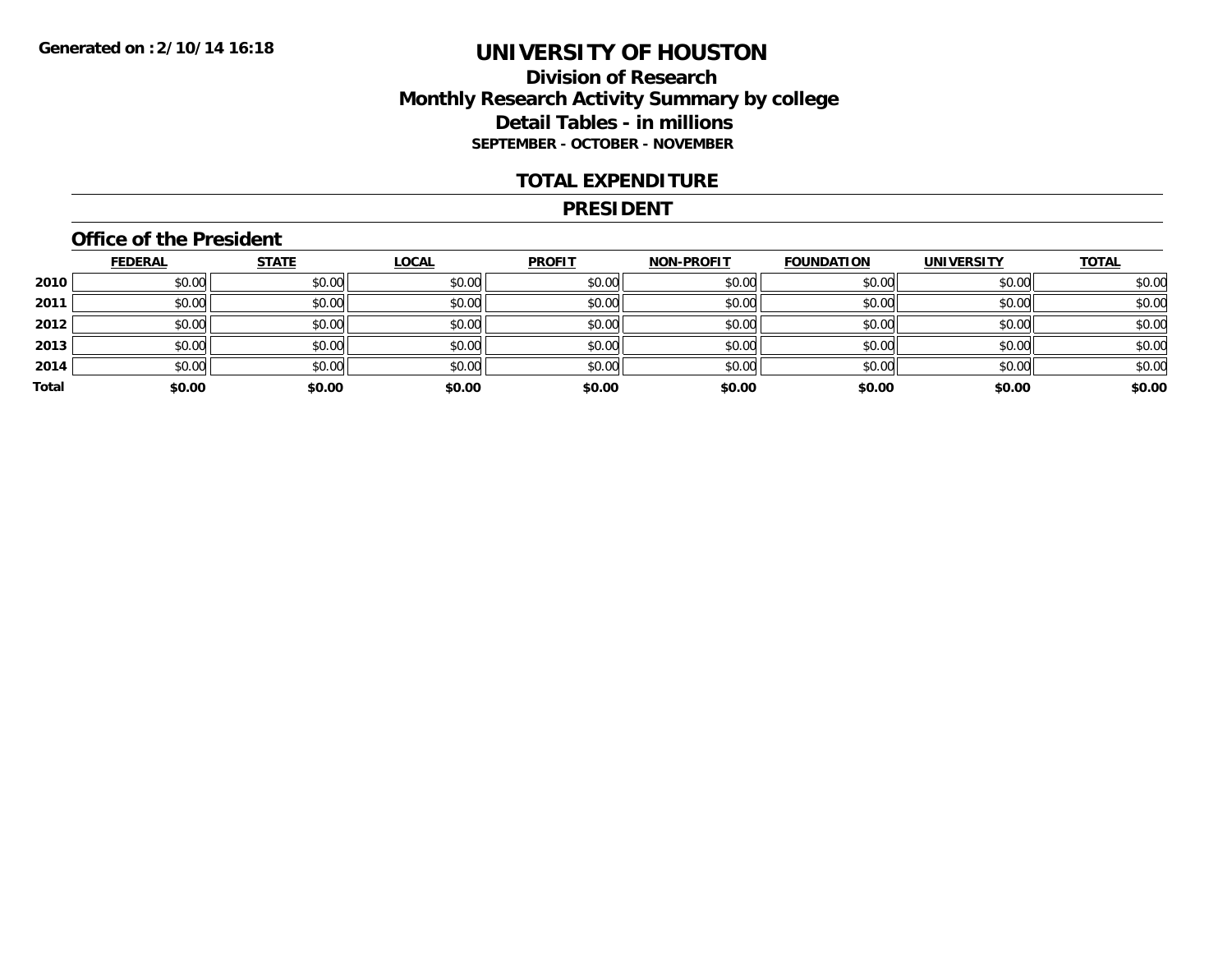### **Division of Research Monthly Research Activity Summary by college Detail Tables - in millions SEPTEMBER - OCTOBER - NOVEMBER**

#### **TOTAL EXPENDITURE**

#### **PRESIDENT**

### **Office of the President**

|       | <b>FEDERAL</b> | <b>STATE</b> | <b>LOCAL</b> | <b>PROFIT</b> | <b>NON-PROFIT</b> | <b>FOUNDATION</b> | <b>UNIVERSITY</b> | <b>TOTAL</b> |
|-------|----------------|--------------|--------------|---------------|-------------------|-------------------|-------------------|--------------|
| 2010  | \$0.00         | \$0.00       | \$0.00       | \$0.00        | \$0.00            | \$0.00            | \$0.00            | \$0.00       |
| 2011  | \$0.00         | \$0.00       | \$0.00       | \$0.00        | \$0.00            | \$0.00            | \$0.00            | \$0.00       |
| 2012  | \$0.00         | \$0.00       | \$0.00       | \$0.00        | \$0.00            | \$0.00            | \$0.00            | \$0.00       |
| 2013  | \$0.00         | \$0.00       | \$0.00       | \$0.00        | \$0.00            | \$0.00            | \$0.00            | \$0.00       |
| 2014  | \$0.00         | \$0.00       | \$0.00       | \$0.00        | \$0.00            | \$0.00            | \$0.00            | \$0.00       |
| Total | \$0.00         | \$0.00       | \$0.00       | \$0.00        | \$0.00            | \$0.00            | \$0.00            | \$0.00       |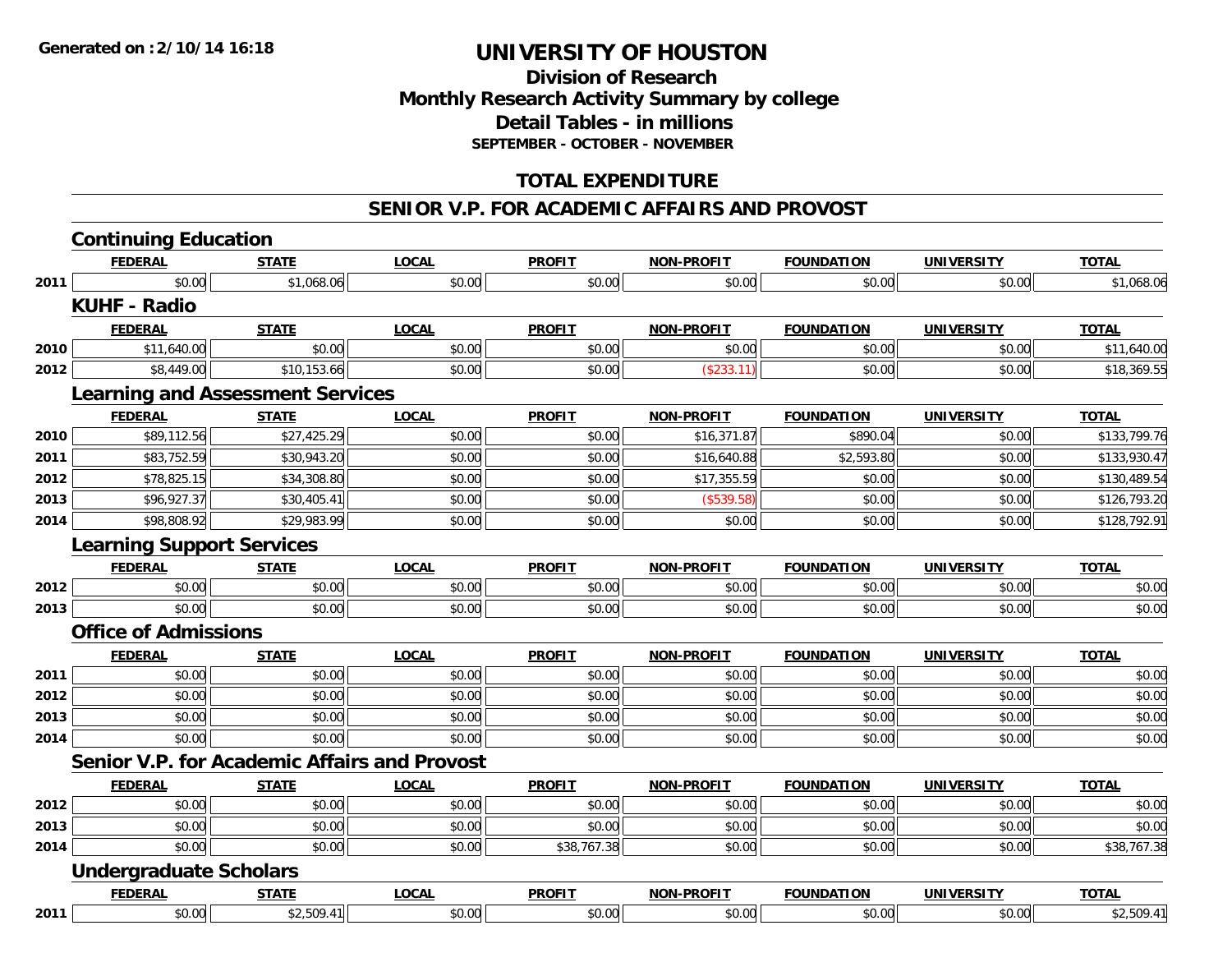### **Division of Research Monthly Research Activity Summary by college Detail Tables - in millions SEPTEMBER - OCTOBER - NOVEMBER**

### **TOTAL EXPENDITURE**

#### **SENIOR V.P. FOR ACADEMIC AFFAIRS AND PROVOST**

|      | <b>Continuing Education</b>             |              |                                                     |               |                   |                   |                   |              |
|------|-----------------------------------------|--------------|-----------------------------------------------------|---------------|-------------------|-------------------|-------------------|--------------|
|      | <b>FEDERAL</b>                          | <b>STATE</b> | <b>LOCAL</b>                                        | <b>PROFIT</b> | <b>NON-PROFIT</b> | <b>FOUNDATION</b> | <b>UNIVERSITY</b> | <b>TOTAL</b> |
| 2011 | \$0.00                                  | \$1,068.06   | \$0.00                                              | \$0.00        | \$0.00            | \$0.00            | \$0.00            | \$1,068.06   |
|      | <b>KUHF - Radio</b>                     |              |                                                     |               |                   |                   |                   |              |
|      | <b>FEDERAL</b>                          | <b>STATE</b> | <b>LOCAL</b>                                        | <b>PROFIT</b> | <b>NON-PROFIT</b> | <b>FOUNDATION</b> | <b>UNIVERSITY</b> | <b>TOTAL</b> |
| 2010 | \$11,640.00                             | \$0.00       | \$0.00                                              | \$0.00        | \$0.00            | \$0.00            | \$0.00            | \$11,640.00  |
| 2012 | \$8,449.00                              | \$10,153.66  | \$0.00                                              | \$0.00        | (\$233.11)        | \$0.00            | \$0.00            | \$18,369.55  |
|      | <b>Learning and Assessment Services</b> |              |                                                     |               |                   |                   |                   |              |
|      | <b>FEDERAL</b>                          | <b>STATE</b> | <b>LOCAL</b>                                        | <b>PROFIT</b> | <b>NON-PROFIT</b> | <b>FOUNDATION</b> | <b>UNIVERSITY</b> | <b>TOTAL</b> |
| 2010 | \$89,112.56                             | \$27,425.29  | \$0.00                                              | \$0.00        | \$16,371.87       | \$890.04          | \$0.00            | \$133,799.76 |
| 2011 | \$83,752.59                             | \$30,943.20  | \$0.00                                              | \$0.00        | \$16,640.88       | \$2,593.80        | \$0.00            | \$133,930.47 |
| 2012 | \$78,825.15                             | \$34,308.80  | \$0.00                                              | \$0.00        | \$17,355.59       | \$0.00            | \$0.00            | \$130,489.54 |
| 2013 | \$96,927.37                             | \$30,405.41  | \$0.00                                              | \$0.00        | (\$539.58)        | \$0.00            | \$0.00            | \$126,793.20 |
| 2014 | \$98,808.92                             | \$29,983.99  | \$0.00                                              | \$0.00        | \$0.00            | \$0.00            | \$0.00            | \$128,792.91 |
|      | <b>Learning Support Services</b>        |              |                                                     |               |                   |                   |                   |              |
|      | <b>FEDERAL</b>                          | <b>STATE</b> | <b>LOCAL</b>                                        | <b>PROFIT</b> | <b>NON-PROFIT</b> | <b>FOUNDATION</b> | <b>UNIVERSITY</b> | <b>TOTAL</b> |
| 2012 | \$0.00                                  | \$0.00       | \$0.00                                              | \$0.00        | \$0.00            | \$0.00            | \$0.00            | \$0.00       |
| 2013 | \$0.00                                  | \$0.00       | \$0.00                                              | \$0.00        | \$0.00            | \$0.00            | \$0.00            | \$0.00       |
|      | <b>Office of Admissions</b>             |              |                                                     |               |                   |                   |                   |              |
|      | <b>FEDERAL</b>                          | <b>STATE</b> | <b>LOCAL</b>                                        | <b>PROFIT</b> | <b>NON-PROFIT</b> | <b>FOUNDATION</b> | <b>UNIVERSITY</b> | <b>TOTAL</b> |
| 2011 | \$0.00                                  | \$0.00       | \$0.00                                              | \$0.00        | \$0.00            | \$0.00            | \$0.00            | \$0.00       |
| 2012 | \$0.00                                  | \$0.00       | \$0.00                                              | \$0.00        | \$0.00            | \$0.00            | \$0.00            | \$0.00       |
| 2013 | \$0.00                                  | \$0.00       | \$0.00                                              | \$0.00        | \$0.00            | \$0.00            | \$0.00            | \$0.00       |
| 2014 | \$0.00                                  | \$0.00       | \$0.00                                              | \$0.00        | \$0.00            | \$0.00            | \$0.00            | \$0.00       |
|      |                                         |              | <b>Senior V.P. for Academic Affairs and Provost</b> |               |                   |                   |                   |              |
|      | <b>FEDERAL</b>                          | <b>STATE</b> | <b>LOCAL</b>                                        | <b>PROFIT</b> | <b>NON-PROFIT</b> | <b>FOUNDATION</b> | <b>UNIVERSITY</b> | <b>TOTAL</b> |
| 2012 | \$0.00                                  | \$0.00       | \$0.00                                              | \$0.00        | \$0.00            | \$0.00            | \$0.00            | \$0.00       |
| 2013 | \$0.00                                  | \$0.00       | \$0.00                                              | \$0.00        | \$0.00            | \$0.00            | \$0.00            | \$0.00       |
| 2014 | \$0.00                                  | \$0.00       | \$0.00                                              | \$38,767.38   | \$0.00            | \$0.00            | \$0.00            | \$38,767.38  |
|      | <b>Undergraduate Scholars</b>           |              |                                                     |               |                   |                   |                   |              |
|      | <b>FEDERAL</b>                          | <b>STATE</b> | <b>LOCAL</b>                                        | <b>PROFIT</b> | <b>NON-PROFIT</b> | <b>FOUNDATION</b> | <b>UNIVERSITY</b> | <b>TOTAL</b> |
| 2011 | \$0.00                                  | \$2,509.41   | \$0.00                                              | \$0.00        | \$0.00            | \$0.00            | \$0.00            | \$2,509.41   |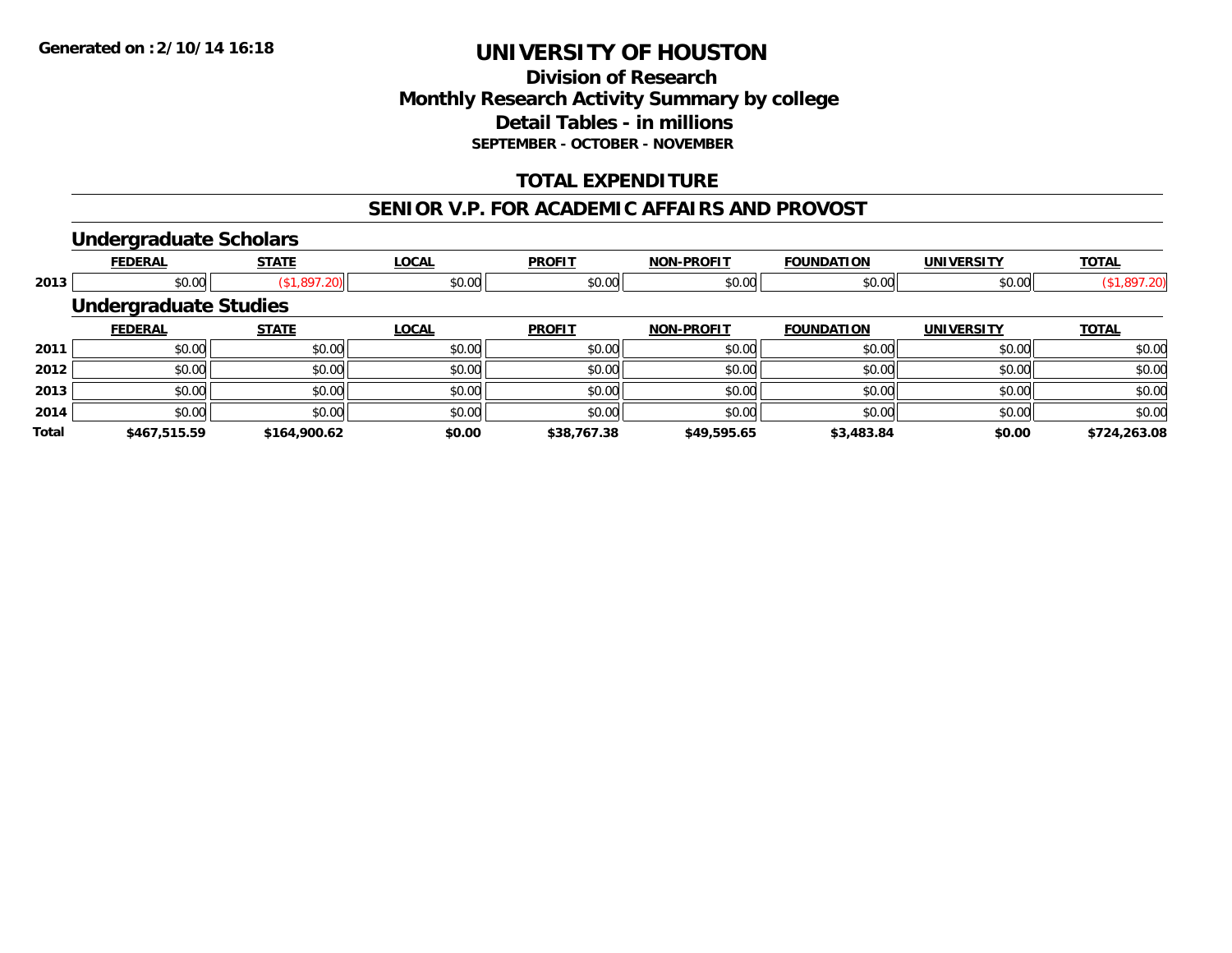### **Division of Research Monthly Research Activity Summary by college Detail Tables - in millions SEPTEMBER - OCTOBER - NOVEMBER**

### **TOTAL EXPENDITURE**

#### **SENIOR V.P. FOR ACADEMIC AFFAIRS AND PROVOST**

#### **Undergraduate Scholars**

|              | <b>FEDERAL</b>               | <b>STATE</b> | <b>LOCAL</b> | <b>PROFIT</b> | <b>NON-PROFIT</b> | <b>FOUNDATION</b> | <b>UNIVERSITY</b> | <b>TOTAL</b> |
|--------------|------------------------------|--------------|--------------|---------------|-------------------|-------------------|-------------------|--------------|
| 2013         | \$0.00                       | (\$1,897.20) | \$0.00       | \$0.00        | \$0.00            | \$0.00            | \$0.00            | (\$1,897.20) |
|              | <b>Undergraduate Studies</b> |              |              |               |                   |                   |                   |              |
|              | <b>FEDERAL</b>               | <b>STATE</b> | <b>LOCAL</b> | <b>PROFIT</b> | <b>NON-PROFIT</b> | <b>FOUNDATION</b> | <b>UNIVERSITY</b> | <b>TOTAL</b> |
| 2011         | \$0.00                       | \$0.00       | \$0.00       | \$0.00        | \$0.00            | \$0.00            | \$0.00            | \$0.00       |
| 2012         | \$0.00                       | \$0.00       | \$0.00       | \$0.00        | \$0.00            | \$0.00            | \$0.00            | \$0.00       |
| 2013         | \$0.00                       | \$0.00       | \$0.00       | \$0.00        | \$0.00            | \$0.00            | \$0.00            | \$0.00       |
| 2014         | \$0.00                       | \$0.00       | \$0.00       | \$0.00        | \$0.00            | \$0.00            | \$0.00            | \$0.00       |
| <b>Total</b> | \$467,515.59                 | \$164,900.62 | \$0.00       | \$38,767.38   | \$49,595.65       | \$3,483.84        | \$0.00            | \$724,263.08 |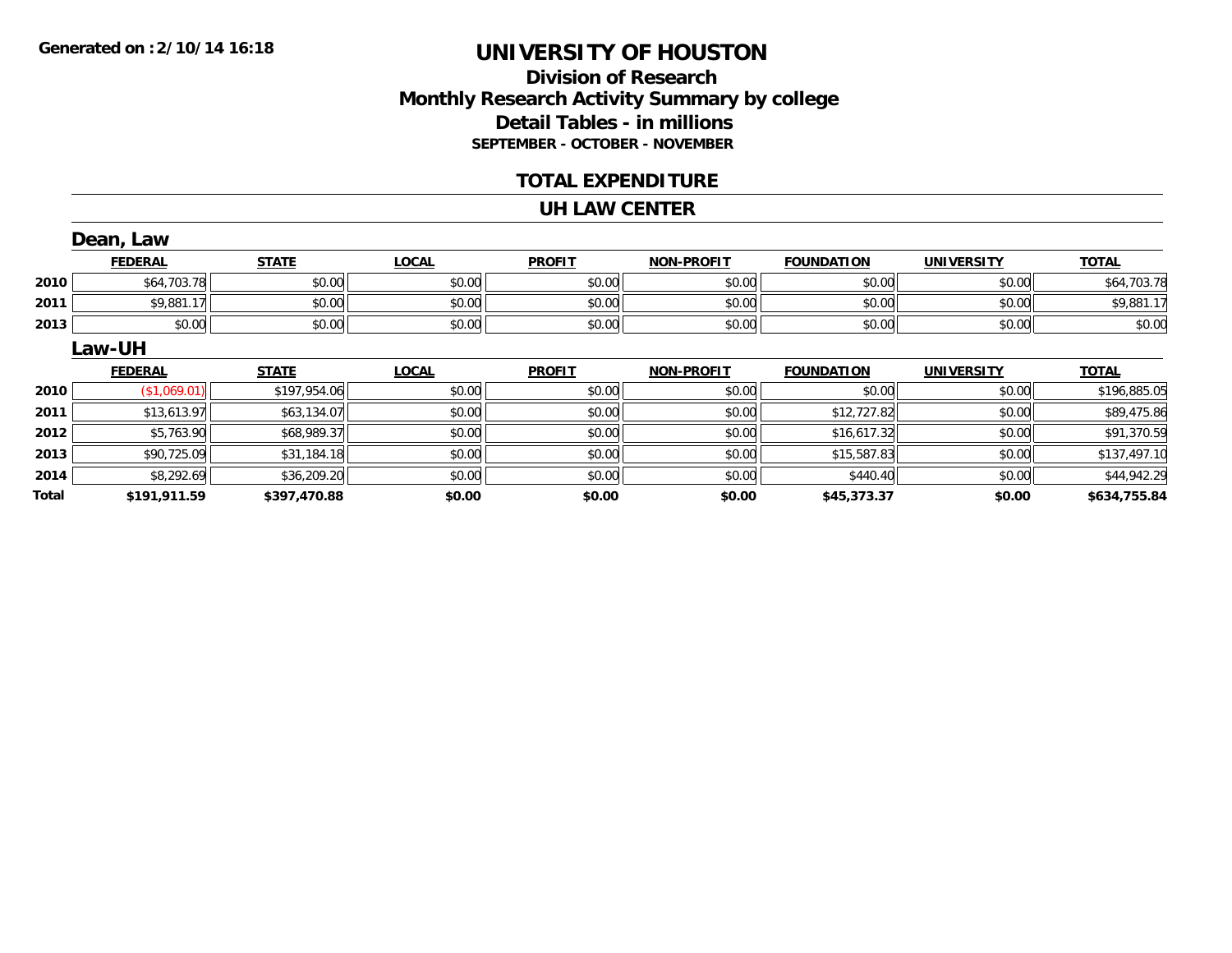## **Division of ResearchMonthly Research Activity Summary by college Detail Tables - in millions SEPTEMBER - OCTOBER - NOVEMBER**

### **TOTAL EXPENDITURE**

#### **UH LAW CENTER**

|       | Dean, Law      |              |              |               |                   |                   |                   |              |
|-------|----------------|--------------|--------------|---------------|-------------------|-------------------|-------------------|--------------|
|       | <b>FEDERAL</b> | <b>STATE</b> | <b>LOCAL</b> | <b>PROFIT</b> | <b>NON-PROFIT</b> | <b>FOUNDATION</b> | <b>UNIVERSITY</b> | <b>TOTAL</b> |
| 2010  | \$64,703.78    | \$0.00       | \$0.00       | \$0.00        | \$0.00            | \$0.00            | \$0.00            | \$64,703.78  |
| 2011  | \$9,881.17     | \$0.00       | \$0.00       | \$0.00        | \$0.00            | \$0.00            | \$0.00            | \$9,881.17   |
| 2013  | \$0.00         | \$0.00       | \$0.00       | \$0.00        | \$0.00            | \$0.00            | \$0.00            | \$0.00       |
|       | Law-UH         |              |              |               |                   |                   |                   |              |
|       | <b>FEDERAL</b> | <b>STATE</b> | <b>LOCAL</b> | <b>PROFIT</b> | <b>NON-PROFIT</b> | <b>FOUNDATION</b> | <b>UNIVERSITY</b> | <b>TOTAL</b> |
| 2010  | (\$1,069.01)   | \$197,954.06 | \$0.00       | \$0.00        | \$0.00            | \$0.00            | \$0.00            | \$196,885.05 |
| 2011  | \$13,613.97    | \$63,134.07  | \$0.00       | \$0.00        | \$0.00            | \$12,727.82       | \$0.00            | \$89,475.86  |
| 2012  | \$5,763.90     | \$68,989.37  | \$0.00       | \$0.00        | \$0.00            | \$16,617.32       | \$0.00            | \$91,370.59  |
| 2013  | \$90,725.09    | \$31,184.18  | \$0.00       | \$0.00        | \$0.00            | \$15,587.83       | \$0.00            | \$137,497.10 |
| 2014  | \$8,292.69     | \$36,209.20  | \$0.00       | \$0.00        | \$0.00            | \$440.40          | \$0.00            | \$44,942.29  |
| Total | \$191,911.59   | \$397,470.88 | \$0.00       | \$0.00        | \$0.00            | \$45,373.37       | \$0.00            | \$634,755.84 |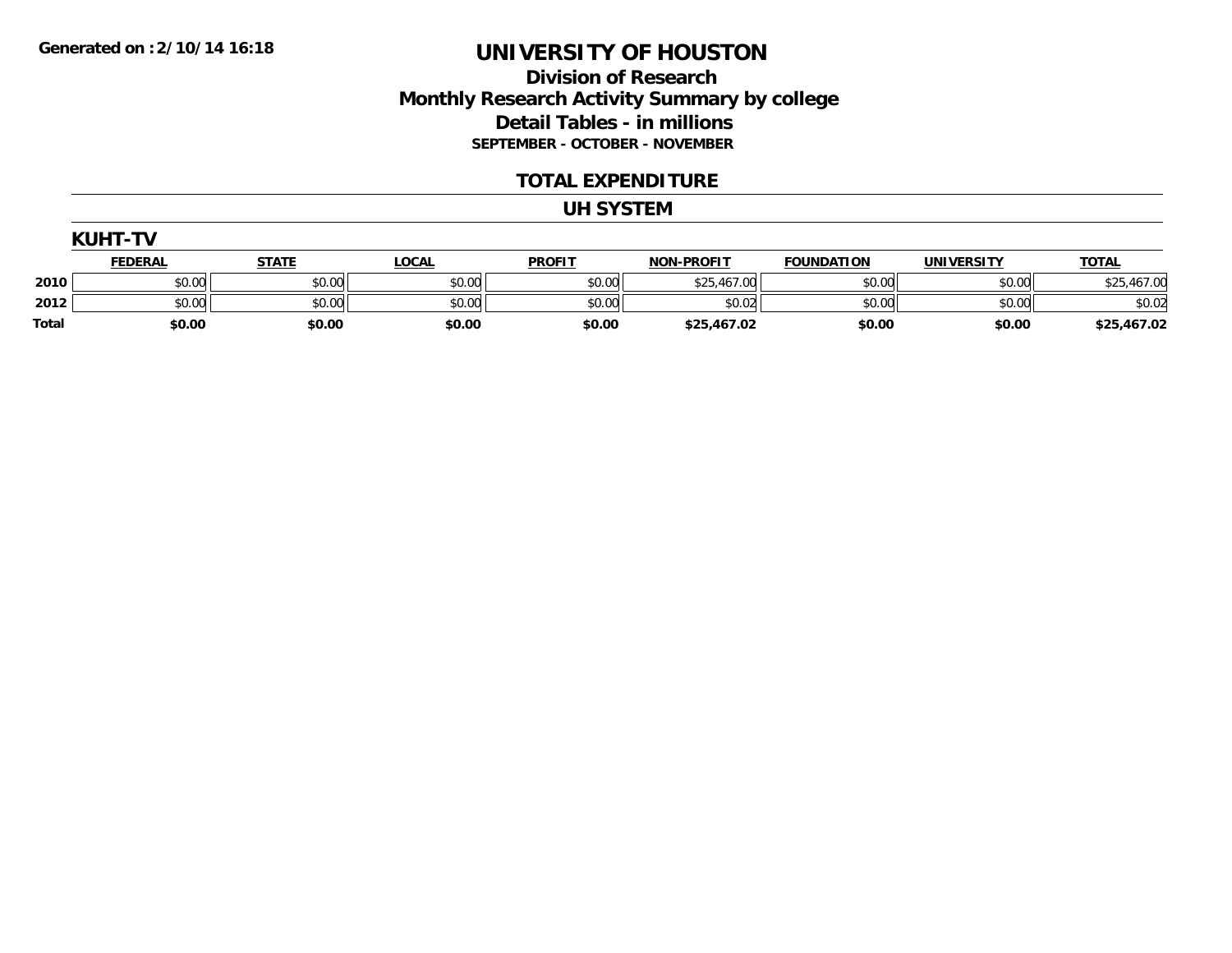### **Division of Research Monthly Research Activity Summary by college Detail Tables - in millions SEPTEMBER - OCTOBER - NOVEMBER**

#### **TOTAL EXPENDITURE**

#### **UH SYSTEM**

|              | <b>KUHT-TV</b> |              |              |               |                   |                   |                   |              |
|--------------|----------------|--------------|--------------|---------------|-------------------|-------------------|-------------------|--------------|
|              | <u>FEDERAL</u> | <b>STATE</b> | <u>LOCAL</u> | <b>PROFIT</b> | <b>NON-PROFIT</b> | <b>FOUNDATION</b> | <b>UNIVERSITY</b> | <b>TOTAL</b> |
| 2010         | \$0.00         | \$0.00       | \$0.00       | \$0.00        | \$25,467.00       | \$0.00            | \$0.00            | \$25,467.00  |
| 2012         | \$0.00         | \$0.00       | \$0.00       | \$0.00        | \$0.02            | \$0.00            | \$0.00            | \$0.02       |
| <b>Total</b> | \$0.00         | \$0.00       | \$0.00       | \$0.00        | \$25,467.02       | \$0.00            | \$0.00            | \$25,467.02  |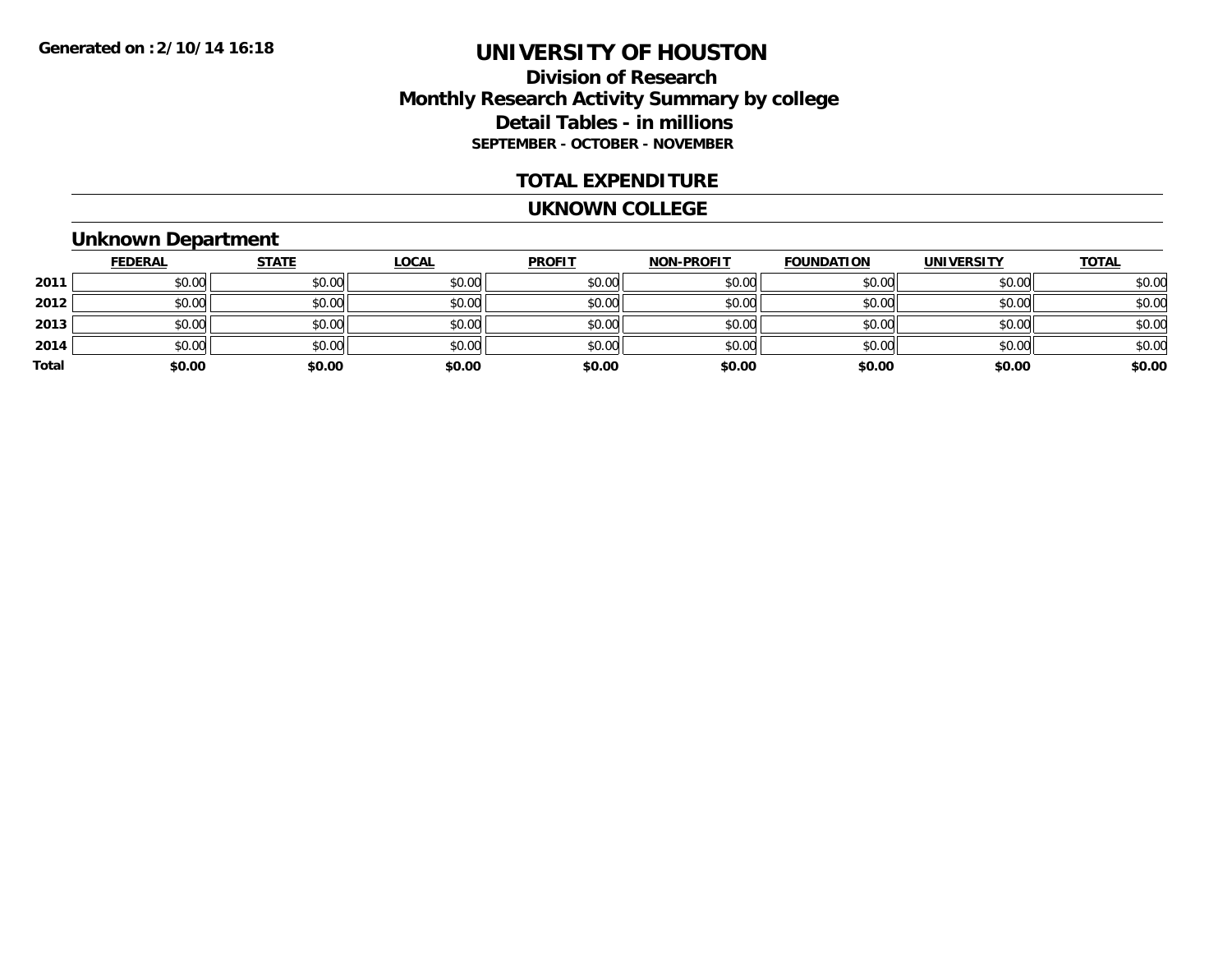### **Division of Research Monthly Research Activity Summary by college Detail Tables - in millions SEPTEMBER - OCTOBER - NOVEMBER**

#### **TOTAL EXPENDITURE**

#### **UKNOWN COLLEGE**

### **Unknown Department**

|       | <u>FEDERAL</u> | <b>STATE</b> | <b>LOCAL</b> | <b>PROFIT</b> | <b>NON-PROFIT</b> | <b>FOUNDATION</b> | <b>UNIVERSITY</b> | <b>TOTAL</b> |
|-------|----------------|--------------|--------------|---------------|-------------------|-------------------|-------------------|--------------|
| 2011  | \$0.00         | \$0.00       | \$0.00       | \$0.00        | \$0.00            | \$0.00            | \$0.00            | \$0.00       |
| 2012  | \$0.00         | \$0.00       | \$0.00       | \$0.00        | \$0.00            | \$0.00            | \$0.00            | \$0.00       |
| 2013  | \$0.00         | \$0.00       | \$0.00       | \$0.00        | \$0.00            | \$0.00            | \$0.00            | \$0.00       |
| 2014  | \$0.00         | \$0.00       | \$0.00       | \$0.00        | \$0.00            | \$0.00            | \$0.00            | \$0.00       |
| Total | \$0.00         | \$0.00       | \$0.00       | \$0.00        | \$0.00            | \$0.00            | \$0.00            | \$0.00       |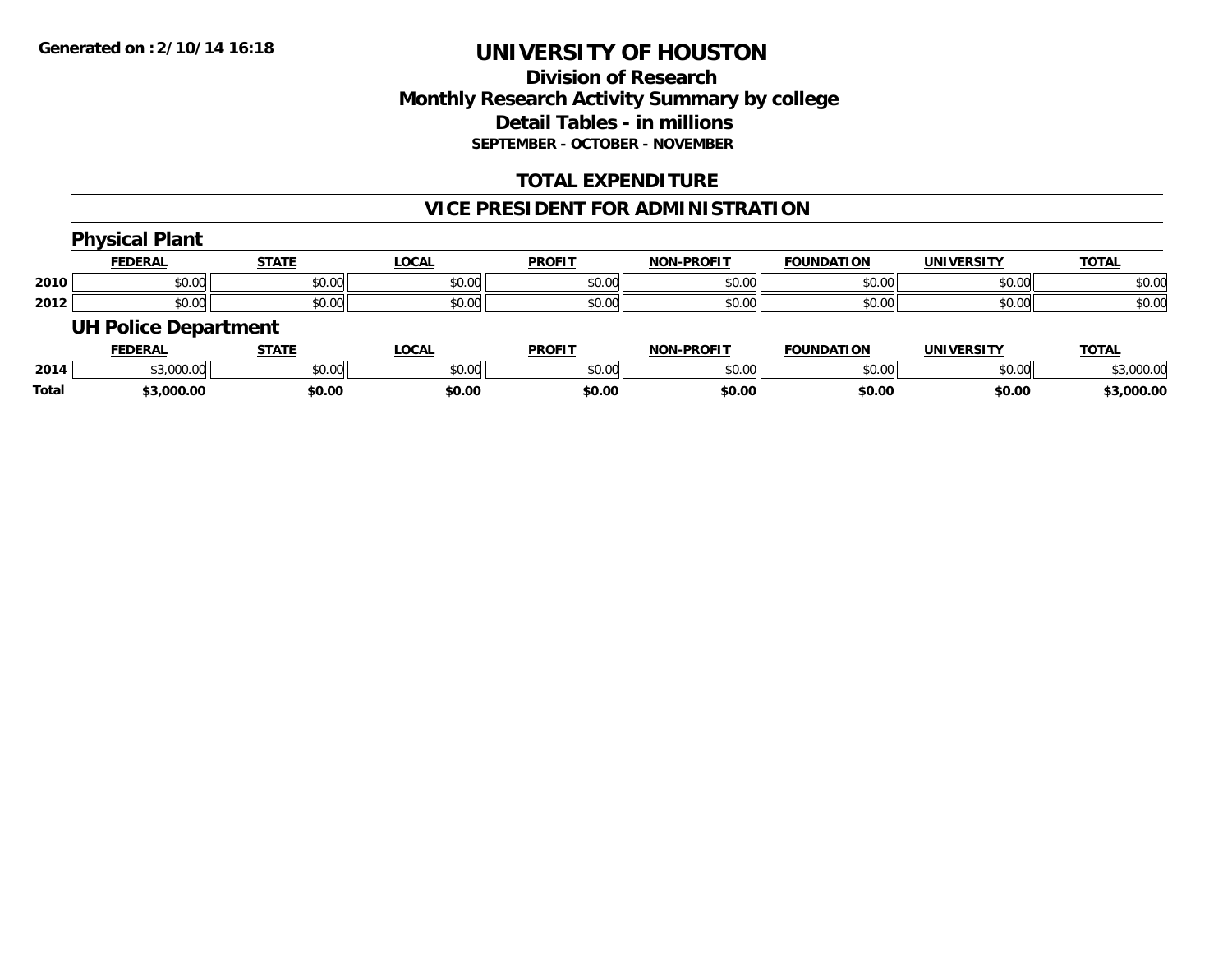**Total**

# **UNIVERSITY OF HOUSTON**

## **Division of ResearchMonthly Research Activity Summary by college Detail Tables - in millions SEPTEMBER - OCTOBER - NOVEMBER**

### **TOTAL EXPENDITURE**

### **VICE PRESIDENT FOR ADMINISTRATION**

|      | <b>Physical Plant</b>       |              |              |               |                   |                   |                   |              |
|------|-----------------------------|--------------|--------------|---------------|-------------------|-------------------|-------------------|--------------|
|      | <b>FEDERAL</b>              | <b>STATE</b> | <b>LOCAL</b> | <b>PROFIT</b> | <b>NON-PROFIT</b> | <b>FOUNDATION</b> | <b>UNIVERSITY</b> | <b>TOTAL</b> |
| 2010 | \$0.00                      | \$0.00       | \$0.00       | \$0.00        | \$0.00            | \$0.00            | \$0.00            | \$0.00       |
| 2012 | \$0.00                      | \$0.00       | \$0.00       | \$0.00        | \$0.00            | \$0.00            | \$0.00            | \$0.00       |
|      | <b>UH Police Department</b> |              |              |               |                   |                   |                   |              |
|      | <b>FEDERAL</b>              | <b>STATE</b> | <u>LOCAL</u> | <b>PROFIT</b> | <b>NON-PROFIT</b> | <b>FOUNDATION</b> | <b>UNIVERSITY</b> | <b>TOTAL</b> |
| 2014 | \$3,000.00                  | \$0.00       | \$0.00       | \$0.00        | \$0.00            | \$0.00            | \$0.00            | \$3,000.00   |

**\$3,000.00 \$0.00 \$0.00 \$0.00 \$0.00 \$0.00 \$0.00 \$3,000.00**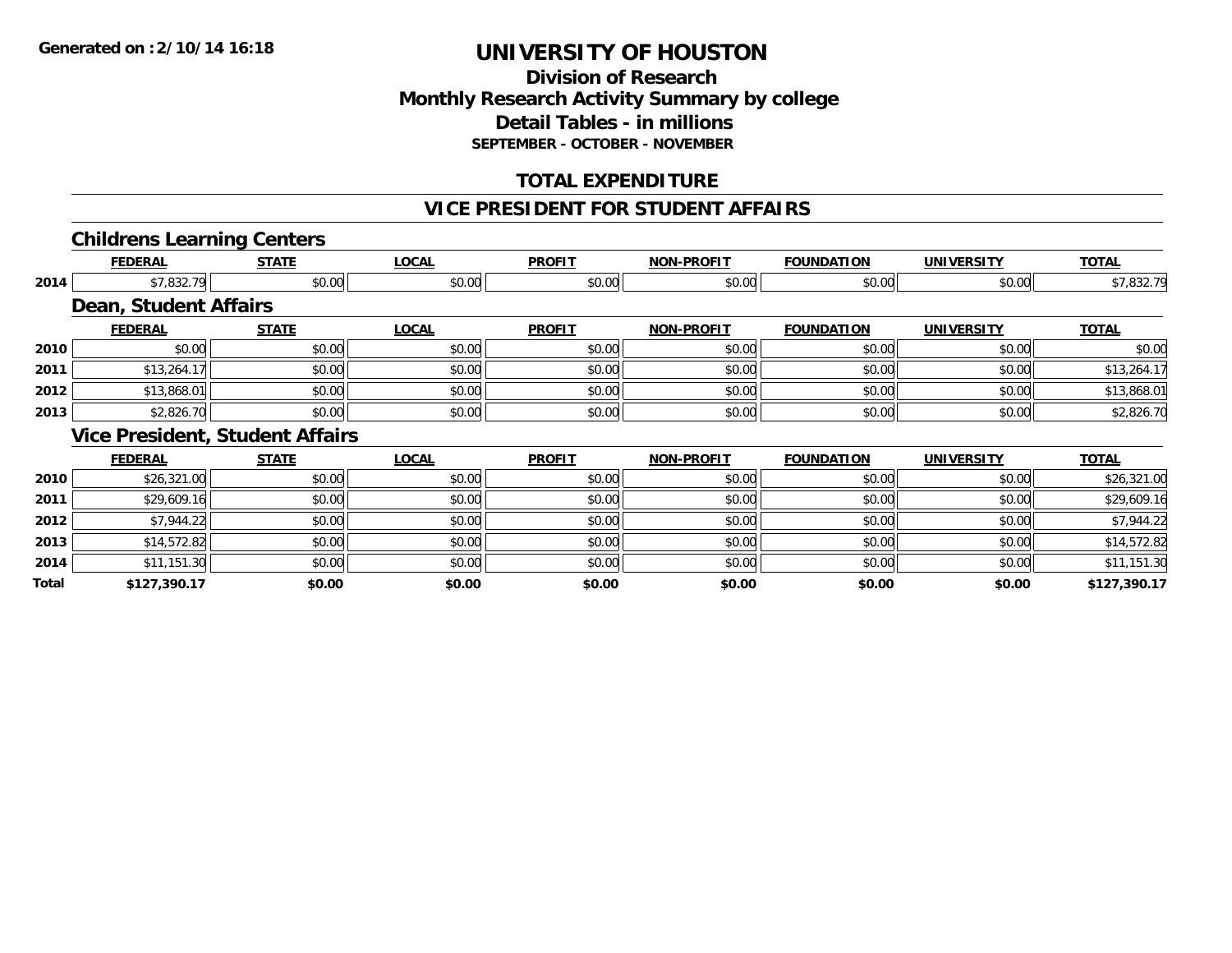### **Division of Research Monthly Research Activity Summary by college Detail Tables - in millions SEPTEMBER - OCTOBER - NOVEMBER**

### **TOTAL EXPENDITURE**

#### **VICE PRESIDENT FOR STUDENT AFFAIRS**

### **Childrens Learning Centers**

|       | <b>FEDERAL</b>               | <b>STATE</b>                           | <b>LOCAL</b> | <b>PROFIT</b> | <b>NON-PROFIT</b> | <b>FOUNDATION</b> | <b>UNIVERSITY</b> | <b>TOTAL</b> |
|-------|------------------------------|----------------------------------------|--------------|---------------|-------------------|-------------------|-------------------|--------------|
| 2014  | \$7,832.79                   | \$0.00                                 | \$0.00       | \$0.00        | \$0.00            | \$0.00            | \$0.00            | \$7,832.79   |
|       | <b>Dean, Student Affairs</b> |                                        |              |               |                   |                   |                   |              |
|       | <b>FEDERAL</b>               | <b>STATE</b>                           | <b>LOCAL</b> | <b>PROFIT</b> | <b>NON-PROFIT</b> | <b>FOUNDATION</b> | <b>UNIVERSITY</b> | <b>TOTAL</b> |
| 2010  | \$0.00                       | \$0.00                                 | \$0.00       | \$0.00        | \$0.00            | \$0.00            | \$0.00            | \$0.00       |
| 2011  | \$13,264.17                  | \$0.00                                 | \$0.00       | \$0.00        | \$0.00            | \$0.00            | \$0.00            | \$13,264.17  |
| 2012  | \$13,868.01                  | \$0.00                                 | \$0.00       | \$0.00        | \$0.00            | \$0.00            | \$0.00            | \$13,868.01  |
| 2013  | \$2,826.70                   | \$0.00                                 | \$0.00       | \$0.00        | \$0.00            | \$0.00            | \$0.00            | \$2,826.70   |
|       |                              | <b>Vice President, Student Affairs</b> |              |               |                   |                   |                   |              |
|       | <b>FEDERAL</b>               | <b>STATE</b>                           | <b>LOCAL</b> | <b>PROFIT</b> | <b>NON-PROFIT</b> | <b>FOUNDATION</b> | <b>UNIVERSITY</b> | <b>TOTAL</b> |
| 2010  | \$26,321.00                  | \$0.00                                 | \$0.00       | \$0.00        | \$0.00            | \$0.00            | \$0.00            | \$26,321.00  |
| 2011  | \$29,609.16                  | \$0.00                                 | \$0.00       | \$0.00        | \$0.00            | \$0.00            | \$0.00            | \$29,609.16  |
| 2012  | \$7,944.22                   | \$0.00                                 | \$0.00       | \$0.00        | \$0.00            | \$0.00            | \$0.00            | \$7,944.22   |
| 2013  | \$14,572.82                  | \$0.00                                 | \$0.00       | \$0.00        | \$0.00            | \$0.00            | \$0.00            | \$14,572.82  |
| 2014  | \$11,151.30                  | \$0.00                                 | \$0.00       | \$0.00        | \$0.00            | \$0.00            | \$0.00            | \$11,151.30  |
| Total | \$127,390.17                 | \$0.00                                 | \$0.00       | \$0.00        | \$0.00            | \$0.00            | \$0.00            | \$127,390.17 |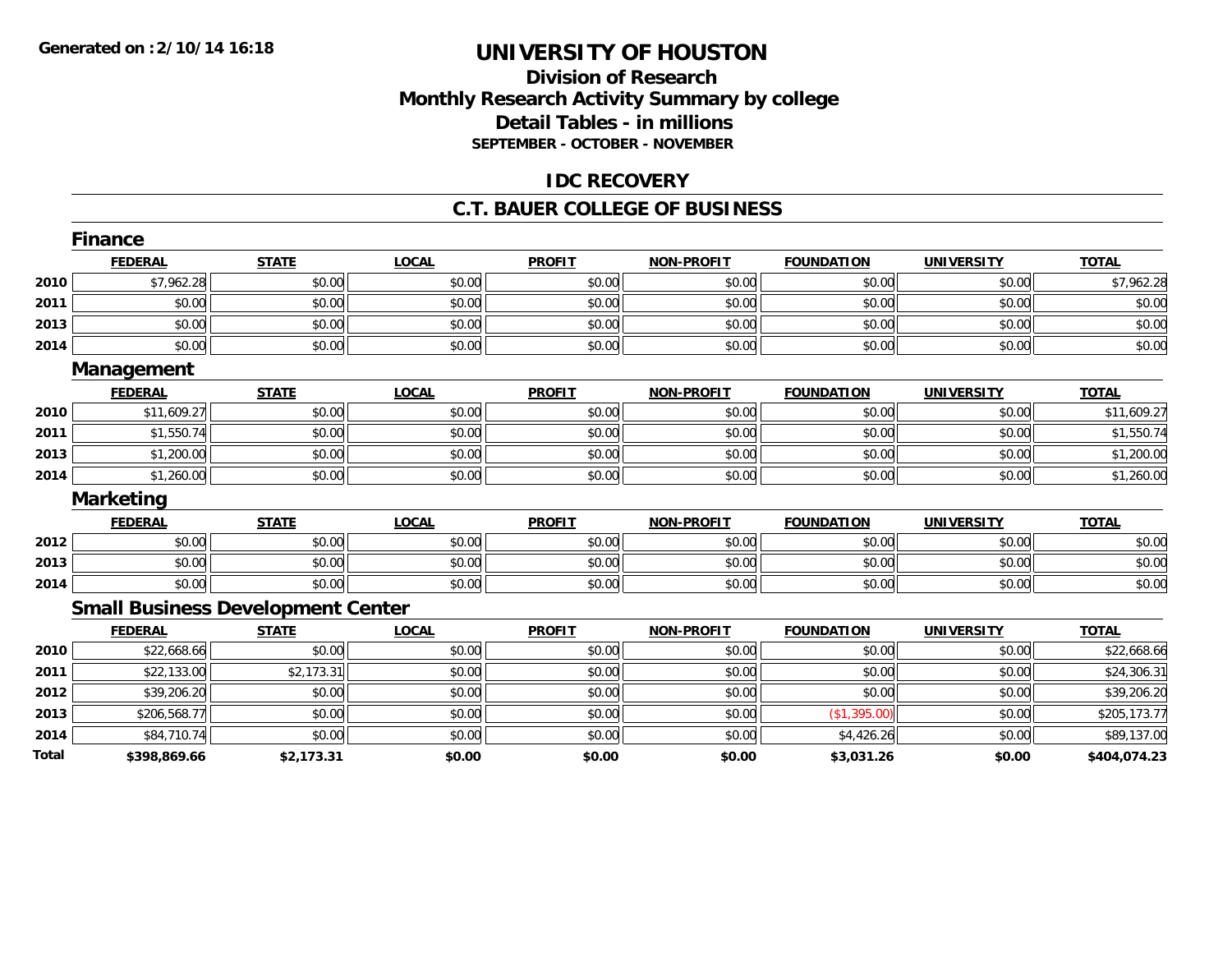### **Division of Research Monthly Research Activity Summary by college Detail Tables - in millions SEPTEMBER - OCTOBER - NOVEMBER**

### **IDC RECOVERY**

#### **C.T. BAUER COLLEGE OF BUSINESS**

|       | <b>Finance</b>   |                                          |              |               |                   |                   |                   |              |
|-------|------------------|------------------------------------------|--------------|---------------|-------------------|-------------------|-------------------|--------------|
|       | <b>FEDERAL</b>   | <b>STATE</b>                             | <b>LOCAL</b> | <b>PROFIT</b> | <b>NON-PROFIT</b> | <b>FOUNDATION</b> | <b>UNIVERSITY</b> | <b>TOTAL</b> |
| 2010  | \$7,962.28       | \$0.00                                   | \$0.00       | \$0.00        | \$0.00            | \$0.00            | \$0.00            | \$7,962.28   |
| 2011  | \$0.00           | \$0.00                                   | \$0.00       | \$0.00        | \$0.00            | \$0.00            | \$0.00            | \$0.00       |
| 2013  | \$0.00           | \$0.00                                   | \$0.00       | \$0.00        | \$0.00            | \$0.00            | \$0.00            | \$0.00       |
| 2014  | \$0.00           | \$0.00                                   | \$0.00       | \$0.00        | \$0.00            | \$0.00            | \$0.00            | \$0.00       |
|       | Management       |                                          |              |               |                   |                   |                   |              |
|       | <b>FEDERAL</b>   | <b>STATE</b>                             | <b>LOCAL</b> | <b>PROFIT</b> | <b>NON-PROFIT</b> | <b>FOUNDATION</b> | <b>UNIVERSITY</b> | <b>TOTAL</b> |
| 2010  | \$11,609.27      | \$0.00                                   | \$0.00       | \$0.00        | \$0.00            | \$0.00            | \$0.00            | \$11,609.27  |
| 2011  | \$1,550.74       | \$0.00                                   | \$0.00       | \$0.00        | \$0.00            | \$0.00            | \$0.00            | \$1,550.74   |
| 2013  | \$1,200.00       | \$0.00                                   | \$0.00       | \$0.00        | \$0.00            | \$0.00            | \$0.00            | \$1,200.00   |
| 2014  | \$1,260.00       | \$0.00                                   | \$0.00       | \$0.00        | \$0.00            | \$0.00            | \$0.00            | \$1,260.00   |
|       | <b>Marketing</b> |                                          |              |               |                   |                   |                   |              |
|       | <b>FEDERAL</b>   | <b>STATE</b>                             | <b>LOCAL</b> | <b>PROFIT</b> | <b>NON-PROFIT</b> | <b>FOUNDATION</b> | <b>UNIVERSITY</b> | <b>TOTAL</b> |
| 2012  | \$0.00           | \$0.00                                   | \$0.00       | \$0.00        | \$0.00            | \$0.00            | \$0.00            | \$0.00       |
| 2013  | \$0.00           | \$0.00                                   | \$0.00       | \$0.00        | \$0.00            | \$0.00            | \$0.00            | \$0.00       |
| 2014  | \$0.00           | \$0.00                                   | \$0.00       | \$0.00        | \$0.00            | \$0.00            | \$0.00            | \$0.00       |
|       |                  | <b>Small Business Development Center</b> |              |               |                   |                   |                   |              |
|       | <b>FEDERAL</b>   | <b>STATE</b>                             | <b>LOCAL</b> | <b>PROFIT</b> | <b>NON-PROFIT</b> | <b>FOUNDATION</b> | <b>UNIVERSITY</b> | <b>TOTAL</b> |
| 2010  | \$22,668.66      | \$0.00                                   | \$0.00       | \$0.00        | \$0.00            | \$0.00            | \$0.00            | \$22,668.66  |
| 2011  | \$22,133.00      | \$2,173.31                               | \$0.00       | \$0.00        | \$0.00            | \$0.00            | \$0.00            | \$24,306.31  |
| 2012  | \$39,206.20      | \$0.00                                   | \$0.00       | \$0.00        | \$0.00            | \$0.00            | \$0.00            | \$39,206.20  |
| 2013  | \$206,568.77     | \$0.00                                   | \$0.00       | \$0.00        | \$0.00            | (\$1,395.00)      | \$0.00            | \$205,173.77 |
| 2014  | \$84,710.74      | \$0.00                                   | \$0.00       | \$0.00        | \$0.00            | \$4,426.26        | \$0.00            | \$89,137.00  |
| Total | \$398,869.66     | \$2,173.31                               | \$0.00       | \$0.00        | \$0.00            | \$3,031.26        | \$0.00            | \$404,074.23 |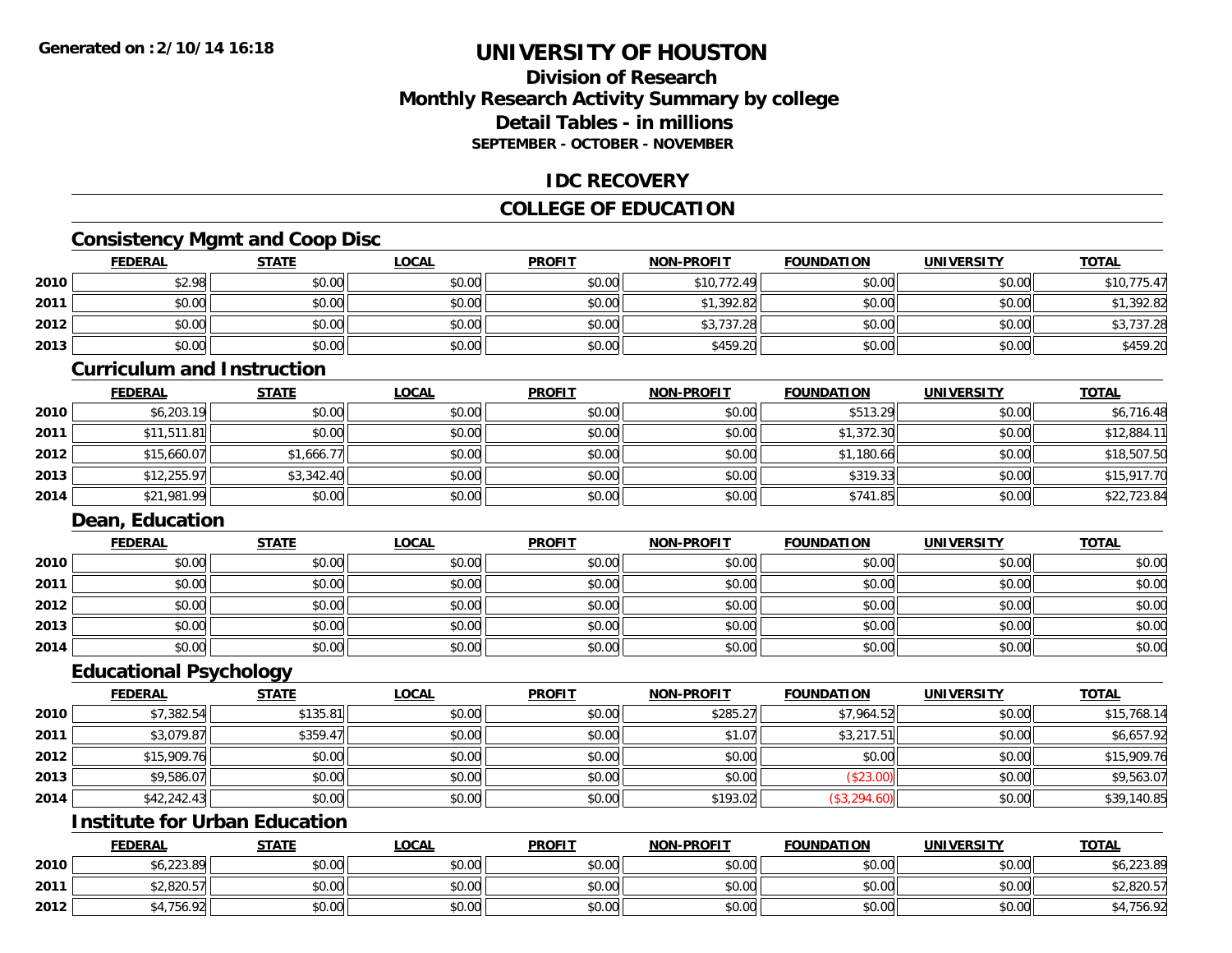### **Division of ResearchMonthly Research Activity Summary by college Detail Tables - in millions SEPTEMBER - OCTOBER - NOVEMBER**

### **IDC RECOVERY**

### **COLLEGE OF EDUCATION**

## **Consistency Mgmt and Coop Disc**

|      |                                   | shotono , mgmt and ooop Biss |              |               |                   |                   |                   |              |
|------|-----------------------------------|------------------------------|--------------|---------------|-------------------|-------------------|-------------------|--------------|
|      | <b>FEDERAL</b>                    | <b>STATE</b>                 | <b>LOCAL</b> | <b>PROFIT</b> | <b>NON-PROFIT</b> | <b>FOUNDATION</b> | <b>UNIVERSITY</b> | <b>TOTAL</b> |
| 2010 | \$2.98                            | \$0.00                       | \$0.00       | \$0.00        | \$10,772.49       | \$0.00            | \$0.00            | \$10,775.47  |
| 2011 | \$0.00                            | \$0.00                       | \$0.00       | \$0.00        | \$1,392.82        | \$0.00            | \$0.00            | \$1,392.82   |
| 2012 | \$0.00                            | \$0.00                       | \$0.00       | \$0.00        | \$3,737.28        | \$0.00            | \$0.00            | \$3,737.28   |
| 2013 | \$0.00                            | \$0.00                       | \$0.00       | \$0.00        | \$459.20          | \$0.00            | \$0.00            | \$459.20     |
|      | <b>Curriculum and Instruction</b> |                              |              |               |                   |                   |                   |              |
|      | <b>FEDERAL</b>                    | <b>STATE</b>                 | <b>LOCAL</b> | <b>PROFIT</b> | <b>NON-PROFIT</b> | <b>FOUNDATION</b> | <b>UNIVERSITY</b> | <b>TOTAL</b> |
| 2010 | \$6,203.19                        | \$0.00                       | \$0.00       | \$0.00        | \$0.00            | \$513.29          | \$0.00            | \$6,716.48   |
| 2011 | \$11,511.81                       | \$0.00                       | \$0.00       | \$0.00        | \$0.00            | \$1,372.30        | \$0.00            | \$12,884.11  |
| 2012 | \$15,660.07                       | \$1,666.77                   | \$0.00       | \$0.00        | \$0.00            | \$1,180.66        | \$0.00            | \$18,507.50  |
| 2013 | \$12,255.97                       | \$3,342.40                   | \$0.00       | \$0.00        | \$0.00            | \$319.33          | \$0.00            | \$15,917.70  |
| 2014 | \$21,981.99                       | \$0.00                       | \$0.00       | \$0.00        | \$0.00            | \$741.85          | \$0.00            | \$22,723.84  |
|      | <b>Dean, Education</b>            |                              |              |               |                   |                   |                   |              |
|      | <b>FEDERAL</b>                    | <b>STATE</b>                 | <b>LOCAL</b> | <b>PROFIT</b> | <b>NON-PROFIT</b> | <b>FOUNDATION</b> | <b>UNIVERSITY</b> | <b>TOTAL</b> |
| 2010 | \$0.00                            | \$0.00                       | \$0.00       | \$0.00        | \$0.00            | \$0.00            | \$0.00            | \$0.00       |
| 2011 | \$0.00                            | \$0.00                       | \$0.00       | \$0.00        | \$0.00            | \$0.00            | \$0.00            | \$0.00       |
| 2012 | \$0.00                            | \$0.00                       | \$0.00       | \$0.00        | \$0.00            | \$0.00            | \$0.00            | \$0.00       |
| 2013 | \$0.00                            | \$0.00                       | \$0.00       | \$0.00        | \$0.00            | \$0.00            | \$0.00            | \$0.00       |
| 2014 | \$0.00                            | \$0.00                       | \$0.00       | \$0.00        | \$0.00            | \$0.00            | \$0.00            | \$0.00       |
|      | <b>Educational Psychology</b>     |                              |              |               |                   |                   |                   |              |
|      | <b>FEDERAL</b>                    | <b>STATE</b>                 | <b>LOCAL</b> | <b>PROFIT</b> | <b>NON-PROFIT</b> | <b>FOUNDATION</b> | <b>UNIVERSITY</b> | <b>TOTAL</b> |
| 2010 | \$7,382.54                        | \$135.81                     | \$0.00       | \$0.00        | \$285.27          | \$7,964.52        | \$0.00            | \$15,768.14  |
| 2011 | \$3,079.87                        | \$359.47                     | \$0.00       | \$0.00        | \$1.07            | \$3,217.51        | \$0.00            | \$6,657.92   |
| 2012 | \$15,909.76                       | \$0.00                       | \$0.00       | \$0.00        | \$0.00            | \$0.00            | \$0.00            | \$15,909.76  |

## **Institute for Urban Education**

**2013**

**2014**

|      | <b>FEDERAL</b> | <b>STATE</b> | <b>LOCAL</b> | <b>PROFIT</b> | <b>NON-PROFIT</b> | <b>FOUNDATION</b> | UNIVERSITY | <b>TOTAL</b> |
|------|----------------|--------------|--------------|---------------|-------------------|-------------------|------------|--------------|
| 2010 | 89.223∉ء       | \$0.00       | \$0.00       | \$0.00        | \$0.00            | \$0.00            | \$0.00     | \$6,223.89   |
| 2011 | \$2,820.57     | \$0.00       | \$0.00       | \$0.00        | \$0.00            | \$0.00            | \$0.00     | \$2,820.57   |
| 2012 | \$4,756.92     | \$0.00       | \$0.00       | \$0.00        | \$0.00            | \$0.00            | \$0.00     | \$4,756.92   |

3 | \$9,586.07|| \$0.00|| \$0.00|| \$0.00|| \$0.00|| \$0.00|| \$0.00|| \$9,563.07 \$0.00|| \$9,563.07 \$0.00|| \$9,563.07

\$42,242.43 \$0.00 \$0.00 \$0.00 \$193.02 (\$3,294.60) \$0.00 \$39,140.85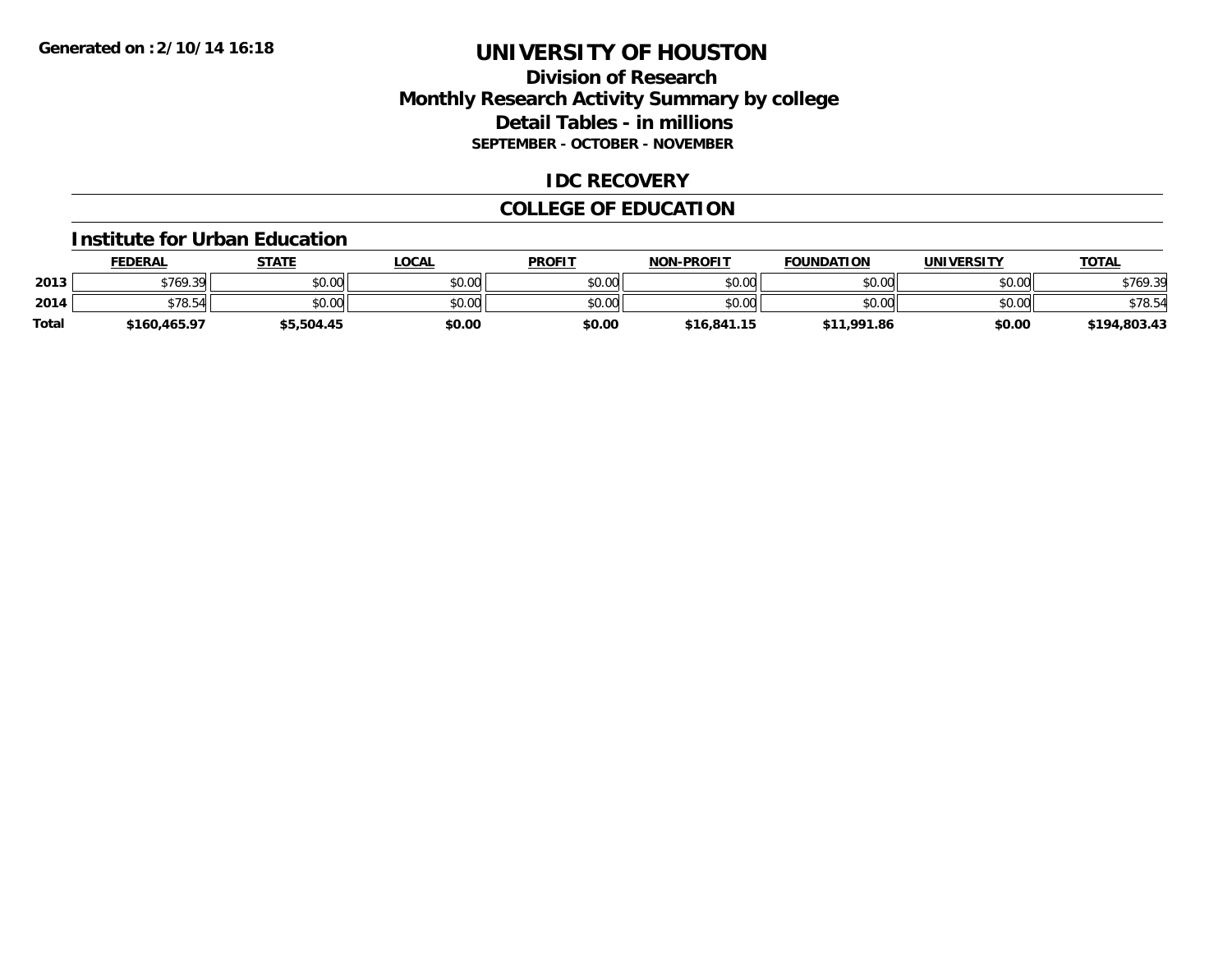### **Division of Research Monthly Research Activity Summary by college Detail Tables - in millions SEPTEMBER - OCTOBER - NOVEMBER**

### **IDC RECOVERY**

## **COLLEGE OF EDUCATION**

#### **Institute for Urban Education**

|       | <b>FEDERAL</b> | STATE      | LOCAL  | <b>PROFIT</b> | <b>NON-PROFIT</b> | <b>FOUNDATION</b> | <b>UNIVERSITY</b> | <u>TOTAL</u> |
|-------|----------------|------------|--------|---------------|-------------------|-------------------|-------------------|--------------|
| 2013  | \$769.39       | \$0.00     | \$0.00 | \$0.00        | \$0.00            | \$0.00            | \$0.00            | \$769.39     |
| 2014  | \$78.54        | \$0.00     | \$0.00 | \$0.00        | \$0.00            | \$0.00            | \$0.00            | \$78.54      |
| Total | \$160,465.97   | \$5,504.45 | \$0.00 | \$0.00        | \$16,841.15       | \$11,991.86       | \$0.00            | \$194,803.43 |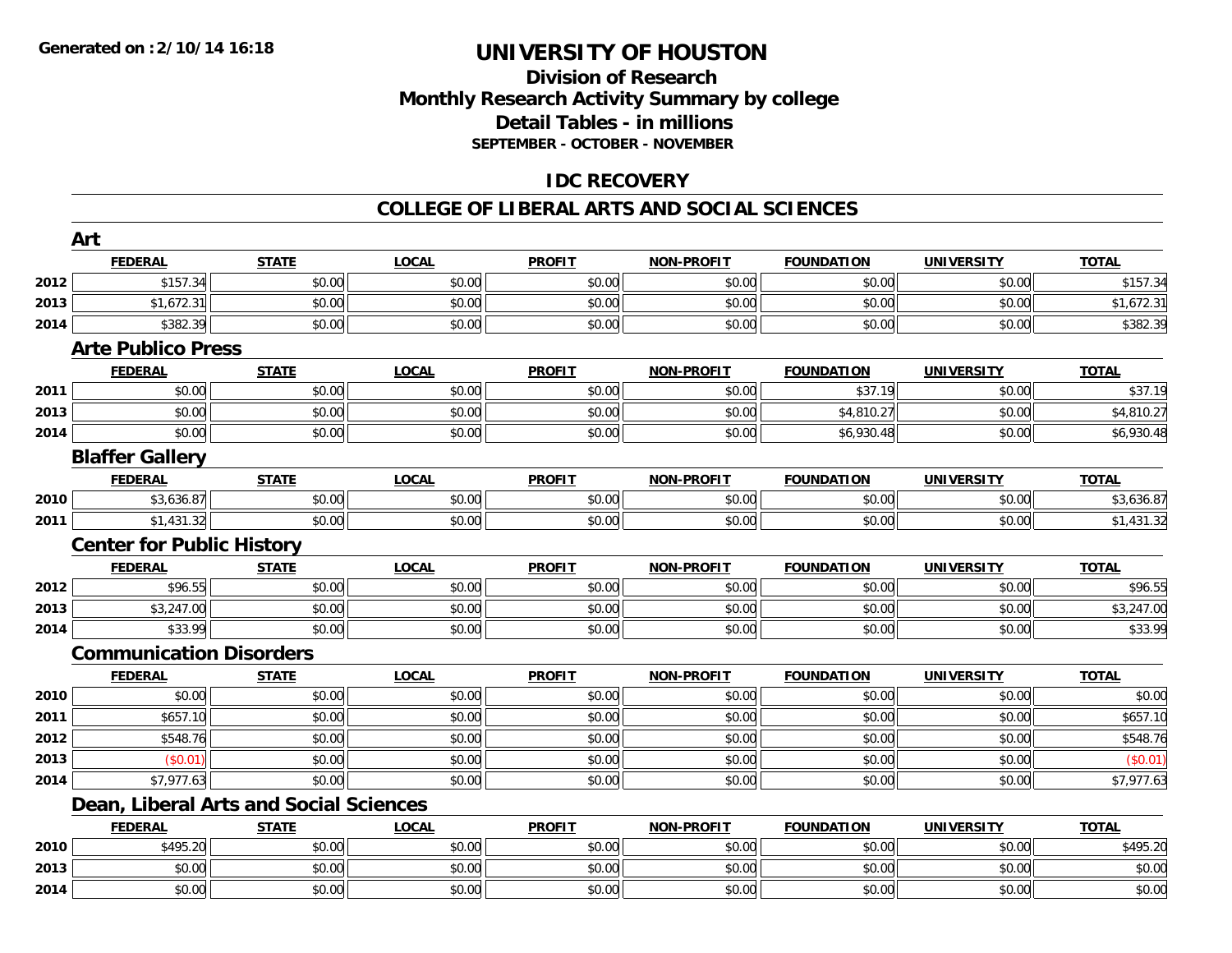## **Division of ResearchMonthly Research Activity Summary by college Detail Tables - in millions SEPTEMBER - OCTOBER - NOVEMBER**

### **IDC RECOVERY**

#### **COLLEGE OF LIBERAL ARTS AND SOCIAL SCIENCES**

|      | Art                                    |              |              |               |                   |                   |                   |              |
|------|----------------------------------------|--------------|--------------|---------------|-------------------|-------------------|-------------------|--------------|
|      | <b>FEDERAL</b>                         | <b>STATE</b> | <b>LOCAL</b> | <b>PROFIT</b> | <b>NON-PROFIT</b> | <b>FOUNDATION</b> | <b>UNIVERSITY</b> | <b>TOTAL</b> |
| 2012 | \$157.34                               | \$0.00       | \$0.00       | \$0.00        | \$0.00            | \$0.00            | \$0.00            | \$157.34     |
| 2013 | \$1,672.31                             | \$0.00       | \$0.00       | \$0.00        | \$0.00            | \$0.00            | \$0.00            | \$1,672.31   |
| 2014 | \$382.39                               | \$0.00       | \$0.00       | \$0.00        | \$0.00            | \$0.00            | \$0.00            | \$382.39     |
|      | <b>Arte Publico Press</b>              |              |              |               |                   |                   |                   |              |
|      | <b>FEDERAL</b>                         | <b>STATE</b> | <b>LOCAL</b> | <b>PROFIT</b> | NON-PROFIT        | <b>FOUNDATION</b> | <b>UNIVERSITY</b> | <b>TOTAL</b> |
| 2011 | \$0.00                                 | \$0.00       | \$0.00       | \$0.00        | \$0.00            | \$37.19           | \$0.00            | \$37.19      |
| 2013 | \$0.00                                 | \$0.00       | \$0.00       | \$0.00        | \$0.00            | \$4,810.27        | \$0.00            | \$4,810.27   |
| 2014 | \$0.00                                 | \$0.00       | \$0.00       | \$0.00        | \$0.00            | \$6,930.48        | \$0.00            | \$6,930.48   |
|      | <b>Blaffer Gallery</b>                 |              |              |               |                   |                   |                   |              |
|      | <b>FEDERAL</b>                         | <b>STATE</b> | <b>LOCAL</b> | <b>PROFIT</b> | NON-PROFIT        | <b>FOUNDATION</b> | <b>UNIVERSITY</b> | <b>TOTAL</b> |
| 2010 | \$3,636.87                             | \$0.00       | \$0.00       | \$0.00        | \$0.00            | \$0.00            | \$0.00            | \$3,636.87   |
| 2011 | \$1,431.32                             | \$0.00       | \$0.00       | \$0.00        | \$0.00            | \$0.00            | \$0.00            | \$1,431.32   |
|      | <b>Center for Public History</b>       |              |              |               |                   |                   |                   |              |
|      | <b>FEDERAL</b>                         | <b>STATE</b> | <b>LOCAL</b> | <b>PROFIT</b> | NON-PROFIT        | <b>FOUNDATION</b> | <b>UNIVERSITY</b> | <b>TOTAL</b> |
| 2012 | \$96.55                                | \$0.00       | \$0.00       | \$0.00        | \$0.00            | \$0.00            | \$0.00            | \$96.55      |
| 2013 | \$3,247.00                             | \$0.00       | \$0.00       | \$0.00        | \$0.00            | \$0.00            | \$0.00            | \$3,247.00   |
| 2014 | \$33.99                                | \$0.00       | \$0.00       | \$0.00        | \$0.00            | \$0.00            | \$0.00            | \$33.99      |
|      | <b>Communication Disorders</b>         |              |              |               |                   |                   |                   |              |
|      | <b>FEDERAL</b>                         | <b>STATE</b> | <b>LOCAL</b> | <b>PROFIT</b> | <b>NON-PROFIT</b> | <b>FOUNDATION</b> | <b>UNIVERSITY</b> | <b>TOTAL</b> |
| 2010 | \$0.00                                 | \$0.00       | \$0.00       | \$0.00        | \$0.00            | \$0.00            | \$0.00            | \$0.00       |
| 2011 | \$657.10                               | \$0.00       | \$0.00       | \$0.00        | \$0.00            | \$0.00            | \$0.00            | \$657.10     |
| 2012 | \$548.76                               | \$0.00       | \$0.00       | \$0.00        | \$0.00            | \$0.00            | \$0.00            | \$548.76     |
| 2013 | (S0.01)                                | \$0.00       | \$0.00       | \$0.00        | \$0.00            | \$0.00            | \$0.00            | (\$0.01)     |
| 2014 | \$7,977.63                             | \$0.00       | \$0.00       | \$0.00        | \$0.00            | \$0.00            | \$0.00            | \$7,977.63   |
|      | Dean, Liberal Arts and Social Sciences |              |              |               |                   |                   |                   |              |
|      | <b>FEDERAL</b>                         | <b>STATE</b> | <b>LOCAL</b> | <b>PROFIT</b> | <b>NON-PROFIT</b> | <b>FOUNDATION</b> | <b>UNIVERSITY</b> | <b>TOTAL</b> |
| 2010 | \$495.20                               | \$0.00       | \$0.00       | \$0.00        | \$0.00            | \$0.00            | \$0.00            | \$495.20     |
| 2013 | \$0.00                                 | \$0.00       | \$0.00       | \$0.00        | \$0.00            | \$0.00            | \$0.00            | \$0.00       |
| 2014 | \$0.00                                 | \$0.00       | \$0.00       | \$0.00        | \$0.00            | \$0.00            | \$0.00            | \$0.00       |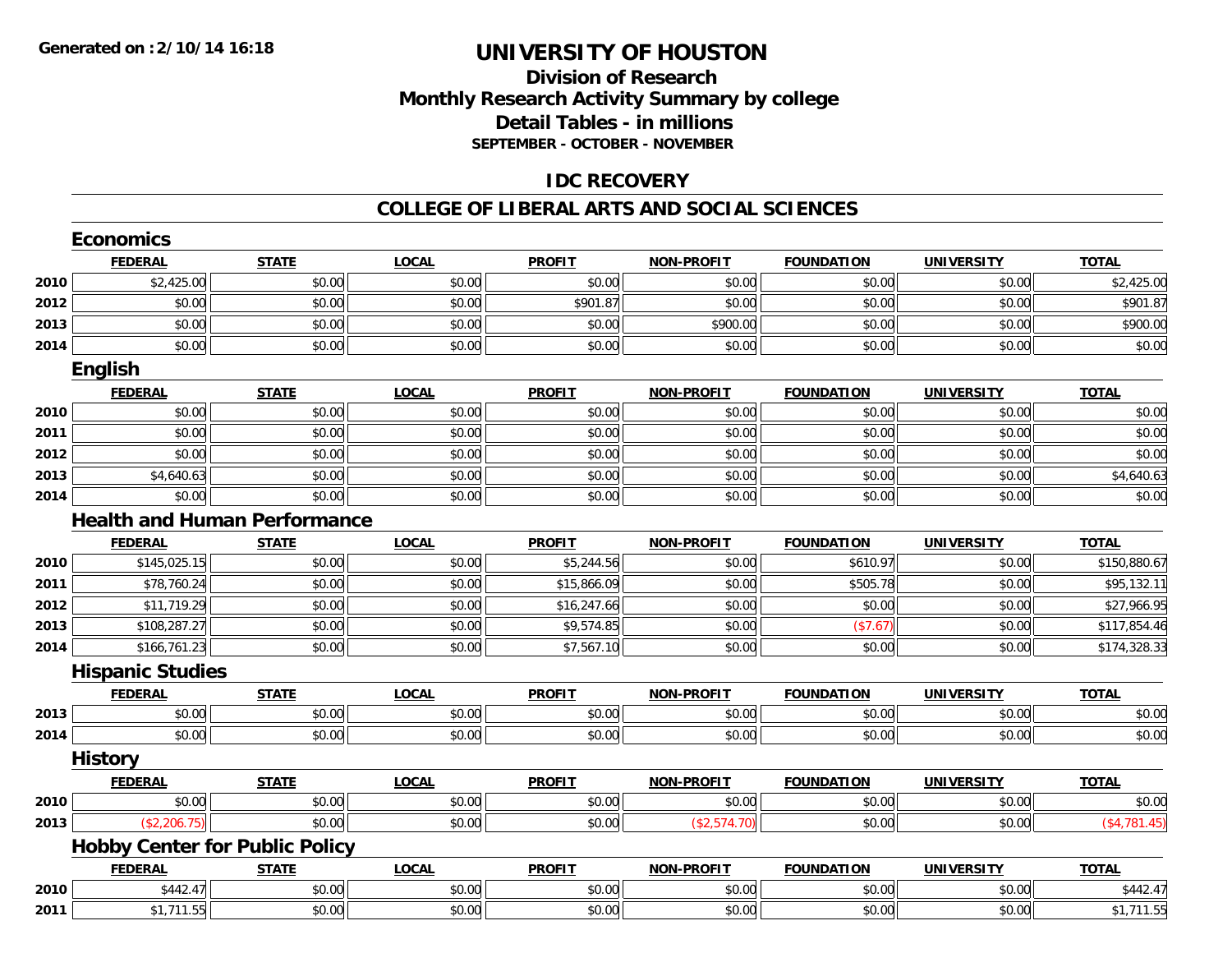### **Division of Research Monthly Research Activity Summary by college Detail Tables - in millions SEPTEMBER - OCTOBER - NOVEMBER**

### **IDC RECOVERY**

#### **COLLEGE OF LIBERAL ARTS AND SOCIAL SCIENCES**

|      | <b>Economics</b>                      |              |              |               |                   |                   |                   |               |
|------|---------------------------------------|--------------|--------------|---------------|-------------------|-------------------|-------------------|---------------|
|      | <b>FEDERAL</b>                        | <b>STATE</b> | <b>LOCAL</b> | <b>PROFIT</b> | <b>NON-PROFIT</b> | <b>FOUNDATION</b> | <b>UNIVERSITY</b> | <b>TOTAL</b>  |
| 2010 | \$2,425.00                            | \$0.00       | \$0.00       | \$0.00        | \$0.00            | \$0.00            | \$0.00            | \$2,425.00    |
| 2012 | \$0.00                                | \$0.00       | \$0.00       | \$901.87      | \$0.00            | \$0.00            | \$0.00            | \$901.87      |
| 2013 | \$0.00                                | \$0.00       | \$0.00       | \$0.00        | \$900.00          | \$0.00            | \$0.00            | \$900.00      |
| 2014 | \$0.00                                | \$0.00       | \$0.00       | \$0.00        | \$0.00            | \$0.00            | \$0.00            | \$0.00        |
|      | <b>English</b>                        |              |              |               |                   |                   |                   |               |
|      | <b>FEDERAL</b>                        | <b>STATE</b> | <b>LOCAL</b> | <b>PROFIT</b> | <b>NON-PROFIT</b> | <b>FOUNDATION</b> | <b>UNIVERSITY</b> | <b>TOTAL</b>  |
| 2010 | \$0.00                                | \$0.00       | \$0.00       | \$0.00        | \$0.00            | \$0.00            | \$0.00            | \$0.00        |
| 2011 | \$0.00                                | \$0.00       | \$0.00       | \$0.00        | \$0.00            | \$0.00            | \$0.00            | \$0.00        |
| 2012 | \$0.00                                | \$0.00       | \$0.00       | \$0.00        | \$0.00            | \$0.00            | \$0.00            | \$0.00        |
| 2013 | \$4,640.63                            | \$0.00       | \$0.00       | \$0.00        | \$0.00            | \$0.00            | \$0.00            | \$4,640.63    |
| 2014 | \$0.00                                | \$0.00       | \$0.00       | \$0.00        | \$0.00            | \$0.00            | \$0.00            | \$0.00        |
|      | <b>Health and Human Performance</b>   |              |              |               |                   |                   |                   |               |
|      | <b>FEDERAL</b>                        | <b>STATE</b> | <b>LOCAL</b> | <b>PROFIT</b> | <b>NON-PROFIT</b> | <b>FOUNDATION</b> | <b>UNIVERSITY</b> | <b>TOTAL</b>  |
| 2010 | \$145,025.15                          | \$0.00       | \$0.00       | \$5,244.56    | \$0.00            | \$610.97          | \$0.00            | \$150,880.67  |
| 2011 | \$78,760.24                           | \$0.00       | \$0.00       | \$15,866.09   | \$0.00            | \$505.78          | \$0.00            | \$95,132.11   |
| 2012 | \$11,719.29                           | \$0.00       | \$0.00       | \$16,247.66   | \$0.00            | \$0.00            | \$0.00            | \$27,966.95   |
| 2013 | \$108,287.27                          | \$0.00       | \$0.00       | \$9,574.85    | \$0.00            | (\$7.67)          | \$0.00            | \$117,854.46  |
| 2014 | \$166,761.23                          | \$0.00       | \$0.00       | \$7,567.10    | \$0.00            | \$0.00            | \$0.00            | \$174,328.33  |
|      | <b>Hispanic Studies</b>               |              |              |               |                   |                   |                   |               |
|      | <b>FEDERAL</b>                        | <b>STATE</b> | <b>LOCAL</b> | <b>PROFIT</b> | <b>NON-PROFIT</b> | <b>FOUNDATION</b> | <b>UNIVERSITY</b> | <b>TOTAL</b>  |
| 2013 | \$0.00                                | \$0.00       | \$0.00       | \$0.00        | \$0.00            | \$0.00            | \$0.00            | \$0.00        |
| 2014 | \$0.00                                | \$0.00       | \$0.00       | \$0.00        | \$0.00            | \$0.00            | \$0.00            | \$0.00        |
|      | <b>History</b>                        |              |              |               |                   |                   |                   |               |
|      | <b>FEDERAL</b>                        | <b>STATE</b> | <b>LOCAL</b> | <b>PROFIT</b> | <b>NON-PROFIT</b> | <b>FOUNDATION</b> | <b>UNIVERSITY</b> | <b>TOTAL</b>  |
| 2010 | \$0.00                                | \$0.00       | \$0.00       | \$0.00        | \$0.00            | \$0.00            | \$0.00            | \$0.00        |
| 2013 | (\$2,206.75)                          | \$0.00       | \$0.00       | \$0.00        | (\$2,574.70)      | \$0.00            | \$0.00            | ( \$4,781.45) |
|      | <b>Hobby Center for Public Policy</b> |              |              |               |                   |                   |                   |               |
|      | <b>FEDERAL</b>                        | <b>STATE</b> | <b>LOCAL</b> | <b>PROFIT</b> | <b>NON-PROFIT</b> | <b>FOUNDATION</b> | <b>UNIVERSITY</b> | <b>TOTAL</b>  |
| 2010 | \$442.47                              | \$0.00       | \$0.00       | \$0.00        | \$0.00            | \$0.00            | \$0.00            | \$442.47      |
| 2011 | \$1,711.55                            | \$0.00       | \$0.00       | \$0.00        | \$0.00            | \$0.00            | \$0.00            | \$1,711.55    |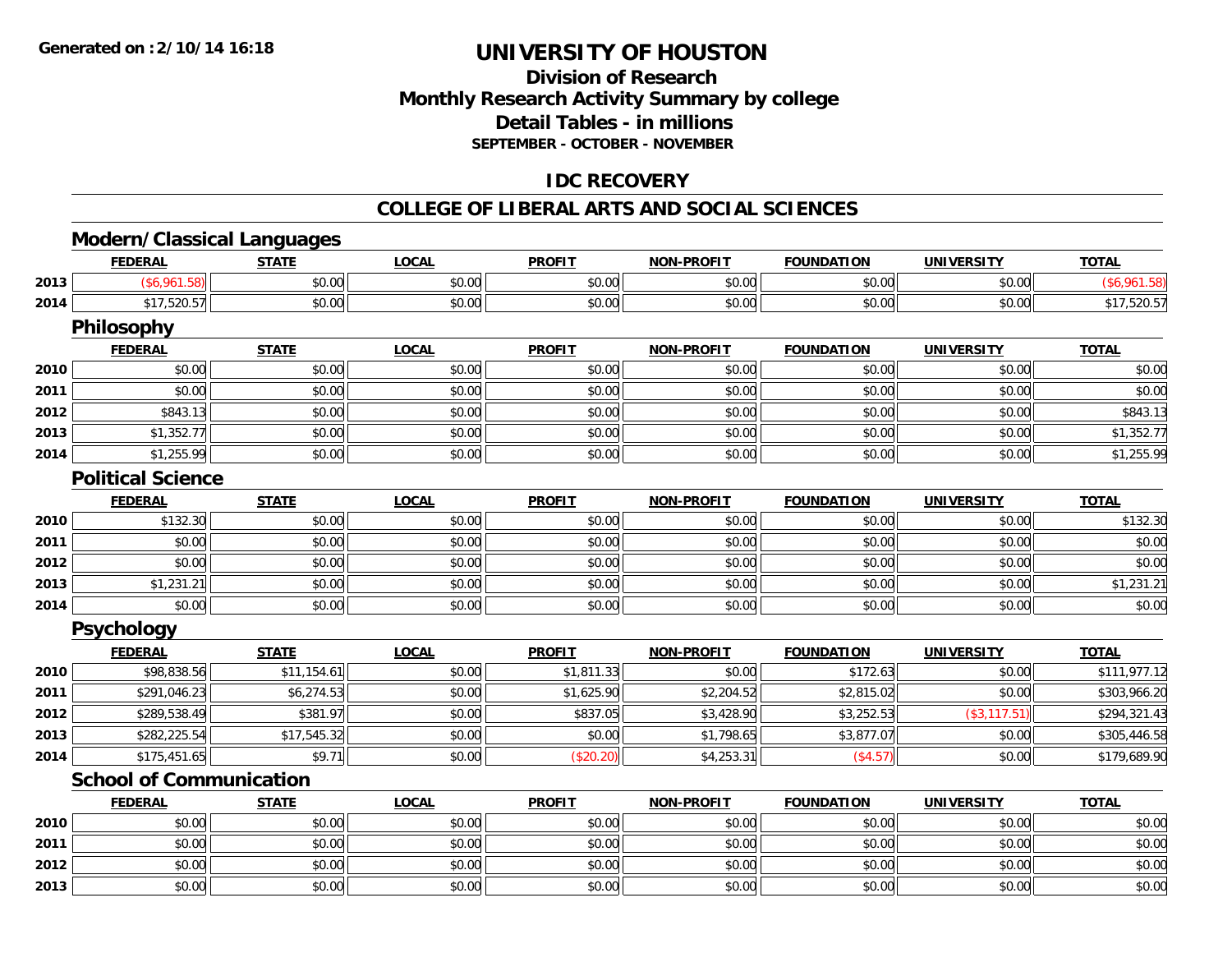**2013**

# **UNIVERSITY OF HOUSTON**

## **Division of ResearchMonthly Research Activity Summary by college Detail Tables - in millions SEPTEMBER - OCTOBER - NOVEMBER**

### **IDC RECOVERY**

#### **COLLEGE OF LIBERAL ARTS AND SOCIAL SCIENCES**

# **Modern/Classical Languages**

|      | <b>FEDERAL</b>                 | <b>STATE</b> | <b>LOCAL</b> | <b>PROFIT</b> | NON-PROFIT        | <b>FOUNDATION</b> | UNIVERSITY        | <u>TOTAL</u> |
|------|--------------------------------|--------------|--------------|---------------|-------------------|-------------------|-------------------|--------------|
| 2013 | (\$6,961.58)                   | \$0.00       | \$0.00       | \$0.00        | \$0.00            | \$0.00            | \$0.00            | (\$6,961.58) |
| 2014 | \$17,520.57                    | \$0.00       | \$0.00       | \$0.00        | \$0.00            | \$0.00            | \$0.00            | \$17,520.57  |
|      | <b>Philosophy</b>              |              |              |               |                   |                   |                   |              |
|      | <b>FEDERAL</b>                 | <b>STATE</b> | <b>LOCAL</b> | <b>PROFIT</b> | <b>NON-PROFIT</b> | <b>FOUNDATION</b> | <b>UNIVERSITY</b> | <b>TOTAL</b> |
| 2010 | \$0.00                         | \$0.00       | \$0.00       | \$0.00        | \$0.00            | \$0.00            | \$0.00            | \$0.00       |
| 2011 | \$0.00                         | \$0.00       | \$0.00       | \$0.00        | \$0.00            | \$0.00            | \$0.00            | \$0.00       |
| 2012 | \$843.13                       | \$0.00       | \$0.00       | \$0.00        | \$0.00            | \$0.00            | \$0.00            | \$843.13     |
| 2013 | \$1,352.77                     | \$0.00       | \$0.00       | \$0.00        | \$0.00            | \$0.00            | \$0.00            | \$1,352.77   |
| 2014 | \$1,255.99                     | \$0.00       | \$0.00       | \$0.00        | \$0.00            | \$0.00            | \$0.00            | \$1,255.99   |
|      | <b>Political Science</b>       |              |              |               |                   |                   |                   |              |
|      | <b>FEDERAL</b>                 | <b>STATE</b> | <b>LOCAL</b> | <b>PROFIT</b> | <b>NON-PROFIT</b> | <b>FOUNDATION</b> | <b>UNIVERSITY</b> | <b>TOTAL</b> |
| 2010 | \$132.30                       | \$0.00       | \$0.00       | \$0.00        | \$0.00            | \$0.00            | \$0.00            | \$132.30     |
| 2011 | \$0.00                         | \$0.00       | \$0.00       | \$0.00        | \$0.00            | \$0.00            | \$0.00            | \$0.00       |
| 2012 | \$0.00                         | \$0.00       | \$0.00       | \$0.00        | \$0.00            | \$0.00            | \$0.00            | \$0.00       |
| 2013 | \$1,231.21                     | \$0.00       | \$0.00       | \$0.00        | \$0.00            | \$0.00            | \$0.00            | \$1,231.21   |
| 2014 | \$0.00                         | \$0.00       | \$0.00       | \$0.00        | \$0.00            | \$0.00            | \$0.00            | \$0.00       |
|      | <b>Psychology</b>              |              |              |               |                   |                   |                   |              |
|      | <b>FEDERAL</b>                 | <b>STATE</b> | <b>LOCAL</b> | <b>PROFIT</b> | <b>NON-PROFIT</b> | <b>FOUNDATION</b> | <b>UNIVERSITY</b> | <b>TOTAL</b> |
| 2010 | \$98,838.56                    | \$11,154.61  | \$0.00       | \$1,811.33    | \$0.00            | \$172.63          | \$0.00            | \$111,977.12 |
| 2011 | \$291,046.23                   | \$6,274.53   | \$0.00       | \$1,625.90    | \$2,204.52        | \$2,815.02        | \$0.00            | \$303,966.20 |
| 2012 | \$289,538.49                   | \$381.97     | \$0.00       | \$837.05      | \$3,428.90        | \$3,252.53        | (\$3,117.51)      | \$294,321.43 |
| 2013 | \$282,225.54                   | \$17,545.32  | \$0.00       | \$0.00        | \$1,798.65        | \$3,877.07        | \$0.00            | \$305,446.58 |
| 2014 | \$175,451.65                   | \$9.71       | \$0.00       | (\$20.20)     | \$4,253.31        | (\$4.57)          | \$0.00            | \$179,689.90 |
|      | <b>School of Communication</b> |              |              |               |                   |                   |                   |              |
|      | <b>FEDERAL</b>                 | <b>STATE</b> | <b>LOCAL</b> | <b>PROFIT</b> | <b>NON-PROFIT</b> | <b>FOUNDATION</b> | <b>UNIVERSITY</b> | <b>TOTAL</b> |
| 2010 | \$0.00                         | \$0.00       | \$0.00       | \$0.00        | \$0.00            | \$0.00            | \$0.00            | \$0.00       |
| 2011 | \$0.00                         | \$0.00       | \$0.00       | \$0.00        | \$0.00            | \$0.00            | \$0.00            | \$0.00       |
| 2012 | \$0.00                         | \$0.00       | \$0.00       | \$0.00        | \$0.00            | \$0.00            | \$0.00            | \$0.00       |

3 \$0.00 | \$0.00 | \$0.00 | \$0.00 | \$0.00 | \$0.00 | \$0.00 | \$0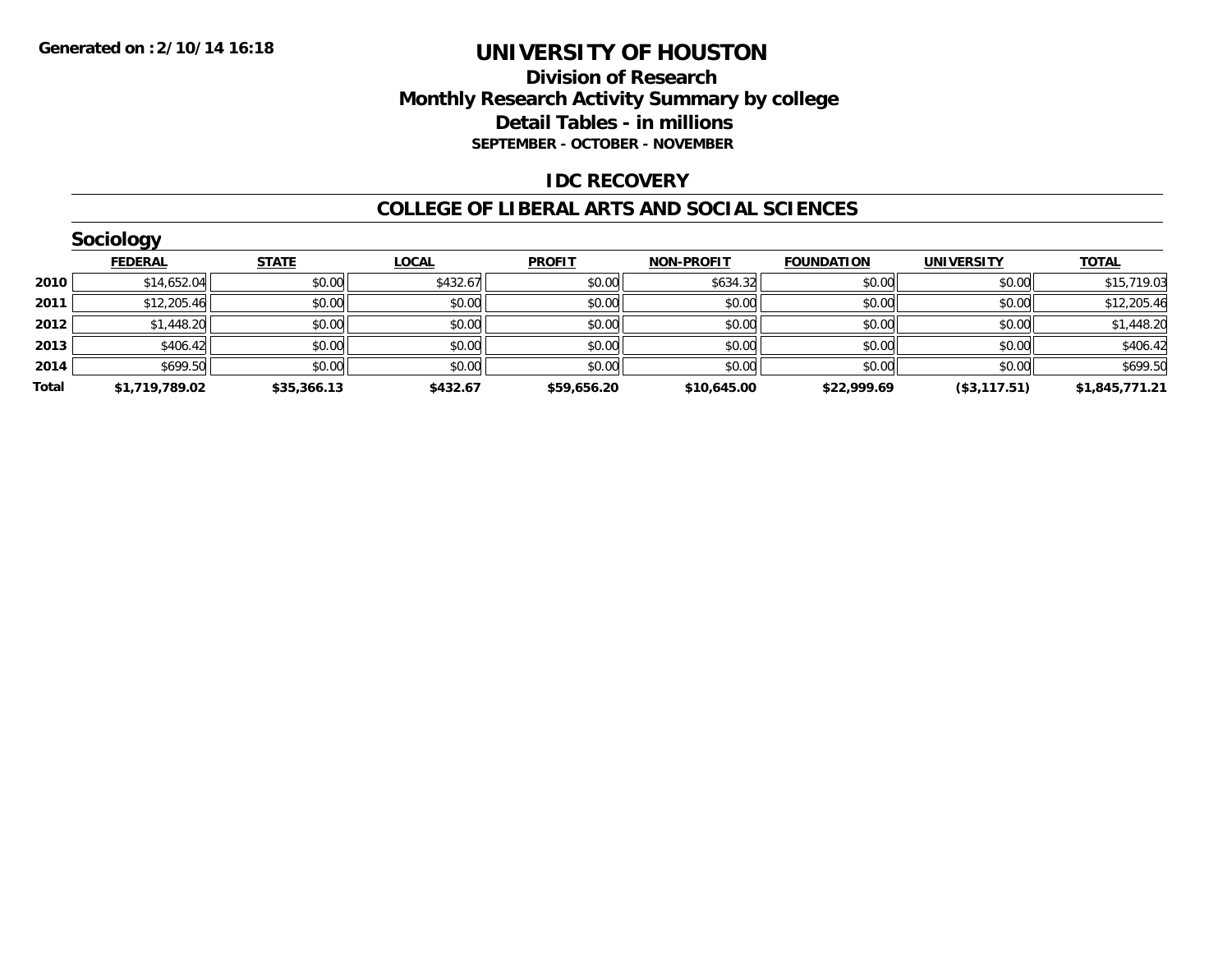### **Division of Research Monthly Research Activity Summary by college Detail Tables - in millions SEPTEMBER - OCTOBER - NOVEMBER**

### **IDC RECOVERY**

#### **COLLEGE OF LIBERAL ARTS AND SOCIAL SCIENCES**

|       | Sociology      |              |              |               |                   |                   |                   |                |
|-------|----------------|--------------|--------------|---------------|-------------------|-------------------|-------------------|----------------|
|       | <b>FEDERAL</b> | <b>STATE</b> | <b>LOCAL</b> | <b>PROFIT</b> | <b>NON-PROFIT</b> | <b>FOUNDATION</b> | <b>UNIVERSITY</b> | <b>TOTAL</b>   |
| 2010  | \$14,652.04    | \$0.00       | \$432.67     | \$0.00        | \$634.32          | \$0.00            | \$0.00            | \$15,719.03    |
| 2011  | \$12,205.46    | \$0.00       | \$0.00       | \$0.00        | \$0.00            | \$0.00            | \$0.00            | \$12,205.46    |
| 2012  | \$1,448.20     | \$0.00       | \$0.00       | \$0.00        | \$0.00            | \$0.00            | \$0.00            | \$1,448.20     |
| 2013  | \$406.42       | \$0.00       | \$0.00       | \$0.00        | \$0.00            | \$0.00            | \$0.00            | \$406.42       |
| 2014  | \$699.50       | \$0.00       | \$0.00       | \$0.00        | \$0.00            | \$0.00            | \$0.00            | \$699.50       |
| Total | \$1,719,789.02 | \$35,366.13  | \$432.67     | \$59,656.20   | \$10,645.00       | \$22,999.69       | (\$3,117.51)      | \$1,845,771.21 |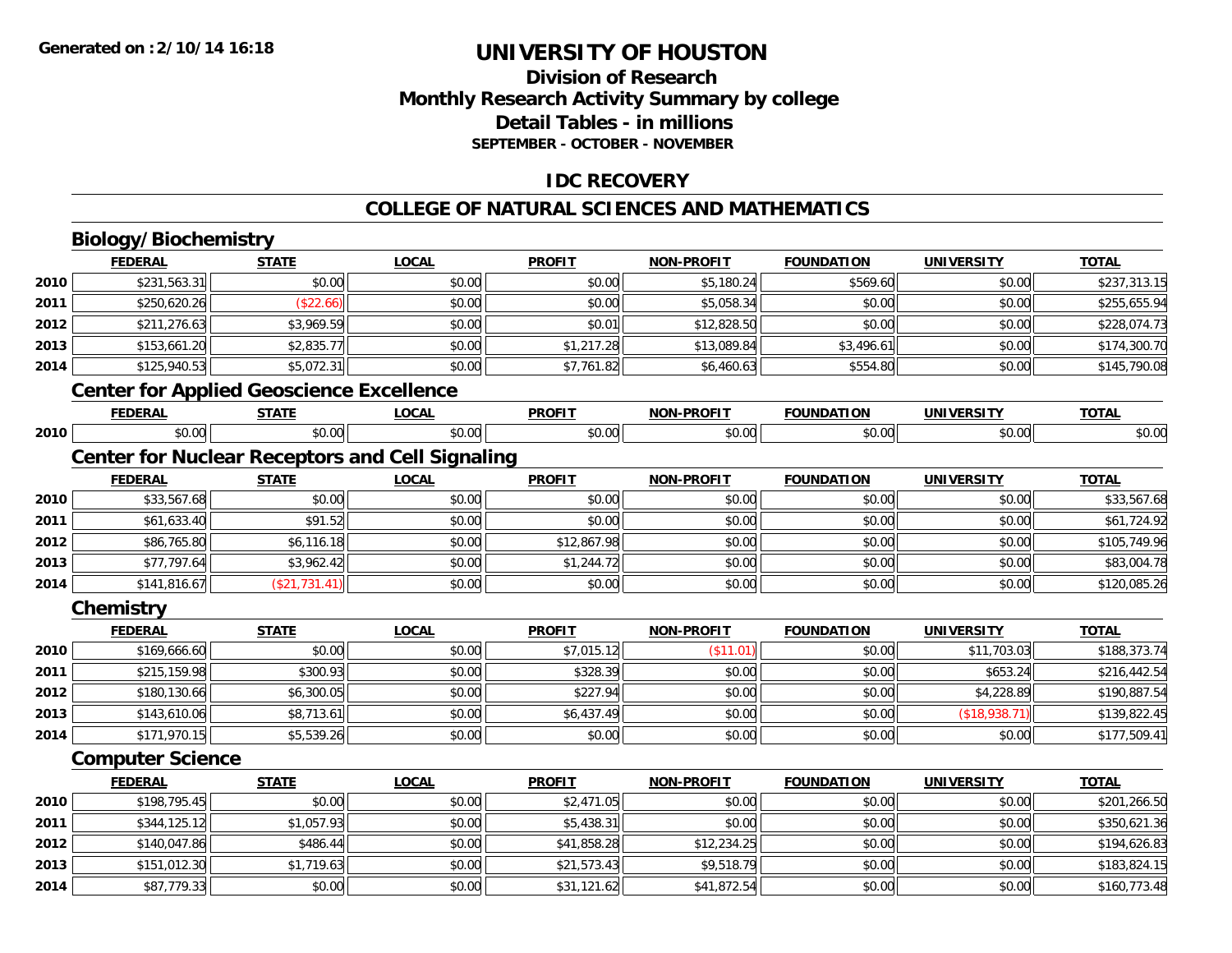## **Division of ResearchMonthly Research Activity Summary by college Detail Tables - in millions SEPTEMBER - OCTOBER - NOVEMBER**

### **IDC RECOVERY**

#### **COLLEGE OF NATURAL SCIENCES AND MATHEMATICS**

## **Biology/Biochemistry**

|      | <b>FEDERAL</b>                                         | <b>STATE</b>  | <b>LOCAL</b> | <b>PROFIT</b> | <b>NON-PROFIT</b> | <b>FOUNDATION</b> | <b>UNIVERSITY</b> | <b>TOTAL</b> |
|------|--------------------------------------------------------|---------------|--------------|---------------|-------------------|-------------------|-------------------|--------------|
| 2010 | \$231,563.31                                           | \$0.00        | \$0.00       | \$0.00        | \$5,180.24        | \$569.60          | \$0.00            | \$237,313.15 |
| 2011 | \$250,620.26                                           | (\$22.66)     | \$0.00       | \$0.00        | \$5,058.34        | \$0.00            | \$0.00            | \$255,655.94 |
| 2012 | \$211,276.63                                           | \$3,969.59    | \$0.00       | \$0.01        | \$12,828.50       | \$0.00            | \$0.00            | \$228,074.73 |
| 2013 | \$153,661.20                                           | \$2,835.77    | \$0.00       | \$1,217.28    | \$13,089.84       | \$3,496.61        | \$0.00            | \$174,300.70 |
| 2014 | \$125,940.53                                           | \$5,072.31    | \$0.00       | \$7,761.82    | \$6,460.63        | \$554.80          | \$0.00            | \$145,790.08 |
|      | <b>Center for Applied Geoscience Excellence</b>        |               |              |               |                   |                   |                   |              |
|      | <b>FEDERAL</b>                                         | <b>STATE</b>  | <b>LOCAL</b> | <b>PROFIT</b> | <b>NON-PROFIT</b> | <b>FOUNDATION</b> | <b>UNIVERSITY</b> | <b>TOTAL</b> |
| 2010 | \$0.00                                                 | \$0.00        | \$0.00       | \$0.00        | \$0.00            | \$0.00            | \$0.00            | \$0.00       |
|      | <b>Center for Nuclear Receptors and Cell Signaling</b> |               |              |               |                   |                   |                   |              |
|      | <b>FEDERAL</b>                                         | <b>STATE</b>  | <b>LOCAL</b> | <b>PROFIT</b> | <b>NON-PROFIT</b> | <b>FOUNDATION</b> | <b>UNIVERSITY</b> | <b>TOTAL</b> |
| 2010 | \$33,567.68                                            | \$0.00        | \$0.00       | \$0.00        | \$0.00            | \$0.00            | \$0.00            | \$33,567.68  |
| 2011 | \$61,633.40                                            | \$91.52       | \$0.00       | \$0.00        | \$0.00            | \$0.00            | \$0.00            | \$61,724.92  |
| 2012 | \$86,765.80                                            | \$6,116.18    | \$0.00       | \$12,867.98   | \$0.00            | \$0.00            | \$0.00            | \$105,749.96 |
| 2013 | \$77,797.64                                            | \$3,962.42    | \$0.00       | \$1,244.72    | \$0.00            | \$0.00            | \$0.00            | \$83,004.78  |
| 2014 | \$141,816.67                                           | (\$21,731.41) | \$0.00       | \$0.00        | \$0.00            | \$0.00            | \$0.00            | \$120,085.26 |
|      | Chemistry                                              |               |              |               |                   |                   |                   |              |
|      | <b>FEDERAL</b>                                         | <b>STATE</b>  | <b>LOCAL</b> | <b>PROFIT</b> | <b>NON-PROFIT</b> | <b>FOUNDATION</b> | <b>UNIVERSITY</b> | <b>TOTAL</b> |
| 2010 | \$169,666.60                                           | \$0.00        | \$0.00       | \$7,015.12    | (\$11.01)         | \$0.00            | \$11,703.03       | \$188,373.74 |
| 2011 | \$215,159.98                                           | \$300.93      | \$0.00       | \$328.39      | \$0.00            | \$0.00            | \$653.24          | \$216,442.54 |
| 2012 | \$180,130.66                                           | \$6,300.05    | \$0.00       | \$227.94      | \$0.00            | \$0.00            | \$4,228.89        | \$190,887.54 |
| 2013 | \$143,610.06                                           | \$8,713.61    | \$0.00       | \$6,437.49    | \$0.00            | \$0.00            | (\$18,938.71)     | \$139,822.45 |
| 2014 | \$171,970.15                                           | \$5,539.26    | \$0.00       | \$0.00        | \$0.00            | \$0.00            | \$0.00            | \$177,509.41 |
|      | <b>Computer Science</b>                                |               |              |               |                   |                   |                   |              |
|      | <b>FEDERAL</b>                                         | <b>STATE</b>  | <b>LOCAL</b> | <b>PROFIT</b> | <b>NON-PROFIT</b> | <b>FOUNDATION</b> | <b>UNIVERSITY</b> | <b>TOTAL</b> |
| 2010 | \$198,795.45                                           | \$0.00        | \$0.00       | \$2,471.05    | \$0.00            | \$0.00            | \$0.00            | \$201,266.50 |
| 2011 | \$344,125.12                                           | \$1,057.93    | \$0.00       | \$5,438.31    | \$0.00            | \$0.00            | \$0.00            | \$350,621.36 |
| 2012 | \$140,047.86                                           | \$486.44      | \$0.00       | \$41,858.28   | \$12,234.25       | \$0.00            | \$0.00            | \$194,626.83 |
| 2013 | \$151,012.30                                           | \$1,719.63    | \$0.00       | \$21,573.43   | \$9,518.79        | \$0.00            | \$0.00            | \$183,824.15 |
| 2014 | \$87,779.33                                            | \$0.00        | \$0.00       | \$31,121.62   | \$41,872.54       | \$0.00            | \$0.00            | \$160,773.48 |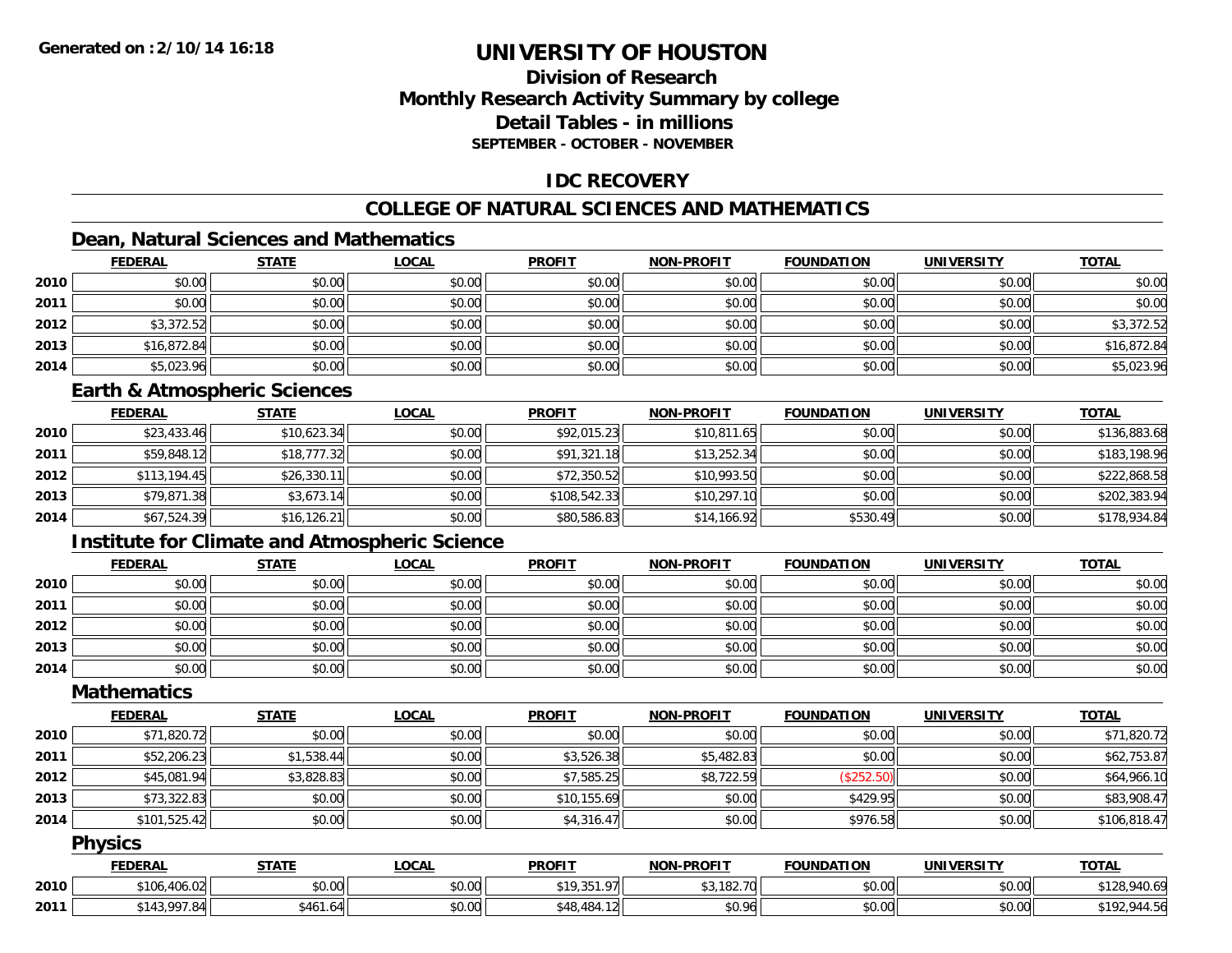## **Division of ResearchMonthly Research Activity Summary by college Detail Tables - in millionsSEPTEMBER - OCTOBER - NOVEMBER**

### **IDC RECOVERY**

## **COLLEGE OF NATURAL SCIENCES AND MATHEMATICS**

## **Dean, Natural Sciences and Mathematics**

|      | <b>FEDERAL</b> | <b>STATE</b> | <u>LOCAL</u> | <b>PROFIT</b> | <b>NON-PROFIT</b> | <b>FOUNDATION</b> | <b>UNIVERSITY</b> | <b>TOTAL</b> |
|------|----------------|--------------|--------------|---------------|-------------------|-------------------|-------------------|--------------|
| 2010 | \$0.00         | \$0.00       | \$0.00       | \$0.00        | \$0.00            | \$0.00            | \$0.00            | \$0.00       |
| 2011 | \$0.00         | \$0.00       | \$0.00       | \$0.00        | \$0.00            | \$0.00            | \$0.00            | \$0.00       |
| 2012 | \$3,372.52     | \$0.00       | \$0.00       | \$0.00        | \$0.00            | \$0.00            | \$0.00            | \$3,372.52   |
| 2013 | \$16,872.84    | \$0.00       | \$0.00       | \$0.00        | \$0.00            | \$0.00            | \$0.00            | \$16,872.84  |
| 2014 | \$5,023.96     | \$0.00       | \$0.00       | \$0.00        | \$0.00            | \$0.00            | \$0.00            | \$5,023.96   |

### **Earth & Atmospheric Sciences**

|      | <b>FEDERAL</b> | <u>STATE</u> | <b>LOCAL</b> | <b>PROFIT</b> | <b>NON-PROFIT</b> | <b>FOUNDATION</b> | <b>UNIVERSITY</b> | <b>TOTAL</b> |
|------|----------------|--------------|--------------|---------------|-------------------|-------------------|-------------------|--------------|
| 2010 | \$23,433.46    | \$10,623.34  | \$0.00       | \$92,015.23   | \$10,811.65       | \$0.00            | \$0.00            | \$136,883.68 |
| 2011 | \$59,848.12    | \$18,777.32  | \$0.00       | \$91,321.18   | \$13,252.34       | \$0.00            | \$0.00            | \$183,198.96 |
| 2012 | \$113,194.45   | \$26,330.11  | \$0.00       | \$72,350.52   | \$10,993.50       | \$0.00            | \$0.00            | \$222,868.58 |
| 2013 | \$79,871.38    | \$3,673.14   | \$0.00       | \$108,542.33  | \$10,297.10       | \$0.00            | \$0.00            | \$202,383.94 |
| 2014 | \$67,524.39    | \$16, 126.21 | \$0.00       | \$80,586.83   | \$14,166.92       | \$530.49          | \$0.00            | \$178,934.84 |

## **Institute for Climate and Atmospheric Science**

|      | <b>FEDERAL</b> | <b>STATE</b> | <u>LOCAL</u> | <b>PROFIT</b> | <b>NON-PROFIT</b> | <b>FOUNDATION</b> | <b>UNIVERSITY</b> | <b>TOTAL</b> |
|------|----------------|--------------|--------------|---------------|-------------------|-------------------|-------------------|--------------|
| 2010 | \$0.00         | \$0.00       | \$0.00       | \$0.00        | \$0.00            | \$0.00            | \$0.00            | \$0.00       |
| 2011 | \$0.00         | \$0.00       | \$0.00       | \$0.00        | \$0.00            | \$0.00            | \$0.00            | \$0.00       |
| 2012 | \$0.00         | \$0.00       | \$0.00       | \$0.00        | \$0.00            | \$0.00            | \$0.00            | \$0.00       |
| 2013 | \$0.00         | \$0.00       | \$0.00       | \$0.00        | \$0.00            | \$0.00            | \$0.00            | \$0.00       |
| 2014 | \$0.00         | \$0.00       | \$0.00       | \$0.00        | \$0.00            | \$0.00            | \$0.00            | \$0.00       |

#### **Mathematics**

|      | <b>FEDERAL</b> | <b>STATE</b> | <b>LOCAL</b> | <b>PROFIT</b> | <b>NON-PROFIT</b> | <b>FOUNDATION</b> | <b>UNIVERSITY</b> | <b>TOTAL</b> |
|------|----------------|--------------|--------------|---------------|-------------------|-------------------|-------------------|--------------|
| 2010 | \$71,820.72    | \$0.00       | \$0.00       | \$0.00        | \$0.00            | \$0.00            | \$0.00            | \$71,820.72  |
| 2011 | \$52,206.23    | \$1,538.44   | \$0.00       | \$3,526.38    | \$5,482.83        | \$0.00            | \$0.00            | \$62,753.87  |
| 2012 | \$45,081.94    | \$3,828.83   | \$0.00       | \$7,585.25    | \$8,722.59        | (\$252.50)        | \$0.00            | \$64,966.10  |
| 2013 | \$73,322.83    | \$0.00       | \$0.00       | \$10,155.69   | \$0.00            | \$429.95          | \$0.00            | \$83,908.47  |
| 2014 | \$101,525.42   | \$0.00       | \$0.00       | \$4,316.47    | \$0.00            | \$976.58          | \$0.00            | \$106,818.47 |

### **Physics**

|      | <b>FEDERAL</b>                | <b>STATE</b>   | LOCAL                 | <b>PROFIT</b>              | <b>NON-PROFIT</b> | <b>FOUNDATION</b> | <b>UNIVERSITY</b> | <b>TOTAL</b>                                 |
|------|-------------------------------|----------------|-----------------------|----------------------------|-------------------|-------------------|-------------------|----------------------------------------------|
| 2010 | 10102<br>\$106.4U<br>– ∪o.U∠l | \$0.00         | ¢Λ<br>$\cap$<br>PU.UU | *10 351 07    <br>,,,,,,,, | \$3,182.70        | \$0.00            | \$0.00            | $0.10 \times C$<br>A<br>' 940.o.<br>∵ن 20⊥ ا |
| 2011 | 0.112007<br>∵"0، ،<br>, נ+ט   | \$461.64<br>AA | \$0.00                | 1011<br>\$48.484           | \$0.96            | \$0.00            | \$0.00            | \$192.5<br>944                               |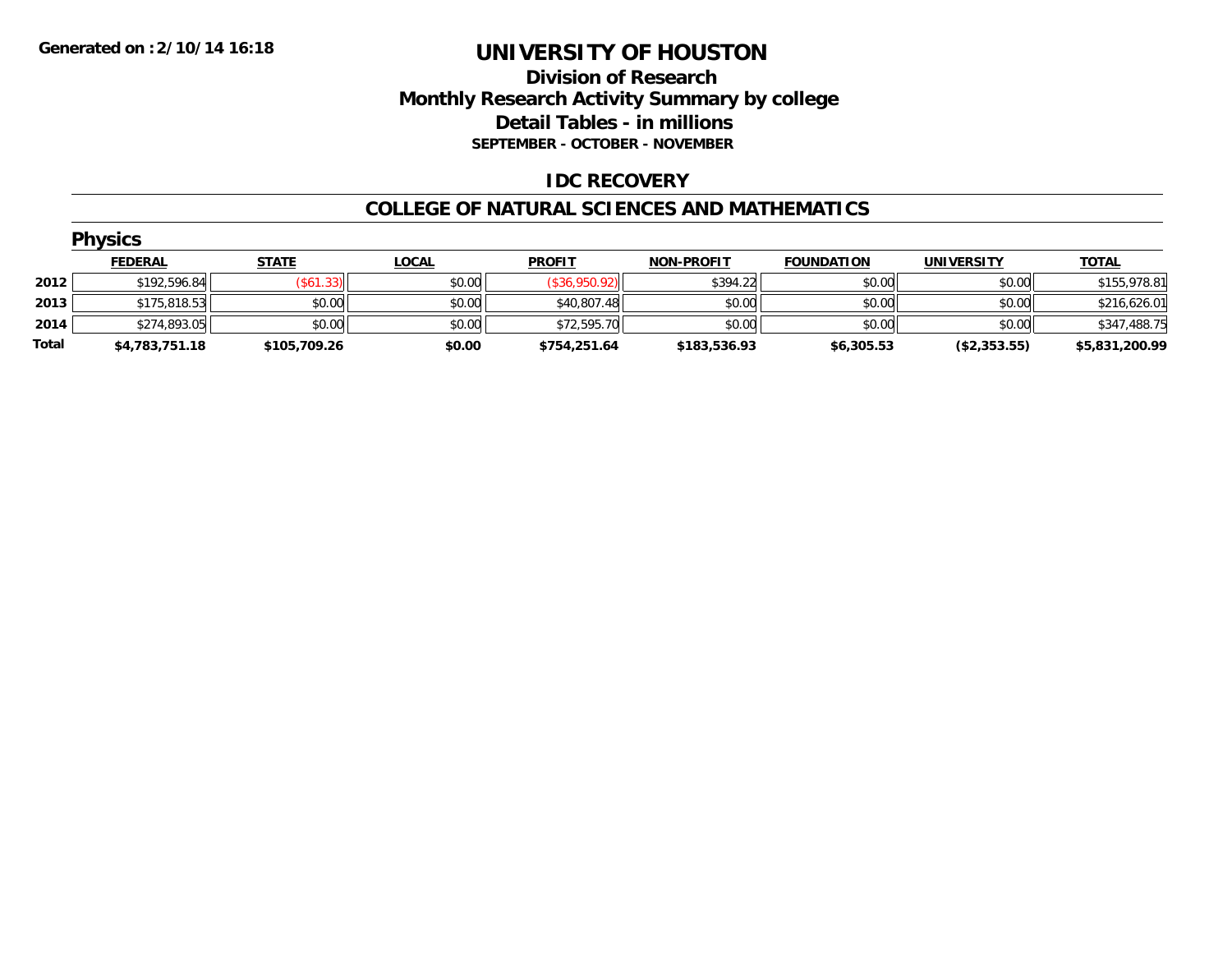### **Division of Research Monthly Research Activity Summary by college Detail Tables - in millions SEPTEMBER - OCTOBER - NOVEMBER**

### **IDC RECOVERY**

#### **COLLEGE OF NATURAL SCIENCES AND MATHEMATICS**

|       | <b>Physics</b> |                  |              |               |                   |                   |                   |                |  |  |  |
|-------|----------------|------------------|--------------|---------------|-------------------|-------------------|-------------------|----------------|--|--|--|
|       | <b>FEDERAL</b> | <b>STATE</b>     | <b>LOCAL</b> | <b>PROFIT</b> | <b>NON-PROFIT</b> | <b>FOUNDATION</b> | <b>UNIVERSITY</b> | <b>TOTAL</b>   |  |  |  |
| 2012  | \$192,596.84   | $($ \$61.33) $ $ | \$0.00       | (\$36,950.92) | \$394.22          | \$0.00            | \$0.00            | \$155,978.81   |  |  |  |
| 2013  | \$175,818.53   | \$0.00           | \$0.00       | \$40,807.48   | \$0.00            | \$0.00            | \$0.00            | \$216,626.01   |  |  |  |
| 2014  | \$274,893.05   | \$0.00           | \$0.00       | \$72,595.70   | \$0.00            | \$0.00            | \$0.00            | \$347,488.75   |  |  |  |
| Total | \$4,783,751.18 | \$105,709.26     | \$0.00       | \$754,251.64  | \$183,536.93      | \$6,305.53        | (\$2,353.55)      | \$5,831,200.99 |  |  |  |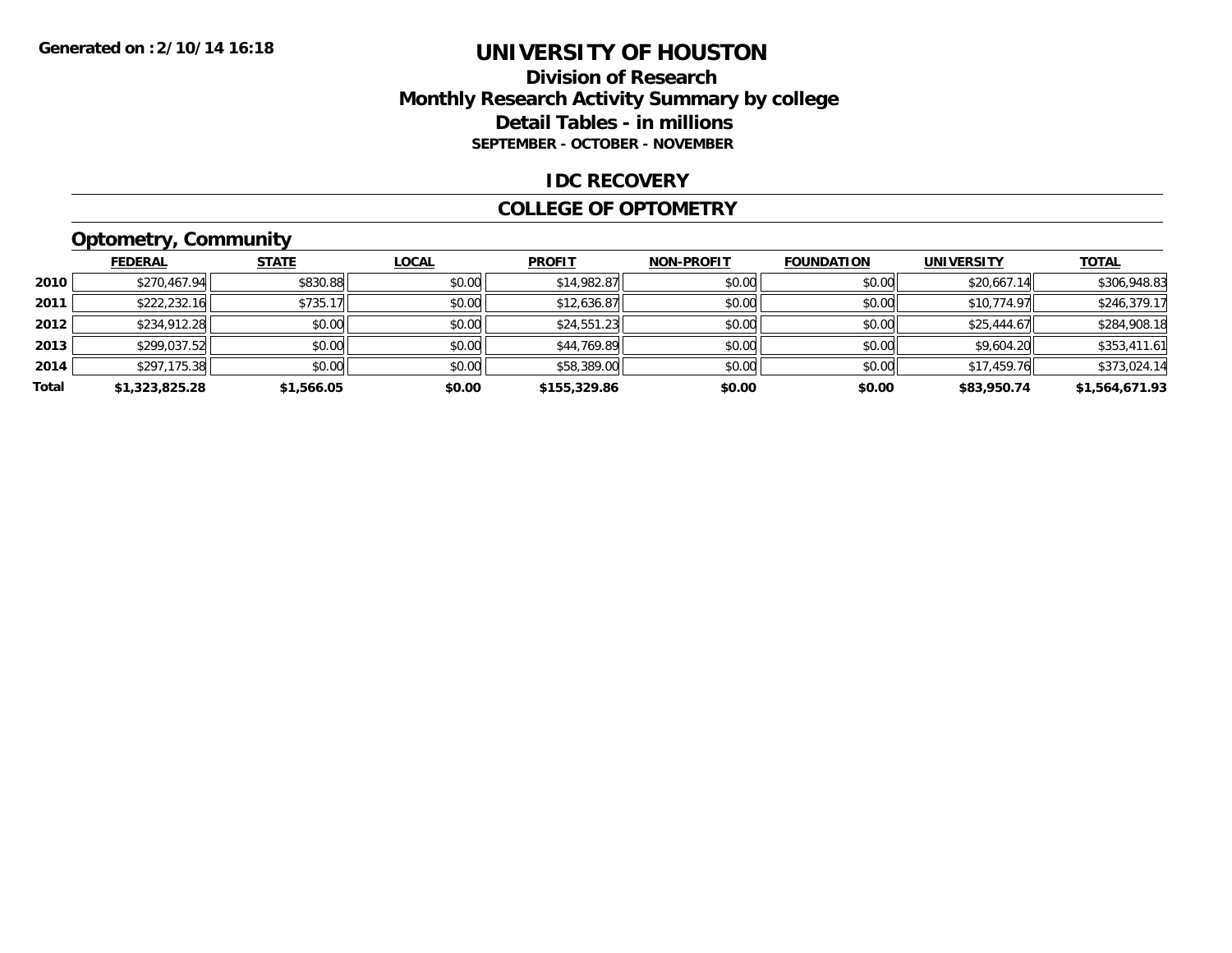### **Division of Research Monthly Research Activity Summary by college Detail Tables - in millions SEPTEMBER - OCTOBER - NOVEMBER**

#### **IDC RECOVERY**

#### **COLLEGE OF OPTOMETRY**

## **Optometry, Community**

|       | <b>FEDERAL</b> | <b>STATE</b> | <b>LOCAL</b> | <b>PROFIT</b> | <b>NON-PROFIT</b> | <b>FOUNDATION</b> | <b>UNIVERSITY</b> | <b>TOTAL</b>   |
|-------|----------------|--------------|--------------|---------------|-------------------|-------------------|-------------------|----------------|
| 2010  | \$270,467.94   | \$830.88     | \$0.00       | \$14,982.87   | \$0.00            | \$0.00            | \$20,667.14       | \$306,948.83   |
| 2011  | \$222,232.16   | \$735.17     | \$0.00       | \$12,636.87   | \$0.00            | \$0.00            | \$10,774.97       | \$246,379.17   |
| 2012  | \$234,912.28   | \$0.00       | \$0.00       | \$24,551.23   | \$0.00            | \$0.00            | \$25,444.67       | \$284,908.18   |
| 2013  | \$299,037.52   | \$0.00       | \$0.00       | \$44,769.89   | \$0.00            | \$0.00            | \$9,604.20        | \$353,411.61   |
| 2014  | \$297,175.38   | \$0.00       | \$0.00       | \$58,389.00   | \$0.00            | \$0.00            | \$17,459.76       | \$373,024.14   |
| Total | \$1,323,825.28 | \$1,566.05   | \$0.00       | \$155,329.86  | \$0.00            | \$0.00            | \$83,950.74       | \$1,564,671.93 |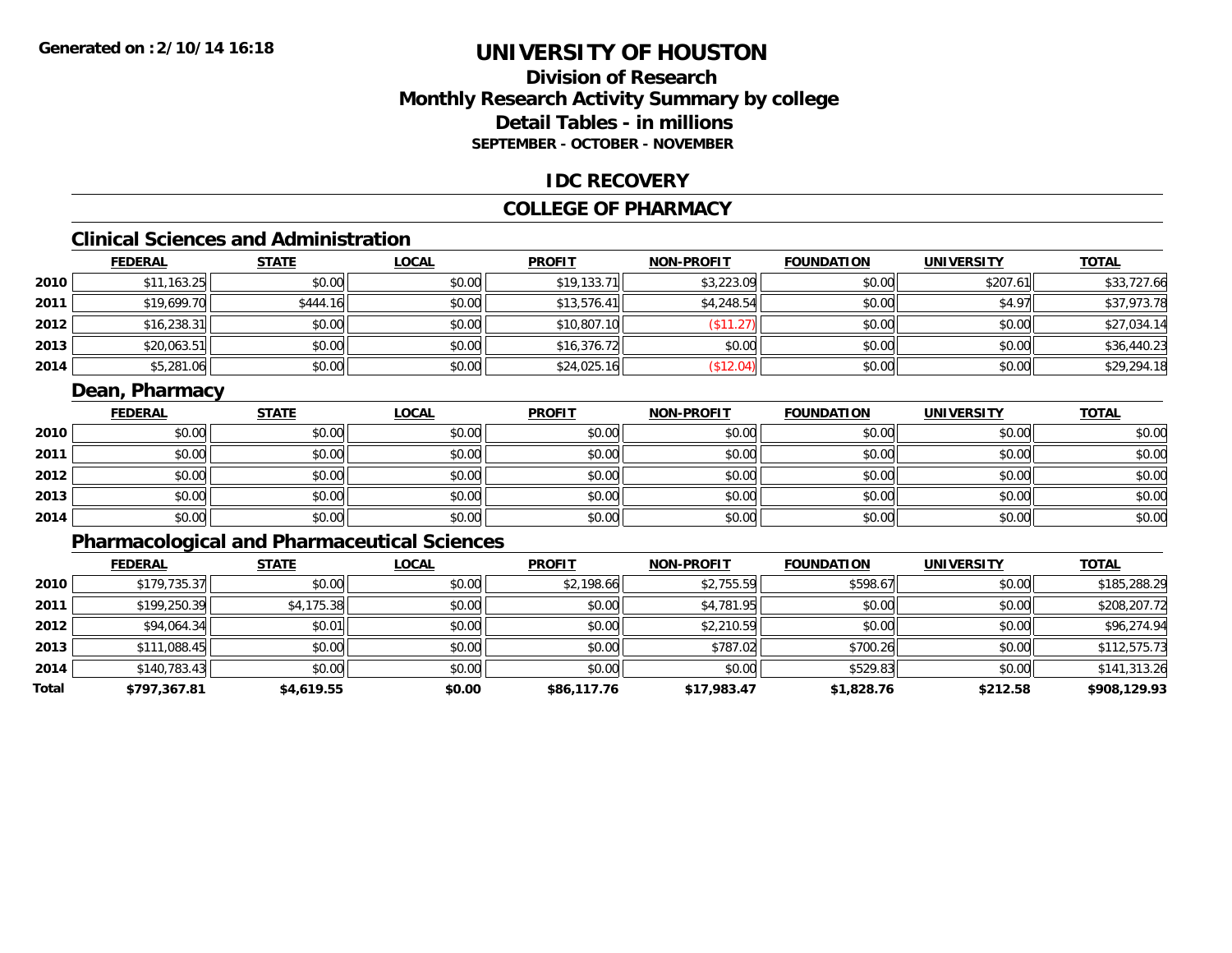## **Division of ResearchMonthly Research Activity Summary by college Detail Tables - in millions SEPTEMBER - OCTOBER - NOVEMBER**

### **IDC RECOVERY**

### **COLLEGE OF PHARMACY**

## **Clinical Sciences and Administration**

|      | <b>FEDERAL</b> | <b>STATE</b> | <u>LOCAL</u> | <b>PROFIT</b> | <b>NON-PROFIT</b> | <b>FOUNDATION</b> | <b>UNIVERSITY</b> | <b>TOTAL</b> |
|------|----------------|--------------|--------------|---------------|-------------------|-------------------|-------------------|--------------|
| 2010 | \$11,163.25    | \$0.00       | \$0.00       | \$19,133.71   | \$3,223.09        | \$0.00            | \$207.61          | \$33,727.66  |
| 2011 | \$19,699.70    | \$444.16     | \$0.00       | \$13,576.41   | \$4,248.54        | \$0.00            | \$4.97            | \$37,973.78  |
| 2012 | \$16,238.31    | \$0.00       | \$0.00       | \$10,807.10   | \$11.27           | \$0.00            | \$0.00            | \$27,034.14  |
| 2013 | \$20,063.51    | \$0.00       | \$0.00       | \$16,376.72   | \$0.00            | \$0.00            | \$0.00            | \$36,440.23  |
| 2014 | \$5,281.06     | \$0.00       | \$0.00       | \$24,025.16   | \$12.04]          | \$0.00            | \$0.00            | \$29,294.18  |

### **Dean, Pharmacy**

|      | <b>FEDERAL</b> | <b>STATE</b> | <b>LOCAL</b> | <b>PROFIT</b> | <b>NON-PROFIT</b> | <b>FOUNDATION</b> | <b>UNIVERSITY</b> | <b>TOTAL</b> |
|------|----------------|--------------|--------------|---------------|-------------------|-------------------|-------------------|--------------|
| 2010 | \$0.00         | \$0.00       | \$0.00       | \$0.00        | \$0.00            | \$0.00            | \$0.00            | \$0.00       |
| 2011 | \$0.00         | \$0.00       | \$0.00       | \$0.00        | \$0.00            | \$0.00            | \$0.00            | \$0.00       |
| 2012 | \$0.00         | \$0.00       | \$0.00       | \$0.00        | \$0.00            | \$0.00            | \$0.00            | \$0.00       |
| 2013 | \$0.00         | \$0.00       | \$0.00       | \$0.00        | \$0.00            | \$0.00            | \$0.00            | \$0.00       |
| 2014 | \$0.00         | \$0.00       | \$0.00       | \$0.00        | \$0.00            | \$0.00            | \$0.00            | \$0.00       |

## **Pharmacological and Pharmaceutical Sciences**

|       | <b>FEDERAL</b> | <b>STATE</b> | <b>LOCAL</b> | <b>PROFIT</b> | <b>NON-PROFIT</b> | <b>FOUNDATION</b> | <b>UNIVERSITY</b> | <b>TOTAL</b> |
|-------|----------------|--------------|--------------|---------------|-------------------|-------------------|-------------------|--------------|
| 2010  | \$179,735.37   | \$0.00       | \$0.00       | \$2,198.66    | \$2,755.59        | \$598.67          | \$0.00            | \$185,288.29 |
| 2011  | \$199,250.39   | \$4,175.38   | \$0.00       | \$0.00        | \$4,781.95        | \$0.00            | \$0.00            | \$208,207.72 |
| 2012  | \$94,064.34    | \$0.01       | \$0.00       | \$0.00        | \$2,210.59        | \$0.00            | \$0.00            | \$96,274.94  |
| 2013  | \$111,088.45   | \$0.00       | \$0.00       | \$0.00        | \$787.02          | \$700.26          | \$0.00            | \$112,575.73 |
| 2014  | \$140,783.43   | \$0.00       | \$0.00       | \$0.00        | \$0.00            | \$529.83          | \$0.00            | \$141,313.26 |
| Total | \$797,367.81   | \$4,619.55   | \$0.00       | \$86,117.76   | \$17,983.47       | \$1,828.76        | \$212.58          | \$908,129.93 |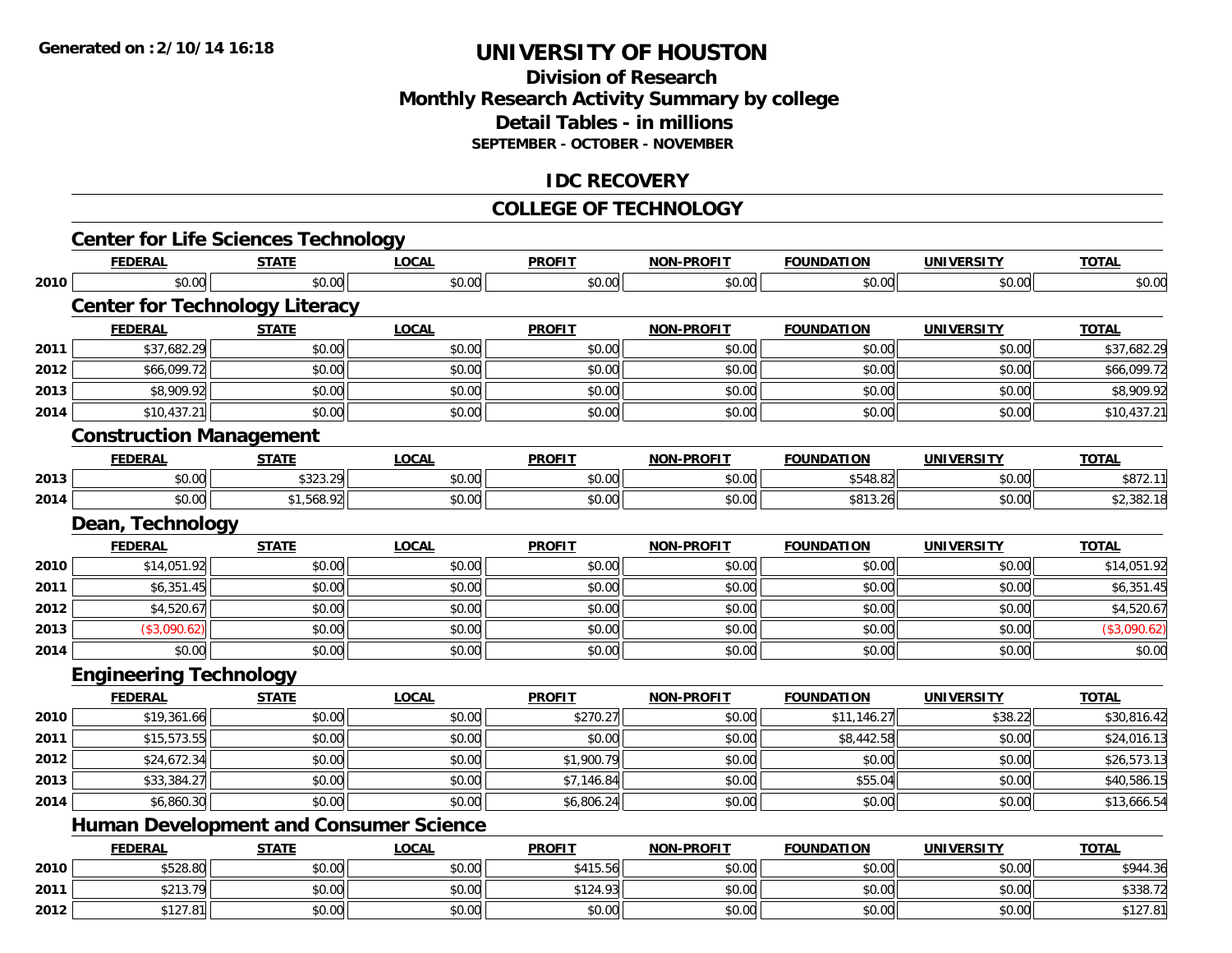## **Division of ResearchMonthly Research Activity Summary by college Detail Tables - in millions SEPTEMBER - OCTOBER - NOVEMBER**

### **IDC RECOVERY**

#### **COLLEGE OF TECHNOLOGY**

|      | <b>Center for Life Sciences Technology</b>    |              |              |               |                   |                   |                   |              |
|------|-----------------------------------------------|--------------|--------------|---------------|-------------------|-------------------|-------------------|--------------|
|      | <b>FEDERAL</b>                                | <b>STATE</b> | <b>LOCAL</b> | <b>PROFIT</b> | NON-PROFIT        | <b>FOUNDATION</b> | <b>UNIVERSITY</b> | <b>TOTAL</b> |
| 2010 | \$0.00                                        | \$0.00       | \$0.00       | \$0.00        | \$0.00            | \$0.00            | \$0.00            | \$0.00       |
|      | <b>Center for Technology Literacy</b>         |              |              |               |                   |                   |                   |              |
|      | <b>FEDERAL</b>                                | <b>STATE</b> | <b>LOCAL</b> | <b>PROFIT</b> | NON-PROFIT        | <b>FOUNDATION</b> | <b>UNIVERSITY</b> | <b>TOTAL</b> |
| 2011 | \$37,682.29                                   | \$0.00       | \$0.00       | \$0.00        | \$0.00            | \$0.00            | \$0.00            | \$37,682.29  |
| 2012 | \$66,099.72                                   | \$0.00       | \$0.00       | \$0.00        | \$0.00            | \$0.00            | \$0.00            | \$66,099.72  |
| 2013 | \$8,909.92                                    | \$0.00       | \$0.00       | \$0.00        | \$0.00            | \$0.00            | \$0.00            | \$8,909.92   |
| 2014 | \$10,437.21                                   | \$0.00       | \$0.00       | \$0.00        | \$0.00            | \$0.00            | \$0.00            | \$10,437.21  |
|      | <b>Construction Management</b>                |              |              |               |                   |                   |                   |              |
|      | <b>FEDERAL</b>                                | <b>STATE</b> | <b>LOCAL</b> | <b>PROFIT</b> | NON-PROFIT        | <b>FOUNDATION</b> | <b>UNIVERSITY</b> | <b>TOTAL</b> |
| 2013 | \$0.00                                        | \$323.29     | \$0.00       | \$0.00        | \$0.00            | \$548.82          | \$0.00            | \$872.11     |
| 2014 | \$0.00                                        | \$1,568.92   | \$0.00       | \$0.00        | \$0.00            | \$813.26          | \$0.00            | \$2,382.18   |
|      | Dean, Technology                              |              |              |               |                   |                   |                   |              |
|      | <b>FEDERAL</b>                                | <b>STATE</b> | <b>LOCAL</b> | <b>PROFIT</b> | NON-PROFIT        | <b>FOUNDATION</b> | <b>UNIVERSITY</b> | <b>TOTAL</b> |
| 2010 | \$14,051.92                                   | \$0.00       | \$0.00       | \$0.00        | \$0.00            | \$0.00            | \$0.00            | \$14,051.92  |
| 2011 | \$6,351.45                                    | \$0.00       | \$0.00       | \$0.00        | \$0.00            | \$0.00            | \$0.00            | \$6,351.45   |
| 2012 | \$4,520.67                                    | \$0.00       | \$0.00       | \$0.00        | \$0.00            | \$0.00            | \$0.00            | \$4,520.67   |
| 2013 | (\$3,090.62)                                  | \$0.00       | \$0.00       | \$0.00        | \$0.00            | \$0.00            | \$0.00            | (\$3,090.62) |
| 2014 | \$0.00                                        | \$0.00       | \$0.00       | \$0.00        | \$0.00            | \$0.00            | \$0.00            | \$0.00       |
|      | <b>Engineering Technology</b>                 |              |              |               |                   |                   |                   |              |
|      | <b>FEDERAL</b>                                | <b>STATE</b> | <b>LOCAL</b> | <b>PROFIT</b> | <b>NON-PROFIT</b> | <b>FOUNDATION</b> | <b>UNIVERSITY</b> | <b>TOTAL</b> |
| 2010 | \$19,361.66                                   | \$0.00       | \$0.00       | \$270.27      | \$0.00            | \$11,146.27       | \$38.22           | \$30,816.42  |
| 2011 | \$15,573.55                                   | \$0.00       | \$0.00       | \$0.00        | \$0.00            | \$8,442.58        | \$0.00            | \$24,016.13  |
| 2012 | \$24,672.34                                   | \$0.00       | \$0.00       | \$1,900.79    | \$0.00            | \$0.00            | \$0.00            | \$26,573.13  |
| 2013 | \$33,384.27                                   | \$0.00       | \$0.00       | \$7,146.84    | \$0.00            | \$55.04           | \$0.00            | \$40,586.15  |
| 2014 | \$6,860.30                                    | \$0.00       | \$0.00       | \$6,806.24    | \$0.00            | \$0.00            | \$0.00            | \$13,666.54  |
|      | <b>Human Development and Consumer Science</b> |              |              |               |                   |                   |                   |              |
|      | <b>FEDERAL</b>                                | <b>STATE</b> | <b>LOCAL</b> | <b>PROFIT</b> | NON-PROFIT        | <b>FOUNDATION</b> | <b>UNIVERSITY</b> | <b>TOTAL</b> |
| 2010 | \$528.80                                      | \$0.00       | \$0.00       | \$415.56      | \$0.00            | \$0.00            | \$0.00            | \$944.36     |
| 2011 | \$213.79                                      | \$0.00       | \$0.00       | \$124.93      | \$0.00            | \$0.00            | \$0.00            | \$338.72     |
| 2012 | \$127.81                                      | \$0.00       | \$0.00       | \$0.00        | \$0.00            | \$0.00            | \$0.00            | \$127.81     |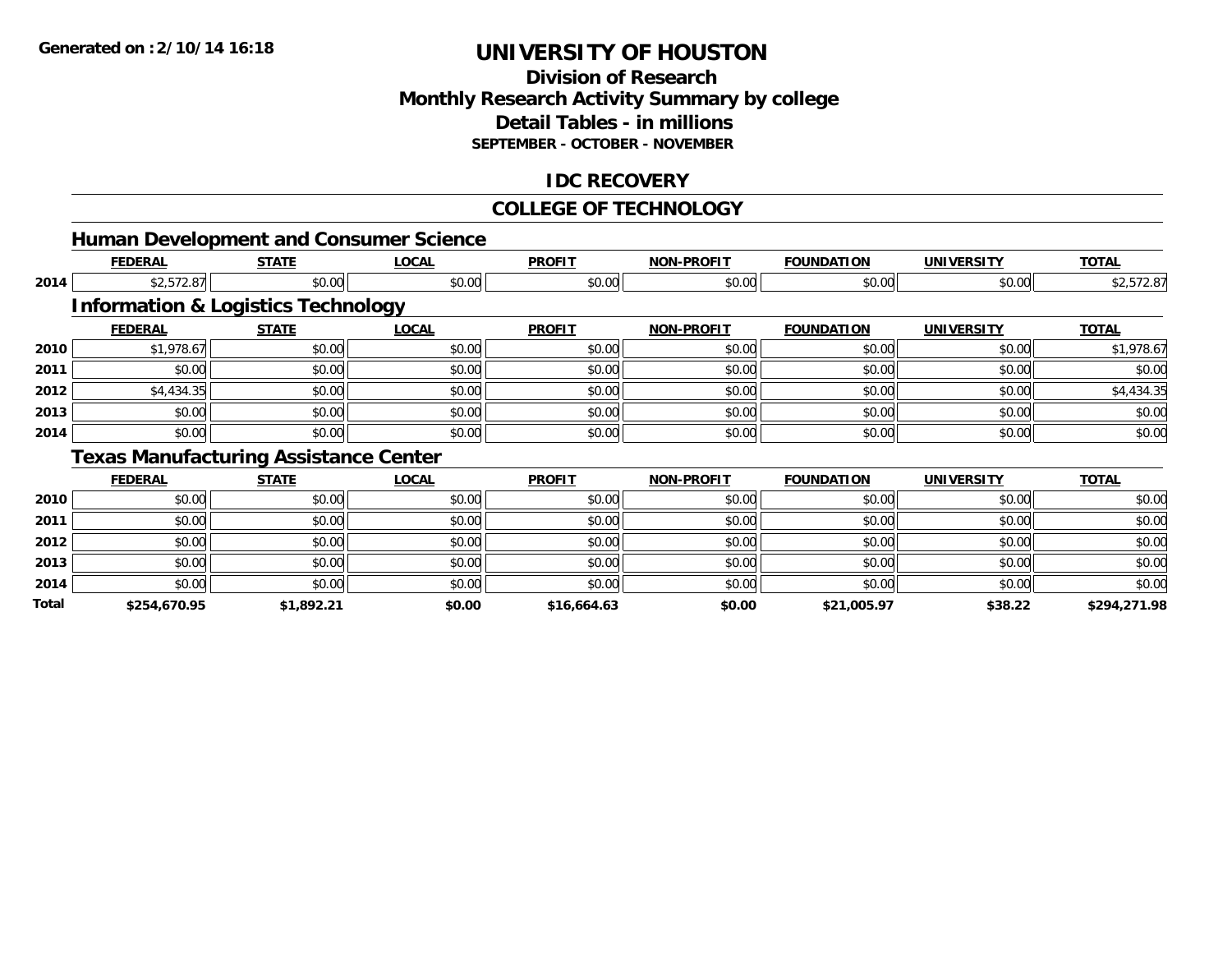## **Division of ResearchMonthly Research Activity Summary by college Detail Tables - in millions SEPTEMBER - OCTOBER - NOVEMBER**

### **IDC RECOVERY**

#### **COLLEGE OF TECHNOLOGY**

|       |                |                                               | <b>Human Development and Consumer Science</b> |               |                   |                   |                   |              |
|-------|----------------|-----------------------------------------------|-----------------------------------------------|---------------|-------------------|-------------------|-------------------|--------------|
|       | <b>FEDERAL</b> | <b>STATE</b>                                  | <b>LOCAL</b>                                  | <b>PROFIT</b> | <b>NON-PROFIT</b> | <b>FOUNDATION</b> | <b>UNIVERSITY</b> | <b>TOTAL</b> |
| 2014  | \$2,572.87     | \$0.00                                        | \$0.00                                        | \$0.00        | \$0.00            | \$0.00            | \$0.00            | \$2,572.87   |
|       |                | <b>Information &amp; Logistics Technology</b> |                                               |               |                   |                   |                   |              |
|       | <b>FEDERAL</b> | <b>STATE</b>                                  | <b>LOCAL</b>                                  | <b>PROFIT</b> | <b>NON-PROFIT</b> | <b>FOUNDATION</b> | <b>UNIVERSITY</b> | <b>TOTAL</b> |
| 2010  | \$1,978.67     | \$0.00                                        | \$0.00                                        | \$0.00        | \$0.00            | \$0.00            | \$0.00            | \$1,978.67   |
| 2011  | \$0.00         | \$0.00                                        | \$0.00                                        | \$0.00        | \$0.00            | \$0.00            | \$0.00            | \$0.00       |
| 2012  | \$4,434.35     | \$0.00                                        | \$0.00                                        | \$0.00        | \$0.00            | \$0.00            | \$0.00            | \$4,434.35   |
| 2013  | \$0.00         | \$0.00                                        | \$0.00                                        | \$0.00        | \$0.00            | \$0.00            | \$0.00            | \$0.00       |
| 2014  | \$0.00         | \$0.00                                        | \$0.00                                        | \$0.00        | \$0.00            | \$0.00            | \$0.00            | \$0.00       |
|       |                | <b>Texas Manufacturing Assistance Center</b>  |                                               |               |                   |                   |                   |              |
|       | <b>FEDERAL</b> | <b>STATE</b>                                  | <b>LOCAL</b>                                  | <b>PROFIT</b> | <b>NON-PROFIT</b> | <b>FOUNDATION</b> | <b>UNIVERSITY</b> | <b>TOTAL</b> |
| 2010  | \$0.00         | \$0.00                                        | \$0.00                                        | \$0.00        | \$0.00            | \$0.00            | \$0.00            | \$0.00       |
| 2011  | \$0.00         | \$0.00                                        | \$0.00                                        | \$0.00        | \$0.00            | \$0.00            | \$0.00            | \$0.00       |
| 2012  | \$0.00         | \$0.00                                        | \$0.00                                        | \$0.00        | \$0.00            | \$0.00            | \$0.00            | \$0.00       |
| 2013  | \$0.00         | \$0.00                                        | \$0.00                                        | \$0.00        | \$0.00            | \$0.00            | \$0.00            | \$0.00       |
| 2014  | \$0.00         | \$0.00                                        | \$0.00                                        | \$0.00        | \$0.00            | \$0.00            | \$0.00            | \$0.00       |
| Total | \$254,670.95   | \$1,892.21                                    | \$0.00                                        | \$16,664.63   | \$0.00            | \$21,005.97       | \$38.22           | \$294,271.98 |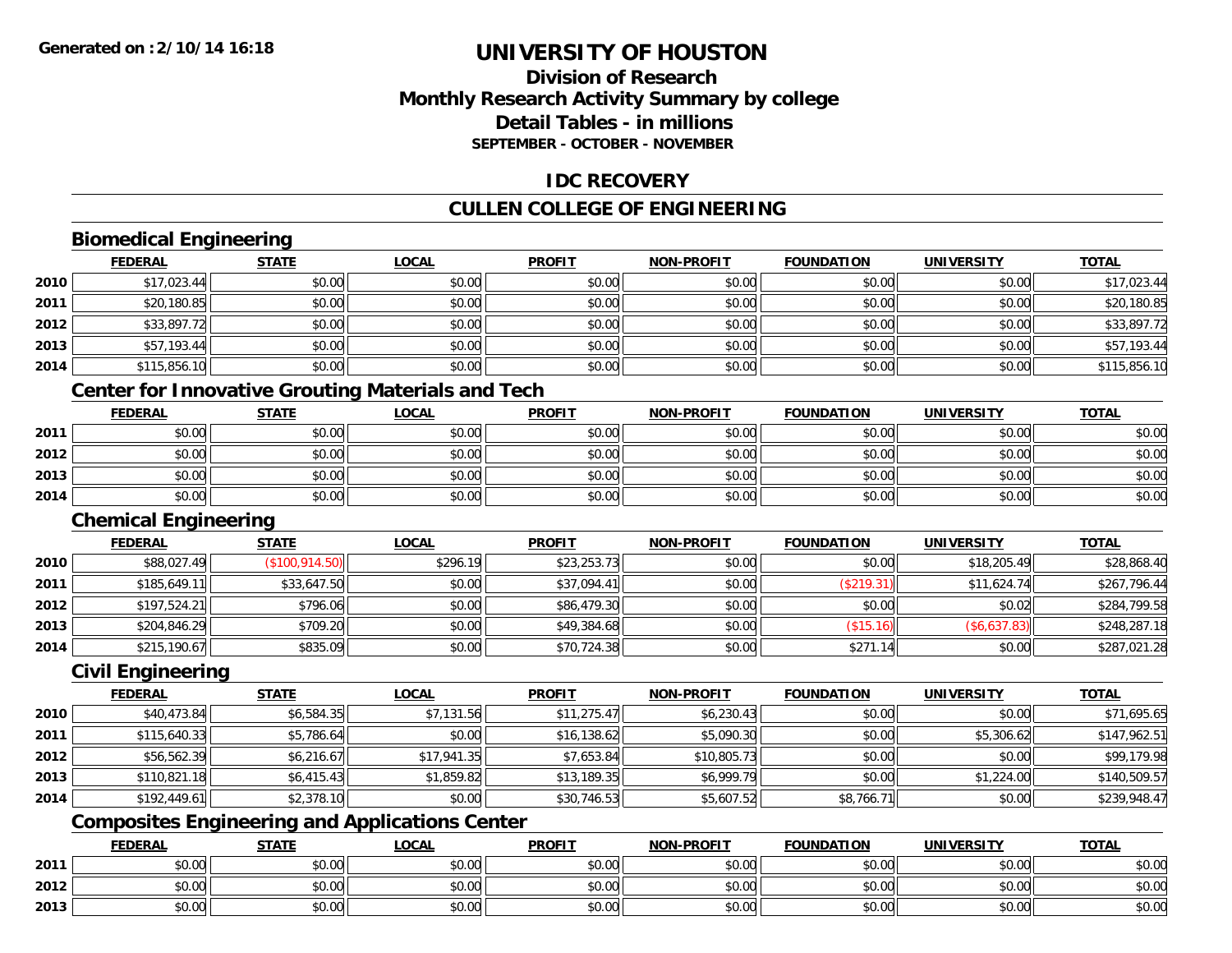### **Division of ResearchMonthly Research Activity Summary by college Detail Tables - in millionsSEPTEMBER - OCTOBER - NOVEMBER**

### **IDC RECOVERY**

## **CULLEN COLLEGE OF ENGINEERING**

## **Biomedical Engineering**

| \$17,023.44  |
|--------------|
|              |
| \$20,180.85  |
| \$33,897.72  |
| \$57,193.44  |
| \$115,856.10 |
|              |

#### **Center for Innovative Grouting Materials and Tech**

|      | <b>FEDERAL</b> | <b>STATE</b> | <u>LOCAL</u> | <b>PROFIT</b> | <b>NON-PROFIT</b> | <b>FOUNDATION</b> | UNIVERSITY | <b>TOTAL</b> |
|------|----------------|--------------|--------------|---------------|-------------------|-------------------|------------|--------------|
| 2011 | \$0.00         | \$0.00       | \$0.00       | \$0.00        | \$0.00            | \$0.00            | \$0.00     | \$0.00       |
| 2012 | \$0.00         | \$0.00       | \$0.00       | \$0.00        | \$0.00            | \$0.00            | \$0.00     | \$0.00       |
| 2013 | \$0.00         | \$0.00       | \$0.00       | \$0.00        | \$0.00            | \$0.00            | \$0.00     | \$0.00       |
| 2014 | \$0.00         | \$0.00       | \$0.00       | \$0.00        | \$0.00            | \$0.00            | \$0.00     | \$0.00       |

#### **Chemical Engineering**

|      | <b>FEDERAL</b> | <b>STATE</b>   | <b>LOCAL</b> | <b>PROFIT</b> | <b>NON-PROFIT</b> | <b>FOUNDATION</b> | <b>UNIVERSITY</b> | <b>TOTAL</b> |
|------|----------------|----------------|--------------|---------------|-------------------|-------------------|-------------------|--------------|
| 2010 | \$88,027.49    | (\$100,914.50) | \$296.19     | \$23,253.73   | \$0.00            | \$0.00            | \$18,205.49       | \$28,868.40  |
| 2011 | \$185,649.11   | \$33,647.50    | \$0.00       | \$37,094.41   | \$0.00            | (\$219.31)        | \$11,624.74       | \$267,796.44 |
| 2012 | \$197,524.21   | \$796.06       | \$0.00       | \$86,479.30   | \$0.00            | \$0.00            | \$0.02            | \$284,799.58 |
| 2013 | \$204,846.29   | \$709.20       | \$0.00       | \$49,384.68   | \$0.00            | $($ \$15.16) $  $ | (\$6,637.83)      | \$248,287.18 |
| 2014 | \$215,190.67   | \$835.09       | \$0.00       | \$70,724.38   | \$0.00            | \$271.14          | \$0.00            | \$287,021.28 |

#### **Civil Engineering**

|      | <b>FEDERAL</b> | <b>STATE</b> | <b>LOCAL</b> | <b>PROFIT</b> | <b>NON-PROFIT</b> | <b>FOUNDATION</b> | <b>UNIVERSITY</b> | <b>TOTAL</b> |
|------|----------------|--------------|--------------|---------------|-------------------|-------------------|-------------------|--------------|
| 2010 | \$40,473.84    | \$6,584.35   | \$7,131.56   | \$11,275.47   | \$6,230.43        | \$0.00            | \$0.00            | \$71,695.65  |
| 2011 | \$115,640.33   | \$5,786.64   | \$0.00       | \$16,138.62   | \$5,090.30        | \$0.00            | \$5,306.62        | \$147,962.51 |
| 2012 | \$56,562.39    | \$6,216.67   | \$17,941.35  | \$7,653.84    | \$10,805.73       | \$0.00            | \$0.00            | \$99,179.98  |
| 2013 | \$110,821.18   | \$6,415.43   | \$1,859.82   | \$13,189.35   | \$6,999.79        | \$0.00            | \$1,224.00        | \$140,509.57 |
| 2014 | \$192.449.61   | \$2,378.10   | \$0.00       | \$30,746.53   | \$5,607.52        | \$8,766.71        | \$0.00            | \$239,948.47 |

## **Composites Engineering and Applications Center**

|      | <b>FEDERAL</b>  | <b>STATE</b> | LOCAL          | <b>PROFIT</b> | <b>NON-PROFIT</b> | <b>FOUNDATION</b> | <b>UNIVERSITY</b> | <b>TOTAL</b> |
|------|-----------------|--------------|----------------|---------------|-------------------|-------------------|-------------------|--------------|
| 2011 | 0.00<br>vu.uu   | \$0.00       | \$0.00         | \$0.00        | \$0.00            | \$0.00            | \$0.00            | \$0.00       |
| 2012 | $\sim$<br>JU.UU | \$0.00       | 0000<br>\$U.UU | \$0.00        | \$0.00            | \$0.00            | \$0.00            | \$0.00       |
| 2013 | 0.00<br>DU.UG   | \$0.00       | \$0.00         | \$0.00        | \$0.00            | \$0.00            | \$0.00            | \$0.00       |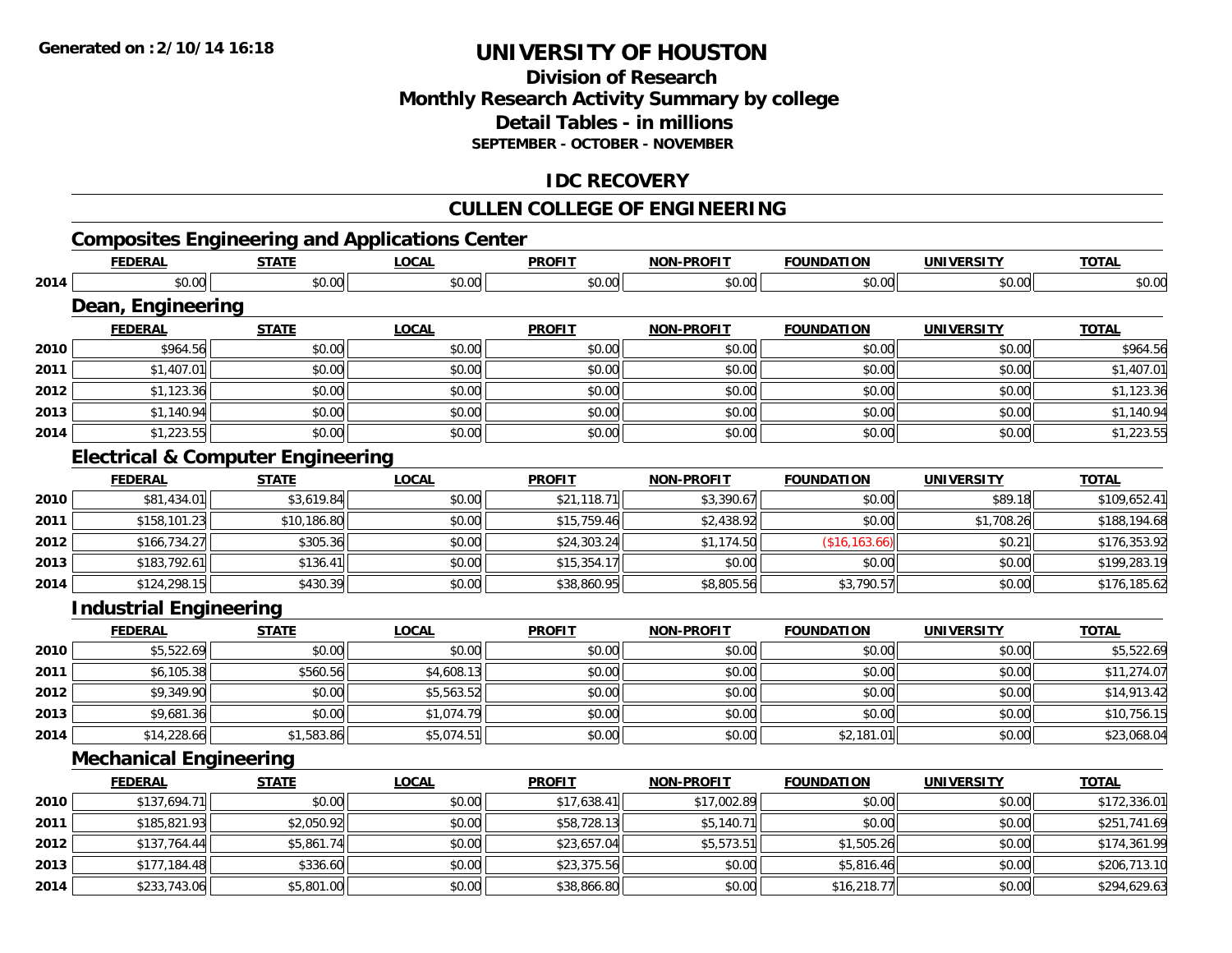### **Division of Research Monthly Research Activity Summary by college Detail Tables - in millions SEPTEMBER - OCTOBER - NOVEMBER**

### **IDC RECOVERY**

## **CULLEN COLLEGE OF ENGINEERING**

## **Composites Engineering and Applications Center**

|      | <b>FEDERAL</b>                               | <b>STATE</b> | <b>LOCAL</b> | <b>PROFIT</b> | <b>NON-PROFIT</b> | <b>FOUNDATION</b> | <b>UNIVERSITY</b> | <b>TOTAL</b> |
|------|----------------------------------------------|--------------|--------------|---------------|-------------------|-------------------|-------------------|--------------|
| 2014 | \$0.00                                       | \$0.00       | \$0.00       | \$0.00        | \$0.00            | \$0.00            | \$0.00            | \$0.00       |
|      | Dean, Engineering                            |              |              |               |                   |                   |                   |              |
|      | <b>FEDERAL</b>                               | <b>STATE</b> | <b>LOCAL</b> | <b>PROFIT</b> | <b>NON-PROFIT</b> | <b>FOUNDATION</b> | <b>UNIVERSITY</b> | <b>TOTAL</b> |
| 2010 | \$964.56                                     | \$0.00       | \$0.00       | \$0.00        | \$0.00            | \$0.00            | \$0.00            | \$964.56     |
| 2011 | \$1,407.01                                   | \$0.00       | \$0.00       | \$0.00        | \$0.00            | \$0.00            | \$0.00            | \$1,407.01   |
| 2012 | \$1,123.36                                   | \$0.00       | \$0.00       | \$0.00        | \$0.00            | \$0.00            | \$0.00            | \$1,123.36   |
| 2013 | \$1,140.94                                   | \$0.00       | \$0.00       | \$0.00        | \$0.00            | \$0.00            | \$0.00            | \$1,140.94   |
| 2014 | \$1,223.55                                   | \$0.00       | \$0.00       | \$0.00        | \$0.00            | \$0.00            | \$0.00            | \$1,223.55   |
|      | <b>Electrical &amp; Computer Engineering</b> |              |              |               |                   |                   |                   |              |
|      | <b>FEDERAL</b>                               | <b>STATE</b> | <b>LOCAL</b> | <b>PROFIT</b> | <b>NON-PROFIT</b> | <b>FOUNDATION</b> | <b>UNIVERSITY</b> | <b>TOTAL</b> |
| 2010 | \$81,434.01                                  | \$3,619.84   | \$0.00       | \$21,118.71   | \$3,390.67        | \$0.00            | \$89.18           | \$109,652.41 |
| 2011 | \$158,101.23                                 | \$10,186.80  | \$0.00       | \$15,759.46   | \$2,438.92        | \$0.00            | \$1,708.26        | \$188,194.68 |
| 2012 | \$166,734.27                                 | \$305.36     | \$0.00       | \$24,303.24   | \$1,174.50        | (\$16, 163.66)    | \$0.21            | \$176,353.92 |
| 2013 | \$183,792.61                                 | \$136.41     | \$0.00       | \$15,354.17   | \$0.00            | \$0.00            | \$0.00            | \$199,283.19 |
| 2014 | \$124,298.15                                 | \$430.39     | \$0.00       | \$38,860.95   | \$8,805.56        | \$3,790.57        | \$0.00            | \$176,185.62 |
|      | <b>Industrial Engineering</b>                |              |              |               |                   |                   |                   |              |
|      | <b>FEDERAL</b>                               | <b>STATE</b> | <b>LOCAL</b> | <b>PROFIT</b> | <b>NON-PROFIT</b> | <b>FOUNDATION</b> | <b>UNIVERSITY</b> | <b>TOTAL</b> |
| 2010 | \$5,522.69                                   | \$0.00       | \$0.00       | \$0.00        | \$0.00            | \$0.00            | \$0.00            | \$5,522.69   |
| 2011 | \$6,105.38                                   | \$560.56     | \$4,608.13   | \$0.00        | \$0.00            | \$0.00            | \$0.00            | \$11,274.07  |
| 2012 | \$9,349.90                                   | \$0.00       | \$5,563.52   | \$0.00        | \$0.00            | \$0.00            | \$0.00            | \$14,913.42  |
| 2013 | \$9,681.36                                   | \$0.00       | \$1,074.79   | \$0.00        | \$0.00            | \$0.00            | \$0.00            | \$10,756.15  |
| 2014 | \$14,228.66                                  | \$1,583.86   | \$5,074.51   | \$0.00        | \$0.00            | \$2,181.01        | \$0.00            | \$23,068.04  |
|      | <b>Mechanical Engineering</b>                |              |              |               |                   |                   |                   |              |
|      | <b>FEDERAL</b>                               | <b>STATE</b> | <b>LOCAL</b> | <b>PROFIT</b> | <b>NON-PROFIT</b> | <b>FOUNDATION</b> | <b>UNIVERSITY</b> | <b>TOTAL</b> |
| 2010 | \$137,694.71                                 | \$0.00       | \$0.00       | \$17,638.41   | \$17,002.89       | \$0.00            | \$0.00            | \$172,336.01 |
| 2011 | \$185,821.93                                 | \$2,050.92   | \$0.00       | \$58,728.13   | \$5,140.71        | \$0.00            | \$0.00            | \$251,741.69 |
| 2012 | \$137,764.44                                 | \$5,861.74   | \$0.00       | \$23,657.04   | \$5,573.51        | \$1,505.26        | \$0.00            | \$174,361.99 |
| 2013 | \$177,184.48                                 | \$336.60     | \$0.00       | \$23,375.56   | \$0.00            | \$5,816.46        | \$0.00            | \$206,713.10 |
| 2014 | \$233,743.06                                 | \$5,801.00   | \$0.00       | \$38,866.80   | \$0.00            | \$16,218.77       | \$0.00            | \$294,629.63 |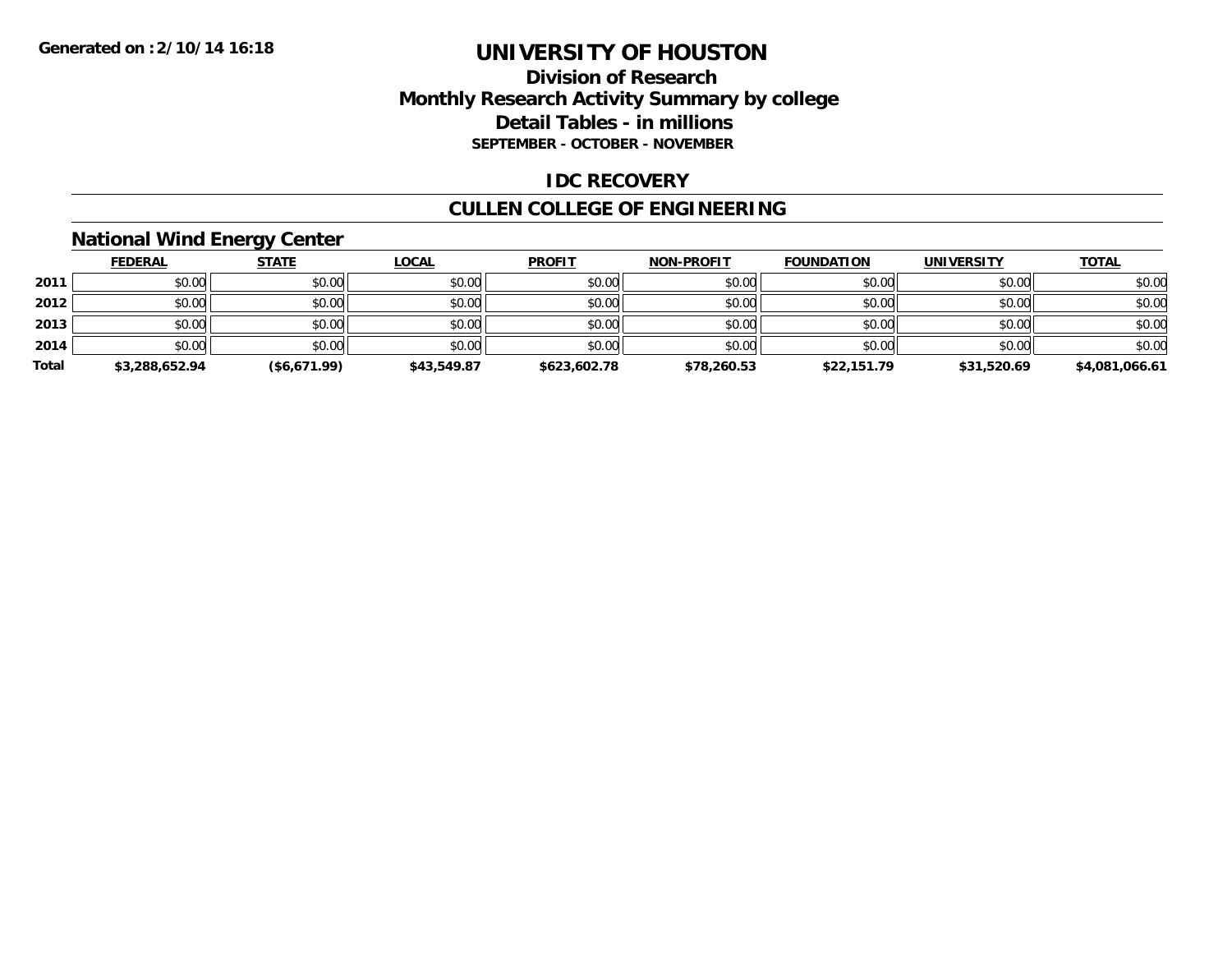### **Division of Research Monthly Research Activity Summary by college Detail Tables - in millions SEPTEMBER - OCTOBER - NOVEMBER**

### **IDC RECOVERY**

## **CULLEN COLLEGE OF ENGINEERING**

## **National Wind Energy Center**

|       | <b>FEDERAL</b> | <b>STATE</b> | <b>LOCAL</b> | <b>PROFIT</b> | <b>NON-PROFIT</b> | <b>FOUNDATION</b> | <b>UNIVERSITY</b> | <b>TOTAL</b>   |
|-------|----------------|--------------|--------------|---------------|-------------------|-------------------|-------------------|----------------|
| 2011  | \$0.00         | \$0.00       | \$0.00       | \$0.00        | \$0.00            | \$0.00            | \$0.00            | \$0.00         |
| 2012  | \$0.00         | \$0.00       | \$0.00       | \$0.00        | \$0.00            | \$0.00            | \$0.00            | \$0.00         |
| 2013  | \$0.00         | \$0.00       | \$0.00       | \$0.00        | \$0.00            | \$0.00            | \$0.00            | \$0.00         |
| 2014  | \$0.00         | \$0.00       | \$0.00       | \$0.00        | \$0.00            | \$0.00            | \$0.00            | \$0.00         |
| Total | \$3,288,652.94 | (\$6,671.99) | \$43,549.87  | \$623,602.78  | \$78,260.53       | \$22,151.79       | \$31,520.69       | \$4,081,066.61 |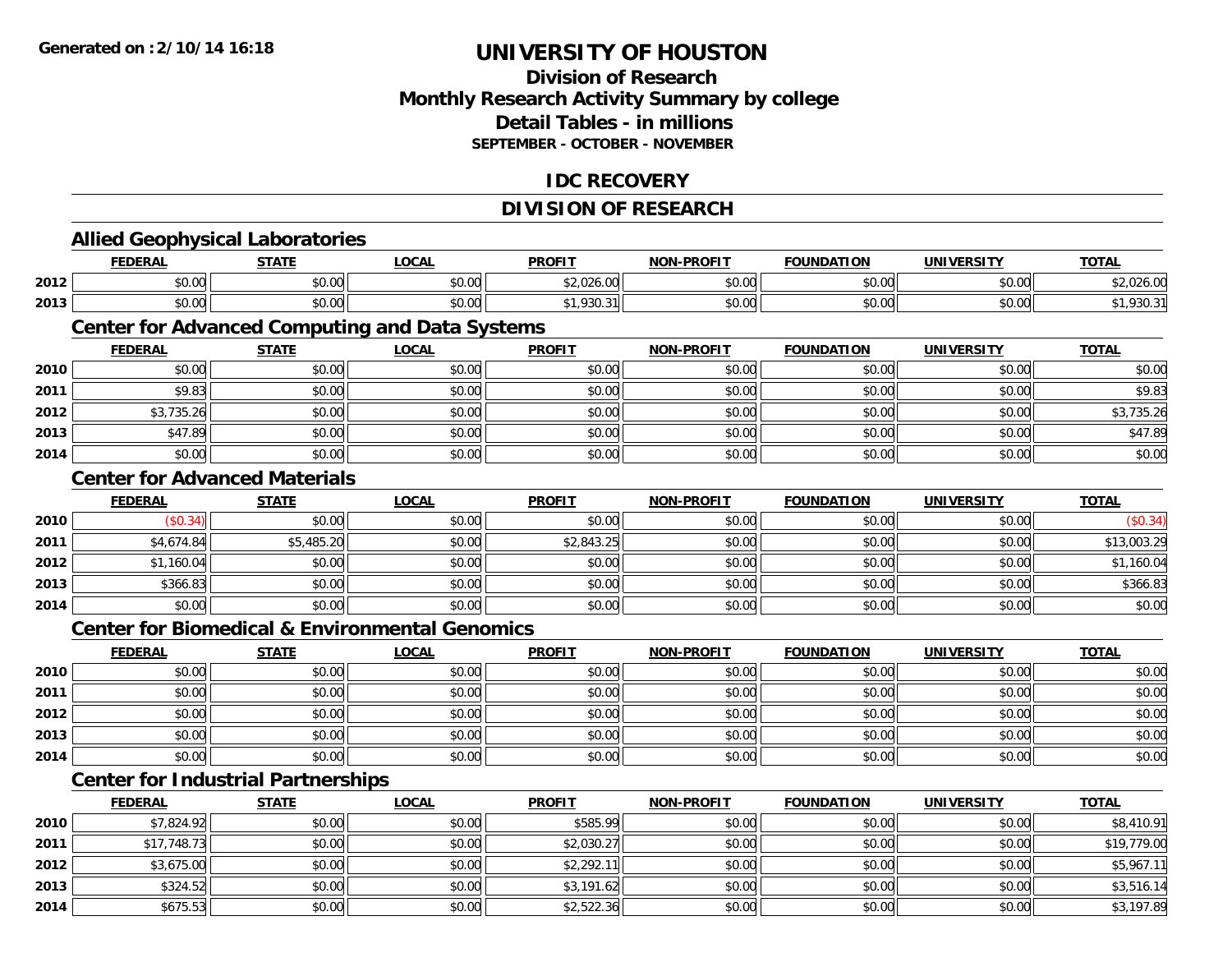**2012**

**2013**

**2014**

## **UNIVERSITY OF HOUSTON**

### **Division of ResearchMonthly Research Activity Summary by college Detail Tables - in millions SEPTEMBER - OCTOBER - NOVEMBER**

#### **IDC RECOVERY**

### **DIVISION OF RESEARCH**

|      |                | <b>Allied Geophysical Laboratories</b>    |                                                           |               |                   |                   |                   |              |
|------|----------------|-------------------------------------------|-----------------------------------------------------------|---------------|-------------------|-------------------|-------------------|--------------|
|      | <b>FEDERAL</b> | <b>STATE</b>                              | <b>LOCAL</b>                                              | <b>PROFIT</b> | <b>NON-PROFIT</b> | <b>FOUNDATION</b> | <b>UNIVERSITY</b> | <b>TOTAL</b> |
| 2012 | \$0.00         | \$0.00                                    | \$0.00                                                    | \$2,026.00    | \$0.00            | \$0.00            | \$0.00            | \$2,026.00   |
| 2013 | \$0.00         | \$0.00                                    | \$0.00                                                    | \$1,930.31    | \$0.00            | \$0.00            | \$0.00            | \$1,930.31   |
|      |                |                                           | <b>Center for Advanced Computing and Data Systems</b>     |               |                   |                   |                   |              |
|      | <b>FEDERAL</b> | <b>STATE</b>                              | <b>LOCAL</b>                                              | <b>PROFIT</b> | <b>NON-PROFIT</b> | <b>FOUNDATION</b> | <b>UNIVERSITY</b> | <b>TOTAL</b> |
| 2010 | \$0.00         | \$0.00                                    | \$0.00                                                    | \$0.00        | \$0.00            | \$0.00            | \$0.00            | \$0.00       |
| 2011 | \$9.83         | \$0.00                                    | \$0.00                                                    | \$0.00        | \$0.00            | \$0.00            | \$0.00            | \$9.83       |
| 2012 | \$3,735.26     | \$0.00                                    | \$0.00                                                    | \$0.00        | \$0.00            | \$0.00            | \$0.00            | \$3,735.26   |
| 2013 | \$47.89        | \$0.00                                    | \$0.00                                                    | \$0.00        | \$0.00            | \$0.00            | \$0.00            | \$47.89      |
| 2014 | \$0.00         | \$0.00                                    | \$0.00                                                    | \$0.00        | \$0.00            | \$0.00            | \$0.00            | \$0.00       |
|      |                | <b>Center for Advanced Materials</b>      |                                                           |               |                   |                   |                   |              |
|      | <b>FEDERAL</b> | <b>STATE</b>                              | <b>LOCAL</b>                                              | <b>PROFIT</b> | <b>NON-PROFIT</b> | <b>FOUNDATION</b> | <b>UNIVERSITY</b> | <b>TOTAL</b> |
| 2010 | (\$0.34)       | \$0.00                                    | \$0.00                                                    | \$0.00        | \$0.00            | \$0.00            | \$0.00            | (\$0.34)     |
| 2011 | \$4,674.84     | \$5,485.20                                | \$0.00                                                    | \$2,843.25    | \$0.00            | \$0.00            | \$0.00            | \$13,003.29  |
| 2012 | \$1,160.04     | \$0.00                                    | \$0.00                                                    | \$0.00        | \$0.00            | \$0.00            | \$0.00            | \$1,160.04   |
| 2013 | \$366.83       | \$0.00                                    | \$0.00                                                    | \$0.00        | \$0.00            | \$0.00            | \$0.00            | \$366.83     |
| 2014 | \$0.00         | \$0.00                                    | \$0.00                                                    | \$0.00        | \$0.00            | \$0.00            | \$0.00            | \$0.00       |
|      |                |                                           | <b>Center for Biomedical &amp; Environmental Genomics</b> |               |                   |                   |                   |              |
|      | <b>FEDERAL</b> | <b>STATE</b>                              | <b>LOCAL</b>                                              | <b>PROFIT</b> | <b>NON-PROFIT</b> | <b>FOUNDATION</b> | <b>UNIVERSITY</b> | <b>TOTAL</b> |
| 2010 | \$0.00         | \$0.00                                    | \$0.00                                                    | \$0.00        | \$0.00            | \$0.00            | \$0.00            | \$0.00       |
| 2011 | \$0.00         | \$0.00                                    | \$0.00                                                    | \$0.00        | \$0.00            | \$0.00            | \$0.00            | \$0.00       |
| 2012 | \$0.00         | \$0.00                                    | \$0.00                                                    | \$0.00        | \$0.00            | \$0.00            | \$0.00            | \$0.00       |
| 2013 | \$0.00         | \$0.00                                    | \$0.00                                                    | \$0.00        | \$0.00            | \$0.00            | \$0.00            | \$0.00       |
| 2014 | \$0.00         | \$0.00                                    | \$0.00                                                    | \$0.00        | \$0.00            | \$0.00            | \$0.00            | \$0.00       |
|      |                | <b>Center for Industrial Partnerships</b> |                                                           |               |                   |                   |                   |              |
|      | <b>FEDERAL</b> | <b>STATE</b>                              | <b>LOCAL</b>                                              | <b>PROFIT</b> | NON-PROFIT        | <b>FOUNDATION</b> | <b>UNIVERSITY</b> | <b>TOTAL</b> |
| 2010 | \$7,824.92     | \$0.00                                    | \$0.00                                                    | \$585.99      | \$0.00            | \$0.00            | \$0.00            | \$8,410.91   |
| 2011 | \$17,748.73    | \$0.00                                    | \$0.00                                                    | \$2,030.27    | \$0.00            | \$0.00            | \$0.00            | \$19,779.00  |

2 | \$3,675.00| \$0.00| \$0.00| \$0.00| \$0.00| \$2,292.11|| \$0.00| \$0.00| \$0.00| \$0.00| \$0.00| \$5,967.11

\$324.52 \$0.00 \$0.00 \$3,191.62 \$0.00 \$0.00 \$0.00 \$3,516.14

4 \$675.53 || \$0.00 \$0.00 \$0.00 \$0.00 \$0.00 \$2,522.36 \$0.00 \$0.00 \$0.00 \$0.00 \$0.00 \$3,197.89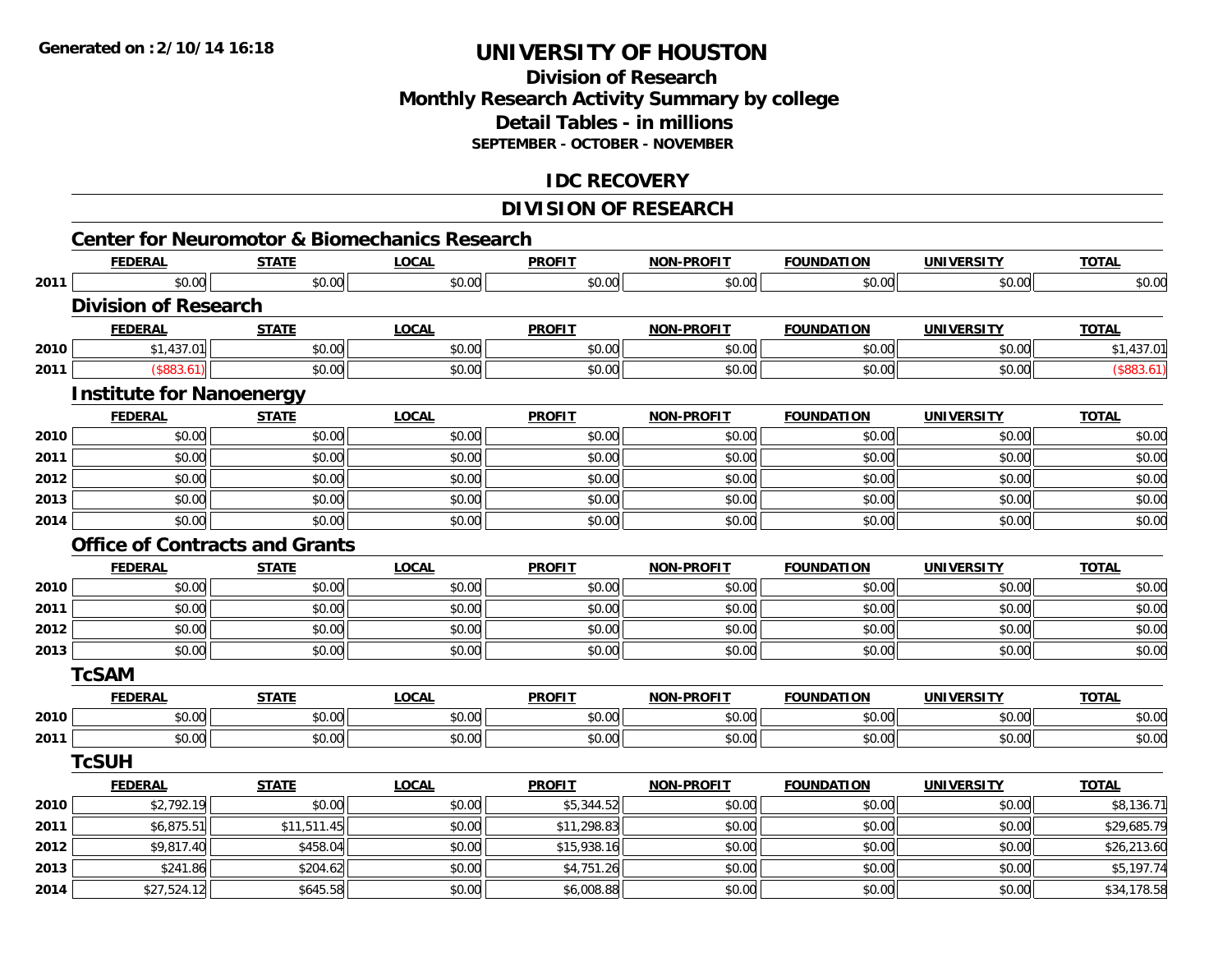### **Division of ResearchMonthly Research Activity Summary by college Detail Tables - in millions SEPTEMBER - OCTOBER - NOVEMBER**

### **IDC RECOVERY**

### **DIVISION OF RESEARCH**

|              |                                 |                                       | <b>Center for Neuromotor &amp; Biomechanics Research</b> |               |                   |                   |                   |                           |
|--------------|---------------------------------|---------------------------------------|----------------------------------------------------------|---------------|-------------------|-------------------|-------------------|---------------------------|
|              | <b>FEDERAL</b>                  | <b>STATE</b>                          | <b>LOCAL</b>                                             | <b>PROFIT</b> | <b>NON-PROFIT</b> | <b>FOUNDATION</b> | <b>UNIVERSITY</b> | <b>TOTAL</b>              |
| 2011         | \$0.00                          | \$0.00                                | \$0.00                                                   | \$0.00        | \$0.00            | \$0.00            | \$0.00            | \$0.00                    |
|              | <b>Division of Research</b>     |                                       |                                                          |               |                   |                   |                   |                           |
|              | <b>FEDERAL</b>                  | <b>STATE</b>                          | <b>LOCAL</b>                                             | <b>PROFIT</b> | <b>NON-PROFIT</b> | <b>FOUNDATION</b> | <b>UNIVERSITY</b> | <b>TOTAL</b>              |
| 2010         | \$1,437.01                      | \$0.00                                | \$0.00                                                   | \$0.00        | \$0.00            | \$0.00            | \$0.00            | \$1,437.01                |
| 2011         | (\$883.61)                      | \$0.00                                | \$0.00                                                   | \$0.00        | \$0.00            | \$0.00            | \$0.00            | (\$883.61)                |
|              | <b>Institute for Nanoenergy</b> |                                       |                                                          |               |                   |                   |                   |                           |
|              | <b>FEDERAL</b>                  | <b>STATE</b>                          | <b>LOCAL</b>                                             | <b>PROFIT</b> | <b>NON-PROFIT</b> | <b>FOUNDATION</b> | <b>UNIVERSITY</b> | <b>TOTAL</b>              |
| 2010         | \$0.00                          | \$0.00                                | \$0.00                                                   | \$0.00        | \$0.00            | \$0.00            | \$0.00            | \$0.00                    |
| 2011         | \$0.00                          | \$0.00                                | \$0.00                                                   | \$0.00        | \$0.00            | \$0.00            | \$0.00            | \$0.00                    |
| 2012         | \$0.00                          | \$0.00                                | \$0.00                                                   | \$0.00        | \$0.00            | \$0.00            | \$0.00            | \$0.00                    |
| 2013         | \$0.00                          | \$0.00                                | \$0.00                                                   | \$0.00        | \$0.00            | \$0.00            | \$0.00            | \$0.00                    |
| 2014         | \$0.00                          | \$0.00                                | \$0.00                                                   | \$0.00        | \$0.00            | \$0.00            | \$0.00            | \$0.00                    |
|              |                                 | <b>Office of Contracts and Grants</b> |                                                          |               |                   |                   |                   |                           |
|              | <b>FEDERAL</b>                  | <b>STATE</b>                          | <b>LOCAL</b>                                             | <b>PROFIT</b> | <b>NON-PROFIT</b> | <b>FOUNDATION</b> | <b>UNIVERSITY</b> | <b>TOTAL</b>              |
| 2010         | \$0.00                          | \$0.00                                | \$0.00                                                   | \$0.00        | \$0.00            | \$0.00            | \$0.00            | \$0.00                    |
| 2011         | \$0.00                          | \$0.00                                | \$0.00                                                   | \$0.00        | \$0.00            | \$0.00            | \$0.00            | \$0.00                    |
| 2012         | \$0.00                          | \$0.00                                | \$0.00                                                   | \$0.00        | \$0.00            | \$0.00            | \$0.00            | \$0.00                    |
| 2013         | \$0.00                          | \$0.00                                | \$0.00                                                   | \$0.00        | \$0.00            | \$0.00            | \$0.00            | \$0.00                    |
|              | <b>TcSAM</b>                    |                                       |                                                          |               |                   |                   |                   |                           |
|              | <b>FEDERAL</b>                  | <b>STATE</b>                          | <b>LOCAL</b>                                             | <b>PROFIT</b> | <b>NON-PROFIT</b> | <b>FOUNDATION</b> | <b>UNIVERSITY</b> | <b>TOTAL</b>              |
| 2010         | \$0.00                          | \$0.00                                | \$0.00                                                   | \$0.00        | \$0.00            | \$0.00            | \$0.00            | \$0.00                    |
| 2011         | \$0.00                          | \$0.00                                | \$0.00                                                   | \$0.00        | \$0.00            | \$0.00            | \$0.00            | \$0.00                    |
|              | <b>TcSUH</b>                    |                                       |                                                          |               |                   |                   |                   |                           |
|              | <b>FEDERAL</b>                  | <b>STATE</b>                          | <b>LOCAL</b>                                             | <b>PROFIT</b> | <b>NON-PROFIT</b> | <b>FOUNDATION</b> | <b>UNIVERSITY</b> | <b>TOTAL</b>              |
|              | \$2,792.19                      | \$0.00                                | \$0.00                                                   | \$5,344.52    | \$0.00            | \$0.00            | \$0.00            | \$8,136.71                |
| 2010         |                                 |                                       |                                                          |               |                   | \$0.00            | \$0.00            | \$29,685.79               |
| 2011         | \$6,875.51                      | \$11,511.45                           | \$0.00                                                   | \$11,298.83   | \$0.00            |                   |                   |                           |
|              | \$9,817.40                      | \$458.04                              | \$0.00                                                   | \$15,938.16   | \$0.00            | \$0.00            | \$0.00            |                           |
| 2012<br>2013 | \$241.86                        | \$204.62                              | \$0.00                                                   | \$4,751.26    | \$0.00            | \$0.00            | \$0.00            | \$26,213.60<br>\$5,197.74 |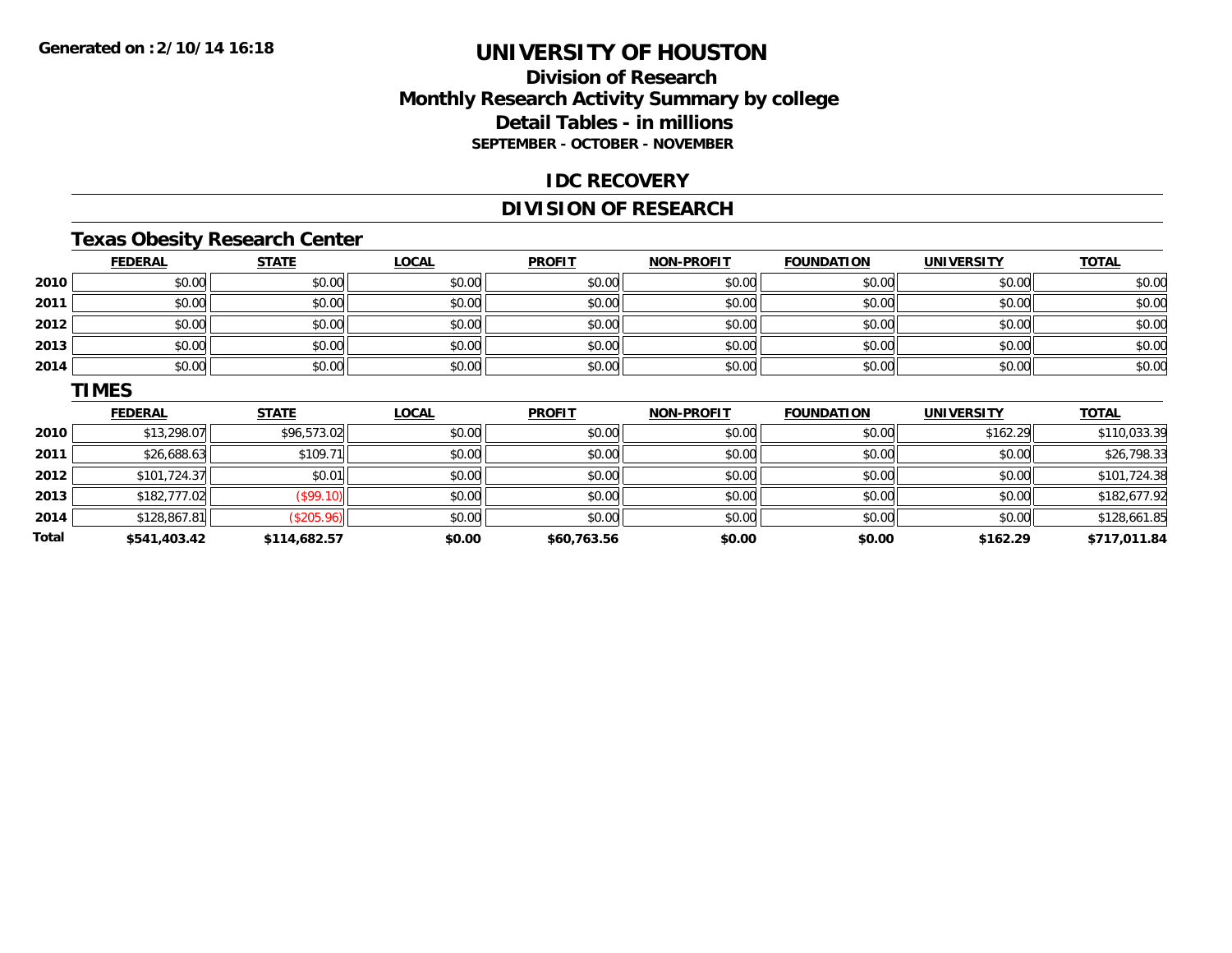**Total**

## **UNIVERSITY OF HOUSTON**

### **Division of ResearchMonthly Research Activity Summary by college Detail Tables - in millions SEPTEMBER - OCTOBER - NOVEMBER**

#### **IDC RECOVERY**

### **DIVISION OF RESEARCH**

### **Texas Obesity Research Center**

|      | <b>FEDERAL</b> | <b>STATE</b> | <b>LOCAL</b> | <b>PROFIT</b> | <b>NON-PROFIT</b> | <b>FOUNDATION</b> | <b>UNIVERSITY</b> | <b>TOTAL</b> |
|------|----------------|--------------|--------------|---------------|-------------------|-------------------|-------------------|--------------|
| 2010 | \$0.00         | \$0.00       | \$0.00       | \$0.00        | \$0.00            | \$0.00            | \$0.00            | \$0.00       |
| 2011 | \$0.00         | \$0.00       | \$0.00       | \$0.00        | \$0.00            | \$0.00            | \$0.00            | \$0.00       |
| 2012 | \$0.00         | \$0.00       | \$0.00       | \$0.00        | \$0.00            | \$0.00            | \$0.00            | \$0.00       |
| 2013 | \$0.00         | \$0.00       | \$0.00       | \$0.00        | \$0.00            | \$0.00            | \$0.00            | \$0.00       |
| 2014 | \$0.00         | \$0.00       | \$0.00       | \$0.00        | \$0.00            | \$0.00            | \$0.00            | \$0.00       |
|      | <b>TIMES</b>   |              |              |               |                   |                   |                   |              |
|      | <b>FEDERAL</b> | <b>STATE</b> | <b>LOCAL</b> | <b>PROFIT</b> | <b>NON-PROFIT</b> | <b>FOUNDATION</b> | <b>UNIVERSITY</b> | <b>TOTAL</b> |
| 2010 | \$13,298.07    | \$96,573.02  | \$0.00       | \$0.00        | \$0.00            | \$0.00            | \$162.29          | \$110,033.39 |
| 2011 | \$26,688.63    | \$109.71     | \$0.00       | \$0.00        | \$0.00            | \$0.00            | \$0.00            | \$26,798.33  |
| 2012 | \$101,724.37   | \$0.01       | \$0.00       | \$0.00        | \$0.00            | \$0.00            | \$0.00            | \$101,724.38 |
| 2013 | \$182,777.02   | (\$99.10)    | \$0.00       | \$0.00        | \$0.00            | \$0.00            | \$0.00            | \$182,677.92 |
| 2014 |                |              |              |               | \$0.00            |                   |                   | \$128,661.85 |

4 \$128,867.81|| \$0.00|| \$0.00|| \$0.00|| \$0.00|| \$0.00|| \$128,661.

**\$541,403.42 \$114,682.57 \$0.00 \$60,763.56 \$0.00 \$0.00 \$162.29 \$717,011.84**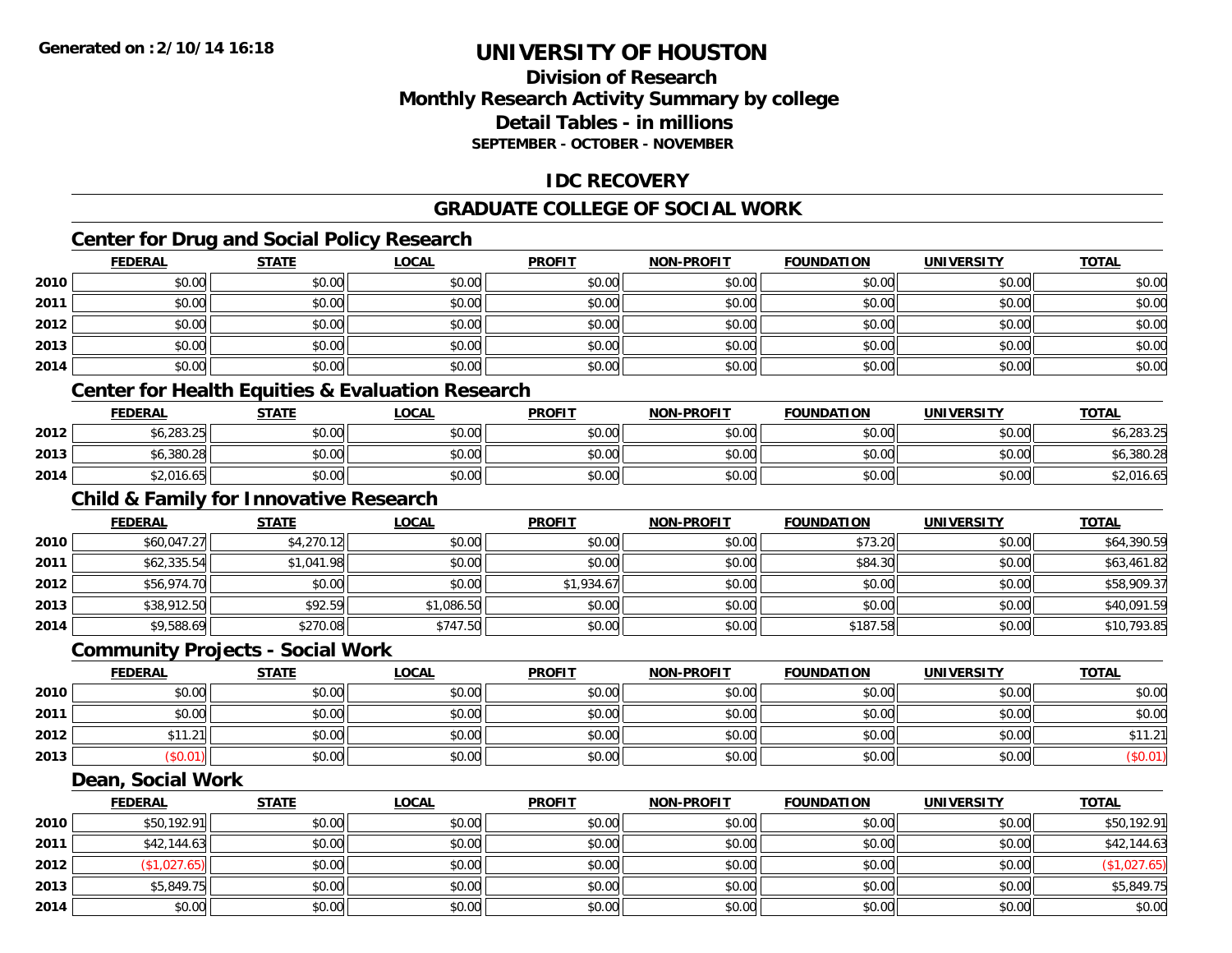### **Division of ResearchMonthly Research Activity Summary by college Detail Tables - in millions SEPTEMBER - OCTOBER - NOVEMBER**

### **IDC RECOVERY**

#### **GRADUATE COLLEGE OF SOCIAL WORK**

## **Center for Drug and Social Policy Research**

|      | <b>FEDERAL</b> | <b>STATE</b>                                      | <b>LOCAL</b>                                                | <b>PROFIT</b> | <b>NON-PROFIT</b> | <b>FOUNDATION</b> | <b>UNIVERSITY</b> | <b>TOTAL</b> |  |  |  |
|------|----------------|---------------------------------------------------|-------------------------------------------------------------|---------------|-------------------|-------------------|-------------------|--------------|--|--|--|
| 2010 | \$0.00         | \$0.00                                            | \$0.00                                                      | \$0.00        | \$0.00            | \$0.00            | \$0.00            | \$0.00       |  |  |  |
| 2011 | \$0.00         | \$0.00                                            | \$0.00                                                      | \$0.00        | \$0.00            | \$0.00            | \$0.00            | \$0.00       |  |  |  |
| 2012 | \$0.00         | \$0.00                                            | \$0.00                                                      | \$0.00        | \$0.00            | \$0.00            | \$0.00            | \$0.00       |  |  |  |
| 2013 | \$0.00         | \$0.00                                            | \$0.00                                                      | \$0.00        | \$0.00            | \$0.00            | \$0.00            | \$0.00       |  |  |  |
| 2014 | \$0.00         | \$0.00                                            | \$0.00                                                      | \$0.00        | \$0.00            | \$0.00            | \$0.00            | \$0.00       |  |  |  |
|      |                |                                                   | <b>Center for Health Equities &amp; Evaluation Research</b> |               |                   |                   |                   |              |  |  |  |
|      | <b>FEDERAL</b> | <b>STATE</b>                                      | <b>LOCAL</b>                                                | <b>PROFIT</b> | <b>NON-PROFIT</b> | <b>FOUNDATION</b> | <b>UNIVERSITY</b> | <b>TOTAL</b> |  |  |  |
| 2012 | \$6,283.25     | \$0.00                                            | \$0.00                                                      | \$0.00        | \$0.00            | \$0.00            | \$0.00            | \$6,283.25   |  |  |  |
| 2013 | \$6,380.28     | \$0.00                                            | \$0.00                                                      | \$0.00        | \$0.00            | \$0.00            | \$0.00            | \$6,380.28   |  |  |  |
| 2014 | \$2,016.65     | \$0.00                                            | \$0.00                                                      | \$0.00        | \$0.00            | \$0.00            | \$0.00            | \$2,016.65   |  |  |  |
|      |                | <b>Child &amp; Family for Innovative Research</b> |                                                             |               |                   |                   |                   |              |  |  |  |
|      | <b>FEDERAL</b> | <b>STATE</b>                                      | <b>LOCAL</b>                                                | <b>PROFIT</b> | <b>NON-PROFIT</b> | <b>FOUNDATION</b> | <b>UNIVERSITY</b> | <b>TOTAL</b> |  |  |  |
| 2010 | \$60,047.27    | \$4,270.12                                        | \$0.00                                                      | \$0.00        | \$0.00            | \$73.20           | \$0.00            | \$64,390.59  |  |  |  |
| 2011 | \$62,335.54    | \$1,041.98                                        | \$0.00                                                      | \$0.00        | \$0.00            | \$84.30           | \$0.00            | \$63,461.82  |  |  |  |
| 2012 | \$56,974.70    | \$0.00                                            | \$0.00                                                      | \$1,934.67    | \$0.00            | \$0.00            | \$0.00            | \$58,909.37  |  |  |  |
| 2013 | \$38,912.50    | \$92.59                                           | \$1,086.50                                                  | \$0.00        | \$0.00            | \$0.00            | \$0.00            | \$40,091.59  |  |  |  |
| 2014 | \$9,588.69     | \$270.08                                          | \$747.50                                                    | \$0.00        | \$0.00            | \$187.58          | \$0.00            | \$10,793.85  |  |  |  |
|      |                | <b>Community Projects - Social Work</b>           |                                                             |               |                   |                   |                   |              |  |  |  |
|      | <b>FEDERAL</b> | <b>STATE</b>                                      | <b>LOCAL</b>                                                | <b>PROFIT</b> | <b>NON-PROFIT</b> | <b>FOUNDATION</b> | <b>UNIVERSITY</b> | <b>TOTAL</b> |  |  |  |
| 2010 | \$0.00         | \$0.00                                            | \$0.00                                                      | \$0.00        | \$0.00            | \$0.00            | \$0.00            | \$0.00       |  |  |  |
| 2011 | \$0.00         | \$0.00                                            | \$0.00                                                      | \$0.00        | \$0.00            | \$0.00            | \$0.00            | \$0.00       |  |  |  |

**Dean, Social Work**

**2012**

**2013**

|      | <b>FEDERAL</b> | <b>STATE</b> | <u>LOCAL</u> | <b>PROFIT</b> | <b>NON-PROFIT</b> | <b>FOUNDATION</b> | <b>UNIVERSITY</b> | <b>TOTAL</b> |
|------|----------------|--------------|--------------|---------------|-------------------|-------------------|-------------------|--------------|
| 2010 | \$50,192.91    | \$0.00       | \$0.00       | \$0.00        | \$0.00            | \$0.00            | \$0.00            | \$50,192.91  |
| 2011 | \$42,144.63    | \$0.00       | \$0.00       | \$0.00        | \$0.00            | \$0.00            | \$0.00            | \$42,144.63  |
| 2012 | (\$1,027.65)   | \$0.00       | \$0.00       | \$0.00        | \$0.00            | \$0.00            | \$0.00            | (\$1,027.65) |
| 2013 | \$5,849.75     | \$0.00       | \$0.00       | \$0.00        | \$0.00            | \$0.00            | \$0.00            | \$5,849.75   |
| 2014 | \$0.00         | \$0.00       | \$0.00       | \$0.00        | \$0.00            | \$0.00            | \$0.00            | \$0.00       |

 $\textbf{2} \hspace{1.5mm} |\hspace{1.5mm} \text{$0.00]} \hspace{1.5mm} \text{$0.1.21}$   $\text{$0.00]} \hspace{1.5mm}$   $\text{$0.00}$   $\text{$0.00]} \hspace{1.5mm}$   $\text{$0.00]} \hspace{1.5mm}$   $\text{$0.00]} \hspace{1.5mm}$   $\text{$0.00]} \hspace{1.5mm}$   $\text{$0.00]} \hspace{1.5mm}$ 

 $\textbf{3} \hspace{14mm} |\hspace{14mm} \text{ $60.01]} \hspace{14mm} |\hspace{14mm} \text{ $60.00]} \hspace{14mm} |\hspace{14mm} \text{ $60.00]} \hspace{14mm} |\hspace{14mm} \text{ $60.00]} \hspace{14mm} |\hspace{14mm} \text{ $60.00]} \hspace{14mm} |\hspace{14mm} \text{ $60.01]} \hspace{14mm} |\hspace{14mm} \text{ $60.01]} \hspace{14mm} |\hspace{14mm} \text{ $60.02]} \hspace{14$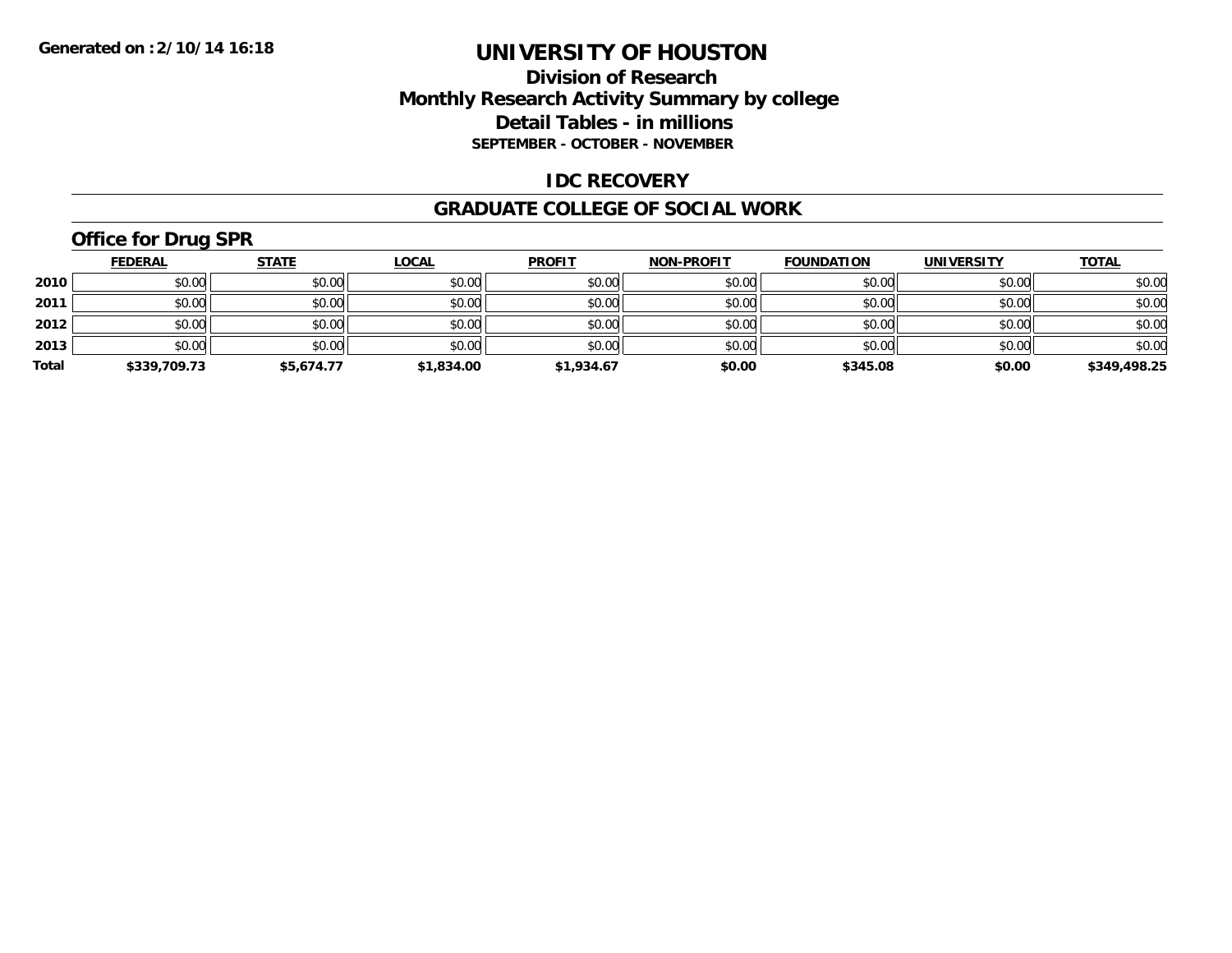### **Division of Research Monthly Research Activity Summary by college Detail Tables - in millions SEPTEMBER - OCTOBER - NOVEMBER**

#### **IDC RECOVERY**

#### **GRADUATE COLLEGE OF SOCIAL WORK**

## **Office for Drug SPR**

|       | <b>FEDERAL</b> | <b>STATE</b> | <b>LOCAL</b> | <b>PROFIT</b> | <b>NON-PROFIT</b> | <b>FOUNDATION</b> | <b>UNIVERSITY</b> | <b>TOTAL</b> |
|-------|----------------|--------------|--------------|---------------|-------------------|-------------------|-------------------|--------------|
| 2010  | \$0.00         | \$0.00       | \$0.00       | \$0.00        | \$0.00            | \$0.00            | \$0.00            | \$0.00       |
| 2011  | \$0.00         | \$0.00       | \$0.00       | \$0.00        | \$0.00            | \$0.00            | \$0.00            | \$0.00       |
| 2012  | \$0.00         | \$0.00       | \$0.00       | \$0.00        | \$0.00            | \$0.00            | \$0.00            | \$0.00       |
| 2013  | \$0.00         | \$0.00       | \$0.00       | \$0.00        | \$0.00            | \$0.00            | \$0.00            | \$0.00       |
| Total | \$339,709.73   | \$5,674.77   | \$1,834.00   | \$1,934.67    | \$0.00            | \$345.08          | \$0.00            | \$349,498.25 |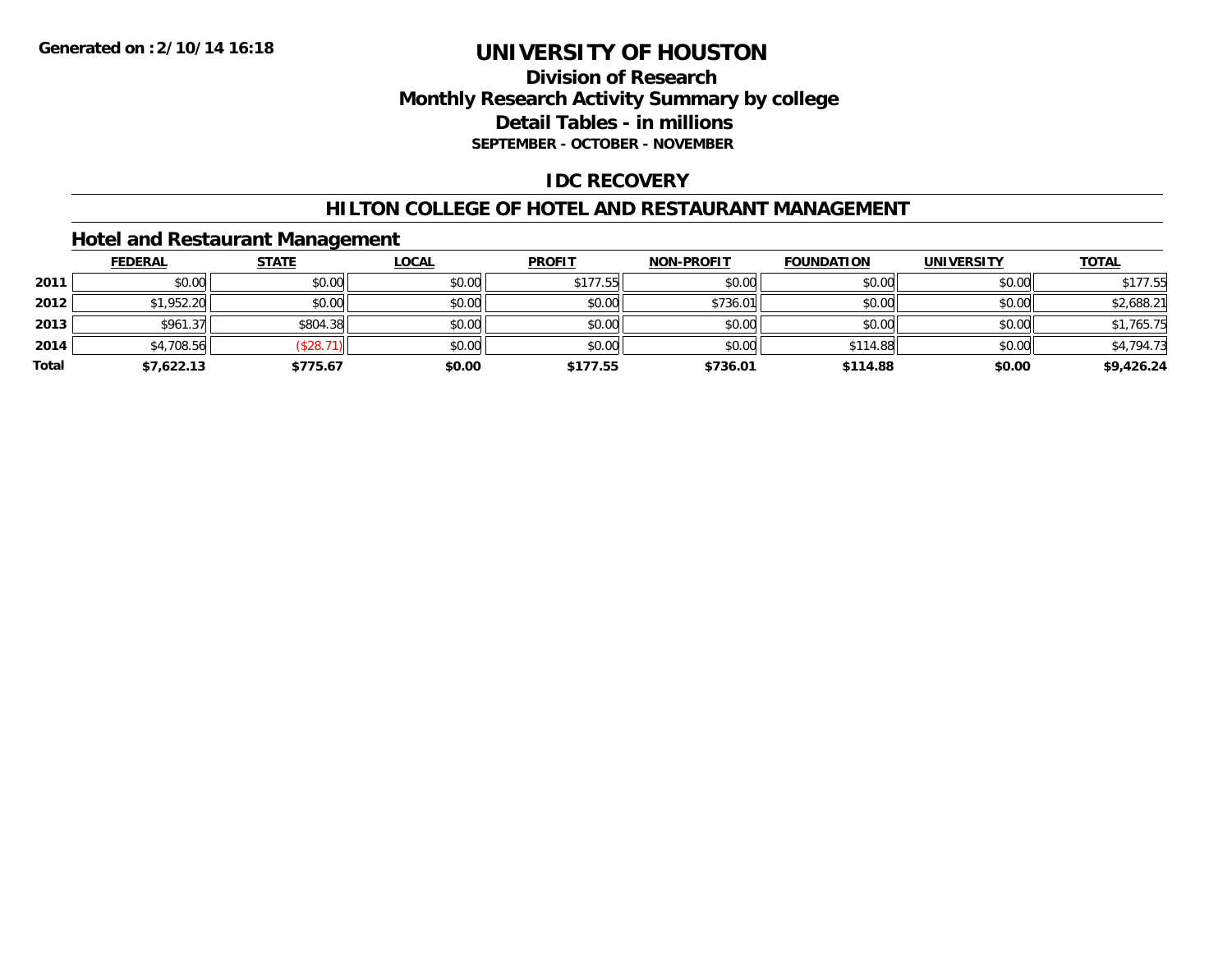### **Division of Research Monthly Research Activity Summary by college Detail Tables - in millions SEPTEMBER - OCTOBER - NOVEMBER**

#### **IDC RECOVERY**

#### **HILTON COLLEGE OF HOTEL AND RESTAURANT MANAGEMENT**

#### **Hotel and Restaurant Management**

|       | <b>FEDERAL</b> | <u>STATE</u> | <b>LOCAL</b> | <b>PROFIT</b> | <b>NON-PROFIT</b> | <b>FOUNDATION</b> | <b>UNIVERSITY</b> | <b>TOTAL</b> |
|-------|----------------|--------------|--------------|---------------|-------------------|-------------------|-------------------|--------------|
| 2011  | \$0.00         | \$0.00       | \$0.00       | \$177.55      | \$0.00            | \$0.00            | \$0.00            | \$177.55     |
| 2012  | \$1,952.20     | \$0.00       | \$0.00       | \$0.00        | \$736.01          | \$0.00            | \$0.00            | \$2,688.21   |
| 2013  | \$961.37       | \$804.38     | \$0.00       | \$0.00        | \$0.00            | \$0.00            | \$0.00            | \$1,765.75   |
| 2014  | \$4,708.56     | \$28.        | \$0.00       | \$0.00        | \$0.00            | \$114.88          | \$0.00            | \$4,794.73   |
| Total | \$7,622.13     | \$775.67     | \$0.00       | \$177.55      | \$736.01          | \$114.88          | \$0.00            | \$9,426.24   |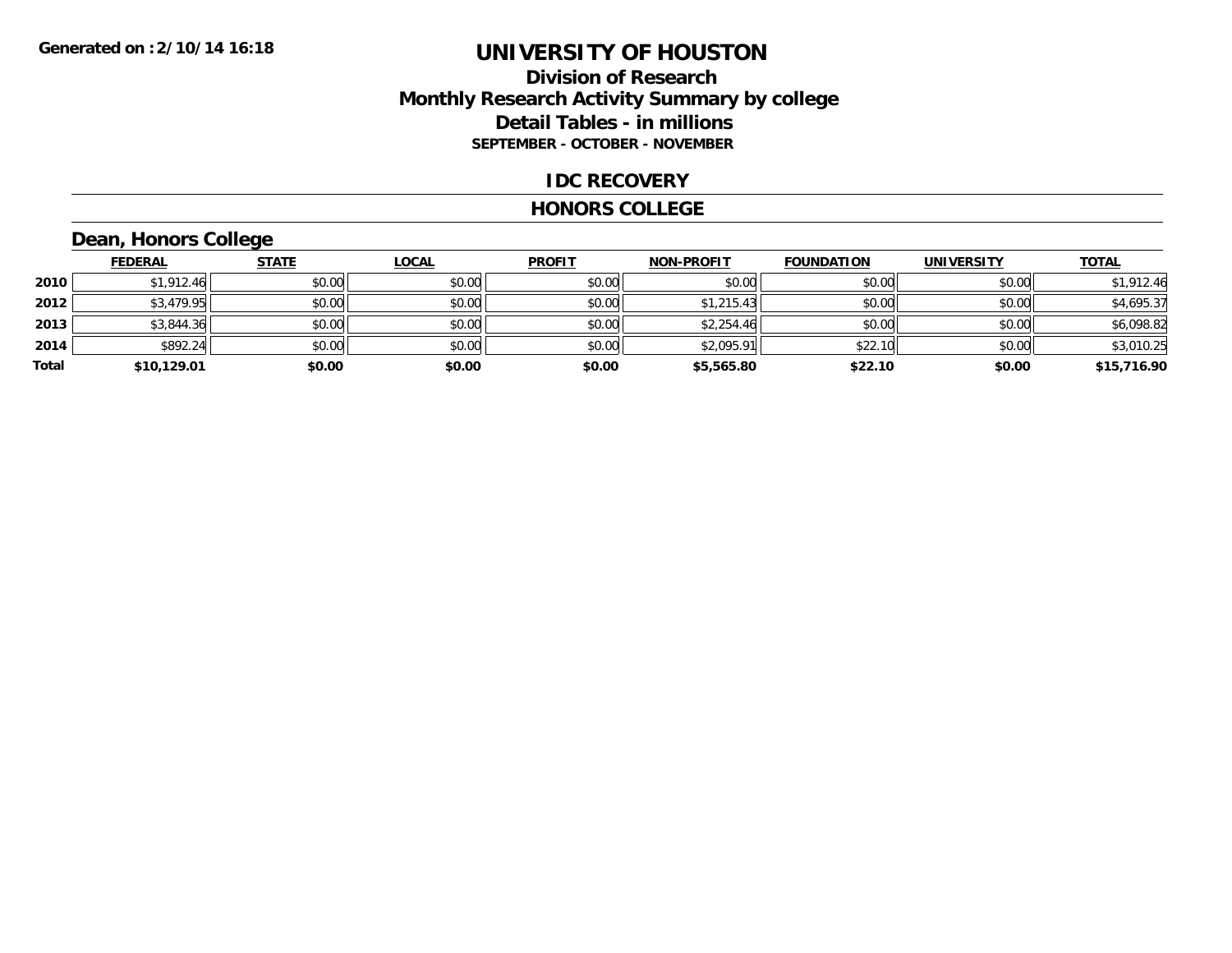### **Division of Research Monthly Research Activity Summary by college Detail Tables - in millions SEPTEMBER - OCTOBER - NOVEMBER**

#### **IDC RECOVERY**

#### **HONORS COLLEGE**

### **Dean, Honors College**

|       | <b>FEDERAL</b> | <b>STATE</b> | <u>LOCAL</u> | <b>PROFIT</b> | <b>NON-PROFIT</b> | <b>FOUNDATION</b> | <b>UNIVERSITY</b> | <b>TOTAL</b> |
|-------|----------------|--------------|--------------|---------------|-------------------|-------------------|-------------------|--------------|
| 2010  | \$1,912.46     | \$0.00       | \$0.00       | \$0.00        | \$0.00            | \$0.00            | \$0.00            | \$1,912.46   |
| 2012  | \$3,479.95     | \$0.00       | \$0.00       | \$0.00        | \$1,215.43        | \$0.00            | \$0.00            | \$4,695.37   |
| 2013  | \$3,844.36     | \$0.00       | \$0.00       | \$0.00        | \$2,254.46        | \$0.00            | \$0.00            | \$6,098.82   |
| 2014  | \$892.24       | \$0.00       | \$0.00       | \$0.00        | \$2,095.91        | \$22.10           | \$0.00            | \$3,010.25   |
| Total | \$10,129.01    | \$0.00       | \$0.00       | \$0.00        | \$5,565.80        | \$22.10           | \$0.00            | \$15,716.90  |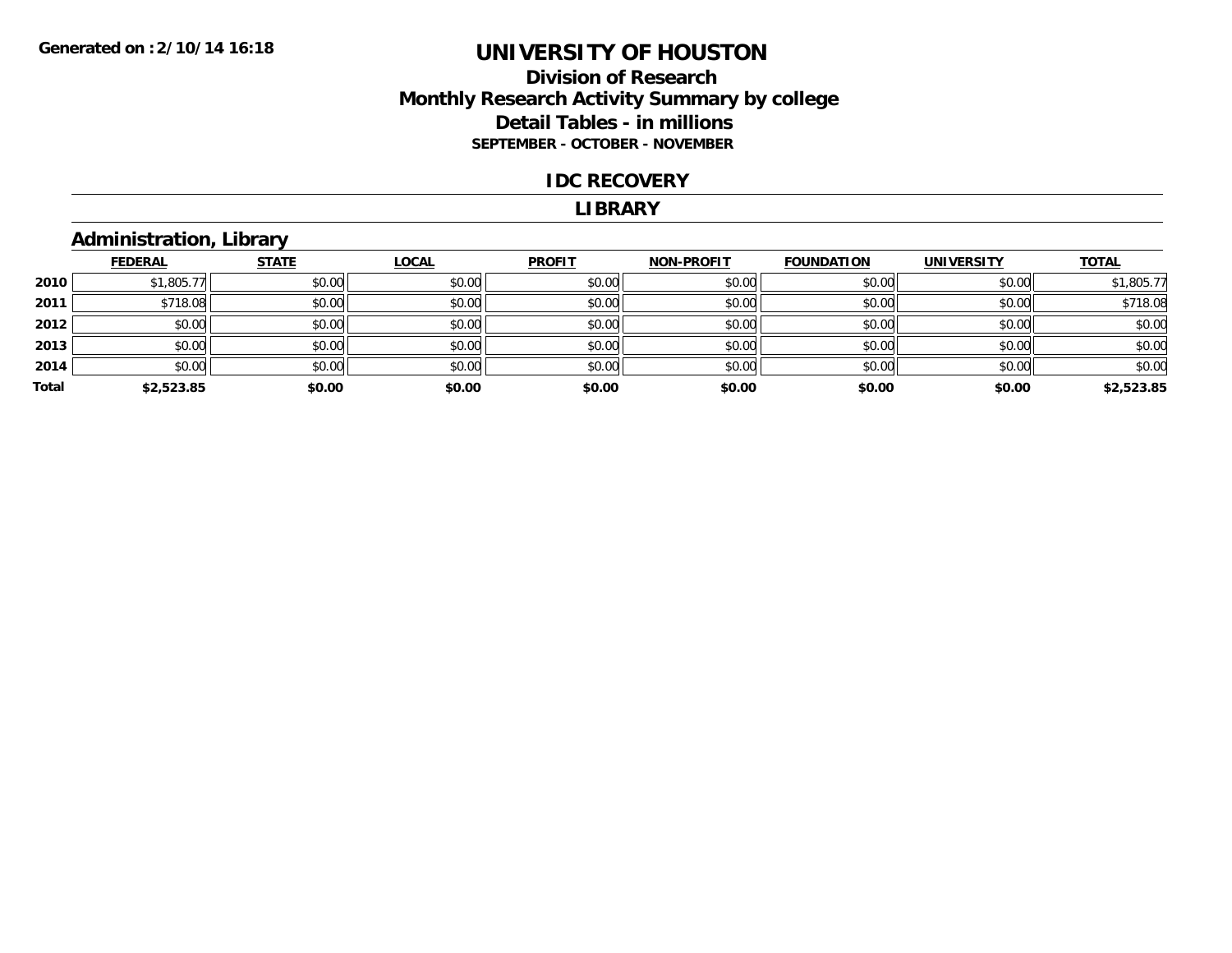#### **Division of Research Monthly Research Activity Summary by college Detail Tables - in millions SEPTEMBER - OCTOBER - NOVEMBER**

#### **IDC RECOVERY**

#### **LIBRARY**

### **Administration, Library**

|       | <b>FEDERAL</b> | <b>STATE</b> | <b>LOCAL</b> | <b>PROFIT</b> | <b>NON-PROFIT</b> | <b>FOUNDATION</b> | <b>UNIVERSITY</b> | <b>TOTAL</b> |
|-------|----------------|--------------|--------------|---------------|-------------------|-------------------|-------------------|--------------|
| 2010  | \$1,805.77     | \$0.00       | \$0.00       | \$0.00        | \$0.00            | \$0.00            | \$0.00            | \$1,805.77   |
| 2011  | \$718.08       | \$0.00       | \$0.00       | \$0.00        | \$0.00            | \$0.00            | \$0.00            | \$718.08     |
| 2012  | \$0.00         | \$0.00       | \$0.00       | \$0.00        | \$0.00            | \$0.00            | \$0.00            | \$0.00       |
| 2013  | \$0.00         | \$0.00       | \$0.00       | \$0.00        | \$0.00            | \$0.00            | \$0.00            | \$0.00       |
| 2014  | \$0.00         | \$0.00       | \$0.00       | \$0.00        | \$0.00            | \$0.00            | \$0.00            | \$0.00       |
| Total | \$2,523.85     | \$0.00       | \$0.00       | \$0.00        | \$0.00            | \$0.00            | \$0.00            | \$2,523.85   |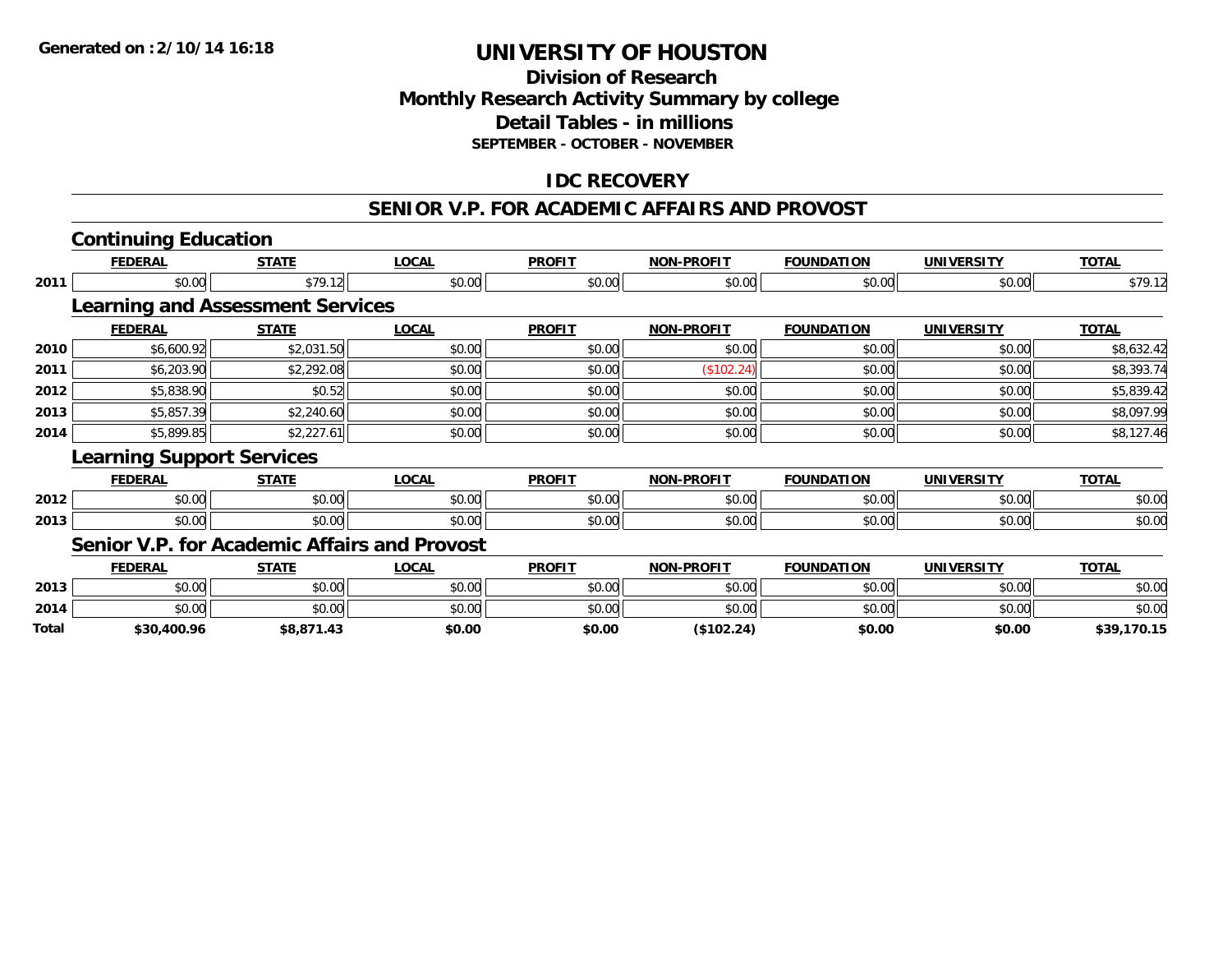### **Division of ResearchMonthly Research Activity Summary by college Detail Tables - in millions SEPTEMBER - OCTOBER - NOVEMBER**

### **IDC RECOVERY**

#### **SENIOR V.P. FOR ACADEMIC AFFAIRS AND PROVOST**

|              | <b>Continuing Education</b>                         |              |              |               |                   |                   |                   |              |
|--------------|-----------------------------------------------------|--------------|--------------|---------------|-------------------|-------------------|-------------------|--------------|
|              | <b>FEDERAL</b>                                      | <b>STATE</b> | <b>LOCAL</b> | <b>PROFIT</b> | <b>NON-PROFIT</b> | <b>FOUNDATION</b> | <b>UNIVERSITY</b> | <b>TOTAL</b> |
| 2011         | \$0.00                                              | \$79.12      | \$0.00       | \$0.00        | \$0.00            | \$0.00            | \$0.00            | \$79.12      |
|              | <b>Learning and Assessment Services</b>             |              |              |               |                   |                   |                   |              |
|              | <b>FEDERAL</b>                                      | <b>STATE</b> | <b>LOCAL</b> | <b>PROFIT</b> | <b>NON-PROFIT</b> | <b>FOUNDATION</b> | <b>UNIVERSITY</b> | <b>TOTAL</b> |
| 2010         | \$6,600.92                                          | \$2,031.50   | \$0.00       | \$0.00        | \$0.00            | \$0.00            | \$0.00            | \$8,632.42   |
| 2011         | \$6,203.90                                          | \$2,292.08   | \$0.00       | \$0.00        | (\$102.24)        | \$0.00            | \$0.00            | \$8,393.74   |
| 2012         | \$5,838.90                                          | \$0.52       | \$0.00       | \$0.00        | \$0.00            | \$0.00            | \$0.00            | \$5,839.42   |
| 2013         | \$5,857.39                                          | \$2,240.60   | \$0.00       | \$0.00        | \$0.00            | \$0.00            | \$0.00            | \$8,097.99   |
| 2014         | \$5,899.85                                          | \$2,227.61   | \$0.00       | \$0.00        | \$0.00            | \$0.00            | \$0.00            | \$8,127.46   |
|              | <b>Learning Support Services</b>                    |              |              |               |                   |                   |                   |              |
|              | <b>FEDERAL</b>                                      | <b>STATE</b> | <b>LOCAL</b> | <b>PROFIT</b> | <b>NON-PROFIT</b> | <b>FOUNDATION</b> | <b>UNIVERSITY</b> | <b>TOTAL</b> |
| 2012         | \$0.00                                              | \$0.00       | \$0.00       | \$0.00        | \$0.00            | \$0.00            | \$0.00            | \$0.00       |
| 2013         | \$0.00                                              | \$0.00       | \$0.00       | \$0.00        | \$0.00            | \$0.00            | \$0.00            | \$0.00       |
|              | <b>Senior V.P. for Academic Affairs and Provost</b> |              |              |               |                   |                   |                   |              |
|              | <b>FEDERAL</b>                                      | <b>STATE</b> | <b>LOCAL</b> | <b>PROFIT</b> | <b>NON-PROFIT</b> | <b>FOUNDATION</b> | <b>UNIVERSITY</b> | <b>TOTAL</b> |
| 2013         | \$0.00                                              | \$0.00       | \$0.00       | \$0.00        | \$0.00            | \$0.00            | \$0.00            | \$0.00       |
| 2014         | \$0.00                                              | \$0.00       | \$0.00       | \$0.00        | \$0.00            | \$0.00            | \$0.00            | \$0.00       |
| <b>Total</b> | \$30.400.96                                         | \$8.871.43   | \$0.00       | \$0.00        | (S102.24)         | \$0.00            | \$0.00            | \$39.170.15  |

**\$30,400.96 \$8,871.43 \$0.00 \$0.00 (\$102.24) \$0.00 \$0.00 \$39,170.15**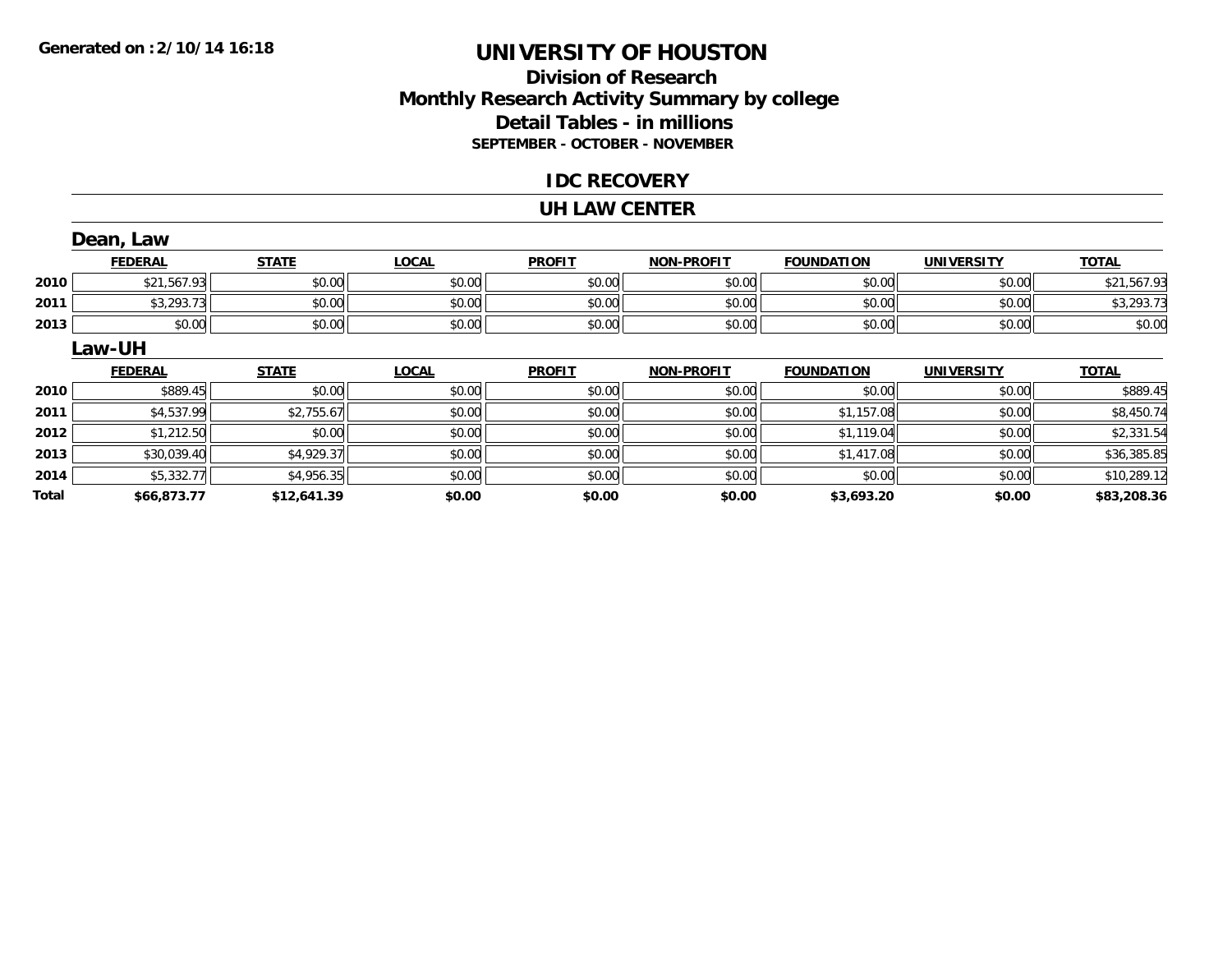### **Division of ResearchMonthly Research Activity Summary by college Detail Tables - in millions SEPTEMBER - OCTOBER - NOVEMBER**

#### **IDC RECOVERY**

#### **UH LAW CENTER**

|       | Dean, Law      |              |              |               |                   |                   |                   |              |
|-------|----------------|--------------|--------------|---------------|-------------------|-------------------|-------------------|--------------|
|       | <b>FEDERAL</b> | <b>STATE</b> | <b>LOCAL</b> | <b>PROFIT</b> | <b>NON-PROFIT</b> | <b>FOUNDATION</b> | <b>UNIVERSITY</b> | <b>TOTAL</b> |
| 2010  | \$21,567.93    | \$0.00       | \$0.00       | \$0.00        | \$0.00            | \$0.00            | \$0.00            | \$21,567.93  |
| 2011  | \$3,293.73     | \$0.00       | \$0.00       | \$0.00        | \$0.00            | \$0.00            | \$0.00            | \$3,293.73   |
| 2013  | \$0.00         | \$0.00       | \$0.00       | \$0.00        | \$0.00            | \$0.00            | \$0.00            | \$0.00       |
|       | Law-UH         |              |              |               |                   |                   |                   |              |
|       | <b>FEDERAL</b> | <b>STATE</b> | <b>LOCAL</b> | <b>PROFIT</b> | <b>NON-PROFIT</b> | <b>FOUNDATION</b> | <b>UNIVERSITY</b> | <b>TOTAL</b> |
| 2010  | \$889.45       | \$0.00       | \$0.00       | \$0.00        | \$0.00            | \$0.00            | \$0.00            | \$889.45     |
| 2011  | \$4,537.99     | \$2,755.67   | \$0.00       | \$0.00        | \$0.00            | \$1,157.08        | \$0.00            | \$8,450.74   |
| 2012  | \$1,212.50     | \$0.00       | \$0.00       | \$0.00        | \$0.00            | \$1,119.04        | \$0.00            | \$2,331.54   |
| 2013  | \$30,039.40    | \$4,929.37   | \$0.00       | \$0.00        | \$0.00            | \$1,417.08        | \$0.00            | \$36,385.85  |
| 2014  | \$5,332.77     | \$4,956.35   | \$0.00       | \$0.00        | \$0.00            | \$0.00            | \$0.00            | \$10,289.12  |
| Total | \$66,873.77    | \$12,641.39  | \$0.00       | \$0.00        | \$0.00            | \$3,693.20        | \$0.00            | \$83,208.36  |